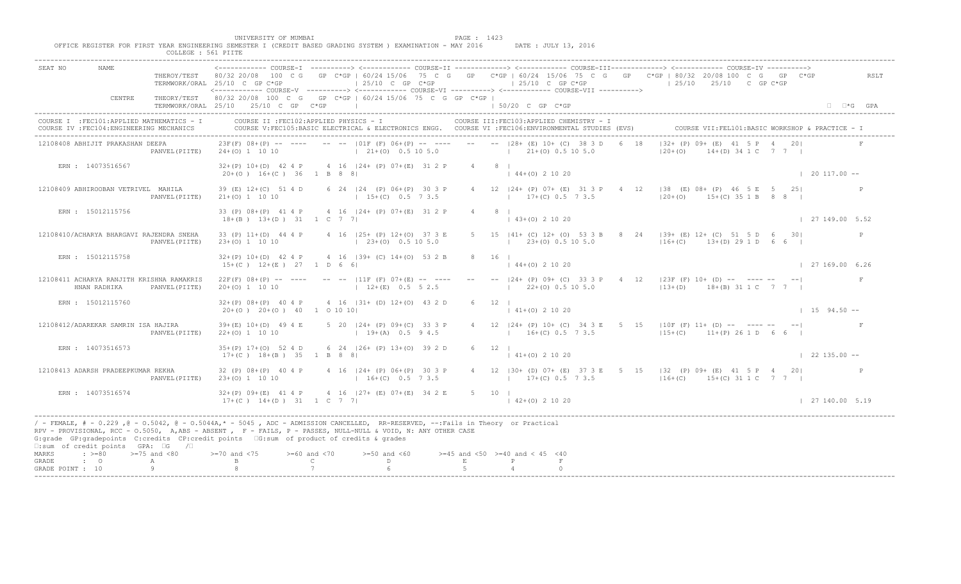|                           |                                                                                           | COLLEGE : 561 PIITE | UNIVERSITY OF MUMBAI<br>OFFICE REGISTER FOR FIRST YEAR ENGINEERING SEMESTER I (CREDIT BASED GRADING SYSTEM ) EXAMINATION - MAY 2016                                                                                                                                                                                                                               |                               |                                                                                                                                               | PAGE : 1423   |                                           | DATE : JULY 13, 2016                      |   |                                        |                                                                                                                                                                                                          |                            |
|---------------------------|-------------------------------------------------------------------------------------------|---------------------|-------------------------------------------------------------------------------------------------------------------------------------------------------------------------------------------------------------------------------------------------------------------------------------------------------------------------------------------------------------------|-------------------------------|-----------------------------------------------------------------------------------------------------------------------------------------------|---------------|-------------------------------------------|-------------------------------------------|---|----------------------------------------|----------------------------------------------------------------------------------------------------------------------------------------------------------------------------------------------------------|----------------------------|
| SEAT NO                   |                                                                                           |                     | THEROY/TEST 80/32 20/08 100 C G GP C*GP   60/24 15/06 75 C G GP C*GP   60/24 15/06 75 C G GP C*GP   80/32 20/08 100 C G GP C*GP<br>TERMWORK/ORAL 25/10 C GP C*GP                                                                                                                                                                                                  |                               | $125/10$ C GP C*GP                                                                                                                            |               |                                           |                                           |   |                                        | <------------ COURSE-I ----------> <------------ COURSE-II -------------> <------------ COURSE-III------------> <------------ COURSE-IV ----------><br>$\pm 25/10$ C GP C*GP $\pm 25/10$ 25/10 C GP C*GP | RSLT                       |
|                           | CENTRE                                                                                    |                     | THEORY/TEST 80/32 20/08 100 C G GP C*GP   60/24 15/06 75 C G GP C*GP  <br>TERMWORK/ORAL 25/10 25/10 C GP C*GP                                                                                                                                                                                                                                                     |                               |                                                                                                                                               |               | $150/20$ C GP C*GP                        |                                           |   |                                        |                                                                                                                                                                                                          | $\Box$ $\Box$ *G GPA       |
|                           | COURSE I : FEC101: APPLIED MATHEMATICS - I<br>COURSE IV : FEC104: ENGINEERING MECHANICS   |                     |                                                                                                                                                                                                                                                                                                                                                                   |                               | COURSE II : FEC102: APPLIED PHYSICS - I<br>COURSE V:FEC105:BASIC ELECTRICAL & ELECTRONICS ENGG. COURSE VI :FEC106:ENVIRONMENTAL STUDIES (EVS) |               |                                           | COURSE III: FEC103: APPLIED CHEMISTRY - I |   |                                        | COURSE VII: FEL101: BASIC WORKSHOP & PRACTICE -                                                                                                                                                          |                            |
|                           | 12108408 ABHIJIT PRAKASHAN DEEPA                                                          | PANVEL (PIITE)      | $23F(F)$ 08+(P) -- ---- -- --   01F (F) 06+(P) -- ---- -- --   28+ (E) 10+ (C) 38 3 D 6 18<br>$24+(0)$ 1 10 10                                                                                                                                                                                                                                                    |                               | $\vert$ 21+(0) 0.5 10 5.0 $\vert$ 21+(0) 0.5 10 5.0                                                                                           |               |                                           |                                           |   | $ 32 + (P) 09 + (E) 41$<br>$120 + (0)$ | $AD - 34 1 C 7 7 1$                                                                                                                                                                                      |                            |
|                           | ERN : 14073516567                                                                         |                     | $32+(P)$ 10+(D) 42 4 P 4 16  24+ (P) 07+(E) 31 2 P<br>$20+(0)$ 16+(C) 36 1 B 8 8                                                                                                                                                                                                                                                                                  |                               |                                                                                                                                               | $4 \t 8 \t 1$ | $(44+(0) 2 10 20)$                        |                                           |   |                                        |                                                                                                                                                                                                          | $120117.00 -$              |
|                           | 12108409 ABHIROOBAN VETRIVEL MAHILA                                                       | PANVEL (PIITE)      | 39 (E) 12+(C) 51 4 D<br>$21+ (0) 1 10 10$                                                                                                                                                                                                                                                                                                                         |                               | 6 24   24 (P) 06 + (P) 30 3 P<br>$15+(C)$ 0.5 7 3.5                                                                                           |               | $17+(C)$ 0.5 7 3.5                        | 4 12   24 + (P) 07 + (E) 31 3 P           | 4 |                                        | $\sqrt{188}$ (E) 08+ (P) 46 5 E 5 25<br>$ 20+(0)$ 15+(C) 35 1 B 8 8                                                                                                                                      |                            |
|                           | ERN : 15012115756                                                                         |                     | 33 (P) 08+(P) 41 4 P 4 16   24+ (P) 07+(E) 31 2 P<br>$18+(B)$ $13+(D)$ $31$ $1$ C 7 7                                                                                                                                                                                                                                                                             |                               |                                                                                                                                               |               | $4 \qquad 8 \qquad$<br>$(43+(0) 2 10 20)$ |                                           |   |                                        |                                                                                                                                                                                                          | 127149.005.52              |
|                           | 12108410/ACHARYA BHARGAVI RAJENDRA SNEHA                                                  | PANVEL (PIITE)      | 33 (P) 11+(D) 44 4 P 4 16   25+ (P) 12+(O) 37 3 E<br>23+(0) 1 10 10                                                                                                                                                                                                                                                                                               |                               | $(23+(0) 0.5 10 5.0)$                                                                                                                         |               |                                           | $\frac{1}{23\pm(0)}$ 0.5 10 5.0           |   |                                        | 5 15  41+ (C) 12+ (O) 53 3 B 8 24  39+ (E) 12+ (C) 51 5 D 6 30 <br>$116+(C)$ $13+(D)$ 29 1 D 6 6                                                                                                         | P                          |
|                           | ERN : 15012115758                                                                         |                     | $32+(P)$ 10+(D) 42 4 P 4 16  39+ (C) 14+(O) 53 2 B<br>$15+(C)$ $12+(E)$ 27 1 D 6 6                                                                                                                                                                                                                                                                                |                               |                                                                                                                                               |               | 8 16                                      | $(4+(0))$ 2 10 20                         |   |                                        |                                                                                                                                                                                                          | 127169.006.26              |
|                           | 12108411 ACHARYA RANJITH KRISHNA RAMAKRIS<br>HNAN RADHIKA                                 | PANVEL (PIITE)      | $22F(F)$ $08+(P)$ -- ---- -- -- $ 11F(F)$ $07+(E)$ -- ---<br>$20+(0)$ 1 10 10                                                                                                                                                                                                                                                                                     |                               | $12+(E)$ 0.5 5 2.5                                                                                                                            |               |                                           |                                           |   |                                        | 24+ (P) 09+ (C) 33 3 P 4 12  23F (F) 10+ (D) -- ---- -- -- <br>22+(0) 0.5 10 5.0 (13+(D) 18+(B) 31 1 C 7 7                                                                                               | F                          |
|                           | ERN : 15012115760                                                                         |                     | $32+(P)$ $08+(P)$ 40 4 P<br>$20+ (0)$ $20+ (0)$ $40$ 1 0 10 10                                                                                                                                                                                                                                                                                                    |                               | 4 16   31 + (D) 12 + (0) 43 2 D                                                                                                               |               | $141+(0)21020$                            |                                           |   |                                        |                                                                                                                                                                                                          | $1\quad 15\quad 94.50 - -$ |
|                           | 12108412/ADAREKAR SAMRIN ISA HAJIRA                                                       | PANVEL (PIITE)      | $39+ (E) 10+ (D) 49 4 E$<br>$22+(0)$ 1 10 10                                                                                                                                                                                                                                                                                                                      | $5$ 20 $ 24 + (P)$ 09+ $(C)$  | $19+(A)$                                                                                                                                      |               |                                           | $16+(C)$ 0.5 7 3.5                        |   |                                        | 4 12   24+ (P) 10+ (C) 34 3 E 5 15   10F (F) 11+ (D) -- ---- -- -- <br>$115+(C)$ 11+(P) 26 1 D 6 6                                                                                                       | $\mathbf{F}$               |
|                           | ERN : 14073516573                                                                         |                     | $35+(P)$ 17+(0) 52 4 D<br>$17+(C)$ $18+(B)$ 35 1 B 8                                                                                                                                                                                                                                                                                                              |                               | 6 24 $ 26 + (P) 13 + (O) 39 2 D$                                                                                                              |               | $6 \t12$<br>$141+(0)21020$                |                                           |   |                                        |                                                                                                                                                                                                          | $122135.00 -$              |
|                           | 12108413 ADARSH PRADEEPKUMAR REKHA                                                        | PANVEL (PIITE)      | 32 (P) 08+ (P) 40 4 P<br>$23+(0)$ 1 10 10                                                                                                                                                                                                                                                                                                                         |                               | $124+$ (P) 06+ (P) 30 3 P<br>$16+(C)$ 0.5 7 3.5                                                                                               |               |                                           |                                           |   |                                        | 4 12   30 + (D) 07 + (E) 37 3 E 5 15   32 (P) 09 + (E) 41 5 P 4 20  <br>$17 + (C)$ 0.5 7 3.5 $116 + (C)$ 15+(C) 31 1 C 7 7 1                                                                             |                            |
|                           | ERN : 14073516574                                                                         |                     | $32+(P)$ 09+(E) 41 4 P<br>17+(C) 14+(D) 31 1 C 7 7                                                                                                                                                                                                                                                                                                                |                               | $4 \cdot 16$ $ 27 + (E) 07 + (E) 34 2 E$                                                                                                      |               | $5 \t 10 \t 1$<br>$(42+(0) 2 10 20)$      |                                           |   |                                        |                                                                                                                                                                                                          | 127140.005.19              |
| MARKS                     | $\square$ : sum of credit points GPA: $\square$ G / $\square$<br>$\div$ >=80 >=75 and <80 |                     | / - FEMALE, # - 0.229, @ - 0.5042, @ - 0.5044A, * - 5045, ADC - ADMISSION CANCELLED, RR-RESERVED, --:Fails in Theory or Practical<br>RPV - PROVISIONAL, RCC - 0.5050, A, ABS - ABSENT . P- FAILS, P - PASSES, NULL-NULL & VOID, N: ANY OTHER CASE<br>G:grade GP:gradepoints C:credits CP:credit points G:sum of product of credits & grades<br>$>= 70$ and $< 75$ | $>= 60$ and $< 70$            | $>=50$ and $<60$                                                                                                                              |               | $>=45$ and $<50$ $>=40$ and $< 45$ $<40$  |                                           |   |                                        |                                                                                                                                                                                                          |                            |
| GRADE<br>GRADE POINT : 10 | $\cdot$ $\cdot$ 0                                                                         | A<br>Q              |                                                                                                                                                                                                                                                                                                                                                                   | $\mathbb{C}$ and $\mathbb{C}$ | $\overline{D}$ and $\overline{D}$ and $\overline{D}$ and $\overline{D}$                                                                       | $\mathbf{E}$  |                                           | F                                         |   |                                        |                                                                                                                                                                                                          |                            |
|                           |                                                                                           |                     |                                                                                                                                                                                                                                                                                                                                                                   |                               |                                                                                                                                               |               |                                           |                                           |   |                                        |                                                                                                                                                                                                          |                            |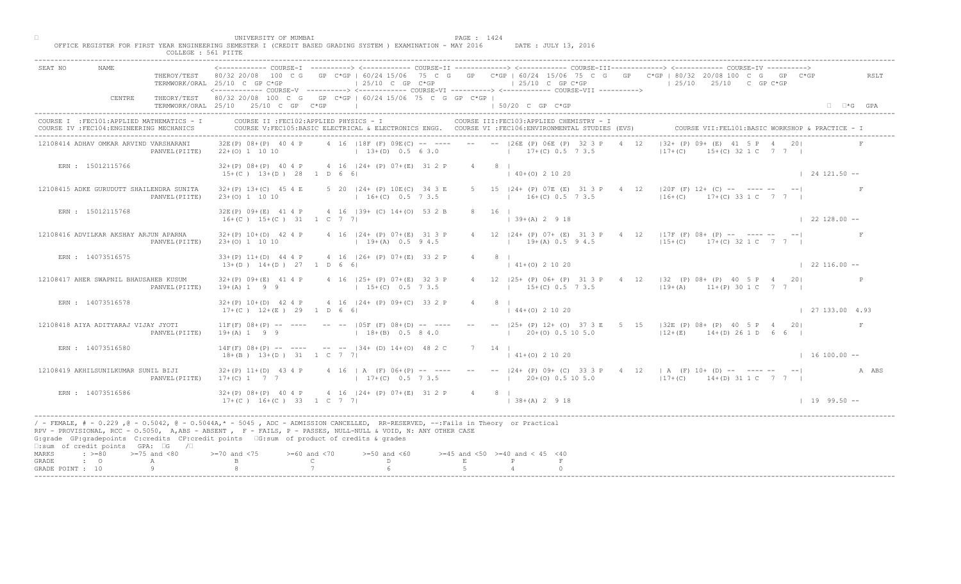|                                    |                                                                                         | COLLEGE : 561 PIITE | UNIVERSITY OF MUMBAI                                     | OFFICE REGISTER FOR FIRST YEAR ENGINEERING SEMESTER I (CREDIT BASED GRADING SYSTEM ) EXAMINATION - MAY 2016                                                                                                                                                                                                                                  |                                           | PAGE : 1424                   | DATE : JULY 13, 2016                                                                                      |      |                                                                                                                                                                                         |                        |                      |
|------------------------------------|-----------------------------------------------------------------------------------------|---------------------|----------------------------------------------------------|----------------------------------------------------------------------------------------------------------------------------------------------------------------------------------------------------------------------------------------------------------------------------------------------------------------------------------------------|-------------------------------------------|-------------------------------|-----------------------------------------------------------------------------------------------------------|------|-----------------------------------------------------------------------------------------------------------------------------------------------------------------------------------------|------------------------|----------------------|
| SEAT NO                            | <b>NAME</b>                                                                             |                     | TERMWORK/ORAL 25/10 C GP C*GP                            | $\vert$ 25/10 C GP C*GP<br><------------ COURSE-V ----------> <------------ COURSE-VI -----------> <------------ COURSE-VII ---------->                                                                                                                                                                                                      |                                           |                               | $125/10$ C GP C*GP                                                                                        |      | THEROY/TEST 80/32 20/08 100 C G GP C*GP   60/24 15/06 75 C G GP C*GP   60/24 15/06 75 C G GP C*GP   80/32 20/08 100 C G GP C*GP<br>$125/10$ $25/10$ C GP C*GP                           |                        | RSLT                 |
|                                    | CENTRE                                                                                  |                     | TERMWORK/ORAL 25/10 25/10 C GP C*GP                      | THEORY/TEST 80/32 20/08 100 C G GP C*GP   60/24 15/06 75 C G GP C*GP  <br>the control of the control of the control of                                                                                                                                                                                                                       |                                           |                               | 1 50/20 C GP C*GP                                                                                         |      |                                                                                                                                                                                         |                        | $\Box$ $\Box$ *G GPA |
|                                    | COURSE I : FEC101: APPLIED MATHEMATICS - I<br>COURSE IV : FEC104: ENGINEERING MECHANICS |                     |                                                          | COURSE II : FEC102: APPLIED PHYSICS - I<br>COURSE V:FEC105:BASIC ELECTRICAL & ELECTRONICS ENGG. COURSE VI :FEC106:ENVIRONMENTAL STUDIES (EVS)                                                                                                                                                                                                |                                           |                               | COURSE III: FEC103: APPLIED CHEMISTRY - I                                                                 |      | COURSE VII: FEL101: BASIC WORKSHOP & PRACTICE -                                                                                                                                         |                        |                      |
|                                    | 12108414 ADHAV OMKAR ARVIND VARSHARANI                                                  | PANVEL (PIITE)      | $32E(P)$ $08+(P)$ 40 4 P<br>$22+(0)$ 1 10 10             |                                                                                                                                                                                                                                                                                                                                              |                                           |                               | 4 16   18F (F) 09E (C) -- ---- -- --   26E (P) 06E (P) 32 3 P<br>$(13+(D) 0.5 6 3.0$ $(17+(C) 0.5 7 3.5)$ | 4 12 | $ 32 + (P) 09 + (E) 41 5 P 4 20 $<br>$+(C)$ 32 1 C 7 7 1<br>$ 17+(C) $                                                                                                                  |                        |                      |
|                                    | ERN : 15012115766                                                                       |                     | $15+(C)$ $13+(D)$ 28 1 D 6 6                             | $32+(P)$ 08+(P) 40 4 P 4 16  24+ (P) 07+(E) 31 2 P                                                                                                                                                                                                                                                                                           |                                           | $4 \t 8 \t 1$                 | $140+(0)21020$                                                                                            |      |                                                                                                                                                                                         | $124121.50 - -$        |                      |
|                                    | 12108415 ADKE GURUDUTT SHAILENDRA SUNITA                                                | PANVEL (PIITE)      | $32+(P)$ 13+(C) 45 4 E<br>$23+(0)$ 1 10 10               | 5 20   24 + (P) 10 E (C) 34 3 E<br>$16+(C)$ 0.5 7 3.5                                                                                                                                                                                                                                                                                        |                                           |                               | 5 15   24 + (P) 07E (E) 31 3 P 4<br>$16+(C)$ 0.5 7 3.5                                                    |      | 12 $\vert$ 120F (F) 12+ (C) -- ---- -- -- --<br>$16+(C)$ 17+(C) 33 1 C 7 7 1                                                                                                            |                        |                      |
|                                    | ERN : 15012115768                                                                       |                     | $16+(C)$ $15+(C)$ $31$ $1$ C 7 7                         | 32E(P) 09+(E) 41 4 P 4 16   39+ (C) 14+(0) 53 2 B                                                                                                                                                                                                                                                                                            |                                           | 8 16 1                        | $139+(A) 2918$                                                                                            |      |                                                                                                                                                                                         | $\vert$ 22 128.00 --   |                      |
|                                    | 12108416 ADVILKAR AKSHAY ARJUN APARNA                                                   | PANVEL (PIITE)      | 23+(0) 1 10 10                                           | $32+(P)$ 10+(D) 42 4 P 4 16   24+ (P) 07+(E) 31 3 P<br>$19+(A)$ 0.5 9 4.5                                                                                                                                                                                                                                                                    |                                           |                               | 4 12 $124+ (P) 07+ (E) 31$<br>$19\pm(A)$ 0.5 9 4.5                                                        |      | $P$ 4 12   17F (F) 08+ (P) -- ---- -- -- <br>$115+(C)$ 17+(C) 32 1 C 7 7 1                                                                                                              |                        |                      |
|                                    | ERN : 14073516575                                                                       |                     | $13+(D)$ $14+(D)$ $27$ 1 D 6 6                           | 33+(P) 11+(D) 44 4 P 4 16   26+ (P) 07+(E) 33 2 P                                                                                                                                                                                                                                                                                            |                                           | $4 \qquad \qquad$<br>$8 \mid$ | $41+(0)$ 2 10 20                                                                                          |      |                                                                                                                                                                                         | $\vert$ 22 116.00 --   |                      |
|                                    | 12108417 AHER SWAPNIL BHAUSAHEB KUSUM                                                   | PANVEL (PIITE)      | $32+(P)$ 09+(E) 41 4 P<br>$19+(A) 1 9 9$                 | 4 16 (25+ (P) 07+ (E) 32 3 P<br>$15+(C)$ 0.5 7 3.5                                                                                                                                                                                                                                                                                           |                                           |                               |                                                                                                           |      | 25+ (P) 06+ (P) 31 3 P 4 12   32 (P) 08+ (P) 40 5 P 4 20 <br>$15+(C)$ 0.5 7 3.5 $19+(A)$ 11+(P) 30 1 C 7 7                                                                              |                        |                      |
|                                    | ERN : 14073516578                                                                       |                     | $32+(P)$ 10+(D) 42 4 P<br>$17+ (C)$ $12+ (E)$ 29 1 D 6 6 | 4 16 124 + (P) 09 + (C) 33 2                                                                                                                                                                                                                                                                                                                 |                                           |                               | $144+(0)21020$                                                                                            |      |                                                                                                                                                                                         | $\vert$ 27 133.00 4.93 |                      |
|                                    | 12108418 AIYA ADITYARAJ VIJAY JYOTI                                                     | PANVEL (PIITE)      | $11F(F)$ 08+(P) -- ----<br>$19 + (A) 1 9 9$              | $--- 105F (F) 08+(D)$<br>$18 + (B)$                                                                                                                                                                                                                                                                                                          |                                           |                               | $(20+(0) 0.5 10 5.0)$                                                                                     |      | -- -- $ 25+(P) 12+(O) 37 3 E 5 15  32E(P) 08+(P) 40 5 P 4 20 $<br>$12+(E)$ $14+(D)$ 26 1 D 6 6 $\vert$                                                                                  |                        | F                    |
|                                    | ERN : 14073516580                                                                       |                     | $14F(F)$ $08+(P)$ -- ---<br>$18+(B)$ $13+(D)$ 31 1 C     | $-   34 + (0) 14 + (0) 48 2 C$                                                                                                                                                                                                                                                                                                               |                                           | 7 14 1                        | $141+(0)21020$                                                                                            |      |                                                                                                                                                                                         | $1 16 100.00 -$        |                      |
|                                    | 12108419 AKHILSUNILKUMAR SUNIL BIJI                                                     | PANVEL (PIITE)      | $32+(P)$ 11+(D) 43 4 P<br>$17+(C)$ 1 7 7                 |                                                                                                                                                                                                                                                                                                                                              | '(F) 06+(P) -- ----<br>$17+(C)$ 0.5 7 3.5 |                               |                                                                                                           |      | -- -- $ 24 + (P) 09 + (C) 33 3 P - 4 12   A (F) 10 + (D) - - - - - - - - -   -  $<br>$(17 + (C))$ $(20 + (O))$ $(0.5 \ 10 \ 5.0$ $(17 + (C))$ $(14 + (D))$ $(31 \ 1 \ C)$ $(7 \ 7 \ 1)$ |                        | A ABS                |
|                                    | ERN : 14073516586                                                                       |                     | $32+(P)$ 08+(P) 40 4 P                                   | $4 \cdot 16$ $ 24 + (P) 07 + (E) 31 2 P$<br>$17+(C)$ $16+(C)$ 33 1 C 7 7                                                                                                                                                                                                                                                                     |                                           | $4 \t 8 \t 1$                 | $138+(A) 2918$                                                                                            |      |                                                                                                                                                                                         | $1 19 99.50 --$        |                      |
|                                    | □:sum of credit points GPA: □G /□                                                       |                     |                                                          | / - FEMALE, # - 0.229, @ - 0.5042, @ - 0.5044A,* - 0045, ADC - ADMISSION CANCELLED, RR-RESERVED, --:Fails in Theory or Practical<br>RPV - PROVISIONAL, RCC - 0.5050, A, ABS - ABSENT A P - FAILS, P - PASSES, NULL-NULL & VOID, N: ANY OTHER CASE<br>G:grade GP:gradepoints C:credits CP:credit points EG:sum of product of credits & grades |                                           |                               |                                                                                                           |      |                                                                                                                                                                                         |                        |                      |
| MARKS<br>GRADE<br>GRADE POINT : 10 | $\div$ >=80 >=75 and <80<br>$\cdot$ 0                                                   | A                   | $0$ and $\langle 75$                                     | $>= 60$ and $< 70$<br>$>=50$ and $<60$<br>$\mathbb{C}$ and $\mathbb{C}$                                                                                                                                                                                                                                                                      | D<br>$\mathbf{E}$                         |                               | $>=45$ and $<50$ $>=40$ and $< 45$ $<40$                                                                  |      |                                                                                                                                                                                         |                        |                      |
|                                    |                                                                                         |                     |                                                          |                                                                                                                                                                                                                                                                                                                                              |                                           |                               |                                                                                                           |      |                                                                                                                                                                                         |                        |                      |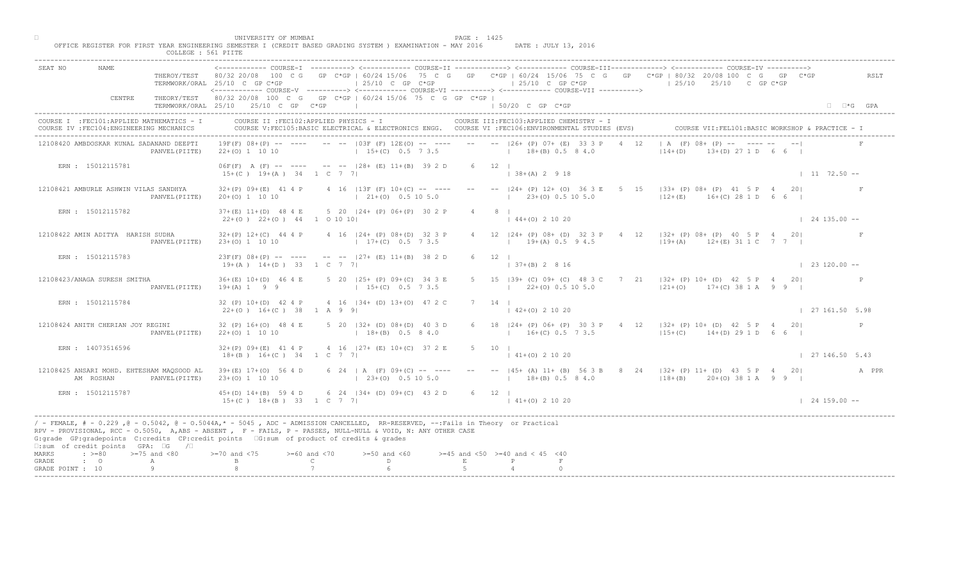| NAME.<br>SEAT NO                                                                                                                                        | TERMWORK/ORAL 25/10 C GP C*GP                                  | $125/10$ C GP C*GP                                                                                                                                                                                                                                | THEROY/TEST 80/32 20/08 100 C G GP C*GP   60/24 15/06 75 C G GP C*GP   60/24 15/06 75 C G GP C*GP   80/32 20/08 100 C G GP C*GP<br>$125/10$ C GP C*GP<br><------------ COURSE-V ----------> <------------ COURSE-VI ----------> <------------ COURSE-VII ----------> | RSLT<br>$125/10$ $25/10$ C GP C*GP                                                                             |
|---------------------------------------------------------------------------------------------------------------------------------------------------------|----------------------------------------------------------------|---------------------------------------------------------------------------------------------------------------------------------------------------------------------------------------------------------------------------------------------------|----------------------------------------------------------------------------------------------------------------------------------------------------------------------------------------------------------------------------------------------------------------------|----------------------------------------------------------------------------------------------------------------|
| CENTRE                                                                                                                                                  | TERMWORK/ORAL 25/10 25/10 C GP C*GP                            | THEORY/TEST 80/32 20/08 100 C G GP C*GP   60/24 15/06 75 C G GP C*GP  <br>the contract of the contract of the con-                                                                                                                                | $150/20$ C GP $C*GP$                                                                                                                                                                                                                                                 | $\Box$ $\Box$ *G GPA                                                                                           |
| COURSE I : FEC101: APPLIED MATHEMATICS - I<br>COURSE IV : FEC104: ENGINEERING MECHANICS                                                                 |                                                                | COURSE II : FEC102: APPLIED PHYSICS - I                                                                                                                                                                                                           | COURSE III: FEC103: APPLIED CHEMISTRY - I<br>COURSE V:FEC105:BASIC ELECTRICAL & ELECTRONICS ENGG. COURSE VI :FEC106:ENVIRONMENTAL STUDIES (EVS)                                                                                                                      | COURSE VII: FEL101: BASIC WORKSHOP & PRACTICE - 1                                                              |
| 12108420 AMBDOSKAR KUNAL SADANAND DEEPTI                                                                                                                | $22+(0)$ 1 10 10<br>PANVEL (PIITE)                             | $19F(F)$ $08+(P)$ -- ---- -- -- $103F(F)$ $12E(O)$ -- ---<br>$15+(C)$ 0.5 7 3.5                                                                                                                                                                   | $-- --  26+$ (P) 07+ (E) 33 3 P<br>$18+(B)$ 0.5 8 4.0                                                                                                                                                                                                                | A (F) $08 + \text{MP} = 1$ $\text{Y} = -$<br>$(D)$ 27 1 D 6 6 I<br>$ 14+(D) $                                  |
| ERN : 15012115781                                                                                                                                       | $15+(C)$ $19+(A)$ $34$ 1 C 7 7                                 | $06F(F)$ A $(F)$ -- --- -- -- $128 + (E) 11 + (B) 39 2 D$                                                                                                                                                                                         | $6 \t 12 \t 1$<br>$ 38+(A) 2 9 18$                                                                                                                                                                                                                                   | $1172.50 -$                                                                                                    |
| 12108421 AMBURLE ASHWIN VILAS SANDHYA                                                                                                                   | $32+(P)$ 09+(E) 41 4 P<br>$20+(0)$ 1 10 10<br>PANVEL (PIITE)   | $4$ 16   13F (F) 10+(C) -- ----<br>$(21 + (0) 0.5 10 5.0)$                                                                                                                                                                                        | $- -  24+$ (P) $12+$ (O) 36 3 E<br>$5^{\circ}$<br>$(23+(0) 0.5 10 5.0)$                                                                                                                                                                                              | $ 33+$ (P) 08+ (P) 41 5 P<br>201<br>$12+(E)$ 16+(C) 28 1 D                                                     |
| ERN : 15012115782                                                                                                                                       | $37+ (E)$ 11+(D) 48 4 E<br>$22+(0)$ $22+(0)$ $44$ 1 0 10 10    | 5 20 124 + (P) 06 + (P) 30 2 P                                                                                                                                                                                                                    | 8 <sub>1</sub><br>$144+(0)21020$                                                                                                                                                                                                                                     | $124135.00 - -$                                                                                                |
| 12108422 AMIN ADITYA HARISH SUDHA                                                                                                                       | $32+(P)$ 12+(C) 44 4 P<br>PANVEL (PIITE)<br>$23+(0)$ 1 10 10   | 4 16   24 + (P) 08 + (D) 32 3 P<br>$17+(C)$ 0.5 7 3.5                                                                                                                                                                                             | 12 $ 24 + (P) 08 + (D) 32 3 P$<br>$19+(A)$ 0.5 9 4.5                                                                                                                                                                                                                 | $4 \t12 \t132+ (P) 08+ (P) 40 5 P 4 20$<br>$119+(A)$ $12+(E)$ 31 1 C 7 7                                       |
| ERN : 15012115783                                                                                                                                       | $19+(A)$ $14+(D)$ 33 1 C 7 7                                   | $23F(F)$ 08+(P) -- ---- -- -- $-$ -27+ (E) 11+(B) 38 2 D                                                                                                                                                                                          | 12<br>$(B)$ 2 8 16                                                                                                                                                                                                                                                   | $\vert$ 23 120.00 --                                                                                           |
| 12108423/ANAGA SURESH SMITHA                                                                                                                            | $36+(E)$ 10+(D) 46 4 E<br>PANVEL (PIITE)<br>$19+(A) 1 9 9$     | 5 20 125+ (P) 09+ (C) 34 3 E<br>$15+(C)$ 0.5 7 3.5                                                                                                                                                                                                | $22+(0)$ 0.5 10 5.0                                                                                                                                                                                                                                                  | 189+ (C) 09+ (C) 48 3 C 7 21   32+ (P) 10+ (D) 42 5 P 4 20 <br>$ 21+(0)$ 17+(C) 38 1 A 9 9                     |
| ERN : 15012115784                                                                                                                                       | 32 (P) 10+(D) 42 4 P<br>$22+(0)$ 16+(C) 38 1 A 9 9             | 4 16 134 + (D) 13 + (O) 47 2                                                                                                                                                                                                                      | $142+(0)21020$                                                                                                                                                                                                                                                       | 127161.505.98                                                                                                  |
| 12108424 ANITH CHERIAN JOY REGINI                                                                                                                       | 32 (P) 16+(O) 48 4 E<br>$22+(0)$ 1 10 10<br>PANVEL (PIITE)     | 5 20 $(32 + (D) 08 + (D)$<br>$1 + 18 + (B)$                                                                                                                                                                                                       | 6 18   24 + (P) 06 + (P) 30 3 P + 4 12   32 + (P) 10 + (D) + 42 5 P + 4 20  <br>$16+(C)$ 0.5 7 3.5                                                                                                                                                                   | P<br>$115+(C)$ $14+(D)$ 29 1 D 6 6 I                                                                           |
| ERN : 14073516596                                                                                                                                       | $32+(P)$ 09+(E) 41 4 P<br>$18+(B)$ $16+(C)$ 34 1 C 7           | 4 16 $127 +$ (B) $10 + (C)$ 37 2 E                                                                                                                                                                                                                | $5 \qquad 10 \qquad$<br>$141+(0)21020$                                                                                                                                                                                                                               | 127146.505.43                                                                                                  |
| 12108425 ANSARI MOHD. EHTESHAM MAQSOOD AL<br>AM ROSHAN                                                                                                  | $39 + (E)$ 17+(0) 56 4 D<br>$23+(0)$ 1 10 10<br>PANVEL (PIITE) | $(F)$ 09+(C) -- ----<br>$23+(0)$ 0.5 10 5.0                                                                                                                                                                                                       | $18+(B)$ 0.5 8 4.0                                                                                                                                                                                                                                                   | -- -- $ 45+ (A) 11+ (B) 56 3 B 8 24  32+ (P) 11+ (D) 43 5 P 4 20 $<br>A PPR<br>$118+(B)$ $20+(O)$ 38 1 A 9 9 I |
| ERN : 15012115787                                                                                                                                       | $45+(D)$ $14+(B)$ 59 4 D                                       | 6 24 $ 34 + (D) 09 + (C) 43 2 D$<br>$15+(C)$ $18+(B)$ $33$ $1 C$ 7 7                                                                                                                                                                              | $6 \t12 \t1$<br>$ 41+(0) 2 10 20$                                                                                                                                                                                                                                    | $124159.00 -$                                                                                                  |
| G:grade GP:gradepoints C:credits CP:credit points C:sum of product of credits & grades<br>$\square$ : sum of credit points GPA: $\square$ G / $\square$ |                                                                | / - FEMALE, # - 0.229 ,@ - 0.5042, @ - 0.5044A,* - 5045 , ADC - ADMISSION CANCELLED, RR-RESERVED, --:Fails in Theory or Practical<br>RPV - PROVISIONAL, RCC - 0.5050, A, ABS - ABSENT . P- FAILS, P - PASSES, NULL-NULL & VOID, N: ANY OTHER CASE |                                                                                                                                                                                                                                                                      |                                                                                                                |
| $\div$ >=80 >=75 and <80<br>MARKS<br>GRADE<br>$\cdot$ $\cdot$ 0<br>A                                                                                    | $>= 70$ and $< 75$                                             | $>= 60$ and $< 70$<br>$>=50$ and $<60$<br>$\mathbb{C}$<br>D.                                                                                                                                                                                      | $>=45$ and $<50$ $>=40$ and $< 45$ $<40$<br>E<br>P                                                                                                                                                                                                                   |                                                                                                                |
| 9<br>GRADE POINT : 10                                                                                                                                   |                                                                |                                                                                                                                                                                                                                                   |                                                                                                                                                                                                                                                                      |                                                                                                                |

□ PAGE : 1425<br>OFFICE REGISTER FOR FIRST YEAR ENGINEERING SEMESTER I (CREDIT BASED GRADING SYSTEM ) EXAMINATION - MAY 2016 DATE : JULY 13, 2016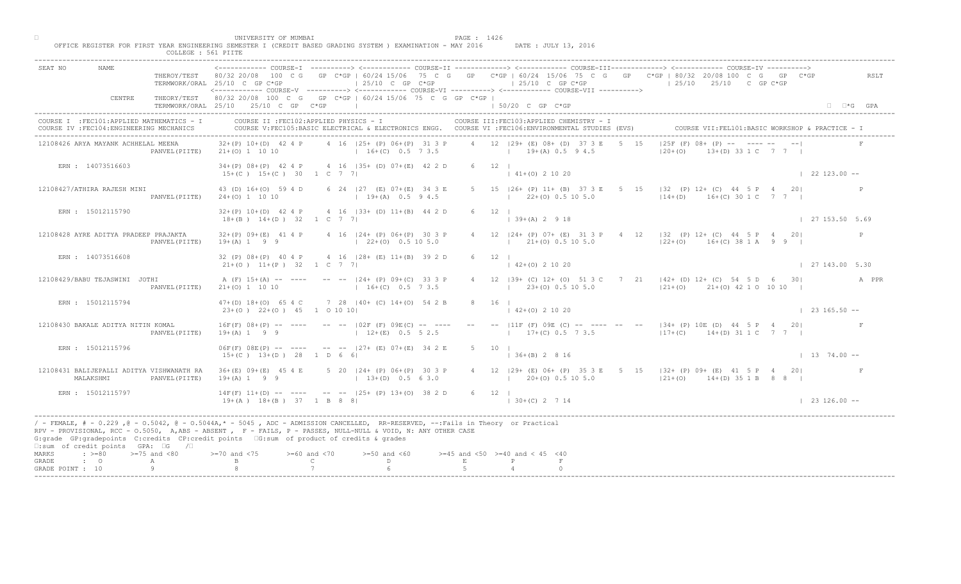|                                                                                         | COLLEGE : 561 PIITE                                                                                                                                                                                                                                                                                                                                                                                                                                                                                           |                                                 |
|-----------------------------------------------------------------------------------------|---------------------------------------------------------------------------------------------------------------------------------------------------------------------------------------------------------------------------------------------------------------------------------------------------------------------------------------------------------------------------------------------------------------------------------------------------------------------------------------------------------------|-------------------------------------------------|
| SEAT NO<br>NAME.                                                                        | <------------- COURSE-T ----------> <------------ COURSE-II -------------> <------------ COURSE-III-------------> <------------ COURSE-IV<br>THEROY/TEST 80/32 20/08 100 C G GP C*GP   60/24 15/06 75 C G GP C*GP   60/24 15/06 75 C G GP C*GP   80/32 20/08 100 C G GP C*GP<br>$\vert$ 25/10 C GP C*GP<br>$125/10$ C GP C*GP<br>$125/10$ $25/10$ C GP C*GP<br>TERMWORK/ORAL 25/10 C GP C*GP<br><------------ COURSE-V ----------> <------------ COURSE-VI -----------> <------------ COURSE-VII -----------> | RSLT                                            |
| CENTRE                                                                                  | THEORY/TEST 80/32 20/08 100 C G GP C*GP   60/24 15/06 75 C G GP C*GP  <br>TERMWORK/ORAL 25/10 25/10 C GP C*GP<br>$\pm$ 50/20 C GP C*GP                                                                                                                                                                                                                                                                                                                                                                        | $\Box$ $\Box$ *G GPA                            |
| COURSE I : FEC101: APPLIED MATHEMATICS - I<br>COURSE IV : FEC104: ENGINEERING MECHANICS | COURSE II : FEC102: APPLIED PHYSICS - I<br>COURSE III: FEC103: APPLIED CHEMISTRY - I<br>COURSE V:FEC105:BASIC ELECTRICAL & ELECTRONICS ENGG. COURSE VI :FEC106:ENVIRONMENTAL STUDIES (EVS)                                                                                                                                                                                                                                                                                                                    | COURSE VII: FEL101: BASIC WORKSHOP & PRACTICE - |
| 12108426 ARYA MAYANK ACHHELAL MEENA                                                     | $ 25F(F) 08+$ $ P  = 1$ $Z = -$<br>4 12 129+ (E) 08+ (D) 37 3 E<br>4 16 (25+ (P) 06+ (P) 31 3 P<br>$32+(P)$ 10+(D) 42 4 P<br>5 15<br>$16+(C)$ 0.5 7 3.5<br>$19+(A) 0.5 9 4.5$<br>$120 + (0)$<br>PANVEL (PIITE) $21+(0) 1 10 10$                                                                                                                                                                                                                                                                               | $13+(D)$ 33 1 C 7 7 1                           |
| ERN : 14073516603                                                                       | 34+(P) 08+(P) 42 4 P 4 16   35+ (D) 07+(E) 42 2 D<br>$6 \t12 \t1$<br>$15+(C)$ $15+(C)$ 30 1 C 7 7<br>$141+(0)21020$                                                                                                                                                                                                                                                                                                                                                                                           | $\vert$ 22 123.00 --                            |
| 12108427/ATHIRA RAJESH MINI<br>PANVEL (PIITE)                                           | 5 15   26+ (P) 11+ (B) 37 3 E<br>5 <sub>5</sub><br>$15$ $ 32$ (P) 12+ (C) 44 5 P 4 20<br>43 (D) 16+(O) 59 4 D<br>6 24   27 (E) 07 + (E) 34 3 E<br>$14+(D)$ 16+(C) 30 1 C 7 7<br>$19+(A)$ 0.5 9 4.5<br>$1$ 22+(0) 0.5 10 5.0<br>$24+(0)$ 1 10 10                                                                                                                                                                                                                                                               |                                                 |
| ERN: 15012115790                                                                        | 4 16 (33+ (D) 11+(B) 44 2 D<br>$32+(P)$ 10+(D) 42 4 P<br>6 12 1<br>$\vert$ 39+(A) 2 9 18<br>$18+(B)$ $14+(D)$ $32$ $1 \quad C \quad 7 \quad 7$                                                                                                                                                                                                                                                                                                                                                                | 127153.505.69                                   |
| 12108428 AYRE ADITYA PRADEEP PRAJAKTA<br>PANVEL (PIITE)                                 | $12 \t   24 + (P) 07 + (E) 31$<br>$4 \t12 \t132 \t(P) 12+ (C) 44 5 P 4 201$<br>$32+(P)$ 09+(E) 41 4 P<br>4 16 124 + (P) 06 + (P) 30 3 P<br>$21+(0)$ 0.5 10 5.0<br>$19+(A) 1 9 9$<br>$\vert$ 22+(0) 0.5 10 5.0<br>$ 22+(0)$ 16+(C) 38 1 A 9 9                                                                                                                                                                                                                                                                  | P                                               |
| ERN : 14073516608                                                                       | 32 (P) 08+ (P) 40 4 P<br>4 16 (28+ (E) 11+(B) 39 2 D<br>12<br>6<br>$(0)$ 2 10 20<br>$21+(0)$ $11+(P)$ 32 1 C 7 7                                                                                                                                                                                                                                                                                                                                                                                              | 127143.005.30                                   |
| 12108429/BABU TEJASWINI JOTHI<br>PANVEL (PIITE)                                         | B9+ (C) 12+ (0) 51 3 C 7 21   42+ (D) 12+ (C) 54 5 D 6 30 <br>A (F) 15+(A) -- ---- -- -- 124+ (P) 09+(C) 33 3 P<br>$23+(0)$ 0.5 10 5.0<br>$16+(C)$ 0.5 7 3.5<br>$ 21+ (0)$ $21+ (0)$ 42 1 0 10 10  <br>$21+(0)$ 1 10 10                                                                                                                                                                                                                                                                                       | A PPR                                           |
| ERN : 15012115794                                                                       | $7$ 28 $ 40+$ (C) $14+(0)$ 54 2<br>$47+(D)$ 18+(0) 65 4 C<br>$23+(0)$ $22+(0)$ $45$ 1 0 10 10<br>$142+(0)21020$                                                                                                                                                                                                                                                                                                                                                                                               | $\vert$ 23 165.50 --                            |
| 12108430 BAKALE ADITYA NITIN KOMAL<br>PANVEL (PIITE)                                    | -- $ 11F (F) 09E (C)$ -- --- -- -- -- $ 34 + (P) 10E (D) 44 5 P 4 20 $<br>$16F(F)$ $08+(P)$ -- ----<br>$-- 102F$ (F) 09EM C<br>$17+(C)$ 0.5 7 3.5<br>$19+(A) 1 9 9$<br>$ 17+(C)$ 14+(D) 31 1 C 7 7  <br>$12+(E)$                                                                                                                                                                                                                                                                                              |                                                 |
| ERN : 15012115796                                                                       | $127 +$ (B) $07 + (E)$ 34 2 E<br>$06F(F) 08E(P)$ -- ---<br>$5 \t10 \t1$<br>$15+(C)$ $13+(D)$ 28<br>$\vert$ 36+(B) 2 8 16<br>$1\quad$ D 6                                                                                                                                                                                                                                                                                                                                                                      | $1374.00 -$                                     |
| 12108431 BALIJEPALLI ADITYA VISHWANATH RA<br>MALAKSHMI<br>PANVEL (PIITE)                | $124+$ (P) 06+ (P) 30 3 P<br>$36+(E)$ 09+(E) 45 4 E<br>4 12   29 + (E) 06 + (P) 35 3 E 5 15   32 + (P) 09 + (E) 41 5 P 4 20  <br>$19+(A) 1 9 9$<br>$13+(D)$ 0.5 6 3.0<br>$120+(0)0.5105.0$<br>$121+(0)$ $14+(D)$ 35 1 B 8 8 H                                                                                                                                                                                                                                                                                 |                                                 |
| ERN : 15012115797                                                                       | $-$ -- $ 25+ (P) 13+ (O) 38 2 D$<br>$14F(F)$ $11+(D)$ -- -<br>$6 \t12$  <br>$19 + (A)$ $18 + (B)$ $37$<br>$1 \cdot B \cdot 8 \cdot 81$<br>$ 30+(C) 2714$                                                                                                                                                                                                                                                                                                                                                      | $123126.00 - -$                                 |
| $\square$ : sum of credit points GPA: $\square$ G / $\square$                           | / - FEMALE, # - 0.229, @ - 0.5042, @ - 0.5044A,* - 5045, ADC - ADMISSION CANCELLED, RR-RESERVED, --:Fails in Theory or Practical<br>RPV - PROVISIONAL, RCC - 0.5050, A, ABS - ABSENT A P- FAILS, P - PASSES, NULL-NULL & VOID, N: ANY OTHER CASE<br>G:grade GP:gradepoints C:credits CP:credit points 6:sum of product of credits & grades                                                                                                                                                                    |                                                 |
| $: >=80$<br>$>=75$ and $<80$<br>MARKS<br>$\cdot$ $\cdot$ 0<br>GRADE<br>Α                | $>= 60$ and $< 70$<br>$>=50$ and $<60$<br>$>=45$ and $<50$ $>=40$ and $< 45$ $<40$<br>$>= 70$ and $< 75$<br>$\mathbb{C}$<br>D<br>$F_{\rm c}$                                                                                                                                                                                                                                                                                                                                                                  |                                                 |
| GRADE POINT : 10                                                                        |                                                                                                                                                                                                                                                                                                                                                                                                                                                                                                               |                                                 |

□ PAGE : 1426<br>OFFICE REGISTER FOR FIRST YEAR ENGINEERING SEMESTER I (CREDIT BASED GRADING SYSTEM ) EXAMINATION - MAY 2016 DATE : JULY 13, 2016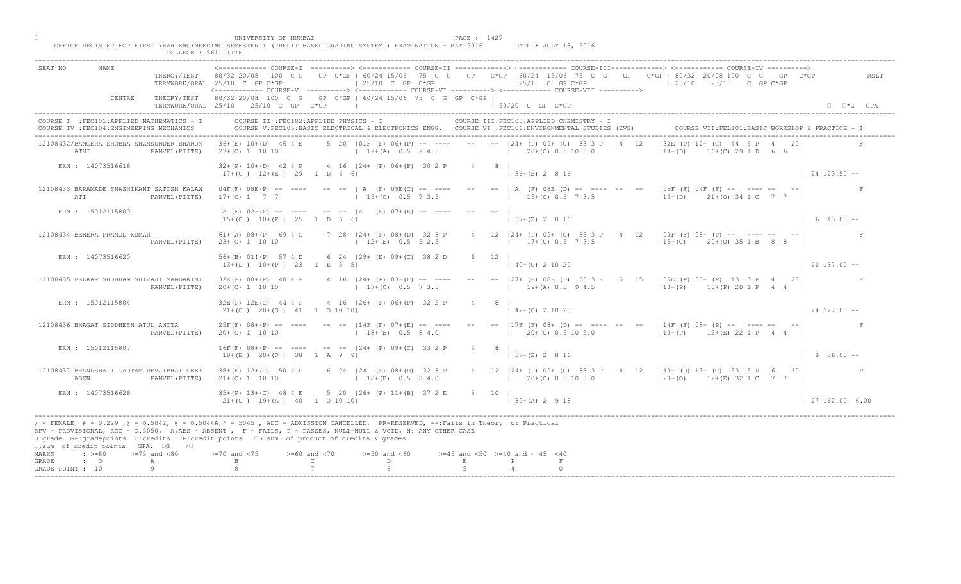|                                                                                     |                   | COLLEGE : 561 PIITE                                         | UNIVERSITY OF MUMBAI<br>OFFICE REGISTER FOR FIRST YEAR ENGINEERING SEMESTER I (CREDIT BASED GRADING SYSTEM ) EXAMINATION - MAY 2016                                                                                                                                                                                                                                                                                       |                                                     |                                                                                                             |                                          | PAGE : 1427 |                     |                           | DATE : JULY 13, 2016                      |      |                                 |                                                                                                                               |                                                                |  |
|-------------------------------------------------------------------------------------|-------------------|-------------------------------------------------------------|---------------------------------------------------------------------------------------------------------------------------------------------------------------------------------------------------------------------------------------------------------------------------------------------------------------------------------------------------------------------------------------------------------------------------|-----------------------------------------------------|-------------------------------------------------------------------------------------------------------------|------------------------------------------|-------------|---------------------|---------------------------|-------------------------------------------|------|---------------------------------|-------------------------------------------------------------------------------------------------------------------------------|----------------------------------------------------------------|--|
| SEAT NO                                                                             | <b>NAME</b>       |                                                             | <------------ COURSE-I ----------> <------------ COURSE-II -------------> <----------- COURSE-III-------------> <----------- COURSE-IV<br>THEROY/TEST 80/32 20/08 100 C G GP C*GP   60/24 15/06 75 C G GP C*GP   60/24 15/06 75 C G GP C*GP   80/32 20/08 100 C G GP C*GP<br>TERMWORK/ORAL 25/10 C GP C*GP<br><----------- COURSE-V ----------> <------------ COURSE-VI -----------> <------------ COURSE-VII ----------> |                                                     | $ 25/10 \tC$ GP $C*GP$                                                                                      |                                          |             |                     |                           | $125/10$ C GP C*GP                        |      |                                 | $125/10$ $25/10$ C GP C*GP                                                                                                    | RSLT                                                           |  |
|                                                                                     | CENTRE            |                                                             | THEORY/TEST 80/32 20/08 100 C G GP C*GP   60/24 15/06 75 C G GP C*GP  <br>TERMWORK/ORAL 25/10 25/10 C GP C*GP                                                                                                                                                                                                                                                                                                             |                                                     |                                                                                                             |                                          |             |                     | 1 50/20 C GP C*GP         |                                           |      |                                 |                                                                                                                               | $\Box$ $\Box$ *G GPA                                           |  |
| COURSE IV : FEC104: ENGINEERING MECHANICS                                           |                   | COURSE I : FEC101: APPLIED MATHEMATICS - I                  |                                                                                                                                                                                                                                                                                                                                                                                                                           | COURSE II : FEC102: APPLIED PHYSICS - I             | COURSE V:FEC105:BASIC ELECTRICAL & ELECTRONICS ENGG. COURSE VI :FEC106:ENVIRONMENTAL STUDIES (EVS)          |                                          |             |                     |                           | COURSE III: FEC103: APPLIED CHEMISTRY - I |      |                                 | COURSE VII: FEL101: BASIC WORKSHOP & PRACTICE -                                                                               |                                                                |  |
| ATHI                                                                                |                   | 12108432/BANGERA SHOBNA SHAMSUNDER BHANUM<br>PANVEL (PIITE) | $36+(E)$ 10+(D) 46 4 E<br>$23+(0)$ 1 10 10                                                                                                                                                                                                                                                                                                                                                                                |                                                     | 5 20   01F (F) 06+ (P) -- ---- -- -- --   24+ (P) 09+ (C) 33 3 P<br>$19+(A)$ 0.5 9 4.5 $120+(O)$ 0.5 10 5.0 |                                          |             |                     |                           |                                           | 4 12 | $ 32E(P) 12 + NC$<br>$ 13+(D) $ | $($ C) 29 1 D 6 6 I                                                                                                           |                                                                |  |
|                                                                                     | ERN : 14073516616 |                                                             | $32+(P)$ 10+(D) 42 4 P 4 16   24+ (P) 06+(P) 30 2 P 4 8  <br>$17+ (C)$ $12+ (E)$ 29 1 D 6 6                                                                                                                                                                                                                                                                                                                               |                                                     |                                                                                                             |                                          |             |                     | $(36 + (B) 2 8 16)$       |                                           |      |                                 |                                                                                                                               | $124123.50 - -$                                                |  |
| ATI                                                                                 |                   | 12108433 BARAMADE SHASHIKANT SATISH KALAW<br>PANVEL (PIITE) | $04F(F)$ $08E(P)$ -- ---- -- --   A (F) $09E(C)$ -- ---- -- --   A (F) $08E(D)$ -- --- --<br>$17+(C)$ 1 7 7 1 15+(C) 0.5 7 3.5                                                                                                                                                                                                                                                                                            |                                                     |                                                                                                             |                                          |             |                     |                           | $15+(C)$ 0.5 7 3.5                        |      |                                 | $105F^{\top}(F)$ 04F (F) -- ---- --<br>$13+(D)$ $21+(O)$ $34 1 C$ 7 7                                                         |                                                                |  |
| ERN : 15012115800                                                                   |                   |                                                             | A (F) 02F(F) -- ---- -- --  A (F) 07+(E) -- ----<br>$15+(C)$ $10+(P)$ $25$ 1 D 6 6                                                                                                                                                                                                                                                                                                                                        |                                                     |                                                                                                             |                                          |             |                     | $137+(B) 2816$            |                                           |      |                                 |                                                                                                                               | $\begin{array}{cccc} \mid & 6 & 43.00 & \text{--} \end{array}$ |  |
| 12108434 BEHERA PRAMOD KUMAR                                                        |                   | PANVEL (PIITE)                                              | $61+(A)$ $08+(P)$ $69 4 C$ 7 28 $ 24+(P)$ $08+(D)$ 32 3 P<br>$23+(0)$ 1 10 10                                                                                                                                                                                                                                                                                                                                             |                                                     | $12+(E)$ 0.5 5 2.5                                                                                          |                                          |             |                     | 4 12 $ 24 + (P) 09 + (C)$ | $17\pm (C)$ 0.5 7 3.5                     |      |                                 | $4 \t12 \t 00F(F) 08 + (P) \t--- \t--- \t--- \t---$<br>$115+(C)$ 20+(0) 35 1 B 8 8                                            |                                                                |  |
| ERN : 14073516620                                                                   |                   |                                                             | 56+(B) 01!(P) 57 4 D 6 24   29+ (E) 09+(C) 38 2 D<br>$13+(D)$ $10+(P)$ 23 1 E 5 5                                                                                                                                                                                                                                                                                                                                         |                                                     |                                                                                                             |                                          | 6 12        |                     | $40+(0)$ 2 10 20          |                                           |      |                                 |                                                                                                                               | $\vert$ 22 137.00 --                                           |  |
|                                                                                     |                   | 12108435 BELKAR SHUBHAM SHIVAJI MANDAKINI<br>PANVEL (PIITE) | $32E(P)$ $08+(P)$ 40 4 P<br>$20+(0)$ 1 10 10                                                                                                                                                                                                                                                                                                                                                                              |                                                     | 4 16 $ 24 + (P) 03F(F)$ -- ----<br>$17+(C)$ 0.5 7 3.5                                                       |                                          |             |                     |                           |                                           |      |                                 | 27+ (E) 08E (D) 35 3 E 5 15   35E (P) 08+ (P) 43 5 P 4 20 <br>$19+(A)$ 0.5 9 4.5 $ 10+(P)$ 10+ (P) 20 1 P 4 4                 |                                                                |  |
| ERN : 15012115804                                                                   |                   |                                                             | 32E(P) 12E(C) 44 4 P<br>$21+(0)$ $20+(0)$ $41$ 1 0 10 10                                                                                                                                                                                                                                                                                                                                                                  |                                                     | 4 16 $ 26 + (P) 06 + (P) 32 2$                                                                              |                                          |             |                     | $142+(0)21020$            |                                           |      |                                 |                                                                                                                               | $\vert$ 24 127.00 --                                           |  |
| 12108436 BHAGAT SIDDHESH ATUL ANITA                                                 |                   | PANVEL (PIITE)                                              | $25F(F)$ 08+(P) -- ----<br>$20+(0)$ 1 10 10                                                                                                                                                                                                                                                                                                                                                                               |                                                     | $--- 14F (F) 07$<br>$18 + (B)$                                                                              |                                          |             |                     |                           |                                           |      |                                 | -- -- $ 17F(F) 08+ (D)$ -- --- -- -- $ 14F(F) 08+ (P)$ -- ---- -- -- <br>$(10 + (P) 12 + (E) 21 P 4 4$                        |                                                                |  |
| ERN : 15012115807                                                                   |                   |                                                             | $16F(F)$ $08+(P)$ -- ----<br>$18+(B)$ $20+(O)$ 38 1 A                                                                                                                                                                                                                                                                                                                                                                     |                                                     | $--- 24+ (P) 09+ (C) 33 2 P$                                                                                |                                          |             | $4 \qquad 8 \qquad$ | $(37 + (B) 2 8 16)$       |                                           |      |                                 |                                                                                                                               | $\vert$ 8 56.00 --                                             |  |
| ABEN                                                                                |                   | 12108437 BHANUSHALI GAUTAM DEVJIBHAI GEET<br>PANVEL (PIITE) | $38 + (E)$ 12+(C) 50 4 D<br>$21+ (0) 1 10 10$                                                                                                                                                                                                                                                                                                                                                                             |                                                     | $P(P)$ 08+(D) 32 3 P<br>$18+(B)$ 0.5 8 4.0                                                                  |                                          |             |                     |                           |                                           |      |                                 | 4 12   24 + (P) 09 + (C) 33 3 P + 4 12   40 + (D) 13 + (C) 53 5 D 6 30  <br>$(20+(0) 0.5 10 5.0$ $(20+(0) 12+(E) 32 1 C 7 7)$ |                                                                |  |
| ERN : 14073516626                                                                   |                   |                                                             | $35+(P)$ 13+(C) 48 4 E<br>$21+(0)$ 19+(A) 40 1 0 10 10                                                                                                                                                                                                                                                                                                                                                                    |                                                     | $5$ 20 $ 26 + (P) 11 + (B) 37 2 E$                                                                          |                                          |             | 5 10                | $139+(A) 2918$            |                                           |      |                                 |                                                                                                                               | 127162.006.00                                                  |  |
| □:sum of credit points GPA: □G /□                                                   |                   |                                                             | / - FEMALE, # - 0.229, @ - 0.5042, @ - 0.5044A,* - 5045, ADC - ADMISSION CANCELLED, RR-RESERVED, --:Fails in Theory or Practical<br>RPV - PROVISIONAL, RCC - 0.5050, A, ABS - ABSENT A P - FAILS, P - PASSES, NULL-NULL & VOID, N: ANY OTHER CASE<br>G:grade GP:gradepoints C:credits CP:credit points 6:sum of product of credits & grades                                                                               |                                                     |                                                                                                             |                                          |             |                     |                           |                                           |      |                                 |                                                                                                                               |                                                                |  |
| $\cdot \cdot \cdot = 80$<br>MARKS<br>$\cdot$ $\cdot$ 0<br>GRADE<br>GRADE POINT : 10 |                   | $>=75$ and $<80$<br>A                                       | $>= 70$ and $< 75$                                                                                                                                                                                                                                                                                                                                                                                                        | $>= 60$ and $< 70$<br>$\mathbb{C}$ and $\mathbb{C}$ | $>=50$ and $<60$<br>D                                                                                       | $>=45$ and $<50$ $>=40$ and $< 45$ $<40$ | E           |                     |                           |                                           |      |                                 |                                                                                                                               |                                                                |  |
|                                                                                     |                   |                                                             |                                                                                                                                                                                                                                                                                                                                                                                                                           |                                                     |                                                                                                             |                                          |             |                     |                           |                                           |      |                                 |                                                                                                                               |                                                                |  |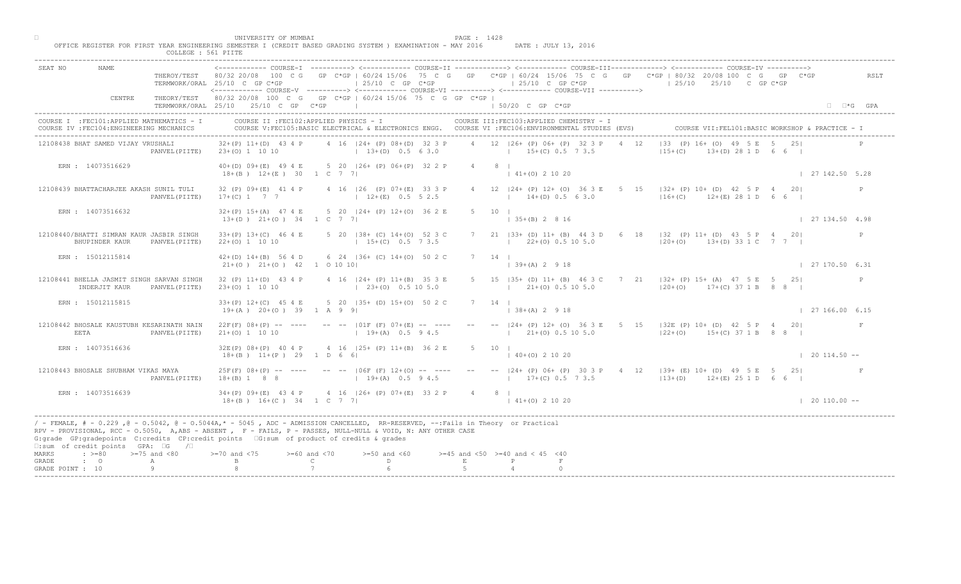| SEAT NO<br>NAME.                                                                        |                                               | TERMWORK/ORAL 25/10 C GP C*GP                                                                                                                                                                                                                                                                                                               |                                     | $125/10$ C GP C*GP                                       |             | $125/10$ C GP C*GP<br><------------- COURSE-V ----------> <------------ COURSE-VI ----------> <------------ COURSE-VII ---------->              |    | COURSE-T ----------> <------------ COURSE-TT ------------> <------------ COURSE-TTT-------------> <------------ COURSE-TV ----------><br>THEROY/TEST 80/32 20/08 100 C G GP C*GP   60/24 15/06 75 C G GP C*GP   60/24 15/06 75 C G GP C*GP   80/32 20/08 100 C G GP C*GP<br>$125/10$ $25/10$ C GP C*GP |     | RSLT                 |
|-----------------------------------------------------------------------------------------|-----------------------------------------------|---------------------------------------------------------------------------------------------------------------------------------------------------------------------------------------------------------------------------------------------------------------------------------------------------------------------------------------------|-------------------------------------|----------------------------------------------------------|-------------|-------------------------------------------------------------------------------------------------------------------------------------------------|----|--------------------------------------------------------------------------------------------------------------------------------------------------------------------------------------------------------------------------------------------------------------------------------------------------------|-----|----------------------|
| CENTRE                                                                                  |                                               | THEORY/TEST 80/32 20/08 100 C G GP C*GP   60/24 15/06 75 C G GP C*GP  <br>TERMWORK/ORAL 25/10 25/10 C GP C*GP                                                                                                                                                                                                                               |                                     |                                                          |             | $150/20$ C GP C*GP                                                                                                                              |    |                                                                                                                                                                                                                                                                                                        |     | $\Box$ $\Box$ *G GPA |
| COURSE I : FEC101: APPLIED MATHEMATICS - I<br>COURSE IV : FEC104: ENGINEERING MECHANICS |                                               | COURSE II : FEC102: APPLIED PHYSICS - I                                                                                                                                                                                                                                                                                                     |                                     |                                                          |             | COURSE III: FEC103: APPLIED CHEMISTRY - I<br>COURSE V:FEC105:BASIC ELECTRICAL & ELECTRONICS ENGG. COURSE VI :FEC106:ENVIRONMENTAL STUDIES (EVS) |    | COURSE VII: FEL101: BASIC WORKSHOP & PRACTICE                                                                                                                                                                                                                                                          |     |                      |
| 12108438 BHAT SAMED VIJAY VRUSHALI                                                      |                                               | $32+(P)$ 11+(D) 43 4 P<br>PANVEL (PIITE) 23+(0) 1 10 10                                                                                                                                                                                                                                                                                     |                                     | 4 16 124 + (P) 08 + (D) 32 3 P<br>$13+(D)$ 0.5 6 3.0     |             | 4 12 126+ (P) 06+ (P) 32 3 P<br>$15+(C)$ 0.5 7 3.5                                                                                              | 12 | $133 (P) 16 + 101$<br>$ 15+(C) $<br>$(D)$ 28 1 D 6 6 I                                                                                                                                                                                                                                                 |     |                      |
| ERN : 14073516629                                                                       |                                               | 40+(D) 09+(E) 49 4 E 5 20   26+ (P) 06+ (P) 32 2 P<br>$18+(B)$ $12+(E)$ 30 1 C 7 7                                                                                                                                                                                                                                                          |                                     |                                                          |             | $4 \qquad 8 \qquad$<br>$141+(0)21020$                                                                                                           |    |                                                                                                                                                                                                                                                                                                        |     | 127142.505.28        |
| 12108439 BHATTACHARJEE AKASH SUNIL TULI                                                 | PANVEL (PIITE)                                | 32 (P) 09+(E) 41 4 P<br>$17+(C)$ 1 7 7                                                                                                                                                                                                                                                                                                      |                                     | 4 16   26 (P) 07+ (E) 33 3 P<br>$12+(E)$ 0.5 5 2.5       |             | 4 12   24 + (P) 12 + (O) 36 3 E 5<br>$14+(D)$ 0.5 6 3.0                                                                                         |    | $15$ $ 32+$ (P) 10+ (D) 42 5 P 4<br>$126+(C)$ $12+(E)$ 28 1 D                                                                                                                                                                                                                                          | 201 | P                    |
| ERN : 14073516632                                                                       |                                               | $32+(P)$ 15+(A) 47 4 E<br>$13+(D)$ $21+(O)$ $34$ 1 C 7 7                                                                                                                                                                                                                                                                                    |                                     | 5 20   24 + (P) 12 + (0) 36 2 E                          |             | $5 \t10 \t1$<br>$135+(B) 2816$                                                                                                                  |    |                                                                                                                                                                                                                                                                                                        |     | 127134.504.98        |
| 12108440/BHATTI SIMRAN KAUR JASBIR SINGH<br>BHUPINDER KAUR                              | PANVEL (PIITE)                                | $33+(P)$ 13+(C) 46 4 E<br>$22+(0)$ 1 10 10                                                                                                                                                                                                                                                                                                  |                                     | 5 20   38 + (C) 14 + (0) 52 3 C<br>$15+(C)$ 0.5 7 3.5    |             | 21 $ 33 + (D) 11 + (B) 44 3$<br>$22+(0)$ 0.5 10 5.0                                                                                             |    | $6$ 18   32 (P) 11 + (D) 43 5 P 4 20 <br>$ 20+(0)$ 13+(D) 33 1 C 7 7                                                                                                                                                                                                                                   |     | P                    |
| ERN : 15012115814                                                                       |                                               | $42+(D)$ $14+(B)$ 56 4 D<br>$21+(0)$ $21+(0)$ $42$ 1 0 10 10                                                                                                                                                                                                                                                                                |                                     | 6 24   36+ (C) 14+(0) 50 2 C                             |             | 14<br>12 9 18                                                                                                                                   |    |                                                                                                                                                                                                                                                                                                        |     | 127170.506.31        |
| 12108441 BHELLA JASMIT SINGH SARVAN SINGH<br>INDERJIT KAUR                              | PANVEL (PIITE)                                | 32 (P) 11+(D) 43 4 P<br>$23+(0)$ 1 10 10                                                                                                                                                                                                                                                                                                    |                                     | 4 16   24 + (P) 11 + (B) 35 3 E<br>$(23+(0) 0.5 10 5.0)$ |             | $21+ (0)$ 0.5 10 5.0                                                                                                                            |    | B5+ (D) 11+ (B) 46 3 C 7 21   32+ (P) 15+ (A) 47 5 E 5 25 <br>$120+(0)$ 17+(C) 37 1 B 8 8                                                                                                                                                                                                              |     | P                    |
| ERN : 15012115815                                                                       |                                               | $33+(P)$ 12+(C) 45 4 E<br>$19+(A)$ $20+(O)$ 39 1 A 9 9                                                                                                                                                                                                                                                                                      |                                     | 5 20 135+ (D) 15+(0) 50 2 C                              |             | $  38 + (A) 2 9 18$                                                                                                                             |    |                                                                                                                                                                                                                                                                                                        |     | 127166.006.15        |
| 12108442 BHOSALE KAUSTUBH KESARINATH NAIN<br>EETA                                       | PANVEL (PIITE)                                | $22F(F)$ 08+(P) -- ----<br>$21+(0)$ 1 10 10                                                                                                                                                                                                                                                                                                 |                                     | $ 01F$ (F) $07+(E)$<br>$1 + 19 + (A)$                    |             | $121+(0)0.5105.0$                                                                                                                               |    | $-  24 + (P) 12 + (O) 36 3 E 5 15  32 E (P) 10 + (D) 42 5 P 4 20 $<br>$122+(0)$ 15+(C) 37 1 B 8 8 1                                                                                                                                                                                                    |     |                      |
| ERN : 14073516636                                                                       |                                               | $32E(P)$ $08+(P)$ 40 4 P<br>$18+(B)$ $11+(P)$ 29 1 D 6                                                                                                                                                                                                                                                                                      |                                     | $4 \t16 \t125 + \t(B) \t1 + \t(B)$<br>36 2 E             |             | $5 \qquad 10 \qquad$<br>$140+(0)21020$                                                                                                          |    |                                                                                                                                                                                                                                                                                                        |     | $\vert$ 20 114.50 -- |
| 12108443 BHOSALE SHUBHAM VIKAS MAYA                                                     | PANVEL (PIITE)                                | $25F(F)$ 08+(P) -- ----<br>$18+(B)$ 1 8 8                                                                                                                                                                                                                                                                                                   |                                     | $19+(A)$ 0.5 9 4.5                                       |             |                                                                                                                                                 |    | [06F (F) 12+(0) -- ---- -- --  24+ (P) 06+ (P) 30 3 P 4 12  39+ (E) 10+ (D) 49 5 E 5 25 <br>$12+(E)$ $251D$ 6 6 1                                                                                                                                                                                      |     |                      |
| ERN : 14073516639                                                                       |                                               | $34+(P)$ 09+(E) 43 4 P<br>$18+(B)$ $16+(C)$ $34$ $1 C$ 7 7                                                                                                                                                                                                                                                                                  |                                     | $4 \cdot 16$ $ 26 + (P) 07 + (E) 33 2 P$                 |             | 4 8 1<br>$141+(0)21020$                                                                                                                         |    |                                                                                                                                                                                                                                                                                                        |     | $\vert$ 20 110.00 -- |
| $\square$ : sum of credit points GPA: $\square$ G / $\square$                           |                                               | / - FEMALE, # - 0.229, @ - 0.5042, @ - 0.5044A,* - 0045, ADC - ADMISSION CANCELLED, RR-RESERVED, --:Fails in Theory or Practical<br>RPV - PROVISIONAL, RCC - 0.5050, A, ABS - ABSENT, PP - FAILS, P - PASSES, NULL-NULL & VOID, N: ANY OTHER CASE<br>G:grade GP:gradepoints C:credits CP:credit points G:sum of product of credits & grades |                                     |                                                          |             |                                                                                                                                                 |    |                                                                                                                                                                                                                                                                                                        |     |                      |
| MARKS<br>GRADE<br>$\cdot$ $\cdot$ 0<br>GRADE POINT : 10                                 | $\Rightarrow$ $>=80$ $>=75$ and <80<br>A<br>Q | $> = 70$ and $< 75$                                                                                                                                                                                                                                                                                                                         | $>= 60$ and $< 70$<br>$\mathcal{C}$ | $>=50$ and $<60$<br>D                                    | $\mathbf E$ | $>=45$ and $<50$ $>=40$ and $< 45$ $<40$                                                                                                        |    |                                                                                                                                                                                                                                                                                                        |     |                      |

□ PAGE : 1428<br>OFFICE REGISTER FOR FIRST YEAR ENGINEERING SEMESTER I (CREDIT BASED GRADING SYSTEM ) EXAMINATION - MAY 2016 DATE : JULY 13, 2016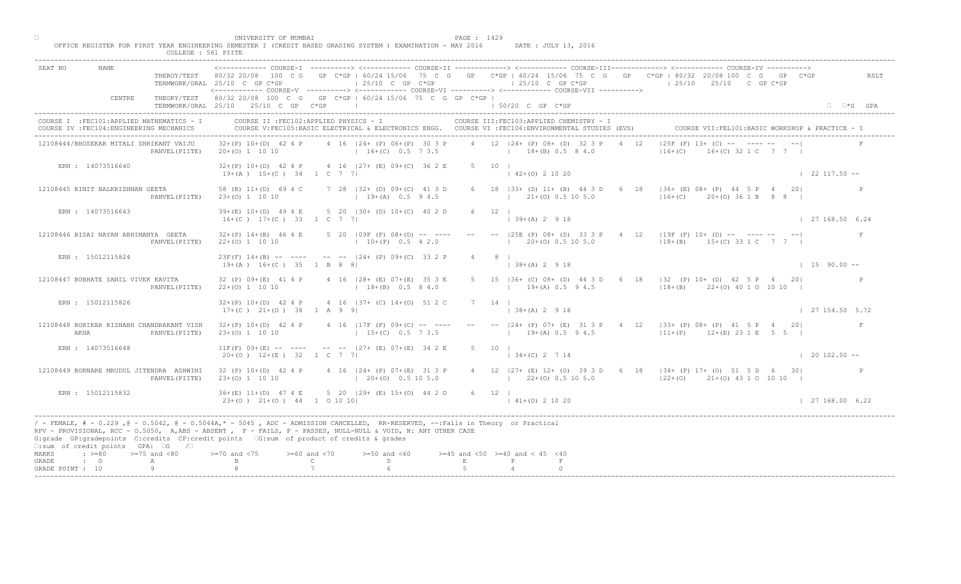|                                                                                                   | UNIVERSITY OF MUMBAI<br>PAGE : 1429<br>OFFICE REGISTER FOR FIRST YEAR ENGINEERING SEMESTER I (CREDIT BASED GRADING SYSTEM ) EXAMINATION - MAY 2016<br>DATE : JULY 13, 2016<br>COLLEGE : 561 PIITE                                                                                                                                                           |                      |
|---------------------------------------------------------------------------------------------------|-------------------------------------------------------------------------------------------------------------------------------------------------------------------------------------------------------------------------------------------------------------------------------------------------------------------------------------------------------------|----------------------|
| <b>NAME</b><br>SEAT NO                                                                            | THEROY/TEST 80/32 20/08 100 C G GP C*GP   60/24 15/06 75 C G GP C*GP   60/24 15/06 75 C G GP C*GP   80/32 20/08 100 C G GP C*GP<br>$125/10$ C GP C*GP<br>$125/10$ C GP C*GP<br>$125/10$ $25/10$ C GP C*GP<br>TERMWORK/ORAL 25/10 C GP C*GP<br><------------ COURSE-V ----------> <------------ COURSE-VI -----------> <------------ COURSE-VII -----------> | RSLT                 |
| CENTRE                                                                                            | THEORY/TEST 80/32 20/08 100 C G GP C*GP   60/24 15/06 75 C G GP C*GP  <br>TERMWORK/ORAL 25/10 25/10 C GP C*GP<br>the control of the control of the control of<br>1 50/20 C GP C*GP                                                                                                                                                                          | $\Box$ $\Box$ *G GPA |
| COURSE I : FEC101: APPLIED MATHEMATICS - I<br>COURSE IV : FEC104: ENGINEERING MECHANICS           | COURSE II : FEC102: APPLIED PHYSICS - I<br>COURSE III: FEC103: APPLIED CHEMISTRY - I<br>COURSE VII: FEL101: BASIC WORKSHOP & PRACTICE - :<br>COURSE V:FEC105:BASIC ELECTRICAL & ELECTRONICS ENGG. COURSE VI :FEC106:ENVIRONMENTAL STUDIES (EVS)                                                                                                             |                      |
| 12108444/BHOSEKAR MITALI SHRIKANT VAIJU                                                           | $ 25F(F) 13+$ (C) $-$   $\sum_{r=1}^{n}$ --<br>4 12   24 + (P) 08 + (D) 32 3 P<br>4 16 124 + (P) 06 + (P) 30 3 P<br>4 12<br>$32+(P)$ 10+(D) 42 4 P<br>$16+(C)$ 32 1 C 7 7 1<br>$16+(C)$ 0.5 7 3.5<br>$18+(B) 0.5 8 4.0$<br>$16+(C)$<br>20+(0) 1 10 10<br>PANVEL (PIITE)                                                                                     |                      |
| ERN : 14073516640                                                                                 | 5 10 1<br>$32+(P)$ 10+(D) 42 4 P 4 16   27+ (E) 09+(C) 36 2 E<br>$142+(0)21020$<br>$19+(A)$ $15+(C)$ 34 1 C 7 7                                                                                                                                                                                                                                             | $\vert$ 22 117.50 -- |
| 12108445 BINIT BALKRISHNAN GEETA                                                                  | 6 18   33+ (D) 11+ (B) 44 3 D 6<br>18   36+ (E) 08+ (P) 44 5 P 4 20 <br>7 28   32 + (D) 09 + (C) 41 3 D<br>58 (B) 11+(D) 69 4 C<br>$ 16+(C)$ $20+(O)$ 36   1   B   8   8<br>$19+(A)$ 0.5 9 4.5<br>$(21 + (0) 0.5 10 5.0)$<br>PANVEL (PIITE)<br>$23+(0)$ 1 10 10                                                                                             |                      |
| ERN : 14073516643                                                                                 | $6 \t 12 \t 1$<br>39+(E) 10+(D) 49 4 E 5 20   30+ (D) 10+(C) 40 2 D<br>$139+(A) 2918$<br>$16+(C)$ $17+(C)$ 33 1 C 7 7                                                                                                                                                                                                                                       | 127168.506.24        |
| 12108446 BISAI NAYAN ABHIMANYA GEETA                                                              | $32+(P)$ 14+(B) 46 4 E 5 20   09F (F) 08+(D) -- ----<br>$--$ (25E (P) 08+ (D) 33 3<br>$4$ 12   19F (F) 10+ (D) -- ---- -- -- <br>$1\ 20\pm(0)\ 0.5\ 10\ 5.0$<br>$10+(P)$ 0.5 4 2.0<br>$18+(B)$ $15+(C)$ 33 1 C 7 7  <br>$22+(0)$ 1 10 10<br>PANVEL (PIITE)                                                                                                  |                      |
| ERN : 15012115824                                                                                 | $23F(F)$ 14+(B) -- ---- -- --  24+ (P) 09+(C) 33 2 P<br>$38+(A)$ 2 9 18<br>$19+(A)$ $16+(C)$ 35 1 B 8 8                                                                                                                                                                                                                                                     | $1590.00 -$          |
| 12108447 BOBHATE SANIL VIVEK KAVITA                                                               | 186+ (C) 08+ (D) 44 3 D 6 18   32 (P) 10+ (D) 42 5 P 4 20 <br>32 (P) 09+(E) 41 4 P<br>4 16   28 + (E) 07 + (E) 35 3 E<br>$18+(B)$ 0.5 8 4.0<br>$19+(A)$ 0.5 9 4.5 $18+(B)$ 22+(0) 40 1 0 10 10  <br>$22+(0)$ 1 10 10<br>PANVEL (PIITE)                                                                                                                      |                      |
| ERN : 15012115826                                                                                 | 4 16 (37+ (C) 14+(0) 51 2<br>$32+(P)$ 10+(D) 42 4 P<br>$17+(C)$ $21+(O)$ 38 1 A 9 9<br>$ 38+(A) 2 9 18$                                                                                                                                                                                                                                                     | 127154.505.72        |
| 12108448 BORIKAR RISHABH CHANDRAKANT VISH<br>AKHA                                                 | -- -- $ 24 + (P) 07 + (E) 31 3 P 4 12  33 + (P) 08 + (P) 41 5 P 4 20 $<br>$32+(P)$ 10+(D) 42 4 P<br>4 16   17F (F) 09+ (C<br>$15+(C)$<br>$19+(A)$ 0.5 9 4.5<br>$11+(P)$ $12+(E)$ 23 1 E 5 5  <br>PANVEL (PIITE)<br>$23+(0)$ 1 10 10                                                                                                                         | F                    |
| ERN : 14073516648                                                                                 | $--- 127+ (B) 07+ (E) 34 2 E$<br>$11F(F)$ 09+(E) -- ----<br>5 10 1<br>$20+(0)$ 12+(E) 32<br>$134+(C)$ 2 7 14<br>$1\,c$                                                                                                                                                                                                                                      | $\vert$ 20 102.00 -- |
| 12108449 BORNARE MRUDUL JITENDRA ASHWINI                                                          | 32 (P) 10+(D) 42 4 P<br>$16 \t - 24 +$<br>$(P)$ 07+(E) 31 3 P<br>4 12   27 + (E) 12 + (O) 39 3 D 6 18   34 + (P) 17 + (O) 51 5 D 6 30  <br>$20+(0)$ 0.5 10 5.0<br>$23+(0)$ 1 10 10<br>$1 \t22+(0) \t0.5 \t10 \t5.0$<br>$(22+(0)$ $21+(0)$ 43 1 0 10 10<br>PANVEL (PIITE)                                                                                    |                      |
| ERN : 15012115832                                                                                 | $36+(E)$ 11+(D) 47 4 E<br>$5$ 20 $ 29+$ (E) $15+(0)$ 44 2 D<br>6 12  <br>$23+(0)$ $21+(0)$ $44$ 1 0 10 10<br>$141+(0)21020$                                                                                                                                                                                                                                 | 127168.006.22        |
| $\square$ :sum of credit points GPA: $\square$ G / $\square$                                      | / - FEMALE, # - 0.229, @ - 0.5042, @ - 0.5044A,* - 5045, ADC - ADMISSION CANCELLED, RR-RESERVED, --:Fails in Theory or Practical<br>RPV - PROVISIONAL, RCC - 0.5050, A, ABS - ABSENT A P - FAILS, P - PASSES, NULL-NULL & VOID, N: ANY OTHER CASE<br>G:grade GP:gradepoints C:credits CP:credit points [6:sum of product of credits & grades                |                      |
| MARKS<br>$: >=80$<br>$>=75$ and $<80$<br>$\cdot$ $\cdot$ 0<br>GRADE<br>A<br>9<br>GRADE POINT : 10 | $0$ and $\langle 75$<br>$>= 60$ and $< 70$<br>$>=50$ and $<60$<br>$>=45$ and $<50$ $>=40$ and $< 45$ $<40$<br>$\mathbb C$<br>$\mathbb{D}$ and $\mathbb{D}$<br>E<br>P                                                                                                                                                                                        |                      |
|                                                                                                   |                                                                                                                                                                                                                                                                                                                                                             |                      |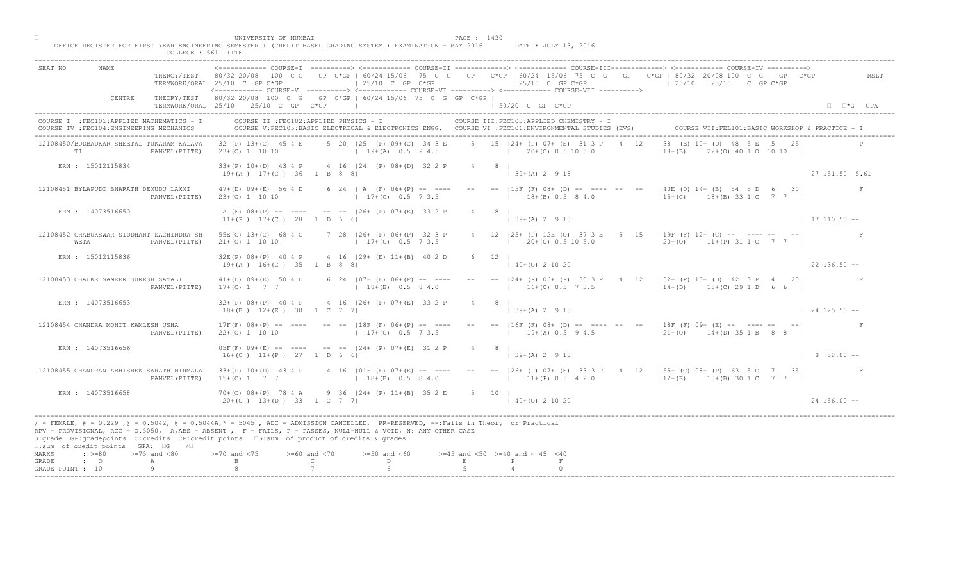| 'JN T<br>' <i>T</i> ED C                                                       | PACF                                                                                                                                                                                                                                                                              |
|--------------------------------------------------------------------------------|-----------------------------------------------------------------------------------------------------------------------------------------------------------------------------------------------------------------------------------------------------------------------------------|
| ( (CREDIT BASED GRADING SYSTEM<br>YEAR ENGINEERING SEMESTER 1<br>TOR .<br>TDCT | MAV<br>2016<br>T∩NT.<br>DATE.<br><b>TYAMTNA</b><br>and the contract of the contract of the contract of the contract of the contract of the contract of the contract of the contract of the contract of the contract of the contract of the contract of the contract of the contra |
| סים ז<br>56                                                                    |                                                                                                                                                                                                                                                                                   |

| SEAT NO                            | NAME                                                                                  | THEROY/TEST            | TERMWORK/ORAL 25/10 C GP C*GP                                                                                                                                                                                                                                                                                                              |                                    | $\pm 25/10$ C GP C*GP                                |                |          | $125/10$ C GP C*GP<br><------------ COURSE-V ----------> <------------ COURSE-VI -----------> <------------ COURSE-VII -----------> |      | ----------> <------------ COURSE-II ------------> <------------ COURSE-III-------------> <----------- COURSE-IV ----------><br>80/32 20/08 100 C G GP C*GP   60/24 15/06 75 C G GP C*GP   60/24 15/06 75 C G GP C*GP   80/32 20/08 100 C G GP C*GP<br>$125/10$ $25/10$ C GP C*GP |                     | RSLT                 |
|------------------------------------|---------------------------------------------------------------------------------------|------------------------|--------------------------------------------------------------------------------------------------------------------------------------------------------------------------------------------------------------------------------------------------------------------------------------------------------------------------------------------|------------------------------------|------------------------------------------------------|----------------|----------|-------------------------------------------------------------------------------------------------------------------------------------|------|----------------------------------------------------------------------------------------------------------------------------------------------------------------------------------------------------------------------------------------------------------------------------------|---------------------|----------------------|
|                                    | CENTRE                                                                                |                        | THEORY/TEST 80/32 20/08 100 C G GP C*GP   60/24 15/06 75 C G GP C*GP  <br>TERMWORK/ORAL 25/10 25/10 C GP C*GP                                                                                                                                                                                                                              | <b>Contract Contract</b>           |                                                      |                |          | $150/20$ C GP $C*GP$                                                                                                                |      |                                                                                                                                                                                                                                                                                  |                     | $\Box$ $\Box$ *G GPA |
|                                    | :OURSE I :FEC101:APPLIED MATHEMATICS - I<br>COURSE IV : FEC104: ENGINEERING MECHANICS |                        | COURSE II : FEC102: APPLIED PHYSICS - I<br>COURSE V:FEC105:BASIC ELECTRICAL & ELECTRONICS ENGG.                                                                                                                                                                                                                                            |                                    |                                                      |                |          | COURSE III:FEC103:APPLIED CHEMISTRY - I<br>COURSE VI : FEC106: ENVIRONMENTAL STUDIES (EVS)                                          |      | COURSE VII: FEL101: BASIC WORKSHOP & PRACTICE - I                                                                                                                                                                                                                                |                     |                      |
| TI                                 | 2108450/BUDBADKAR SHEETAL TUKARAM KALAVA                                              | PANVEL (PIITE)         | 32 (P) 13+(C) 45 4 E<br>$23+(0)$ 1 10 10                                                                                                                                                                                                                                                                                                   |                                    | 5 20   25 (P) 09+ (C) 34 3 E<br>$19+(A)$ 0.5 9 4.5   |                |          | 5 15 124 + (P) 07 + (E) 31 3 P<br>$(20 + (0) 0.5 10 5.0)$                                                                           |      | $(E)$ 10+ $LD$<br>1.38<br>$ 18+(B) $<br>$22+(0)$ 40 1 0 10 10                                                                                                                                                                                                                    |                     |                      |
|                                    | ERN : 15012115834                                                                     |                        | 33+(P) 10+(D) 43 4 P 4 16   24 (P) 08+(D) 32 2 P<br>$19+(A)$ $17+(C)$ 36 1 B 8 8                                                                                                                                                                                                                                                           |                                    |                                                      | $4 \t 8 \t 1$  |          | $139+(A)2918$                                                                                                                       |      |                                                                                                                                                                                                                                                                                  | 127151.505.61       |                      |
|                                    | 12108451 BYLAPUDI BHARATH DEMUDU LAXMI                                                | PANVEL (PIITE)         | $47+ (D) 09+ (E) 56 4 D$<br>$23+(0)$ 1 10 10                                                                                                                                                                                                                                                                                               |                                    | 6 24   A (F) $06+(P)$ -- ---<br>$17+(C)$ 0.5 7 3.5   |                |          | $-- --  15F(F) 08+ (D) -- -- ---$<br>$18+(B)$ 0.5 8 4.0                                                                             |      | $140E(D)$ 14+ (B) 54 5 D 6 30<br>$15+(C)$<br>18+(B) 33 1 C                                                                                                                                                                                                                       |                     | F                    |
|                                    | ERN : 14073516650                                                                     |                        | A (F) 08+(P) -- ---- -- --  26+ (P) 07+(E) 33 2 P<br>$11+(P)$ $17+(C)$ 28 1 D 6 6                                                                                                                                                                                                                                                          |                                    |                                                      |                |          | $\vert$ 39+(A) 2 9 18                                                                                                               |      |                                                                                                                                                                                                                                                                                  | $17110.50 -$        |                      |
| WETA                               | 12108452 CHABUKSWAR SIDDHANT SACHINDRA SH                                             | PANVEL (PIITE)         | 55E(C) 13+(C) 68 4 C<br>$21+(0)$ 1 10 10                                                                                                                                                                                                                                                                                                   |                                    | 7 28   26+ (P) 06+ (P) 32 3 P<br>$17+(C)$ 0.5 7 3.5  |                |          | 12 125+ (P) 12E (O)<br>$20+(0)$ 0.5 10 5.0                                                                                          | 5 15 | $119F$ (F) $12+$ (C) -- ---- -- -- <br>$120 + (0)$<br>$11+(P)$ 31 1 C 7 7                                                                                                                                                                                                        |                     |                      |
|                                    | ERN : 15012115836                                                                     |                        | $32E(P)$ $08+(P)$ 40 4 P<br>$19+(A)$ $16+(C)$ 35 1 B 8 8                                                                                                                                                                                                                                                                                   |                                    | 4 16 (29+ (E) 11+(B) 40 2 D                          |                | 12       | $40+(0)$ 2 10 20                                                                                                                    |      |                                                                                                                                                                                                                                                                                  | $122136.50 - -$     |                      |
|                                    | 12108453 CHALKE SAMEER SURESH SAYALI                                                  | PANVEL (PIITE)         | $41+(D)$ 09+(E) 50 4 D<br>$17+(C)$ 1 7 7                                                                                                                                                                                                                                                                                                   |                                    | 6 24   07F (F) 06+ (P) -- ----<br>$18+(B)$ 0.5 8 4.0 |                |          | $16+(C)$ 0.5 7 3.5                                                                                                                  |      | 24+ (P) 06+ (P) 30 3 P 4 12   32+ (P) 10+ (D) 42 5 P 4<br>$14+(D)$<br>$15+(C)$ 29 1 D 6 6                                                                                                                                                                                        | 2.01                |                      |
|                                    | ERN : 14073516653                                                                     |                        | $32+(P)$ 08+(P) 40 4 P<br>$18+(B)$ $12+(E)$ 30 1 C 7 7                                                                                                                                                                                                                                                                                     |                                    | 4 16   26+ (P) 07+ (E) 33 2                          |                |          | $\vert$ 39+(A) 2 9 18                                                                                                               |      |                                                                                                                                                                                                                                                                                  | $124125.50 -$       |                      |
|                                    | 12108454 CHANDRA MOHIT KAMLESH USHA                                                   | PANVEL (PIITE)         | $17F(F) 08+(P)$<br>$22+(0)$ 1 10 10                                                                                                                                                                                                                                                                                                        |                                    | $ 18F(F) $ 0<br>$17 + (C)$                           |                |          | $19+(A) 0.5 94.5$                                                                                                                   |      | -- $ 16F (F) 08+ (D)$ -- --- -- -- -18F (F) 09+ (E) -- --- --<br>$121+(0)$ $14+(D)$ 35 1 B 8 8                                                                                                                                                                                   |                     |                      |
|                                    | ERN : 14073516656                                                                     |                        | $05F(F) 09+(E)$ -- ---<br>$16+(C)$ $11+(P)$ 27                                                                                                                                                                                                                                                                                             | 1 D                                | $24 + (P) 0 + (E) 31 2 P$                            | $\overline{4}$ | $8 \mid$ | $\vert$ 39+(A) 2 9 18                                                                                                               |      |                                                                                                                                                                                                                                                                                  | $1 \t 8 \t 58.00 -$ |                      |
|                                    | 12108455 CHANDRAN ABHISHEK SARATH NIRMALA                                             | PANVEL (PIITE)         | $33+(P)$ 10+(D) 43 4 P<br>$15+(C)$ 1 7 7                                                                                                                                                                                                                                                                                                   |                                    | $4$ 16 (01F (F) 07+(E) -- ---<br>$18+(B)$ 0.5 8 4.0  |                |          | $11+(P)$ 0.5 4 2.0                                                                                                                  |      | $--$  26+ (P) 07+ (E) 33 3 P 4 12  55+ (C) 08+ (P) 63 5 C 7 35<br>$12+(E)$<br>18+(B) 30 1 C 7 7 1                                                                                                                                                                                |                     |                      |
|                                    | ERN : 14073516658                                                                     |                        | $70+(0)$ $08+(P)$ 78 4<br>$20+(0)$ 13+(D) 33                                                                                                                                                                                                                                                                                               | $1 \text{ C}$ 7 7 1                | 9 36   24 + (P) 11 + (B) 35 2 E                      |                | 5 10 1   | $140+(0)21020$                                                                                                                      |      |                                                                                                                                                                                                                                                                                  | $124156.00 - -$     |                      |
|                                    | $\square$ : sum of credit points GPA: $\square$ G                                     | $\sqrt{2}$             | - FEMALE, # - 0.229, @ - 0.5042, @ - 0.5044A,* - 5045, ADC - ADMISSION CANCELLED, RR-RESERVED, --:Fails in Theory or Practical<br>RPV - PROVISIONAL, RCC - 0.5050, A, ABS - ABSENT, PP - FAILS, P - PASSES, NULL-NULL & VOID, N: ANY OTHER CASE<br>G:grade GP:gradepoints C:credits CP:credit points EG:sum of product of credits & grades |                                    |                                                      |                |          |                                                                                                                                     |      |                                                                                                                                                                                                                                                                                  |                     |                      |
| MARKS<br>GRADE<br>GRADE POINT : 10 | $\cdot$ >=80<br>$\cdot$ 0                                                             | $>=75$ and $< 80$<br>A | $0$ and $\leq 75$                                                                                                                                                                                                                                                                                                                          | $>= 60$ and $< 70$<br>$\mathsf{C}$ | $>=50$ and $<60$<br>D.                               |                |          | $>=45$ and $<50$ $>=40$ and $< 45$ $<40$                                                                                            |      |                                                                                                                                                                                                                                                                                  |                     |                      |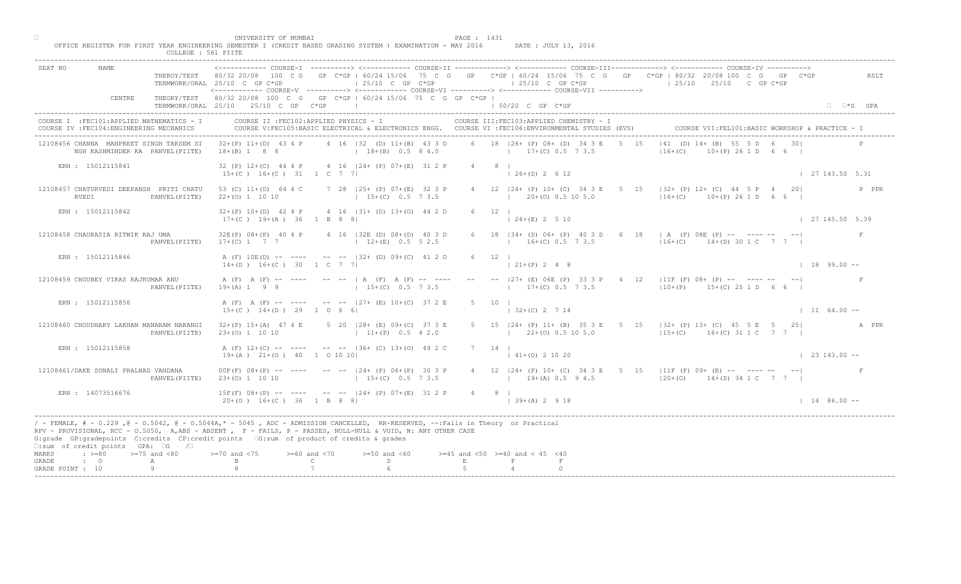|                                    |                                                                                         | COLLEGE : 561 PIITE | UNIVERSITY OF MUMBAI<br>OFFICE REGISTER FOR FIRST YEAR ENGINEERING SEMESTER I (CREDIT BASED GRADING SYSTEM ) EXAMINATION - MAY 2016                                                                                                                                                                                                                                                                                        |                                                     |                                                       |                                          | PAGE : 1431 |                     |                   | DATE : JULY 13, 2016                                       |      |          |                                  |                                                                                                                             |                      |       |
|------------------------------------|-----------------------------------------------------------------------------------------|---------------------|----------------------------------------------------------------------------------------------------------------------------------------------------------------------------------------------------------------------------------------------------------------------------------------------------------------------------------------------------------------------------------------------------------------------------|-----------------------------------------------------|-------------------------------------------------------|------------------------------------------|-------------|---------------------|-------------------|------------------------------------------------------------|------|----------|----------------------------------|-----------------------------------------------------------------------------------------------------------------------------|----------------------|-------|
| SEAT NO                            | <b>NAME</b>                                                                             |                     | ------------- COURSE-I ----------> <------------ COURSE-II -------------> <------------ COURSE-III-------------> <----------- COURSE-IV<br>THEROY/TEST 80/32 20/08 100 C G GP C*GP   60/24 15/06 75 C G GP C*GP   60/24 15/06 75 C G GP C*GP   80/32 20/08 100 C G GP C*GP<br>TERMWORK/ORAL 25/10 C GP C*GP<br><----------- COURSE-V ----------> <------------ COURSE-VI -----------> <------------ COURSE-VII ----------> |                                                     | $125/10$ C GP $C*GP$                                  |                                          |             |                     |                   | $125/10$ C GP C*GP                                         |      |          | $125/10$ $25/10$ C GP C*GP       |                                                                                                                             |                      | RSLT  |
|                                    | CENTRE                                                                                  |                     | THEORY/TEST 80/32 20/08 100 C G GP C*GP   60/24 15/06 75 C G GP C*GP  <br>TERMWORK/ORAL 25/10 25/10 C GP C*GP                                                                                                                                                                                                                                                                                                              |                                                     |                                                       |                                          |             |                     | 1 50/20 C GP C*GP |                                                            |      |          |                                  |                                                                                                                             | $\Box$ $\Box$ *G GPA |       |
|                                    | COURSE I : FEC101: APPLIED MATHEMATICS - I<br>COURSE IV : FEC104: ENGINEERING MECHANICS |                     | COURSE II : FEC102: APPLIED PHYSICS - I<br>COURSE V:FEC105:BASIC ELECTRICAL & ELECTRONICS ENGG. COURSE VI :FEC106:ENVIRONMENTAL STUDIES (EVS)                                                                                                                                                                                                                                                                              |                                                     |                                                       |                                          |             |                     |                   | COURSE III: FEC103: APPLIED CHEMISTRY - I                  |      |          |                                  | COURSE VII: FEL101: BASIC WORKSHOP & PRACTICE -                                                                             |                      |       |
|                                    | 12108456 CHANNA MANPREET SINGH TARSEM SI<br>NGH KASHMINDER KA PANVEL (PIITE)            |                     | $32+(P)$ 11+(D) 43 4 P<br>$18+(B)$ 1 8 8                                                                                                                                                                                                                                                                                                                                                                                   |                                                     | 4 16   32 (D) 11 + (B) 43 3 D<br>$18+(B)$ 0.5 8 4.0   |                                          |             |                     |                   | 6 18   26+ (P) 08+ (D) 34 3 E<br>$17+(C)$ 0.5 7 3.5        | 5 15 | $16+(C)$ | $ 41 (D) 14 + R$ $ B  55$        | $A(P)$ 26 1 D 6 6 I                                                                                                         |                      |       |
|                                    | ERN : 15012115841                                                                       |                     | 32 (P) 12+(C) 44 4 P 4 16   24+ (P) 07+ (E) 31 2 P<br>$15+(C)$ $16+(C)$ $31$ 1 C 7 7                                                                                                                                                                                                                                                                                                                                       |                                                     |                                                       |                                          |             | $4 \qquad 8 \qquad$ | $126+(D) 2612$    |                                                            |      |          |                                  |                                                                                                                             | 127143.505.31        |       |
|                                    | 12108457 CHATURVEDI DEEPANSH PRITI CHATU<br>RVEDI                                       | PANVEL (PIITE)      | 53 (C) 11+(D) 64 4 C<br>$22+(0)$ 1 10 10                                                                                                                                                                                                                                                                                                                                                                                   |                                                     | 7 28   25 + (P) 07 + (E) 32 3 P<br>$15+(C)$ 0.5 7 3.5 |                                          |             |                     |                   | 4 12   24 + (P) 10 + (C) 34 3 E 5<br>$(20+(0) 0.5 10 5.0)$ |      |          | $16 + (C)$ $10 + (P)$ 26 1 D 6 6 | $15$ $ 32+$ (P) 12+ (C) 44 5 P 4 20                                                                                         |                      | P PPR |
|                                    | ERN : 15012115842                                                                       |                     | $32+(P)$ 10+(D) 42 4 P 4 16  31+ (D) 13+(O) 44 2 D<br>$17+(C)$ 19+(A) 36 1 B 8 8                                                                                                                                                                                                                                                                                                                                           |                                                     |                                                       |                                          |             | $6 \t12$            | $124+(E) 2510$    |                                                            |      |          |                                  |                                                                                                                             | 27 145.50 5.39       |       |
|                                    | 12108458 CHAURASIA RITWIK RAJ UMA                                                       | PANVEL (PIITE)      | 32E(P) 08+(P) 40 4 P 4 16   32E (D) 08+(D) 40 3 D<br>$17+(C)$ 1 7 7                                                                                                                                                                                                                                                                                                                                                        |                                                     | $12+(E)$ 0.5 5 2.5                                    |                                          |             |                     |                   | 6 18 $ 34 + (D) 06 + (P) 40$<br>  $16\pm(C)$ 0.5 7 3.5     |      |          |                                  | 6 18   A (F) 08E (P) -- ---- -- -- <br>$16+(C)$ 14+(D) 30 1 C 7 7                                                           |                      |       |
|                                    | ERN : 15012115846                                                                       |                     | A (F) $10E(D)$ -- --- -- --  32+ (D) 09+(C) 41 2 D<br>$14+(D)$ $16+(C)$ 30 1 C 7 7                                                                                                                                                                                                                                                                                                                                         |                                                     |                                                       |                                          | 6 12        |                     |                   |                                                            |      |          |                                  |                                                                                                                             | $189.00 -$           |       |
|                                    | 12108459 CHOUBEY VIKAS RAJKUMAR ANU                                                     | PANVEL (PIITE)      | A (F) A (F) -- ---- -- --   A (F) A (F) -- ----<br>$19+(A) 1 9 9$                                                                                                                                                                                                                                                                                                                                                          |                                                     | $15+(C)$ 0.5 7 3.5                                    |                                          |             |                     |                   |                                                            |      |          |                                  | 27+ (E) 06E (P) 33 3 P 4 12   11F (F) 08+ (P) -- ---- -- -- <br>$17+(C)$ 0.5 7 3.5 $10+(P)$ 15+(C) 25 1 D 6 6               |                      |       |
|                                    | ERN : 15012115856                                                                       |                     | A (F) A (F) -- ---- -- -- 127+ (E) 10+(C) 37 2 E<br>$15+(C)$ $14+(D)$ 29 1 D 6 6                                                                                                                                                                                                                                                                                                                                           |                                                     |                                                       |                                          |             |                     | $132+(C)$ 2 7 14  |                                                            |      |          |                                  |                                                                                                                             | $1164.00 -$          |       |
|                                    | 12108460 CHOUDHARY LAKHAN MANARAM NARANGI                                               | PANVEL (PIITE)      | $32+(P)$ 15+(A) 47 4 E<br>$23+(0)$ 1 10 10                                                                                                                                                                                                                                                                                                                                                                                 |                                                     | 5 20 $128 + (E) 09 + (C)$<br>$11 + (P)$               |                                          |             |                     |                   | $1 \t22+(0) \t0.5 \t10 \t5.0$                              |      |          |                                  | 5 15  24+ (P) 11+ (B) 35 3 E 5 15  32+ (P) 13+ (C) 45 5 E 5 25   A PPR<br>$ 15+(C)$ 16+(C) 31 1 C 7 7                       |                      |       |
|                                    | ERN : 15012115858                                                                       |                     | A $(F)$ 12+(C) -- ----<br>$19+(A)$ $21+(O)$ 40 1 0 10 10                                                                                                                                                                                                                                                                                                                                                                   |                                                     | $- -  36+$ (C) $13+$ (O) 49 2 C                       |                                          |             | $7 \quad 14$        | $141+(0)21020$    |                                                            |      |          |                                  |                                                                                                                             | $\vert$ 23 143.00 -- |       |
|                                    | 12108461/DAKE SONALI PRALHAD VANDANA                                                    | PANVEL (PIITE)      | $00F(F)$ $08+(P)$ -- ---<br>$23+(0)$ 1 10 10                                                                                                                                                                                                                                                                                                                                                                               |                                                     | $P(P)$ 06+(P) 30 3 P<br>$15+(C)$ 0.5 7 3.5            |                                          |             |                     |                   |                                                            |      |          |                                  | 4 12   24 + (P) 10 + (C) 34 3 E 5 15   11 F (F) 09 + (E) -- ---- -- -- --<br>$19+(A) 0.5 9 4.5$ $120+(O) 14+(D) 34 1 C 7 7$ |                      |       |
|                                    | ERN : 14073516676                                                                       |                     | $15F(F)$ 08+(P) -- -<br>$20+(0)$ 16+(C) 36 1 B 8 8                                                                                                                                                                                                                                                                                                                                                                         |                                                     | $-$ - $ 24 + (P) 07 + (E) 31 2 P$                     |                                          |             | $4 \qquad 8 \qquad$ | $139+(A) 2918$    |                                                            |      |          |                                  |                                                                                                                             | $1486.00 -$          |       |
|                                    | $\square$ : sum of credit points GPA: $\square$ G / $\square$                           |                     | / - FEMALE, # - 0.229, @ - 0.5042, @ - 0.5044A, * - 0045, ADC - ADMISSION CANCELLED, RR-RESERVED, --:Fails in Theory or Practical<br>RPV - PROVISIONAL, RCC - 0.5050, A, ABS - ABSENT , P - FAILS, P - PASSES, NULL-NULL & VOID, N: ANY OTHER CASE<br>G:grade GP:gradepoints C:credits CP:credit points 6:sum of product of credits & grades<br>$> = 70$ and $< 75$                                                        |                                                     |                                                       |                                          |             |                     |                   |                                                            |      |          |                                  |                                                                                                                             |                      |       |
| MARKS<br>GRADE<br>GRADE POINT : 10 | $\div$ >=80 >=75 and <80<br>$\cdot$ $\cdot$ 0                                           | A                   |                                                                                                                                                                                                                                                                                                                                                                                                                            | $>= 60$ and $< 70$<br>$\mathbb{C}$ and $\mathbb{C}$ | $>=50$ and $<60$<br>D                                 | $>=45$ and $<50$ $>=40$ and $< 45$ $<40$ | E           |                     |                   |                                                            |      |          |                                  |                                                                                                                             |                      |       |
|                                    |                                                                                         |                     |                                                                                                                                                                                                                                                                                                                                                                                                                            |                                                     |                                                       |                                          |             |                     |                   |                                                            |      |          |                                  |                                                                                                                             |                      |       |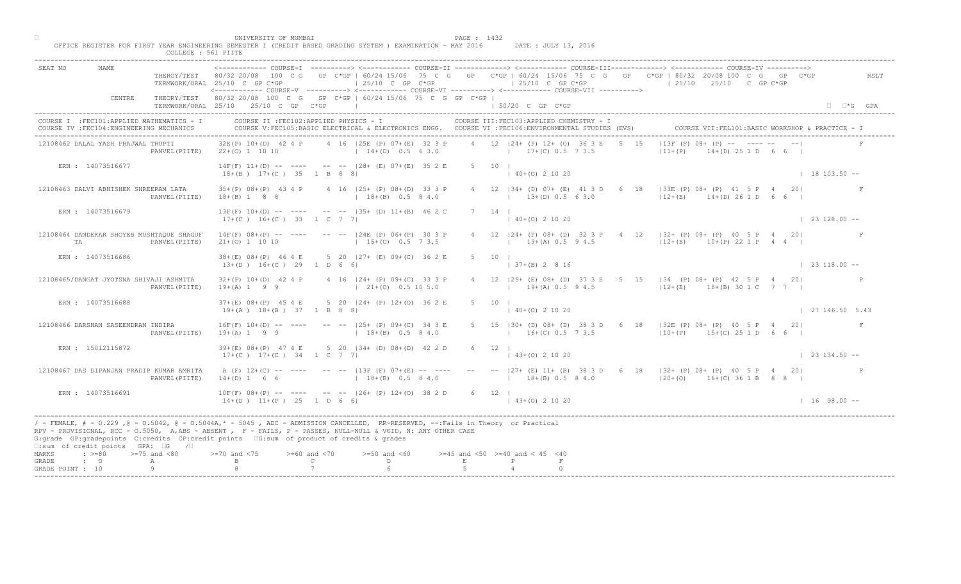|                                                                                                                                                         |                | TERMWORK/ORAL 25/10 C GP C*GP                             | $125/10$ C GP C*GP                                                                                                                                                                                                                               | ------------- COURSE-T ----------> <------------ COURSE-TT -------------> <------------ COURSE-TTT-------------> <------------ COURSE-TV ----------><br>THEROY/TEST 80/32 20/08 100 C G GP C*GP   60/24 15/06 75 C G GP C*GP   60/24 15/06 75 C G GP C*GP   80/32 20/08 100 C G GP C*GP<br>$125/10$ C GP C*GP | RSLT<br>$125/10$ $25/10$ C GP C*GP                                                       |
|---------------------------------------------------------------------------------------------------------------------------------------------------------|----------------|-----------------------------------------------------------|--------------------------------------------------------------------------------------------------------------------------------------------------------------------------------------------------------------------------------------------------|---------------------------------------------------------------------------------------------------------------------------------------------------------------------------------------------------------------------------------------------------------------------------------------------------------------|------------------------------------------------------------------------------------------|
| CENTRE                                                                                                                                                  |                | TERMWORK/ORAL 25/10 25/10 C GP C*GP                       | THEORY/TEST 80/32 20/08 100 C G GP C*GP   60/24 15/06 75 C G GP C*GP                                                                                                                                                                             | <------------ COURSE-V ----------> <------------ COURSE-VI -----------> <------------ COURSE-VII ----------><br>$\vert$ 50/20 C GP C*GP                                                                                                                                                                       | $\Box$ $\Box$ *G GPA                                                                     |
| COURSE I : FEC101: APPLIED MATHEMATICS - I<br>COURSE IV : FEC104: ENGINEERING MECHANICS                                                                 |                |                                                           | COURSE II : FEC102: APPLIED PHYSICS - I                                                                                                                                                                                                          | COURSE III: FEC103: APPLIED CHEMISTRY - I<br>COURSE V:FEC105:BASIC ELECTRICAL & ELECTRONICS ENGG. COURSE VI :FEC106:ENVIRONMENTAL STUDIES (EVS)                                                                                                                                                               | COURSE VII: FEL101: BASIC WORKSHOP & PRACTICE - I                                        |
| 12108462 DALAL YASH PRAJWAL TRUPTI                                                                                                                      |                | $32E(P)$ $10+(D)$ 42 4 P<br>PANVEL (PIITE) 22+(0) 1 10 10 | 4 16   25E (P) 07+ (E) 32 3 P<br>$14+(D)$ 0.5 6 3.0                                                                                                                                                                                              | 4 12   24 + (P) 12 + (O) 36 3 E 5 15<br>$17+(C)$ 0.5 7 3.5                                                                                                                                                                                                                                                    | $113F$ (F) $08+\sqrt{P}$ -- $\sqrt{P}$ -- -- --<br>$ 11+(P) $<br>$14(1)$ $251$ D 6 6 1   |
| ERN : 14073516677                                                                                                                                       |                | $18+(B)$ $17+(C)$ 35 1 B 8 8                              | $14F(F)$ 11+(D) -- ---- -- -- $-$ -28+ (E) 07+(E) 35 2 E                                                                                                                                                                                         | 5 10 1<br>$140+(0)21020$                                                                                                                                                                                                                                                                                      | $18103.50 -$                                                                             |
| 12108463 DALVI ABHISHEK SHREERAM LATA                                                                                                                   | PANVEL (PIITE) | $18+(B)$ 1 8 8                                            | 35+(P) 08+(P) 43 4 P 4 16   25+ (P) 08+(D) 33 3 P<br>$18+(B)$ 0.5 8 4.0                                                                                                                                                                          | 4 12   34 + (D) 07 + (E) 41 3 D 6<br>$\vert$ 13+(D) 0.5 63.0                                                                                                                                                                                                                                                  | 18   33E (P) 08+ (P) 41 5 P 4<br>201<br>$12+(E)$ $14+(D)$ 26 1 D<br>66                   |
| ERN: 14073516679                                                                                                                                        |                | $17+(C)$ $16+(C)$ 33 1 C 7 7                              | $13F(F)$ 10+(D) -- ---- -- --  35+ (D) 11+(B) 46 2 C                                                                                                                                                                                             | $7 \quad 14 \quad$<br>$\vert$ 40+(0) 2 10 20                                                                                                                                                                                                                                                                  | $\vert$ 23 128.00 --                                                                     |
| 12108464 DANDEKAR SHOYEB MUSHTAQUE SHAGUF<br>TA                                                                                                         | PANVEL (PIITE) | $21+(0)$ 1 10 10                                          | $14F(F)$ 08+(P) -- ---- -- -- 124E (P) 06+(P) 30 3 P<br>$1, 15+(C), 0.5, 7, 3.5$                                                                                                                                                                 | $12 \quad  24 + (P) \quad 08 + (D) \quad 32 \quad 3$<br>$19\pm(A)$ 0.5 9 4.5                                                                                                                                                                                                                                  | $4$ 12 $ 32 + (P)$ 08 + $(P)$ 40 5 P 4 20<br>$ 12+(E)$ 10+(P) 22 1 P 4 4                 |
| ERN : 14073516686                                                                                                                                       |                | $38+(E)$ $08+(P)$ 46 4 E<br>$13+(D)$ $16+(C)$ 29 1 D 6 6  | 5 20 127+ (E) 09+(C) 36 2 E                                                                                                                                                                                                                      | $5 -$<br>10<br>$(B)$ 2 8 16                                                                                                                                                                                                                                                                                   | $\vert$ 23 118.00 --                                                                     |
| 12108465/DANGAT JYOTSNA SHIVAJI ASHMITA                                                                                                                 | PANVEL (PIITE) | $32+(P)$ 10+(D) 42 4 P<br>$19+(A) 1 9 9$                  | 4 16 124 + (P) 09 + (C) 33 3 P<br>$\vert$ 21+(0) 0.5 10 5.0                                                                                                                                                                                      | $19+(A)$ 0.5 9 4.5                                                                                                                                                                                                                                                                                            | 29+ (E) 08+ (D) 37 3 E 5 15   34 (P) 08+ (P) 42 5 P 4 20 <br>$ 12+(E)$ 18+(B) 30 1 C 7 7 |
| ERN : 14073516688                                                                                                                                       |                | $37+(E)$ 08+(P) 45 4 E<br>$19+(A)$ $18+(B)$ 37 1 B 8 8    | $5$ 20 $ 24 + (P) 12 + (O) 36 2$                                                                                                                                                                                                                 | $140+(0)21020$                                                                                                                                                                                                                                                                                                | 127146.505.43                                                                            |
| 12108466 DARSHAN SASEENDRAN INDIRA                                                                                                                      | PANVEL (PIITE) | $16F(F)$ $10+(D)$ -- ----<br>$19+(A) 1 9 9$               | $--- 125+ (P) 09+(C)$<br>$18+(B)$                                                                                                                                                                                                                | 5 15   30 + (D) 08 + (D) 38 3 D 6 18   32E (P) 08 + (P) 40 5 P 4 20<br>$16+(C)$ 0.5 7 3.5                                                                                                                                                                                                                     | $ 10+(P)$ 15+(C) 25 1 D 6 6                                                              |
| ERN : 15012115872                                                                                                                                       |                | $39+(E)$ 08+(P) 47 4 E<br>$17+(C)$ $17+(C)$ 34 1 C 7      | 5 20 $(34 + \overline{1}) \overline{0}$ $(08 + \overline{1}) \overline{0}$ 42 2 D                                                                                                                                                                | $6 \t12$<br>$\vert$ 43+(0) 2 10 20                                                                                                                                                                                                                                                                            | $123134.50 -$                                                                            |
| 12108467 DAS DIPANJAN PRADIP KUMAR AMRITA                                                                                                               | PANVEL (PIITE) | A $(F)$ 12+(C) -- ----<br>$14+(D) 1 6 6$                  | $18+(B)$ 0.5 8 4.0                                                                                                                                                                                                                               | $13F$ (F) 07+(E) -- ---- -- --  27+ (E) 11+ (B) 38 3 D 6 18  32+ (P) 08+ (P) 40 5 P 4 20 <br>$18+(B)$ 0.5 8 4.0                                                                                                                                                                                               | $120+(0)$ 16+(C) 36 1 B 8 8 1                                                            |
| ERN: 14073516691                                                                                                                                        |                | $10F(F) 08+(P) --$<br>$14+(D)$ $11+(P)$ $25$ $1D$ $56$ 6  | $-$ -- $ 26+ (P) 12+(0) 38 2 D$                                                                                                                                                                                                                  | 6 12 1<br>$(43+(0) 2 10 20)$                                                                                                                                                                                                                                                                                  | $1 \t16 \t98.00 -$                                                                       |
| G:grade GP:gradepoints C:credits CP:credit points 6:sum of product of credits & grades<br>$\square$ : sum of credit points GPA: $\square$ G / $\square$ |                |                                                           | / - FEMALE, # - 0.229, @ - 0.5042, @ - 0.5044A,* - 0045, ADC - ADMISSION CANCELLED, RR-RESERVED, --:Fails in Theory or Practical<br>RPV - PROVISIONAL, RCC - 0.5050, A, ABS - ABSENT A P- FAILS, P - PASSES, NULL-NULL & VOID, N: ANY OTHER CASE |                                                                                                                                                                                                                                                                                                               |                                                                                          |
| $\Rightarrow$ $>=80$ $>=75$ and $<80$<br>MARKS<br>$\cdot$ 0<br>GRADE<br>A                                                                               |                | $> = 70$ and $< 75$                                       | $>= 60$ and $< 70$<br>$>=50$ and $<60$<br>$\mathbb{C}$<br>$\Gamma$                                                                                                                                                                               | $>=45$ and $<50$ $>=40$ and $< 45$ $<40$<br>E<br>P                                                                                                                                                                                                                                                            |                                                                                          |
| GRADE POINT : 10                                                                                                                                        |                |                                                           |                                                                                                                                                                                                                                                  |                                                                                                                                                                                                                                                                                                               |                                                                                          |

□ PAGE : 1432<br>OFFICE REGISTER FOR FIRST YEAR ENGINEERING SEMESTER I (CREDIT BASED GRADING SYSTEM ) EXAMINATION - MAY 2016 DATE : JULY 13, 2016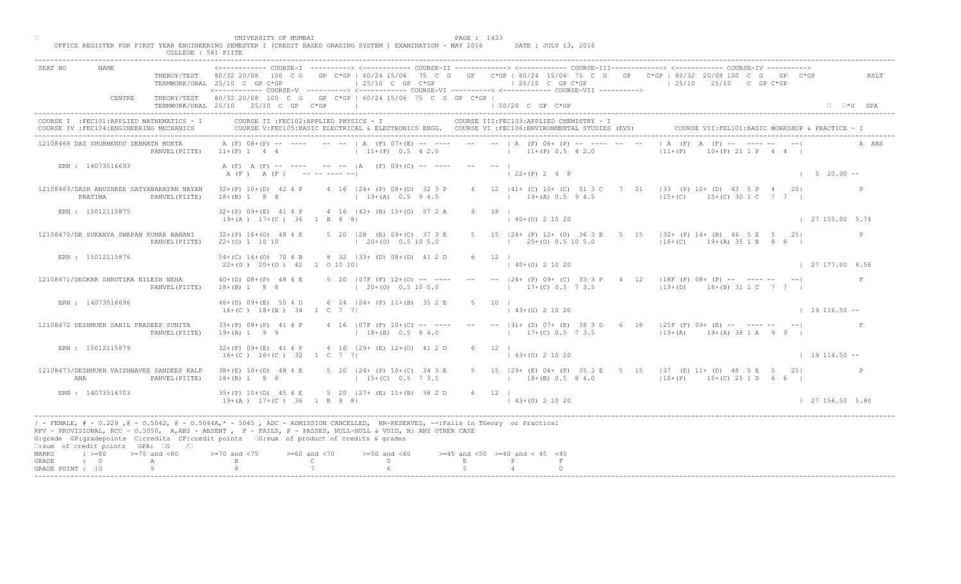| COLLEGE : 561 PIITE                                                                     | UNIVERSITY OF MUMBAI<br>PAGE : 1433<br>OFFICE REGISTER FOR FIRST YEAR ENGINEERING SEMESTER I (CREDIT BASED GRADING SYSTEM ) EXAMINATION - MAY 2016<br>DATE : JULY 13, 2016                                                                                                                                                                                                                                                                                            |                                  |
|-----------------------------------------------------------------------------------------|-----------------------------------------------------------------------------------------------------------------------------------------------------------------------------------------------------------------------------------------------------------------------------------------------------------------------------------------------------------------------------------------------------------------------------------------------------------------------|----------------------------------|
| <b>NAME</b><br>SEAT NO                                                                  | THEROY/TEST 80/32 20/08 100 C G GP C*GP   60/24 15/06 75 C G GP C*GP   60/24 15/06 75 C G GP C*GP   80/32 20/08 100 C G GP C*GP<br>$125/10$ C GP C*GP<br>$125/10$ C GP C*GP<br>$125/10$ $25/10$ C GP C*GP<br>TERMWORK/ORAL 25/10 C GP C*GP<br><------------ COURSE-V ----------> <----------- COURSE-VI -----------> <----------- COURSE-VII ---------->                                                                                                              | RSLT                             |
| CENTRE                                                                                  | THEORY/TEST 80/32 20/08 100 C G GP C*GP   60/24 15/06 75 C G GP C*GP  <br>TERMWORK/ORAL 25/10 25/10 C GP C*GP<br>the control of the control of the control of<br>1 50/20 C GP C*GP                                                                                                                                                                                                                                                                                    | $\Box$ $\Box$ *G GPA             |
| COURSE I : FEC101: APPLIED MATHEMATICS - I<br>COURSE IV : FEC104: ENGINEERING MECHANICS | COURSE II : FEC102: APPLIED PHYSICS - I<br>COURSE III: FEC103: APPLIED CHEMISTRY - I<br>COURSE VII: FEL101: BASIC WORKSHOP & PRACTICE - I<br>COURSE V:FEC105:BASIC ELECTRICAL & ELECTRONICS ENGG. COURSE VI :FEC106:ENVIRONMENTAL STUDIES (EVS)                                                                                                                                                                                                                       |                                  |
| 12108468 DAS SHUBHENDU DEBNATH MUKTA<br>PANVEL (PIITE)                                  | $  A (F) A (F) - 1   1 - - - -  $<br>A (F) 08+(P) -- ---- -- --   A (F) 07+(E) -- ---- -- --   A (F) 06+ (P) -- ---- -- --<br>$11+(P)$ 1 4 4 $(11+(P)$ 0.5 4 2.0 $(11+(P)$ 0.5 4 2.0<br>$10+(P)$ $21 1 P$ $4 4 1$<br>$ 11+(P) $                                                                                                                                                                                                                                       | A ABS                            |
| ERN : 14073516693                                                                       | A (F) A (F) -- ---- -- --  A (F) 09+(C) -- ---- -- --  <br>A (F) A (F) ---------<br>$122+(P) 248$                                                                                                                                                                                                                                                                                                                                                                     | $1 \quad 5 \quad 20.00 \quad --$ |
| 12108469/DASH ANUSHREE SATYANARAYAN NAYAN<br>PRATIMA<br>PANVEL (PIITE)                  | 4 12   41+ (C) 10+ (C) 51 3 C 7<br>$32+(P)$ 10+(D) 42 4 P 4 16  24+ (P) 08+(D) 32 3 P<br>$\sqrt{33}$ (P) 10+ (D) 43 5 P 4 20<br>$15+(C)$ $15+(C)$ $30 1 C$ $7 7$<br>$18+(B)$ 1 8 8<br>$19+(A)$ 0.5 9 4.5<br>$19+(A) 0.5 9 4.5$                                                                                                                                                                                                                                        |                                  |
| ERN : 15012115875                                                                       | $9 \t18 \t1$<br>32+(P) 09+(E) 41 4 P 4 16   42+ (B) 15+(0) 57 2 A<br>$140+(0)21020$<br>$19+(A)$ $17+(C)$ 36 1 B 8 8                                                                                                                                                                                                                                                                                                                                                   | 127155.005.74                    |
| 12108470/DE SUKANYA SWAPAN KUMAR BANANI<br>PANVEL (PIITE)                               | 32+(P) 16+(O) 48 4 E 5 20   28 (E) 09+(C) 37 3 E<br>$5 \t15 \t124 + (P) \t12 + (O) \t36$<br>$E$ 5 15   32 + (P) 14 + (B) 46 5 E 5 25  <br>$\begin{bmatrix} 25 + (0) & 0.5 & 10 & 5.0 \end{bmatrix}$<br>$(20+(0) 0.5 10 5.0)$<br>$ 16+(C)$ 19+(A) 35 1 B 8 8  <br>$22+(0)$ 1 10 10                                                                                                                                                                                     |                                  |
| ERN : 15012115876                                                                       | 54+(C) 16+(O) 70 4 B 8 32   33+ (D) 08+(D) 41 2 D<br>6 12<br>$40+(0)$ 2 10 20<br>$22+(0)$ $20+(0)$ $42$ 1 0 10 10                                                                                                                                                                                                                                                                                                                                                     | 27 177.00 6.56                   |
| 12108471/DEOKAR SHRUTIKA NILESH NEHA<br>PANVEL (PIITE)                                  | 5 20 $ 07F(F) 12+(0)$ -- ---<br> 24+ (P) 09+ (C) 33 3 P 4 12  18F (F) 08+ (P) -- ---- -- -- <br>$40+(D)$ $08+(P)$ 48 4 E<br>$(20 + (0) 0.5 10 5.0)$<br>$17+(C)$ 0.5 7 3.5 $13+(D)$ $18+(B)$ 31 1 C 7 7  <br>$18+(B)$ 1 8 8                                                                                                                                                                                                                                            |                                  |
| ERN : 14073516696                                                                       | 6 24   24 + (P) 11 + (B) 35 2 E<br>$46+(D)$ 09+(E) 55 4 D<br>$16+(C)$ $18+(B)$ $34$ $1$ C 7 7<br>$(43+(0) 2 10 20)$                                                                                                                                                                                                                                                                                                                                                   | $1 19 116.50 --$                 |
| 12108472 DESHMUKH SAHIL PRADEEP SUNITA<br>PANVEL (PIITE)                                | -- -- $ 31+ (D) 07+ (E) 38 3 D 6 18  25F (F) 09+ (E) - - - - - - - -  $<br>$33+(P)$ $08+(P)$ 41 4 P<br>4 16 107F (F) 10+ (C<br>$18 + (B)$<br>$17+(C)$ 0.5 7 3.5<br>$19+(A)$ 19+(A) 38 1 A 9 9  <br>$19+(A) 1 9 9$                                                                                                                                                                                                                                                     |                                  |
| ERN : 15012115879                                                                       | 4 16 $(29 + (12) + (0) + (0) + (12) + (0)$<br>$32+(P)$ 09+(E) 41 4 P<br>$6 \t 12 \t 1$<br>$16+(C)$ $16+(C)$ 32 1 C 7<br>$143+(0)21020$                                                                                                                                                                                                                                                                                                                                | $19114.50 -$                     |
| 12108473/DESHMUKH VAISHNAVEE SANDEEP KALP<br>ANA<br>PANVEL (PIITE)                      | $38 + (E)$ 10+(D) 48 4 E<br>$P(P)$ 10+(C) 34 3 E<br>5 15   29 + (E) 06 + (P) 35 3 E 5 15   37 (E) 11 + (D) 48 5 E 5 25  <br>$15+(C)$ 0.5 7 3.5<br>$18+(B)$ 1 8 8<br>$18+(B)$ 0.5 8 4.0<br>$110+(P)$ 15+(C) 25 1 D 6 6                                                                                                                                                                                                                                                 |                                  |
| ERN : 14073516703                                                                       | $35+(P)$ 10+(D) 45 4 E<br>$5$ 20 $ 27+$ (E) $11+(B)$ 38 2 D<br>6 12  <br>$19+(A)$ $17+(C)$ 36 1 B 8 8<br>$(43+(0) 2 10 20)$                                                                                                                                                                                                                                                                                                                                           | 127156.505.80                    |
| $\square$ : sum of credit points GPA: $\square$ G / $\square$                           | / - FEMALE, # - 0.229, @ - 0.5042, @ - 0.5044A,* - 5045, ADC - ADMISSION CANCELLED, RR-RESERVED, --:Fails in Theory or Practical<br>RPV - PROVISIONAL, RCC - 0.5050, A, ABS - ABSENT A P - FAILS, P - PASSES, NULL-NULL & VOID, N: ANY OTHER CASE<br>G:grade GP:gradepoints C:credits CP:credit points 6:sum of product of credits & grades                                                                                                                           |                                  |
| MARKS<br>$: >=80$<br>$>=75$ and $<80$<br>$\cdot$ $\cdot$ 0<br>GRADE<br>А                | $0$ and $\langle 75$<br>$>= 60$ and $< 70$<br>$>=50$ and $<60$<br>$>=45$ and $<50$ $>=40$ and $< 45$ $<40$<br>$\mathbb C$ and $\mathbb C$ and $\mathbb C$ and $\mathbb C$ and $\mathbb C$ and $\mathbb C$ and $\mathbb C$ and $\mathbb C$ and $\mathbb C$ and $\mathbb C$ and $\mathbb C$ and $\mathbb C$ and $\mathbb C$ and $\mathbb C$ and $\mathbb C$ and $\mathbb C$ and $\mathbb C$ and $\mathbb C$ and $\mathbb C$ and $\mathbb C$ and<br>$D \sim 1$<br>E<br>P |                                  |
| 9<br>GRADE POINT : 10                                                                   |                                                                                                                                                                                                                                                                                                                                                                                                                                                                       |                                  |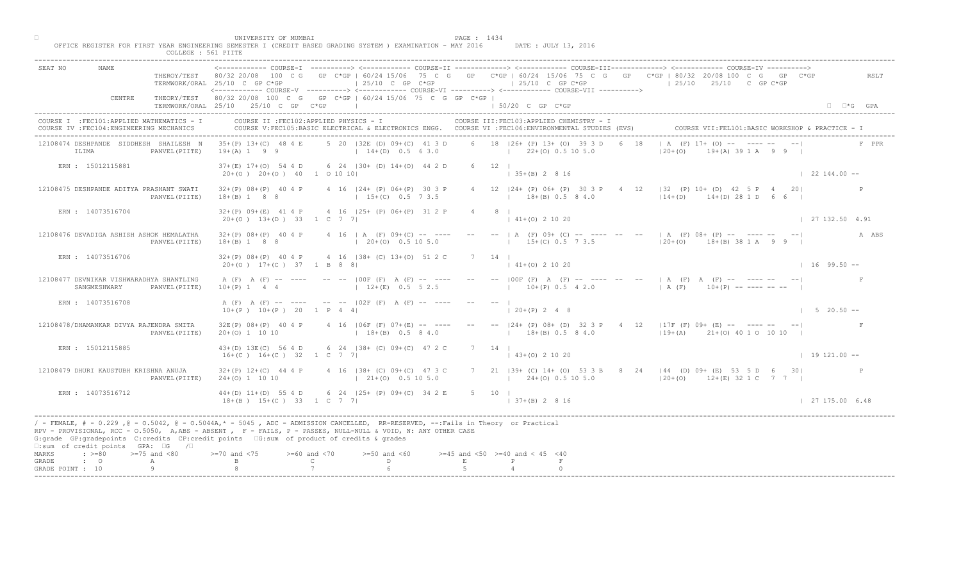| COLLEGE : 561 PIITE                                                                     |                                                                                                                                                                                                                                                                                                                                                          |                           |
|-----------------------------------------------------------------------------------------|----------------------------------------------------------------------------------------------------------------------------------------------------------------------------------------------------------------------------------------------------------------------------------------------------------------------------------------------------------|---------------------------|
| SEAT NO<br>NAME.                                                                        | THEROY/TEST 80/32 20/08 100 C G GP C*GP   60/24 15/06 75 C G GP C*GP   60/24 15/06 75 C G GP C*GP   80/32 20/08 100 C G GP<br>$\vert$ 25/10 C GP C*GP<br>$125/10$ C GP C*GP<br>$125/10$ $25/10$ C GP C*GP<br>TERMWORK/ORAL 25/10 C GP C*GP<br><----------- COURSE-V ----------> <----------- COURSE-VI -----------> <------------ COURSE-VII ----------> | $C*GP$<br>RSLT            |
| CENTRE                                                                                  | GP C*GP   60/24 15/06 75 C G GP C*GP  <br>THEORY/TEST 80/32 20/08 100 C G<br>TERMWORK/ORAI, 25/10 25/10 C GP C*GP<br>$\vert$ 50/20 C GP C*GP                                                                                                                                                                                                             | $\Box$ $\Box$ * $G$ $GPA$ |
| COURSE I : FEC101: APPLIED MATHEMATICS - I<br>COURSE IV : FEC104: ENGINEERING MECHANICS | COURSE II : FEC102: APPLIED PHYSICS - I<br>COURSE III: FEC103: APPLIED CHEMISTRY - I<br>COURSE V:FEC105:BASIC ELECTRICAL & ELECTRONICS ENGG. COURSE VI :FEC106:ENVIRONMENTAL STUDIES (EVS)                                                                                                                                                               |                           |
| 12108474 DESHPANDE SIDDHESH SHAILESH N<br>ILIMA<br>PANVEL (PIITE)                       | $A$ (F) 17+ (O) -- $\blacksquare$ -- --<br>5 20   32E (D) 09+ (C) 41 3 D<br>6 18   26+ (P) 13+ (0) 39 3 D<br>18<br>$35+(P)$ 13+(C) 48 4 E<br>$19+(A) 1 9 9$<br>$14+(D)$ 0.5 6 3.0<br>$1 \t22+(0) \t0.5 \t10 \t5.0$<br>$120 + (0)$<br>$(A)$ 39 1 A 9 9                                                                                                    | F PPR                     |
| ERN : 15012115881                                                                       | 6 24 130 + (D) 14 + (O) 44 2 D<br>$37+(E)$ 17+(0) 54 4 D<br>6 12 1<br>$20+(0)$ $20+(0)$ $40$ 1 0 10 10<br>$\vert$ 35+(B) 2 8 16                                                                                                                                                                                                                          | $122144.00 - -$           |
| 12108475 DESHPANDE ADITYA PRASHANT SWATI<br>PANVEL (PIITE)                              | $12$   32 (P) 10+ (D) 42 5 P<br>$32+(P)$ 08+(P) 40 4 P<br>4 16 124 + (P) 06 + (P) 30 3 P<br>4 12   24 + (P) 06 + (P) 30 3 P<br>$14+(D)$ $14+(D)$ 28 1 D<br>$18 + (B)$ 0.5 8 4.0<br>$18+(B) 1 8 8$<br>$15+(C)$ 0.5 7 3.5                                                                                                                                  | 2.01                      |
| ERN : 14073516704                                                                       | 4 16 125+ (P) 06+ (P) 31 2 P<br>$32+(P)$ 09+(E) 41 4 P<br>20+(0) 13+(D) 33 1 C 7 7<br>$\vert$ 41+(0) 2 10 20                                                                                                                                                                                                                                             | 127132.504.91             |
| 12108476 DEVADIGA ASHISH ASHOK HEMALATHA<br>PANVEL (PIITE)                              | $32+(P)$ 08+(P) 40 4 P<br>$4 \t16 \tA (F) 09+(C) -- --$<br>$- A$ $(F)$ 09 $(C)$<br>$---$   A (F) 08+ (P) -- ---- -- -- <br>$15+(C)$ 0.5 7 3.5<br>$18+(B)$ 1 8 8<br>$(20+(0) 0.5 10 5.0)$<br>$120+(0)$ 18+(B) 38 1 A 9 9 1                                                                                                                                | A ABS                     |
| ERN : 14073516706                                                                       | 4 16   38 + (C) 13 + (0) 51 2 C<br>$32+(P)$ 08+(P) 40 4 P<br>14<br>$(0)$ 2 10 20<br>20+(0) 17+(C) 37 1 B 8 8                                                                                                                                                                                                                                             | $1 \t16 \t99.50 -$        |
| 12108477 DEVNIKAR VISHWARADHYA SHANTLING<br>SANGMESHWARY<br>PANVEL (PIITE)              | DOF (F) A (F) -- ---- -- --   A (F) A (F) -- ---- -- -- <br>$-- --  00F$ $(F)$ A $(F)$ $---$<br>A (F) A (F) -- ----<br>$10+(P)$ 0.5 4 2.0<br>$12+(E)$ 0.5 5 2.5<br>$(A \ (F) \ 10+(P) \ - \ - \ - \ - \ - \ - \ - \$<br>$10+(P)$ 1 4<br>$\overline{4}$                                                                                                   |                           |
| ERN : 14073516708                                                                       | A (F) A (F) -- ----<br>$--- - -  02F (F) A (F) ---$<br>$120+(P) 248$<br>$10+(P)$ $10+(P)$ 20<br>1 P 4 41                                                                                                                                                                                                                                                 | $1 5 20.50 --$            |
| 12108478/DHAMANKAR DIVYA RAJENDRA SMITA<br>PANVEL (PIITE)                               | -- -- $ 24 + (P) 08 + (D) 32 3 P - 4 12   17F (F) 09 + (E) - - - - - - - - - - -$<br>4 16 106F (F) 07+4 E<br>$32E(P)$ $08+(P)$ 40 4 P<br>$18+(B)$ 0.5 8 4.0<br>$119+(A)$ $21+(O)$ 40 1 0 10 10<br>$20+(0)$ 1 10 10<br>$18+(B)$                                                                                                                           |                           |
| ERN : 15012115885                                                                       | $6\quad 24$ $138 + (C)$ $09 + (C)$ $47$ 2 C<br>$43+(D) 13E(C) 56 4 D$<br>7 14 1<br>$16+(C)$ $16+(C)$ 32 1 C 7<br>$(43+(0) 2 10 20)$                                                                                                                                                                                                                      | $19121.00 -$              |
| 12108479 DHURI KAUSTUBH KRISHNA ANUJA<br>PANVEL (PIITE)                                 | $138+$ (C) 09+ (C) 47 3 C<br>$32+(P)$ 12+(C) 44 4 P<br>7 21   39 + (C) 14 + (O) 53 3 B 8 24   44 (D) 09 + (E) 53 5 D 6 30  <br>$21+(0)$ 0.5 10 5.0<br>$24+(0)$ 1 10 10<br>$124+(0)$ 0.5 10 5.0<br>$120+(0)$ 12+(E) 32 1 C 7 7                                                                                                                            |                           |
| ERN : 14073516712                                                                       | $44+(D)$ 11+(D) 55 4 D<br>6 24 $ 25+ (P) 09+ (C) 34 2 E$<br>5 10 1<br>$18+(B)$ $15+(C)$ 33<br>$1 \ C \ 7 \ 7$<br>$  37 + (B) 2 8 16$                                                                                                                                                                                                                     | 127175.006.48             |
| $\square$ : sum of credit points GPA: $\square$ G<br>$\sqrt{2}$                         | / - FEMALE, # - 0.229 ,@ - 0.5042, @ - 0.5044A,* - 5045 , ADC - ADMISSION CANCELLED, RR-RESERVED, --:Fails in Theory or Practical<br>RPV - PROVISIONAL, RCC - 0.5050, A, ABS - ABSENT, P - FAILS, P - PASSES, NULL-NULL & VOID, N: ANY OTHER CASE<br>G:grade GP:gradepoints C:credits CP:credit points 6:sum of product of credits & grades              |                           |
| $\Rightarrow$ >=80 >=75 and <80<br>MARKS<br>$\cdot$ $\cdot$ 0<br>GRADE.<br>Α            | $>=45$ and $<50$ $>=40$ and $< 45$ $<40$<br>$> = 70$ and $< 75$<br>$>= 60$ and $< 70$<br>$>=50$ and $<60$<br>$\mathbb{C}$<br>D.<br>$\mathbf E$                                                                                                                                                                                                           |                           |
| 9<br>GRADE POINT : 10                                                                   |                                                                                                                                                                                                                                                                                                                                                          |                           |

□ PAGE : 1434<br>OFFICE REGISTER FOR FIRST YEAR ENGINEERING SEMESTER I (CREDIT BASED GRADING SYSTEM ) EXAMINATION - MAY 2016 DATE : JULY 13, 2016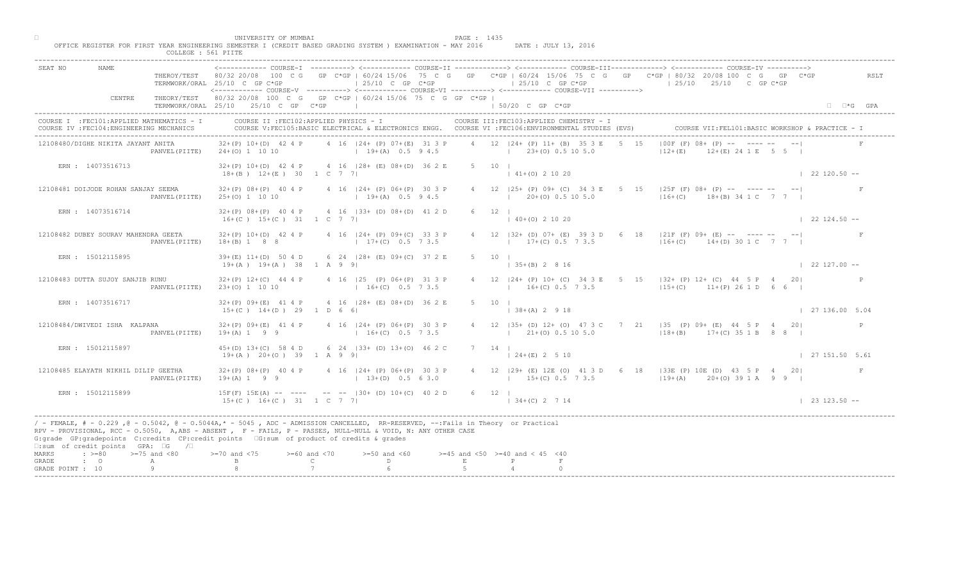|                                                                                                                                                                                                                                                                                                                                                                                                             | UNIVERSITY OF MUMBAI<br>COLLEGE : 561 PIITE                    | OFFICE REGISTER FOR FIRST YEAR ENGINEERING SEMESTER I (CREDIT BASED GRADING SYSTEM ) EXAMINATION - MAY 2016                                                                                                                                                                                                                                                                                                | PAGE : 1435                                   | DATE : JULY 13, 2016                                                                                                                            |                                                                                                                                                               |                      |
|-------------------------------------------------------------------------------------------------------------------------------------------------------------------------------------------------------------------------------------------------------------------------------------------------------------------------------------------------------------------------------------------------------------|----------------------------------------------------------------|------------------------------------------------------------------------------------------------------------------------------------------------------------------------------------------------------------------------------------------------------------------------------------------------------------------------------------------------------------------------------------------------------------|-----------------------------------------------|-------------------------------------------------------------------------------------------------------------------------------------------------|---------------------------------------------------------------------------------------------------------------------------------------------------------------|----------------------|
| <b>NAME</b><br>SEAT NO                                                                                                                                                                                                                                                                                                                                                                                      | TERMWORK/ORAL 25/10 C GP C*GP                                  | $125/10$ C GP $C*GP$                                                                                                                                                                                                                                                                                                                                                                                       |                                               | $125/10$ C GP C*GP<br><------------ COURSE-V ----------> <----------- COURSE-VI -----------> <----------- COURSE-VII ---------->                | THEROY/TEST 80/32 20/08 100 C G GP C*GP   60/24 15/06 75 C G GP C*GP   60/24 15/06 75 C G GP C*GP   80/32 20/08 100 C G GP C*GP<br>$125/10$ $25/10$ C GP C*GP | RSLT                 |
| CENTRE                                                                                                                                                                                                                                                                                                                                                                                                      | TERMWORK/ORAL 25/10 25/10 C GP C*GP                            | THEORY/TEST 80/32 20/08 100 C G GP C*GP   60/24 15/06 75 C G GP C*GP  <br>the control of the control of the control of                                                                                                                                                                                                                                                                                     |                                               | $150/20$ C GP $C*GP$                                                                                                                            |                                                                                                                                                               | $\Box$ $\Box$ *G GPA |
| COURSE I : FEC101: APPLIED MATHEMATICS - I<br>COURSE IV : FEC104: ENGINEERING MECHANICS                                                                                                                                                                                                                                                                                                                     |                                                                | COURSE II : FEC102: APPLIED PHYSICS - I                                                                                                                                                                                                                                                                                                                                                                    |                                               | COURSE III: FEC103: APPLIED CHEMISTRY - I<br>COURSE V:FEC105:BASIC ELECTRICAL & ELECTRONICS ENGG. COURSE VI :FEC106:ENVIRONMENTAL STUDIES (EVS) | COURSE VII: FEL101: BASIC WORKSHOP & PRACTICE - :                                                                                                             |                      |
| 12108480/DIGHE NIKITA JAYANT ANITA                                                                                                                                                                                                                                                                                                                                                                          | $32+(P)$ 10+(D) 42 4 P<br>PANVEL (PIITE)<br>$24+(0)$ 1 10 10   | 4 16 124 + (P) 07 + (E) 31 3 P<br>$19+(A)$ 0.5 9 4.5 $123+(O)$ 0.5 10 5.0                                                                                                                                                                                                                                                                                                                                  |                                               | 4 12   24 + (P) 11 + (B) 35 3 E<br>5 15                                                                                                         | $100F$ (F) $08 + NP$ -- $\sum$ -- -- --<br>$12+(E)$ $24 1 E$ 5 5 1<br>$12+(E)$                                                                                |                      |
| ERN : 14073516713                                                                                                                                                                                                                                                                                                                                                                                           |                                                                | $32+(P)$ 10+(D) 42 4 P 4 16   28+ (E) 08+(D) 36 2 E<br>$18+(B)$ $12+(E)$ 30 1 C 7 7                                                                                                                                                                                                                                                                                                                        | 5 10 1                                        | $141+(0)21020$                                                                                                                                  |                                                                                                                                                               | $122120.50 -$        |
| 12108481 DOIJODE ROHAN SANJAY SEEMA                                                                                                                                                                                                                                                                                                                                                                         | $32+(P)$ $08+(P)$ 40 4 P<br>PANVEL (PIITE)<br>$25+(0)$ 1 10 10 | 4 16   24 + (P) 06 + (P) 30 3 P<br>$19+(A)$ 0.5 9 4.5                                                                                                                                                                                                                                                                                                                                                      |                                               | 4 12   25 + (P) 09 + (C) 34 3 E 5<br>$(20 + (0) 0.5 10 5.0$                                                                                     | $15$  25F (F) 08+ (P) -- ---- -- --  <br>$16+(C)$ $18+(B)$ 34 1 C 7 7 1                                                                                       |                      |
| ERN : 14073516714                                                                                                                                                                                                                                                                                                                                                                                           |                                                                | $32+(P)$ 08+(P) 40 4 P 4 16   33+ (D) 08+(D) 41 2 D<br>$16+(C)$ $15+(C)$ $31$ $1$ C 7 7                                                                                                                                                                                                                                                                                                                    | $6 \t 12 \t 1$                                | $140+(0)21020$                                                                                                                                  |                                                                                                                                                               | $122124.50 - -$      |
| 12108482 DUBEY SOURAV MAHENDRA GEETA                                                                                                                                                                                                                                                                                                                                                                        | $18+(B)$ 1 8 8<br>PANVEL (PIITE)                               | 32+(P) 10+(D) 42 4 P 4 16   24+ (P) 09+(C) 33 3 P<br>$17+(C)$ 0.5 7 3.5                                                                                                                                                                                                                                                                                                                                    |                                               | 4 12 $ 32 + (D) 07 + (E) 39 3$<br>$17\pm(C)$ 0.5 7 3.5                                                                                          | $\overline{D}$ 6 18   21 F (F) 09+ (E) -- ------ -- --<br>$16+(C)$ 14+(D) 30 1 C 7 7 1                                                                        |                      |
| ERN : 15012115895                                                                                                                                                                                                                                                                                                                                                                                           |                                                                | 39+(E) 11+(D) 50 4 D 6 24   28+ (E) 09+(C) 37 2 E<br>$19+(A)$ $19+(A)$ 38 1 A 9 9                                                                                                                                                                                                                                                                                                                          | 5 10                                          | $35+(B)$ 2 8 16                                                                                                                                 |                                                                                                                                                               | $\vert$ 22 127.00 -- |
| 12108483 DUTTA SUJOY SANJIB RUNU                                                                                                                                                                                                                                                                                                                                                                            | $32+(P)$ 12+(C) 44 4 P<br>23+(0) 1 10 10<br>PANVEL (PIITE)     | 4 16   25 (P) 06+ (P) 31 3 P<br>$16+(C)$ 0.5 7 3.5                                                                                                                                                                                                                                                                                                                                                         |                                               |                                                                                                                                                 | 24+ (P) 10+ (C) 34 3 E 5 15   32+ (P) 12+ (C) 44 5 P 4 20 <br>$16+(C)$ 0.5 7 3.5 $11+(D)$ 26 1 D 6 6                                                          |                      |
| ERN : 14073516717                                                                                                                                                                                                                                                                                                                                                                                           | $32+(P)$ 09+(E) 41 4 P                                         | $4$ 16 $ 28 + (E) 08 + (D) 36$ 2<br>$15+(C)$ $14+(D)$ 29 1 D 6 6                                                                                                                                                                                                                                                                                                                                           |                                               | $138+(A) 2918$                                                                                                                                  |                                                                                                                                                               | 127136.005.04        |
| 12108484/DWIVEDI ISHA KALPANA                                                                                                                                                                                                                                                                                                                                                                               | $32+(P)$ 09+(E) 41 4 P<br>PANVEL (PIITE)<br>$19+(A) 1 9 9$     | $4$ 16 $ 24 + (P)$ 06+ $(P)$<br>$16 + (C)$                                                                                                                                                                                                                                                                                                                                                                 |                                               | $1\qquad 21+(0)$ 0.5 10 5.0                                                                                                                     | 4 12   35 + (D) 12 + (O) 47 3 C 7 21   35 (P) 09 + (E) 44 5 P 4 20  <br>$118+(B)$ 17+(C) 35 1 B 8 8                                                           | P                    |
| ERN : 15012115897                                                                                                                                                                                                                                                                                                                                                                                           | $45+(D)$ 13+(C) 58 4 D<br>$19+(A)$ $20+(O)$ 39 1 A 9           | 6 24 $(33 + (1))$ 13+(0) 46 2 C                                                                                                                                                                                                                                                                                                                                                                            | $7 \quad 14 \quad$                            | $124+(E)$ 2 5 10                                                                                                                                |                                                                                                                                                               | 27 151.50 5.61       |
| 12108485 ELAYATH NIKHIL DILIP GEETHA                                                                                                                                                                                                                                                                                                                                                                        | $32+(P)$ $08+(P)$ 40 4 P<br>$19+(A) 1 9 9$<br>PANVEL (PIITE)   | $P(P)$ 06+(P) 30 3 P<br>$13+(D)$ 0.5 6 3.0                                                                                                                                                                                                                                                                                                                                                                 |                                               |                                                                                                                                                 | 4 12   29 + (E) 12E (O) 41 3 D 6 18   33E (P) 10E (D) 43 5 P 4 20  <br>$1.5 + (C) 0.5 7 3.5$ $1.9 + (A) 20 + (O) 39 1 A 9 9 1$                                |                      |
| ERN : 15012115899                                                                                                                                                                                                                                                                                                                                                                                           | $15F(F)$ $15E(A)$ -- $-$                                       | $-$ -- $ 30+ (D) 10+ (C) 40 2 D$<br>$15+(C)$ $16+(C)$ $3T$ $1 C$ 7 7                                                                                                                                                                                                                                                                                                                                       | $6 \t 12 \t 1$                                | $134+(C)2714$                                                                                                                                   |                                                                                                                                                               | $123123.50 - -$      |
| / - FEMALE, # - 0.229, @ - 0.5042, @ - 0.5044A,* - 5045, ADC - ADMISSION CANCELLED, RR-RESERVED, --:Fails in Theory or Practical<br>RPV - PROVISIONAL, RCC - 0.5050, A, ABS - ABSENT , P - FAILS, P - PASSES, NULL-NULL & VOID, N: ANY OTHER CASE<br>G:grade GP:gradepoints C:credits CP:credit points 6:sum of product of credits & grades<br>$\square$ :sum of credit points GPA: $\square$ G / $\square$ |                                                                |                                                                                                                                                                                                                                                                                                                                                                                                            |                                               |                                                                                                                                                 |                                                                                                                                                               |                      |
| MARKS<br>$\Rightarrow$ $>=$ 80 $\Rightarrow$ $=$ 75 and <80<br>$\cdot$ 0<br>GRADE<br>A<br>9<br>GRADE POINT : 10                                                                                                                                                                                                                                                                                             | $0$ and $\langle 75$                                           | $>= 60$ and $< 70$<br>$>=50$ and $<60$<br>$\mathbb C$ and $\mathbb C$ and $\mathbb C$ and $\mathbb C$ and $\mathbb C$ and $\mathbb C$ and $\mathbb C$ and $\mathbb C$ and $\mathbb C$ and $\mathbb C$ and $\mathbb C$ and $\mathbb C$ and $\mathbb C$ and $\mathbb C$ and $\mathbb C$ and $\mathbb C$ and $\mathbb C$ and $\mathbb C$ and $\mathbb C$ and $\mathbb C$ and<br>$\mathbb{D}$ and $\mathbb{D}$ | $>=45$ and $<50$ $>=40$ and $< 45$ $<40$<br>E | $\mathbb{P}$                                                                                                                                    |                                                                                                                                                               |                      |
|                                                                                                                                                                                                                                                                                                                                                                                                             |                                                                |                                                                                                                                                                                                                                                                                                                                                                                                            |                                               |                                                                                                                                                 |                                                                                                                                                               |                      |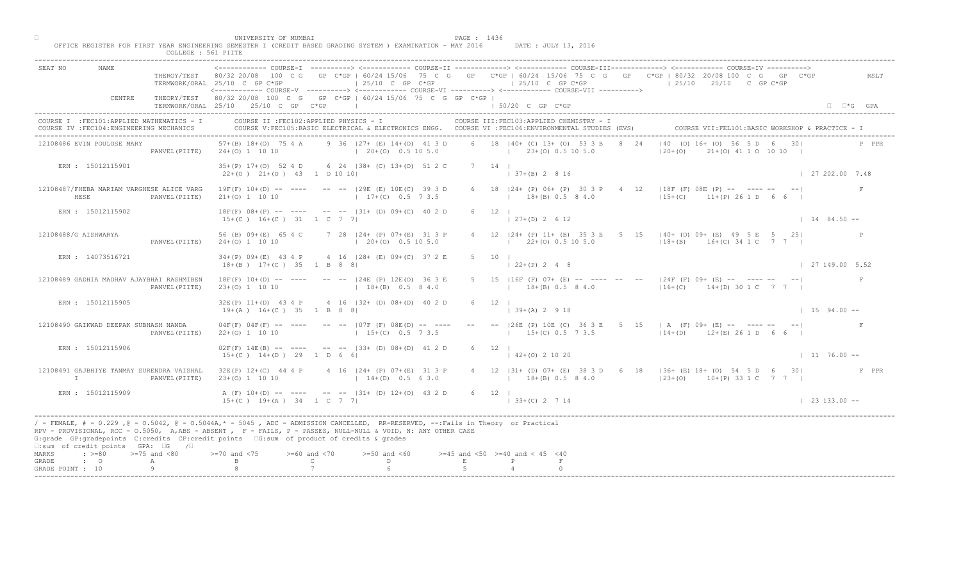| UNIVERSITY OF MUMBAI<br>PAGE : 1436<br>OFFICE REGISTER FOR FIRST YEAR ENGINEERING SEMESTER I (CREDIT BASED GRADING SYSTEM ) EXAMINATION - MAY 2016<br>DATE : JULY 13, 2016<br>COLLEGE : 561 PIITE                                                                                                                                                                                                                                                                                                                                         |                        |
|-------------------------------------------------------------------------------------------------------------------------------------------------------------------------------------------------------------------------------------------------------------------------------------------------------------------------------------------------------------------------------------------------------------------------------------------------------------------------------------------------------------------------------------------|------------------------|
| <b>NAME</b><br>SEAT NO<br>THEROY/TEST 80/32 20/08 100 C G GP C*GP   60/24 15/06 75 C G GP C*GP   60/24 15/06 75 C G GP C*GP   80/32 20/08 100 C G GP C*GP<br>$125/10$ C GP C*GP<br>$125/10$ C GP $C*GP$<br>$125/10$ $25/10$ C GP C*GP<br>TERMWORK/ORAL 25/10 C GP C*GP<br><------------ COURSE-V ----------> <------------ COURSE-VI ----------> <------------ COURSE-VII ---------->                                                                                                                                                     | RSLT                   |
| THEORY/TEST 80/32 20/08 100 C G GP C*GP   60/24 15/06 75 C G GP C*GP  <br>CENTRE<br>TERMWORK/ORAL 25/10 25/10 C GP C*GP  <br>$150/20$ C GP C*GP                                                                                                                                                                                                                                                                                                                                                                                           | $\Box$ $\Box$ *G GPA   |
| COURSE II : FEC102: APPLIED PHYSICS - I<br>COURSE III: FEC103: APPLIED CHEMISTRY - I<br>COURSE I : FEC101: APPLIED MATHEMATICS - I<br>COURSE VII: FEL101: BASIC WORKSHOP & PRACTICE - I<br>COURSE V:FEC105:BASIC ELECTRICAL & ELECTRONICS ENGG. COURSE VI :FEC106:ENVIRONMENTAL STUDIES (EVS)<br>COURSE IV : FEC104: ENGINEERING MECHANICS                                                                                                                                                                                                |                        |
| $ 40 \t(D) 16 +  00 \t56   5 D \t6 30 $<br>6 18 140 + (C) 13 + (0) 53 3 B 8 24<br>57+(B) 18+(O) 75 4 A 9 36   27+ (E) 14+(O) 41 3 D<br>12108486 EVIN POULOSE MARY<br>$(20+(0) 0.5 10 5.0$ $(23+(0) 0.5 10 5.0$<br>$120+(0)$<br>$21+(0)$ 41 1 0 10 10  <br>PANVEL (PIITE)<br>$24+(0)$ 1 10 10                                                                                                                                                                                                                                              | P PPR                  |
| 7 14 1<br>ERN : 15012115901<br>35+(P) 17+(O) 52 4 D 6 24   38+ (C) 13+(O) 51 2 C<br>$(37+(B) 2 8 16)$<br>$22+(0)$ $21+(0)$ $43$ 1 0 10 10                                                                                                                                                                                                                                                                                                                                                                                                 | 127202.007.48          |
| 6 18   24 + (P) 06 + (P) 30 3 P 4<br>12   18F (F) 08E (P) -- ---- -- --  <br>12108487/FHEBA MARIAM VARGHESE ALICE VARG<br>$19F(F)$ 10+(D) -- ---- -- --  29E (E) 10E(C) 39 3 D<br>21+(0) 1 10 10 10 17+(C) 0.5 7 3.5<br>$15+(C)$ $11+(P)$ 26 1 D 6 6 1<br>HESE<br>$18+(B)$ 0.5 8 4.0<br>PANVEL (PIITE)                                                                                                                                                                                                                                    |                        |
| $6 \t 12 \t 1$<br>ERN : 15012115902<br>$18F(F)$ 08+(P) -- ---- -- --  31+ (D) 09+(C) 40 2 D<br>$127+(D) 2612$<br>$15+(C)$ $16+(C)$ $31$ $1$ C 7 7                                                                                                                                                                                                                                                                                                                                                                                         | $1484.50 -$            |
| 56 (B) 09+ (E) 65 4 C 7 28   24+ (P) 07+ (E) 31 3 P<br>$4$ 12 $ 24 + (P) 11 + (B) 35 3$<br>E 5 15   40 + (D) 09 + (E) 49 5 E 5 25  <br>12108488/G AISHWARYA<br>$1 \t22 \pm (0) \t0.5 \t10 \t5.0$<br>$(20+(0) 0.5 10 5.0)$<br>$18+(B)$ $16+(C)$ 34 1 C 7 7  <br>$24+(0)$ 1 10 10<br>PANVEL (PIITE)                                                                                                                                                                                                                                         |                        |
| ERN : 14073516721<br>34+(P) 09+(E) 43 4 P 4 16   28+ (E) 09+(C) 37 2 E<br>5 10 1<br>$18+(B)$ $17+(C)$ 35 1 B 8 8                                                                                                                                                                                                                                                                                                                                                                                                                          | $\vert$ 27 149.00 5.52 |
| $18F(F)$ $10+(D)$ -- ---- -- -- $124E(P)$ $12E(O)$ 36 3 E<br>[L6F (F) 07+ (E) -- ---- -- --  24F (F) 09+ (E) -- ---- -- -- <br>12108489 GADHIA MADHAV AJAYBHAI RASHMIBEN<br>$18+(B)$ 0.5 8 4.0 $16+(C)$ 14+(D) 30 1 C 7 7  <br>$18+(B)$ 0.5 8 4.0<br>$23+(0)$ 1 10 10<br>PANVEL (PIITE)                                                                                                                                                                                                                                                   |                        |
| 32E(P) 11+(D) 43 4 P 4 16   32+ (D) 08+(D) 40 2<br>ERN : 15012115905<br>$19+(A)$ $16+(C)$ 35 1 B 8 8<br>$(39+(A) 2 9 18)$                                                                                                                                                                                                                                                                                                                                                                                                                 | $1594.00 -$            |
| -- -- $ 26E$ (P) 10E (C) 36 3 E 5 15   A (F) 09+ (E) -- ---- -- -- <br>12108490 GAIKWAD DEEPAK SUBHASH NANDA<br>$04F(F)$ $04F(F)$ -- ----<br>$--- 107F (F) 08F(D)$<br>$22+(0)$ 1 10 10<br>$15+(C)$<br>$15+(C)$ 0.5 7 3.5<br>$114+(D)$ $12+(E)$ 26 1 D 6 6  <br>PANVEL (PIITE)                                                                                                                                                                                                                                                             |                        |
| ERN : 15012115906<br>$02F(F)$ 14E(B) -- ----<br>$-- -233+$ (D) $08+(D)$ 41 2 D<br>$6 \t 12 \t 1$<br>$15+(C)$ $14+(D)$ 29 1 D 6<br>$142+(0)21020$                                                                                                                                                                                                                                                                                                                                                                                          | $1176.00 -$            |
| $P(P)$ 07+(E) 31 3 P<br>4 12   31 + (D) 07 + (E) 38 3 D 6 18   36 + (E) 18 + (O) 54 5 D 6 30  <br>12108491 GAJBHIYE TANMAY SURENDRA VAISHAL<br>$32E(P)$ $12+(C)$ 44 4 P<br>$14+(D)$ 0.5 6 3.0<br>$\mathbb{I}$<br>$23+(0)$ 1 10 10<br>$(18+(B) 0.5 8 4.0$ $(23+(O) 10+(P) 33 1 C 7 7)$<br>PANVEL (PIITE)                                                                                                                                                                                                                                   | F PPR                  |
| A $(F)$ 10+(D) -- -<br>$-$ -- $ 31+ (D) 12+ (O) 43 2 D$<br>6 12  <br>ERN : 15012115909<br>$15+(C)$ $19+(A)$ $34$ $1 C$ 7 7<br>$\vert$ 33+(C) 2 7 14                                                                                                                                                                                                                                                                                                                                                                                       | $\vert$ 23 133.00 --   |
| / - FEMALE, # - 0.229, @ - 0.5042, @ - 0.5044A,* - 5045, ADC - ADMISSION CANCELLED, RR-RESERVED, --:Fails in Theory or Practical<br>RPV - PROVISIONAL, RCC - 0.5050, A, ABS - ABSENT A P - FAILS, P - PASSES, NULL-NULL & VOID, N: ANY OTHER CASE<br>G:grade GP:gradepoints C:credits CP:credit points 6:sum of product of credits & grades<br>$\square$ :sum of credit points GPA: $\square$ G / $\square$                                                                                                                               |                        |
| MARKS<br>$\Rightarrow$ $>=80$ $>=75$ and $<80$<br>$0$ and $\langle 75$<br>$>= 60$ and $< 70$<br>$>=50$ and $<60$<br>$>=45$ and $<50$ $>=40$ and $< 45$ $<40$<br>$\mathbb C$ and $\mathbb C$ and $\mathbb C$ and $\mathbb C$ and $\mathbb C$ and $\mathbb C$ and $\mathbb C$ and $\mathbb C$ and $\mathbb C$ and $\mathbb C$ and $\mathbb C$ and $\mathbb C$ and $\mathbb C$ and $\mathbb C$ and $\mathbb C$ and $\mathbb C$ and $\mathbb C$ and $\mathbb C$ and $\mathbb C$ and $\mathbb C$ and<br>$\,$ E<br>$\cdot$ 0<br>P<br>GRADE<br>A |                        |
| 9<br>GRADE POINT : 10                                                                                                                                                                                                                                                                                                                                                                                                                                                                                                                     |                        |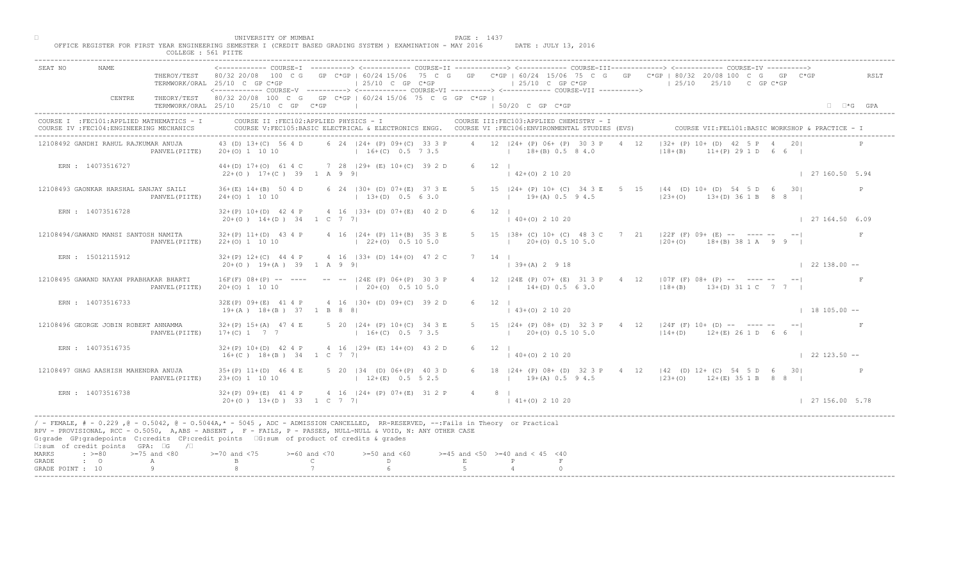| ------------- COURSE-I ----------> <------------ COURSE-II -------------> <------------ COURSE-III------------> <------------> COURSE-IV ----------> <--------------> COURSE-IV ------------- COURSE-II<br>SEAT NO                                                                                                                                                              |                        |
|---------------------------------------------------------------------------------------------------------------------------------------------------------------------------------------------------------------------------------------------------------------------------------------------------------------------------------------------------------------------------------|------------------------|
| THEROY/TEST 80/32 20/08 100 C G GP C*GP   60/24 15/06 75 C G GP C*GP   60/24 15/06 75 C G GP C*GP   80/32 20/08 100 C G GP C*GP<br>$125/10$ C GP C*GP<br>$125/10$ C GP C*GP<br>$125/10$ $25/10$ C GP C*GP<br>TERMWORK/ORAL 25/10 C GP C*GP<br><------------ COURSE-V ----------> <----------- COURSE-VI -----------> <------------ COURSE-VII ---------->                       | RSLT                   |
| THEORY/TEST 80/32 20/08 100 C G GP C*GP   60/24 15/06 75 C G GP C*GP  <br>CENTRE<br>TERMWORK/ORAL 25/10 25/10 C GP C*GP  <br>$150/20$ C GP C*GP                                                                                                                                                                                                                                 | $\Box$ $\Box$ *G GPA   |
| COURSE II : FEC102: APPLIED PHYSICS - I<br>COURSE III: FEC103: APPLIED CHEMISTRY - I<br>COURSE I : FEC101: APPLIED MATHEMATICS - I<br>COURSE VII: FEL101: BASIC WORKSHOP & PRACTICE - I<br>COURSE IV : FEC104: ENGINEERING MECHANICS<br>COURSE V:FEC105:BASIC ELECTRICAL & ELECTRONICS ENGG. COURSE VI :FEC106:ENVIRONMENTAL STUDIES (EVS)                                      |                        |
| $ 32 + (P) 10 + (D) 42 $<br>4 12 124 + (P) 06 + (P) 30 3 P<br>43 (D) 13+(C) 56 4 D<br>6 24   24 + (P) 09 + (C) 33 3 P<br>4 12<br>12108492 GANDHI RAHUL RAJKUMAR ANUJA<br>$20+(0)$ 1 10 10<br>$16+(C)$ 0.5 7 3.5 $18+(B)$ 0.5 8 4.0<br>$ 18 + (B)$<br>$11+(P)$ 29 1 D 6 6  <br>PANVEL (PIITE)                                                                                    |                        |
| 44+(D) 17+(O) 61 4 C 7 28   29+ (E) 10+(C) 39 2 D<br>$6 \t12 \t1$<br>ERN : 14073516727<br>$(42+(0) 2 10 20)$<br>$22+(0)$ 17+(C) 39 1 A 9 9                                                                                                                                                                                                                                      | 127160.505.94          |
| 5 15   24 + (P) 10 + (C) 34 3 E 5<br>15   44 (D) 10+ (D) 54 5 D 6 30<br>12108493 GAONKAR HARSHAL SANJAY SAILI<br>$36+(E)$ 14+(B) 50 4 D<br>6 24   30 + (D) 07 + (E) 37 3 E<br>$ 23+(0)$ $13+(D) 36 1 B 8 8$<br>$13+(D)$ 0.5 6 3.0<br>$19+(A) 0.5 9 4.5$<br>PANVEL (PIITE)<br>$24+(0)$ 1 10 10                                                                                   |                        |
| $6 \t12 \t1$<br>ERN : 14073516728<br>$32+(P)$ 10+(D) 42 4 P 4 16  33+ (D) 07+(E) 40 2 D<br>$140+(0)21020$<br>$20+(0)$ 14+(D) 34 1 C 7 7                                                                                                                                                                                                                                         | $\vert$ 27 164.50 6.09 |
| $32+(P)$ 11+(D) 43 4 P 4 16   24+ (P) 11+(B) 35 3 E<br>5 15 $ 38 + (C) 10 + (C) 48 3$<br>$C$ 7 21   22 F (F) 09+ (E) -- ---- -- -- <br>12108494/GAWAND MANSI SANTOSH NAMITA<br>$1 \t20 \pm (0) \t0.5 \t10 \t5.0$<br>$(22+(0) 0.5 10 5.0)$<br>22+(0) 1 10 10<br>$120+(0)$ 18+(B) 38 1 A 9 9 I<br>PANVEL (PIITE)                                                                  |                        |
| ERN : 15012115912<br>$32+(P)$ 12+(C) 44 4 P 4 16   33+ (D) 14+(0) 47 2 C<br>$7 \t14$<br>$39+(A)$ 2 9 18<br>$20+(0)$ 19+(A) 39 1 A 9 9<br>$\vert$ 22 138.00 --                                                                                                                                                                                                                   |                        |
| $16F(F)$ $08+(P)$ -- ---- -- --  24E (P) $06+(P)$ 30 3 P<br>  24E (P) 07+ (E) 31 3 P 4 12   07F (F) 08+ (P) -- ---- -- -- <br>12108495 GAWAND NAYAN PRABHAKAR BHARTI<br>$14+(D)$ 0.5 6 3.0 $13+(B)$ 13+(D) 31 1 C 7 7  <br>$(20+(0) 0.5 10 5.0)$<br>$20+(0)$ 1 10 10<br>PANVEL (PIITE)                                                                                          |                        |
| 32E(P) 09+(E) 41 4 P 4 16   30+ (D) 09+(C) 39 2 D<br>ERN : 14073516733<br>$19+(A)$ $18+(B)$ 37 1 B 8 8<br>$(43+(0) 2 10 20)$<br>$18105.00 -$                                                                                                                                                                                                                                    |                        |
| $5$ 20 $ 24 + (P) 10 + (C)$<br>5 15   24+ (P) 08+ (D) 32 3 P 4 12   24F (F) 10+ (D) -- ---- -- -- <br>12108496 GEORGE JOBIN ROBERT ANNAMMA<br>$32+(P)$ 15+(A) 47 4 E<br>$17+(C)$ 1 7 7<br>$16 + (C)$<br>$1 \t20+(0) \t0.5 \t10 \t5.0$<br>$114+(D)$ $12+(E)$ 26 1 D 6 6  <br>PANVEL (PIITE)                                                                                      |                        |
| 4 16 $(29 + \binom{1}{2} + (0) + (3) + (0)$<br>ERN : 14073516735<br>$32+(P)$ 10+(D) 42 4 P<br>$6 \t 12 \t 1$<br>$16+(C)$ $18+(B)$ 34 1 C 7<br>$140+(0)21020$<br>$\vert$ 22 123.50 $\sim$                                                                                                                                                                                        |                        |
| $35+(P)$ 11+(D) 46 4 E<br>$(D)$ 06+(P) 40 3 D<br>6 18   24 + (P) 08 + (D) 32 3 P + 4 12   42 (D) 12 + (C) 54 5 D 6 30  <br>12108497 GHAG AASHISH MAHENDRA ANUJA<br>134.<br>$12+(E)$ 0.5 5 2.5<br>$23+(0)$ 1 10 10<br>$12+ (R) 0.5 9 4.5$ $12+ (C) 12+ (E) 35 1 B 8 8 1$<br>PANVEL (PIITE)                                                                                       |                        |
| $32+(P)$ 09+(E) 41 4 <b>P</b><br>ERN : 14073516738<br>$4 \cdot 16$ $ 24 + (P) 07 + (E) 31 2 P$<br>4 8 1<br>$20+(0)$ 13+(D) 33 1 c 7 7<br>$141+(0)21020$                                                                                                                                                                                                                         | 127156.005.78          |
| / - FEMALE, # - 0.229, @ - 0.5042, @ - 0.5044A,* - 5045, ADC - ADMISSION CANCELLED, RR-RESERVED, --:Fails in Theory or Practical<br>RPV - PROVISIONAL, RCC - 0.5050, A, ABS - ABSENT, P- FAILS, P - PASSES, NULL-NULL & VOID, N: ANY OTHER CASE<br>G:grade GP:gradepoints C:credits CP:credit points [6:sum of product of credits & grades<br>□:sum of credit points GPA: □G /□ |                        |
| MARKS<br>$: >=80$<br>$>=75$ and $<80$<br>$\sqrt{0}$ and $\sqrt{75}$<br>$>= 60$ and $< 70$<br>$>=50$ and $<60$<br>$>=45$ and $<50$ $>=40$ and $< 45$ $<40$<br>$\cdot$ $\cdot$ 0<br>$\mathbb{C}$ and $\mathbb{C}$<br>$D \sim 1$<br>$\,$ E $\,$<br>GRADE<br>A<br>GRADE POINT : 10                                                                                                  |                        |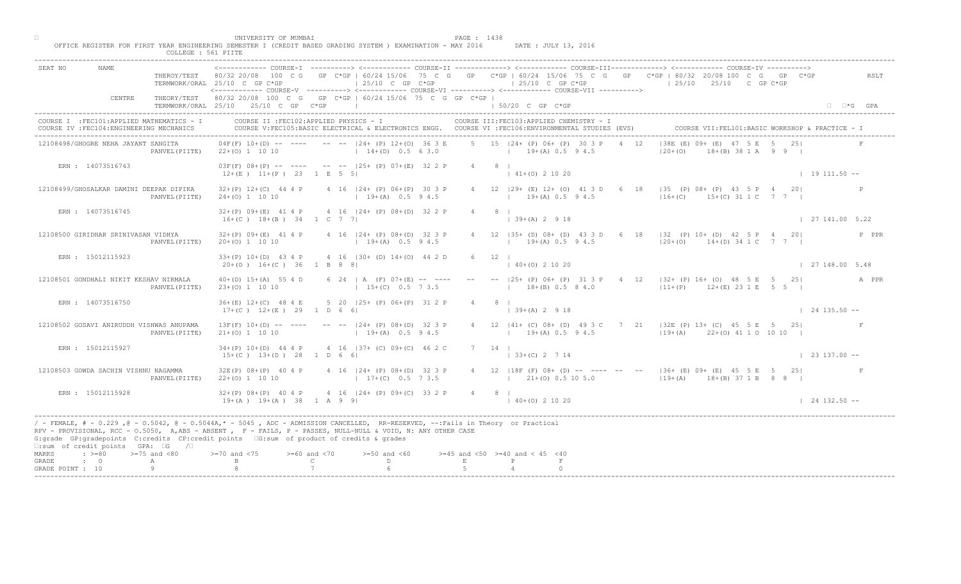| COLLEGE : 561 PIITE                                                                     |                                                                                                                                                                                                                                                                                                                                                                                                                                                                                                                         |                        |
|-----------------------------------------------------------------------------------------|-------------------------------------------------------------------------------------------------------------------------------------------------------------------------------------------------------------------------------------------------------------------------------------------------------------------------------------------------------------------------------------------------------------------------------------------------------------------------------------------------------------------------|------------------------|
| SEAT NO<br>NAME                                                                         | <------------ COURSE-T ----------> <------------ COURSE-II -------------> <------------ COURSE-III------------> <------------ COURSE-IV ----------><br>THEROY/TEST 80/32 20/08 100 C G GP C*GP   60/24 15/06 75 C G GP C*GP   60/24 15/06 75 C G GP C*GP   80/32 20/08 100 C G GP C*GP<br>$\vert$ 25/10 C GP C*GP<br>$125/10$ C GP C*GP<br>$125/10$ $25/10$ C GP C*GP<br>TERMWORK/ORAL 25/10 C GP C*GP<br><------------ COURSE-V ----------> <------------ COURSE-VI -----------> <------------ COURSE-VII -----------> | RSLT                   |
| CENTRE                                                                                  | THEORY/TEST 80/32 20/08 100 C G GP C*GP   60/24 15/06 75 C G GP C*GP  <br>  50/20 C GP C*GP<br>TERMWORK/ORAL 25/10 25/10 C GP C*GP                                                                                                                                                                                                                                                                                                                                                                                      | $\Box$ $\Box$ *G GPA   |
| COURSE I : FEC101: APPLIED MATHEMATICS - I<br>COURSE IV : FEC104: ENGINEERING MECHANICS | COURSE II : FEC102: APPLIED PHYSICS - I<br>COURSE III: FEC103: APPLIED CHEMISTRY - I<br>COURSE V:FEC105:BASIC ELECTRICAL & ELECTRONICS ENGG. COURSE VI :FEC106:ENVIRONMENTAL STUDIES (EVS)<br>COURSE VII: FEL101: BASI                                                                                                                                                                                                                                                                                                  |                        |
| 12108498/GHOGRE NEHA JAYANT SANGITA<br>PANVEL (PIITE)                                   | 5 15 124+ (P) 06+ (P) 30 3 P<br>$138F$ $(F)$ $09 +$ $(F)$ $47$<br>$04F(F)$ 10+(D) -- ---- -- --  24+ (P) 12+(O) 36 3 E<br>12<br>$14+(D)$ 0.5 6 3.0<br>$19+(A) 0.5 9 4.5$<br>$ 20+(0) $<br>22+(0) 1 10 10                                                                                                                                                                                                                                                                                                                | $A(B)$ 38 1 A 9 9 I    |
| ERN : 14073516743                                                                       | $03F(F)$ $08+(P)$ -- ---- -- -- $125+(P)$ $07+(E)$ 32 2 P<br>4 8 1<br>$12+(E)$ $11+(P)$ 23 1 E 5 5<br>$\vert$ 41+(0) 2 10 20                                                                                                                                                                                                                                                                                                                                                                                            | $1 19 111.50 --$       |
| 12108499/GHOSALKAR DAMINI DEEPAK DIPIKA<br>PANVEL (PIITE)                               | 18   35 (P) 08+ (P) 43 5 P 4 20<br>$32+(P)$ $12+(C)$ 44 4 P<br>4 16   24 + (P) 06 + (P) 30 3 P<br>4 12 129 + (E) 12 + (O) 41 3 D<br>6<br>$16+(C)$ 15+(C) 31 1 C 7 7<br>$19+(A) 0.5 94.5$<br>$19+(A)$ 0.5 9 4.5<br>$24+(0)$ 1 10 10                                                                                                                                                                                                                                                                                      |                        |
| ERN : 14073516745                                                                       | 4 16   24 + (P) 08 + (D) 32 2 P<br>$32+(P)$ 09+(E) 41 4 P<br>81<br>$16+(C)$ $18+(B)$ 34 1 C 7 7<br>$\vert$ 39+(A) 2 9 18                                                                                                                                                                                                                                                                                                                                                                                                | $\vert$ 27 141,00 5.22 |
| 12108500 GIRIDHAR SRINIVASAN VIDHYA<br>PANVEL (PIITE)                                   | 12 $ 35+$ (D) 08+ (D) 43 3 D<br>$32+(P)$ 09+(E) 41 4 P<br>4 16   24 + (P) 08 + (D) 32 3 P<br>6 18   32 (P) 10 + (D) 42 5 P 4 20<br>$19+(A)$ 0.5 9 4.5<br>$19+(A)$ 0.5 9 4.5<br>$20+(0)$ 1 10 10<br>$ 20+(0)$ 14+(D) 34 1 C 7 7                                                                                                                                                                                                                                                                                          | P PPR                  |
| ERN : 15012115923                                                                       | 4 16 (30+ (D) 14+(0) 44 2 D<br>$33+(P)$ 10+(D) 43 4 P<br>6<br>12<br>$(0)$ 2 10 20<br>$20+(0)$ 16+(C) 36 1 B 8 8                                                                                                                                                                                                                                                                                                                                                                                                         | 127148.005.48          |
| 12108501 GONDHALI NIKIT KESHAV NIRMALA<br>PANVEL (PIITE)                                | $\sqrt{25+ (P)}$ 06+ (P) 31 3 P 4 12   32+ (P) 16+ (O) 48 5 E 5 25<br>$40+(D)$ 15+(A) 55 4 D<br>6 24   A (F) $07+(E)$ -- ---<br>$18+(B)$ 0.5 8 4.0<br>$111+(P)$ $12+(E)$ 23 1 E 5 5 I<br>$23+(0)$ 1 10 10<br>$1, 15+(C), 0.5, 7, 3.5$                                                                                                                                                                                                                                                                                   | A PPR                  |
| ERN : 14073516750                                                                       | 5 20 (25+ (P) 06+ (P) 31 2<br>$36+(E)$ 12+(C) 48 4 E<br>$17+(C)$ $12+(E)$ 29 1 D 6 6<br>$139+(A) 2918$                                                                                                                                                                                                                                                                                                                                                                                                                  | $124135.50 - -$        |
| 12108502 GOSAVI ANIRUDDH VISHWAS ANUPAMA<br>PANVEL (PIITE)                              | 4 12   41 + (C) 08 + (D) 49 3 C 7 21   32E (P) 13 + (C) 45 5 E 5 25  <br>$13F(F)$ $10+(D)$ -- ----<br>$-  24 + (P) 08 + (D)$<br>$21+(0)$ 1 10 10<br>$19+(A) 0.5 94.5$<br>$119+(A)$ $22+(O)$ 41 1 0 10 10 1<br>$1 + 19 + (A)$                                                                                                                                                                                                                                                                                            |                        |
| ERN : 15012115927                                                                       | $(37 + (c) 09 + (c) 46 2 C)$<br>$34+(P)$ 10+(D) 44 4 P<br>$7 \quad 14 \quad$<br>4 16<br>$15+(C)$ $13+(D)$ 28 1 D 6<br>$ $ 33+(C) 2 7 14                                                                                                                                                                                                                                                                                                                                                                                 | $\vert$ 23 137.00 --   |
| 12108503 GOWDA SACHIN VISHNU NAGAMMA<br>PANVEL (PIITE)                                  | $124+$ (P) 08+(D) 32 3 P<br>$32E(P)$ $08+(P)$ 40 4 P<br>4 12   18F (F) 08+ (D) -- ---- -- --   36+ (E) 09+ (E) 45 5 E 5 25 <br>$22+(0)$ 1 10 10<br>$17+(C)$ 0.5 7 3.5<br>$19+(A)$ $18+(B)$ $37 1 B$ 8 8 1                                                                                                                                                                                                                                                                                                               |                        |
| ERN : 15012115928                                                                       | $32+(P)$ 08+(P) 40 4 P<br>$4 \cdot 16$ $124 + (P)$ 09+(C) 33 2 P<br>4 8 1<br>$19+(A)$ $19+(A)$ $38$ $1$ A 9 9<br>$140+(0)21020$                                                                                                                                                                                                                                                                                                                                                                                         | $124132.50 - -$        |
| $\square$ : sum of credit points GPA: $\square$ G / $\square$                           | / - FEMALE, # - 0.229 ,@ - 0.5042, @ - 0.5044A,* - 5045 , ADC - ADMISSION CANCELLED, RR-RESERVED, --:Fails in Theory or Practical<br>RPV - PROVISIONAL, RCC - 0.5050, A, ABS - ABSENT , P- FAILS, P - PASSES, NULL-NULL & VOID, N: ANY OTHER CASE<br>G:grade GP:gradepoints C:credits CP:credit points 6:sum of product of credits & grades                                                                                                                                                                             |                        |
| $: >=80$<br>$>=75$ and $<80$<br>MARKS<br>GRADE<br>$\cdot$ $\cdot$ 0<br>А                | $>= 60$ and $< 70$<br>$>=50$ and $<60$<br>$>=45$ and $<50$ $>=40$ and $< 45$ $<40$<br>$0$ and $\langle 75$<br>$\mathsf{C}$<br>D.<br>$\mathbf{E}$                                                                                                                                                                                                                                                                                                                                                                        |                        |
| 9<br>GRADE POINT : 10                                                                   |                                                                                                                                                                                                                                                                                                                                                                                                                                                                                                                         |                        |

□ PAGE : 1438<br>OFFICE REGISTER FOR FIRST YEAR ENGINEERING SEMESTER I (CREDIT BASED GRADING SYSTEM ) EXAMINATION - MAY 2016 DATE : JULY 13, 2016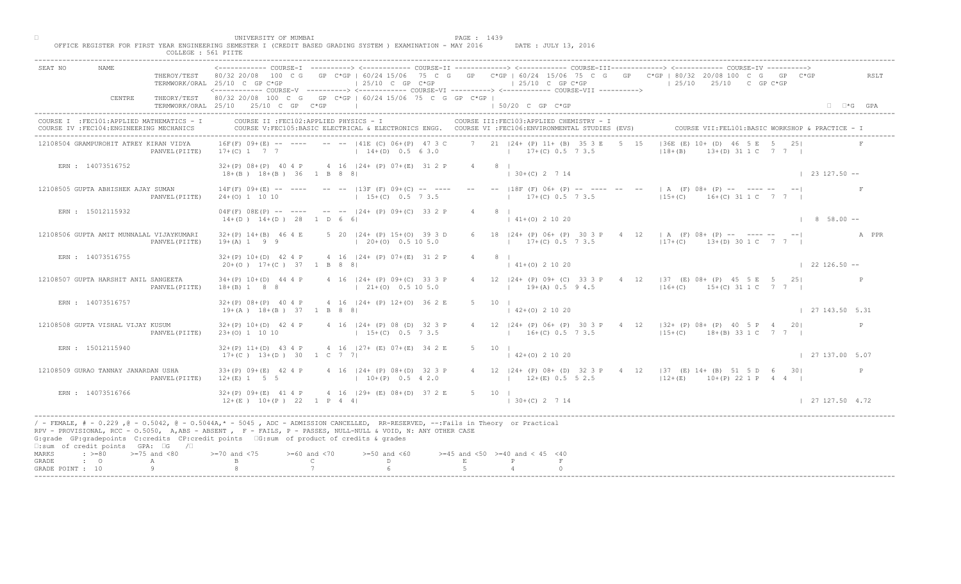| NAME.<br>SEAT NO                                                                                                                                                                                                                                                                                                                                                                                             |                | THEROY/TEST 80/32 20/08 100 C G GP C*GP   60/24 15/06 75 C G GP C*GP   60/24 15/06 75 C G GP C*GP   80/32 20/08 100 C G GP C*GP<br>TERMWORK/ORAL 25/10 C GP C*GP<br><------------ COURSE-V ----------> <------------ COURSE-VI ----------> <------------ COURSE-VII ----------> |                                    | $125/10$ C GP $C*GP$                                    |                                          |   |                      |                    | $125/10$ C GP $C*GP$                                    |       |                                         | $125/10$ $25/10$ C GP C*GP                                                                                      |                    | RSLT                 |
|--------------------------------------------------------------------------------------------------------------------------------------------------------------------------------------------------------------------------------------------------------------------------------------------------------------------------------------------------------------------------------------------------------------|----------------|---------------------------------------------------------------------------------------------------------------------------------------------------------------------------------------------------------------------------------------------------------------------------------|------------------------------------|---------------------------------------------------------|------------------------------------------|---|----------------------|--------------------|---------------------------------------------------------|-------|-----------------------------------------|-----------------------------------------------------------------------------------------------------------------|--------------------|----------------------|
| CENTRE                                                                                                                                                                                                                                                                                                                                                                                                       |                | THEORY/TEST 80/32 20/08 100 C G GP C*GP   60/24 15/06 75 C G GP C*GP  <br>TERMWORK/ORAL 25/10 25/10 C GP C*GP                                                                                                                                                                   |                                    | the contract of the contract of the contract of         |                                          |   | $150/20$ C GP $C*GP$ |                    |                                                         |       |                                         |                                                                                                                 |                    | $\Box$ $\Box$ *G GPA |
| COURSE I : FEC101: APPLIED MATHEMATICS - I<br>COURSE IV : FEC104: ENGINEERING MECHANICS                                                                                                                                                                                                                                                                                                                      |                | COURSE II : FEC102: APPLIED PHYSICS - I<br>COURSE V:FEC105:BASIC ELECTRICAL & ELECTRONICS ENGG. COURSE VI :FEC106:ENVIRONMENTAL STUDIES (EVS)                                                                                                                                   |                                    |                                                         |                                          |   |                      |                    | COURSE III: FEC103: APPLIED CHEMISTRY - I               |       |                                         | COURSE VII: FEL101: BASIC WORKSHOP & PRACTICE - 1                                                               |                    |                      |
| 12108504 GRAMPUROHIT ATREY KIRAN VIDYA                                                                                                                                                                                                                                                                                                                                                                       | PANVEL (PIITE) | $16F(F)$ 09+(E) -- ----<br>$17+(C)$ 1 7 7                                                                                                                                                                                                                                       |                                    | $--- 141E (C) 06+(P) 47 3 C$<br>$14+(D)$ 0.5 6 3.0      |                                          |   |                      |                    | 7 21   24 + (P) 11 + (B) 35 3 E<br>$17+(C)$ 0.5 7 3.5   | 5, 15 | $136E$ (E) $10+\sqrt{D}$<br>$118 + (B)$ |                                                                                                                 | $(D)$ 31 1 C 7 7 1 |                      |
| ERN : 14073516752                                                                                                                                                                                                                                                                                                                                                                                            |                | 32+(P) 08+(P) 40 4 P 4 16   24+ (P) 07+(E) 31 2 P<br>$18+(B)$ $18+(B)$ 36 1 B 8 8                                                                                                                                                                                               |                                    |                                                         |                                          |   | $4 \qquad 8 \qquad$  | $130+(C) 2714$     |                                                         |       |                                         |                                                                                                                 |                    | $\vert$ 23 127.50 -- |
| 12108505 GUPTA ABHISHEK AJAY SUMAN                                                                                                                                                                                                                                                                                                                                                                           | PANVEL (PIITE) | $14F(F)$ 09+(E) -- ---- -- -- $13F(F)$ 09+(C) -- ---- -- -- 118F (F) 06+ (P) -- ---- --<br>$24+(0)$ 1 10 10                                                                                                                                                                     |                                    | $15+(C)$ 0.5 7 3.5                                      |                                          |   |                      |                    | $17+(C)$ 0.5 7 3.5                                      |       |                                         | $\parallel$ A $(F)$ 08+ (P) -- ---- -- -- --<br>$15+(C)$ $16+(C)$ 31 1 C 7 7                                    |                    |                      |
| ERN : 15012115932                                                                                                                                                                                                                                                                                                                                                                                            |                | $04F(F)$ $08E(P)$ -- ---- -- --  24+ (P) $09+(C)$ 33 2 P<br>$14+(D)$ $14+(D)$ 28 1 D 6 6                                                                                                                                                                                        |                                    |                                                         |                                          |   | 8 <sub>1</sub>       | $ 41+(0) 2 10 20 $ |                                                         |       |                                         |                                                                                                                 |                    | $\vert$ 8 58.00 --   |
| 12108506 GUPTA AMIT MUNNALAL VIJAYKUMARI                                                                                                                                                                                                                                                                                                                                                                     | PANVEL (PIITE) | $32+(P)$ 14+(B) 46 4 E<br>$19+(A) 1 9 9$                                                                                                                                                                                                                                        |                                    | 5 20 124 + (P) 15 + (O) 39 3 D<br>$(20+(0) 0.5 10 5.0)$ |                                          |   |                      |                    | 18   24 + (P) 06 + (P) 30 3 P<br>$17 \pm (C)$ 0.5 7 3.5 |       |                                         | $ 17+(C)$ 13+(D) 30 1 C 7 7                                                                                     |                    |                      |
| ERN : 14073516755                                                                                                                                                                                                                                                                                                                                                                                            |                | $32+(P)$ 10+(D) 42 4 P 4 16  24+ (P) 07+(E) 31 2 P<br>$20+(0)$ 17+(C) 37 1 B 8 8                                                                                                                                                                                                |                                    |                                                         |                                          |   |                      | $41+(0)$ 2 10 20   |                                                         |       |                                         |                                                                                                                 |                    | $122126.50 - -$      |
| 12108507 GUPTA HARSHIT ANIL SANGEETA                                                                                                                                                                                                                                                                                                                                                                         | PANVEL (PIITE) | $34+(P)$ 10+(D) 44 4 P<br>$18+(B)$ 1 8 8                                                                                                                                                                                                                                        |                                    | 4 16   24 + (P) 09 + (C) 33 3 P<br>$121+(0)0.5105.0$    |                                          |   |                      |                    | $19+(A)$ 0.5 9 4.5                                      |       |                                         | $\sqrt{24 + (P)}$ 09+ (C) 33 3 P 4 12   37 (E) 08+ (P) 45 5 E 5 25<br>$ 16+(C)$ 15+(C) 31 1 C 7 7               |                    | $\mathbb{P}$         |
| ERN : 14073516757                                                                                                                                                                                                                                                                                                                                                                                            |                | $32+(P)$ 08+(P) 40 4 P<br>$19+(A)$ $18+(B)$ 37 1 B 8 8                                                                                                                                                                                                                          |                                    | 4 16 124 + (P) 12 + (0) 36 2                            |                                          |   |                      | $142+(0)21020$     |                                                         |       |                                         |                                                                                                                 |                    | 127143.505.31        |
| 12108508 GUPTA VISHAL VIJAY KUSUM                                                                                                                                                                                                                                                                                                                                                                            | PANVEL (PIITE) | $32+(P)$ 10+(D) 42 4 P<br>$23+(0)$ 1 10 10                                                                                                                                                                                                                                      |                                    | 4 16 $124 + (P) 08 \cdot (D)$<br>$1.5 + (C)$            |                                          |   |                      |                    | $16+(C)$ 0.5 7 3.5                                      |       |                                         | 4 12   24 + (P) 06 + (P) 30 3 P + 4 12   32 + (P) 08 + (P) + 40 5 P + 4 20  <br>$115+(C)$ $18+(B)$ 33 1 C 7 7 1 |                    | P                    |
| ERN : 15012115940                                                                                                                                                                                                                                                                                                                                                                                            |                | $32+(P)$ 11+(D) 43 4 P<br>$17+(C)$ $13+(D)$ 30 1 C 7                                                                                                                                                                                                                            |                                    | 4 16 $127 +$ (B) $07 + (E)$                             | 34 2 E                                   |   | $5 \qquad 10 \qquad$ | $142+(0)21020$     |                                                         |       |                                         |                                                                                                                 |                    | 127137.005.07        |
| 12108509 GURAO TANNAY JANARDAN USHA                                                                                                                                                                                                                                                                                                                                                                          | PANVEL (PIITE) | $33+(P)$ 09+(E) 42 4 P<br>$12+(E)$ 1 5 5                                                                                                                                                                                                                                        |                                    | $124+$ (P) 08+(D) 32 3 P<br>$10+(P)$ 0.5 4 2.0          |                                          |   |                      |                    | $12+(E)$ 0.5 5 2.5                                      |       |                                         | 4 12   24 + (P) 08 + (D) 32 3 P + 4 12   37 (E) 14 + (B) 51 5 D 6 30<br>$12+(E)$ $10+(P)$ 22 1 P 4 4 I          |                    |                      |
| ERN : 14073516766                                                                                                                                                                                                                                                                                                                                                                                            |                | $32+(P)$ 09+(E) 41 4 P<br>$12+(E)$ $10+(P)$ $22$ $1$ P 4 4                                                                                                                                                                                                                      |                                    | $4 \cdot 16$ $ 29 + (E) 08 + (D) 37 2 E$                |                                          |   | 5 10 1               | $ 30+(C) 2 7 14$   |                                                         |       |                                         |                                                                                                                 |                    | 127127.504.72        |
| / - FEMALE, # - 0.229 ,@ - 0.5042, @ - 0.5044A,* - 5045 , ADC - ADMISSION CANCELLED, RR-RESERVED, --:Fails in Theory or Practical<br>RPV - PROVISIONAL, RCC - 0.5050, A, ABS - ABSENT . P- FAILS, P - PASSES, NULL-NULL & VOID, N: ANY OTHER CASE<br>G:grade GP:gradepoints C:credits CP:credit points G:sum of product of credits & grades<br>$\square$ : sum of credit points GPA: $\square$ G / $\square$ |                |                                                                                                                                                                                                                                                                                 |                                    |                                                         |                                          |   |                      |                    |                                                         |       |                                         |                                                                                                                 |                    |                      |
| $\div$ >=80 >=75 and <80<br>MARKS<br>GRADE<br>$\cdot$ $\cdot$ 0<br>A                                                                                                                                                                                                                                                                                                                                         |                | $>= 70$ and $< 75$                                                                                                                                                                                                                                                              | $>= 60$ and $< 70$<br>$\mathbb{C}$ | $>=50$ and $<60$<br>D.                                  | $>=45$ and $<50$ $>=40$ and $< 45$ $<40$ | E | P                    |                    |                                                         |       |                                         |                                                                                                                 |                    |                      |
| Q<br>GRADE POINT : 10                                                                                                                                                                                                                                                                                                                                                                                        |                |                                                                                                                                                                                                                                                                                 |                                    |                                                         |                                          |   |                      |                    |                                                         |       |                                         |                                                                                                                 |                    |                      |

□ PAGE : 1439<br>OFFICE REGISTER FOR FIRST YEAR ENGINEERING SEMESTER I (CREDIT BASED GRADING SYSTEM ) EXAMINATION - MAY 2016 DATE : JULY 13, 2016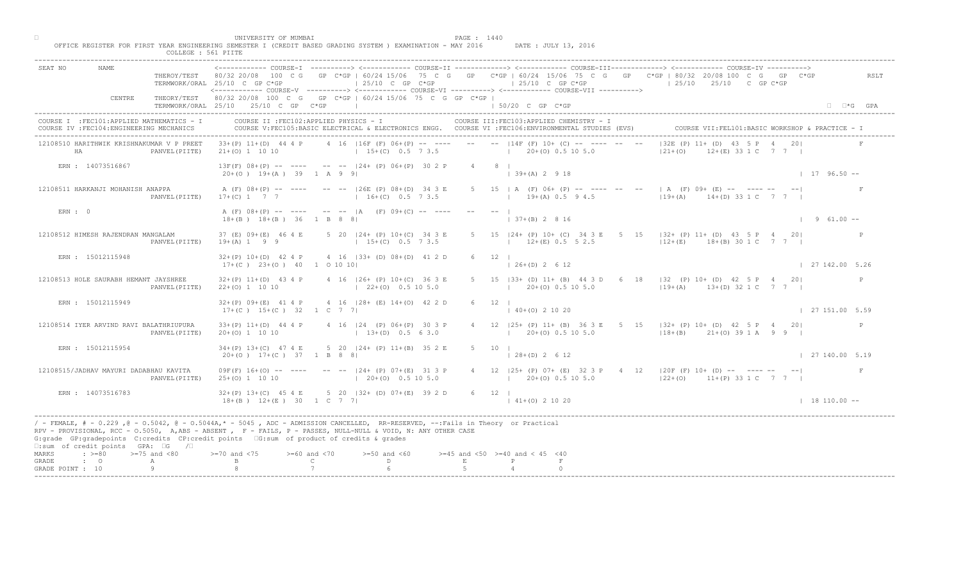| SEAT NO                   | <b>NAME</b>                                                                             |                | TERMWORK/ORAL 25/10 C GP C*GP                                                                                                                                                                                                                                                                                                               | 25/10 C GP C*GP                                                             |                     |                     | <------------ COURSE-T ----------> <------------ COURSE-TT -------------> <------------ COURSE-TTT------------> <------------- COURSE-TV ----------><br>THEROY/TEST 80/32 20/08 100 C G GP C*GP   60/24 15/06 75 C G GP C*GP   60/24 15/06 75 C G GP C*GP   80/32 20/08 100 C G GP C*GP<br>$125/10$ C GP C*GP<br><------------ COURSE-V ----------> <------------ COURSE-VI -----------> <------------ COURSE-VII ----------> |           | $125/10$ $25/10$ C GP C*GP                                                | RSLT                       |  |
|---------------------------|-----------------------------------------------------------------------------------------|----------------|---------------------------------------------------------------------------------------------------------------------------------------------------------------------------------------------------------------------------------------------------------------------------------------------------------------------------------------------|-----------------------------------------------------------------------------|---------------------|---------------------|-------------------------------------------------------------------------------------------------------------------------------------------------------------------------------------------------------------------------------------------------------------------------------------------------------------------------------------------------------------------------------------------------------------------------------|-----------|---------------------------------------------------------------------------|----------------------------|--|
|                           | CENTRE                                                                                  |                | THEORY/TEST 80/32 20/08 100 C G GP C*GP   60/24 15/06 75 C G GP C*GP  <br>TERMWORK/ORAL 25/10 25/10 C GP C*GP                                                                                                                                                                                                                               | the contract of the contract of the contract of the contract of             |                     |                     | $150/20$ C GP $C*GP$                                                                                                                                                                                                                                                                                                                                                                                                          |           |                                                                           | $\Box$ $\Box$ *G GPA       |  |
|                           | COURSE I : FEC101: APPLIED MATHEMATICS - I<br>COURSE IV : FEC104: ENGINEERING MECHANICS |                |                                                                                                                                                                                                                                                                                                                                             | COURSE II : FEC102: APPLIED PHYSICS - I                                     |                     |                     | COURSE III: FEC103: APPLIED CHEMISTRY - I<br>COURSE V:FEC105:BASIC ELECTRICAL & ELECTRONICS ENGG. COURSE VI :FEC106:ENVIRONMENTAL STUDIES (EVS)                                                                                                                                                                                                                                                                               |           | COURSE VII: FEL101: BASIC WORKSHOP & PRACTICE - I                         |                            |  |
|                           | 12108510 HARITHWIK KRISHNAKUMAR V P PREET<br>HA                                         | PANVEL (PIITE) | $33+(P)$ 11+(D) 44 4 P<br>$21+(0)$ 1 10 10                                                                                                                                                                                                                                                                                                  | $15+(C)$ 0.5 7 3.5 $105.0$                                                  |                     |                     | 4 16 116F (F) 06+(P) -- ---- -- -- -- 114F (F) 10+ (C) -- ---- -- --                                                                                                                                                                                                                                                                                                                                                          | $121+(0)$ | $132E$ (P) $11 + \text{ND}$ 43<br>$*(5) - 33$ 1 C 7 7 1                   |                            |  |
|                           | ERN : 14073516867                                                                       |                | $20+(0)$ 19+(A) 39 1 A 9 9                                                                                                                                                                                                                                                                                                                  | $13F(F)$ 08+(P) -- ---- -- --  24+ (P) 06+(P) 30 2 P                        |                     | $4 \qquad 8 \qquad$ | $(39+(A) 2 9 18)$                                                                                                                                                                                                                                                                                                                                                                                                             |           |                                                                           | $1796.50 -$                |  |
|                           | 12108511 HARKANJI MOHANISH ANAPPA                                                       | PANVEL (PIITE) | $17+(C)$ 1 7 7                                                                                                                                                                                                                                                                                                                              | A (F) 08+(P) -- ---- -- -- 126E (P) 08+(D) 34 3 E<br>$16+(C)$ 0.5 7 3.5     |                     |                     | $5 \t 15 \t A$ (F) $06+$ (P) -- ---- --<br>$19+(A) 0.5 9 4.5$                                                                                                                                                                                                                                                                                                                                                                 |           | $A^{\bullet}(F)$ 09+ (E) -- ---- -- -- <br>$19+(A)$ $14+(D)$ 33 1 C 7 7 1 |                            |  |
| ERN: 0                    |                                                                                         |                | $18+(B)$ $18+(B)$ 36 1 B 8 8                                                                                                                                                                                                                                                                                                                | A (F) 08+(P) -- ---- -- --  A (F) 09+(C) -- ----                            |                     |                     | $(37 + (B) 2 8 16)$                                                                                                                                                                                                                                                                                                                                                                                                           |           |                                                                           | $1 \t 9 \t 61.00 -$        |  |
|                           | 12108512 HIMESH RAJENDRAN MANGALAM                                                      | PANVEL (PIITE) | 37 (E) 09+ (E) 46 4 E<br>$19 + (A) 1 9 9$                                                                                                                                                                                                                                                                                                   | 5 20   24 + (P) 10 + (C) 34 3 E<br>$15+(C)$ 0.5 7 3.5                       |                     |                     | 5 15 $ 24 + (P) 10 + (C) 34$<br>$12\pm(E)$ 0.5 5 2.5                                                                                                                                                                                                                                                                                                                                                                          |           | 5 15   32 + (P) 11 + (D) 43 5 P 4 20  <br>$12+(E)$ 18+(B) 30 1 C 7 7      |                            |  |
|                           | ERN : 15012115948                                                                       |                | $17+(C)$ $23+(O)$ $40$ 1 0 10 10                                                                                                                                                                                                                                                                                                            | $32+(P)$ 10+(D) 42 4 P 4 16   33+ (D) 08+(D) 41 2 D                         |                     | $6 \t12 \t1$        | $26+(D)$ 2 6 12                                                                                                                                                                                                                                                                                                                                                                                                               |           |                                                                           | $\frac{1}{27}$ 142,00 5.26 |  |
|                           | 12108513 HOLE SAURABH HEMANT JAYSHREE                                                   | PANVEL (PIITE) | $22+(0)$ 1 10 10                                                                                                                                                                                                                                                                                                                            | $32+(P)$ 11+(D) 43 4 P 4 16  26+ (P) 10+(C) 36 3 E<br>$(22+(0) 0.5 10 5.0)$ |                     |                     | <b>B3+</b> (D) 11+ (B) 44 3 D 6 18   32 (P) 10+ (D) 42 5 P 4 20 <br>$20+ (0)$ 0.5 10 5.0                                                                                                                                                                                                                                                                                                                                      |           | $(19+(A)$ $13+(D)$ 32 1 C 7 7                                             |                            |  |
|                           | ERN : 15012115949                                                                       |                | $17+(C)$ $15+(C)$ 32 1 C 7 7                                                                                                                                                                                                                                                                                                                | $32+(P)$ 09+(E) 41 4 P 4 16  28+ (E) 14+(0) 42 2                            |                     |                     | $140+(0)21020$                                                                                                                                                                                                                                                                                                                                                                                                                |           |                                                                           | $\vert$ 27 151.00 5.59     |  |
|                           | 12108514 IYER ARVIND RAVI BALATHRIUPURA                                                 | PANVEL (PIITE) | $33+(P)$ 11+(D) 44 4 P<br>$20+(0)$ 1 10 10                                                                                                                                                                                                                                                                                                  | 4 16   24 (P) 06 + (P) 30 - 3 P<br>$13+(D) 0.5$                             |                     |                     | 4 12   25 + (P) 11 + (B) 36 3 E 5 15   32 + (P) 10 + (D) 42 5 P 4 20<br>$120+(0)0.5105.0$                                                                                                                                                                                                                                                                                                                                     |           | $118+(B)$ $21+(O)$ 39 1 A 9 9 1                                           | P                          |  |
|                           | ERN : 15012115954                                                                       |                | $34+(P)$ 13+(C) 47 4 E<br>$20+(0)$ 17+(C) 37 1 B 8                                                                                                                                                                                                                                                                                          | 5 20 $ 24 + (P) 11 + (B) 35 2 E$                                            |                     | 5 10 1              | $128+(D) 2612$                                                                                                                                                                                                                                                                                                                                                                                                                |           |                                                                           | 127140.005.19              |  |
|                           | 12108515/JADHAV MAYURI DADABHAU KAVITA                                                  | PANVEL (PIITE) | $09F(F)$ 16+(0) -- ----<br>$25+(0)$ 1 10 10                                                                                                                                                                                                                                                                                                 | $  24+$ (P) 07+(E) 31 3 P                                                   | $20+(0)$ 0.5 10 5.0 |                     | 4 12   25+ (P) 07+ (E) 32 3 P 4 12   20F (F) 10+ (D) -- ---- -- -- <br>$120+(0)0.5105.0$                                                                                                                                                                                                                                                                                                                                      |           | $ 22+(0)$ 11+(P) 33 1 C 7 7                                               | F                          |  |
|                           | ERN : 14073516783                                                                       |                | $32+(P)$ 13+(C) 45 4 E<br>$18+(B)$ $12+(E)$ $30$ $1 \text{ C}$ 7 7                                                                                                                                                                                                                                                                          | $5$ 20   32+ (D) 07+ (E) 39 2 D                                             |                     | 6 12                | $141+(0)21020$                                                                                                                                                                                                                                                                                                                                                                                                                |           |                                                                           | $\vert$ 18 110.00 --       |  |
|                           | $\square$ :sum of credit points GPA: $\square$ G / $\square$                            |                | / - FEMALE, # - 0.229 , @ - 0.5042, @ - 0.5044A,* - 5045 , ADC - ADMISSION CANCELLED, RR-RESERVED, --:Fails in Theory or Practical<br>RPV - PROVISIONAL, RCC - 0.5050, A,ABS - ABSENT, P - FAILS, P - PASSES, NULL-NULL & VOID, N: ANY OTHER CASE<br>G:grade GP:gradepoints C:credits CP:credit points G:sum of product of credits & grades |                                                                             |                     |                     |                                                                                                                                                                                                                                                                                                                                                                                                                               |           |                                                                           |                            |  |
| MARKS                     | $\div$ >=80 >=75 and <80                                                                |                | $> = 70$ and $< 75$                                                                                                                                                                                                                                                                                                                         | $>= 60$ and $< 70$<br>$>=50$ and $<60$                                      |                     |                     | $>=45$ and $<50$ $>=40$ and $< 45$ $<40$                                                                                                                                                                                                                                                                                                                                                                                      |           |                                                                           |                            |  |
| GRADE<br>GRADE POINT : 10 | $\cdot$ $\cdot$ 0                                                                       |                |                                                                                                                                                                                                                                                                                                                                             |                                                                             |                     |                     |                                                                                                                                                                                                                                                                                                                                                                                                                               |           |                                                                           |                            |  |
|                           |                                                                                         |                |                                                                                                                                                                                                                                                                                                                                             |                                                                             |                     |                     |                                                                                                                                                                                                                                                                                                                                                                                                                               |           |                                                                           |                            |  |

腓 UNIVERSITY OF MUMBAI PAGE : 1440 OFFICE REGISTER FOR FIRST YEAR ENGINEERING SEMESTER I (CREDIT BASED GRADING SYSTEM ) EXAMINATION - MAY 2016 DATE : JULY 13, 2016 COLLEGE : 561 PIITE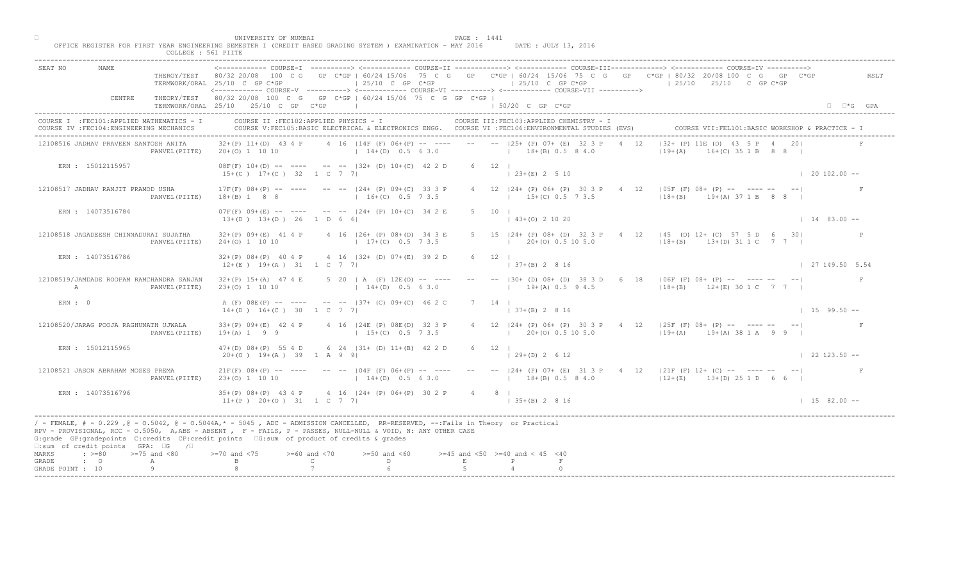|                                                 |                                                    |                                                             | UNIVERSITY OF MUMBAI                                   | OFFICE REGISTER FOR FIRST YEAR ENGINEERING SEMESTER I (CREDIT BASED GRADING SYSTEM ) EXAMINATION - MAY 2016                                                                                                                                                                                                                                  |                           | PAGE : 1441  |                                          | DATE : JULY 13, 2016                                          |                |                                                                                                                                                               |                                                   |                      |
|-------------------------------------------------|----------------------------------------------------|-------------------------------------------------------------|--------------------------------------------------------|----------------------------------------------------------------------------------------------------------------------------------------------------------------------------------------------------------------------------------------------------------------------------------------------------------------------------------------------|---------------------------|--------------|------------------------------------------|---------------------------------------------------------------|----------------|---------------------------------------------------------------------------------------------------------------------------------------------------------------|---------------------------------------------------|----------------------|
|                                                 |                                                    | COLLEGE : 561 PIITE                                         |                                                        |                                                                                                                                                                                                                                                                                                                                              |                           |              |                                          |                                                               |                |                                                                                                                                                               |                                                   |                      |
| SEAT NO                                         | NAME                                               |                                                             | TERMWORK/ORAL 25/10 C GP C*GP                          | $125/10$ C GP C*GP<br><------------ COURSE-V -----------> <------------ COURSE-VI -----------> <------------ COURSE-VII ----------->                                                                                                                                                                                                         |                           |              |                                          | $125/10$ C GP C*GP                                            |                | THEROY/TEST 80/32 20/08 100 C G GP C*GP   60/24 15/06 75 C G GP C*GP   60/24 15/06 75 C G GP C*GP   80/32 20/08 100 C G GP C*GP<br>$125/10$ $25/10$ C GP C*GP |                                                   | RSLT                 |
|                                                 | CENTRE                                             |                                                             | TERMWORK/ORAL 25/10 25/10 C GP C*GP                    | THEORY/TEST 80/32 20/08 100 C G GP C*GP   60/24 15/06 75 C G GP C*GP  <br>the control of the control of the control of                                                                                                                                                                                                                       |                           |              | $150/20$ C GP $C*GP$                     |                                                               |                |                                                                                                                                                               |                                                   | $\Box$ $\Box$ *G GPA |
|                                                 | COURSE IV : FEC104: ENGINEERING MECHANICS          | COURSE I : FEC101: APPLIED MATHEMATICS - I                  |                                                        | COURSE II : FEC102: APPLIED PHYSICS - I<br>COURSE V:FEC105:BASIC ELECTRICAL & ELECTRONICS ENGG. COURSE VI :FEC106:ENVIRONMENTAL STUDIES (EVS)                                                                                                                                                                                                |                           |              |                                          | COURSE III: FEC103: APPLIED CHEMISTRY - I                     |                |                                                                                                                                                               | COURSE VII: FEL101: BASIC WORKSHOP & PRACTICE - 1 |                      |
|                                                 | 12108516 JADHAV PRAVEEN SANTOSH ANITA              | PANVEL (PIITE)                                              |                                                        | $32+(P)$ 11+(D) 43 4 P 4 16   14F (F) 06+(P) -- ---- -- --   25+ (P) 07+ (E) 32 3 P 4 12<br>20+(0) 1 10 10 (14+(D) 0.5 6 3.0 (18+(B) 0.5 8 4.0                                                                                                                                                                                               |                           |              |                                          |                                                               |                | $ 32 + (P) 11E (D) 43 $<br>$119+(A)$                                                                                                                          | $16 + (C)$ 35 1 B 8 8                             |                      |
|                                                 | ERN : 15012115957                                  |                                                             | $15+(C)$ $17+(C)$ 32 1 C 7 7                           | $08F(F)$ 10+(D) -- ---- -- -- $-$ -32+ (D) 10+(C) 42 2 D                                                                                                                                                                                                                                                                                     |                           | 6 12 1       | $(23+(E) 2 5 10)$                        |                                                               |                |                                                                                                                                                               | $\vert$ 20 102.00 --                              |                      |
|                                                 | 12108517 JADHAV RANJIT PRAMOD USHA                 | PANVEL (PIITE)                                              |                                                        | $17F(F)$ 08+(P) -- ---- -- --  24+ (P) 09+(C) 33 3 P<br>18+(B) 1 8 8 16+(C) 0.5 7 3.5                                                                                                                                                                                                                                                        |                           |              |                                          | 4 12   24 + (P) 06 + (P) 30 3 P<br>$15+(C)$ 0.5 7 3.5         | $\overline{4}$ | $12$   05F (F) 08+ (P) -- ---- --<br>$18+(B)$ $19+(A)$ 37 1 B 8 8                                                                                             |                                                   |                      |
|                                                 | ERN : 14073516784                                  |                                                             | $13+(D)$ $13+(D)$ 26 1 D 6 6                           | $07F(F)$ 09+(E) -- ---- -- --  24+ (P) 10+(C) 34 2 E                                                                                                                                                                                                                                                                                         |                           | $5 \t10 \t1$ | $(43+(0) 2 10 20)$                       |                                                               |                |                                                                                                                                                               | $1483.00 - -$                                     |                      |
|                                                 | 12108518 JAGADEESH CHINNADURAI SUJATHA             | PANVEL (PIITE)                                              | $24+(0)$ 1 10 10                                       | 32+(P) 09+(E) 41 4 P 4 16   26+ (P) 08+(D) 34 3 E<br>$17+(C)$ 0.5 7 3.5                                                                                                                                                                                                                                                                      |                           |              |                                          | 5 15 $ 24 + (P) 08 + (D) 32 3$<br>$1$ 20 $\pm$ (0) 0.5 10 5.0 |                | $\begin{bmatrix} 4 & 12 &  45 & (D) & 12+ & (C) & 57 & 5 & D & 6 & 30 \end{bmatrix}$<br>$118+(B)$ $13+(D)$ 31 1 C 7 7                                         |                                                   |                      |
|                                                 | ERN : 14073516786                                  |                                                             | $12+(E)$ $19+(A)$ $31$ 1 C 7 7                         | 32+(P) 08+(P) 40 4 P 4 16   32+ (D) 07+(E) 39 2 D                                                                                                                                                                                                                                                                                            |                           | 6 12         |                                          | $7+(B)$ 2 8 16                                                |                |                                                                                                                                                               | 27 149.50 5.54                                    |                      |
| A                                               |                                                    | 12108519/JAMDADE ROOPAM RAMCHANDRA SANJAN<br>PANVEL (PIITE) | $32+(P)$ 15+(A) 47 4 E<br>$23+(0)$ 1 10 10             | 5 20   A $(F)$ 12E(0) -- ----<br>$14+(D)$ 0.5 6 3.0                                                                                                                                                                                                                                                                                          |                           |              |                                          |                                                               |                | B0+ (D) 08+ (D) 38 3 D 6 18   06F (F) 08+ (P) -- ---- -- -- <br>$19+(A)$ 0.5 9 4.5 $ 18+(B)$ 12+(E) 30 1 C 7 7                                                |                                                   |                      |
| ERN: 0                                          |                                                    |                                                             | $14+(D)$ $16+(C)$ 30 1 C 7 7                           | A (F) 08E(P) -- ---- -- --  37+ (C) 09+(C) 46 2 0                                                                                                                                                                                                                                                                                            |                           |              | $137+(B) 2816$                           |                                                               |                |                                                                                                                                                               | $1\quad 15\quad 99.50 - -$                        |                      |
|                                                 | 12108520/JARAG POOJA RAGHUNATH UJWALA              | PANVEL (PIITE)                                              | $33+(P)$ 09+(E) 42 4 P<br>$19+(A) 1 9 9$               | 4 16   24E (P) 08E (D)<br>$15+(C)$                                                                                                                                                                                                                                                                                                           |                           |              |                                          | $1\qquad 20+(0)$ 0.5 10 5.0                                   |                | 4 12   24 + (P) 06 + (P) 30 3 P + 4 12   25 F (F) 08 + (P) -- ---- -- -- --  <br>$119+(A)$ $19+(A)$ 38 1 A 9 9                                                |                                                   |                      |
|                                                 | ERN : 15012115965                                  |                                                             | $47+(D)$ $08+(P)$ 55 4 D<br>$20+(0)$ 19+(A) 39 1 A 9 9 | 6 24 $(31 + (D) 11 + (B) 42 2 D)$                                                                                                                                                                                                                                                                                                            |                           | $6 \t12$     | $129+(D) 2612$                           |                                                               |                |                                                                                                                                                               | $122123.50 -$                                     |                      |
|                                                 | 12108521 JASON ABRAHAM MOSES PREMA                 | PANVEL (PIITE)                                              | $21F(F)$ $08+(P)$ -- ----<br>$23+(0)$ 1 10 10          | $14+(D)$ 0.5 6 3.0                                                                                                                                                                                                                                                                                                                           | $104F$ (F) 06+(P) -- ---- |              |                                          |                                                               |                | -- -- $ 24 + (P) 07 + (E) 31 3 P 4 12  21F (F) 12 + (C) - - - - - - - - -  $<br>$12+(E)$ 0.5 8 4.0 $12+(E)$ 13+(D) 25 1 D 6 6                                 |                                                   |                      |
|                                                 | ERN : 14073516796                                  |                                                             | $35+(P)$ 08+(P) 43 4 P                                 | $35+(P)$ 08+(P) 43 4 2<br>11+(P) 20+(O) 31 1 2 7 7                                                                                                                                                                                                                                                                                           |                           | 4 8 1        | $\vert$ 35+(B) 2 8 16                    |                                                               |                |                                                                                                                                                               | $1\quad 15\quad 82.00 - -$                        |                      |
|                                                 | □:sum of credit points GPA: □G /□                  |                                                             |                                                        | / - FEMALE, # - 0.229, @ - 0.5042, @ - 0.5044A,* - 0045, ADC - ADMISSION CANCELLED, RR-RESERVED, --:Fails in Theory or Practical<br>RPV - PROVISIONAL, RCC - 0.5050, A, ABS - ABSENT , P - FAILS, P - PASSES, NULL-NULL & VOID, N: ANY OTHER CASE<br>G:grade GP:gradepoints C:credits CP:credit points [6:sum of product of credits & grades |                           |              |                                          |                                                               |                |                                                                                                                                                               |                                                   |                      |
| MARKS<br>$\cdot$ 0<br>GRADE<br>GRADE POINT : 10 | $\Rightarrow$ $>=$ 80 $\Rightarrow$ $=$ 75 and <80 | A<br>Q                                                      | $>= 70$ and $< 75$                                     | $>= 60$ and $< 70$<br>$>=50$ and $<60$<br>$\mathbb{C}$ and $\mathbb{C}$<br>$\mathbb{D}$ and $\mathbb{D}$                                                                                                                                                                                                                                     |                           | E            | $>=45$ and $<50$ $>=40$ and $< 45$ $<40$ |                                                               |                |                                                                                                                                                               |                                                   |                      |
|                                                 |                                                    |                                                             |                                                        |                                                                                                                                                                                                                                                                                                                                              |                           |              |                                          |                                                               |                |                                                                                                                                                               |                                                   |                      |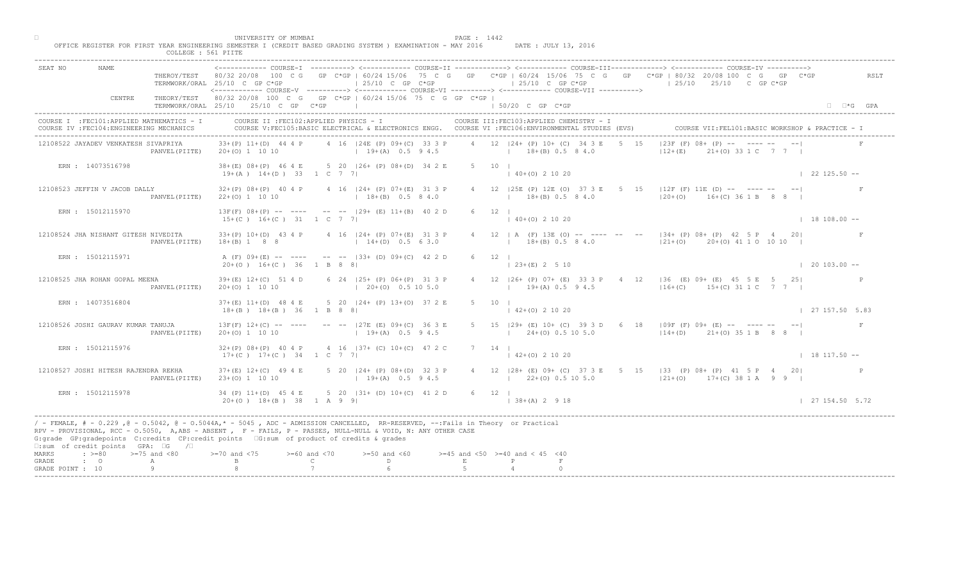| ------------- COURSE-I ----------> <------------ COURSE-II -------------> <------------ COURSE-III------------> <------------> COURSE-IV ----------> <--------------> COURSE-IV ------------- COURSE-II<br>SEAT NO<br>THEROY/TEST 80/32 20/08 100 C G GP C*GP   60/24 15/06 75 C G GP C*GP   60/24 15/06 75 C G GP C*GP   80/32 20/08 100 C G GP C*GP<br>RSLT<br>$\vert$ 25/10 C GP C*GP<br>$125/10$ C GP C*GP<br>$125/10$ $25/10$ C GP C*GP<br>TERMWORK/ORAL 25/10 C GP C*GP<br><------------ COURSE-V ----------> <------------ COURSE-VI ----------> <------------ COURSE-VII ----------><br>THEORY/TEST 80/32 20/08 100 C G GP C*GP   60/24 15/06 75 C G GP C*GP  <br>CENTRE<br>TERMWORK/ORAL 25/10 25/10 C GP C*GP  <br>$150/20$ C GP C*GP<br>$\Box$ $\Box$ *G GPA<br>COURSE II : FEC102: APPLIED PHYSICS - I<br>COURSE III: FEC103: APPLIED CHEMISTRY - I<br>COURSE I : FEC101: APPLIED MATHEMATICS - I<br>COURSE VII: FEL101: BASIC WORKSHOP & PRACTICE - I<br>COURSE IV : FEC104: ENGINEERING MECHANICS<br>COURSE V:FEC105:BASIC ELECTRICAL & ELECTRONICS ENGG. COURSE VI :FEC106:ENVIRONMENTAL STUDIES (EVS)<br>$ 23F(F) 08+$ $\sqrt{P}$ - $\sqrt{P}$ - - - -<br>4 12 124 + (P) 10 + (C) 34 3 E<br>4 16   24E (P) 09+ (C) 33 3 P<br>5 15<br>12108522 JAYADEV VENKATESH SIVAPRIYA<br>$33+(P)$ 11+(D) 44 4 P<br>$21+(0)$ 33 1 C 7 7 1<br>$20+(0)$ 1 10 10<br>$19+(A)$ 0.5 9 4.5 $18+(B)$ 0.5 8 4.0<br>$12+(E)$<br>PANVEL (PIITE)<br>ERN : 14073516798<br>38+(E) 08+(P) 46 4 E 5 20   26+ (P) 08+(D) 34 2 E<br>5 10 1<br>$(40+(0) 2 10 20)$<br>$122125.50 - -$<br>$19+(A)$ $14+(D)$ 33 1 C 7 7<br>4 12   25E (P) 12E (O) 37 3 E 5<br>$15$   $12F$ <sup>'</sup> (F) 11E (D) -- ---- -- -- <br>12108523 JEFFIN V JACOB DALLY<br>4 16   24 + (P) 07 + (E) 31 3 P<br>$32+(P)$ 08+(P) 40 4 P<br>$120+(0)$ $16+(C)$ 36 1 B 8 8 1<br>$18+(B)$ 0.5 8 4.0<br>$18+(B)$ 0.5 8 4.0<br>PANVEL (PIITE)<br>$22+(0)$ 1 10 10<br>$13F(F)$ 08+(P) -- ---- -- --  29+ (E) 11+(B) 40 2 D<br>ERN : 15012115970<br>6 12 1<br>$140+(0)21020$<br>$15+(C)$ $16+(C)$ $31$ $1$ C 7 7<br>$18108.00 -$<br>4 12   A (F) 13E (O)<br>$     34 + (P) 08 + (P) 42 5 P 4 20 $<br>33+(P) 10+(D) 43 4 P 4 16   24+ (P) 07+(E) 31 3 P<br>12108524 JHA NISHANT GITESH NIVEDITA<br>$18+(B)$ 0.5 8 4.0<br>$18+(B)$ 1 8 8 $14+(D)$ 0.5 6 3.0<br>$ 21+ (0)$ $20+ (0)$ 41 1 0 10 10  <br>PANVEL (PIITE)<br>ERN : 15012115971<br>A (F) 09+(E) -- ---- -- --  33+ (D) 09+(C) 42 2 D<br>$6 \t12 \t1$<br>$23+(E)$ 2 5 10<br>$20+(0)$ 16+(C) 36 1 B 8 8<br>$\vert$ 20 103.00 --<br>6 24   25 + (P) 06 + (P) 31 3 P<br>26+ (P) 07+ (E) 33 3 P 4 12   36 (E) 09+ (E) 45 5 E 5 25 <br>12108525 JHA ROHAN GOPAL MEENA<br>$39+(E)$ 12+(C) 51 4 D<br>$19+(A)$ 0.5 9 4.5 $16+(C)$ 15+(C) 31 1 C 7 7  <br>$(20+(0) 0.5 10 5.0)$<br>$20+(0)$ 1 10 10<br>PANVEL (PIITE)<br>5 20   24 + (P) 13 + (0) 37 2 E<br>$37+(E)$ 11+(D) 48 4 E<br>ERN : 14073516804<br>$18+(B)$ $18+(B)$ 36 1 B 8 8<br>$142+(0)21020$<br>$\mid$ 27 157.50 5.83<br>$13F(F)$ $12+(C)$ -- ----<br>5 15   29+ (E) 10+ (C) 39 3 D 6 18   09F (F) 09+ (E) -- ---- -- -- <br>12108526 JOSHI GAURAV KUMAR TANUJA<br>$-- -27E$ (E) 09+(C)<br>F<br>$20+(0)$ 1 10 10<br>$19 + (A)$<br>$1 \t24+(0) \t0.5 \t10 \t5.0$<br>$ 14+(D)$ 21+(0) 35 1 B 8 8  <br>PANVEL (PIITE)<br>4 16 $ 37 + (C) 10 + (C) 47 2 C$<br>ERN : 15012115976<br>$32+(P)$ 08+(P) 40 4 P<br>$7 \quad 14 \quad$<br>$17+(C)$ $17+(C)$ 34 1 C 7<br>$142+(0)21020$<br>$18117.50 -$<br>$37+ (E)$ 12+(C) 49 4 E<br>$124+$ (P) 08+(D) 32 3 P<br>4 12   28 + (E) 09 + (C) 37 3 E 5 15   33 (P) 08 + (P) 41 5 P 4 20<br>12108527 JOSHI HITESH RAJENDRA REKHA<br>$19+(A)$ 0.5 9 4.5<br>$23+(0)$ 1 10 10<br>$122+(0)0.5105.0$<br>$ 21+(0)$ 17+(C) 38 1 A 9 9  <br>PANVEL (PIITE)<br>34 (P) $11+(D)$ 45 4 E<br>34 (P) $11+(D)$ 45 4 E<br>20+(0) $18+(B)$ 38 1 A 9 9<br>ERN : 15012115978<br>$6 \t12$  <br>127154.505.72<br>$138+(A) 2 918$<br>/ - FEMALE, # - 0.229, @ - 0.5042, @ - 0.5044A,* - 5045, ADC - ADMISSION CANCELLED, RR-RESERVED, --:Fails in Theory or Practical<br>RPV - PROVISIONAL, RCC - 0.5050, A, ABS - ABSENT, P- FAILS, P - PASSES, NULL-NULL & VOID, N: ANY OTHER CASE<br>G:grade GP:gradepoints C:credits CP:credit points [6:sum of product of credits & grades<br>□:sum of credit points GPA: □G /□<br>MARKS<br>$\Rightarrow$ $>=80$ $>=75$ and $<80$<br>$70$ and $< 75$<br>$>= 60$ and $< 70$<br>$>=50$ and $<60$<br>$>=45$ and $<50$ $>=40$ and $< 45$ $<40$ |       | COLLEGE : 561 PIITE | UNIVERSITY OF MUMBAI<br>OFFICE REGISTER FOR FIRST YEAR ENGINEERING SEMESTER I (CREDIT BASED GRADING SYSTEM ) EXAMINATION - MAY 2016 DATE: JULY 13, 2016 |                               |   |              | PAGE : 1442 |  |  |
|-----------------------------------------------------------------------------------------------------------------------------------------------------------------------------------------------------------------------------------------------------------------------------------------------------------------------------------------------------------------------------------------------------------------------------------------------------------------------------------------------------------------------------------------------------------------------------------------------------------------------------------------------------------------------------------------------------------------------------------------------------------------------------------------------------------------------------------------------------------------------------------------------------------------------------------------------------------------------------------------------------------------------------------------------------------------------------------------------------------------------------------------------------------------------------------------------------------------------------------------------------------------------------------------------------------------------------------------------------------------------------------------------------------------------------------------------------------------------------------------------------------------------------------------------------------------------------------------------------------------------------------------------------------------------------------------------------------------------------------------------------------------------------------------------------------------------------------------------------------------------------------------------------------------------------------------------------------------------------------------------------------------------------------------------------------------------------------------------------------------------------------------------------------------------------------------------------------------------------------------------------------------------------------------------------------------------------------------------------------------------------------------------------------------------------------------------------------------------------------------------------------------------------------------------------------------------------------------------------------------------------------------------------------------------------------------------------------------------------------------------------------------------------------------------------------------------------------------------------------------------------------------------------------------------------------------------------------------------------------------------------------------------------------------------------------------------------------------------------------------------------------------------------------------------------------------------------------------------------------------------------------------------------------------------------------------------------------------------------------------------------------------------------------------------------------------------------------------------------------------------------------------------------------------------------------------------------------------------------------------------------------------------------------------------------------------------------------------------------------------------------------------------------------------------------------------------------------------------------------------------------------------------------------------------------------------------------------------------------------------------------------------------------------------------------------------------------------------------------------------------------------------------------------------------------------------------------------------------------------------------------------------------------------------------------------------------------------------------------------------------------------------------------------------------------------------------------|-------|---------------------|---------------------------------------------------------------------------------------------------------------------------------------------------------|-------------------------------|---|--------------|-------------|--|--|
|                                                                                                                                                                                                                                                                                                                                                                                                                                                                                                                                                                                                                                                                                                                                                                                                                                                                                                                                                                                                                                                                                                                                                                                                                                                                                                                                                                                                                                                                                                                                                                                                                                                                                                                                                                                                                                                                                                                                                                                                                                                                                                                                                                                                                                                                                                                                                                                                                                                                                                                                                                                                                                                                                                                                                                                                                                                                                                                                                                                                                                                                                                                                                                                                                                                                                                                                                                                                                                                                                                                                                                                                                                                                                                                                                                                                                                                                                                                                                                                                                                                                                                                                                                                                                                                                                                                                                                                                                                                     |       |                     |                                                                                                                                                         |                               |   |              |             |  |  |
|                                                                                                                                                                                                                                                                                                                                                                                                                                                                                                                                                                                                                                                                                                                                                                                                                                                                                                                                                                                                                                                                                                                                                                                                                                                                                                                                                                                                                                                                                                                                                                                                                                                                                                                                                                                                                                                                                                                                                                                                                                                                                                                                                                                                                                                                                                                                                                                                                                                                                                                                                                                                                                                                                                                                                                                                                                                                                                                                                                                                                                                                                                                                                                                                                                                                                                                                                                                                                                                                                                                                                                                                                                                                                                                                                                                                                                                                                                                                                                                                                                                                                                                                                                                                                                                                                                                                                                                                                                                     |       |                     |                                                                                                                                                         |                               |   |              |             |  |  |
|                                                                                                                                                                                                                                                                                                                                                                                                                                                                                                                                                                                                                                                                                                                                                                                                                                                                                                                                                                                                                                                                                                                                                                                                                                                                                                                                                                                                                                                                                                                                                                                                                                                                                                                                                                                                                                                                                                                                                                                                                                                                                                                                                                                                                                                                                                                                                                                                                                                                                                                                                                                                                                                                                                                                                                                                                                                                                                                                                                                                                                                                                                                                                                                                                                                                                                                                                                                                                                                                                                                                                                                                                                                                                                                                                                                                                                                                                                                                                                                                                                                                                                                                                                                                                                                                                                                                                                                                                                                     |       |                     |                                                                                                                                                         |                               |   |              |             |  |  |
|                                                                                                                                                                                                                                                                                                                                                                                                                                                                                                                                                                                                                                                                                                                                                                                                                                                                                                                                                                                                                                                                                                                                                                                                                                                                                                                                                                                                                                                                                                                                                                                                                                                                                                                                                                                                                                                                                                                                                                                                                                                                                                                                                                                                                                                                                                                                                                                                                                                                                                                                                                                                                                                                                                                                                                                                                                                                                                                                                                                                                                                                                                                                                                                                                                                                                                                                                                                                                                                                                                                                                                                                                                                                                                                                                                                                                                                                                                                                                                                                                                                                                                                                                                                                                                                                                                                                                                                                                                                     |       |                     |                                                                                                                                                         |                               |   |              |             |  |  |
|                                                                                                                                                                                                                                                                                                                                                                                                                                                                                                                                                                                                                                                                                                                                                                                                                                                                                                                                                                                                                                                                                                                                                                                                                                                                                                                                                                                                                                                                                                                                                                                                                                                                                                                                                                                                                                                                                                                                                                                                                                                                                                                                                                                                                                                                                                                                                                                                                                                                                                                                                                                                                                                                                                                                                                                                                                                                                                                                                                                                                                                                                                                                                                                                                                                                                                                                                                                                                                                                                                                                                                                                                                                                                                                                                                                                                                                                                                                                                                                                                                                                                                                                                                                                                                                                                                                                                                                                                                                     |       |                     |                                                                                                                                                         |                               |   |              |             |  |  |
|                                                                                                                                                                                                                                                                                                                                                                                                                                                                                                                                                                                                                                                                                                                                                                                                                                                                                                                                                                                                                                                                                                                                                                                                                                                                                                                                                                                                                                                                                                                                                                                                                                                                                                                                                                                                                                                                                                                                                                                                                                                                                                                                                                                                                                                                                                                                                                                                                                                                                                                                                                                                                                                                                                                                                                                                                                                                                                                                                                                                                                                                                                                                                                                                                                                                                                                                                                                                                                                                                                                                                                                                                                                                                                                                                                                                                                                                                                                                                                                                                                                                                                                                                                                                                                                                                                                                                                                                                                                     |       |                     |                                                                                                                                                         |                               |   |              |             |  |  |
|                                                                                                                                                                                                                                                                                                                                                                                                                                                                                                                                                                                                                                                                                                                                                                                                                                                                                                                                                                                                                                                                                                                                                                                                                                                                                                                                                                                                                                                                                                                                                                                                                                                                                                                                                                                                                                                                                                                                                                                                                                                                                                                                                                                                                                                                                                                                                                                                                                                                                                                                                                                                                                                                                                                                                                                                                                                                                                                                                                                                                                                                                                                                                                                                                                                                                                                                                                                                                                                                                                                                                                                                                                                                                                                                                                                                                                                                                                                                                                                                                                                                                                                                                                                                                                                                                                                                                                                                                                                     |       |                     |                                                                                                                                                         |                               |   |              |             |  |  |
|                                                                                                                                                                                                                                                                                                                                                                                                                                                                                                                                                                                                                                                                                                                                                                                                                                                                                                                                                                                                                                                                                                                                                                                                                                                                                                                                                                                                                                                                                                                                                                                                                                                                                                                                                                                                                                                                                                                                                                                                                                                                                                                                                                                                                                                                                                                                                                                                                                                                                                                                                                                                                                                                                                                                                                                                                                                                                                                                                                                                                                                                                                                                                                                                                                                                                                                                                                                                                                                                                                                                                                                                                                                                                                                                                                                                                                                                                                                                                                                                                                                                                                                                                                                                                                                                                                                                                                                                                                                     |       |                     |                                                                                                                                                         |                               |   |              |             |  |  |
|                                                                                                                                                                                                                                                                                                                                                                                                                                                                                                                                                                                                                                                                                                                                                                                                                                                                                                                                                                                                                                                                                                                                                                                                                                                                                                                                                                                                                                                                                                                                                                                                                                                                                                                                                                                                                                                                                                                                                                                                                                                                                                                                                                                                                                                                                                                                                                                                                                                                                                                                                                                                                                                                                                                                                                                                                                                                                                                                                                                                                                                                                                                                                                                                                                                                                                                                                                                                                                                                                                                                                                                                                                                                                                                                                                                                                                                                                                                                                                                                                                                                                                                                                                                                                                                                                                                                                                                                                                                     |       |                     |                                                                                                                                                         |                               |   |              |             |  |  |
|                                                                                                                                                                                                                                                                                                                                                                                                                                                                                                                                                                                                                                                                                                                                                                                                                                                                                                                                                                                                                                                                                                                                                                                                                                                                                                                                                                                                                                                                                                                                                                                                                                                                                                                                                                                                                                                                                                                                                                                                                                                                                                                                                                                                                                                                                                                                                                                                                                                                                                                                                                                                                                                                                                                                                                                                                                                                                                                                                                                                                                                                                                                                                                                                                                                                                                                                                                                                                                                                                                                                                                                                                                                                                                                                                                                                                                                                                                                                                                                                                                                                                                                                                                                                                                                                                                                                                                                                                                                     |       |                     |                                                                                                                                                         |                               |   |              |             |  |  |
|                                                                                                                                                                                                                                                                                                                                                                                                                                                                                                                                                                                                                                                                                                                                                                                                                                                                                                                                                                                                                                                                                                                                                                                                                                                                                                                                                                                                                                                                                                                                                                                                                                                                                                                                                                                                                                                                                                                                                                                                                                                                                                                                                                                                                                                                                                                                                                                                                                                                                                                                                                                                                                                                                                                                                                                                                                                                                                                                                                                                                                                                                                                                                                                                                                                                                                                                                                                                                                                                                                                                                                                                                                                                                                                                                                                                                                                                                                                                                                                                                                                                                                                                                                                                                                                                                                                                                                                                                                                     |       |                     |                                                                                                                                                         |                               |   |              |             |  |  |
|                                                                                                                                                                                                                                                                                                                                                                                                                                                                                                                                                                                                                                                                                                                                                                                                                                                                                                                                                                                                                                                                                                                                                                                                                                                                                                                                                                                                                                                                                                                                                                                                                                                                                                                                                                                                                                                                                                                                                                                                                                                                                                                                                                                                                                                                                                                                                                                                                                                                                                                                                                                                                                                                                                                                                                                                                                                                                                                                                                                                                                                                                                                                                                                                                                                                                                                                                                                                                                                                                                                                                                                                                                                                                                                                                                                                                                                                                                                                                                                                                                                                                                                                                                                                                                                                                                                                                                                                                                                     |       |                     |                                                                                                                                                         |                               |   |              |             |  |  |
|                                                                                                                                                                                                                                                                                                                                                                                                                                                                                                                                                                                                                                                                                                                                                                                                                                                                                                                                                                                                                                                                                                                                                                                                                                                                                                                                                                                                                                                                                                                                                                                                                                                                                                                                                                                                                                                                                                                                                                                                                                                                                                                                                                                                                                                                                                                                                                                                                                                                                                                                                                                                                                                                                                                                                                                                                                                                                                                                                                                                                                                                                                                                                                                                                                                                                                                                                                                                                                                                                                                                                                                                                                                                                                                                                                                                                                                                                                                                                                                                                                                                                                                                                                                                                                                                                                                                                                                                                                                     |       |                     |                                                                                                                                                         |                               |   |              |             |  |  |
|                                                                                                                                                                                                                                                                                                                                                                                                                                                                                                                                                                                                                                                                                                                                                                                                                                                                                                                                                                                                                                                                                                                                                                                                                                                                                                                                                                                                                                                                                                                                                                                                                                                                                                                                                                                                                                                                                                                                                                                                                                                                                                                                                                                                                                                                                                                                                                                                                                                                                                                                                                                                                                                                                                                                                                                                                                                                                                                                                                                                                                                                                                                                                                                                                                                                                                                                                                                                                                                                                                                                                                                                                                                                                                                                                                                                                                                                                                                                                                                                                                                                                                                                                                                                                                                                                                                                                                                                                                                     |       |                     |                                                                                                                                                         |                               |   |              |             |  |  |
|                                                                                                                                                                                                                                                                                                                                                                                                                                                                                                                                                                                                                                                                                                                                                                                                                                                                                                                                                                                                                                                                                                                                                                                                                                                                                                                                                                                                                                                                                                                                                                                                                                                                                                                                                                                                                                                                                                                                                                                                                                                                                                                                                                                                                                                                                                                                                                                                                                                                                                                                                                                                                                                                                                                                                                                                                                                                                                                                                                                                                                                                                                                                                                                                                                                                                                                                                                                                                                                                                                                                                                                                                                                                                                                                                                                                                                                                                                                                                                                                                                                                                                                                                                                                                                                                                                                                                                                                                                                     |       |                     |                                                                                                                                                         |                               |   |              |             |  |  |
|                                                                                                                                                                                                                                                                                                                                                                                                                                                                                                                                                                                                                                                                                                                                                                                                                                                                                                                                                                                                                                                                                                                                                                                                                                                                                                                                                                                                                                                                                                                                                                                                                                                                                                                                                                                                                                                                                                                                                                                                                                                                                                                                                                                                                                                                                                                                                                                                                                                                                                                                                                                                                                                                                                                                                                                                                                                                                                                                                                                                                                                                                                                                                                                                                                                                                                                                                                                                                                                                                                                                                                                                                                                                                                                                                                                                                                                                                                                                                                                                                                                                                                                                                                                                                                                                                                                                                                                                                                                     |       |                     |                                                                                                                                                         |                               |   |              |             |  |  |
| $\cdot$ $\cdot$ 0<br>A<br>GRADE POINT : 10                                                                                                                                                                                                                                                                                                                                                                                                                                                                                                                                                                                                                                                                                                                                                                                                                                                                                                                                                                                                                                                                                                                                                                                                                                                                                                                                                                                                                                                                                                                                                                                                                                                                                                                                                                                                                                                                                                                                                                                                                                                                                                                                                                                                                                                                                                                                                                                                                                                                                                                                                                                                                                                                                                                                                                                                                                                                                                                                                                                                                                                                                                                                                                                                                                                                                                                                                                                                                                                                                                                                                                                                                                                                                                                                                                                                                                                                                                                                                                                                                                                                                                                                                                                                                                                                                                                                                                                                          | GRADE |                     |                                                                                                                                                         | $\mathbb{C}$ and $\mathbb{C}$ | D | $\mathbf{E}$ |             |  |  |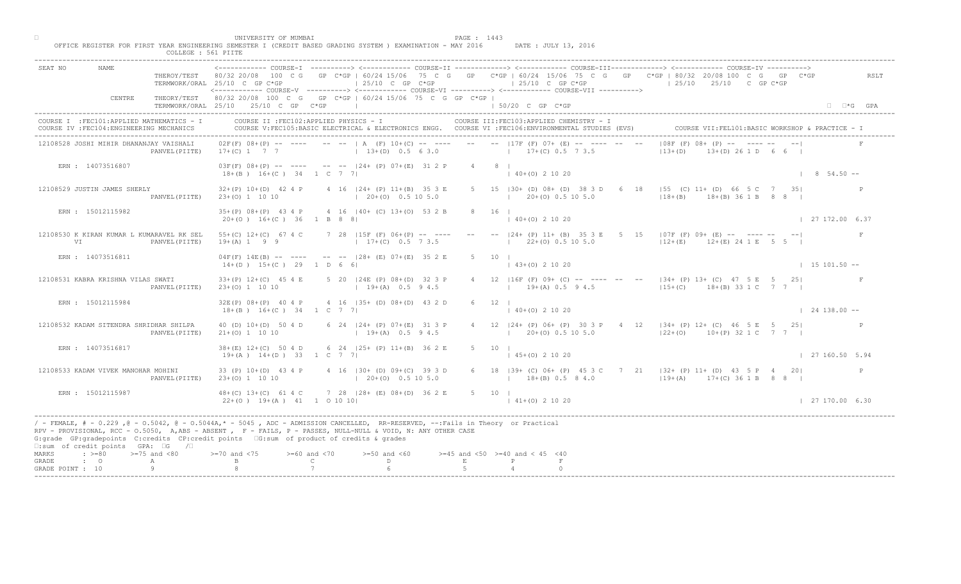| SEAT NO                                                                                                                                                                                                                                                                                                                                                                                                      |                | TERMWORK/ORAL 25/10 C GP C*GP                                | $125/10$ C GP C*GP<br><------------ COURSE-V ----------> <------------ COURSE-VI ----------> <------------ COURSE-VII ---------->             |        |                                               | $125/10$ C GP C*GP    |                                                          |   | THEROY/TEST 80/32 20/08 100 C G GP C*GP   60/24 15/06 75 C G GP C*GP   60/24 15/06 75 C G GP C*GP   80/32 20/08 100 C G GP C*GP<br>$125/10$ $25/10$ C GP C*GP |     | RSLT                 |
|--------------------------------------------------------------------------------------------------------------------------------------------------------------------------------------------------------------------------------------------------------------------------------------------------------------------------------------------------------------------------------------------------------------|----------------|--------------------------------------------------------------|-----------------------------------------------------------------------------------------------------------------------------------------------|--------|-----------------------------------------------|-----------------------|----------------------------------------------------------|---|---------------------------------------------------------------------------------------------------------------------------------------------------------------|-----|----------------------|
| CENTRE                                                                                                                                                                                                                                                                                                                                                                                                       |                | TERMWORK/ORAL 25/10 25/10 C GP C*GP                          | THEORY/TEST 80/32 20/08 100 C G GP C*GP   60/24 15/06 75 C G GP C*GP                                                                          |        |                                               | $\pm$ 50/20 C GP C*GP |                                                          |   |                                                                                                                                                               |     | $\Box$ $\Box$ *G GPA |
| COURSE I : FEC101: APPLIED MATHEMATICS - I<br>COURSE IV : FEC104: ENGINEERING MECHANICS                                                                                                                                                                                                                                                                                                                      |                |                                                              | COURSE II : FEC102: APPLIED PHYSICS - I<br>COURSE V:FEC105:BASIC ELECTRICAL & ELECTRONICS ENGG. COURSE VI :FEC106:ENVIRONMENTAL STUDIES (EVS) |        |                                               |                       | COURSE III: FEC103: APPLIED CHEMISTRY - I                |   |                                                                                                                                                               |     |                      |
| 12108528 JOSHI MIHIR DHANANJAY VAISHALI                                                                                                                                                                                                                                                                                                                                                                      | PANVEL (PIITE) | $17+(C)$ 1 7 7                                               | $0.2F(F)$ $0.8+(P)$ -- --- -- --   A (F) $10+(C)$ -- --- -- -- --   17F (F) 07+ (E)<br>$13+(D)$ 0.5 6 3.0                                     |        |                                               |                       | $17+(C)$ 0.5 7 3.5                                       |   | $108F$ (F) $08 + NP$ -- $\rightarrow$ -----<br>$ 13+(D) $<br>$13+(D)$ 26 1 D 6 6 I                                                                            |     |                      |
| ERN : 14073516807                                                                                                                                                                                                                                                                                                                                                                                            |                | $18+(B)$ $16+(C)$ $34$ $1$ C 7 7                             | $03F(F)$ $08+(P)$ -- --- -- -- $   24+(P)$ $07+(E)$ $31 2 P$                                                                                  |        | $4 \qquad 8 \qquad$                           | $140+(0)21020$        |                                                          |   |                                                                                                                                                               |     | $8, 54.50 - -$       |
| 12108529 JUSTIN JAMES SHERLY                                                                                                                                                                                                                                                                                                                                                                                 | PANVEL (PIITE) | $32+(P)$ 10+(D) 42 4 P<br>$23+(0)$ 1 10 10                   | 4 16 124 + (P) 11 + (B) 35 3 E<br>$(20+ (0) 0.5 10 5.0)$                                                                                      |        |                                               |                       | 5 15   30 + (D) 08 + (D) 38 3 D<br>$1$ 20+(0) 0.5 10 5.0 | 6 | $ 55 (C) 11+ (D) 66 5 C$<br>$18+(B)$ $18+(B)$ 36 1 B                                                                                                          | 351 |                      |
| ERN : 15012115982                                                                                                                                                                                                                                                                                                                                                                                            |                | $35+(P)$ $08+(P)$ 43 4 P<br>$20+(0)$ 16+(C) 36 1 B 8 8       | 4 16 (40+ (C) 13+(0) 53 2 B                                                                                                                   |        | 8 16 1                                        | $140+(0)21020$        |                                                          |   |                                                                                                                                                               |     | $1$ 27 172.00 6.37   |
| 12108530 K KIRAN KUMAR L KUMARAVEL RK SEL<br>VI                                                                                                                                                                                                                                                                                                                                                              | PANVEL (PIITE) | $55+(C)$ 12+(C) 67 4 C<br>$19+(A) 1 9 9$                     | 7 28 $15F$ (F) 06+(P) -- ---<br>$17+(C)$ 0.5 7 3.5                                                                                            |        |                                               |                       | $-  24 + (P) 11 + (B) 35 3$<br>$22\pm(0)$ 0.5 10 5.0     |   | $5\quad 15\quad  07F(F) 09+ (E)$ -- ------ --<br>$12+(E)$<br>$12+(E)$ 24 1 E 5 5                                                                              |     | $\,$ F $\,$          |
| ERN : 14073516811                                                                                                                                                                                                                                                                                                                                                                                            |                | $14+(D)$ $15+(C)$ 29 1 D 6 6                                 | $04F(F)$ 14E(B) -- ---- -- -- $ 28 + (E) 07 + (E) 35 2 E$                                                                                     |        | .5<br>10                                      |                       | $(0)$ 2 10 20                                            |   |                                                                                                                                                               |     | $1 15 101.50 - -$    |
| 12108531 KABRA KRISHNA VILAS SWATI                                                                                                                                                                                                                                                                                                                                                                           | PANVEL (PIITE) | $33+(P)$ 12+(C) 45 4 E<br>$23+(0)$ 1 10 10                   | 5 20   24E (P) 08+ (D) 32 3 P<br>$19+(A)$ 0.5 9 4.5                                                                                           |        |                                               |                       | $19+(A)$ 0.5 9 4.5                                       |   | LL6F (F) 09+ (C) -- ---- -- -- --  34+ (P) 13+ (C) 47 5 E 5 25 <br>$15+(C)$ 18+(B) 33 1 C 7 7                                                                 |     |                      |
| ERN : 15012115984                                                                                                                                                                                                                                                                                                                                                                                            |                | $32E(P)$ $08+(P)$ 40 4 P<br>$18+(B)$ $16+(C)$ $34$ $1$ C 7 7 | 4 16 (35+ (D) 08+ (D) 43 2                                                                                                                    |        |                                               | $140+(0)21020$        |                                                          |   |                                                                                                                                                               |     | $124138.00 - -$      |
| 12108532 KADAM SITENDRA SHRIDHAR SHILPA                                                                                                                                                                                                                                                                                                                                                                      | PANVEL (PIITE) | 40 (D) $10+(D)$ 50 4 D<br>$21+(0)$ 1 10 10                   | 6 24 $ 24 + (P) 07 + (E $<br>$1 + 19 + (A)$                                                                                                   |        |                                               |                       | $1$ 20+(0) 0.5 10 5.0                                    |   | 4 12   24 + (P) 06 + (P) 30 3 P + 4 12   34 + (P) 12 + (C) 46 5 E 5 25  <br>$122+(0)$ 10+(P) 32 1 C 7 7 1                                                     |     |                      |
| ERN : 14073516817                                                                                                                                                                                                                                                                                                                                                                                            |                | $38 + (E)$ 12+(C) 50 4 D<br>$19+(A)$ $14+(D)$ 33 1 C 7       | 6 24 $(25 + (R) 1 + (B))$                                                                                                                     | 36.2 E | 5 10 1                                        | $(45+(0) 2 10 20)$    |                                                          |   |                                                                                                                                                               |     | 127160.505.94        |
| 12108533 KADAM VIVEK MANOHAR MOHINI                                                                                                                                                                                                                                                                                                                                                                          | PANVEL (PIITE) | 33 (P) 10+ (D) 43 4 P<br>$23+(0)$ 1 10 10                    | $130+$ (D) 09+(C) 39 3 D<br>$20+(0)$ 0.5 10 5.0                                                                                               |        |                                               |                       | $18+(B)$ 0.5 8 4.0                                       |   | 6 18   39 + (C) 06 + (P) 45 3 C 7 21   32 + (P) 11 + (D) 43 5 P 4 20<br>$119+(A)$ 17+(C) 36 1 B 8 8                                                           |     |                      |
| ERN : 15012115987                                                                                                                                                                                                                                                                                                                                                                                            |                | $48+(C)$ 13+(C) 61 4<br>$22+(0)$ 19+(A) 41 1 0 10 10         | $728$ $ 28 + (E) 08 + (D) 36 2 E$                                                                                                             |        | 5 10 1                                        | $ 41+(0) 2 10 20$     |                                                          |   |                                                                                                                                                               |     | 127170.006.30        |
| / - FEMALE, # - 0.229 ,@ - 0.5042, @ - 0.5044A,* - 5045 , ADC - ADMISSION CANCELLED, RR-RESERVED, --:Fails in Theory or Practical<br>RPV - PROVISIONAL, RCC - 0.5050, A, ABS - ABSENT . P- FAILS, P - PASSES, NULL-NULL & VOID, N: ANY OTHER CASE<br>G:grade GP:gradepoints C:credits CP:credit points G:sum of product of credits & grades<br>$\square$ : sum of credit points GPA: $\square$ G / $\square$ |                |                                                              |                                                                                                                                               |        |                                               |                       |                                                          |   |                                                                                                                                                               |     |                      |
| $: >=80$<br>$>=75$ and $<80$<br>MARKS<br>GRADE<br>$\cdot$ 0<br>A                                                                                                                                                                                                                                                                                                                                             |                |                                                              | $>= 60$ and $< 70$<br>$>=50$ and $<60$<br>D.<br>$\mathbb{C}$                                                                                  |        | $>=45$ and $<50$ $>=40$ and $< 45$ $<40$<br>E | P                     |                                                          |   |                                                                                                                                                               |     |                      |
| 9<br>GRADE POINT : 10                                                                                                                                                                                                                                                                                                                                                                                        |                |                                                              |                                                                                                                                               |        |                                               |                       |                                                          |   |                                                                                                                                                               |     |                      |

□ PAGE : 1443<br>OFFICE REGISTER FOR FIRST YEAR ENGINEERING SEMESTER I (CREDIT BASED GRADING SYSTEM ) EXAMINATION - MAY 2016 DATE : JULY 13, 2016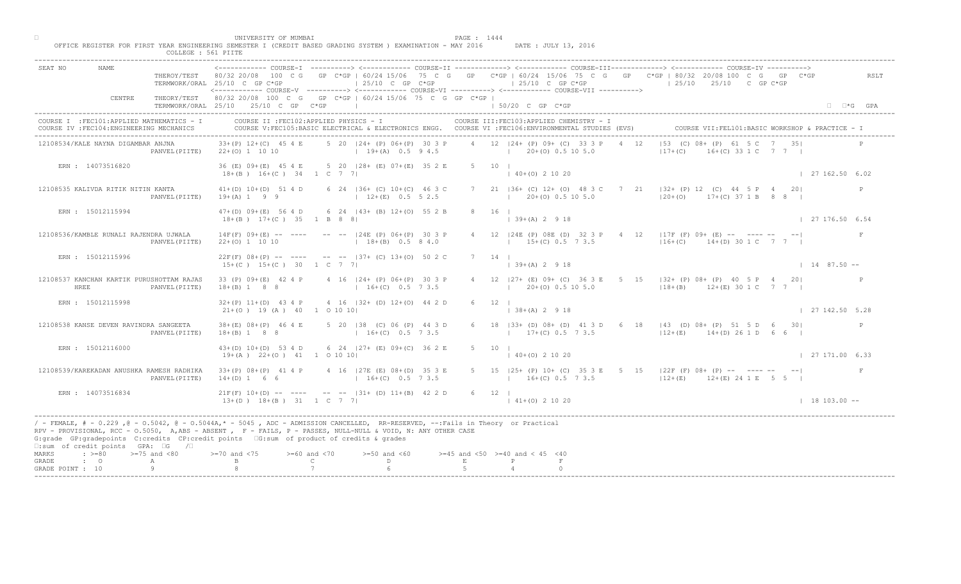| COLLEGE : 561 PIITE                                                                     | UNIVERSITY OF MUMBAI<br>PAGE : 1444<br>OFFICE REGISTER FOR FIRST YEAR ENGINEERING SEMESTER I (CREDIT BASED GRADING SYSTEM ) EXAMINATION - MAY 2016<br>DATE : JULY 13, 2016                                                                                                                                                                                 |                       |
|-----------------------------------------------------------------------------------------|------------------------------------------------------------------------------------------------------------------------------------------------------------------------------------------------------------------------------------------------------------------------------------------------------------------------------------------------------------|-----------------------|
| <b>NAME</b><br>SEAT NO                                                                  | THEROY/TEST 80/32 20/08 100 C G GP C*GP   60/24 15/06 75 C G GP C*GP   60/24 15/06 75 C G GP C*GP   80/32 20/08 100 C G GP C*GP<br>$125/10$ C GP C*GP<br>$125/10$ C GP $C*GP$<br>$125/10$ $25/10$ C GP C*GP<br>TERMWORK/ORAL 25/10 C GP C*GP<br><------------ COURSE-V ----------> <----------- COURSE-VI -----------> <----------- COURSE-VII ----------> | RSLT                  |
| CENTRE                                                                                  | THEORY/TEST 80/32 20/08 100 C G GP C*GP   60/24 15/06 75 C G GP C*GP  <br>TERMWORK/ORAL 25/10 25/10 C GP C*GP<br>the control of the control of the control of<br>1 50/20 C GP C*GP                                                                                                                                                                         | $\Box$ $\Box$ *G GPA  |
| COURSE I : FEC101: APPLIED MATHEMATICS - I<br>COURSE IV : FEC104: ENGINEERING MECHANICS | COURSE II : FEC102: APPLIED PHYSICS - I<br>COURSE III: FEC103: APPLIED CHEMISTRY - I<br>COURSE VII: FEL101: BASIC WORKSHOP & PRACTICE - 1<br>COURSE V:FEC105:BASIC ELECTRICAL & ELECTRONICS ENGG. COURSE VI :FEC106:ENVIRONMENTAL STUDIES (EVS)                                                                                                            |                       |
| 12108534/KALE NAYNA DIGAMBAR ANJNA<br>PANVEL (PIITE)                                    | $ 53$ (C) 08+ (P) 61 5 C 7 35<br>4 12 124 + (P) 09 + (C) 33 3 P<br>$33+(P)$ 12+(C) 45 4 E<br>5 20 124 + (P) 06 + (P) 30 3 P<br>4 12<br>$16+(C)$ 33 1 C 7 7 1<br>$19+(A)$ 0.5 9 4.5<br>$1 \t20+(0) \t0.5 \t10 \t5.0$<br>$ 17+(C) $<br>$22+(0)$ 1 10 10                                                                                                      |                       |
| ERN : 14073516820                                                                       | 36 (E) 09+ (E) 45 4 E 5 20   28+ (E) 07+ (E) 35 2 E<br>5 10 1<br>$(40+(0) 2 10 20)$<br>$18+(B)$ $16+(C)$ $34$ $1$ C 7 7                                                                                                                                                                                                                                    | 127162.506.02         |
| 12108535 KALIVDA RITIK NITIN KANTA<br>PANVEL (PIITE)                                    | 7 21   36 + (C) 12 + (0) 48 3 C 7<br>21 $ 32 + (P) 12$ (C) 44 5 P 4 20<br>6 24   36 + (C) 10 + (C) 46 3 C<br>$41+(D) 10+(D) 51 4 D$<br>$ 20+(0)$ 17+(C) 37 1 B 8 8<br>$19+(A) 1 9 9$<br>$12+(E)$ 0.5 5 2.5<br>$(20 + (0) 0.5 10 5.0$                                                                                                                       |                       |
| ERN : 15012115994                                                                       | 8 16 1<br>47+(D) 09+(E) 56 4 D 6 24   43+ (B) 12+(O) 55 2 B<br>$ 39+(A) 2 9 18$<br>$18+(B)$ $17+(C)$ 35 1 B 8 8                                                                                                                                                                                                                                            | 127176.506.54         |
| 12108536/KAMBLE RUNALI RAJENDRA UJWALA<br>PANVEL (PIITE)                                | $14F(F)$ 09+(E) -- ---- -- --  24E (P) 06+(P) 30 3 P<br>4 12   24E (P) 08E (D) 32 3<br>$4 \t12 \t 17F(F) 09+ (E) -- -- -- -- -- --$<br>$15+(C) 0.5 73.5$<br>$18+(B)$ 0.5 8 4.0<br>$116+(C)$ 14+(D) 30 1 C 7 7 1<br>$22+(0)$ 1 10 10                                                                                                                        |                       |
| ERN : 15012115996                                                                       | $22F(F)$ 08+(P) -- ---- -- --  37+ (C) 13+(0) 50 2 C<br>7 14 1<br>$39+(A)$ 2 9 18<br>$15+(C)$ $15+(C)$ 30 1 C 7 7                                                                                                                                                                                                                                          | $1487.50 -$           |
| 12108537 KANCHAN KARTIK PURUSHOTTAM RAJAS<br>HREE<br>PANVEL (PIITE)                     | 27+ (E) 09+ (C) 36 3 E 5 15   32+ (P) 08+ (P) 40 5 P 4 20 <br>33 (P) 09+(E) 42 4 P<br>4 16   24 + (P) 06 + (P) 30 3 P<br>$18+(B) 1 8 8$<br>$16+(C)$ 0.5 7 3.5<br>$20+ (0)$ 0.5 10 5.0<br>$18+(B)$ $12+(E)$ 30 1 C 7 7                                                                                                                                      |                       |
| ERN : 15012115998                                                                       | $4$ 16 $ 32 + (D) 12 + (O) 44 2$<br>$32+(P)$ 11+(D) 43 4 P<br>$21+ (0)$ 19 (A) 40 1 0 10 10<br>$138+(A) 2918$                                                                                                                                                                                                                                              | 127142.505.28         |
| 12108538 KANSE DEVEN RAVINDRA SANGEETA<br>PANVEL (PIITE)                                | 6 18   33+ (D) 08+ (D) 41 3 D 6 18   43 (D) 08+ (P) 51 5 D 6 30 <br>$38 + (E)$ 08+(P) 46 4 E<br>$5$ 20   38 (C) 06 (P<br>$18+(B) 1 8 8$<br>$17+(C)$ 0.5 7 3.5<br>$12+(E)$ $14+(D)$ 26 1 D 6 6 $\vert$<br>$16 + (C)$                                                                                                                                        | P                     |
| ERN : 15012116000                                                                       | 6 24 $ 27+$ (E) 09+ (C) 36 2 E<br>$43+(D)$ 10+(D) 53 4 D<br>$5 \t10 \t1$<br>$19+(A)$ $22+(O)$ $41$ $1$ $0$ $10$ $10$<br>$140+(0)21020$                                                                                                                                                                                                                     | $\mid$ 27 171,00 6.33 |
| 12108539/KAREKADAN ANUSHKA RAMESH RADHIKA<br>PANVEL (PIITE)                             | $33+(P)$ $08+(P)$ 41 4 P<br>$(E)$ 08+(D) 35 3 E<br>5 15   25 + (P) 10 + (C) 35 3 E 5 15   22 F (F) 08 + (P) -- ---- -- -- --<br>$16+(C)$ 0.5 7 3.5<br>$14+(D)$ 1 6 6<br>$16+(C)$ 0.5 7 3.5<br>$12+(E)$ $12+(E)$ $24$ 1 E 5 5 $\vert$                                                                                                                       |                       |
| ERN : 14073516834                                                                       | $21F(F)$ 10+(D) -- $-$<br>$-$ -- $ 31+ (D) 11+ (B) 42 2 D$<br>6 12  <br>$13+(D)$ $18+(B)$ $31$ $1$ C 7 7<br>$141+(0)21020$                                                                                                                                                                                                                                 | $1 18 103.00 --$      |
| $\square$ :sum of credit points GPA: $\square$ G / $\square$                            | / - FEMALE, # - 0.229, @ - 0.5042, @ - 0.5044A,* - 5045, ADC - ADMISSION CANCELLED, RR-RESERVED, --:Fails in Theory or Practical<br>RPV - PROVISIONAL, RCC - 0.5050, A, ABS - ABSENT A P - FAILS, P - PASSES, NULL-NULL & VOID, N: ANY OTHER CASE<br>G:grade GP:gradepoints C:credits CP:credit points 6:sum of product of credits & grades                |                       |
| MARKS<br>$\Rightarrow$ $>=$ 80 $\Rightarrow$ $=$ 75 and <80<br>$\cdot$ 0<br>GRADE<br>A  | $0$ and $\langle 75$<br>$>= 60$ and $< 70$<br>$>=50$ and $<60$<br>$>=45$ and $<50$ $>=40$ and $< 45$ $<40$<br>$\mathbb C$<br>$\mathbb{D}$ and $\mathbb{D}$<br>E<br>$\mathbb{P}$                                                                                                                                                                            |                       |
| 9<br>GRADE POINT : 10                                                                   |                                                                                                                                                                                                                                                                                                                                                            |                       |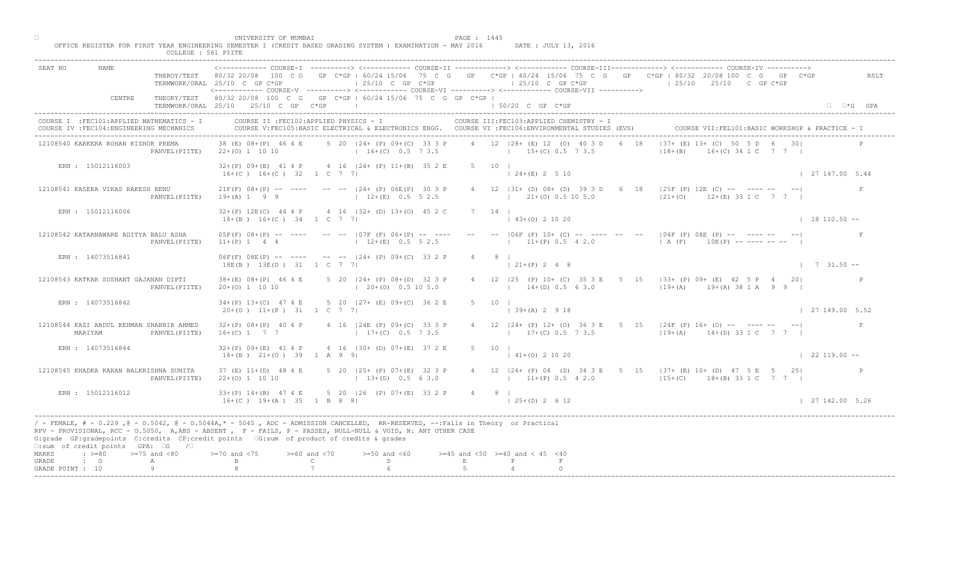| COLLEGE : 561 PIITE                                                                     | UNIVERSITY OF MUMBAI<br>PAGE : 1445<br>OFFICE REGISTER FOR FIRST YEAR ENGINEERING SEMESTER I (CREDIT BASED GRADING SYSTEM ) EXAMINATION - MAY 2016<br>DATE : JULY 13, 2016                                                                                                                                                                                 |                            |
|-----------------------------------------------------------------------------------------|------------------------------------------------------------------------------------------------------------------------------------------------------------------------------------------------------------------------------------------------------------------------------------------------------------------------------------------------------------|----------------------------|
| <b>NAME</b><br>SEAT NO                                                                  | THEROY/TEST 80/32 20/08 100 C G GP C*GP   60/24 15/06 75 C G GP C*GP   60/24 15/06 75 C G GP C*GP   80/32 20/08 100 C G GP C*GP<br>$125/10$ C GP C*GP<br>$125/10$ C GP C*GP<br>$125/10$ $25/10$ C GP C*GP<br>TERMWORK/ORAL 25/10 C GP C*GP<br><------------ COURSE-V ----------> <------------ COURSE-VI -----------> <------------ COURSE-VII ----------> | RSLT                       |
| CENTRE                                                                                  | THEORY/TEST 80/32 20/08 100 C G GP C*GP   60/24 15/06 75 C G GP C*GP  <br>TERMWORK/ORAL 25/10 25/10 C GP C*GP  <br>1 50/20 C GP C*GP                                                                                                                                                                                                                       | $\Box$ $\Box$ *G GPA       |
| COURSE I : FEC101: APPLIED MATHEMATICS - I<br>COURSE IV : FEC104: ENGINEERING MECHANICS | COURSE II : FEC102: APPLIED PHYSICS - I<br>COURSE III: FEC103: APPLIED CHEMISTRY - I<br>COURSE VII: FEL101: BASIC WORKSHOP & PRACTICE - 1<br>COURSE V:FEC105:BASIC ELECTRICAL & ELECTRONICS ENGG. COURSE VI :FEC106:ENVIRONMENTAL STUDIES (EVS)                                                                                                            |                            |
| 12108540 KARKERA ROHAN KISHOR PREMA<br>PANVEL (PIITE)                                   | $ 37 + (E) 13 + (C) 50$<br>5 20   24 + (P) 09 + (C) 33 3 P + 4 12   28 + (E) 12 (0) 40 3 D + 6 18<br>38 (E) 08 + (P) 46 4 E<br>$16 + (C)$ 34 1 C 7 7 1<br>$16+(C)$ 0.5 7 3.5 $15+(C)$ 0.5 7 3.5<br>$118 + (B)$<br>$22+(0)$ 1 10 10                                                                                                                         |                            |
| ERN : 15012116003                                                                       | $32+(P)$ 09+(E) 41 4 P 4 16  24+ (P) 11+(B) 35 2 E<br>5 10 1<br>$124+(E) 2510$<br>$16+(C)$ $16+(C)$ 32 1 C 7 7                                                                                                                                                                                                                                             | 127147.005.44              |
| 12108541 KASERA VIKAS RAKESH RENU<br>PANVEL (PIITE)                                     | 4 12   31 + (D) 08 + (D) 39 3 D 6<br>$18$  25F (F) 12E (C) -- ---- -- -- <br>$21F(F)$ $08+(P)$ -- --- -- -- $ 24+(P)$ $06E(P)$ 30 3 P<br>$ 21+(0)$ $12+(E)$ 33 1 C 7 7 1<br>$19+(A)$ 1 9 9 $12+(E)$ 0.5 5 2.5<br>$(21 + (0) 0.5 10 5.0)$                                                                                                                   |                            |
| ERN : 15012116006                                                                       | 32+(P) 12E(C) 44 4 P 4 16   32+ (D) 13+(0) 45 2 C<br>7 14 1<br>$(43+(0) 2 10 20)$<br>$18+(B)$ $16+(C)$ $34$ 1 C 7 7                                                                                                                                                                                                                                        | $18110.50 -$               |
| 12108542 KATARNAWARE ADITYA BALU ASHA<br>PANVEL (PIITE)                                 | $05F(F)$ $08+(P)$ -- ---- -- --   07F (F) $06+(P)$ -- ---- -- --   06F (F) $10+(C)$<br>$     04F$ (F) $08E$ (P) $       -$<br>$11+(P)$ 0.5 4 2.0<br>$12+(E)$ 0.5 5 2.5<br>$(A \ (F)$ 10E(P) --------- --<br>$11+(P) 1 4 4$                                                                                                                                 |                            |
| ERN : 14073516841                                                                       | $06F(F)$ $08E(P)$ -- --- -- -- $   24 + (P)$ $09 + (C)$ 33 2 P<br>$4\degree$<br>18E(B) 13E(D) 31 1 C 7 7                                                                                                                                                                                                                                                   | $1 \quad 7 \quad 31.50 --$ |
| 12108543 KATKAR SUSHANT GAJANAN DIPTI<br>PANVEL (PIITE)                                 | (P) 10+ (C) 35 3 E 5 15   33+ (P) 09+ (E) 42 5 P 4 20 <br>$38+(E)$ $08+(P)$ 46 4 E<br>5 20   24 + (P) 08 + (D) 32 3 P<br>$14+(D)$ 0.5 6 3.0 $19+(A)$ 19+(A) 38 1 A 9 9 1<br>$(20+(0) 0.5 10 5.0)$<br>$20+(0)$ 1 10 10                                                                                                                                      |                            |
| ERN : 14073516842                                                                       | 5 20 $\vert 27 + (E) 09 + (C) 36 2$<br>$34+(P)$ 13+(C) 47 4 E<br>$20+(0)$ 11+(P) 31 1 C 7 7<br>$139+(A) 2918$                                                                                                                                                                                                                                              | $\vert$ 27 149.00 5.52     |
| 12108544 KAZI ABDUL REHMAN SHABBIR AHMED<br>MARIYAM<br>PANVEL (PIITE)                   | 4 12   24 + (P) 12 + (O) 36 3 E 5 15   24 F (F) 16 + (O) -- ---- -- -- --<br>$32+(P)$ 08+(P) 40 4 P<br>$4$ 16 $ 24E(P)$ 09+(C)<br>$17+(C)$<br>$17+(C)$ 0.5 7 3.5<br>$119+(A)$ $14+(D)$ 33 1 C 7 7 1<br>$16+(C)$ 1 7 7                                                                                                                                      | F                          |
| ERN : 14073516844                                                                       | 4 16 $(30 + \bigr) 0 + (E) 37 2 E$<br>$32+(P)$ 09+(E) 41 4 P<br>5 10 1<br>$18+(B)$ $21+(O)$ 39 1 A 9<br>$141+(0)21020$                                                                                                                                                                                                                                     | $\vert$ 22 119.00 --       |
| 12108545 KHADKA KARAN BALKRISHNA SUNITA<br>PANVEL (PIITE)                               | 37 (E) 11+(D) 48 4 E<br>$P(P)$ 07+(E) 32 3 P<br>4 12   26 + (P) 08 (D) 34 3 E 5 15   37 + (E) 10 + (D) 47 5 E 5 25  <br>$13+(D)$ 0.5 6 3.0<br>$22+(0)$ 1 10 10<br>$13+(P) 0.5 4 2.0$ $13+(C) 18+(B) 33 1 C 7 7$                                                                                                                                            |                            |
| ERN : 15012116012                                                                       | $33+(P)$ 14+(B) 47 4 E<br>$5$ 20   26 (P) 07+(E) 33 2 P<br>$4 \qquad 8 \qquad$<br>$16+(C)$ $19+(A)$ $35$ $18$ $8$ $8$<br>$125+(D)2612$                                                                                                                                                                                                                     | 127142.005.26              |
| $\square$ :sum of credit points GPA: $\square$ G / $\square$                            | / - FEMALE, # - 0.229, @ - 0.5042, @ - 0.5044A,* - 5045, ADC - ADMISSION CANCELLED, RR-RESERVED, --:Fails in Theory or Practical<br>RPV - PROVISIONAL, RCC - 0.5050, A, ABS - ABSENT A P - FAILS, P - PASSES, NULL-NULL & VOID, N: ANY OTHER CASE<br>G:grade GP:gradepoints C:credits CP:credit points [6:sum of product of credits & grades               |                            |
| $\Rightarrow$ $>=80$ $>=75$ and $<80$<br>MARKS<br>$\cdot$ 0<br>GRADE<br>A               | $0$ and $\langle 75$<br>$>= 60$ and $< 70$<br>$>=50$ and $<60$<br>$>=45$ and $<50$ $>=40$ and $< 45$ $<40$<br>$\mathbb{C}$ and $\mathbb{C}$<br>$\mathbb{D}$ and $\mathbb{D}$<br>E<br>P                                                                                                                                                                     |                            |
| 9<br>GRADE POINT : 10                                                                   |                                                                                                                                                                                                                                                                                                                                                            |                            |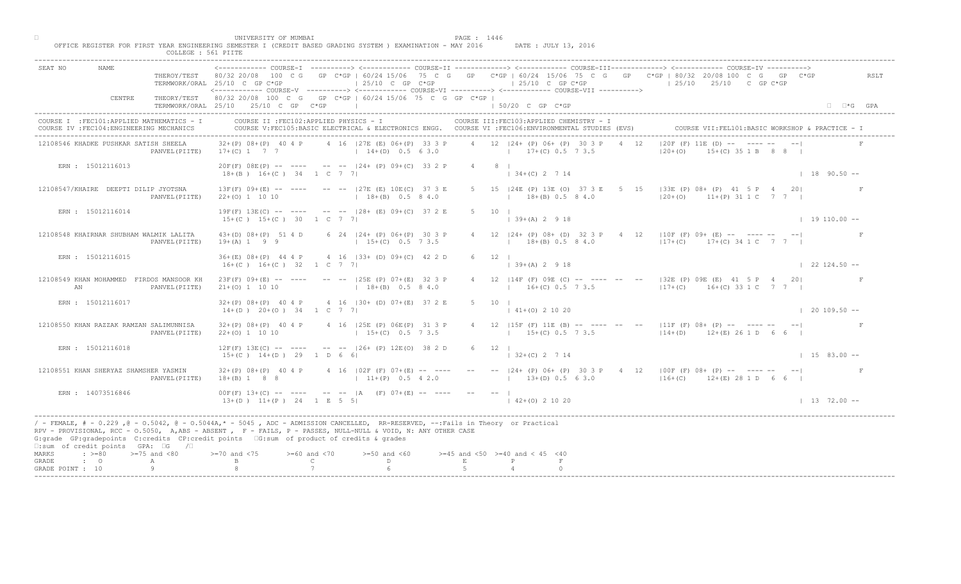| COLLEGE : 561 PIITE                                                                     |                                                                                                                                                                                                                                                                                                                                                                                                                                                                                                                           |                             |
|-----------------------------------------------------------------------------------------|---------------------------------------------------------------------------------------------------------------------------------------------------------------------------------------------------------------------------------------------------------------------------------------------------------------------------------------------------------------------------------------------------------------------------------------------------------------------------------------------------------------------------|-----------------------------|
| SEAT NO<br>NAME                                                                         | <------------ COURSE-T ----------> <------------ COURSE-II -------------> <----------- COURSE-III------------> <-----------> COURSE-IV ----------><br>THEROY/TEST 80/32 20/08 100 C G GP C*GP   60/24 15/06 75 C G GP C*GP   60/24 15/06 75 C G GP C*GP   80/32 20/08 100 C G GP C*GP<br>$\vert$ 25/10 C GP C*GP<br>$\vert$ 25/10 C GP C*GP<br>$125/10$ $25/10$ C GP C*GP<br>TERMWORK/ORAL 25/10 C GP C*GP<br><------------ COURSE-V ----------> <------------ COURSE-VI ----------> <------------ COURSE-VII ----------> | RSLT                        |
| CENTRE                                                                                  | THEORY/TEST 80/32 20/08 100 C G GP C*GP   60/24 15/06 75 C G GP C*GP  <br>TERMWORK/ORAL 25/10 25/10 C GP C*GP<br>$150/20$ C GP C*GP                                                                                                                                                                                                                                                                                                                                                                                       | $\Box$ $\Box$ *G GPA        |
| COURSE I : FEC101: APPLIED MATHEMATICS - I<br>COURSE IV : FEC104: ENGINEERING MECHANICS | COURSE II : FEC102: APPLIED PHYSICS - I<br>COURSE III: FEC103: APPLIED CHEMISTRY - I<br>COURSE V:FEC105:BASIC ELECTRICAL & ELECTRONICS ENGG. COURSE VI :FEC106:ENVIRONMENTAL STUDIES (EVS)<br>COURSE VII: FEL101: BASIC WORKSHOP & PRACTICE                                                                                                                                                                                                                                                                               |                             |
| 12108546 KHADKE PUSHKAR SATISH SHEELA                                                   | $120F$ (F) $11E$ (D) $    -$<br>4 12 124 + (P) 06 + (P) 30 3 P<br>$32+(P)$ $08+(P)$ 40 4 P<br>4 16   27E (E) 06+ (P) 33 3 P<br>12<br>PANVEL (PIITE) 17+(C) 1 7 7<br>$14+(D)$ 0.5 6 3.0<br>$17+(C)$ 0.5 7 3.5<br>$120+(0)$<br>$15+(C)$ 35 1 B 8 8                                                                                                                                                                                                                                                                          |                             |
| ERN : 15012116013                                                                       | $20F(F)$ $08E(P)$ -- ---- -- -- $ 24+ (P)$ $09+ (C)$ 33 2 P<br>4 8 1<br>$18+(B)$ $16+(C)$ 34 1 C 7 7<br>$\vert$ 34+(C) 2 7 14                                                                                                                                                                                                                                                                                                                                                                                             | $1 18 90.50 --$             |
| 12108547/KHAIRE DEEPTI DILIP JYOTSNA<br>PANVEL (PIITE)                                  | $13F(F)$ 09+(E) -- ---- -- --  27E (E) 10E(C) 37 3 E<br>5 15   24E (P) 13E (O) 37 3 E<br>$5^{\circ}$<br>$15$ $ 33E'(P) 08 + (P) 41 5 P 4$<br>201<br>$120+(0)$ 11+(P) 31 1 C<br>$18+(B)$ 0.5 8 4.0<br>$18+(B) 0.5 8 4.0$<br>$22+(0)$ 1 10 10                                                                                                                                                                                                                                                                               |                             |
| ERN : 15012116014                                                                       | $19F(F)$ 13E(C) -- ---- -- -- $128 + (E)$ 09+(C) 37 2 E<br>$5 \t10 \t1$<br>$15+(C)$ $15+(C)$ 30 1 C 7 7<br>$\vert$ 39+(A) 2 9 18                                                                                                                                                                                                                                                                                                                                                                                          | $1 19 110.00 -$             |
| 12108548 KHAIRNAR SHUBHAM WALMIK LALITA<br>PANVEL (PIITE)                               | 12 $ 24 + (P) 08 + (D) 32 3 P$<br>$43+(D)$ $08+(P)$ 51 4 D<br>6 24 124 + (P) 06 + (P) 30 3 P<br>$4$ 12   10 F (F) 09+ (E) -- ---- -- -- <br>$18+(B)$ 0.5 8 4.0<br>$19+(A) 1 9 9$<br>$15+(C)$ 0.5 7 3.5<br>$ 17+(C)$ 17+(C) 34 1 C 7 7                                                                                                                                                                                                                                                                                     |                             |
| ERN : 15012116015                                                                       | 4 16 (33+ (D) 09+(C) 42 2 D<br>$36+(E)$ $08+(P)$ 44 4 P<br>12<br>$9+(A)$ 2 9 18<br>$16+(C)$ $16+(C)$ $32$ $1$ C 7 7                                                                                                                                                                                                                                                                                                                                                                                                       | $122124.50 -$               |
| 12108549 KHAN MOHAMMED FIRDOS MANSOOR KH<br>AN<br>PANVEL (PIITE)                        | $-- -25E (P) 07+(E) 32 3 P$<br>14 F (F) 09 E (C) -- ---- -- --   32 E (P) 09 E (E) 41 5 P 4 20<br>$23F(F)$ 09+(E) -- ----<br>$18+(B)$ 0.5 8 4.0<br>$16+(C)$ 0.5 7 3.5<br>$117+(C)$ 16+(C) 33 1 C 7 7 1<br>$21+(0)$ 1 10 10                                                                                                                                                                                                                                                                                                |                             |
| ERN : 15012116017                                                                       | 4 16 (30+ (D) 07+(E) 37 2<br>$32+(P)$ $08+(P)$ 40 4 P<br>$141+(0)21020$<br>$14+(D)$ $20+(O)$ $34$ $1$ C $7$ $7$                                                                                                                                                                                                                                                                                                                                                                                                           | $120109.50 -$               |
| 12108550 KHAN RAZZAK RAMZAN SALIMUNNISA<br>PANVEL (PIITE)                               | 4 16 125E (P) 06EMP<br>$32+(P)$ 08+(P) 40 4 P<br>4 12   15F (F) 11E (B) -- ---- -- -- -   11F (F) 08+ (P) -- ---- -- -- <br>$22+(0)$ 1 10 10<br>$15+(C)$ 0.5 7 3.5<br>$114+(D)$<br>$1.5+(C)$<br>$12+(E) 26 1 D 6 6 1$                                                                                                                                                                                                                                                                                                     |                             |
| ERN : 15012116018                                                                       | $ 26 + (P) 12E(0) 38 2 D$<br>$12F(F)$ $13E(C)$ -- ----<br>$6 \t12 \t1$<br>$15+(C)$ $14+(D)$ 29 1 D 6<br>$\vert$ 32+(C) 2 7 14                                                                                                                                                                                                                                                                                                                                                                                             | $1583.00 -$                 |
| 12108551 KHAN SHERYAZ SHAMSHER YASMIN<br>PANVEL (PIITE)                                 | [02F (F) 07+(E) -- ---- -- -- --  24+ (P) 06+ (P) 30 3 P 4 12  00F (F) 08+ (P) -- ---- -- -- <br>$32+(P)$ 08+(P) 40 4 P<br>$18+(B)$ 1 8 8<br>$11+(P)$ 0.5 4 2.0<br>$13+(D)$ 0.5 6 3.0<br>$16+(C)$ $12+(E)$ 28 1 D 6 6                                                                                                                                                                                                                                                                                                     |                             |
| ERN: 14073516846                                                                        | $00F(F)$ 13+(C) -- -<br>$--$ -- $ A (F) 07+(E) --$<br>$13+(D)$ $11+(P)$ $24$ $1E$ 5 5<br>$142+(0)21020$                                                                                                                                                                                                                                                                                                                                                                                                                   | $1 \quad 13 \quad 72.00 --$ |
| $\square$ : sum of credit points GPA: $\square$ G / $\square$                           | / - FEMALE, # - 0.229 ,@ - 0.5042, @ - 0.5044A,* - 5045 , ADC - ADMISSION CANCELLED, RR-RESERVED, --:Fails in Theory or Practical<br>RPV - PROVISIONAL, RCC - 0.5050, A, ABS - ABSENT A P - FAILS, P - PASSES, NULL-NULL & VOID, N: ANY OTHER CASE<br>G:grade GP:gradepoints C:credits CP:credit points EG:sum of product of credits & grades                                                                                                                                                                             |                             |
| $: >=80$<br>$>=75$ and $<80$<br>MARKS<br>$\cdot$ $\cdot$ 0<br>GRADE<br>А                | $>= 60$ and $< 70$<br>$>=50$ and $<60$<br>$>=45$ and $<50$ $>=40$ and $< 45$ $<40$<br>) and $\langle 75$<br>$\mathbb{C}$<br>D.<br>$\mathbf{E}$                                                                                                                                                                                                                                                                                                                                                                            |                             |
| GRADE POINT : 10                                                                        |                                                                                                                                                                                                                                                                                                                                                                                                                                                                                                                           |                             |

□ PAGE : 1446<br>OFFICE REGISTER FOR FIRST YEAR ENGINEERING SEMESTER I (CREDIT BASED GRADING SYSTEM ) EXAMINATION - MAY 2016 DATE : JULY 13, 2016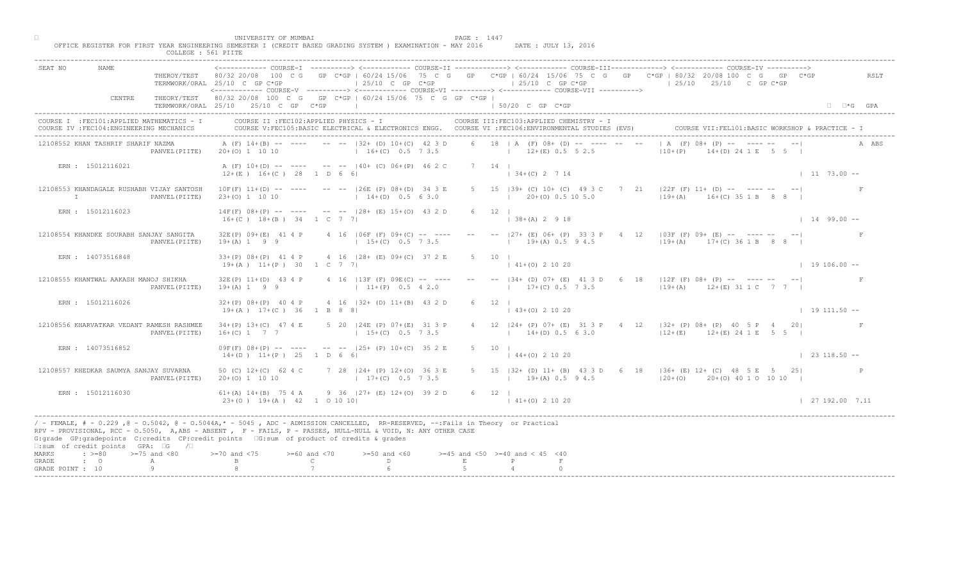| ----------> <------------- COURSE-II ------------> <------------- COURSE-III------------> <------------ COURSE-IV<br>SEAT NO<br>NAME.<br>THEROY/TEST 80/32 20/08 100 C G GP C*GP   60/24 15/06 75 C G GP C*GP   60/24 15/06 75 C G GP C*GP   80/32 20/08 100 C G GP C*GP<br>RSLT<br>$\vert$ 25/10 C GP C*GP<br>$125/10$ C GP C*GP<br>$125/10$ $25/10$ C GP C*GP<br>TERMWORK/ORAL 25/10 C GP C*GP<br><------------ COURSE-V ----------> <------------ COURSE-VI -----------> <------------ COURSE-VII -----------><br>THEORY/TEST 80/32 20/08 100 C G GP C*GP   60/24 15/06 75 C G GP C*GP  <br>CENTRE<br>TERMWORK/ORAL 25/10 25/10 C GP C*GP<br>$150/20$ C GP C*GP<br>$\Box$ $\Box$ *G GPA<br>COURSE II : FEC102: APPLIED PHYSICS - I<br>COURSE I : FEC101: APPLIED MATHEMATICS - I<br>COURSE III: FEC103: APPLIED CHEMISTRY - I<br>COURSE VII: FEL101: BASIC WORKSHOP & PRACTICE - I<br>COURSE IV : FEC104: ENGINEERING MECHANICS<br>COURSE V:FEC105:BASIC ELECTRICAL & ELECTRONICS ENGG. COURSE VI :FEC106:ENVIRONMENTAL STUDIES (EVS)<br>$(A \ (F) \ 08 + \ (P) \ \ -- \ \$<br>6 18   A $(F)$ 08+ (D) -- ---- --<br>12108552 KHAN TASHRIF SHARIF NAZMA<br>A (F) 14+(B) -- ---- -- --  32+ (D) 10+(C) 42 3 D<br>A ABS<br>$16+(C)$ 0.5 7 3.5<br>$12+(E)$ 0.5 5 2.5<br>$110+(P)$<br>$14+(D)$ 24 1 E 5 5 I<br>PANVEL (PIITE) 20+(0) 1 10 10<br>A (F) 10+(D) -- ---- -- --  40+ (C) 06+(P) 46 2 C<br>ERN : 15012116021<br>7 14 1<br>$12+(E)$ $16+(C)$ 28 1 D 6 6<br>$134+(C)$ 2 7 14<br>$1173.00 -$<br>21 $ 22F(F)$ 11+ (D) -- ---- --<br>5 15   39 + (C) 10 + (C) 49 3 C 7<br>12108553 KHANDAGALE RUSHABH VIJAY SANTOSH<br>$10F(F)$ $11+(D)$ -- ---- -- --  26E (P) $08+(D)$ 34 3 E<br>$19+(A)$ $16+(C)$ 35 1 B<br>$1$ 20+(0) 0.5 10 5.0<br>$\mathbb{I}$<br>PANVEL (PIITE)<br>$23+(0)$ 1 10 10<br>$14+(D)$ 0.5 6 3.0<br>$14F(F)$ $08+(P)$ -- ---- -- -- $ 28+(E)$ $15+(O)$ 43 2 D<br>ERN : 15012116023<br>$6 \t12 \t1$<br>$\vert$ 38+(A) 2 9 18<br>$1 14 99.00 -$<br>$16+(C)$ $18+(B)$ 34 1 C 7 7<br>$-  27+$ (E) 06+ (P) 33 3 F<br>$4 \t12 \t103F (F) 09+ (E) -- -- -- -- -- --$<br>12108554 KHANDKE SOURABH SANJAY SANGITA<br>$32E(P)$ $09+(E)$ 41 4 P<br>$4$ 16   06F (F) 09+(C) -- ---<br>$19+(A)$ 0.5 9 4.5<br>PANVEL (PIITE)<br>$19+(A) 1 9 9$<br>$15+(C)$ 0.5 7 3.5<br>$119+(A)$ $17+(C)$ 36 1 B 8 8  <br>ERN : 14073516848<br>$33+(P)$ $08+(P)$ 41 4 P<br>4 16 128 + (E) 09 + (C) 37 2 E<br>$5 -$<br>10<br>$(0)$ 2 10 20<br>$19+(A)$ $11+(P)$ 30 1 C 7 7<br>$19106.00 -$<br>  B4+ (D) 07+ (E) 41 3 D 6 18   12F (F) 08+ (P) -- ---- -- -- <br>12108555 KHANTWAL AAKASH MANOJ SHIKHA<br>$32E(P)$ 11+(D) 43 4 P<br>$4$ 16   13F (F) 09E(C) -- ----<br>$17+(C)$ 0.5 7 3.5<br>$119+(A)$ $12+(E)$ 31 1 C 7 7  <br>$19+(A) 1 9 9$<br>$11+(P)$ 0.5 4 2.0<br>PANVEL (PIITE)<br>$4$ 16 $ 32 + (D)$ 11+(B) 43 2<br>ERN : 15012116026<br>$32+(P)$ 08+(P) 40 4 P<br>$19+(A)$ $17+(C)$ 36 1 B 8 8<br>$\vert$ 43+(0) 2 10 20<br>$1 19 111.50 --$<br>$34+(P)$ 13+(C) 47 4 E<br>5 20   24E (P) 07 + (E)<br>4 12   24 + (P) 07 + (E) 31 3 P + 4 12   32 + (P) 08 + (P) + 40 5 P + 20<br>12108556 KHARVATKAR VEDANT RAMESH RASHMEE<br>$14+(D)$ 0.5 6 3.0<br>$16+(C)$ 1 7 7<br>$15+(C)$<br>$12+(E)$ $12+(E)$ $24$ 1 E 5 5  <br>PANVEL (PIITE)<br>$-- -125+ (P) 10+ (C) 35 2 E$<br>ERN : 14073516852<br>$09F(F)$ $08+(P)$ -- ---<br>5 10 1 | COLLEGE : 561 PIITE                            |                      |
|-------------------------------------------------------------------------------------------------------------------------------------------------------------------------------------------------------------------------------------------------------------------------------------------------------------------------------------------------------------------------------------------------------------------------------------------------------------------------------------------------------------------------------------------------------------------------------------------------------------------------------------------------------------------------------------------------------------------------------------------------------------------------------------------------------------------------------------------------------------------------------------------------------------------------------------------------------------------------------------------------------------------------------------------------------------------------------------------------------------------------------------------------------------------------------------------------------------------------------------------------------------------------------------------------------------------------------------------------------------------------------------------------------------------------------------------------------------------------------------------------------------------------------------------------------------------------------------------------------------------------------------------------------------------------------------------------------------------------------------------------------------------------------------------------------------------------------------------------------------------------------------------------------------------------------------------------------------------------------------------------------------------------------------------------------------------------------------------------------------------------------------------------------------------------------------------------------------------------------------------------------------------------------------------------------------------------------------------------------------------------------------------------------------------------------------------------------------------------------------------------------------------------------------------------------------------------------------------------------------------------------------------------------------------------------------------------------------------------------------------------------------------------------------------------------------------------------------------------------------------------------------------------------------------------------------------------------------------------------------------------------------------------------------------------------------------------------------------------------------------------------------------------------------------------------------------------------------------------------------------------------------------------------------------------------------------------------|------------------------------------------------|----------------------|
|                                                                                                                                                                                                                                                                                                                                                                                                                                                                                                                                                                                                                                                                                                                                                                                                                                                                                                                                                                                                                                                                                                                                                                                                                                                                                                                                                                                                                                                                                                                                                                                                                                                                                                                                                                                                                                                                                                                                                                                                                                                                                                                                                                                                                                                                                                                                                                                                                                                                                                                                                                                                                                                                                                                                                                                                                                                                                                                                                                                                                                                                                                                                                                                                                                                                                                                               |                                                |                      |
|                                                                                                                                                                                                                                                                                                                                                                                                                                                                                                                                                                                                                                                                                                                                                                                                                                                                                                                                                                                                                                                                                                                                                                                                                                                                                                                                                                                                                                                                                                                                                                                                                                                                                                                                                                                                                                                                                                                                                                                                                                                                                                                                                                                                                                                                                                                                                                                                                                                                                                                                                                                                                                                                                                                                                                                                                                                                                                                                                                                                                                                                                                                                                                                                                                                                                                                               |                                                |                      |
|                                                                                                                                                                                                                                                                                                                                                                                                                                                                                                                                                                                                                                                                                                                                                                                                                                                                                                                                                                                                                                                                                                                                                                                                                                                                                                                                                                                                                                                                                                                                                                                                                                                                                                                                                                                                                                                                                                                                                                                                                                                                                                                                                                                                                                                                                                                                                                                                                                                                                                                                                                                                                                                                                                                                                                                                                                                                                                                                                                                                                                                                                                                                                                                                                                                                                                                               |                                                |                      |
|                                                                                                                                                                                                                                                                                                                                                                                                                                                                                                                                                                                                                                                                                                                                                                                                                                                                                                                                                                                                                                                                                                                                                                                                                                                                                                                                                                                                                                                                                                                                                                                                                                                                                                                                                                                                                                                                                                                                                                                                                                                                                                                                                                                                                                                                                                                                                                                                                                                                                                                                                                                                                                                                                                                                                                                                                                                                                                                                                                                                                                                                                                                                                                                                                                                                                                                               |                                                |                      |
|                                                                                                                                                                                                                                                                                                                                                                                                                                                                                                                                                                                                                                                                                                                                                                                                                                                                                                                                                                                                                                                                                                                                                                                                                                                                                                                                                                                                                                                                                                                                                                                                                                                                                                                                                                                                                                                                                                                                                                                                                                                                                                                                                                                                                                                                                                                                                                                                                                                                                                                                                                                                                                                                                                                                                                                                                                                                                                                                                                                                                                                                                                                                                                                                                                                                                                                               |                                                |                      |
|                                                                                                                                                                                                                                                                                                                                                                                                                                                                                                                                                                                                                                                                                                                                                                                                                                                                                                                                                                                                                                                                                                                                                                                                                                                                                                                                                                                                                                                                                                                                                                                                                                                                                                                                                                                                                                                                                                                                                                                                                                                                                                                                                                                                                                                                                                                                                                                                                                                                                                                                                                                                                                                                                                                                                                                                                                                                                                                                                                                                                                                                                                                                                                                                                                                                                                                               |                                                |                      |
|                                                                                                                                                                                                                                                                                                                                                                                                                                                                                                                                                                                                                                                                                                                                                                                                                                                                                                                                                                                                                                                                                                                                                                                                                                                                                                                                                                                                                                                                                                                                                                                                                                                                                                                                                                                                                                                                                                                                                                                                                                                                                                                                                                                                                                                                                                                                                                                                                                                                                                                                                                                                                                                                                                                                                                                                                                                                                                                                                                                                                                                                                                                                                                                                                                                                                                                               |                                                |                      |
|                                                                                                                                                                                                                                                                                                                                                                                                                                                                                                                                                                                                                                                                                                                                                                                                                                                                                                                                                                                                                                                                                                                                                                                                                                                                                                                                                                                                                                                                                                                                                                                                                                                                                                                                                                                                                                                                                                                                                                                                                                                                                                                                                                                                                                                                                                                                                                                                                                                                                                                                                                                                                                                                                                                                                                                                                                                                                                                                                                                                                                                                                                                                                                                                                                                                                                                               |                                                |                      |
|                                                                                                                                                                                                                                                                                                                                                                                                                                                                                                                                                                                                                                                                                                                                                                                                                                                                                                                                                                                                                                                                                                                                                                                                                                                                                                                                                                                                                                                                                                                                                                                                                                                                                                                                                                                                                                                                                                                                                                                                                                                                                                                                                                                                                                                                                                                                                                                                                                                                                                                                                                                                                                                                                                                                                                                                                                                                                                                                                                                                                                                                                                                                                                                                                                                                                                                               |                                                |                      |
|                                                                                                                                                                                                                                                                                                                                                                                                                                                                                                                                                                                                                                                                                                                                                                                                                                                                                                                                                                                                                                                                                                                                                                                                                                                                                                                                                                                                                                                                                                                                                                                                                                                                                                                                                                                                                                                                                                                                                                                                                                                                                                                                                                                                                                                                                                                                                                                                                                                                                                                                                                                                                                                                                                                                                                                                                                                                                                                                                                                                                                                                                                                                                                                                                                                                                                                               |                                                |                      |
|                                                                                                                                                                                                                                                                                                                                                                                                                                                                                                                                                                                                                                                                                                                                                                                                                                                                                                                                                                                                                                                                                                                                                                                                                                                                                                                                                                                                                                                                                                                                                                                                                                                                                                                                                                                                                                                                                                                                                                                                                                                                                                                                                                                                                                                                                                                                                                                                                                                                                                                                                                                                                                                                                                                                                                                                                                                                                                                                                                                                                                                                                                                                                                                                                                                                                                                               |                                                |                      |
|                                                                                                                                                                                                                                                                                                                                                                                                                                                                                                                                                                                                                                                                                                                                                                                                                                                                                                                                                                                                                                                                                                                                                                                                                                                                                                                                                                                                                                                                                                                                                                                                                                                                                                                                                                                                                                                                                                                                                                                                                                                                                                                                                                                                                                                                                                                                                                                                                                                                                                                                                                                                                                                                                                                                                                                                                                                                                                                                                                                                                                                                                                                                                                                                                                                                                                                               |                                                |                      |
|                                                                                                                                                                                                                                                                                                                                                                                                                                                                                                                                                                                                                                                                                                                                                                                                                                                                                                                                                                                                                                                                                                                                                                                                                                                                                                                                                                                                                                                                                                                                                                                                                                                                                                                                                                                                                                                                                                                                                                                                                                                                                                                                                                                                                                                                                                                                                                                                                                                                                                                                                                                                                                                                                                                                                                                                                                                                                                                                                                                                                                                                                                                                                                                                                                                                                                                               | $14+(D)$ $11+(P)$ $25$ 1 D 6<br>$144+(0)21020$ | $\vert$ 23 118.50 -- |
| 7 28 $124+$ (P) 12+(0) 36 3 E<br>12108557 KHEDKAR SAUMYA SANJAY SUVARNA<br>50 (C) $12+(C)$ 62 4 C<br>5 15   32 + (D) 11 + (B) 43 3 D 6 18   36 + (E) 12 + (C) 48 5 E 5 25  <br>$20+(0)$ 1 10 10<br>$17+(C)$ 0.5 7 3.5<br>$19+(A)$ 0.5 9 4.5<br>$120+ (0)$ $20+ (0)$ 40 1 0 10 10 1<br>PANVEL (PIITE)                                                                                                                                                                                                                                                                                                                                                                                                                                                                                                                                                                                                                                                                                                                                                                                                                                                                                                                                                                                                                                                                                                                                                                                                                                                                                                                                                                                                                                                                                                                                                                                                                                                                                                                                                                                                                                                                                                                                                                                                                                                                                                                                                                                                                                                                                                                                                                                                                                                                                                                                                                                                                                                                                                                                                                                                                                                                                                                                                                                                                          |                                                |                      |
| $9$ 36 $ 27 + (E) 12 + (O) 39 2 D$<br>ERN : 15012116030<br>61+(A) 14+(B) 75 4 A<br>$6 \t12$<br>$23+(0)$ 19+(A) 42 1 0 10 10<br>$141+(0)21020$<br>127192.007.11                                                                                                                                                                                                                                                                                                                                                                                                                                                                                                                                                                                                                                                                                                                                                                                                                                                                                                                                                                                                                                                                                                                                                                                                                                                                                                                                                                                                                                                                                                                                                                                                                                                                                                                                                                                                                                                                                                                                                                                                                                                                                                                                                                                                                                                                                                                                                                                                                                                                                                                                                                                                                                                                                                                                                                                                                                                                                                                                                                                                                                                                                                                                                                |                                                |                      |
| / - FEMALE, # - 0.229 ,@ - 0.5042, @ - 0.5044A,* - 5045 , ADC - ADMISSION CANCELLED, RR-RESERVED, --:Fails in Theory or Practical<br>RPV - PROVISIONAL, RCC - 0.5050, A, ABS - ABSENT, P - FAILS, P - PASSES, NULL-NULL & VOID, N: ANY OTHER CASE<br>G:grade GP:gradepoints C:credits CP:credit points G:sum of product of credits & grades<br>$\square$ : sum of credit points GPA: $\square$ G / $\square$                                                                                                                                                                                                                                                                                                                                                                                                                                                                                                                                                                                                                                                                                                                                                                                                                                                                                                                                                                                                                                                                                                                                                                                                                                                                                                                                                                                                                                                                                                                                                                                                                                                                                                                                                                                                                                                                                                                                                                                                                                                                                                                                                                                                                                                                                                                                                                                                                                                                                                                                                                                                                                                                                                                                                                                                                                                                                                                  |                                                |                      |
| $\Rightarrow$ >=80 >=75 and <80<br>$> = 70$ and $< 75$<br>$>= 60$ and $< 70$<br>$>=50$ and $<60$<br>$>=45$ and $<50$ $>=40$ and $< 45$ $<40$<br>MARKS<br>$\mathbb{C}$<br>D<br>$\mathbf E$<br>$\cdot$ $\cdot$ 0<br>GRADE<br>A<br>Q<br>GRADE POINT : 10                                                                                                                                                                                                                                                                                                                                                                                                                                                                                                                                                                                                                                                                                                                                                                                                                                                                                                                                                                                                                                                                                                                                                                                                                                                                                                                                                                                                                                                                                                                                                                                                                                                                                                                                                                                                                                                                                                                                                                                                                                                                                                                                                                                                                                                                                                                                                                                                                                                                                                                                                                                                                                                                                                                                                                                                                                                                                                                                                                                                                                                                         |                                                |                      |

□ PAGE : 1447<br>OFFICE REGISTER FOR FIRST YEAR ENGINEERING SEMESTER I (CREDIT BASED GRADING SYSTEM ) EXAMINATION - MAY 2016 DATE : JULY 13, 2016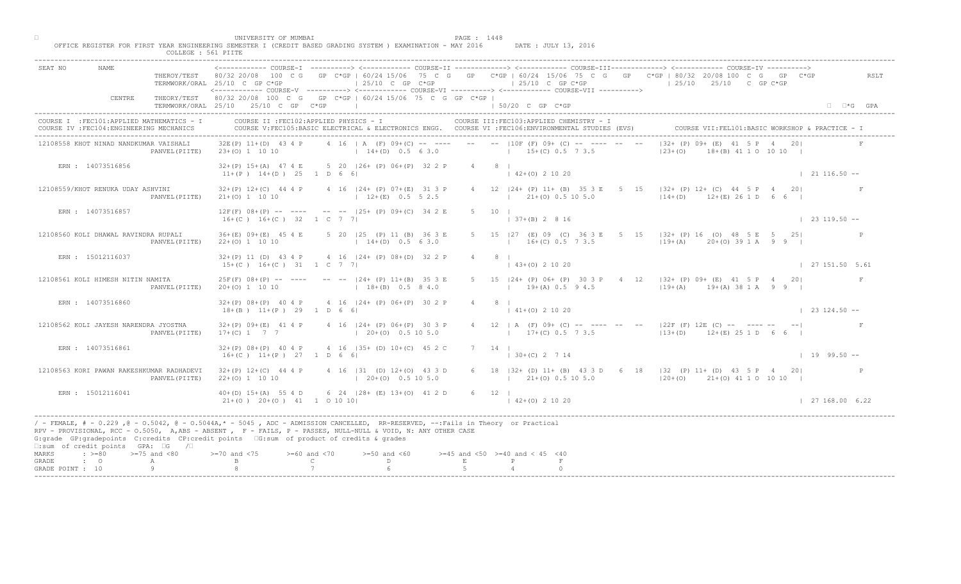|                                                                                                    | THUR PROTHERITY AND REAL<br>COLLEGE : 561 PIITE                                                                                                                                                                                                                                                                                                                                                                                                                                                                         |                      |
|----------------------------------------------------------------------------------------------------|-------------------------------------------------------------------------------------------------------------------------------------------------------------------------------------------------------------------------------------------------------------------------------------------------------------------------------------------------------------------------------------------------------------------------------------------------------------------------------------------------------------------------|----------------------|
| SEAT NO<br>NAME                                                                                    | <------------- COURSE-I ----------> <------------ COURSE-II -------------> <------------ COURSE-III-------------> <------------ COURSE-IV ----------><br>THEROY/TEST 80/32 20/08 100 C G GP C*GP   60/24 15/06 75 C G GP C*GP   60/24 15/06 75 C G GP C*GP   80/32 20/08 100 C G GP C*GP<br>$\vert$ 25/10 C GP C*GP<br>$125/10$ C GP C*GP<br>$125/10$ $25/10$ C GP C*GP<br>TERMWORK/ORAL 25/10 C GP C*GP<br><------------ COURSE-V ----------> <------------ COURSE-VI ----------> <------------ COURSE-VII ----------> | RSLT                 |
| CENTRE                                                                                             | THEORY/TEST 80/32 20/08 100 C G GP C*GP   60/24 15/06 75 C G GP C*GP  <br>TERMWORK/ORAL 25/10 25/10 C GP C*GP<br>$\vert$ 50/20 C GP C*GP                                                                                                                                                                                                                                                                                                                                                                                | $\Box$ $\Box$ *G GPA |
| COURSE I : FEC101: APPLIED MATHEMATICS - I<br>COURSE IV : FEC104: ENGINEERING MECHANICS            | COURSE II : FEC102: APPLIED PHYSICS - I<br>COURSE III: FEC103: APPLIED CHEMISTRY - I<br>COURSE V:FEC105:BASIC ELECTRICAL & ELECTRONICS ENGG. COURSE VI :FEC106:ENVIRONMENTAL STUDIES (EVS)<br>COURSE VII: FEL101: BASIC WORKSHOP & PRACTICE - 1                                                                                                                                                                                                                                                                         |                      |
| 12108558 KHOT NINAD NANDKUMAR VAISHALI                                                             | $132+$ (P) $09+\sqrt{E}$ 41 5 P 4 201<br>4 16   A (F) 09+(C) -- ---- -- --   10F (F) 09+ (C) -- ---- -- --<br>$32E(P)$ 11+(D) 43 4 P<br>$ 23+(0) $<br>$14+(D)$ 0.5 6 3.0<br>$15+(C)$ 0.5 7 3.5<br>$(A)$ 41 1 0 10 10  <br>PANVEL (PIITE) 23+(0) 1 10 10                                                                                                                                                                                                                                                                 |                      |
| ERN : 14073516856                                                                                  | 32+(P) 15+(A) 47 4 E 5 20   26+ (P) 06+(P) 32 2 P<br>4 8 1<br>$11+(P)$ $14+(D)$ $25$ 1 D 6 6<br>$142+(0)21020$                                                                                                                                                                                                                                                                                                                                                                                                          | $\vert$ 21 116.50 -- |
| 12108559/KHOT RENUKA UDAY ASHVINI<br>PANVEL (PIITE)                                                | $15$ $132+$ (P) 12+ (C) 44 5 P 4<br>$32+(P)$ 12+(C) 44 4 P 4 16  24+ (P) 07+(E) 31 3 P<br>4 12   24 + (P) 11 + (B) 35 3 E<br>$5 -$<br>201<br>$12+(D)$ $12+(E)$ 26 1 D<br>$12+(E)$ 0.5 5 2.5<br>$1$ 21+(0) 0.5 10 5.0<br>$21+(0)$ 1 10 10<br>6 6 1                                                                                                                                                                                                                                                                       |                      |
| ERN : 14073516857                                                                                  | $12F(F)$ 08+(P) -- ---- -- -- 125+ (P) 09+(C) 34 2 E<br>$5 \t10 \t1$<br>$16+(C)$ $16+(C)$ 32 1 C 7 7<br>$ 37+(B) 2 8 16 $                                                                                                                                                                                                                                                                                                                                                                                               | $\vert$ 23 119.50 -- |
| 12108560 KOLI DHAWAL RAVINDRA RUPALI<br>PANVEL (PIITE)                                             | $\begin{bmatrix} 5 & 15 &  32+ (P) 16 & (O) 48 & 5 \ E & 5 & 25 \end{bmatrix}$<br>$36+(E)$ 09+(E) 45 4 E<br>5 20   25 (P) 11 (B) 36 3 E<br>$15$ $ 27$ (E) 09 (C) 36 3 E<br>$16\pm$ (C) 0.5 7 3.5<br>$22+(0)$ 1 10 10<br>$14+(D)$ 0.5 6 3.0<br>$ 19+(A)$ 20+(0) 39 1 A 9 9                                                                                                                                                                                                                                               | $\mathbb{P}$         |
| ERN : 15012116037                                                                                  | 4 16 124 + (P) 08 + (D) 32 2 P<br>$32+(P)$ 11 (D) 43 4 P<br>$3+(0)$ 2 10 20<br>$15+(C)$ $16+(C)$ $31$ $1$ C 7 7                                                                                                                                                                                                                                                                                                                                                                                                         | 127151.505.61        |
| 12108561 KOLI HIMESH NITIN NAMITA<br>PANVEL (PIITE)                                                | 24+ (P) 06+ (P) 30 3 P 4 12   32+ (P) 09+ (E) 41 5 P 4 20 <br>$25F(F)$ 08+(P) -- ----<br>$--- 124+ (P) 11+(B) 35 3 E$<br>$19+(A)$ 0.5 9 4.5<br>$119+(A)$ $19+(A)$ 38 1 A 9 9 I<br>$20+ (0)$ 1 10 10<br>$18+(B)$ 0.5 8 4.0                                                                                                                                                                                                                                                                                               |                      |
| ERN : 14073516860                                                                                  | $4$ 16 $ 24 + (P)$ 06+(P) 30 2<br>$32+(P)$ $08+(P)$ 40 4 P<br>$18+(B)$ $11+(P)$ 29 1 D 6 6<br>$141+(0)21020$                                                                                                                                                                                                                                                                                                                                                                                                            | $123124.50 - -$      |
| 12108562 KOLI JAYESH NARENDRA JYOSTNA<br>PANVEL (PIITE)                                            | 4 12   A (F) 09+ (C) -- ---- -- -- --   22F (F) 12E (C) -- ---- -- -- <br>$32+(P)$ 09+(E) 41 4 P<br>4 16 $124+$ (P) 06 $+($ P<br>$17+(C)$ 1 7 7<br>$17+(C)$ 0.5 7 3.5<br>$113+(D)$ $12+(E)$ 25 1 D 6 6 I<br>$120+10$                                                                                                                                                                                                                                                                                                    |                      |
| ERN : 14073516861                                                                                  | $4 \t16 \t135 + (D) \t10 + (C) \t452C$<br>$7 \quad 14$<br>$32+(P)$ $08+(P)$ 40 4 P<br>$16+(C)$ $11+(P)$ 27 1 D 6<br>$ 30+(C) 2 7 14$                                                                                                                                                                                                                                                                                                                                                                                    | $1 19 99.50 --$      |
| 12108563 KORI PAWAN RAKESHKUMAR RADHADEVI<br>PANVEL (PIITE)                                        | $(31 \t(D) 12+(0) 43 3 D)$<br>6 18   32 + (D) 11 + (B) 43 3 D 6 18   32 (P) 11 + (D) 43 5 P 4 20  <br>$32+(P)$ 12+(C) 44 4 P<br>$20+ (0)$ 0.5 10 5.0<br>$(21 + (0) 0.5 10 5.0)$<br>$22+(0)$ 1 10 10<br>$ 20+(0)$ $21+(0)$ 41 1 0 10 10                                                                                                                                                                                                                                                                                  |                      |
| ERN : 15012116041                                                                                  | $40+(D)$ $15+(A)$ 55 $4D$<br>$6 \times 24$ $ 28 + (E) 13 + (0) 41 2 D$<br>6 12 1<br>$21+(0)$ $20+(0)$ $41$ $1001010$<br>$142+(0)21020$                                                                                                                                                                                                                                                                                                                                                                                  | 127168.006.22        |
| $\square$ : sum of credit points GPA: $\square$ G<br>$\sqrt{2}$                                    | / - FEMALE, # - 0.229 ,@ - 0.5042, @ - 0.5044A,* - 5045 , ADC - ADMISSION CANCELLED, RR-RESERVED, --:Fails in Theory or Practical<br>RPV - PROVISIONAL, RCC - 0.5050, A, ABS - ABSENT A P- FAILS, P - PASSES, NULL-NULL & VOID, N: ANY OTHER CASE<br>G:grade GP:gradepoints C:credits CP:credit points 6:sum of product of credits & grades                                                                                                                                                                             |                      |
| $\Rightarrow$ $>=$ 80 $>=$ 75 and <80<br>MARKS<br>GRADE<br>$\cdot$ 0<br>А<br>Q<br>GRADE POINT : 10 | $>= 70$ and $< 75$<br>$>= 60$ and $< 70$<br>$>=50$ and $<60$<br>$>=45$ and $<50$ $>=40$ and $< 45$ $<40$<br>$\mathcal{C}$<br>D<br>$\mathbf E$                                                                                                                                                                                                                                                                                                                                                                           |                      |
|                                                                                                    |                                                                                                                                                                                                                                                                                                                                                                                                                                                                                                                         |                      |

□ PAGE : 1448<br>OFFICE REGISTER FOR FIRST YEAR ENGINEERING SEMESTER I (CREDIT BASED GRADING SYSTEM ) EXAMINATION - MAY 2016 DATE : JULY 13, 2016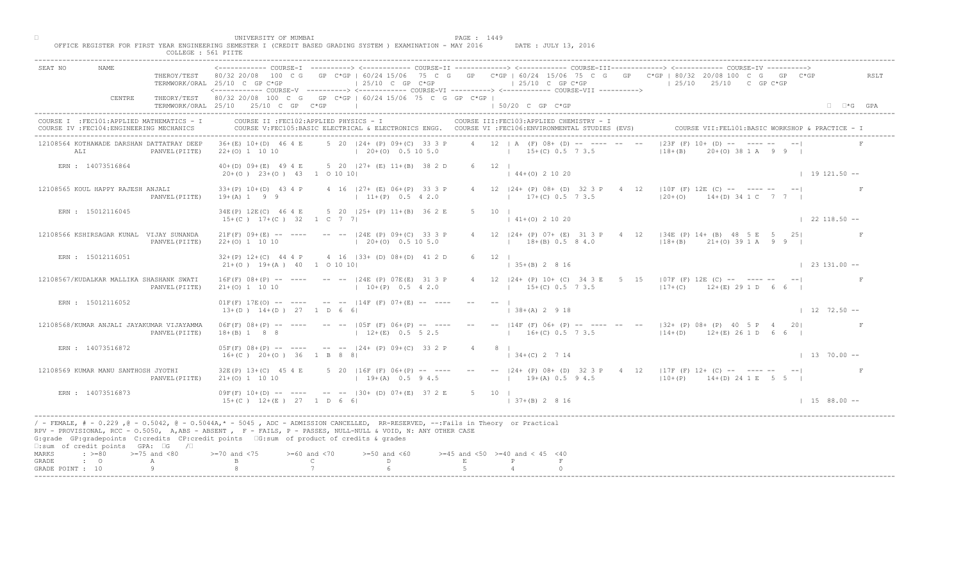|                                                                                                                                                                                                                                                                                                                                                                                                    | COLLEGE : 561 PIITE     |                                                                                    |                                    |                                                                                   |                |                                                                                                                                                 |                                                                                                                                                                                                                                                      |                          |
|----------------------------------------------------------------------------------------------------------------------------------------------------------------------------------------------------------------------------------------------------------------------------------------------------------------------------------------------------------------------------------------------------|-------------------------|------------------------------------------------------------------------------------|------------------------------------|-----------------------------------------------------------------------------------|----------------|-------------------------------------------------------------------------------------------------------------------------------------------------|------------------------------------------------------------------------------------------------------------------------------------------------------------------------------------------------------------------------------------------------------|--------------------------|
| SEAT NO<br>NAME                                                                                                                                                                                                                                                                                                                                                                                    | THEROY/TEST 80/32 20/08 | 100 C G<br>TERMWORK/ORAL 25/10 C GP C*GP                                           |                                    | $\vert$ 25/10 C GP C*GP                                                           |                | $125/10$ C GP C*GP<br><------------ COURSE-V ----------> <------------ COURSE-VT -----------> <------------ COURSE-VTT ----------->             | COURSE-I ----------> <------------ COURSE-II -------------> <------------ COURSE-III------------> <----------- COURSE-IV<br>GP C*GP   60/24 15/06 75 C G GP C*GP   60/24 15/06 75 C G GP C*GP   80/32 20/08 100 C G GP<br>$125/10$ $25/10$ C GP C*GP | $C*GP$<br>RSLT           |
| CENTRE                                                                                                                                                                                                                                                                                                                                                                                             |                         | THEORY/TEST 80/32 20/08 100 C G<br>TERMWORK/ORAL 25/10 25/10 C GP C*GP             |                                    | GP C*GP   60/24 15/06 75 C G GP C*GP                                              |                | $150/20$ C GP $C*GP$                                                                                                                            |                                                                                                                                                                                                                                                      | $\Box$ $\Box$ *G GPA     |
| COURSE I : FEC101: APPLIED MATHEMATICS - I<br>COURSE IV : FEC104: ENGINEERING MECHANICS                                                                                                                                                                                                                                                                                                            |                         | COURSE II : FEC102: APPLIED PHYSICS - I                                            |                                    |                                                                                   |                | COURSE III: FEC103: APPLIED CHEMISTRY - I<br>COURSE V:FEC105:BASIC ELECTRICAL & ELECTRONICS ENGG. COURSE VI :FEC106:ENVIRONMENTAL STUDIES (EVS) |                                                                                                                                                                                                                                                      |                          |
| 12108564 KOTHAWADE DARSHAN DATTATRAY DEEP<br>ALI                                                                                                                                                                                                                                                                                                                                                   | PANVEL (PIITE)          | $36+(E)$ 10+(D) 46 4 E<br>$22+(0)$ 1 10 10                                         |                                    | 5 20 124 + (P) 09 + (C) 33 3 P<br>$(20+(0) 0.5 10 5.0)$                           |                | 4 12   A (F) 08+ (D)<br>$15+(C) 0.5 7 3.5$                                                                                                      | $ 23F(F) 10+ND$<br>$(0)$ 38 1 A 9 9<br>$18 + (B)$                                                                                                                                                                                                    |                          |
| ERN : 14073516864                                                                                                                                                                                                                                                                                                                                                                                  |                         | $40+(D)$ 09+(E) 49 4 E<br>$20+(0)$ $23+(0)$ $43$ 1 0 10 10                         |                                    | 5 20 (27+ (E) 11+(B) 38 2 D                                                       | $6 \t 12 \t 1$ | $144+(0)21020$                                                                                                                                  |                                                                                                                                                                                                                                                      | $1 19 121.50 --$         |
| 12108565 KOUL HAPPY RAJESH ANJALI                                                                                                                                                                                                                                                                                                                                                                  | PANVEL (PIITE)          | $33+(P)$ 10+(D) 43 4 P<br>$19 + (A) 1 9 9$                                         |                                    | 4 16   27 + (E) 06 + (P) 33 3 P<br>$11+(P)$ 0.5 4 2.0                             |                | 4 12   24 + (P) 08 + (D) 32 3 P 4<br>$17+(C)$ 0.5 7 3.5                                                                                         | 12   10F (F) 12E (C) -- ---- --<br>$ 20+(0)$ 14+(D) 34 1 C                                                                                                                                                                                           |                          |
| ERN : 15012116045                                                                                                                                                                                                                                                                                                                                                                                  |                         | 34E(P) 12E(C) 46 4 E<br>$15+(C)$ $17+(C)$ 32 1 C 7 7                               |                                    | 5 20 125+ (P) 11+(B) 36 2 E                                                       |                | 10 <sub>1</sub><br>$ 41+(0) 2 10 20 $                                                                                                           |                                                                                                                                                                                                                                                      | $\vert$ 22 118.50 --     |
| 12108566 KSHIRSAGAR KUNAL VIJAY SUNANDA                                                                                                                                                                                                                                                                                                                                                            | PANVEL (PIITE)          | $22+(0)$ 1 10 10                                                                   |                                    | $21F(F)$ 09+(E) -- ---- -- --  24E (P) 09+(C) 33 3 P<br>$(20+(0) 0.5 10 5.0$      |                | $12 \t  24 + (P) 07 + (E)$<br>$18+(B)$ 0.5 8 4.0                                                                                                | 4 12   34E (P) 14+ (B) 48 5 E 5 25<br>$ 18+(B)$ 21+(0) 39 1 A 9 9                                                                                                                                                                                    |                          |
| ERN : 15012116051                                                                                                                                                                                                                                                                                                                                                                                  |                         | $32+(P)$ 12+(C) 44 4 P<br>$21+(0)$ 19+(A) 40 1 0 10 10                             |                                    | 4 16 (33+ (D) 08+(D) 41 2 D                                                       |                | 12<br>$(B)$ 2 8 16                                                                                                                              |                                                                                                                                                                                                                                                      | $\vert$ 23 131.00 --     |
| 12108567/KUDALKAR MALLIKA SHASHANK SWATI                                                                                                                                                                                                                                                                                                                                                           | PANVEL (PIITE)          | $21+(0)$ 1 10 10                                                                   |                                    | $16F(F)$ $08+(P)$ -- --- -- -- $  124E$ (P) $07E(E)$ 31 3 P<br>$10+(P)$ 0.5 4 2.0 |                | $15+(C)$ 0.5 7 3.5                                                                                                                              | 24+ (P) 10+ (C) 34 3 E 5 15   07F (F) 12E (C) -- ---- -- -- <br>$12+(E)$ 29 1 D 6 6  <br>$117 + (C)$                                                                                                                                                 |                          |
| ERN : 15012116052                                                                                                                                                                                                                                                                                                                                                                                  |                         | $01F(F)$ 17E(O) -- ---- -- -- 114F (F) 07+(E) --<br>$13+(D)$ $14+(D)$ $27$ 1 D 6 6 |                                    |                                                                                   |                | $ 38+(A) 2 9 18$                                                                                                                                |                                                                                                                                                                                                                                                      | $1272.50 -$              |
| 12108568/KUMAR ANJALI JAYAKUMAR VIJAYAMMA                                                                                                                                                                                                                                                                                                                                                          | PANVEL (PIITE)          | $06F(F)$ $08+(P)$ -- ----<br>$18+(B) 1 8 8$                                        |                                    | $--$ 105F (F) 06+1<br>$12+(E)$                                                    |                | $16+(C)$ 0.5 7 3.5                                                                                                                              | -- $14F$ (F) 06+ (P) -- ---- -- -- -- $132+$ (P) 08+ (P) 40 5 P 4 20<br>$114+(D)$ $12+(E)$ 26 1 D 6 6                                                                                                                                                |                          |
| ERN : 14073516872                                                                                                                                                                                                                                                                                                                                                                                  |                         | $05F(F) 08+(P)$ -- ---<br>$16+(C)$ $20+(O)$ 36                                     | $1 \t B \t 8$                      | $- -  24+$ (P) $09+$ (C) 33 2 P                                                   | $4 \t 8 \t 1$  | $\vert$ 34+(C) 2 7 14                                                                                                                           |                                                                                                                                                                                                                                                      | $1\quad 13\quad 70.00 -$ |
| 12108569 KUMAR MANU SANTHOSH JYOTHI                                                                                                                                                                                                                                                                                                                                                                | PANVEL (PIITE)          | $32E(P)$ 13+(C) 45 4 E<br>$21+ (0) 1 10 10$                                        |                                    | $116F$ (F) 06+(P) -- ----<br>$19+(A)$ 0.5 9 4.5                                   |                | $19+(A)$ 0.5 9 4.5                                                                                                                              | -- -- $ 24 + (P) 08 + (D) 32 3 P - 4 12   17F (F) 12 + (C) - - - - - - - - - -  $<br>$110+(P)$ $14+(D)$ 24 1 E 5 5 F                                                                                                                                 |                          |
| ERN : 14073516873                                                                                                                                                                                                                                                                                                                                                                                  |                         | $09F(F)$ 10+(D) -- -<br>$15+(C)$ $12+(E)$ $27$                                     | $1$ D 6 6 1                        | $--$ -- $ 30+ (D) 07+ (E) 37 2 E$                                                 | 5 10 1         | $ 37+(B) 2 8 16$                                                                                                                                |                                                                                                                                                                                                                                                      | $1 15 88.00 --$          |
| / - FEMALE, # - 0.229 ,@ - 0.5042, @ - 0.5044A,* - 5045 , ADC - ADMISSION CANCELLED, RR-RESERVED, --:Fails in Theory or Practical<br>RPV - PROVISIONAL, RCC - 0.5050, A, ABS - ABSENT, Y F - FAILS, P - PASSES, NULL-NULL & VOID, N: ANY OTHER CASE<br>G:grade GP:gradepoints C:credits CP:credit points 6:sum of product of credits & grades<br>$\square$ : sum of credit points GPA: $\square$ G | $\sqrt{2}$              |                                                                                    |                                    |                                                                                   |                |                                                                                                                                                 |                                                                                                                                                                                                                                                      |                          |
| $: >=80$<br>$>=75$ and $<80$<br>MARKS<br>$\cdot$ 0<br>GRADE                                                                                                                                                                                                                                                                                                                                        | Α                       | $>= 70$ and $< 75$                                                                 | $>= 60$ and $< 70$<br>$\mathsf{C}$ | $>=50$ and $<60$<br>D                                                             | $\mathbf E$    | $>=45$ and $<50$ $>=40$ and $< 45$ $<40$                                                                                                        |                                                                                                                                                                                                                                                      |                          |
| GRADE POINT : 10                                                                                                                                                                                                                                                                                                                                                                                   | 9                       |                                                                                    |                                    |                                                                                   |                |                                                                                                                                                 |                                                                                                                                                                                                                                                      |                          |
|                                                                                                                                                                                                                                                                                                                                                                                                    |                         |                                                                                    |                                    |                                                                                   |                |                                                                                                                                                 |                                                                                                                                                                                                                                                      |                          |

□ PAGE : 1449<br>OFFICE REGISTER FOR FIRST YEAR ENGINEERING SEMESTER I (CREDIT BASED GRADING SYSTEM ) EXAMINATION - MAY 2016 DATE : JULY 13, 2016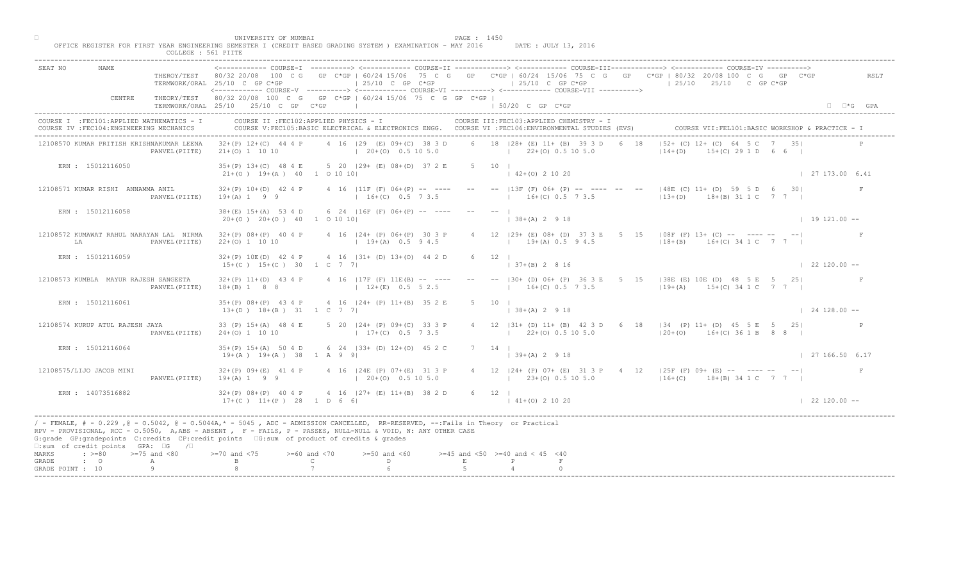|                                                                                                                                | UNIVERSITY OF MUMBAI<br>PAGE : 1450<br>OFFICE REGISTER FOR FIRST YEAR ENGINEERING SEMESTER I (CREDIT BASED GRADING SYSTEM ) EXAMINATION - MAY 2016<br>DATE : JULY 13, 2016                                                                                                                                                                                 |                        |
|--------------------------------------------------------------------------------------------------------------------------------|------------------------------------------------------------------------------------------------------------------------------------------------------------------------------------------------------------------------------------------------------------------------------------------------------------------------------------------------------------|------------------------|
| NAME<br>SEAT NO                                                                                                                | COLLEGE : 561 PIITE<br><------------ COURSE-I ----------> <------------ COURSE-II -------------> <------------ COURSE-III------------> <------------ COURSE-IV ---------->                                                                                                                                                                                 |                        |
|                                                                                                                                | THEROY/TEST 80/32 20/08 100 C G GP C*GP   60/24 15/06 75 C G GP C*GP   60/24 15/06 75 C G GP C*GP   80/32 20/08 100 C G GP C*GP<br>$125/10$ C GP C*GP<br>$125/10$ C GP C*GP<br>$125/10$ $25/10$ C GP C*GP<br>TERMWORK/ORAL 25/10 C GP C*GP<br><------------ COURSE-V ----------> <------------ COURSE-VI -----------> <------------ COURSE-VII ----------> | RSLT                   |
| CENTRE                                                                                                                         | THEORY/TEST 80/32 20/08 100 C G GP C*GP   60/24 15/06 75 C G GP C*GP  <br>TERMWORK/ORAL 25/10 25/10 C GP C*GP<br>1 50/20 C GP C*GP<br>the control of the control of the control of                                                                                                                                                                         | $\Box$ $\Box$ *G GPA   |
| COURSE I : FEC101: APPLIED MATHEMATICS - I<br>COURSE IV : FEC104: ENGINEERING MECHANICS                                        | COURSE II : FEC102: APPLIED PHYSICS - I<br>COURSE III: FEC103: APPLIED CHEMISTRY - I<br>COURSE VII: FEL101: BASIC WORKSHOP & PRACTICE - 1<br>COURSE V:FEC105:BASIC ELECTRICAL & ELECTRONICS ENGG. COURSE VI :FEC106:ENVIRONMENTAL STUDIES (EVS)                                                                                                            |                        |
| 12108570 KUMAR PRITISH KRISHNAKUMAR LEENA<br>PANVEL (PIITE)                                                                    | $ 52 + (C) 12 + (C) 64  $<br>4 16   29 (E) 09+ (C) 38 3 D 6 18   28+ (E) 11+ (B) 39 3 D 6 18<br>32+(P) 12+(C) 44 4 P<br>$(20+(0) 0.5 10 5.0$ $(22+(0) 0.5 10 5.0$<br>$ 14+(D) $<br>$15+(C)$ 29 1 D 6 6 $\vert$<br>$21+ (0)$ 1 10 10                                                                                                                        |                        |
| ERN : 15012116050                                                                                                              | 35+(P) 13+(C) 48 4 E 5 20   29+ (E) 08+(D) 37 2 E 5 10  <br>$142+(0)21020$<br>$21+(0)$ 19+(A) 40 1 0 10 10                                                                                                                                                                                                                                                 | 127173.006.41          |
| 12108571 KUMAR RISHI ANNAMMA ANIL<br>PANVEL (PIITE)                                                                            | 4 16   11F (F) 06+ (P) -- ---- -- --   13F (F) 06+ (P) -- ---- --<br>$ 148E$ (C) 11+ (D) 59 5 D 6 30<br>$32+(P)$ 10+(D) 42 4 P<br>$16+(C)$ 0.5 7 3.5<br>$13+(D)$ $18+(B)$ $31 1 C$ $7 7 1$<br>$19+(A) 1 9 9$<br>$16+(C)$ 0.5 7 3.5                                                                                                                         |                        |
| ERN : 15012116058                                                                                                              | $38+(E)$ 15+(A) 53 4 D 6 24   16F (F) 06+(P) -- ----<br>$138+(A) 2 918$<br>$20+(0)$ $20+(0)$ $40$ 1 0 10 10                                                                                                                                                                                                                                                | $19121.00 - -$         |
| 12108572 KUMAWAT RAHUL NARAYAN LAL NIRMA<br>LA<br>PANVEL (PIITE)                                                               | 32+(P) 08+(P) 40 4 P 4 16   24+ (P) 06+ (P) 30 3 P<br>$4$ 12 $ 29+$ (E) 08+ (D) 37<br>$3E$ 5 15   08F (F) 13+ (C) -- ---- -- -- <br>$19+(A) 0.5 9 4.5$<br>$19+(A)$ 0.5 9 4.5<br>$118+(B)$ $16+(C)$ 34 1 C 7 7  <br>$22+(0)$ 1 10 10                                                                                                                        |                        |
| ERN : 15012116059                                                                                                              | $32+(P)$ 10E(D) 42 4 P 4 16   31+ (D) 13+(O) 44 2 D<br>6 12<br>$37+(B)$ 2 8 16<br>$15+(C)$ $15+(C)$ 30 1 C 7 7                                                                                                                                                                                                                                             | $\vert$ 22 120.00 --   |
| 12108573 KUMBLA MAYUR RAJESH SANGEETA<br>PANVEL (PIITE)                                                                        | B0+ (D) 06+ (P) 36 3 E 5 15   38 E (E) 10 E (D) 48 5 E 5 25  <br>$32+(P)$ 11+(D) 43 4 P<br>4 16 $ 17F(F) 11E(B) --- ---$<br>$16+(C)$ 0.5 7 3.5 $19+(A)$ 15+(C) 34 1 C 7 7  <br>$12+(E)$ 0.5 5 2.5<br>$18+(B)$ 1 8 8                                                                                                                                        |                        |
| ERN : 15012116061                                                                                                              | 4 16   24 + (P) 11 + (B) 35 2 E<br>$35+(P)$ $08+(P)$ 43 4 P<br>$13+(D)$ $18+(B)$ $31$ $1$ C 7 7<br>$138+(A) 2918$                                                                                                                                                                                                                                          | $124128.00 - -$        |
| 12108574 KURUP ATUL RAJESH JAYA<br>PANVEL (PIITE)                                                                              | 4 12   31 + (D) 11 + (B) 42 3 D 6 18   34 (P) 11 + (D) 45 5 E 5 25  <br>33 (P) 15+(A) 48 4 E<br>$5$ 20 $ 24 + (P) 09 + (C)$<br>$17+(C)$<br>$122+(0)$ 0.5 10 5.0 $120+(0)$ 16+(C) 36 1 B 8 8 I<br>$24+(0)$ 1 10 10                                                                                                                                          |                        |
| ERN : 15012116064                                                                                                              | 6 24 $(33 + (1))$ $12 + (0)$ 45 2 C<br>$35+(P)$ 15+(A) 50 4 D<br>$7 \quad 14 \quad$<br>$19+(A)$ $19+(A)$ 38 1 A 9 9<br>$(39+(A) 2 9 18)$                                                                                                                                                                                                                   | $\vert$ 27 166.50 6.17 |
| 12108575/LIJO JACOB MINI<br>PANVEL (PIITE)                                                                                     | $4$ 16 (24E (P) 07+(E) 31 3 P<br>$32+(P)$ $09+(E)$ 41 4 P<br>4 12   24 + (P) 07 + (E) 31 3 P + 4 12   25 F (F) 09 + (E) -- ---- -- -- --<br>$20+(0)$ 0.5 10 5.0<br>$19+(A) 1 9 9$<br>$(23+(0) 0.5 10 5.0$ $(16+(C) 18+(B) 34 1 C 7 7 )$                                                                                                                    | F                      |
| ERN : 14073516882                                                                                                              | $32+(P)$ 08+(P) 40 4 P<br>$32+(P)$ 08+(P) 40 4 P<br>17+(C) 11+(P) 28 1 D 6 6 <br>6 12  <br>$141+(0)21020$                                                                                                                                                                                                                                                  | $122120.00 -$          |
| □:sum of credit points GPA: □G /□                                                                                              | / - FEMALE, # - 0.229, @ - 0.5042, @ - 0.5044A,* - 5045, ADC - ADMISSION CANCELLED, RR-RESERVED, --:Fails in Theory or Practical<br>RPV - PROVISIONAL, RCC - 0.5050, A, ABS - ABSENT , P - FAILS, P - PASSES, NULL-NULL & VOID, N: ANY OTHER CASE<br>G:grade GP:gradepoints C:credits CP:credit points 6:sum of product of credits & grades                |                        |
| $\Rightarrow$ $> = 80$ $\Rightarrow$ $= 75$ and $< 80$<br>MARKS<br>$\cdot$ 0<br>GRADE<br>$\mathbb{A}$<br>9<br>GRADE POINT : 10 | $>= 70$ and $< 75$<br>$>= 60$ and $< 70$<br>$>=50$ and $<60$<br>$>=45$ and $<50$ $>=40$ and $< 45$ $<40$<br>$\mathbb{C}$ and $\mathbb{C}$<br>$\mathbb{D}$ and $\mathbb{D}$<br>$\,$ E                                                                                                                                                                       |                        |
|                                                                                                                                |                                                                                                                                                                                                                                                                                                                                                            |                        |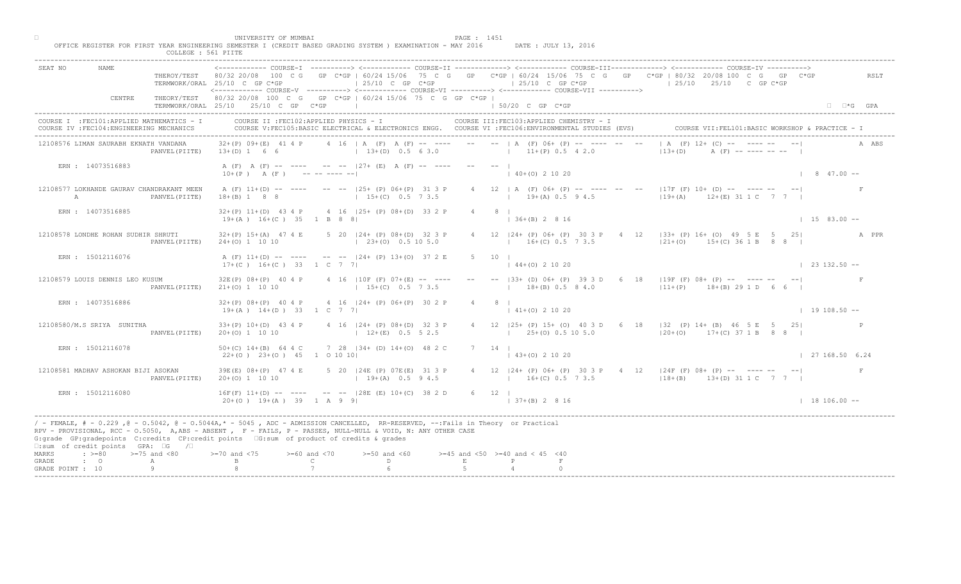| MUMBA <sup>-</sup><br>:JNTVERST<br>DACF                                                                    | $\Lambda$ |        |        |
|------------------------------------------------------------------------------------------------------------|-----------|--------|--------|
| - MAY 2016<br>YEAR ENGINEERING SEMESTER I (CREDIT BASED GRADING SYSTEM<br>EYAMINATION .<br>ISTER FOR FIRST |           | DATE · | TITT.V |
| 561 DTTTPE<br>COLLEGE :                                                                                    |           |        |        |

| 'GE |  | $:561$ PTTTE |  |
|-----|--|--------------|--|
|     |  |              |  |

| SEAT NO<br><b>NAME</b>                                                                                                                                                                                                                                                                                                                                                            |                  | TERMWORK/ORAL 25/10 C GP C*GP                            | $125/10$ C GP C*GP                                                      |                    | $\vert$ 25/10 C GP C*GP<br><------------ COURSE-V ----------> <------------ COURSE-VI -----------> <------------ COURSE-VII ---------->         | COURSE-I ----------> <------------ COURSE-II ------------> <------------ COURSE-III------------> <------------ COURSE-IV ----------><br>THEROY/TEST 80/32 20/08 100 C G GP C*GP   60/24 15/06 75 C G GP C*GP   60/24 15/06 75 C G GP C*GP   80/32 20/08 100 C G GP C*GP<br>$125/10$ $25/10$ C GP C*GP | RSLT                     |
|-----------------------------------------------------------------------------------------------------------------------------------------------------------------------------------------------------------------------------------------------------------------------------------------------------------------------------------------------------------------------------------|------------------|----------------------------------------------------------|-------------------------------------------------------------------------|--------------------|-------------------------------------------------------------------------------------------------------------------------------------------------|-------------------------------------------------------------------------------------------------------------------------------------------------------------------------------------------------------------------------------------------------------------------------------------------------------|--------------------------|
| CENTRE                                                                                                                                                                                                                                                                                                                                                                            |                  | TERMWORK/ORAL 25/10 25/10 C GP C*GP                      | THEORY/TEST 80/32 20/08 100 C G GP C*GP   60/24 15/06 75 C G GP C*GP    |                    | $150/20$ C GP $C*GP$                                                                                                                            |                                                                                                                                                                                                                                                                                                       | $\Box$ $\Box$ *G GPA     |
| I : FEC101: APPLIED MATHEMATICS - I<br>COURSE IV : FEC104: ENGINEERING MECHANICS                                                                                                                                                                                                                                                                                                  |                  |                                                          | COURSE II : FEC102: APPLIED PHYSICS - I                                 |                    | COURSE III: FEC103: APPLIED CHEMISTRY - I<br>COURSE V:FEC105:BASIC ELECTRICAL & ELECTRONICS ENGG. COURSE VI :FEC106:ENVIRONMENTAL STUDIES (EVS) | COURSE VII: FEL101: BASIC WORKSHOP & PRACTICE - I                                                                                                                                                                                                                                                     |                          |
| 12108576 LIMAN SAURABH EKNATH VANDANA                                                                                                                                                                                                                                                                                                                                             | PANVEL (PIITE)   | $32+(P)$ 09+(E)<br>$13+(D) 1 6 6$                        | 4 16   A (F) A (F)<br>$13+(D)$ 0.5 6 3.0                                |                    | $11+(P)$ 0.5 4 2.0                                                                                                                              | $A$ (F) $12 + (C)$<br>$13+(D)$                                                                                                                                                                                                                                                                        |                          |
| ERN : 14073516883                                                                                                                                                                                                                                                                                                                                                                 |                  | $10+(P)$ A $(F)$ --------                                | A (F) A (F) -- ---- -- --  27+ (E) A (F) -- ----                        |                    | $(40+(0) 2 10 20)$                                                                                                                              |                                                                                                                                                                                                                                                                                                       | $1 \t 8 \t 47.00 -$      |
| 12108577 LOKHANDE GAURAV CHANDRAKANT MEEN<br>$\mathbb{A}$                                                                                                                                                                                                                                                                                                                         | PANVEL (PIITE)   | $18+(B)$ 1 8 8                                           | A (F) 11+(D) -- ---- -- -- 125+ (P) 06+(P) 31 3 P<br>$15+(C)$ 0.5 7 3.5 |                    | $4$ 12   A (F) 06+ (P) -- ---- --<br>$19 + (A) 0.5 9 4.5$                                                                                       | $17F$ (F) 10+ (D) -- ---- --<br>$19 + (A)$<br>$12+(E)$ 31 1 C 7 7                                                                                                                                                                                                                                     | $\mathbb{F}$             |
| ERN : 14073516885                                                                                                                                                                                                                                                                                                                                                                 |                  | $19+(A)$ $16+(C)$ 35 1 B 8 8                             | $32+(P)$ 11+(D) 43 4 P 4 16 (25+ (P) 08+(D) 33 2 P                      |                    | $8 \mid$<br>$\vert$ 36+(B) 2 8 16                                                                                                               |                                                                                                                                                                                                                                                                                                       | $1583.00 -$              |
| 12108578 LONDHE ROHAN SUDHIR SHRUTI                                                                                                                                                                                                                                                                                                                                               | PANVEL (PIITE)   | $32+(P)$ 15+(A) 47 4 E<br>$24+(0)$ 1 10 10               | 5 20   24 + (P) 08 + (D) 32 3 P<br>$\vert$ 23+(0) 0.5 10 5.0            |                    | 4 12<br>$12 \quad  24 + (P) \quad 06 + (P)$<br>$16+(C)$ 0.5 7 3.5                                                                               | $ 33+$ (P) 16+ (O) 49 5 E 5 25<br>$ 21+ (0)$<br>$15+(C)$ 36 1 B 8 8                                                                                                                                                                                                                                   | A PPR                    |
| ERN : 15012116076                                                                                                                                                                                                                                                                                                                                                                 |                  | $17+(C)$ $16+(C)$ 33 1 C 7 7                             | A (F) 11+(D) -- ---- -- -- --  24+ (P) 13+(O) 37 2 E                    | 5 10               | $44+(0)$ 2 10 20                                                                                                                                |                                                                                                                                                                                                                                                                                                       | $\vert$ 23 132.50 $\sim$ |
| 12108579 LOUIS DENNIS LEO KUSUM                                                                                                                                                                                                                                                                                                                                                   | PANVEL (PIITE)   | $32E(P)$ $08+(P)$ 40 4 P<br>$21+(0)$ 1 10 10             | 4 16   10F (F) $07+(E)$ -- ---<br>$15+(C)$ 0.5 7 3.5                    |                    | B3+ (D) 06+ (P) 39 3 D 6 18<br>$18+(B)$ 0.5 8 4.0                                                                                               | $19F (F) 08+ (P) --- --- --- --- ---$<br>$ 11+(P)$ 18+(B) 29 1 D 6 6                                                                                                                                                                                                                                  | F                        |
| ERN : 14073516886                                                                                                                                                                                                                                                                                                                                                                 |                  | $32+(P)$ $08+(P)$ 40 4 P<br>$19+(A)$ $14+(D)$ 33 1 C 7 7 | $4$ 16 $ 24 + (P)$ 06+(P) 30                                            |                    | $141+(0)21020$                                                                                                                                  |                                                                                                                                                                                                                                                                                                       | $1$ 19 108.50 $-$        |
| 12108580/M.S SRIYA SUNITHA                                                                                                                                                                                                                                                                                                                                                        | PANVEL (PIITE)   | $33+(P)$ 10+(D) 43 4 P<br>$20+(0)$ 1 10 10               | $4$ 16 $ 24 + (P) 08 + (1)$<br>$12+(E)$                                 |                    | $125+(0)0.5105.0$                                                                                                                               | 4 12   25 + (P) 15 + (O) 40 3 D 6 18   32 (P) 14 + (B) 46 5 E 5 25  <br>$ 20+(0)$ 17+(C) 37 1 B 8 8                                                                                                                                                                                                   |                          |
| ERN : 15012116078                                                                                                                                                                                                                                                                                                                                                                 |                  | $50+(C)$ 14+(B) 64 4 C<br>$22+(0)$ $23+(0)$ 45           | 7 28 $ 34 + \langle 0 \rangle 14 + \langle 0 \rangle 482C$<br>1 0 10 10 | $7 \quad 14 \quad$ | $(43+(0) 2 10 20)$                                                                                                                              |                                                                                                                                                                                                                                                                                                       | 127168.506.24            |
| 12108581 MADHAV ASHOKAN BIJI ASOKAN                                                                                                                                                                                                                                                                                                                                               | PANVEL (PIITE)   | 39E(E) 08+(P) 47 4 E<br>$20+(0)$ 1 10 10                 | $(24E^{\bullet}(P) 07E(E) 313P)$<br>$19+(A)$ 0.5 9 4.5                  |                    | $16+(C)$ 0.5 7 3.5                                                                                                                              | 12   24+ (P) 06+ (P) 30 3 P 4 12   24F (F) 08+ (P) -- ---- -- -- --<br>$18+(B)$ $13+(D)$ $31 1 C$ 7 7                                                                                                                                                                                                 |                          |
| ERN : 15012116080                                                                                                                                                                                                                                                                                                                                                                 |                  | $16F(F)$ $11+(D)$ --<br>$20+(0)$ 19+(A)                  | $-  28E$ (E) $10+(C)$ 38 2 D<br>$1$ A 9 9 1                             | $6 \t12 \t1$       | $ 37+(B) 2 8 16$                                                                                                                                |                                                                                                                                                                                                                                                                                                       | $18106.00 -$             |
| / - FEMALE, # - 0.229 ,@ - 0.5042, @ - 0.5044A,* - 0045 , ADC - ADMISSION CANCELLED, RR-RESERVED, --:Fails in Theory or Practical<br>RPV - PROVISIONAL, RCC - 0.5050, A, ABS - ABSENT, RF - FAILS, P - PASSES, NULL-NULL & VOID, N: ANY OTHER CASE<br>G:grade GP:gradepoints C:credits CP:credit points G:sum of product of credits & grades<br>□:sum of credit points GPA: □G /□ |                  |                                                          |                                                                         |                    |                                                                                                                                                 |                                                                                                                                                                                                                                                                                                       |                          |
| $\cdot \ \ge 80$<br>MARKS<br>GRADE<br>$\cdot$ 0<br>GRADE POINT : 10                                                                                                                                                                                                                                                                                                               | $>=75$ and $<80$ | and $< 75$                                               | $>= 60$ and $< 70$<br>$>=50$ and $<60$<br>$\mathsf{C}$<br>D             |                    | $>=45$ and $<50$ $>=40$ and $< 45$ $<40$                                                                                                        |                                                                                                                                                                                                                                                                                                       |                          |
|                                                                                                                                                                                                                                                                                                                                                                                   |                  |                                                          |                                                                         |                    |                                                                                                                                                 |                                                                                                                                                                                                                                                                                                       |                          |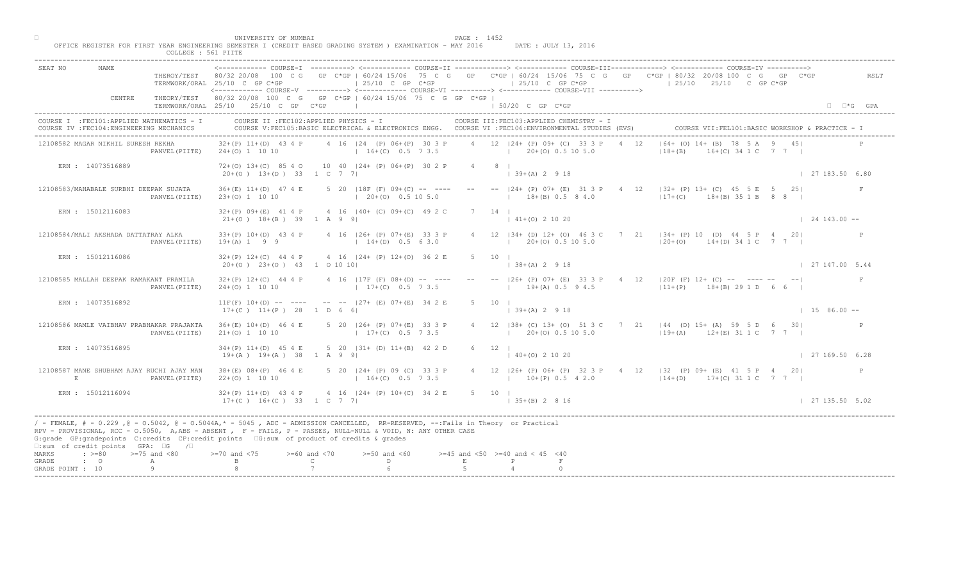|                                                                                                                                                                                                                                                                                                                                                                                                              |                | THEROY/TEST 80/32 20/08 100 C G GP C*GP   60/24 15/06 75 C G GP C*GP   60/24 15/06 75 C G GP C*GP   80/32 20/08 100 C G GP C*GP<br>TERMWORK/ORAL 25/10 C GP C*GP<br><------------ COURSE-V ----------> <------------ COURSE-VI ----------> <------------ COURSE-VII ----------> |                                                     | $125/10$ C GP $C*GP$                               |             |                     | $125/10$ C GP C*GP                                              |                    |  | $125/10$ $25/10$ $25/10$ C GP C*GP |                                                                                                                                                       |                      | RSLT                 |
|--------------------------------------------------------------------------------------------------------------------------------------------------------------------------------------------------------------------------------------------------------------------------------------------------------------------------------------------------------------------------------------------------------------|----------------|---------------------------------------------------------------------------------------------------------------------------------------------------------------------------------------------------------------------------------------------------------------------------------|-----------------------------------------------------|----------------------------------------------------|-------------|---------------------|-----------------------------------------------------------------|--------------------|--|------------------------------------|-------------------------------------------------------------------------------------------------------------------------------------------------------|----------------------|----------------------|
| CENTRE                                                                                                                                                                                                                                                                                                                                                                                                       |                | THEORY/TEST 80/32 20/08 100 C G GP C*GP   60/24 15/06 75 C G GP C*GP  <br>TERMWORK/ORAL 25/10 25/10 C GP C*GP                                                                                                                                                                   |                                                     |                                                    |             |                     | 50/20 C GP C*GP                                                 |                    |  |                                    |                                                                                                                                                       |                      | $\Box$ $\Box$ *G GPA |
| COURSE I : FEC101: APPLIED MATHEMATICS - I<br>COURSE IV : FEC104: ENGINEERING MECHANICS                                                                                                                                                                                                                                                                                                                      |                | COURSE II : FEC102: APPLIED PHYSICS - I<br>COURSE V:FEC105:BASIC ELECTRICAL & ELECTRONICS ENGG. COURSE VI :FEC106:ENVIRONMENTAL STUDIES (EVS)                                                                                                                                   |                                                     |                                                    |             |                     | COURSE III: FEC103: APPLIED CHEMISTRY - I                       |                    |  |                                    | COURSE VII: FEL101: BASIC WORKSHOP & PRACTICE - I                                                                                                     |                      |                      |
| 12108582 MAGAR NIKHIL SURESH REKHA                                                                                                                                                                                                                                                                                                                                                                           |                | $32+(P)$ 11+(D) 43 4 P<br>PANVEL (PIITE) 24+(0) 1 10 10                                                                                                                                                                                                                         |                                                     | 4 16   24 (P) 06+ (P) 30 3 P<br>$16+(C)$ 0.5 7 3.5 |             |                     | 4 12 124 + (P) 09 + (C) 33 3 P<br>$1 \t20+(0) \t0.5 \t10 \t5.0$ |                    |  | $ 18+(B) $                         | $ 64 + (0) 14 + (B) 78$ 5 A 9 45<br>$+(C)$ 34 1 C 7 7 1                                                                                               |                      |                      |
| ERN : 14073516889                                                                                                                                                                                                                                                                                                                                                                                            |                | 72+(0) 13+(C) 85 4 0 10 40   24+ (P) 06+(P) 30 2 P<br>$20+(0)$ 13+(D) 33 1 C 7 7                                                                                                                                                                                                |                                                     |                                                    |             | $4 \qquad 8 \qquad$ | $(39+(A) 2 9 18)$                                               |                    |  |                                    |                                                                                                                                                       | 127183.506.80        |                      |
| 12108583/MAHABALE SURBHI DEEPAK SUJATA                                                                                                                                                                                                                                                                                                                                                                       | PANVEL (PIITE) | $36+(E)$ 11+(D) 47 4 E<br>23+(0) 1 10 10                                                                                                                                                                                                                                        |                                                     | $(20+(0) 0.5 10 5.0$                               |             |                     | $18+(B)$ 0.5 8 4.0                                              |                    |  |                                    | 5 20   18F (F) 09+(C) -- ---- -- --   24+ (P) 07+ (E) 31 3 P 4 $\{2\}$   $\{32 + (P)$ 13+ (C) 45 5 E 5 25 <br>$17+(C)$ $18+(B)$ $35\ 1\ B$ $8\ 8$ $1$ |                      | F                    |
| ERN : 15012116083                                                                                                                                                                                                                                                                                                                                                                                            |                | $32+(P)$ 09+(E) 41 4 P 4 16 (40+ (C) 09+(C) 49 2 C<br>$21+ (0)$ $18+ (B)$ 39 1 A 9 9                                                                                                                                                                                            |                                                     |                                                    |             | $7 \t14$            | $\vert$ 41+(0) 2 10 20                                          |                    |  |                                    |                                                                                                                                                       | $\vert$ 24 143.00 -- |                      |
| 12108584/MALI AKSHADA DATTATRAY ALKA<br>PANVEL (PIITE)                                                                                                                                                                                                                                                                                                                                                       |                | 33+(P) 10+(D) 43 4 P 4 16   26+ (P) 07+(E) 33 3 P<br>$19+(A) 1 9 9$                                                                                                                                                                                                             |                                                     | $14+(D)$ 0.5 6 3.0                                 |             |                     | $\begin{bmatrix} 20 + (0) & 0.5 & 10 & 5.0 \end{bmatrix}$       |                    |  |                                    | 12   34 + (D) 12 + (O) 46 3 c 7 21   34 + (P) 10 (D) 44 5 P 4 20<br>$120+(0)$ 14+(D) 34 1 C 7 7 1                                                     |                      | $\mathbb{P}$         |
| ERN : 15012116086                                                                                                                                                                                                                                                                                                                                                                                            |                | $32+(P)$ 12+(C) 44 4 P 4 16  24+ (P) 12+(O) 36 2 E<br>$20+(0)$ $23+(0)$ $43$ 1 0 10 10                                                                                                                                                                                          |                                                     |                                                    |             | $5 -$<br>10         |                                                                 | $+(A)$ 2 9 18      |  |                                    |                                                                                                                                                       | 127147.005.44        |                      |
| 12108585 MALLAH DEEPAK RAMAKANT PRAMILA<br>PANVEL (PIITE)                                                                                                                                                                                                                                                                                                                                                    |                | $32+(P)$ 12+(C) 44 4 P<br>$24+(0)$ 1 10 10                                                                                                                                                                                                                                      |                                                     | 4 16 $ 17F(F) 08+(D) -- --$<br>$17+(C)$ 0.5 7 3.5  |             |                     |                                                                 | $19+(A)$ 0.5 9 4.5 |  |                                    | $\left  26 + (P) 07 + (E) 33 3 P \right $ 4 12   20 F (F) 12 + (C) -- ---- -- -- <br>$111+(P)$ 18+(B) 29 1 D 6 6                                      |                      | F                    |
| ERN : 14073516892                                                                                                                                                                                                                                                                                                                                                                                            |                | $11F(F)$ $10+(D)$ -- ---- -- -- $127+(E)$ $07+(E)$ $34 \n2 E$<br>$17+(C)$ $11+(P)$ 28 1 D 6 6                                                                                                                                                                                   |                                                     |                                                    |             |                     | $139+(A)2918$                                                   |                    |  |                                    |                                                                                                                                                       | $1586.00 -$          |                      |
| 12108586 MAMLE VAIBHAV PRABHAKAR PRAJAKTA                                                                                                                                                                                                                                                                                                                                                                    | PANVEL (PIITE) | $36+(E)$ 10+(D) 46 4 E<br>$21+(0)$ 1 10 10                                                                                                                                                                                                                                      |                                                     | 5 20 126+ (P) 07+ $(E$<br>$17+(C)$                 |             |                     | $120+(0)0.5105.0$                                               |                    |  |                                    | 4 12   38 + (C) 13 + (O) 51 3 C 7 21   44 (D) 15 + (A) 59 5 D 6 30  <br>$119+(A)$ $12+(E)$ 31 1 C 7 7                                                 |                      |                      |
| ERN : 14073516895                                                                                                                                                                                                                                                                                                                                                                                            |                | $34+(P)$ 11+(D) 45 4 E<br>$19+(A)$ $19+(A)$ 38 1 A 9                                                                                                                                                                                                                            |                                                     | 5 20 $(31 + 0)$ $11 + (B)$ 42 2 D                  |             | $6 \t 12 \t 1$      | $(40+(0) 2 10 20)$                                              |                    |  |                                    |                                                                                                                                                       | 127169.506.28        |                      |
| 12108587 MANE SHUBHAM AJAY RUCHI AJAY MAN<br>E.<br>PANVEL (PIITE)                                                                                                                                                                                                                                                                                                                                            |                | $38 + (E)$ 08+(P) 46 4 E<br>$22+(0)$ 1 10 10                                                                                                                                                                                                                                    |                                                     | $16+(C)$ 0.5 7 3.5                                 |             |                     | $10+(P)$ 0.5 4 2.0                                              |                    |  |                                    | 5 20 124 P (P) 09 (C) 33 3 P 4 12 126 + (P) 06 + (P) 32 3 P 4 12 132 (P) 09 + (E) 41 5 P 4 20<br>$114+(D)$ 17+(C) 31 1 C 7 7                          |                      |                      |
| ERN : 15012116094                                                                                                                                                                                                                                                                                                                                                                                            |                | $32+(P)$ 11+(D) 43 4 P<br>17+(C) 16+(C) 33 1 C 7 7                                                                                                                                                                                                                              |                                                     | $4 \cdot 16$ $ 24 + (P) 10 + (C) 34 2 E$           |             | 5 10 1              | $135+(B) 2816$                                                  |                    |  |                                    |                                                                                                                                                       | 127135.505.02        |                      |
| / - FEMALE, # - 0.229, @ - 0.5042, @ - 0.5044A,* - 0045, ADC - ADMISSION CANCELLED, RR-RESERVED, --:Fails in Theory or Practical<br>RPV - PROVISIONAL, RCC - 0.5050, A, ABS - ABSENT, PP - FAILS, P - PASSES, NULL-NULL & VOID, N: ANY OTHER CASE<br>G:grade GP:gradepoints C:credits CP:credit points G:sum of product of credits & grades<br>$\square$ : sum of credit points GPA: $\square$ G / $\square$ |                |                                                                                                                                                                                                                                                                                 |                                                     |                                                    |             |                     |                                                                 |                    |  |                                    |                                                                                                                                                       |                      |                      |
| $\Rightarrow$ $>=80$ $>=75$ and <80<br>MARKS<br>$\cdot$ 0<br>GRADE<br>A<br>GRADE POINT : 10<br>9                                                                                                                                                                                                                                                                                                             |                | $> = 70$ and $< 75$                                                                                                                                                                                                                                                             | $>= 60$ and $< 70$<br>$\mathbb{C}$ and $\mathbb{C}$ | $>=50$ and $<60$<br>D.                             | $\mathbf E$ |                     | $>=45$ and $<50$ $>=40$ and $< 45$ $<40$<br>P                   |                    |  |                                    |                                                                                                                                                       |                      |                      |

□ PAGE : 1452<br>OFFICE REGISTER FOR FIRST YEAR ENGINEERING SEMESTER I (CREDIT BASED GRADING SYSTEM ) EXAMINATION - MAY 2016 DATE : JULY 13, 2016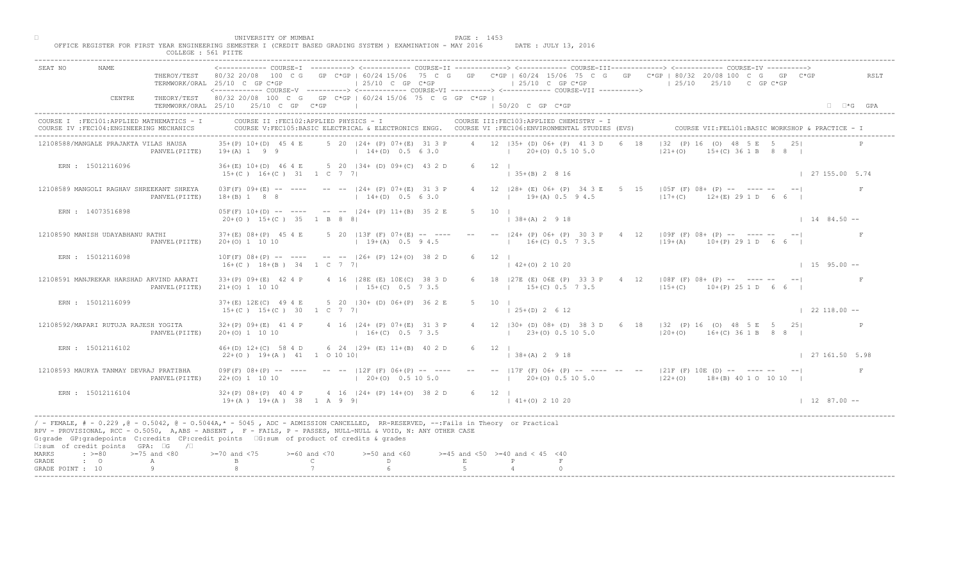|                                     |                                                    | COLLEGE : 561 PIITE                                        |                                                                                                                                                                                                                                                                                                                                             |                                     |                                                       |        |                                                                                                                                                 |                                                                                                                                                                                                                                                          |                             |
|-------------------------------------|----------------------------------------------------|------------------------------------------------------------|---------------------------------------------------------------------------------------------------------------------------------------------------------------------------------------------------------------------------------------------------------------------------------------------------------------------------------------------|-------------------------------------|-------------------------------------------------------|--------|-------------------------------------------------------------------------------------------------------------------------------------------------|----------------------------------------------------------------------------------------------------------------------------------------------------------------------------------------------------------------------------------------------------------|-----------------------------|
| SEAT NO                             |                                                    |                                                            | TERMWORK/ORAL 25/10 C GP C*GP                                                                                                                                                                                                                                                                                                               |                                     | $\vert$ 25/10 C GP C*GP                               |        | $125/10$ C GP C*GP<br><------------ COURSE-V ----------> <------------ COURSE-VI -----------> <------------ COURSE-VII ---------->              | COURSE-II -------------> <------------ COURSE-III-------------> <------------ COURSE-IV<br>THEROY/TEST 80/32 20/08 100 C G GP C*GP   60/24 15/06 75 C G GP C*GP   60/24 15/06 75 C G GP C*GP   80/32 20/08 100 C G GP C*GP<br>$125/10$ $25/10$ C GP C*GP | RSLT                        |
|                                     | CENTRE                                             |                                                            | THEORY/TEST 80/32 20/08 100 C G GP C*GP   60/24 15/06 75 C G GP C*GP  <br>TERMWORK/ORAL 25/10 25/10 C GP C*GP                                                                                                                                                                                                                               |                                     |                                                       |        | $150/20$ C GP $C*GP$                                                                                                                            |                                                                                                                                                                                                                                                          | $\Box$ $\Box$ *G GPA        |
|                                     | COURSE IV : FEC104: ENGINEERING MECHANICS          | COURSE I : FEC101: APPLIED MATHEMATICS - I                 | COURSE II : FEC102: APPLIED PHYSICS - I                                                                                                                                                                                                                                                                                                     |                                     |                                                       |        | COURSE III: FEC103: APPLIED CHEMISTRY - I<br>COURSE V:FEC105:BASIC ELECTRICAL & ELECTRONICS ENGG. COURSE VI :FEC106:ENVIRONMENTAL STUDIES (EVS) | COURSE VII: FEL101: BASIC WORKSHOP & PRACTICE -                                                                                                                                                                                                          |                             |
|                                     | 12108588/MANGALE PRAJAKTA VILAS HAUSA              | PANVEL (PIITE)                                             | $35+(P)$ 10+(D) 45 4 E<br>$19+(A) 1 9 9$                                                                                                                                                                                                                                                                                                    |                                     | 5 20   24 + (P) 07 + (E) 31 3 P<br>$14+(D)$ 0.5 6 3.0 |        | 4 12 135+ (D) 06+ (P) 41 3 D<br>$1 \t20+(0) \t0.5 \t10 \t5.0$                                                                                   | $132$ (P) 16 (O) 48<br>$121 + (0)$<br>$($ C) 36 1 B 8 8 I                                                                                                                                                                                                |                             |
|                                     | ERN : 15012116096                                  |                                                            | 36+(E) 10+(D) 46 4 E 5 20   34+ (D) 09+(C) 43 2 D<br>$15+(C)$ $16+(C)$ $31$ $1$ C 7 7                                                                                                                                                                                                                                                       |                                     |                                                       |        | $6 \t 12 \t 1$<br>$\vert$ 35+(B) 2 8 16                                                                                                         |                                                                                                                                                                                                                                                          | 127155.005.74               |
|                                     |                                                    | 12108589 MANGOLI RAGHAV SHREEKANT SHREYA<br>PANVEL (PIITE) | $03F(F)$ $09+(E)$ -- ---- -- -- $ 24+(P)$ $07+(E)$ 31 3 P<br>$18+(B)$ 1 8 8                                                                                                                                                                                                                                                                 |                                     | $14+(D)$ 0.5 6 3.0                                    |        | $1$ 19+(A) 0.5 9 4.5                                                                                                                            | 4 12   28 + (E) 06 + (P) 34 3 E 5   5   105F (F) 08 + (P) -- ---- --<br>$12+(C)$ $12+(E)$ 29 1 D                                                                                                                                                         |                             |
|                                     | ERN : 14073516898                                  |                                                            | $05F(F)$ 10+(D) -- ---- -- -- $124+$ (P) 11+(B) 35 2 E<br>$20+(0)$ 15+(C) 35 1 B 8 8                                                                                                                                                                                                                                                        |                                     |                                                       |        | $5 \t10 \t1$<br>$\vert$ 38+(A) 2 9 18                                                                                                           |                                                                                                                                                                                                                                                          | $1 \t14 \t84.50 -$          |
|                                     | 12108590 MANISH UDAYABHANU RATHI                   | PANVEL (PIITE)                                             | $37 + (E)$ 08+(P) 45 4 E 5 20   13F (F) 07+(E) -- ---<br>$20+(0)$ 1 10 10                                                                                                                                                                                                                                                                   |                                     | $19+(A)$ 0.5 9 4.5                                    |        | $-  24 + (P) 06 + (P) 30 3 F$<br>$16+(C)$ 0.5 $\sqrt{7}$ 3.5                                                                                    | $4 \t12 \t109F (F) 08+ (P) --- --- --- --- ---$<br>$119+(A)$ $10+(P)$ 29 1 D 6 6                                                                                                                                                                         |                             |
|                                     | ERN : 15012116098                                  |                                                            | $10F(F)$ $08+(P)$ -- ---- -- -- $ 26+(P)$ $12+(O)$ 38 2 D<br>$16+(C)$ $18+(B)$ 34 1 C 7 7                                                                                                                                                                                                                                                   |                                     |                                                       |        | 12<br>$2+(0)$ 2 10 20                                                                                                                           |                                                                                                                                                                                                                                                          | $1595.00 -$                 |
|                                     | 12108591 MANJREKAR HARSHAD ARVIND AARATI           | PANVEL (PIITE)                                             | $33+(P)$ 09+(E) 42 4 P<br>$21+ (0) 1 10 10$                                                                                                                                                                                                                                                                                                 |                                     | 4 16   28E (E) 10E (C) 38 3 D<br>$15+(C)$ 0.5 7 3.5   |        | $15+(C)$ 0.5 7 3.5                                                                                                                              | 27E (E) 06E (P) 33 3 P 4 12   08F (F) 08+ (P) -- ---- -- -- <br>$115+(C)$ 10+(P) 25 1 D 6 6                                                                                                                                                              |                             |
|                                     | ERN : 15012116099                                  |                                                            | $37+(E)$ 12E(C) 49 4 E<br>$15+(C)$ $15+(C)$ 30 1 C 7 7                                                                                                                                                                                                                                                                                      |                                     | 5 20   30 + (D) 06 + (P) 36 2 E                       |        | $\vert$ 25+(D) 2 6 12                                                                                                                           |                                                                                                                                                                                                                                                          | $122118.00 - -$             |
|                                     | 12108592/MAPARI RUTUJA RAJESH YOGITA               | PANVEL (PIITE)                                             | $32+(P)$ 09+(E) 41 4 P<br>$20+(0)$ 1 10 10                                                                                                                                                                                                                                                                                                  |                                     | 4 16 $ 24 + (P) 07 + (E)$<br>$16+(C)$                 |        | $(23+(0) 0.5 10 5.0)$                                                                                                                           | 4 12   30 + (D) 08 + (D) 38 3 D 6 18   32 (P) 16 (O) 48 5 E 5 25  <br>$120+(0)$ 16+(C) 36 1 B 8 8 I                                                                                                                                                      |                             |
|                                     | ERN : 15012116102                                  |                                                            | $46+(D)$ 12+(C) 58 4 D<br>$22+(0)$ 19+(A) 41 1 0 10 10                                                                                                                                                                                                                                                                                      |                                     | 6 24 $ 29 + (B) 11 + (B) 40 2 D$                      |        | $6 \t 12 \t 1$<br>$ 38+(A) 2 9 18$                                                                                                              |                                                                                                                                                                                                                                                          | 127161.505.98               |
|                                     | 12108593 MAURYA TANMAY DEVRAJ PRATIBHA             | PANVEL (PIITE)                                             | $09F(F) 08+(P)$ -- ----<br>$22+(0)$ 1 10 10                                                                                                                                                                                                                                                                                                 |                                     | $20+(0)$ 0.5 10 5.0                                   |        |                                                                                                                                                 | $12E$ (F) 06+(P) -- ---- -- -- 117F (F) 06+ (P) -- ---- -- -- 121F (F) 10E (D) -- ---- -- -- --<br>$(20+(0) 0.5 10 5.0$ $(22+(0) 18+(B) 40 10 10 10)$                                                                                                    | F                           |
|                                     | ERN : 15012116104                                  |                                                            | $32+(P)$ 08+(P) 40 4 P<br>$19+(A)$ $19+(A)$ $38$ $1$ A 9 9                                                                                                                                                                                                                                                                                  |                                     | $\triangle$ 4 16   24 + (P) 14 + (O) 38 2 D           |        | 6 12  <br>$141+(0)21020$                                                                                                                        |                                                                                                                                                                                                                                                          | $1 \quad 12 \quad 87.00 --$ |
|                                     | $\square$ : sum of credit points GPA: $\square$ G  | $\sqrt{2}$                                                 | / - FEMALE, # - 0.229 ,@ - 0.5042, @ - 0.5044A,* - 5045 , ADC - ADMISSION CANCELLED, RR-RESERVED, --:Fails in Theory or Practical<br>RPV - PROVISIONAL, RCC - 0.5050, A, ABS - ABSENT, P - FAILS, P - PASSES, NULL-NULL & VOID, N: ANY OTHER CASE<br>G:grade GP:gradepoints C:credits CP:credit points G:sum of product of credits & grades |                                     |                                                       |        |                                                                                                                                                 |                                                                                                                                                                                                                                                          |                             |
| MARKS<br>$\cdot$ $\cdot$ 0<br>GRADE | $\Rightarrow$ $>=$ 80 $\Rightarrow$ $=$ 75 and <80 | A                                                          | $> = 70$ and $< 75$                                                                                                                                                                                                                                                                                                                         | $>= 60$ and $< 70$<br>$\mathcal{C}$ | $>=50$ and $<60$<br>D.                                | $\,$ E | $>=45$ and $<50$ $>=40$ and $< 45$ $<40$                                                                                                        |                                                                                                                                                                                                                                                          |                             |
| GRADE POINT : 10                    |                                                    | Q                                                          |                                                                                                                                                                                                                                                                                                                                             |                                     |                                                       |        |                                                                                                                                                 |                                                                                                                                                                                                                                                          |                             |
|                                     |                                                    |                                                            |                                                                                                                                                                                                                                                                                                                                             |                                     |                                                       |        |                                                                                                                                                 |                                                                                                                                                                                                                                                          |                             |

□ PAGE : 1453<br>OFFICE REGISTER FOR FIRST YEAR ENGINEERING SEMESTER I (CREDIT BASED GRADING SYSTEM ) EXAMINATION - MAY 2016 DATE : JULY 13, 2016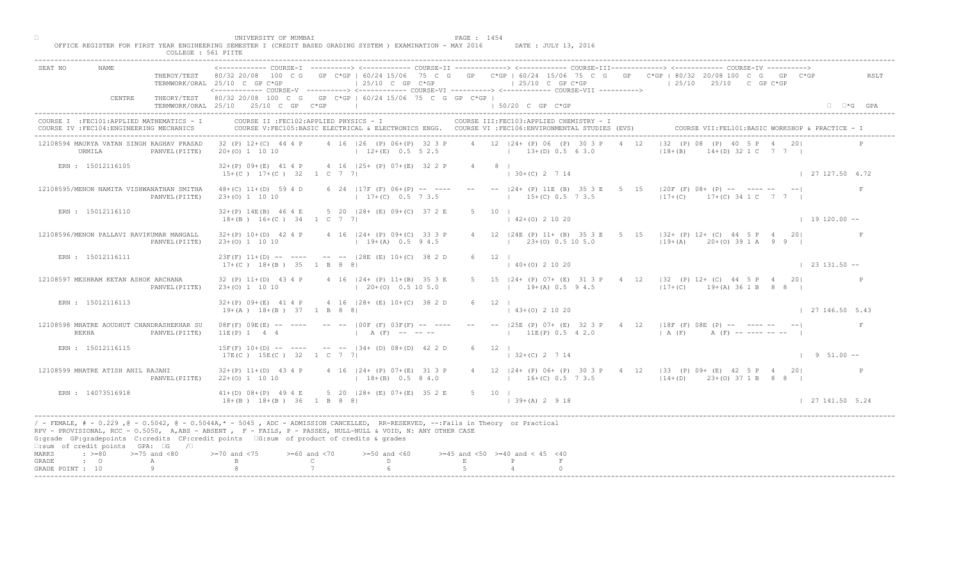| <------------ COURSE-I ----------> <------------ COURSE-II -------------> <----------- COURSE-III------------> <-----------> COURSE-IV<br>SEAT NO<br>NAMF.<br>THEROY/TEST 80/32 20/08 100 C G GP C*GP   60/24 15/06 75 C G GP C*GP   60/24 15/06 75 C G GP C*GP   80/32 20/08 100 C G GP C*GP<br>RSLT<br>$\vert$ 25/10 C GP C*GP<br>$125/10$ C GP C*GP<br>TERMWORK/ORAL 25/10 C GP C*GP<br>$125/10$ $25/10$ C GP C*GP<br><----------- COURSE-V ----------> <------------ COURSE-VI -----------> <------------ COURSE-VII ----------><br>CENTRE<br>THEORY/TEST 80/32 20/08 100 C G GP C*GP   60/24 15/06 75 C G GP C*GP  <br>TERMWORK/ORAL 25/10 25/10 C GP C*GP<br>1 50/20 C GP C*GP<br>$\Box$ $\Box$ *G GPA<br>the contract of the contract of the con-<br>COURSE II : FEC102: APPLIED PHYSICS - I<br>COURSE I : FEC101: APPLIED MATHEMATICS - I<br>COURSE III: FEC103: APPLIED CHEMISTRY - I<br>COURSE V:FEC105:BASIC ELECTRICAL & ELECTRONICS ENGG. COURSE VI :FEC106:ENVIRONMENTAL STUDIES (EVS)<br>COURSE VII: FEL101: BASIC WORKSHOP & PRACTICE - 1<br>COURSE IV : FEC104: ENGINEERING MECHANICS<br>4 16   26 (P) 06+ (P) 32 3 P<br>4 12 124 + (P) 06 (P) 30 3 P<br> 32 (P) 08 (P) 40<br>12108594 MAURYA VATAN SINGH RAGHAV PRASAD<br>32 (P) 12+(C) 44 4 P<br>4 12<br>$12+(E)$ 0.5 5 2.5<br>$13+(D) 0.5 6 3.0$<br>$118 + (B)$<br>$(D)$ 32 1 C 7 7 1<br>URMILA<br>$20+(0)$ 1 10 10<br>PANVEL (PIITE)<br>$32+(P)$ 09+(E) 41 4 P 4 16   25+ (P) 07+(E) 32 2 P<br>ERN : 15012116105<br>4 8 1<br>$15+(C)$ $17+(C)$ 32 1 C 7 7<br>$130+(C)$ 2 7 14<br>127127.504.72<br>15   20F (F) 08+ (P) -- ---- --<br>$-- -24+$ (P) 11E (B) 35 3 E 5<br>12108595/MENON NAMITA VISHWANATHAN SMITHA<br>$48+(C)$ 11+(D) 59 4 D<br>6 24   17F (F) $06+(P)$ -- ---<br>$17+(C)$ $17+(C)$ 34 1 C 7 7<br>$23+(0)$ 1 10 10<br>$17+(C)$ 0.5 7 3.5<br>$15+(C)$ 0.5 7 3.5<br>PANVEL (PIITE)<br>ERN : 15012116110<br>5 20 128 + (E) 09 + (C) 37 2 E<br>$5 \t10 \t1$<br>$32+(P)$ 14E(B) 46 4 E<br>$142+(0)21020$<br>$18+(B)$ $16+(C)$ 34 1 C 7 7<br>$1\quad 19\quad 120.00 - -$<br>12   24E (P) 11 + (B) 35 3 E 5 15   32 + (P) 12 + (C) 44 5 P 4 20<br>$32+(P)$ 10+(D) 42 4 P 4 16  24+ (P) 09+(C) 33 3 P<br>12108596/MENON PALLAVI RAVIKUMAR MANGALL<br>$23+(0)$ 0.5 10 5.0<br>PANVEL (PIITE)<br>$23+(0)$ 1 10 10<br>$19+(A)$ 0.5 9 4.5<br>$119+(A)$ 20+(0) 39 1 A 9 9  <br>ERN : 15012116111<br>$23F(F)$ 11+(D) -- ---- -- --  28E (E) 10+(C) 38 2 D<br>12<br>$0+(0)$ 2 10 20<br>$\vert$ 23 131.50 --<br>$17+(C)$ $18+(B)$ $35$ 1 B 8 8<br>4 16   24 + (P) 11 + (B) 35 3 E<br>24+ (P) 07+ (E) 31 3 P 4 12   32 (P) 12+ (C) 44 5 P 4 20 <br>12108597 MESHRAM KETAN ASHOK ARCHANA<br>$32 (P) 11+(D) 43 4 P$<br>$19+(A)$ 0.5 9 4.5<br>$117+(C)$ $19+(A)$ 36 1 B 8 8 I<br>PANVEL (PIITE)<br>$23+(0)$ 1 10 10<br>$(20+(0) 0.5 10 5.0)$<br>4 16 128 + (E) 10 + (C) 38 2<br>ERN : 15012116113<br>$32+(P)$ 09+(E) 41 4 P<br>$(43+(0) 2 10 20)$<br>127146.505.43<br>$19+(A)$ $18+(B)$ 37 1 B 8 8<br>$-$ (25E (P) 07+ (E) 32 3 P 4 12 (18F (F) 08E (P) $     -$<br>12108598 MHATRE AOUDHUT CHANDRASHEKHAR SU<br>$-- 100F$ (F) 03FMF<br>08F(F) 09E(E)<br>$11E(P)$ 0.5 4 2.0<br>REKHA<br>11E(P) 1 4 4<br>A(F)<br>A (F) -- ---- -- --  <br>PANVEL (PIITE)<br>A (F)<br>$-- -134 + (D) 08 + (D) 42 2 D$<br>ERN : 15012116115<br>$15F(F)$ $10+(D)$ -- ----<br>$6 \t 12 \t 1$<br>$17E(C)$ $15E(C)$ 32 1 C<br>$ 32+(C) 2 7 14$<br>$1 \t 9 \t 51.00 -$<br>$\overline{7}$<br>$124+$ (P) 07+(E) 31 3 P<br>12108599 MHATRE ATISH ANIL RAJANI<br>$32+(P)$ 11+(D) 43 4 P<br>4 12   24 + (P) 06 + (P) 30 3 P + 4 12   33 (P) 09 + (E) + 42 5 P + 4 20  <br>$18+(B)$ 0.5 8 4.0<br>$22+(0)$ 1 10 10<br>$16+(C)$ 0.5 7 3.5<br>$114+(D)$ 23+(0) 37 1 B 8 8 1<br>PANVEL (PIITE)<br>$5$ 20 $128 + (E) 07 + (E) 35 2 E$<br>ERN : 14073516918<br>$41+(D)$ 08+(P) 49 4 E<br>5 10  <br>$18+(B)$ $18+(B)$ $36$ $1$ B 8 8<br>$139+(A) 2918$<br>127141.505.24<br>/ - FEMALE, # - 0.229 ,@ - 0.5042, @ - 0.5044A,* - 5045 , ADC - ADMISSION CANCELLED, RR-RESERVED, --:Fails in Theory or Practical | COLLEGE : 561 PIITE |  |
|---------------------------------------------------------------------------------------------------------------------------------------------------------------------------------------------------------------------------------------------------------------------------------------------------------------------------------------------------------------------------------------------------------------------------------------------------------------------------------------------------------------------------------------------------------------------------------------------------------------------------------------------------------------------------------------------------------------------------------------------------------------------------------------------------------------------------------------------------------------------------------------------------------------------------------------------------------------------------------------------------------------------------------------------------------------------------------------------------------------------------------------------------------------------------------------------------------------------------------------------------------------------------------------------------------------------------------------------------------------------------------------------------------------------------------------------------------------------------------------------------------------------------------------------------------------------------------------------------------------------------------------------------------------------------------------------------------------------------------------------------------------------------------------------------------------------------------------------------------------------------------------------------------------------------------------------------------------------------------------------------------------------------------------------------------------------------------------------------------------------------------------------------------------------------------------------------------------------------------------------------------------------------------------------------------------------------------------------------------------------------------------------------------------------------------------------------------------------------------------------------------------------------------------------------------------------------------------------------------------------------------------------------------------------------------------------------------------------------------------------------------------------------------------------------------------------------------------------------------------------------------------------------------------------------------------------------------------------------------------------------------------------------------------------------------------------------------------------------------------------------------------------------------------------------------------------------------------------------------------------------------------------------------------------------------------------------------------------------------------------------------------------------------------------------------------------------------------------------------------------------------------------------------------------------------------------------------------------------------------------------------------------------------------------------------------------------------------------------------------------------------------------------------------------------------------------------------------------------------------------------------------------------------------------------------------------------------------------------------------------------------------------------------------|---------------------|--|
|                                                                                                                                                                                                                                                                                                                                                                                                                                                                                                                                                                                                                                                                                                                                                                                                                                                                                                                                                                                                                                                                                                                                                                                                                                                                                                                                                                                                                                                                                                                                                                                                                                                                                                                                                                                                                                                                                                                                                                                                                                                                                                                                                                                                                                                                                                                                                                                                                                                                                                                                                                                                                                                                                                                                                                                                                                                                                                                                                                                                                                                                                                                                                                                                                                                                                                                                                                                                                                                                                                                                                                                                                                                                                                                                                                                                                                                                                                                                                                                                                                       |                     |  |
|                                                                                                                                                                                                                                                                                                                                                                                                                                                                                                                                                                                                                                                                                                                                                                                                                                                                                                                                                                                                                                                                                                                                                                                                                                                                                                                                                                                                                                                                                                                                                                                                                                                                                                                                                                                                                                                                                                                                                                                                                                                                                                                                                                                                                                                                                                                                                                                                                                                                                                                                                                                                                                                                                                                                                                                                                                                                                                                                                                                                                                                                                                                                                                                                                                                                                                                                                                                                                                                                                                                                                                                                                                                                                                                                                                                                                                                                                                                                                                                                                                       |                     |  |
|                                                                                                                                                                                                                                                                                                                                                                                                                                                                                                                                                                                                                                                                                                                                                                                                                                                                                                                                                                                                                                                                                                                                                                                                                                                                                                                                                                                                                                                                                                                                                                                                                                                                                                                                                                                                                                                                                                                                                                                                                                                                                                                                                                                                                                                                                                                                                                                                                                                                                                                                                                                                                                                                                                                                                                                                                                                                                                                                                                                                                                                                                                                                                                                                                                                                                                                                                                                                                                                                                                                                                                                                                                                                                                                                                                                                                                                                                                                                                                                                                                       |                     |  |
|                                                                                                                                                                                                                                                                                                                                                                                                                                                                                                                                                                                                                                                                                                                                                                                                                                                                                                                                                                                                                                                                                                                                                                                                                                                                                                                                                                                                                                                                                                                                                                                                                                                                                                                                                                                                                                                                                                                                                                                                                                                                                                                                                                                                                                                                                                                                                                                                                                                                                                                                                                                                                                                                                                                                                                                                                                                                                                                                                                                                                                                                                                                                                                                                                                                                                                                                                                                                                                                                                                                                                                                                                                                                                                                                                                                                                                                                                                                                                                                                                                       |                     |  |
|                                                                                                                                                                                                                                                                                                                                                                                                                                                                                                                                                                                                                                                                                                                                                                                                                                                                                                                                                                                                                                                                                                                                                                                                                                                                                                                                                                                                                                                                                                                                                                                                                                                                                                                                                                                                                                                                                                                                                                                                                                                                                                                                                                                                                                                                                                                                                                                                                                                                                                                                                                                                                                                                                                                                                                                                                                                                                                                                                                                                                                                                                                                                                                                                                                                                                                                                                                                                                                                                                                                                                                                                                                                                                                                                                                                                                                                                                                                                                                                                                                       |                     |  |
|                                                                                                                                                                                                                                                                                                                                                                                                                                                                                                                                                                                                                                                                                                                                                                                                                                                                                                                                                                                                                                                                                                                                                                                                                                                                                                                                                                                                                                                                                                                                                                                                                                                                                                                                                                                                                                                                                                                                                                                                                                                                                                                                                                                                                                                                                                                                                                                                                                                                                                                                                                                                                                                                                                                                                                                                                                                                                                                                                                                                                                                                                                                                                                                                                                                                                                                                                                                                                                                                                                                                                                                                                                                                                                                                                                                                                                                                                                                                                                                                                                       |                     |  |
|                                                                                                                                                                                                                                                                                                                                                                                                                                                                                                                                                                                                                                                                                                                                                                                                                                                                                                                                                                                                                                                                                                                                                                                                                                                                                                                                                                                                                                                                                                                                                                                                                                                                                                                                                                                                                                                                                                                                                                                                                                                                                                                                                                                                                                                                                                                                                                                                                                                                                                                                                                                                                                                                                                                                                                                                                                                                                                                                                                                                                                                                                                                                                                                                                                                                                                                                                                                                                                                                                                                                                                                                                                                                                                                                                                                                                                                                                                                                                                                                                                       |                     |  |
|                                                                                                                                                                                                                                                                                                                                                                                                                                                                                                                                                                                                                                                                                                                                                                                                                                                                                                                                                                                                                                                                                                                                                                                                                                                                                                                                                                                                                                                                                                                                                                                                                                                                                                                                                                                                                                                                                                                                                                                                                                                                                                                                                                                                                                                                                                                                                                                                                                                                                                                                                                                                                                                                                                                                                                                                                                                                                                                                                                                                                                                                                                                                                                                                                                                                                                                                                                                                                                                                                                                                                                                                                                                                                                                                                                                                                                                                                                                                                                                                                                       |                     |  |
|                                                                                                                                                                                                                                                                                                                                                                                                                                                                                                                                                                                                                                                                                                                                                                                                                                                                                                                                                                                                                                                                                                                                                                                                                                                                                                                                                                                                                                                                                                                                                                                                                                                                                                                                                                                                                                                                                                                                                                                                                                                                                                                                                                                                                                                                                                                                                                                                                                                                                                                                                                                                                                                                                                                                                                                                                                                                                                                                                                                                                                                                                                                                                                                                                                                                                                                                                                                                                                                                                                                                                                                                                                                                                                                                                                                                                                                                                                                                                                                                                                       |                     |  |
|                                                                                                                                                                                                                                                                                                                                                                                                                                                                                                                                                                                                                                                                                                                                                                                                                                                                                                                                                                                                                                                                                                                                                                                                                                                                                                                                                                                                                                                                                                                                                                                                                                                                                                                                                                                                                                                                                                                                                                                                                                                                                                                                                                                                                                                                                                                                                                                                                                                                                                                                                                                                                                                                                                                                                                                                                                                                                                                                                                                                                                                                                                                                                                                                                                                                                                                                                                                                                                                                                                                                                                                                                                                                                                                                                                                                                                                                                                                                                                                                                                       |                     |  |
|                                                                                                                                                                                                                                                                                                                                                                                                                                                                                                                                                                                                                                                                                                                                                                                                                                                                                                                                                                                                                                                                                                                                                                                                                                                                                                                                                                                                                                                                                                                                                                                                                                                                                                                                                                                                                                                                                                                                                                                                                                                                                                                                                                                                                                                                                                                                                                                                                                                                                                                                                                                                                                                                                                                                                                                                                                                                                                                                                                                                                                                                                                                                                                                                                                                                                                                                                                                                                                                                                                                                                                                                                                                                                                                                                                                                                                                                                                                                                                                                                                       |                     |  |
|                                                                                                                                                                                                                                                                                                                                                                                                                                                                                                                                                                                                                                                                                                                                                                                                                                                                                                                                                                                                                                                                                                                                                                                                                                                                                                                                                                                                                                                                                                                                                                                                                                                                                                                                                                                                                                                                                                                                                                                                                                                                                                                                                                                                                                                                                                                                                                                                                                                                                                                                                                                                                                                                                                                                                                                                                                                                                                                                                                                                                                                                                                                                                                                                                                                                                                                                                                                                                                                                                                                                                                                                                                                                                                                                                                                                                                                                                                                                                                                                                                       |                     |  |
|                                                                                                                                                                                                                                                                                                                                                                                                                                                                                                                                                                                                                                                                                                                                                                                                                                                                                                                                                                                                                                                                                                                                                                                                                                                                                                                                                                                                                                                                                                                                                                                                                                                                                                                                                                                                                                                                                                                                                                                                                                                                                                                                                                                                                                                                                                                                                                                                                                                                                                                                                                                                                                                                                                                                                                                                                                                                                                                                                                                                                                                                                                                                                                                                                                                                                                                                                                                                                                                                                                                                                                                                                                                                                                                                                                                                                                                                                                                                                                                                                                       |                     |  |
|                                                                                                                                                                                                                                                                                                                                                                                                                                                                                                                                                                                                                                                                                                                                                                                                                                                                                                                                                                                                                                                                                                                                                                                                                                                                                                                                                                                                                                                                                                                                                                                                                                                                                                                                                                                                                                                                                                                                                                                                                                                                                                                                                                                                                                                                                                                                                                                                                                                                                                                                                                                                                                                                                                                                                                                                                                                                                                                                                                                                                                                                                                                                                                                                                                                                                                                                                                                                                                                                                                                                                                                                                                                                                                                                                                                                                                                                                                                                                                                                                                       |                     |  |
|                                                                                                                                                                                                                                                                                                                                                                                                                                                                                                                                                                                                                                                                                                                                                                                                                                                                                                                                                                                                                                                                                                                                                                                                                                                                                                                                                                                                                                                                                                                                                                                                                                                                                                                                                                                                                                                                                                                                                                                                                                                                                                                                                                                                                                                                                                                                                                                                                                                                                                                                                                                                                                                                                                                                                                                                                                                                                                                                                                                                                                                                                                                                                                                                                                                                                                                                                                                                                                                                                                                                                                                                                                                                                                                                                                                                                                                                                                                                                                                                                                       |                     |  |
| RPV - PROVISIONAL, RCC - 0.5050, A, ABS - ABSENT, P - FAILS, P - PASSES, NULL-NULL & VOID, N: ANY OTHER CASE<br>G:grade GP:gradepoints C:credits CP:credit points G:sum of product of credits & grades<br>$\square$ : sum of credit points GPA: $\square$ G<br>$\sqrt{2}$                                                                                                                                                                                                                                                                                                                                                                                                                                                                                                                                                                                                                                                                                                                                                                                                                                                                                                                                                                                                                                                                                                                                                                                                                                                                                                                                                                                                                                                                                                                                                                                                                                                                                                                                                                                                                                                                                                                                                                                                                                                                                                                                                                                                                                                                                                                                                                                                                                                                                                                                                                                                                                                                                                                                                                                                                                                                                                                                                                                                                                                                                                                                                                                                                                                                                                                                                                                                                                                                                                                                                                                                                                                                                                                                                             |                     |  |
| $\Rightarrow$ $>=$ 80 $>=$ 75 and <80<br>$> = 70$ and $< 75$<br>$>= 60$ and $< 70$<br>$>=50$ and $<60$<br>$>=45$ and $<50$ $>=40$ and $< 45$ $<40$<br>MARKS<br>$\mathcal{C}$<br>D<br>$\,$ E<br>$\cdot$ $\cdot$ 0<br>GRADE<br>A<br>Q<br>GRADE POINT : 10                                                                                                                                                                                                                                                                                                                                                                                                                                                                                                                                                                                                                                                                                                                                                                                                                                                                                                                                                                                                                                                                                                                                                                                                                                                                                                                                                                                                                                                                                                                                                                                                                                                                                                                                                                                                                                                                                                                                                                                                                                                                                                                                                                                                                                                                                                                                                                                                                                                                                                                                                                                                                                                                                                                                                                                                                                                                                                                                                                                                                                                                                                                                                                                                                                                                                                                                                                                                                                                                                                                                                                                                                                                                                                                                                                               |                     |  |

□ PAGE : 1454<br>OFFICE REGISTER FOR FIRST YEAR ENGINEERING SEMESTER I (CREDIT BASED GRADING SYSTEM ) EXAMINATION - MAY 2016 DATE : JULY 13, 2016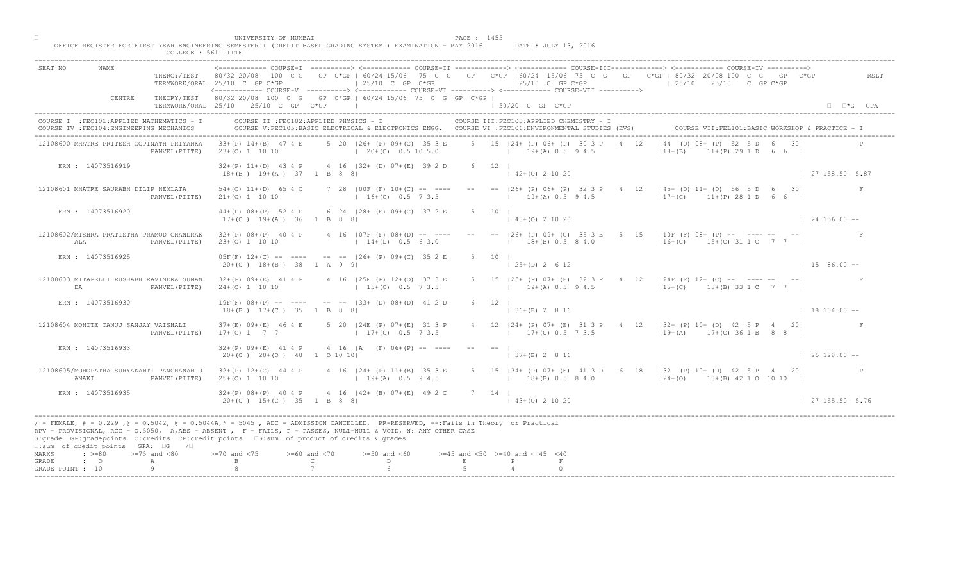|                             |                                                                                         |                     | UNIVERSITY OF MUMBAI                                                                   | OFFICE REGISTER FOR FIRST YEAR ENGINEERING SEMESTER I (CREDIT BASED GRADING SYSTEM ) EXAMINATION - MAY 2016                                                                                                                                       | PAGE : 1455<br>DATE : JULY 13, 2016                                                                                                                                                                                                                                                                                                                                                                                                                        |                      |
|-----------------------------|-----------------------------------------------------------------------------------------|---------------------|----------------------------------------------------------------------------------------|---------------------------------------------------------------------------------------------------------------------------------------------------------------------------------------------------------------------------------------------------|------------------------------------------------------------------------------------------------------------------------------------------------------------------------------------------------------------------------------------------------------------------------------------------------------------------------------------------------------------------------------------------------------------------------------------------------------------|----------------------|
|                             |                                                                                         | COLLEGE : 561 PIITE |                                                                                        |                                                                                                                                                                                                                                                   |                                                                                                                                                                                                                                                                                                                                                                                                                                                            |                      |
| SEAT NO                     | NAME                                                                                    |                     | TERMWORK/ORAL 25/10 C GP C*GP                                                          | $125/10$ C GP C*GP                                                                                                                                                                                                                                | <------------ COURSE-I ----------> <------------ COURSE-II -------------> <------------ COURSE-III------------> <------------ COURSE-IV ----------><br>THEROY/TEST 80/32 20/08 100 C G GP C*GP   60/24 15/06 75 C G GP C*GP   60/24 15/06 75 C G GP C*GP   80/32 20/08 100 C G GP C*GP<br>$125/10$ C GP C*GP<br>$125/10$ $25/10$ C GP C*GP<br><------------ COURSE-V ----------> <------------ COURSE-VI -----------> <------------ COURSE-VII ----------> | RSLT                 |
|                             | CENTRE                                                                                  |                     | TERMWORK/ORAL 25/10 25/10 C GP C*GP                                                    | THEORY/TEST 80/32 20/08 100 C G GP C*GP   60/24 15/06 75 C G GP C*GP  <br>the control of the control of the control of                                                                                                                            | 1 50/20 C GP C*GP                                                                                                                                                                                                                                                                                                                                                                                                                                          | $\Box$ $\Box$ *G GPA |
|                             | COURSE I : FEC101: APPLIED MATHEMATICS - I<br>COURSE IV : FEC104: ENGINEERING MECHANICS |                     |                                                                                        | COURSE II : FEC102: APPLIED PHYSICS - I                                                                                                                                                                                                           | COURSE III: FEC103: APPLIED CHEMISTRY - I<br>COURSE VII: FEL101: BASIC WORKSHOP & PRACTICE - 1<br>COURSE V:FEC105:BASIC ELECTRICAL & ELECTRONICS ENGG. COURSE VI :FEC106:ENVIRONMENTAL STUDIES (EVS)                                                                                                                                                                                                                                                       |                      |
|                             | 12108600 MHATRE PRITESH GOPINATH PRIYANKA                                               | PANVEL (PIITE)      | $33+(P)$ 14+(B) 47 4 E<br>$23+(0)$ 1 10 10                                             |                                                                                                                                                                                                                                                   | (D) $08 + \sqrt{P}$ 52 5<br>5 20   26+ (P) 09+ (C) 35 3 E 5 15   24+ (P) 06+ (P) 30 3 P<br>4 12<br>144<br>$(20+(0) 0.5 10 5.0$ $(19+(A) 0.5 9 4.5)$<br>$118 + (B)$<br>$11+(P)$ 29 1 D 6 6 I                                                                                                                                                                                                                                                                |                      |
|                             | ERN : 14073516919                                                                       |                     | $18+(B)$ $19+(A)$ 37 1 B 8 8                                                           | $32+(P)$ 11+(D) 43 4 P 4 16   32+ (D) 07+(E) 39 2 D 6 12                                                                                                                                                                                          | $142+(0)21020$<br>127158.505.87                                                                                                                                                                                                                                                                                                                                                                                                                            |                      |
|                             | 12108601 MHATRE SAURABH DILIP HEMLATA                                                   | PANVEL (PIITE)      | $54+(C)$ 11+(D) 65 4 C<br>$21+ (0) 1 10 10$                                            | $16+(C)$ 0.5 7 3.5                                                                                                                                                                                                                                | 12 $\vert 45+ (D) 11+ (D) 56 5 D 6 30 \vert$<br>7 28   00F (F) 10+(C) -- ---- -- --   26+ (P) 06+ (P) 32 3 P 4<br>$19+(A) 0.5 9 4.5$<br>$117+(C)$ 11+ (P) 28 1 D 6 6 1                                                                                                                                                                                                                                                                                     |                      |
|                             | ERN : 14073516920                                                                       |                     | $17+(C)$ $19+(A)$ 36 1 B 8 8                                                           | 44+(D) 08+(P) 52 4 D 6 24   28+ (E) 09+(C) 37 2 E                                                                                                                                                                                                 | $5 \t 10 \t 1$<br>$(43+(0) 2 10 20)$<br>$124156.00 - -$                                                                                                                                                                                                                                                                                                                                                                                                    |                      |
| ALA                         | 12108602/MISHRA PRATISTHA PRAMOD CHANDRAK                                               | PANVEL (PIITE)      | 23+(0) 1 10 10                                                                         | $32+(P)$ 08+(P) 40 4 P 4 16   07F (F) 08+(D) -- ---<br>$14+(D)$ 0.5 6 3.0                                                                                                                                                                         | -- -- $ 26 + (P) 09 + (C) 35 3 E 5 15  10F (F) 08 + (P) - - - - - - - - - -  $<br>$18+(B) 0.5 8 4.0$<br>$16+(C)$ 15+(C) 31 1 C 7 7                                                                                                                                                                                                                                                                                                                         |                      |
|                             | ERN : 14073516925                                                                       |                     | $20+(0)$ 18+(B) 38 1 A 9 9                                                             | $05F(F)$ 12+(C) -- ---- -- --  26+ (P) 09+(C) 35 2 E                                                                                                                                                                                              | 5 10<br>$5+(D)$ 2 6 12<br>$1\quad 15\quad 86.00 -$                                                                                                                                                                                                                                                                                                                                                                                                         |                      |
| DA                          | 12108603 MITAPELLI RUSHABH RAVINDRA SUNAN                                               | PANVEL (PIITE)      | $32+(P)$ 09+(E) 41 4 P<br>$24+(0)$ 1 10 10                                             | 4 16   25E (P) 12+(0) 37 3 E<br>$15+(C)$ 0.5 7 3.5                                                                                                                                                                                                | 25+ (P) 07+ (E) 32 3 P 4 12   24F (F) 12+ (C) -- ---- -- -- <br>$19+(A)$ 0.5 9 4.5 $15+(C)$ 18+(B) 33 1 C 7 7                                                                                                                                                                                                                                                                                                                                              |                      |
|                             | ERN : 14073516930                                                                       |                     | $18+(B)$ $17+(C)$ 35 1 B 8 8                                                           | $19F(F)$ $08+(P)$ -- ---- -- -- $ 33+(D)$ $08+(D)$ $41 2 D$                                                                                                                                                                                       | $136+(B) 2816$<br>$18104.00 -$                                                                                                                                                                                                                                                                                                                                                                                                                             |                      |
|                             | 12108604 MOHITE TANUJ SANJAY VAISHALI                                                   | PANVEL (PIITE)      | $37 + (E)$ 09+(E) 46 4 E<br>$17+(C)$ 1 7 7                                             | 5 20   24E (P) 07+ (E)<br>$17+(C)$                                                                                                                                                                                                                | 4 12   24 + (P) 07 + (E) 31 3 P + 4 12   32 + (P) 10 + (D) 42 5 P + 20<br>$17+(C)$ 0.5 7 3.5 $19+(A)$ 17+(C) 36 1 B 8 8 I                                                                                                                                                                                                                                                                                                                                  |                      |
|                             | ERN : 14073516933                                                                       |                     | $32+(P)$ 09+(E) 41 4 P<br>$20+ (0)$ $20+ (0)$ $40$ 1 0 10 10                           | $(\mathbf{F})$ $06 + (P)$ -- ---<br>4 16  A                                                                                                                                                                                                       | $(37 + (B) 2 8 16)$<br>$\vert$ 25 128.00 --                                                                                                                                                                                                                                                                                                                                                                                                                |                      |
| ANAKI                       | 12108605/MOHOPATRA SURYAKANTI PANCHANAN J                                               | PANVEL (PIITE)      | $32+(P)$ 12+(C) 44 4 P<br>$25+(0)$ 1 10 10                                             | $124+$<br>$P(P)$ 11+(B) 35 3 E<br>$19+(A)$ 0.5 9 4.5                                                                                                                                                                                              | 5 15   34 + (D) 07 + (E) 41 3 D 6 18   32 (P) 10 + (D) 42 5 P 4 20  <br>$18+(B) 0.5 8 4.0$ $124+(O) 18+(B) 42 1 O 10 10$                                                                                                                                                                                                                                                                                                                                   |                      |
|                             | ERN : 14073516935                                                                       |                     | $32+(P)$ 08+(P) 40 4 P<br>$20+(0)$ 15+(C) 35 1 B 8 8                                   | $4 \cdot 16$ $142 + (B)$ $07 + (E)$ 49 2 C                                                                                                                                                                                                        | 7 14  <br>127155.505.76<br>$(43+(0) 2 10 20)$                                                                                                                                                                                                                                                                                                                                                                                                              |                      |
|                             | □:sum of credit points GPA: □G /□                                                       |                     | G:grade GP:gradepoints C:credits CP:credit points 6:sum of product of credits & grades | / - FEMALE, # - 0.229, @ - 0.5042, @ - 0.5044A,* - 0045, ADC - ADMISSION CANCELLED, RR-RESERVED, --:Fails in Theory or Practical<br>RPV - PROVISIONAL, RCC - 0.5050, A, ABS - ABSENT , P - FAILS, P - PASSES, NULL-NULL & VOID, N: ANY OTHER CASE |                                                                                                                                                                                                                                                                                                                                                                                                                                                            |                      |
| MARKS<br>$\cdot$ 0<br>GRADE | $\Rightarrow$ $> = 80$ $\Rightarrow$ $= 75$ and $< 80$                                  | $\mathbb{A}$        | $>= 70$ and $< 75$<br>$>= 60$ and $< 70$<br>$\mathbb{C}$ and $\mathbb{C}$              | $>=50$ and $<60$<br>$\mathbb{D}$ and $\mathbb{D}$                                                                                                                                                                                                 | $>=45$ and $<50$ $>=40$ and $< 45$ $<40$<br>$\,$ E                                                                                                                                                                                                                                                                                                                                                                                                         |                      |
| GRADE POINT : 10            |                                                                                         | Q                   |                                                                                        |                                                                                                                                                                                                                                                   |                                                                                                                                                                                                                                                                                                                                                                                                                                                            |                      |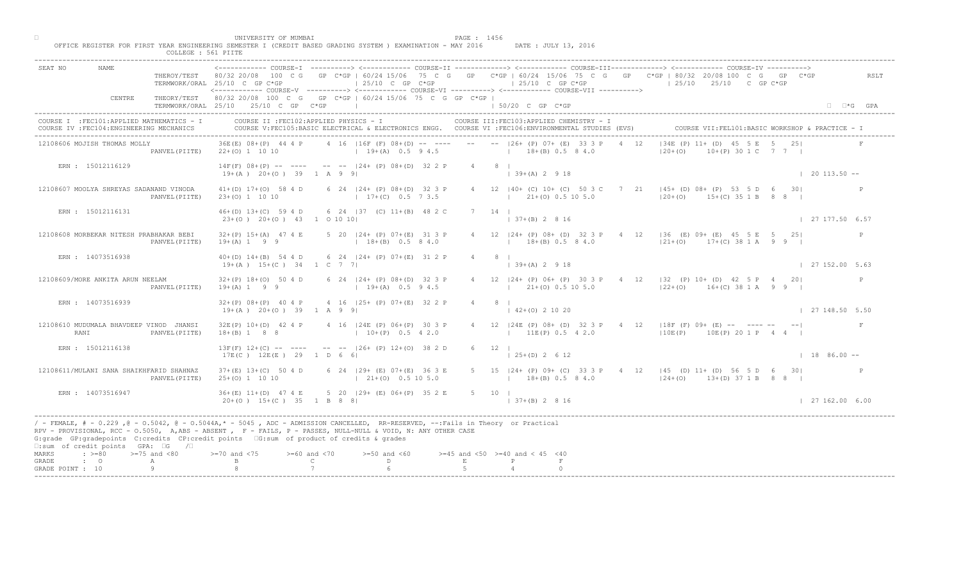|                           |                                                                                         | COLLEGE : 561 PIITE | UNIVERSITY OF MUMBAI                                     | OFFICE REGISTER FOR FIRST YEAR ENGINEERING SEMESTER I (CREDIT BASED GRADING SYSTEM ) EXAMINATION - MAY 2016                                                                                                                                                                                                                                                                    | PAGE : 1456  | DATE : JULY 13, 2016                                                                                                                            |                                                                                                                                                               |                        |
|---------------------------|-----------------------------------------------------------------------------------------|---------------------|----------------------------------------------------------|--------------------------------------------------------------------------------------------------------------------------------------------------------------------------------------------------------------------------------------------------------------------------------------------------------------------------------------------------------------------------------|--------------|-------------------------------------------------------------------------------------------------------------------------------------------------|---------------------------------------------------------------------------------------------------------------------------------------------------------------|------------------------|
| SEAT NO                   | NAME                                                                                    |                     | TERMWORK/ORAL 25/10 C GP C*GP                            | $125/10$ C GP $C*GP$                                                                                                                                                                                                                                                                                                                                                           |              | $\vert$ 25/10 C GP C*GP<br><------------ COURSE-V ----------> <------------ COURSE-VI -----------> <------------ COURSE-VII ---------->         | THEROY/TEST 80/32 20/08 100 C G GP C*GP   60/24 15/06 75 C G GP C*GP   60/24 15/06 75 C G GP C*GP   80/32 20/08 100 C G GP C*GP<br>$125/10$ $25/10$ C GP C*GP | RSLT                   |
|                           | CENTRE                                                                                  |                     |                                                          | THEORY/TEST 80/32 20/08 100 C G GP C*GP   60/24 15/06 75 C G GP C*GP  <br>TERMWORK/ORAL 25/10 25/10 C GP C*GP                                                                                                                                                                                                                                                                  |              | $150/20$ C GP $C*GP$                                                                                                                            |                                                                                                                                                               | $\Box$ $\Box$ *G GPA   |
|                           | COURSE I : FEC101: APPLIED MATHEMATICS - I<br>COURSE IV : FEC104: ENGINEERING MECHANICS |                     |                                                          | COURSE II : FEC102: APPLIED PHYSICS - I                                                                                                                                                                                                                                                                                                                                        |              | COURSE III: FEC103: APPLIED CHEMISTRY - I<br>COURSE V:FEC105:BASIC ELECTRICAL & ELECTRONICS ENGG. COURSE VI :FEC106:ENVIRONMENTAL STUDIES (EVS) | COURSE VII: FEL101: BASIC WORKSHOP & PRACTICE - 1                                                                                                             |                        |
|                           | 12108606 MOJISH THOMAS MOLLY                                                            | PANVEL (PIITE)      |                                                          |                                                                                                                                                                                                                                                                                                                                                                                |              | 36E(E) 08+(P) 44 4 P 4 16   16F (F) 08+(D) -- ---- -- -- --   26+ (P) 07+ (E) 33 3 P 4 12<br>$22+(0)$ 1 10 10                                   | $ 34E (P) 11+  P  45 5 E 5 25 $<br>$10+(P) 30 1 C 7 7 1$<br>$120 + (0)$                                                                                       |                        |
|                           | ERN : 15012116129                                                                       |                     | $19+(A)$ $20+(O)$ 39 1 A 9 9                             | $14F(F)$ 08+(P) -- ---- -- -- $ 24+(P)$ 08+(D) 32 2 P 4 8                                                                                                                                                                                                                                                                                                                      |              | $(39+(A) 2 9 18)$                                                                                                                               |                                                                                                                                                               | $\vert$ 20 113.50 --   |
|                           | 12108607 MOOLYA SHREYAS SADANAND VINODA                                                 | PANVEL (PIITE)      | $41+(D)$ $17+(O)$ 58 4 D<br>$23+(0)$ 1 10 10             | 6 24   24 + (P) 08 + (D) 32 3 P<br>$17+(C)$ 0.5 7 3.5                                                                                                                                                                                                                                                                                                                          |              | 4 12   40 + (C) 10 + (C) 50 3 C 7<br>$(21 + (0) 0.5 10 5.0)$                                                                                    | 21 $\vert 45+$ (D) 08+ (P) 53 5 D 6 30<br>$ 20+(0)$ $15+(C)$ 35 1 B 8 8                                                                                       |                        |
|                           | ERN : 15012116131                                                                       |                     | 23+(0) 20+(0) 43 1 0 10 10                               | 46+(D) 13+(C) 59 4 D 6 24   37 (C) 11+(B) 48 2 C                                                                                                                                                                                                                                                                                                                               |              | 7 14 1<br>$(37 + (B) 2 8 16)$                                                                                                                   |                                                                                                                                                               | 27 177.50 6.57         |
|                           | 12108608 MORBEKAR NITESH PRABHAKAR BEBI                                                 | PANVEL (PIITE)      | $19+(A)$ 1 9 9                                           | 32+(P) 15+(A) 47 4 E 5 20   24+ (P) 07+(E) 31 3 P<br>$18+(B)$ 0.5 8 4.0                                                                                                                                                                                                                                                                                                        |              | $18 \pm (B) 0.5 8 4.0$                                                                                                                          | 4 12   24 + (P) 08 + (D) 32 3 P + 4 12   36 (E) 09 + (E) 45 5 E 5 25  <br>$ 21+(0)$ 17+(C) 38 1 A 9 9                                                         |                        |
|                           | ERN : 14073516938                                                                       |                     | $19+(A)$ $15+(C)$ 34 1 C 7 7                             | 40+(D) 14+(B) 54 4 D 6 24   24+ (P) 07+(E) 31 2 P                                                                                                                                                                                                                                                                                                                              |              | $4 \qquad 8 \qquad$<br>$(39+(A))2918$                                                                                                           |                                                                                                                                                               | 127152.005.63          |
|                           | 12108609/MORE ANKITA ARUN NEELAM                                                        | PANVEL (PIITE)      | $32+(P)$ 18+(0) 50 4 D<br>$19+(A) 1 9 9$                 | 6 24   24 + (P) 08 + (D) 32 3 P<br>$19+(A)$ 0.5 9 4.5                                                                                                                                                                                                                                                                                                                          |              |                                                                                                                                                 | 24+ (P) 06+ (P) 30 3 P 4 12   32 (P) 10+ (D) 42 5 P 4 20<br>21+(0) 0.5 10 5.0 (22+(0) 16+(C) 38 1 A 9 9                                                       |                        |
|                           | ERN : 14073516939                                                                       |                     | $32+(P)$ $08+(P)$ 40 4 P<br>$19+(A)$ $20+(O)$ 39 1 A 9 9 | 4 16 (25+ (P) 07+(E) 32 2                                                                                                                                                                                                                                                                                                                                                      |              | $142+(0)21020$                                                                                                                                  |                                                                                                                                                               | $\vert$ 27 148.50 5.50 |
|                           | 12108610 MUDUMALA BHAVDEEP VINOD JHANSI<br>RANI                                         | PANVEL (PIITE)      | $32E(P)$ $10+(D)$ 42 4 P<br>$18+(B) 1 8 8$               | 4 16   24E (P) 06+ (P) 30 3 P<br>$10+(P)$                                                                                                                                                                                                                                                                                                                                      |              | $11E(P)$ 0.5 4 2.0                                                                                                                              | 4 12   24E (P) 08+ (D) 32 3 P 4 12   18F (F) 09+ (E) -- ---- -- --  <br>$ 10E(P)$ $10E(P)$ $201P$ $44$                                                        | F                      |
|                           | ERN : 15012116138                                                                       |                     | $13F(F)$ $12+(C)$ -- ----<br>$17E(C)$ $12E(E)$ 29 1 D 6  | $-- -   26 + (P) 12 + (0) 38 2 D$                                                                                                                                                                                                                                                                                                                                              |              | $6 \t12$<br>$\vert$ 25+(D) 2 6 12                                                                                                               |                                                                                                                                                               | $1886.00 -$            |
|                           | 12108611/MULANI SANA SHAIKHFARID SHAHNAZ                                                | PANVEL (PIITE)      | $37+(E)$ 13+(C) 50 4 D<br>$25+(0)$ 1 10 10               | 24 $(29 + (E) 07 + (E) 36 3 E)$<br>$21+(0)$ 0.5 10 5.0                                                                                                                                                                                                                                                                                                                         |              |                                                                                                                                                 | 5 15   24 + (P) 09 + (C) 33 3 P + 4 12   45 (D) 11 + (D) 56 5 D 6 30  <br>$(18 + (B) 0.5 8 4.0$ $(24+ (O) 13+ (D) 37 1 B 8 8 )$                               |                        |
|                           | ERN : 14073516947                                                                       |                     | $36+(E)$ 11+(D) 47 4 E                                   | 5 20   29 + (E) 06 + (P) 35 2 E<br>$20+(0)$ 15+(C) 35 1 B 8 8                                                                                                                                                                                                                                                                                                                  |              | $5 \t10 \t1$<br>$1 \cdot 37 + (B)$ 2 8 16                                                                                                       |                                                                                                                                                               | 127162.006.00          |
| MARKS                     | □:sum of credit points GPA: □G /□                                                       |                     | $>= 70$ and $< 75$                                       | / - FEMALE, # - 0.229, @ - 0.5042, @ - 0.5044A,* - 0045, ADC - ADMISSION CANCELLED, RR-RESERVED, --:Fails in Theory or Practical<br>RPV - PROVISIONAL, RCC - 0.5050, A, ABS - ABSENT A RF - FAILS, P - PASSES, NULL-NULL & VOID, N: ANY OTHER CASE<br>G:grade GP:gradepoints C:credits CP:credit points G:sum of product of credits & grades                                   |              |                                                                                                                                                 |                                                                                                                                                               |                        |
| GRADE<br>GRADE POINT : 10 | $\div$ >=80 >=75 and <80<br>$\cdot$ 0                                                   | A                   |                                                          | $>= 60$ and $< 70$<br>$>=50$ and $<60$<br>$\mathbb C$ and $\mathbb C$ and $\mathbb C$ and $\mathbb C$ and $\mathbb C$ and $\mathbb C$ and $\mathbb C$ and $\mathbb C$ and $\mathbb C$ and $\mathbb C$ and $\mathbb C$ and $\mathbb C$ and $\mathbb C$ and $\mathbb C$ and $\mathbb C$ and $\mathbb C$ and $\mathbb C$ and $\mathbb C$ and $\mathbb C$ and $\mathbb C$ and<br>D | $\mathbf{E}$ | $>=45$ and $<50$ $>=40$ and $< 45$ $<40$<br>$\mathbb{P}$                                                                                        |                                                                                                                                                               |                        |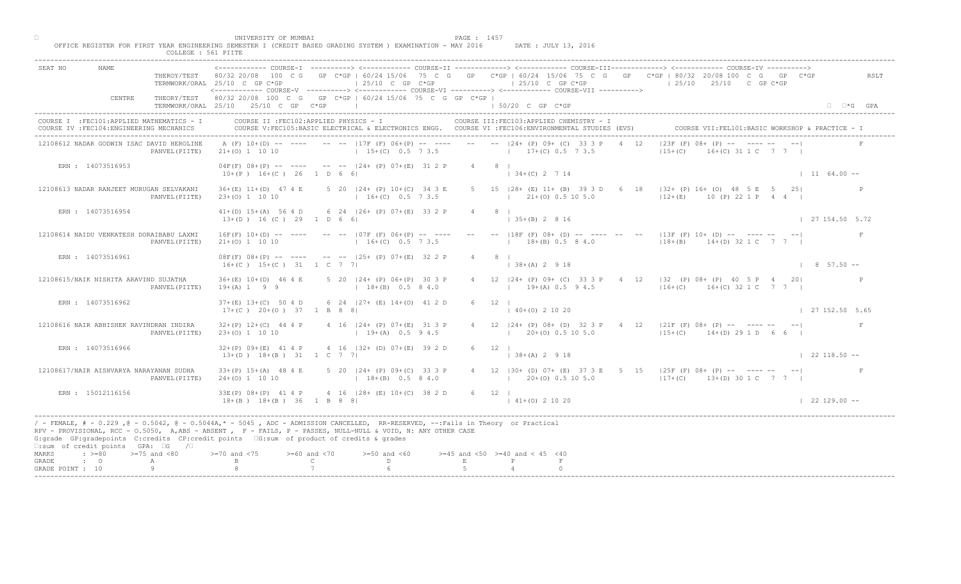|                  |                                                                                         |                     | UNIVERSITY OF MUMBAI                                                                    | OFFICE REGISTER FOR FIRST YEAR ENGINEERING SEMESTER I (CREDIT BASED GRADING SYSTEM ) EXAMINATION - MAY 2016                                                                                                                                       | PAGE : 1457<br>DATE : JULY 13, 2016                                                                                                                                                                                                                                                                                                                                                                                            |                                                                                                                              |
|------------------|-----------------------------------------------------------------------------------------|---------------------|-----------------------------------------------------------------------------------------|---------------------------------------------------------------------------------------------------------------------------------------------------------------------------------------------------------------------------------------------------|--------------------------------------------------------------------------------------------------------------------------------------------------------------------------------------------------------------------------------------------------------------------------------------------------------------------------------------------------------------------------------------------------------------------------------|------------------------------------------------------------------------------------------------------------------------------|
|                  |                                                                                         | COLLEGE : 561 PIITE |                                                                                         |                                                                                                                                                                                                                                                   |                                                                                                                                                                                                                                                                                                                                                                                                                                |                                                                                                                              |
| SEAT NO          | NAME                                                                                    |                     | TERMWORK/ORAL 25/10 C GP C*GP                                                           | $\vert$ 25/10 C GP C*GP                                                                                                                                                                                                                           | <------------ COURSE-I ----------> <------------ COURSE-II -------------> <------------ COURSE-III------------> <------------ COURSE-IV ----------><br>THEROY/TEST 80/32 20/08 100 C G GP C*GP   60/24 15/06 75 C G GP C*GP   60/24 15/06 75 C G GP C*GP   80/32 20/08 100 C G GP C*GP<br>$125/10$ C GP C*GP<br><------------ COURSE-V -----------> <------------ COURSE-VI -----------> <------------ COURSE-VII -----------> | RSLT<br>$125/10$ $25/10$ C GP C*GP                                                                                           |
|                  | CENTRE                                                                                  |                     | TERMWORK/ORAL 25/10 25/10 C GP C*GP                                                     | THEORY/TEST 80/32 20/08 100 C G GP C*GP   60/24 15/06 75 C G GP C*GP  <br>the control of the control of the control of                                                                                                                            | 1 50/20 C GP C*GP                                                                                                                                                                                                                                                                                                                                                                                                              | $\Box$ $\Box$ *G GPA                                                                                                         |
|                  | COURSE I : FEC101: APPLIED MATHEMATICS - I<br>COURSE IV : FEC104: ENGINEERING MECHANICS |                     | COURSE II : FEC102: APPLIED PHYSICS - I                                                 |                                                                                                                                                                                                                                                   | COURSE III: FEC103: APPLIED CHEMISTRY - I<br>COURSE V:FEC105:BASIC ELECTRICAL & ELECTRONICS ENGG. COURSE VI :FEC106:ENVIRONMENTAL STUDIES (EVS)                                                                                                                                                                                                                                                                                | COURSE VII: FEL101: BASIC WORKSHOP & PRACTICE - 1                                                                            |
|                  | 12108612 NADAR GODWIN ISAC DAVID HEROLINE                                               | PANVEL (PIITE)      |                                                                                         |                                                                                                                                                                                                                                                   | A (F) 10+(D) -- ---- -- --  17F (F) 06+(P) -- ---- -- --  24+ (P) 09+ (C) 33 3 P 4 12<br>21+(0) 1 10 10 10 15+(C) 0.5 7 3.5 17+(C) 0.5 7 3.5                                                                                                                                                                                                                                                                                   | $ 23F(F) 08+$ $\langle P \rangle$ -- $\sum$ -- -- --<br>$16+(C)$ 31 1 C 7 7 1<br>$ 15+(C) $                                  |
|                  | ERN : 14073516953                                                                       |                     | $10+(P)$ $16+(C)$ 26 1 D 6 6                                                            | $04F(F)$ $08+(P)$ -- ---- -- -- $ 24+(P)$ $07+(E)$ 31 2 P                                                                                                                                                                                         | $4 \qquad 8 \qquad$<br>$34+(C)$ 2 7 14                                                                                                                                                                                                                                                                                                                                                                                         | $1164.00 -$                                                                                                                  |
|                  | 12108613 NADAR RANJEET MURUGAN SELVAKANI                                                | PANVEL (PIITE)      | $36+(E)$ 11+(D) 47 4 E<br>$23+(0)$ 1 10 10                                              | 5 20   24 + (P) 10 + (C) 34 3 E<br>$16+(C)$ 0.5 7 3.5                                                                                                                                                                                             | 5 15   28 + (E) 11 + (B) 39 3 D 6<br>$121+(0)0.5105.0$                                                                                                                                                                                                                                                                                                                                                                         | 18   132+ (P) 16+ (O) 48 5 E 5 25<br>$ 12+(E)$ 10 (P) 22 1 P 4 4                                                             |
|                  | ERN : 14073516954                                                                       |                     | $13+(D)$ 16 (C) 29 1 D 6 6                                                              | 41+(D) 15+(A) 56 4 D 6 24   26+ (P) 07+(E) 33 2 P                                                                                                                                                                                                 | $4 \qquad 8 \qquad$<br>$135+(B) 2816$                                                                                                                                                                                                                                                                                                                                                                                          | 127154.505.72                                                                                                                |
|                  | 12108614 NAIDU VENKATESH DORAIBABU LAXMI                                                | PANVEL (PIITE)      | $21+ (0) 1 10 10$                                                                       | $16F(F)$ $10+(D)$ -- ---- -- -- $ 07F(F)$ $06+(P)$ -- --- -- -- -- $ 18F(F)$ $08+(D)$<br>$16+(C)$ 0.5 7 3.5                                                                                                                                       | $18 \pm (B) 0.5 8 4.0$                                                                                                                                                                                                                                                                                                                                                                                                         | - -- -- $ 13F(F) 10+ D $ -- ---- -- -- <br>$118+(B)$ $14+(D)$ 32 1 C 7 7                                                     |
|                  | ERN : 14073516961                                                                       |                     | $16+(C)$ $15+(C)$ 31 1 C 7 7                                                            | $08F(F)$ $08+(P)$ -- --- -- -- $   25+(P)$ $07+(E)$ 32 2 P                                                                                                                                                                                        | $38+(A)$ 2 9 18                                                                                                                                                                                                                                                                                                                                                                                                                | $1857.50 -$                                                                                                                  |
|                  | 12108615/NAIK NISHITA ARAVIND SUJATHA                                                   | PANVEL (PIITE)      | $36+(E)$ 10+(D) 46 4 E<br>$19+(A) 1 9 9$                                                | 5 20   24 + (P) 06 + (P) 30 3 P<br>$18+(B)$ 0.5 8 4.0                                                                                                                                                                                             |                                                                                                                                                                                                                                                                                                                                                                                                                                | $\lbrack 24+(P) 09+ (C) 33 3 P 4 12   32 (P) 08+ (P) 40 5 P 4 20 \rbrack$<br>$19+(A)$ 0.5 9 4.5 $16+(C)$ 16+(C) 32 1 C 7 7 1 |
|                  | ERN : 14073516962                                                                       |                     | $37+(E)$ 13+(C) 50 4 D<br>$17+(C)$ $20+(O)$ $37$ 1 B 8 8                                | 6 24 $ 27+$ (E) $14+(0)$ 41 2                                                                                                                                                                                                                     | $(40+(0) 2 10 20)$                                                                                                                                                                                                                                                                                                                                                                                                             | 127152.505.65                                                                                                                |
|                  | 12108616 NAIR ABHISHEK RAVINDRAN INDIRA                                                 | PANVEL (PIITE)      | $32+(P)$ 12+(C) 44 4 P<br>$23+(0)$ 1 10 10                                              | 4 16 $ 24 + (P) 07 + (E)$<br>$19 + (A)$                                                                                                                                                                                                           | $1\ 20+(0)\ 0.5\ 10\ 5.0$                                                                                                                                                                                                                                                                                                                                                                                                      | 4 12   24 + (P) 08 + (D) 32 3 P + 4 12   21 F (F) 08 + (P) -- ---- -- -- --<br>F<br>$115+(C)$ 14+(D) 29 1 D 6 6              |
|                  | ERN : 14073516966                                                                       |                     | $32+(P)$ 09+(E) 41 4 P<br>$13+(D)$ $18+(B)$ 31 1 C 7                                    | 4 16 $ 32 + (D) 0 + (E) 39 2 D$                                                                                                                                                                                                                   | $6 \t 12 \t 1$<br>$138+(A) 2918$                                                                                                                                                                                                                                                                                                                                                                                               | $122118.50 - -$                                                                                                              |
|                  | 12108617/NAIR AISHVARYA NARAYANAN SUDHA                                                 | PANVEL (PIITE)      | $33+(P)$ 15+(A) 48 4 E<br>$24+(0)$ 1 10 10                                              | $(24 + (P) 09 + (C) 33 3 P)$<br>$18+(B)$ 0.5 8 4.0                                                                                                                                                                                                | $120+(0)0.5105.0$                                                                                                                                                                                                                                                                                                                                                                                                              | 4 12   30 + (D) 07 + (E) 37 3 E 5 15   25 F (F) 08 + (P) -- ---- -- -- --<br>$17+(C)$ 13+(D) 30 1 C 7 7                      |
|                  | ERN : 15012116156                                                                       |                     | $33E(P)$ 08+(P) 41 4 P<br>$18+(B)$ $18+(B)$ $36$ $B$ $B$ 8 8                            | $4 \cdot 16$ $ 28 + (E) 10 + (C) 38 2 D$                                                                                                                                                                                                          | $6 \t 12 \t 1$<br>$141+(0)21020$                                                                                                                                                                                                                                                                                                                                                                                               | $122129.00 - -$                                                                                                              |
|                  | □:sum of credit points GPA: □G /□                                                       |                     | G:grade GP:gradepoints C:credits CP:credit points [6:sum of product of credits & grades | / - FEMALE, # - 0.229, @ - 0.5042, @ - 0.5044A,* - 0045, ADC - ADMISSION CANCELLED, RR-RESERVED, --:Fails in Theory or Practical<br>RPV - PROVISIONAL, RCC - 0.5050, A, ABS - ABSENT , P - FAILS, P - PASSES, NULL-NULL & VOID, N: ANY OTHER CASE |                                                                                                                                                                                                                                                                                                                                                                                                                                |                                                                                                                              |
| MARKS<br>GRADE   | $\Rightarrow$ $> = 80$ $\Rightarrow$ $= 75$ and $< 80$<br>$\cdot$ 0                     | A                   | $>= 70$ and $< 75$<br>$>= 60$ and $< 70$                                                | $>=50$ and $<60$<br>$\mathbb{C}$ and $\mathbb{C}$<br>$\mathbb{D}$ and $\mathbb{D}$                                                                                                                                                                | $>=45$ and $<50$ $>=40$ and $< 45$ $<40$<br>E                                                                                                                                                                                                                                                                                                                                                                                  |                                                                                                                              |
| GRADE POINT : 10 |                                                                                         | Q                   |                                                                                         |                                                                                                                                                                                                                                                   |                                                                                                                                                                                                                                                                                                                                                                                                                                |                                                                                                                              |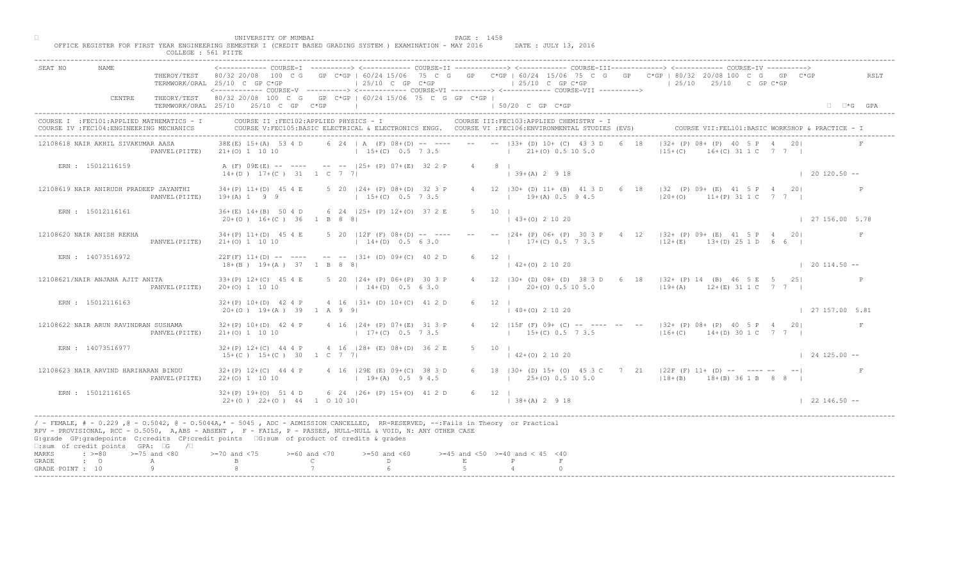| SEAT NO<br>NAME.                                                                                                        | ----------> <------------- COURSE-II ------------> <------------- COURSE-III------------> <------------ COURSE-IV<br>THEROY/TEST 80/32 20/08 100 C G GP C*GP   60/24 15/06 75 C G GP C*GP   60/24 15/06 75 C G GP C*GP   80/32 20/08 100 C G GP C*GP<br>$\vert$ 25/10 C GP C*GP<br>$125/10$ C GP C*GP<br>$125/10$ $25/10$ C GP C*GP<br>TERMWORK/ORAL 25/10 C GP C*GP<br><------------ COURSE-V ----------> <------------ COURSE-VI ----------> <------------ COURSE-VII ----------> | RSLT                 |
|-------------------------------------------------------------------------------------------------------------------------|-------------------------------------------------------------------------------------------------------------------------------------------------------------------------------------------------------------------------------------------------------------------------------------------------------------------------------------------------------------------------------------------------------------------------------------------------------------------------------------|----------------------|
| CENTRE                                                                                                                  | THEORY/TEST 80/32 20/08 100 C G GP C*GP   60/24 15/06 75 C G GP C*GP  <br>TERMWORK/ORAL 25/10 25/10 C GP C*GP<br>$150/20$ C GP C*GP                                                                                                                                                                                                                                                                                                                                                 | $\Box$ $\Box$ *G GPA |
| COURSE I : FEC101: APPLIED MATHEMATICS - I<br>COURSE IV : FEC104: ENGINEERING MECHANICS                                 | COURSE III: FEC103: APPLIED CHEMISTRY - I<br>COURSE II : FEC102: APPLIED PHYSICS - I<br>COURSE V:FEC105:BASIC ELECTRICAL & ELECTRONICS ENGG. COURSE VI :FEC106:ENVIRONMENTAL STUDIES (EVS)<br>COURSE VII: FEL101: BASIC WORKSHOP & PRACTICE -                                                                                                                                                                                                                                       |                      |
| 12108618 NAIR AKHIL SIVAKUMAR AASA                                                                                      | 6 24   A (F) 08+(D) -- ---- -- -- --   33+ (D) 10+ (C) 43 3 D<br>$ 32 + (P) 08 + (P) 40 $<br>38E(E) 15+(A) 53 4 D<br>$15+(C)$ 0.5 7 3.5<br>$1 \t21+(0) \t0.5 \t10 \t5.0$<br>$115 + (C)$<br>$16+(C)$ 31 1 C 7 7 1<br>PANVEL(PIITE) 21+(0) 1 10 10                                                                                                                                                                                                                                    |                      |
| ERN : 15012116159                                                                                                       | A (F) 09E (E) -- ---- -- --  25+ (P) 07+ (E) 32 2 P<br>$4 \qquad 8 \qquad$<br>$14+(D)$ $17+(C)$ 31 1 C 7 7<br>$139+(A) 2918$                                                                                                                                                                                                                                                                                                                                                        | $120120.50 -$        |
| 12108619 NAIR ANIRUDH PRADEEP JAYANTHI<br>PANVEL (PIITE)                                                                | 4 12   30 + (D) 11 + (B) 41 3 D 6 $\overline{18}$   32 (P) 09 + (E) 41 5 P 4 20  <br>5 20   24 + (P) 08 + (D) 32 3 P<br>$34+(P)$ 11+(D) 45 4 E<br>$ 20+(0)$ 11+(P) 31 1 C 7 7<br>$19+(A) 1 9 9$<br>$15+(C)$ 0.5 7 3.5<br>$1$ 19+(A) 0.5 9 4.5                                                                                                                                                                                                                                       |                      |
| ERN : 15012116161                                                                                                       | 6 24   25 + (P) 12 + (0) 37 2 E<br>$36+(E)$ 14+(B) 50 4 D<br>$5 \t10 \t1$<br>$(43+(0) 2 10 20)$<br>$20+(0)$ 16+(C) 36 1 B 8 8                                                                                                                                                                                                                                                                                                                                                       | 127156.005.78        |
| 12108620 NAIR ANISH REKHA<br>PANVEL (PIITE)                                                                             | $-  24 + (P) 06 + (P) 30 3 P$<br>$4$ 12 $ 32 + (P)$ 09+ (E) 41 5 P 4 20<br>$34+(P)$ 11+(D) 45 4 E<br>$5$ 20 $12F$ (F) $08+(D)$ -- ---<br>$17\pm(C)$ 0.5 $\sqrt{3.5}$<br>$21+(0)$ 1 10 10<br>$14+(D)$ 0.5 6 3.0<br>$ 12+(E)$ 13+(D) 25 1 D 6 6                                                                                                                                                                                                                                       | F                    |
| ERN : 14073516972                                                                                                       | $22F(F)$ 11+(D) -- ---- -- --  31+ (D) 09+(C) 40 2 D<br>12<br>$(0)$ 2 10 20<br>$18+(B)$ $19+(A)$ 37 1 B 8 8                                                                                                                                                                                                                                                                                                                                                                         | $120114.50 -$        |
| 12108621/NAIR ANJANA AJIT ANITA<br>PANVEL (PIITE)                                                                       | (B0+ (D) 08+ (D) 38 3 D 6 18   32+ (P) 14 (B) 46 5 E 5 25<br>$33+(P)$ 12+(C) 45 4 E<br>5 20   24 + (P) 06 + (P) 30 3 P<br>$20+(0)$ 0.5 10 5.0<br>$119+(A)$ $12+(E)$ 31 1 C 7 7  <br>$14+(D)$ 0.5 6 3.0<br>$20+(0)$ 1 10 10                                                                                                                                                                                                                                                          |                      |
| ERN : 15012116163                                                                                                       | 4 16 $ 31 + (D) 10 + (C) 41 2$<br>$32+(P)$ 10+(D) 42 4 P<br>$20+(0)$ 19+(A) 39 1 A 9 9<br>$140+(0)21020$                                                                                                                                                                                                                                                                                                                                                                            | 127157.005.81        |
| 12108622 NAIR ARUN RAVINDRAN SUSHAMA<br>PANVEL (PIITE)                                                                  | 4 16 $124 + (P) 07+(E)$<br>4 12   15F (F) 09+ (C) -- ---- -- -- -   32+ (P) 08+ (P) 40 5 P 4 20 <br>$32+(P)$ 10+(D) 42 4 P<br>$15+(C)$ 0.5 7 3.5 $14+(D)$ 30 1 C 7 7  <br>$21+ (0) 1 10 10$<br>$17+(C)$                                                                                                                                                                                                                                                                             |                      |
| ERN : 14073516977                                                                                                       | $4 \t16 \t128 + \t(B) \t08 + \t(D) \t362 E$<br>$32+(P)$ 12+(C) 44 4 P<br>5 10 1<br>$15+(C)$ $15+(C)$ 30 1 C 7<br>$142+(0)21020$                                                                                                                                                                                                                                                                                                                                                     | $124125.00 - -$      |
| 12108623 NAIR ARVIND HARIHARAN BINDU<br>PANVEL (PIITE)                                                                  | $4$ 16 (29E (E) 09+(C) 38 3 D<br>$32+(P)$ 12+(C) 44 4 P<br>6 18   30 + (D) 15 + (O) 45 3 C 7 21   22 F (F) 11 + (D) -- ---- -- -- --  <br>$19+(A)$ 0.5 9 4.5<br>$22+(0)$ 1 10 10<br>$(25+(0) 0.5 10 5.0)$<br>$118+(B)$ $18+(B)$ 36 1 B 8 8 I                                                                                                                                                                                                                                        |                      |
| ERN : 15012116165                                                                                                       | 6 24 $ 26 + (P) 15 + (O) 41 2 D$<br>$32+(P)$ 19+(0) 51 4 D<br>$6 \t 12 \t 1$<br>$22+(0)$ $22+(0)$ $44$ 1 0 10 10<br>$\vert$ 38+(A) 2 9 18                                                                                                                                                                                                                                                                                                                                           | $122146.50 - -$      |
| $\square$ : sum of credit points GPA: $\square$ G / $\square$                                                           | / - FEMALE, # - 0.229 ,@ - 0.5042, @ - 0.5044A,* - 5045 , ADC - ADMISSION CANCELLED, RR-RESERVED, --:Fails in Theory or Practical<br>RPV - PROVISIONAL, RCC - 0.5050, A, ABS - ABSENT, P - FAILS, P - PASSES, NULL-NULL & VOID, N: ANY OTHER CASE<br>G:grade GP:gradepoints C:credits CP:credit points G:sum of product of credits & grades                                                                                                                                         |                      |
| $\Rightarrow$ $>=$ 80 $\Rightarrow$ $=$ 75 and <80<br>MARKS<br>$\cdot$ $\cdot$ 0<br>GRADE<br>A<br>Q<br>GRADE POINT : 10 | $> = 70$ and $< 75$<br>$>= 60$ and $< 70$<br>$>=50$ and $<60$<br>$>=45$ and $<50$ $>=40$ and $< 45$ $<40$<br>$\mathbb{C}$<br>D<br>$\mathbf E$                                                                                                                                                                                                                                                                                                                                       |                      |

□ PAGE : 1458<br>OFFICE REGISTER FOR FIRST YEAR ENGINEERING SEMESTER I (CREDIT BASED GRADING SYSTEM ) EXAMINATION - MAY 2016 DATE : JULY 13, 2016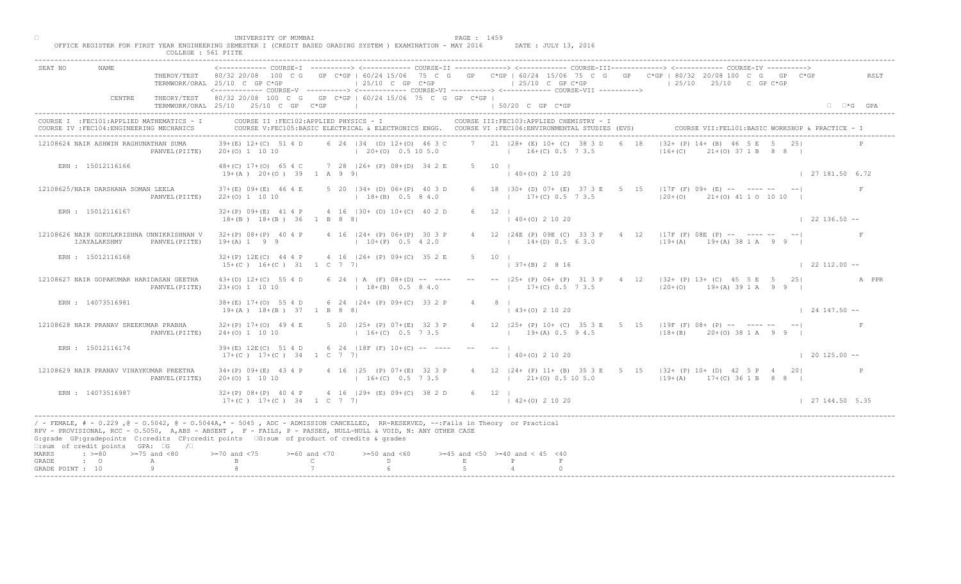|                                    |                                                                                         |                     | UNIVERSITY OF MUMBAI                                                                                                                                                                                                                                                                                                                        |                                                     |                                                       | PAGE : 1459  |                |                                          |                                                            |  |                                                                                                                                     |                           |                                                   |                      |       |
|------------------------------------|-----------------------------------------------------------------------------------------|---------------------|---------------------------------------------------------------------------------------------------------------------------------------------------------------------------------------------------------------------------------------------------------------------------------------------------------------------------------------------|-----------------------------------------------------|-------------------------------------------------------|--------------|----------------|------------------------------------------|------------------------------------------------------------|--|-------------------------------------------------------------------------------------------------------------------------------------|---------------------------|---------------------------------------------------|----------------------|-------|
|                                    |                                                                                         | COLLEGE : 561 PIITE | OFFICE REGISTER FOR FIRST YEAR ENGINEERING SEMESTER I (CREDIT BASED GRADING SYSTEM ) EXAMINATION - MAY 2016                                                                                                                                                                                                                                 |                                                     |                                                       |              |                |                                          | DATE : JULY 13, 2016                                       |  |                                                                                                                                     |                           |                                                   |                      |       |
| SEAT NO                            | <b>NAME</b>                                                                             |                     | THEROY/TEST 80/32 20/08 100 C G GP C*GP   60/24 15/06 75 C G GP C*GP   60/24 15/06 75 C G GP C*GP   80/32 20/08 100 C G GP C*GP<br>TERMWORK/ORAL 25/10 C GP C*GP<br><------------ COURSE-V ----------> <------------ COURSE-VI -----------> <------------ COURSE-VII ---------->                                                            |                                                     | $\vert$ 25/10 C GP C*GP                               |              |                |                                          | $125/10$ C GP C*GP                                         |  | $125/10$ $25/10$ C GP C*GP                                                                                                          |                           |                                                   |                      | RSLT  |
|                                    | CENTRE                                                                                  |                     | THEORY/TEST 80/32 20/08 100 C G GP C*GP   60/24 15/06 75 C G GP C*GP  <br>TERMWORK/ORAL 25/10 25/10 C GP C*GP                                                                                                                                                                                                                               |                                                     | the contract of the contract of the contract of       |              |                | $150/20$ C GP C*GP                       |                                                            |  |                                                                                                                                     |                           |                                                   | $\Box$ $\Box$ *G GPA |       |
|                                    | COURSE I : FEC101: APPLIED MATHEMATICS - I<br>COURSE IV : FEC104: ENGINEERING MECHANICS |                     | COURSE II : FEC102: APPLIED PHYSICS - I<br>COURSE V:FEC105:BASIC ELECTRICAL & ELECTRONICS ENGG. COURSE VI :FEC106:ENVIRONMENTAL STUDIES (EVS)                                                                                                                                                                                               |                                                     |                                                       |              |                |                                          | COURSE III: FEC103: APPLIED CHEMISTRY - I                  |  |                                                                                                                                     |                           | COURSE VII: FEL101: BASIC WORKSHOP & PRACTICE - 1 |                      |       |
|                                    | 12108624 NAIR ASHWIN RAGHUNATHAN SUMA                                                   | PANVEL (PIITE)      | $39+(E)$ 12+(C) 51 4 D<br>20+(0) 1 10 10                                                                                                                                                                                                                                                                                                    |                                                     | 6 24 134 (D) 12+(0) 46 3 C<br>$(20+(0) 0.5 10 5.0$    |              |                |                                          | 7 21   28 + (E) 10 + (C) 38 3 D 6 18<br>$16+(C)$ 0.5 7 3.5 |  | $16+(C)$                                                                                                                            | $ 32 + (P) 14 + (B) 46  $ | $21+(0)$ 37 1 B 8 8                               |                      |       |
|                                    | ERN : 15012116166                                                                       |                     | 48+(C) 17+(O) 65 4 C 7 28   26+ (P) 08+(D) 34 2 E<br>$19+(A)$ $20+(O)$ 39 1 A 9 9                                                                                                                                                                                                                                                           |                                                     |                                                       |              | 5 10 1         | $(40+(0) 2 10 20)$                       |                                                            |  |                                                                                                                                     |                           |                                                   | 127181.506.72        |       |
|                                    | 12108625/NAIR DARSHANA SOMAN LEELA                                                      | PANVEL (PIITE)      | $37+ (E)$ 09+ $(E)$ 46 4 E<br>$22+(0)$ 1 10 10                                                                                                                                                                                                                                                                                              |                                                     | 5 20   34 + (D) 06 + (P) 40 3 D<br>$18+(B)$ 0.5 8 4.0 |              |                |                                          | 6 18   30 + (D) 07 + (E) 37 3 E 5<br>$17+(C)$ 0.5 7 3.5    |  | $15$   17F (F) 09+ (E) -- ---- -- -- <br>$ 20+(0)$ $21+(0)$ 41 1 0 10 10                                                            |                           |                                                   |                      |       |
|                                    | ERN : 15012116167                                                                       |                     | $32+(P)$ 09+(E) 41 4 P 4 16  30+ (D) 10+(C) 40 2 D<br>$18+(B)$ $18+(B)$ 36 1 B 8 8                                                                                                                                                                                                                                                          |                                                     |                                                       |              | $6 \t 12 \t 1$ | $140+(0)21020$                           |                                                            |  |                                                                                                                                     |                           |                                                   | $122136.50 - -$      |       |
|                                    | 12108626 NAIR GOKULKRISHNA UNNIKRISHNAN V<br>IJAYALAKSHMY                               | PANVEL (PIITE)      | $32+(P)$ 08+(P) 40 4 P 4 16   24+ (P) 06+ (P) 30 3 P<br>$19+(A) 1 9 9$                                                                                                                                                                                                                                                                      |                                                     | $10+(P)$ 0.5 4 2.0                                    |              |                |                                          | 4 12   24E (P) 09E (C) 33 3<br>$14 \pm (D) 0.5 6 3.0$      |  | $4 \t12 \t 17F(F) 08E(F) -- -- -- -- -- --$<br>$119+(A)$ $19+(A)$ 38 1 A 9 9                                                        |                           |                                                   |                      |       |
|                                    | ERN : 15012116168                                                                       |                     | $32+(P)$ 12E(C) 44 4 P 4 16   26+ (P) 09+(C) 35 2 E<br>$15+(C)$ $16+(C)$ $31$ $1$ C 7 7                                                                                                                                                                                                                                                     |                                                     |                                                       | 5 10         |                | $37+ (B)$ 2 8 16                         |                                                            |  |                                                                                                                                     |                           |                                                   | $\vert$ 22 112.00 -- |       |
|                                    | 12108627 NAIR GOPAKUMAR HARIDASAN GEETHA                                                | PANVEL (PIITE)      | $43+(D)$ $12+(C)$ 55 4 D<br>$23+(0)$ 1 10 10                                                                                                                                                                                                                                                                                                |                                                     | 6 24   A $(F)$ 08+(D) -- ----<br>$18+(B)$ 0.5 8 4.0   |              |                |                                          |                                                            |  | 25+ (P) 06+ (P) 31 3 P 4 12   32+ (P) 13+ (C) 45 5 E 5 25<br>$17+(C)$ 0.5 7 3.5 $(20+(O))$ 19+(A) 39 1 A 9 9                        |                           |                                                   |                      | A PPR |
|                                    | ERN : 14073516981                                                                       |                     | $38+(E)$ 17+(0) 55 4 D<br>$19+(A)$ $18+(B)$ 37 1 B 8 8                                                                                                                                                                                                                                                                                      |                                                     | 6 24 $ 24 + (P) 09 + (C) 33 2 E$                      |              |                | $(43+(0) 2 10 20)$                       |                                                            |  |                                                                                                                                     |                           |                                                   | $124147.50 -$        |       |
|                                    | 12108628 NAIR PRANAV SREEKUMAR PRABHA                                                   | PANVEL (PIITE)      | $32+(P)$ 17+(0) 49 4 E<br>$24+(0)$ 1 10 10                                                                                                                                                                                                                                                                                                  |                                                     | 5 20 $ 25 + (P) 07 + (E)$<br>$16 + (C)$               |              |                |                                          | $19+(A)$ 0.5 9 4.5                                         |  | 4 12   25+ (P) 10+ (C) 35 3 E 5 15   19F (F) 08+ (P) -- ---- -- -- <br>$118+(B)$ 20+(0) 38 1 A 9 9                                  |                           |                                                   |                      |       |
|                                    | ERN : 15012116174                                                                       |                     | 39+(E) 12E(C) 51 4 D<br>$17+(C)$ $17+(C)$ 34 1 C                                                                                                                                                                                                                                                                                            |                                                     | $6\quad 24$ $18F$ $(F)$ $10+(C)$                      |              |                | $140+(0)21020$                           |                                                            |  |                                                                                                                                     |                           |                                                   | $\vert$ 20 125.00 -- |       |
|                                    | 12108629 NAIR PRANAV VINAYKUMAR PREETHA                                                 | PANVEL (PIITE)      | $34+(P)$ 09+(E) 43 4 P<br>$20+(0)$ 1 10 10                                                                                                                                                                                                                                                                                                  |                                                     | $P(P)$ 07+(E) 32 3 P<br>$16+(C)$ 0.5 7 3.5            |              |                |                                          |                                                            |  | 4 12   24 + (P) 11 + (B) 35 3 E 5 15   32 + (P) 10 + (D) 42 5 P 4 20  <br>$(1.9+(2.1)+(0.5.10.5.0)$ $(1.9+(A)$ $1.7+(C)$ 36 1 B 8 8 |                           |                                                   |                      |       |
|                                    | ERN : 14073516987                                                                       |                     | $32+(P)$ 08+(P) 40 4 P<br>$17+(C)$ $17+(C)$ $34$ $1 C$ $7$ $7$                                                                                                                                                                                                                                                                              |                                                     | $4 \cdot 16$ $ 29 + (E) 09 + (C) 38 2 D$              | $6 \t12$     |                | $142+(0)21020$                           |                                                            |  |                                                                                                                                     |                           |                                                   | 127144.505.35        |       |
|                                    | $\square$ : sum of credit points GPA: $\square$ G / $\square$                           |                     | / - FEMALE, # - 0.229, @ - 0.5042, @ - 0.5044A,* - 0045, ADC - ADMISSION CANCELLED, RR-RESERVED, --:Fails in Theory or Practical<br>RPV - PROVISIONAL, RCC - 0.5050, A, ABS - ABSENT , P - FAILS, P - PASSES, NULL-NULL & VOID, N: ANY OTHER CASE<br>G:grade GP:gradepoints C:credits CP:credit points 6:sum of product of credits & grades |                                                     |                                                       |              |                |                                          |                                                            |  |                                                                                                                                     |                           |                                                   |                      |       |
| MARKS<br>GRADE<br>GRADE POINT : 10 | $\div$ >=80 >=75 and <80<br>$\cdot$ 0                                                   | $\mathbb{A}$<br>Q   | $>= 70$ and $< 75$                                                                                                                                                                                                                                                                                                                          | $>= 60$ and $< 70$<br>$\mathbb{C}$ and $\mathbb{C}$ | $>=50$ and $<60$<br>$\mathbb{D}$ and $\mathbb{D}$     | $\mathbf{E}$ |                | $>=45$ and $<50$ $>=40$ and $< 45$ $<40$ |                                                            |  |                                                                                                                                     |                           |                                                   |                      |       |
|                                    |                                                                                         |                     |                                                                                                                                                                                                                                                                                                                                             |                                                     |                                                       |              |                |                                          |                                                            |  |                                                                                                                                     |                           |                                                   |                      |       |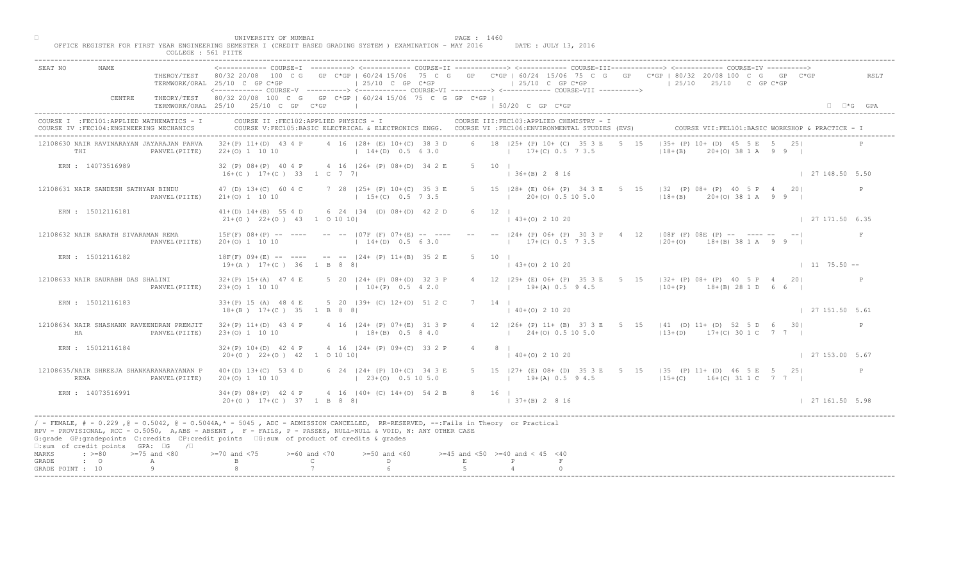|                                                                                                                                                                                                                                                                                                                                                                                                    | COLLEGE : 561 PIITE     |                                                                                                               |                                    |                                                          |        |                                                                                                                                                                                                                                                                                                                                                            |                                                                            |                                               |
|----------------------------------------------------------------------------------------------------------------------------------------------------------------------------------------------------------------------------------------------------------------------------------------------------------------------------------------------------------------------------------------------------|-------------------------|---------------------------------------------------------------------------------------------------------------|------------------------------------|----------------------------------------------------------|--------|------------------------------------------------------------------------------------------------------------------------------------------------------------------------------------------------------------------------------------------------------------------------------------------------------------------------------------------------------------|----------------------------------------------------------------------------|-----------------------------------------------|
| SEAT NO<br>NAME                                                                                                                                                                                                                                                                                                                                                                                    | THEROY/TEST 80/32 20/08 | 100 C G<br>TERMWORK/ORAL 25/10 C GP C*GP                                                                      |                                    | $125/10$ C GP C*GP                                       |        | COURSE-I ----------> <------------ COURSE-II -------------> <------------ COURSE-III------------> <----------- COURSE-IV<br>GP C*GP   60/24 15/06 75 C G GP C*GP   60/24 15/06 75 C G GP C*GP   80/32 20/08 100 C G<br>$125/10$ C GP C*GP<br><------------ COURSE-V ----------> <------------ COURSE-VT -----------> <------------ COURSE-VTT -----------> | $125/10$ $25/10$ C GP C*GP                                                 | GP<br>RSLT                                    |
| CENTRE                                                                                                                                                                                                                                                                                                                                                                                             |                         | THEORY/TEST 80/32 20/08 100 C G GP C*GP   60/24 15/06 75 C G GP C*GP  <br>TERMWORK/ORAL 25/10 25/10 C GP C*GP |                                    |                                                          |        | 1 50/20 C GP C*GP                                                                                                                                                                                                                                                                                                                                          |                                                                            | $\Box$ $\Box$ *G GPA                          |
| COURSE I : FEC101: APPLIED MATHEMATICS - I<br>COURSE IV : FEC104: ENGINEERING MECHANICS                                                                                                                                                                                                                                                                                                            |                         | COURSE II : FEC102: APPLIED PHYSICS - I                                                                       |                                    |                                                          |        | COURSE III: FEC103: APPLIED CHEMISTRY - I<br>COURSE V:FEC105:BASIC ELECTRICAL & ELECTRONICS ENGG. COURSE VI :FEC106:ENVIRONMENTAL STUDIES (EVS)                                                                                                                                                                                                            |                                                                            |                                               |
| 12108630 NAIR RAVINARAYAN JAYARAJAN PARVA<br>THI                                                                                                                                                                                                                                                                                                                                                   | PANVEL (PIITE)          | $32+(P)$ 11+(D) 43 4 P<br>$22+(0)$ 1 10 10                                                                    |                                    | 4 16 128 + (E) 10 + (C) 38 3 D<br>$14+(D)$ 0.5 6 3.0     |        | 6 18 125+ (P) 10+ (C) 35 3 E<br>$17+(C)$ 0.5 7 3.5                                                                                                                                                                                                                                                                                                         | $135+$ (P) $10+\sqrt{D}$<br>$5 \t 15$<br>$18 + (B)$                        | $(0)$ 38 1 A 9 9 1                            |
| ERN : 14073516989                                                                                                                                                                                                                                                                                                                                                                                  |                         | 32 (P) 08+ (P) 40 4 P<br>$16+(C)$ $17+(C)$ 33 1 C 7 7                                                         |                                    | 4 16 (26+ (P) 08+ (D) 34 2 E                             |        | $5 \t10 \t1$<br>$136+(B) 2816$                                                                                                                                                                                                                                                                                                                             |                                                                            | 127148.505.50                                 |
| 12108631 NAIR SANDESH SATHYAN BINDU                                                                                                                                                                                                                                                                                                                                                                | PANVEL (PIITE)          | 47 (D) 13+(C) 60 4 C<br>$21+(0)$ 1 10 10                                                                      |                                    | 7 28   25 + (P) 10 + (C) 35 3 E<br>$15+(C)$ 0.5 7 3.5    |        | 5 15   28 + (E) 06 + (P) 34 3 E<br>$20+ (0)$ 0.5 10 5.0                                                                                                                                                                                                                                                                                                    | 15 132 (P) 08+ (P) 40 5 P 4<br>5 <sup>5</sup><br>$ 18+(B) $ 20+ (0) 38 1 A | 201<br>P                                      |
| ERN : 15012116181                                                                                                                                                                                                                                                                                                                                                                                  |                         | $41+(D)$ $14+(B)$ 55 4 D<br>$21+(0)$ $22+(0)$ $43$ 1 0 10 10                                                  |                                    | 6 24 134 (D) 08+(D) 42 2 D                               |        | $12 \quad \square$<br>$\vert$ 43+(0) 2 10 20                                                                                                                                                                                                                                                                                                               |                                                                            | $\vert$ 27 171.50 6.35                        |
| 12108632 NAIR SARATH SIVARAMAN REMA                                                                                                                                                                                                                                                                                                                                                                | PANVEL (PIITE)          | $15F(F)$ $08+(P)$ -- ----<br>$20+(0)$ 1 10 10                                                                 |                                    | $--- - - 107F (F) 07+(E) --- ----$<br>$14+(D)$ 0.5 6 3.0 |        | $-  24 + (P) 06 + (P) 30$<br>$17+(C)$ 0.5 $\sqrt{2}$ 3.5                                                                                                                                                                                                                                                                                                   | 4 12   08F (F) 08E (P) -- ------ -- --                                     | $\mathbf{F}$<br>$120+(0)$ 18+(B) 38 1 A 9 9   |
| ERN : 15012116182                                                                                                                                                                                                                                                                                                                                                                                  |                         | $18F(F)$ 09+(E) -- ---- -- -- $-$ 124+ (P) 11+(B) 35 2 E<br>$19+(A)$ $17+(C)$ 36 1 B 8 8                      |                                    |                                                          | $5 -$  | 10<br>$+(0)$ 2 10 20                                                                                                                                                                                                                                                                                                                                       |                                                                            | $1175.50 - -$                                 |
| 12108633 NAIR SAURABH DAS SHALINI                                                                                                                                                                                                                                                                                                                                                                  | PANVEL (PIITE)          | $32+(P)$ 15+(A) 47 4 E<br>$23+(0)$ 1 10 10                                                                    |                                    | 5 20   24 + (P) 08 + (D) 32 3 P<br>$10+(P)$ 0.5 4 2.0    |        | $19+(A)$ 0.5 9 4.5                                                                                                                                                                                                                                                                                                                                         | 29+ (E) 06+ (P) 35 3 E 5 15   32+ (P) 08+ (P) 40 5 P 4 20                  | $110+(P)$ 18+(B) 28 1 D 6 6                   |
| ERN : 15012116183                                                                                                                                                                                                                                                                                                                                                                                  |                         | $33+(P)$ 15 (A) 48 4 E<br>$18+(B)$ $17+(C)$ 35 1 B 8 8                                                        |                                    | 5 20 (39+ (C) 12+(0) 51 2                                |        | $140+(0)21020$                                                                                                                                                                                                                                                                                                                                             |                                                                            | 127151.505.61                                 |
| 12108634 NAIR SHASHANK RAVEENDRAN PREMJIT<br>HA                                                                                                                                                                                                                                                                                                                                                    | PANVEL (PIITE)          | $32+(P)$ 11+(D) 43 4 P<br>$23+(0)$ 1 10 10                                                                    |                                    | 4 16 $ 24 + (P) 07 + (E $<br>$18 + (B)$                  |        | 4 12   26 + (P) 11 + (B) 37 3 E 5 15   41 (D) 11 + (D) 52 5 D 6 30  <br>$124+(0)$ 0.5 10 5.0                                                                                                                                                                                                                                                               |                                                                            | $ 13+(D)$ 17+(C) 30 1 C 7 7                   |
| ERN : 15012116184                                                                                                                                                                                                                                                                                                                                                                                  |                         | $32+(P)$ 10+(D) 42 4 P<br>$20+(0)$ $22+(0)$ $42$ 1 0 10 10                                                    |                                    | 4 16 $ 24 + (P) 09 + (C) 33 2 P$                         |        | $4 \t 8 \t 1$<br>$140+(0)21020$                                                                                                                                                                                                                                                                                                                            |                                                                            | 127153.005.67                                 |
| 12108635/NAIR SHREEJA SHANKARANARAYANAN P<br>REMA                                                                                                                                                                                                                                                                                                                                                  | PANVEL (PIITE)          | $40+(D)$ 13+(C) 53 4 D<br>$20+(0)$ 1 10 10                                                                    |                                    | 6 $24$ $ 24+$ (P) 10+ (C) 34 3 E<br>$23+(0)$ 0.5 10 5.0  |        | 5 15   27 + (E) 08 + (D) 35 3 E 5 15   35 (P) 11 + (D) 46 5 E 5 25  <br>$19+(A)$ 0.5 9 4.5                                                                                                                                                                                                                                                                 |                                                                            | $\mathbb{P}$<br>$115+(C)$ 16+(C) 31 1 C 7 7 1 |
| ERN : 14073516991                                                                                                                                                                                                                                                                                                                                                                                  |                         | $34+(P)$ $08+(P)$ 42 4<br>$20+ (0)$ 17+(C) 37                                                                 | 1 B 8 8 1                          | $4 \cdot 16$ $ 40+$ (C) $14+(0)$ 54 2 B                  |        | 8 16 1<br>$ 37+(B) 2 8 16$                                                                                                                                                                                                                                                                                                                                 |                                                                            | 127161.505.98                                 |
| / - FEMALE, # - 0.229 ,@ - 0.5042, @ - 0.5044A,* - 5045 , ADC - ADMISSION CANCELLED, RR-RESERVED, --:Fails in Theory or Practical<br>RPV - PROVISIONAL, RCC - 0.5050, A, ABS - ABSENT, Y F - FAILS, P - PASSES, NULL-NULL & VOID, N: ANY OTHER CASE<br>G:grade GP:gradepoints C:credits CP:credit points G:sum of product of credits & grades<br>$\square$ : sum of credit points GPA: $\square$ G | $\sqrt{2}$              |                                                                                                               |                                    |                                                          |        |                                                                                                                                                                                                                                                                                                                                                            |                                                                            |                                               |
| $\div$ >=80 >=75 and <80<br>MARKS<br>$\cdot$ 0<br>GRADE<br>А<br>Q<br>GRADE POINT : 10                                                                                                                                                                                                                                                                                                              |                         | $>-70$ and $< 75$                                                                                             | $>= 60$ and $< 70$<br>$\mathsf{C}$ | $>=50$ and $<60$<br>D                                    | $\,$ E | $>=45$ and $<50$ $>=40$ and $< 45$ $<40$                                                                                                                                                                                                                                                                                                                   |                                                                            |                                               |
|                                                                                                                                                                                                                                                                                                                                                                                                    |                         |                                                                                                               |                                    |                                                          |        |                                                                                                                                                                                                                                                                                                                                                            |                                                                            |                                               |

□ PAGE : 1460<br>OFFICE REGISTER FOR FIRST YEAR ENGINEERING SEMESTER I (CREDIT BASED GRADING SYSTEM ) EXAMINATION - MAY 2016 DATE : JULY 13, 2016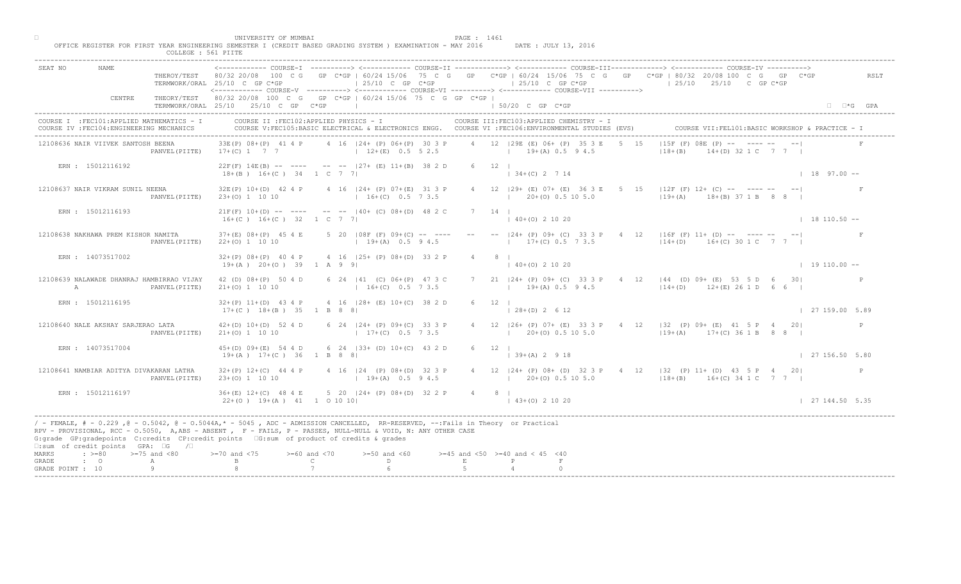|                                                                                                                                                                                                                                                                                                                                                                                                  | THUR PROTHERITY AND REAL<br>COLLEGE : 561 PIITE |                                                          |                                    |                                                                          |             |                                                                                                                                                 |           |                                                                                                                                                                                                                                                                                                                     |                           |
|--------------------------------------------------------------------------------------------------------------------------------------------------------------------------------------------------------------------------------------------------------------------------------------------------------------------------------------------------------------------------------------------------|-------------------------------------------------|----------------------------------------------------------|------------------------------------|--------------------------------------------------------------------------|-------------|-------------------------------------------------------------------------------------------------------------------------------------------------|-----------|---------------------------------------------------------------------------------------------------------------------------------------------------------------------------------------------------------------------------------------------------------------------------------------------------------------------|---------------------------|
| SEAT NO<br>NAME                                                                                                                                                                                                                                                                                                                                                                                  |                                                 | TERMWORK/ORAL 25/10 C GP C*GP                            |                                    | $\vert$ 25/10 C GP C*GP                                                  |             | $125/10$ C GP C*GP<br><------------ COURSE-V ----------> <------------ COURSE-VI ----------> <------------ COURSE-VII ---------->               |           | <------------ COURSE-T ----------> <------------ COURSE-II -------------> <----------- COURSE-III------------> <-----------> COURSE-IV ----------><br>THEROY/TEST 80/32 20/08 100 C G GP C*GP   60/24 15/06 75 C G GP C*GP   60/24 15/06 75 C G GP C*GP   80/32 20/08 100 C G GP C*GP<br>$125/10$ $25/10$ C GP C*GP | RSLT                      |
| CENTRE                                                                                                                                                                                                                                                                                                                                                                                           |                                                 | TERMWORK/ORAL 25/10 25/10 C GP C*GP                      |                                    | THEORY/TEST 80/32 20/08 100 C G GP C*GP   60/24 15/06 75 C G GP C*GP     |             | $\vert$ 50/20 C GP C*GP                                                                                                                         |           |                                                                                                                                                                                                                                                                                                                     | $\Box$ $\Box$ *G GPA      |
| COURSE I : FEC101: APPLIED MATHEMATICS - I<br>COURSE IV : FEC104: ENGINEERING MECHANICS                                                                                                                                                                                                                                                                                                          |                                                 | COURSE II : FEC102: APPLIED PHYSICS - I                  |                                    |                                                                          |             | COURSE III: FEC103: APPLIED CHEMISTRY - I<br>COURSE V:FEC105:BASIC ELECTRICAL & ELECTRONICS ENGG. COURSE VI :FEC106:ENVIRONMENTAL STUDIES (EVS) |           | COURSE VII: FEL101: BASIC WORKSHOP & PRACTICE -                                                                                                                                                                                                                                                                     |                           |
| 12108636 NAIR VIIVEK SANTOSH BEENA                                                                                                                                                                                                                                                                                                                                                               | PANVEL (PIITE)                                  | 33E(P) 08+(P) 41 4 P<br>$17+(C)$ 1 7 7                   |                                    | 4 16 124 + (P) 06 + (P) 30 3 P<br>$12+(E)$ 0.5 5 2.5                     |             | 4 12 129E (E) 06+ (P) 35 3 E<br>$19+(A) 0.5 9 4.5$                                                                                              | $5 \t 15$ | $115F$ (F) $08E$ (P) $ \sum$ - -<br>$18 + (B)$<br>(D) 32 1 C 7 7 1                                                                                                                                                                                                                                                  |                           |
| ERN : 15012116192                                                                                                                                                                                                                                                                                                                                                                                |                                                 | $18+(B)$ $16+(C)$ 34 1 C 7 7                             |                                    | $22F(F)$ 14E(B) -- ---- -- --  27+ (E) 11+(B) 38 2 D                     |             | 6 12  <br>$\vert$ 34+(C) 2 7 14                                                                                                                 |           |                                                                                                                                                                                                                                                                                                                     | $1897.00 -$               |
| 12108637 NAIR VIKRAM SUNIL NEENA                                                                                                                                                                                                                                                                                                                                                                 | PANVEL (PIITE)                                  | $23+(0)$ 1 10 10                                         |                                    | 32E(P) 10+(D) 42 4 P 4 16   24+ (P) 07+ (E) 31 3 P<br>$16+(C)$ 0.5 7 3.5 |             | 4 12   29 + (E) 07 + (E) 36 3 E<br>$1$ 20+(0) 0.5 10 5.0                                                                                        | $5 -$     | $15$ $ 12F(F) 12+ (C)$ -- ---- --<br>$19+(A)$ $18+(B)$ 37 1 B                                                                                                                                                                                                                                                       |                           |
| ERN : 15012116193                                                                                                                                                                                                                                                                                                                                                                                |                                                 | $16+(C)$ $16+(C)$ 32 1 C 7 7                             |                                    | $21F(F)$ $10+(D)$ -- --- -- -- $   40+(C)$ $08+(D)$ $48$ 2 C             |             | $7 \quad 14 \quad 1$<br>$\vert$ 40+(0) 2 10 20                                                                                                  |           |                                                                                                                                                                                                                                                                                                                     | $1 18 110.50 --$          |
| 12108638 NAKHAWA PREM KISHOR NAMITA                                                                                                                                                                                                                                                                                                                                                              | PANVEL (PIITE)                                  | $37+ (E)$ 08+(P) 45 4 E<br>$22+(0)$ 1 10 10              |                                    | 5 20 $ 08F(F) 09+(C)$ -- ---<br>$19+(A)$ 0.5 9 4.5                       |             | $-  24 + (P) 09 + (C) 33 3$<br>$17+(C)$ 0.5 7 3.5                                                                                               |           | $4 \t12 \t 16F(F) 11+ (D) -- -- -- -- -- --$<br>$114+(D)$ $16+(C)$ 30 1 C 7 7 1                                                                                                                                                                                                                                     |                           |
| ERN : 14073517002                                                                                                                                                                                                                                                                                                                                                                                |                                                 | $32+(P)$ $08+(P)$ 40 4 P<br>$19+(A)$ $20+(O)$ 39 1 A 9 9 |                                    | 4 16 (25+ (P) 08+ (D) 33 2 P                                             |             | $0+(0)$ 2 10 20                                                                                                                                 |           |                                                                                                                                                                                                                                                                                                                     | $1\quad 19\quad 110.00 -$ |
| 12108639 NALAWADE DHANRAJ HAMBIRRAO VIJAY<br>$\mathbb{A}$                                                                                                                                                                                                                                                                                                                                        | PANVEL (PIITE)                                  | 42 (D) 08+ (P) 50 4 D<br>$21+(0)$ 1 10 10                |                                    | 6 24   41 (C) 06+ (P) 47 3 C<br>$16+(C)$ 0.5 7 3.5                       |             | $19+(A)$ 0.5 9 4.5                                                                                                                              |           | 24+ (P) 09+ (C) 33 3 P 4 12   44 (D) 09+ (E) 53 5 D 6 30 <br>$114+(D)$ $12+(E)$ 26 1 D 6 6 I                                                                                                                                                                                                                        |                           |
| ERN : 15012116195                                                                                                                                                                                                                                                                                                                                                                                |                                                 | $32+(P)$ 11+(D) 43 4 P<br>$17+(C)$ $18+(B)$ $35$ 1 B 8 8 |                                    | 4 16 (28+ (E) 10+(C) 38 2                                                |             | $128+(D) 2612$                                                                                                                                  |           |                                                                                                                                                                                                                                                                                                                     | 127159.005.89             |
| 12108640 NALE AKSHAY SARJERAO LATA                                                                                                                                                                                                                                                                                                                                                               | PANVEL (PIITE)                                  | $42+(D)$ 10+(D) 52 4 D<br>$21+(0)$ 1 10 10               |                                    | 6 24 $124 + (P) 09 + (C)$<br>$1 \t17 + (C)$                              |             | $120+(0)0.5105.0$                                                                                                                               |           | 4 12   26 + (P) 07 + (E) 33 3 P + 4 12   32 (P) 09 + (E) + 4 5 P + 4 20  <br>$119+(A)$ $17+(C)$ 36 1 B 8 8 I                                                                                                                                                                                                        |                           |
| ERN : 14073517004                                                                                                                                                                                                                                                                                                                                                                                |                                                 | $45+(D)$ 09+(E) 54 4 D<br>$19+(A)$ $17+(C)$ 36 1 B 8     |                                    | $6\quad 24\quad 133 +$ (D) $10+(C)$<br>43 2 D                            |             | $6 \t 12 \t 1$<br>$ 39+(A) 2 9 18$                                                                                                              |           |                                                                                                                                                                                                                                                                                                                     | 127156.505.80             |
| 12108641 NAMBIAR ADITYA DIVAKARAN LATHA                                                                                                                                                                                                                                                                                                                                                          | PANVEL (PIITE)                                  | $32+(P)$ 12+(C) 44 4 P<br>$23+(0)$ 1 10 10               |                                    | $124$ (P) 08+(D) 32 3 P<br>$19+(A)$ 0.5 94.5                             |             | $1 \t20+(0) \t0.5 \t10 \t5.0$                                                                                                                   |           | 4 12   24 + (P) 08 + (D) 32 3 P + 4 12   32 (P) 11 + (D) 43 5 P + 20<br>$18+(B)$ $16+(C)$ 34 1 C 7 7                                                                                                                                                                                                                |                           |
| ERN : 15012116197                                                                                                                                                                                                                                                                                                                                                                                |                                                 | $36+(E)$ 12+(C) 48 4 E<br>$22+(0)$ 19+(A) 41 1 0 10 10   |                                    | $5$ 20 $ 24 + (P) 08 + (D) 32 2 P$                                       |             | 4 8 1<br>$(43+(0) 2 10 20)$                                                                                                                     |           |                                                                                                                                                                                                                                                                                                                     | 127144.505.35             |
| / - FEMALE, # - 0.229 ,@ - 0.5042, @ - 0.5044A,* - 5045 , ADC - ADMISSION CANCELLED, RR-RESERVED, --:Fails in Theory or Practical<br>RPV - PROVISIONAL, RCC - 0.5050, A, ABS - ABSENT A P- FAILS, P - PASSES, NULL-NULL & VOID, N: ANY OTHER CASE<br>G:grade GP:gradepoints C:credits CP:credit points 6:sum of product of credits & grades<br>$\square$ : sum of credit points GPA: $\square$ G | $\sqrt{2}$                                      |                                                          |                                    |                                                                          |             |                                                                                                                                                 |           |                                                                                                                                                                                                                                                                                                                     |                           |
| $\div$ >=80 >=75 and <80<br>MARKS<br>GRADE<br>$\cdot$ 0<br>А<br>9<br>GRADE POINT : 10                                                                                                                                                                                                                                                                                                            |                                                 | $>= 70$ and $< 75$                                       | $>= 60$ and $< 70$<br>$\mathbb{C}$ | $>=50$ and $<60$<br>D.                                                   | $\mathbf E$ | $>=45$ and $<50$ $>=40$ and $< 45$ $<40$                                                                                                        |           |                                                                                                                                                                                                                                                                                                                     |                           |
|                                                                                                                                                                                                                                                                                                                                                                                                  |                                                 |                                                          |                                    |                                                                          |             |                                                                                                                                                 |           |                                                                                                                                                                                                                                                                                                                     |                           |

□ PAGE : 1461<br>OFFICE REGISTER FOR FIRST YEAR ENGINEERING SEMESTER I (CREDIT BASED GRADING SYSTEM ) EXAMINATION - MAY 2016 DATE : JULY 13, 2016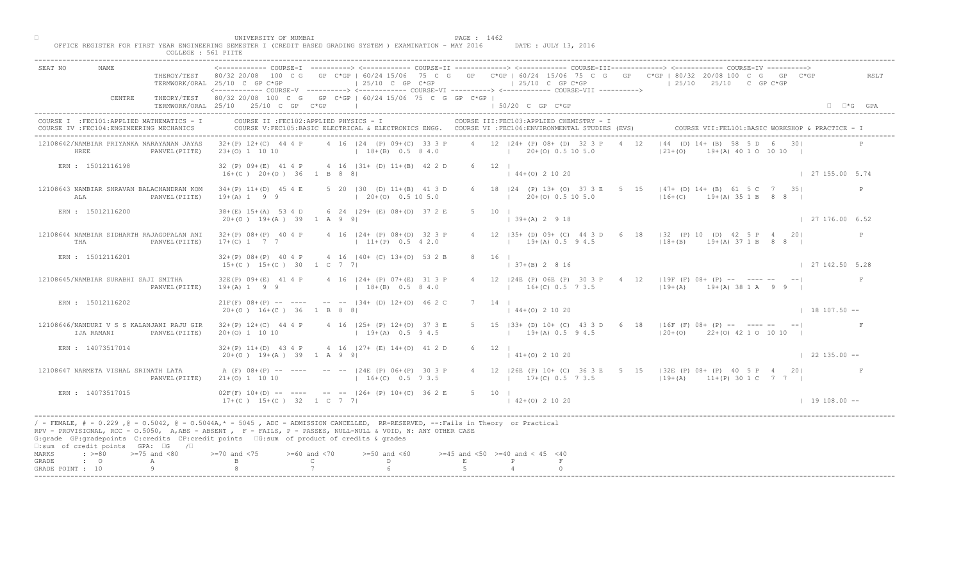|                                                                                                                                                                                                                                                                                                                                                                                                 | COLLEGE : 561 PIITE               |                                                          |                                  |                                                                                                                                                                                                              |        |                                               |                                                                  |      |                                                                                                                               |                             |
|-------------------------------------------------------------------------------------------------------------------------------------------------------------------------------------------------------------------------------------------------------------------------------------------------------------------------------------------------------------------------------------------------|-----------------------------------|----------------------------------------------------------|----------------------------------|--------------------------------------------------------------------------------------------------------------------------------------------------------------------------------------------------------------|--------|-----------------------------------------------|------------------------------------------------------------------|------|-------------------------------------------------------------------------------------------------------------------------------|-----------------------------|
| SEAT NO<br>NAME.<br>CENTRE                                                                                                                                                                                                                                                                                                                                                                      | THEROY/TEST                       | 80/32 20/08<br>100 C G<br>TERMWORK/ORAL 25/10 C GP C*GP  |                                  | $\pm 25/10$ C GP C*GP<br><------------ COURSE-V ----------> <------------ COURSE-VI ----------> <------------ COURSE-VII ----------><br>THEORY/TEST 80/32 20/08 100 C G GP C*GP   60/24 15/06 75 C G GP C*GP |        | $125/10$ C GP C*GP                            | COURSE-IT -------------> <------------- COURSE-ITT-------------> |      | GP C*GP   60/24 15/06 75 C G GP C*GP   60/24 15/06 75 C G GP C*GP   80/32 20/08 100 C G GP C*GP<br>$125/10$ $25/10$ C GP C*GP | RSLT                        |
|                                                                                                                                                                                                                                                                                                                                                                                                 |                                   | TERMWORK/ORAL 25/10 25/10 C GP C*GP                      |                                  |                                                                                                                                                                                                              |        | 150/20 C GP C*GP                              |                                                                  |      |                                                                                                                               | $\Box$ $\Box$ *G GPA        |
| COURSE I : FEC101: APPLIED MATHEMATICS - I<br>COURSE IV : FEC104: ENGINEERING MECHANICS                                                                                                                                                                                                                                                                                                         |                                   | COURSE II : FEC102: APPLIED PHYSICS - I                  |                                  | COURSE V:FEC105:BASIC ELECTRICAL & ELECTRONICS ENGG. COURSE VI :FEC106:ENVIRONMENTAL STUDIES (EVS)                                                                                                           |        |                                               | COURSE III: FEC103: APPLIED CHEMISTRY - I                        |      | COURSE VII: FEL101: BASIC WORKSHOP & PRACTICE - I                                                                             |                             |
| 12108642/NAMBIAR PRIYANKA NARAYANAN JAYAS<br>HREE                                                                                                                                                                                                                                                                                                                                               | PANVEL (PIITE)                    | $32+(P)$ 12+(C) 44 4 P<br>$23+(0)$ 1 10 10               |                                  | 4 16 124 (P) 09+(C) 33 3 P<br>$18+(B)$ 0.5 8 4.0                                                                                                                                                             |        | $1 \t20+(0) \t0.5 \t10 \t5.0$                 | 4 12   24 + (P) 08 + (D) 32 3 P                                  | 4 12 | $ 44$ (D) $14 +$ (B) 58 5 D 6<br>$121+ (0)$<br>$(A)$ 40 1 0 10 10                                                             |                             |
| ERN : 15012116198                                                                                                                                                                                                                                                                                                                                                                               |                                   | 32 (P) 09+(E) 41 4 P<br>$16+(C)$ $20+(O)$ 36 1 B 8 8     |                                  | $4$ 16 $ 31 + (D) 11 + (B) 42 2 D$                                                                                                                                                                           |        | $6 \t12$<br>$144+(0)21020$                    |                                                                  |      |                                                                                                                               | 127155.005.74               |
| 12108643 NAMBIAR SHRAVAN BALACHANDRAN KOM<br>ALA                                                                                                                                                                                                                                                                                                                                                | PANVEL (PIITE)                    | $34+(P)$ 11+(D) 45 4 E<br>$19+(A) 1 9 9$                 |                                  | 5 20   30 (D) 11+(B) 41 3 D<br>$(20+(0) 0.5 10 5.0)$                                                                                                                                                         |        |                                               | 6 18   24 (P) 13+ (O) 37 3 E 5<br>$20+ (0)$ 0.5 10 5.0           |      | 15 $\vert 47+ (D) 14+ (B) 61 5C 7 35 \vert$<br>$16+(C)$ $19+(A)$ 35 1 B 8 8 1                                                 | $\mathbb{P}$                |
| ERN : 15012116200                                                                                                                                                                                                                                                                                                                                                                               |                                   | $38 + (E)$ 15+(A) 53 4 D<br>$20+(0)$ 19+(A) 39 1 A 9 9   |                                  | 6 24   29 + (E) 08 + (D) 37 2 E                                                                                                                                                                              |        | 10 <sub>1</sub><br>$ 39+(A) 2 9 18$           |                                                                  |      |                                                                                                                               | $\vert$ 27 176.00 6.52      |
| 12108644 NAMBIAR SIDHARTH RAJAGOPALAN ANI<br>THA                                                                                                                                                                                                                                                                                                                                                | PANVEL (PIITE)                    | $32+(P)$ $08+(P)$ 40 4 P<br>$17+(C)$ 1 7 7               |                                  | 4 16   24 + (P) 08 + (D) 32 3 P<br>$11+(P)$ 0.5 4 2.0                                                                                                                                                        |        | $12$ $ 35+$ (D) $09+$ (C) 4                   | $19+(A) 0.5 9 4.5$                                               |      | 6 18   32 (P) 10 (D) 42 5 P 4 20 <br>$18+(B)$ $19+(A)$ 37 1 B 8 8                                                             | $\mathbb{P}$                |
| ERN : 15012116201                                                                                                                                                                                                                                                                                                                                                                               |                                   | $32+(P)$ $08+(P)$ 40 4 P<br>$15+(C)$ $15+(C)$ 30 1 C 7 7 |                                  | 4 16 (40+ (C) 13+(0) 53 2 B                                                                                                                                                                                  | 8      | 16                                            | $7+(B)$ 2 8 16                                                   |      |                                                                                                                               | 127142.505.28               |
| 12108645/NAMBIAR SURABHI SAJI SMITHA                                                                                                                                                                                                                                                                                                                                                            | PANVEL (PIITE)                    | $32E(P)$ $09+(E)$ 41 4 P<br>$19+(A) 1 9 9$               |                                  | 4 16   24 + (P) 07 + (E) 31 3 P<br>$18+(B)$ 0.5 8 4.0                                                                                                                                                        |        |                                               | $16+(C)$ 0.5 7 3.5                                               |      | $24E (P) 06E (P) 303 P$ 4 12   19F (F) 08+ (P) -- --- -- -- <br>$119+(A)$ $19+(A)$ 38 1 A 9 9                                 |                             |
| ERN : 15012116202                                                                                                                                                                                                                                                                                                                                                                               |                                   | $20+(0)$ 16+(C) 36 1 B 8 8                               |                                  | $21F(F)$ 08+(P) -- ---- -- -- 134+ (D) 12+(O) 46 2                                                                                                                                                           |        | $144+(0)21020$                                |                                                                  |      |                                                                                                                               | $18107.50 - -$              |
| 12108646/NANDURI V S S KALANJANI RAJU GIR<br>IJA RAMANI                                                                                                                                                                                                                                                                                                                                         | PANVEL (PIITE)                    | $32+(P)$ 12+(C) 44 4 P<br>$20+(0)$ 1 10 10               |                                  | $4$ 16 $ 25+$ (P) $12+(0)$<br>$19 + (A)$                                                                                                                                                                     |        |                                               | $19+(A)$ 0.5 9 4.5                                               |      | 5 15   33+ (D) 10+ (C) 43 3 D 6 18   16F (F) 08+ (P) -- ---- -- -- <br>$120+(0)$ $22+(0)$ 42 1 0 10 10 1                      |                             |
| ERN : 14073517014                                                                                                                                                                                                                                                                                                                                                                               |                                   | $32+(P)$ 11+(D) 43 4 P<br>$20+(0)$ 19+(A) 39 1 A 9 9     |                                  | 4 16 $ 27+$ (E) 14+(0) 41 2 D                                                                                                                                                                                |        | $6 \t 12 \t 1$<br>$\vert$ 41+(0) 2 10 20      |                                                                  |      |                                                                                                                               | $\vert$ 22 135.00 $\vert$ - |
| 12108647 NARMETA VISHAL SRINATH LATA                                                                                                                                                                                                                                                                                                                                                            | PANVEL (PIITE)                    | A $(F)$ $08+(P)$ -- ----<br>$21+ (0) 1 10 10$            |                                  | $ 24E'(P) 06+(P) 30 3 P$<br>$16+(C)$ 0.5 7 3.5                                                                                                                                                               |        |                                               | $17+(C)$ 0.5 7 3.5                                               |      | 4 12   26E (P) 10 + (C) 36 3 E 5 15   32E (P) 08 + (P) 40 5 P 4 20  <br>$119+(A)$ $11+(P)$ 30 1 C 7 7                         |                             |
| ERN : 14073517015                                                                                                                                                                                                                                                                                                                                                                               |                                   | $02F(F)$ 10+(D) -- -<br>$17+(C)$ $15+(C)$ $32$ $1 C$ 7 7 |                                  | $-$ -- $ 26 + (P) 10 + (C) 36 2 E$                                                                                                                                                                           |        | 5 10 1<br>$142+(0)21020$                      |                                                                  |      |                                                                                                                               | $1 19 108.00 --$            |
| / - FEMALE, # - 0.229, @ - 0.5042, @ - 0.5044A,* - 5045, ADC - ADMISSION CANCELLED, RR-RESERVED, --:Fails in Theory or Practical<br>RPV - PROVISIONAL, RCC - 0.5050, A, ABS - ABSENT, P - FAILS, P - PASSES, NULL-NULL & VOID, N: ANY OTHER CASE<br>G:grade GP:gradepoints C:credits CP:credit points 6:sum of product of credits & grades<br>$\square$ : sum of credit points GPA: $\square$ G | $\sqrt{2}$                        |                                                          |                                  |                                                                                                                                                                                                              |        |                                               |                                                                  |      |                                                                                                                               |                             |
| $\Rightarrow$ $\Rightarrow$ $=80$<br>MARKS<br>GRADE<br>$\cdot$ $\cdot$ 0<br>GRADE POINT : 10                                                                                                                                                                                                                                                                                                    | $>=75$ and $<80$<br>Α<br>$\alpha$ | $> = 70$ and $< 75$                                      | $>=60$ and $<70$<br>$\mathsf{C}$ | $>=50$ and $<60$<br>D                                                                                                                                                                                        | $\,$ E | $>=45$ and $<50$ $>=40$ and $< 45$ $<40$<br>P |                                                                  |      |                                                                                                                               |                             |
|                                                                                                                                                                                                                                                                                                                                                                                                 |                                   |                                                          |                                  |                                                                                                                                                                                                              |        |                                               |                                                                  |      |                                                                                                                               |                             |

□ PAGE : 1462<br>OFFICE REGISTER FOR FIRST YEAR ENGINEERING SEMESTER I (CREDIT BASED GRADING SYSTEM ) EXAMINATION - MAY 2016 DATE : JULY 13, 2016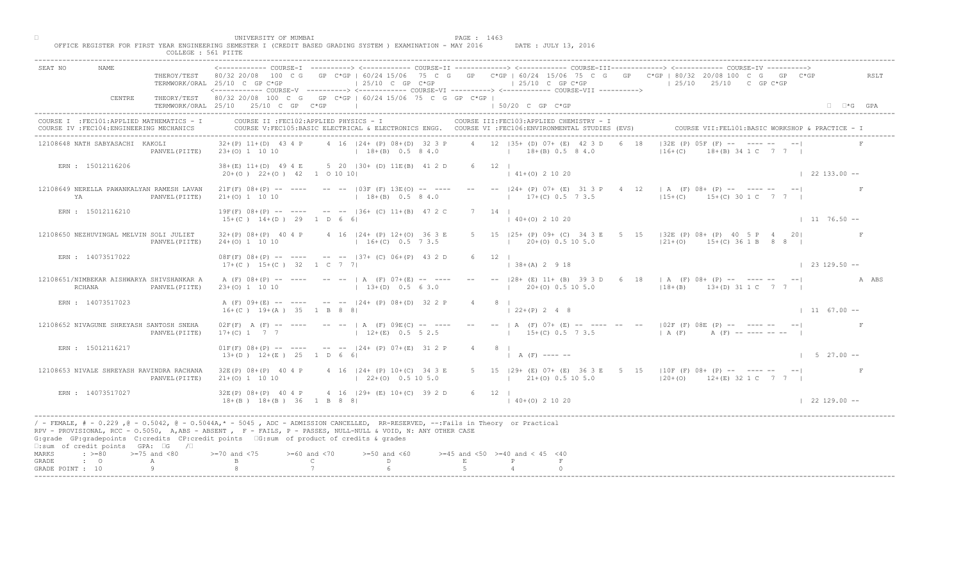|                                                                                         |                |                                                                                                                                                                                                                                                                                                                                              |                               |                                                                           |                |                                                                                                                                                 | <------------- COURSE-T ----------> <------------ COURSE-TT -------------> <------------ COURSE-TUT------------> <------------ COURSE-TV ---------->                  |                             |
|-----------------------------------------------------------------------------------------|----------------|----------------------------------------------------------------------------------------------------------------------------------------------------------------------------------------------------------------------------------------------------------------------------------------------------------------------------------------------|-------------------------------|---------------------------------------------------------------------------|----------------|-------------------------------------------------------------------------------------------------------------------------------------------------|-----------------------------------------------------------------------------------------------------------------------------------------------------------------------|-----------------------------|
|                                                                                         |                | TERMWORK/ORAL 25/10 C GP C*GP                                                                                                                                                                                                                                                                                                                |                               | $125/10$ C GP $C*GP$                                                      |                | $125/10$ C GP C*GP<br><------------ COURSE-V ----------> <------------ COURSE-VI ----------> <------------ COURSE-VII ---------->               | THEROY/TEST 80/32 20/08 100 C G GP C*GP   60/24 15/06 75 C G GP C*GP   60/24 15/06 75 C G GP C*GP   80/32 20/08 100 C G GP C*GP<br>$125/10$ $25/10$ $25/10$ C GP C*GP | RSLT                        |
| CENTRE                                                                                  |                | THEORY/TEST 80/32 20/08 100 C G GP C*GP   60/24 15/06 75 C G GP C*GP  <br>TERMWORK/ORAL 25/10 25/10 C GP C*GP                                                                                                                                                                                                                                |                               |                                                                           |                | 50/20 C GP C*GP                                                                                                                                 |                                                                                                                                                                       | $\Box$ $\Box$ *G GPA        |
| COURSE I : FEC101: APPLIED MATHEMATICS - I<br>COURSE IV : FEC104: ENGINEERING MECHANICS |                | COURSE II : FEC102: APPLIED PHYSICS - I                                                                                                                                                                                                                                                                                                      |                               |                                                                           |                | COURSE III: FEC103: APPLIED CHEMISTRY - I<br>COURSE V:FEC105:BASIC ELECTRICAL & ELECTRONICS ENGG. COURSE VI :FEC106:ENVIRONMENTAL STUDIES (EVS) | COURSE VII: FEL101: BASIC WORKSHOP & PRACTICE - I                                                                                                                     |                             |
| 12108648 NATH SABYASACHI KAKOLI                                                         |                | $32+(P)$ 11+(D) 43 4 P<br>PANVEL (PIITE) 23+(0) 1 10 10                                                                                                                                                                                                                                                                                      |                               | 4 16   24 + (P) 08 + (D) 32 3 P<br>$18+(B)$ 0.5 8 4.0                     |                | 4 12 135+ (D) 07+ (E) 42 3 D<br>$18+(B)$ 0.5 8 4.0                                                                                              | $ 32E(P) 05F$ $(F)$ -- $\frac{1}{2}$ $\frac{1}{2}$ -- - --<br>$(3)$ 34 1 C 7 7 1<br>$16 + (C)$                                                                        |                             |
| ERN : 15012116206                                                                       |                | $20+(0)$ $22+(0)$ $42$ 1 0 10 10                                                                                                                                                                                                                                                                                                             |                               | 38+(E) 11+(D) 49 4 E 5 20   30+ (D) 11E(B) 41 2 D                         | $6 \t 12 \t 1$ | $141+(0)21020$                                                                                                                                  |                                                                                                                                                                       | $\vert$ 22 133.00 --        |
| 12108649 NERELLA PAWANKALYAN RAMESH LAVAN<br>YA                                         | PANVEL (PIITE) | $21+(0)$ 1 10 10                                                                                                                                                                                                                                                                                                                             |                               | $18+(B)$ 0.5 8 4.0                                                        |                | $21F(F)$ 08+(P) -- --- -- -- $-$ -03F (F) 13E(O) -- --- -- -- -- $ 24+$ (P) 07+ (E) 31 3 P 4<br>$17+(C)$ 0.5 7 3.5                              | 12   A (F) 08+ (P) -- ---- -- -- --<br>$15+(C)$ $15+(C)$ 30 1 C 7 7 1                                                                                                 |                             |
| ERN : 15012116210                                                                       |                | $15+(C)$ $14+(D)$ 29 1 D 6 6                                                                                                                                                                                                                                                                                                                 |                               | $19F(F)$ $08+(P)$ -- --- -- -- $  136+(C)$ $11+(B)$ 47 2 C                | 7 14 1         | $\vert$ 40+(0) 2 10 20                                                                                                                          |                                                                                                                                                                       | $1176.50 -$                 |
| 12108650 NEZHUVINGAL MELVIN SOLI JULIET                                                 | PANVEL (PIITE) | $24+(0)$ 1 10 10                                                                                                                                                                                                                                                                                                                             |                               | $32+(P)$ 08+(P) 40 4 P 4 16   24+ (P) 12+(O) 36 3 E<br>$16+(C)$ 0.5 7 3.5 |                | $15$ $ 25+$ (P) $09+$ (C) $34$ 3 E<br>$20\pm(0)$ 0.5 10 5.0                                                                                     | $5$ 15 $132E(P)$ 08+ (P) 40 5 P 4 20<br>$ 21+(0)$ 15+(C) 36 1 B 8 8                                                                                                   | F                           |
| ERN : 14073517022                                                                       |                | $17+(C)$ $15+(C)$ 32 1 C 7 7                                                                                                                                                                                                                                                                                                                 |                               | $08F(F)$ $08+(P)$ -- --- -- --   37+ (C) $06+(P)$ 43 2 D                  | 12             | $+(A)$ 2 9 18                                                                                                                                   |                                                                                                                                                                       | $1\quad 23\quad 129.50 - -$ |
| 12108651/NIMBEKAR AISHWARYA SHIVSHANKAR A<br>RCHANA                                     | PANVEL (PIITE) | $23+(0)$ 1 10 10                                                                                                                                                                                                                                                                                                                             |                               | A (F) 08+(P) -- ---- -- --   A (F) 07+(E) -- ----<br>$13+(D)$ 0.5 6 3.0   |                | $20 + (0)$ 0.5 10 5.0                                                                                                                           | 28 + (E) 11 + (B) 39 3 D 6 18   A (F) 08 + (P) -- ---- -- -- <br>$118+(B)$ $13+(D)$ 31 1 C 7 7                                                                        | A ABS                       |
| ERN : 14073517023                                                                       |                | $16+(C)$ $19+(A)$ 35 1 B 8 8                                                                                                                                                                                                                                                                                                                 |                               | A (F) 09+(E) -- ---- -- -- 124+ (P) 08+(D) 32 2 P                         |                | $122+(P) 248$                                                                                                                                   |                                                                                                                                                                       | $11 \t 67.00 --$            |
| 12108652 NIVAGUNE SHREYASH SANTOSH SNEHA                                                | PANVEL (PIITE) | $02F(F)$ A $(F)$ -- ---<br>$17+(C)$ 1 7 7                                                                                                                                                                                                                                                                                                    |                               | $--$   A $(F)$ 09EMC<br>$12+(E)$                                          |                |                                                                                                                                                 | --   A (F) 07+ (E) -- ---- -- -- --   02F (F) 08E (P) -- ---- -- -- <br>$1 \t15+(C) \t0.5 \t7 \t3.5$ $1 \tA (F)$ $A (F)$ $- - - - - - -$                              |                             |
| ERN : 15012116217                                                                       |                | $13+(D)$ $12+(E)$ $25$ 1 D 6                                                                                                                                                                                                                                                                                                                 |                               | $01F(F)$ $08+(P)$ -- --- -- -- $124+(P)$ $07+(E)$ 31 2 P                  | 4 8 1          | $A(F)$ ---- --                                                                                                                                  |                                                                                                                                                                       | $1 5 27.00 --$              |
| 12108653 NIVALE SHREYASH RAVINDRA RACHANA                                               | PANVEL (PIITE) | $32E(P)$ 08+(P) 40 4 P<br>$21+ (0)$ 1 10 10                                                                                                                                                                                                                                                                                                  |                               | $4 \t16 \t124$ (P) 10+(C) 34 3 E<br>$22+(0)$ 0.5 10 5.0                   |                | $(21 + (0) 0.5 10 5.0)$                                                                                                                         | 5 15   29 + (E) 07 + (E) 36 3 E 5 15   10 F (F) 08 + (P) -- ---- -- --  <br>$120+(0)$ 12+(E) 32 1 C 7 7 1                                                             |                             |
| ERN : 14073517027                                                                       |                | $32E(P)$ $08+(P)$ 40 4 P<br>$18+(B)$ $18+(B)$ $36$ $1$ B 8 8                                                                                                                                                                                                                                                                                 |                               | $\sqrt{4}$ 16 $\sqrt{29}$ (E) 10 + (C) 39 2 D                             | 6 12 1         | $140+(0)21020$                                                                                                                                  |                                                                                                                                                                       | $122129.00 - -$             |
| $\square$ : sum of credit points GPA: $\square$ G / $\square$                           |                | / - FEMALE, # - 0.229 ,@ - 0.5042, @ - 0.5044A,* - 5045 , ADC - ADMISSION CANCELLED, RR-RESERVED, --:Fails in Theory or Practical<br>RPV - PROVISIONAL, RCC - 0.5050, A, ABS - ABSENT, PP - FAILS, P - PASSES, NULL-NULL & VOID, N: ANY OTHER CASE<br>G:grade GP:gradepoints C:credits CP:credit points G:sum of product of credits & grades |                               |                                                                           |                |                                                                                                                                                 |                                                                                                                                                                       |                             |
| $\Rightarrow$ $>=$ 80 $>=$ 75 and <80<br>MARKS                                          |                | $> = 70$ and $< 75$                                                                                                                                                                                                                                                                                                                          | $>= 60$ and $< 70$            | $>=50$ and $<60$                                                          |                | $>=45$ and $<50$ $>=40$ and $< 45$ $<40$                                                                                                        |                                                                                                                                                                       |                             |
| $\cdot$ 0<br>GRADE<br>GRADE POINT : 10                                                  | A<br>Q         |                                                                                                                                                                                                                                                                                                                                              | $\mathbb{C}$ and $\mathbb{C}$ | $D \sim 1$                                                                | $\,$ E         |                                                                                                                                                 |                                                                                                                                                                       |                             |

□ PAGE : 1463<br>OFFICE REGISTER FOR FIRST YEAR ENGINEERING SEMESTER I (CREDIT BASED GRADING SYSTEM ) EXAMINATION - MAY 2016 DATE : JULY 13, 2016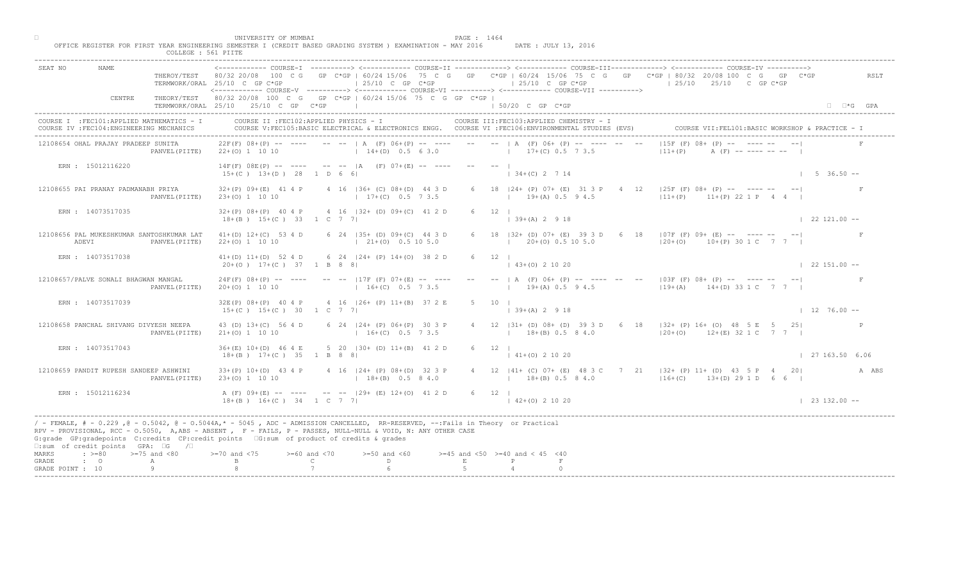| UNIVERSITY OF MUMBAI<br>PAGE : 1464<br>OFFICE REGISTER FOR FIRST YEAR ENGINEERING SEMESTER I (CREDIT BASED GRADING SYSTEM ) EXAMINATION - MAY 2016<br>DATE : JULY 13, 2016<br>COLLEGE : 561 PIITE                                                                                                                                                                                                                                                                                                                                                                                                |                            |
|--------------------------------------------------------------------------------------------------------------------------------------------------------------------------------------------------------------------------------------------------------------------------------------------------------------------------------------------------------------------------------------------------------------------------------------------------------------------------------------------------------------------------------------------------------------------------------------------------|----------------------------|
| ------------ COURSE-I ----------> <------------ COURSE-II -------------> <------------ COURSE-III------------> <------------> COURSE-IV ----------> <----------------> COURSE-IV ------------ COURSE-II<br><b>NAME</b><br>SEAT NO<br>THEROY/TEST 80/32 20/08 100 C G GP C*GP   60/24 15/06 75 C G GP C*GP   60/24 15/06 75 C G GP C*GP   80/32 20/08 100 C G GP C*GP<br>$125/10$ C GP C*GP<br>$125/10$ C GP C*GP<br>$125/10$ $25/10$ C GP C*GP<br>TERMWORK/ORAL 25/10 C GP C*GP<br><------------ COURSE-V ----------> <------------ COURSE-VI -----------> <------------ COURSE-VII -----------> | RSLT                       |
| THEORY/TEST 80/32 20/08 100 C G GP C*GP   60/24 15/06 75 C G GP C*GP  <br>CENTRE<br>TERMWORK/ORAL 25/10 25/10 C GP C*GP<br>the control of the control of the control of<br>1 50/20 C GP C*GP                                                                                                                                                                                                                                                                                                                                                                                                     | $\Box$ $\Box$ *G GPA       |
| COURSE II : FEC102: APPLIED PHYSICS - I<br>COURSE III: FEC103: APPLIED CHEMISTRY - I<br>COURSE I : FEC101: APPLIED MATHEMATICS - I<br>COURSE VII: FEL101: BASIC WORKSHOP & PRACTICE -<br>COURSE V:FEC105:BASIC ELECTRICAL & ELECTRONICS ENGG. COURSE VI :FEC106:ENVIRONMENTAL STUDIES (EVS)<br>COURSE IV : FEC104: ENGINEERING MECHANICS                                                                                                                                                                                                                                                         |                            |
| $ 15F (F) 08+$ (P) $-$ 1 $-$<br>$22F(F)$ 08+(P) -- ---- -- --   A (F) 06+(P) -- ---- -- --   A (F) 06+ (P) -- ---- -- --<br>12108654 OHAL PRAJAY PRADEEP SUNITA<br>22+(0) 1 10 10 (1 14+(D) 0.5 6 3.0 (1 17+(C) 0.5 7 3.5<br>$ 11 + (P) $<br>PANVEL (PIITE)                                                                                                                                                                                                                                                                                                                                      |                            |
| $14F(F) 08E(P)$ -- ---- -- -- $ A (F) 07+(E)$ -- --- -- --  <br>ERN : 15012116220<br>$134+(C)$ 2 7 14<br>$15+(C)$ $13+(D)$ 28 1 D 6 6                                                                                                                                                                                                                                                                                                                                                                                                                                                            | $1 5 36.50 --$             |
| 6 18   24 + (P) 07 + (E) 31 3 P 4<br>12 $\vert$ 125F (F) 08+ (P) -- ---- --<br>12108655 PAI PRANAY PADMANABH PRIYA<br>$32+(P)$ $09+(E)$ 41 4 P<br>4 16   36 + (C) 08 + (D) 44 3 D<br>$11+(P)$ $11+(P)$ 22 1 P 4 4<br>$17+(C)$ 0.5 7 3.5<br>$19+(A)$ 0.5 9 4.5<br>PANVEL (PIITE)<br>$23+(0)$ 1 10 10                                                                                                                                                                                                                                                                                              |                            |
| $6 \t 12 \t 1$<br>ERN : 14073517035<br>$32+(P)$ 08+(P) 40 4 P 4 16  32+ (D) 09+(C) 41 2 D<br>$18+(B)$ $15+(C)$ 33 1 C 7 7<br>$\vert$ 39+(A) 2 9 18                                                                                                                                                                                                                                                                                                                                                                                                                                               | $\vert$ 22 121.00 --       |
| 12108656 PAL MUKESHKUMAR SANTOSHKUMAR LAT<br>6 18 $ 32 + (D) 07 + (E) 39$<br>6 18   07F (F) 09+ (E) -- ---- -- -- <br>$41+(D)$ 12+(C) 53 4 D 6 24   35+ (D) 09+(C) 44 3 D<br>$\begin{bmatrix} 20 + (0) & 0.5 & 10 & 5.0 \end{bmatrix}$<br>$(21+(0) 0.5 10 5.0)$<br>$120+(0)$ 10+(P) 30 1 C 7 7 1<br>ADEVI<br>$22+(0)$ 1 10 10<br>PANVEL (PIITE)                                                                                                                                                                                                                                                  |                            |
| ERN : 14073517038<br>$41+(D)$ $11+(D)$ 52 4 D 6 24   24 + (P) $14+(O)$ 38 2 D<br>6 12<br>$43+(0)$ 2 10 20<br>$20+(0)$ 17+(C) 37 1 B 8 8                                                                                                                                                                                                                                                                                                                                                                                                                                                          | $\vert$ 22 151.00 --       |
| $24F(F)$ $08+(P)$ -- --- -- -- $17F(F)$ $07+(E)$ -- ---<br>A (F) 06+ (P) -- ---- -- -- -03F (F) 08+ (P) -- ---- -- -- <br>12108657/PALVE SONALI BHAGWAN MANGAL<br>$19 + (A) 0.5 9 4.5$<br>$16+(C)$ 0.5 7 3.5<br>$119+(A)$ $14+(D)$ 33 1 C 7 7  <br>$20+(0)$ 1 10 10<br>PANVEL (PIITE)                                                                                                                                                                                                                                                                                                            |                            |
| 32E(P) 08+(P) 40 4 P 4 16   26+ (P) 11+(B) 37 2<br>ERN : 14073517039<br>$15+(C)$ $15+(C)$ 30 1 C 7 7<br>$139+(A) 2918$                                                                                                                                                                                                                                                                                                                                                                                                                                                                           | $1276.00 -$                |
| 4 12   31 + (D) 08 + (D) 39 3 D 6 18   32 + (P) 16 + (O) 48 5 E 5 25  <br>12108658 PANCHAL SHIVANG DIVYESH NEEPA<br>43 (D) 13+(C) 56 4 D<br>6 24 $ 24 + (P) 06 + (P)$<br>$16 + (C)$<br>$18+(B)$ 0.5 8 4.0<br>$120+(0)$ 12+(E) 32 1 C 7 7  <br>PANVEL (PIITE)<br>$21+(0)$ 1 10 10                                                                                                                                                                                                                                                                                                                 |                            |
| 5 20 $(30 + (D) 11 + (B) 41 2 D)$<br>ERN : 14073517043<br>$36+(E)$ 10+(D) 46 4 E<br>$6 \t 12 \t 1$<br>$18+(B)$ $17+(C)$ 35 1 B 8<br>$141+(0)21020$                                                                                                                                                                                                                                                                                                                                                                                                                                               | $\frac{1}{27}$ 163.50 6.06 |
| $33+(P)$ 10+(D) 43 4 P<br>$P(P)$ 08+(D) 32 3 P<br>4 12   41 + (C) 07 + (E) 48 3 C 7 21   32 + (P) 11 + (D) 43 5 P 4 20  <br>12108659 PANDIT RUPESH SANDEEP ASHWINI<br>$18+(B)$ 0.5 8 4.0<br>$23+(0)$ 1 10 10<br>$18+(B)$ 0.5 8 4.0<br>$116+(C)$ $13+(D)$ 29 1 D 6 6  <br>PANVEL (PIITE)                                                                                                                                                                                                                                                                                                          | A ABS                      |
| ERN : 15012116234<br>A $(F)$ 09+ $(E)$ -- -<br>$-$ -- $ 29+ (E) 12+(0) 41 2 D$<br>$6 \t 12 \t 1$<br>$18+(B)$ $16+(C)$ $34$ $1 C$ 7 7<br>$142+(0)21020$                                                                                                                                                                                                                                                                                                                                                                                                                                           | $\vert$ 23 132.00 --       |
| / - FEMALE, # - 0.229, @ - 0.5042, @ - 0.5044A,* - 0045, ADC - ADMISSION CANCELLED, RR-RESERVED, --:Fails in Theory or Practical<br>RPV - PROVISIONAL, RCC - 0.5050, A, ABS - ABSENT A P - FAILS, P - PASSES, NULL-NULL & VOID, N: ANY OTHER CASE<br>G:grade GP:gradepoints C:credits CP:credit points [6:sum of product of credits & grades<br>$\square$ : sum of credit points GPA: $\square$ G / $\square$                                                                                                                                                                                    |                            |
| $: >=80$<br>$>=75$ and $<80$<br>$0$ and $\langle 75$<br>$>= 60$ and $< 70$<br>$>=50$ and $<60$<br>$>=45$ and $<50$ $>=40$ and $< 45$ $<40$<br>MARKS<br>$\mathbb C$ and $\mathbb C$ and $\mathbb C$ and $\mathbb C$ and $\mathbb C$ and $\mathbb C$ and $\mathbb C$ and $\mathbb C$ and $\mathbb C$ and $\mathbb C$ and $\mathbb C$ and $\mathbb C$ and $\mathbb C$ and $\mathbb C$ and $\mathbb C$ and $\mathbb C$ and $\mathbb C$ and $\mathbb C$ and $\mathbb C$ and $\mathbb C$ and<br>$D \sim 1$<br>$\cdot$ $\cdot$ 0<br>E<br>$\mathbb{P}$<br>GRADE<br>А                                     |                            |
| 9<br>GRADE POINT : 10                                                                                                                                                                                                                                                                                                                                                                                                                                                                                                                                                                            |                            |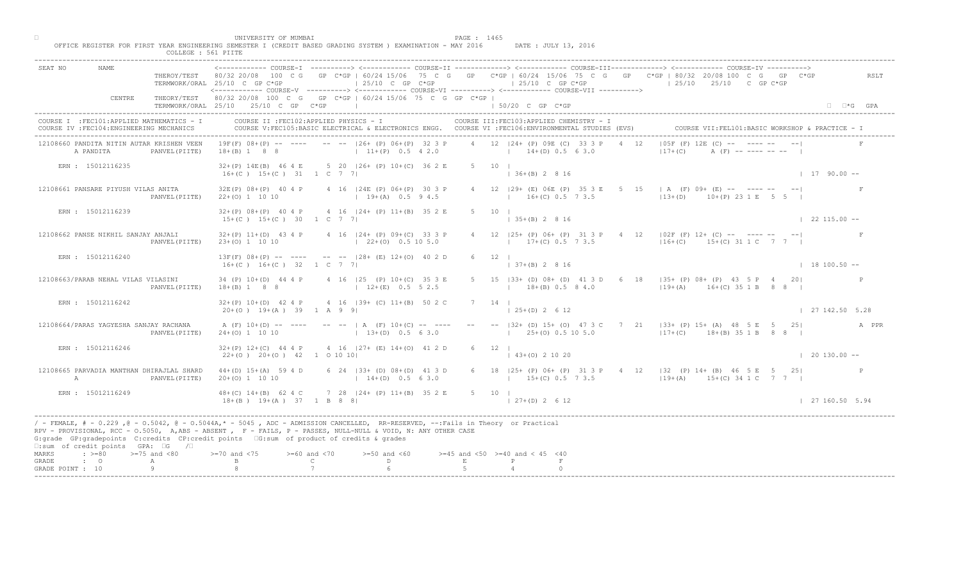|                                                                                                                                                                                                                                                                                                                                                                                                             |                | TERMWORK/ORAL 25/10 C GP C*GP                                                                                                                                                                                                 |                                                            | $125/10$ C GP $C*GP$                                 |             | $125/10$ C GP C*GP                            |                                                          | THEROY/TEST 80/32 20/08 100 C G GP C*GP   60/24 15/06 75 C G GP C*GP   60/24 15/06 75 C G GP C*GP   80/32 20/08 100 C G GP C*GP<br>$125/10$ $25/10$ $25/10$ C GP C*GP |                      | RSLT  |
|-------------------------------------------------------------------------------------------------------------------------------------------------------------------------------------------------------------------------------------------------------------------------------------------------------------------------------------------------------------------------------------------------------------|----------------|-------------------------------------------------------------------------------------------------------------------------------------------------------------------------------------------------------------------------------|------------------------------------------------------------|------------------------------------------------------|-------------|-----------------------------------------------|----------------------------------------------------------|-----------------------------------------------------------------------------------------------------------------------------------------------------------------------|----------------------|-------|
| CENTRE                                                                                                                                                                                                                                                                                                                                                                                                      |                | <------------ COURSE-V ----------> <------------ COURSE-VI -----------> <------------ COURSE-VII ----------><br>THEORY/TEST 80/32 20/08 100 C G GP C*GP   60/24 15/06 75 C G GP C*GP  <br>TERMWORK/ORAL 25/10 25/10 C GP C*GP |                                                            |                                                      |             | 50/20 C GP C*GP                               |                                                          |                                                                                                                                                                       | $\Box$ $\Box$ *G GPA |       |
| COURSE I : FEC101: APPLIED MATHEMATICS - I<br>COURSE IV : FEC104: ENGINEERING MECHANICS                                                                                                                                                                                                                                                                                                                     |                | COURSE II : FEC102: APPLIED PHYSICS - I<br>COURSE V:FEC105:BASIC ELECTRICAL & ELECTRONICS ENGG. COURSE VI :FEC106:ENVIRONMENTAL STUDIES (EVS)                                                                                 |                                                            |                                                      |             |                                               | COURSE III: FEC103: APPLIED CHEMISTRY - I                | COURSE VII: FEL101: BASIC WORKSHOP & PRACTICE - 1                                                                                                                     |                      |       |
| 12108660 PANDITA NITIN AUTAR KRISHEN VEEN<br>A PANDITA                                                                                                                                                                                                                                                                                                                                                      | PANVEL (PIITE) | $19F(F)$ $08+(P)$ -- ---- -- -- $126+(P)$ $06+(P)$ 32 3 P<br>$18+(B)$ 1 8 8                                                                                                                                                   | $11+(P)$ 0.5 4 2.0                                         |                                                      |             |                                               | 4 12 124 + (P) 09E (C) 33 3 P<br>$14+(D)$ 0.5 6 3.0      | $105F$ (F) $12E$ (C) -- $\blacksquare$ --<br>$ 17+(C) $                                                                                                               |                      |       |
| ERN : 15012116235                                                                                                                                                                                                                                                                                                                                                                                           |                | 32+(P) 14E(B) 46 4 E 5 20   26+ (P) 10+(C) 36 2 E<br>$16+(C)$ $15+(C)$ $31$ $1$ C 7 7                                                                                                                                         |                                                            |                                                      |             | 5 10 1<br>$136+(B)2816$                       |                                                          |                                                                                                                                                                       | $1 17 90.00 -$       |       |
| 12108661 PANSARE PIYUSH VILAS ANITA                                                                                                                                                                                                                                                                                                                                                                         | PANVEL (PIITE) | 32E(P) 08+(P) 40 4 P 4 16   24E (P) 06+(P) 30 3 P<br>$22+(0)$ 1 10 10                                                                                                                                                         | $19+(A)$ 0.5 9 4.5                                         |                                                      |             |                                               | $16+(C)$ 0.5 7 3.5                                       | 4 12   29 + (E) 06E (P) 35 3 E 5 $\overline{15}$   A (F) 09 + (E) -- --- --<br>$13+(D)$ $10+(P)$ 23 1 E 5 5 1                                                         |                      |       |
| ERN : 15012116239                                                                                                                                                                                                                                                                                                                                                                                           |                | $32+(P)$ 08+(P) 40 4 P 4 16   24+ (P) 11+(B) 35 2 E<br>$15+(C)$ $15+(C)$ 30 1 C 7 7                                                                                                                                           |                                                            |                                                      |             | $5 \qquad 10 \qquad$<br>$\vert$ 35+(B) 2 8 16 |                                                          |                                                                                                                                                                       | $122115.00 - -$      |       |
| 12108662 PANSE NIKHIL SANJAY ANJALI                                                                                                                                                                                                                                                                                                                                                                         | PANVEL (PIITE) | $32+(P)$ 11+(D) 43 4 P 4 16  24+ (P) 09+(C) 33 3 P<br>$23+(0)$ 1 10 10                                                                                                                                                        | $(22+(0) 0.5 10 5.0)$                                      |                                                      |             |                                               | $12$ $ 25+$ (P) $06+$ (P) $313$ P<br>$17+(C)$ 0.5 $73.5$ | $4 \t12 \t102F (F) 12+ (C) -- -- -- -- -- --$<br>$116+(C)$ 15+(C) 31 1 C 7 7                                                                                          |                      | F     |
| ERN : 15012116240                                                                                                                                                                                                                                                                                                                                                                                           |                | $13F(F)$ 08+(P) -- ---- -- -- $-$ 128+ (E) 12+(0) 40 2 D<br>$16+(C)$ $16+(C)$ 32 1 C 7 7                                                                                                                                      |                                                            |                                                      |             | 12                                            | $(B)$ 2 8 16                                             |                                                                                                                                                                       | $133100.50 -$        |       |
| 12108663/PARAB NEHAL VILAS VILASINI                                                                                                                                                                                                                                                                                                                                                                         | PANVEL (PIITE) | 34 (P) 10 + (D) 44 4 P<br>$18+(B)$ 1 8 8                                                                                                                                                                                      |                                                            | 4 16   25 (P) 10 + (C) 35 3 E<br>$12+(E)$ 0.5 5 2.5  |             |                                               | $18+(B)$ 0.5 8 4.0                                       | B3+ (D) 08+ (D) 41 3 D 6 18   35+ (P) 08+ (P) 43 5 P 4 20 <br>$119+(A)$ $16+(C)$ 35 1 B 8 8 I                                                                         |                      |       |
| ERN : 15012116242                                                                                                                                                                                                                                                                                                                                                                                           |                | $32+(P)$ 10+(D) 42 4 P<br>$20+(0)$ 19+(A) 39 1 A 9 9                                                                                                                                                                          |                                                            | 4 16 (39+ (C) 11+(B) 50 2                            |             | $125+(D)2612$                                 |                                                          |                                                                                                                                                                       | 127142.505.28        |       |
| 12108664/PARAS YAGYESHA SANJAY RACHANA                                                                                                                                                                                                                                                                                                                                                                      | PANVEL (PIITE) | A $(F)$ 10+(D) -- ----<br>$24+(0)$ 1 10 10                                                                                                                                                                                    | $-- \vdash$ $\vdash$ $\land$ $(F)$ 10+ (C)<br>$1 \t13+(D)$ |                                                      |             |                                               | $125+(0)0.5105.0$                                        | --   32 + (D) 15 + (O) 47 3 C 7 21   33 + (P) 15 + (A) 48 5 E 5 25  <br>$ 17+(C)$ 18+(B) 35 1 B 8 8                                                                   |                      | A PPR |
| ERN : 15012116246                                                                                                                                                                                                                                                                                                                                                                                           |                | $32+(P)$ 12+(C) 44 4 P<br>$22+(0)$ $20+(0)$ $42$ 1 0 10 10                                                                                                                                                                    |                                                            | $4 \t16 \t127 + \t(B) \t14 + (0) \t41 \t2 D$         |             | $6 \t 12 \t 1$<br>$\vert$ 43+(0) 2 10 20      |                                                          |                                                                                                                                                                       | $\vert$ 20 130.00 -- |       |
| 12108665 PARVADIA MANTHAN DHIRAJLAL SHARD<br>A                                                                                                                                                                                                                                                                                                                                                              | PANVEL (PIITE) | $44+(D)$ 15+(A) 59 4 D<br>$20+(0)$ 1 10 10                                                                                                                                                                                    |                                                            | 6 $24$ (33+ (D) 08+ (D) 41 3 D<br>$14+(D)$ 0.5 6 3.0 |             |                                               | $15+(C)$ 0.5 7 3.5                                       | 6 18   25+ (P) 06+ (P) 31 3 P 4 12   32 (P) 14+ (B) 46 5 E 5 25 <br>$19+(A)$ $15+(C)$ 34 1 C 7 7                                                                      |                      |       |
| ERN : 15012116249                                                                                                                                                                                                                                                                                                                                                                                           |                | $48+(C)$ $14+(B)$ 62 4 C<br>$18+(B)$ $19+(A)$ $37$ $1$ B 8 8                                                                                                                                                                  |                                                            | $728$ $ 24 + (P) 11 + (B) 35 2 E$                    | 5 10 1      | $(27+(D) 2 6 12)$                             |                                                          |                                                                                                                                                                       | 127160.505.94        |       |
| / - FEMALE, # - 0.229, @ - 0.5042, @ - 0.5044A,* - 0045, ADC - ADMISSION CANCELLED, RR-RESERVED, --:Fails in Theory or Practical<br>RPV - PROVISIONAL, RCC - 0.5050, A, ABS - ABSENT , P- FAILS, P - PASSES, NULL-NULL & VOID, N: ANY OTHER CASE<br>G:grade GP:gradepoints C:credits CP:credit points G:sum of product of credits & grades<br>$\square$ : sum of credit points GPA: $\square$ G / $\square$ |                |                                                                                                                                                                                                                               |                                                            |                                                      |             |                                               |                                                          |                                                                                                                                                                       |                      |       |
| $\Rightarrow$ $>=$ 80 $\Rightarrow$ $=$ 75 and <80<br>MARKS<br>$\cdot$ $\cdot$ 0<br>GRADE<br>A                                                                                                                                                                                                                                                                                                              |                | $> = 70$ and $< 75$                                                                                                                                                                                                           | $>= 60$ and $< 70$<br>$\mathbb{C}$ and $\mathbb{C}$        | $>=50$ and $<60$<br>$\Gamma$                         | $\mathbf E$ | $>=45$ and $<50$ $>=40$ and $< 45$ $<40$<br>P |                                                          |                                                                                                                                                                       |                      |       |
| $\circ$<br>GRADE POINT : 10                                                                                                                                                                                                                                                                                                                                                                                 |                |                                                                                                                                                                                                                               |                                                            |                                                      |             |                                               |                                                          |                                                                                                                                                                       |                      |       |

□ PAGE : 1465<br>OFFICE REGISTER FOR FIRST YEAR ENGINEERING SEMESTER I (CREDIT BASED GRADING SYSTEM ) EXAMINATION - MAY 2016 DATE : JULY 13, 2016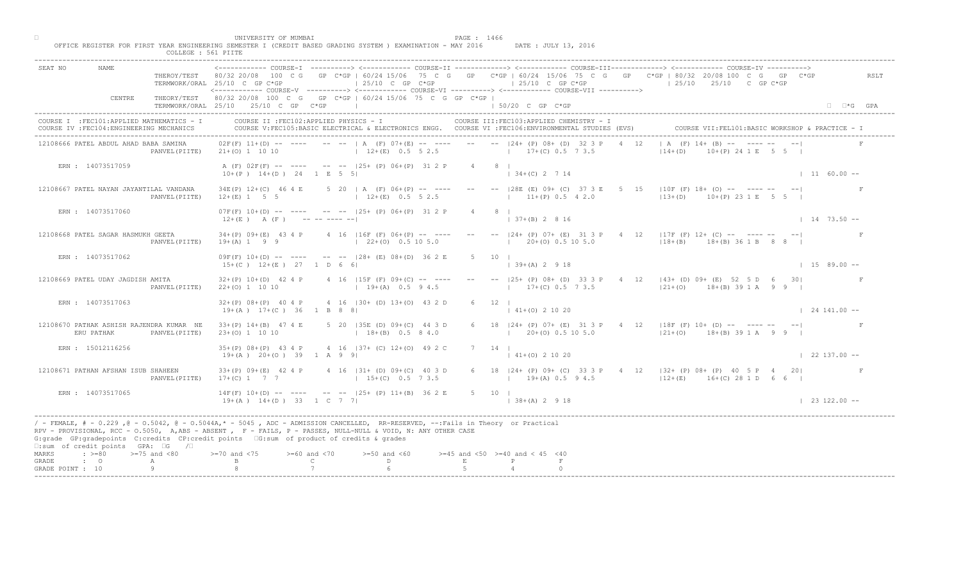| <b>NAME</b><br>SEAT NO                                                                                                                                   | TERMWORK/ORAL 25/10 C GP C*GP                          | $125/10$ C GP C*GP                                                                                                                                                                                                                                | <------------ COURSE-T ----------> <----------- COURSE-TT -------------> <------------ COURSE-TTT--------------> <----------- COURSE-TV<br>THEROY/TEST 80/32 20/08 100 C G GP C*GP   60/24 15/06 75 C G GP C*GP   60/24 15/06 75 C G GP C*GP   80/32 20/08 100 C G GP C*GP<br>$125/10$ C GP C*GP<br><------------ COURSE-V ----------> <------------ COURSE-VI -----------> <----------- COURSE-VII ----------> | RSLT<br>$125/10$ $25/10$ C GP C*GP                                                                                |
|----------------------------------------------------------------------------------------------------------------------------------------------------------|--------------------------------------------------------|---------------------------------------------------------------------------------------------------------------------------------------------------------------------------------------------------------------------------------------------------|-----------------------------------------------------------------------------------------------------------------------------------------------------------------------------------------------------------------------------------------------------------------------------------------------------------------------------------------------------------------------------------------------------------------|-------------------------------------------------------------------------------------------------------------------|
| CENTRE                                                                                                                                                   | TERMWORK/ORAL 25/10 25/10 C GP C*GP                    | THEORY/TEST 80/32 20/08 100 C G GP C*GP   60/24 15/06 75 C G GP C*GP                                                                                                                                                                              | $\vert$ 50/20 C GP C*GP                                                                                                                                                                                                                                                                                                                                                                                         | $\Box$ $\Box$ *G GPA                                                                                              |
| COURSE I : FEC101: APPLIED MATHEMATICS - I<br>COURSE IV : FEC104: ENGINEERING MECHANICS                                                                  |                                                        | COURSE II : FEC102: APPLIED PHYSICS - I                                                                                                                                                                                                           | COURSE III: FEC103: APPLIED CHEMISTRY - I<br>COURSE V:FEC105:BASIC ELECTRICAL & ELECTRONICS ENGG. COURSE VI :FEC106:ENVIRONMENTAL STUDIES (EVS)                                                                                                                                                                                                                                                                 |                                                                                                                   |
| 12108666 PATEL ABDUL AHAD BABA SAMINA                                                                                                                    | PANVEL (PIITE) $21+(0) 1 10 10$                        | $12+(E)$ 0.5 5 2.5                                                                                                                                                                                                                                | $0.2F(F)$ 11+(D) -- ---- -- --   A (F) 07+(E) -- ---- -- --   24+ (P) 08+ (D) 32 3 P<br>$17+(C)$ 0.5 7 3.5                                                                                                                                                                                                                                                                                                      | $A$ (F) $14 +$ (B)<br>$(P)$ 24 1 E 5 5 I<br>$ 14+(D) $                                                            |
| ERN : 14073517059                                                                                                                                        | $10+(P)$ $14+(D)$ $24$ 1 E 5 5                         | A (F) 02F(F) -- ---- -- -- 125+ (P) 06+(P) 31 2 P                                                                                                                                                                                                 | $4 \qquad 8 \qquad$<br>$\vert$ 34+(C) 2 7 14                                                                                                                                                                                                                                                                                                                                                                    | $1160.00 -$                                                                                                       |
| 12108667 PATEL NAYAN JAYANTILAL VANDANA<br>PANVEL (PIITE)                                                                                                | $34E(P)$ $12+(C)$ 46 4 E<br>$12+(E)$ 1 5 5             | $5$ 20   A (F) 06+(P) -- ----<br>$12+(E)$ 0.5 5 2.5                                                                                                                                                                                               | $-  28E$ (E) 09+ (C) 37 3 E<br>5 <sup>5</sup><br>$11+(P)$ 0.5 4 2.0                                                                                                                                                                                                                                                                                                                                             | $110F$ (F) 18+ (O) -- ---- --<br>$1^{1/2}3 + (D)$<br>10+(P) 23 1 E                                                |
| ERN : 14073517060                                                                                                                                        | $12+(E)$ A $(F)$ ---------                             | $07F(F)$ 10+(D) -- ---- -- -- 125+ (P) 06+(P) 31 2 P                                                                                                                                                                                              | $8 \mid$<br>$ 37+(B) 2 8 16$                                                                                                                                                                                                                                                                                                                                                                                    | $1 \quad 14 \quad 73.50$ --                                                                                       |
| 12108668 PATEL SAGAR HASMUKH GEETA<br>PANVEL (PIITE)                                                                                                     | $34+(P)$ 09+(E) 43 4 P<br>$19 + (A) 1 9 9$             | 4 16 $ 16F(F) 06+(P) -- --$<br>$\vert$ 22+(0) 0.5 10 5.0                                                                                                                                                                                          | $-  24 + (P) 07 + (E) 31$<br>$20\pm(0)$ 0.5 10 5.0                                                                                                                                                                                                                                                                                                                                                              | $4 \t12 \t 17F(F) 12+ (C) -- -- -- -- -- -- --$<br>$118 + (B)$<br>$18+(B) 36 1 B 8 8$                             |
| ERN : 14073517062                                                                                                                                        | $15+(C)$ $12+(E)$ $27$ 1 D 6 6                         | $09F(F)$ 10+(D) -- ---- -- -- $-$ -28+ (E) 08+(D) 36 2 E                                                                                                                                                                                          | .5<br>10<br>$(A)$ 2 9 18                                                                                                                                                                                                                                                                                                                                                                                        | $1\quad 15\quad 89.00 -$                                                                                          |
| 12108669 PATEL UDAY JAGDISH AMITA<br>PANVEL (PIITE)                                                                                                      | $32+(P)$ 10+(D) 42 4 P<br>$22+(0)$ 1 10 10             | 4 16 $ 15F(F) 09+(C) -- --$<br>$19+(A)$ 0.5 9 4.5                                                                                                                                                                                                 | $17+(C)$ 0.5 7 3.5                                                                                                                                                                                                                                                                                                                                                                                              | 25+ (P) 08+ (D) 33 3 P 4 12   43+ (D) 09+ (E) 52 5 D 6<br>$-301$<br>$121+(0)$ $18+(B)$ 39 1 A 9 9                 |
| ERN : 14073517063                                                                                                                                        | $32+(P)$ 08+(P) 40 4 P<br>$19+(A)$ $17+(C)$ 36 1 B 8 8 | 4 16 (30+ (D) 13+(0) 43 2                                                                                                                                                                                                                         | $141+(0)21020$                                                                                                                                                                                                                                                                                                                                                                                                  | $1241.00 -$                                                                                                       |
| 12108670 PATHAK ASHISH RAJENDRA KUMAR NE<br>ERU PATHAK<br>PANVEL (PIITE)                                                                                 | $33+(P)$ 14+(B) 47 4 E<br>$23+(0)$ 1 10 10             | 5 20 135E (D) 09+4(C<br>$1 + 18 + (B)$                                                                                                                                                                                                            | $120+(0)0.5105.0$                                                                                                                                                                                                                                                                                                                                                                                               | 6 18   24 + (P) 07 + (E) 31 3 P + 4 12   18 F (F) 10 + (D) -- ---- -- --  <br>$121+ (0)$<br>$18+(B) 39 1 A 9 9 1$ |
| ERN : 15012116256                                                                                                                                        | $35+(P)$ $08+(P)$ 43 4 P<br>$19+(A)$ $20+(O)$ 39 1 A 9 | 492C<br>$(1)$ $12 + (0)$<br>4 16                                                                                                                                                                                                                  | $7 \quad 14 \quad$<br>$ 41+(0) 2 10 20$                                                                                                                                                                                                                                                                                                                                                                         | $\vert$ 22 137.00 --                                                                                              |
| 12108671 PATHAN AFSHAN ISUB SHAHEEN<br>PANVEL (PIITE)                                                                                                    | $33+(P)$ 09+(E) 42 4 P<br>$17+(C)$ 1 7 7               | $(D) 09+(C) 40 3 D$<br>$15+(C)$ 0.5 7 3.5                                                                                                                                                                                                         | $19+(A)$ 0.5 9 4.5                                                                                                                                                                                                                                                                                                                                                                                              | 6 18   24 + (P) 09 + (C) 33 3 P + 4 12   32 + (P) 08 + (P) + 40 5 P + 4 20  <br>$12+(E)$ $16+(C)$ 28 1 D 6 6      |
| ERN : 14073517065                                                                                                                                        | $14F(F)$ $10+(D)$ -- -<br>$19 + (A)$ $14 + (D)$ 33     | $-$ -- $ 25+ (P) 11+ (B) 36 2 E$<br>$1 \text{ C}$ 7 7 1                                                                                                                                                                                           | 5 10 1<br>$  38 + (A) 2 9 18$                                                                                                                                                                                                                                                                                                                                                                                   | $123122.00 - -$                                                                                                   |
| G:grade GP:gradepoints C:credits CP:credit points EG:sum of product of credits & grades<br>$\square$ : sum of credit points GPA: $\square$ G / $\square$ |                                                        | / - FEMALE, # - 0.229 ,@ - 0.5042, @ - 0.5044A,* - 5045 , ADC - ADMISSION CANCELLED, RR-RESERVED, --:Fails in Theory or Practical<br>RPV - PROVISIONAL, RCC - 0.5050, A, ABS - ABSENT A P- FAILS, P - PASSES, NULL-NULL & VOID, N: ANY OTHER CASE |                                                                                                                                                                                                                                                                                                                                                                                                                 |                                                                                                                   |
| $: >=80$<br>$>=75$ and $<80$<br>MARKS<br>GRADE<br>$\cdot$ $\cdot$ 0<br>A                                                                                 | $0$ and $< 75$                                         | $>= 60$ and $< 70$<br>$>=50$ and $<60$<br>$\mathbb{C}$<br>$\mathbb{D}$                                                                                                                                                                            | $>=45$ and $<50$ $>=40$ and $< 45$ $<40$<br>$F_{\rm c}$<br>P                                                                                                                                                                                                                                                                                                                                                    |                                                                                                                   |
| GRADE POINT : 10                                                                                                                                         |                                                        |                                                                                                                                                                                                                                                   |                                                                                                                                                                                                                                                                                                                                                                                                                 |                                                                                                                   |

□ PAGE : 1466<br>OFFICE REGISTER FOR FIRST YEAR ENGINEERING SEMESTER I (CREDIT BASED GRADING SYSTEM ) EXAMINATION - MAY 2016 DATE : JULY 13, 2016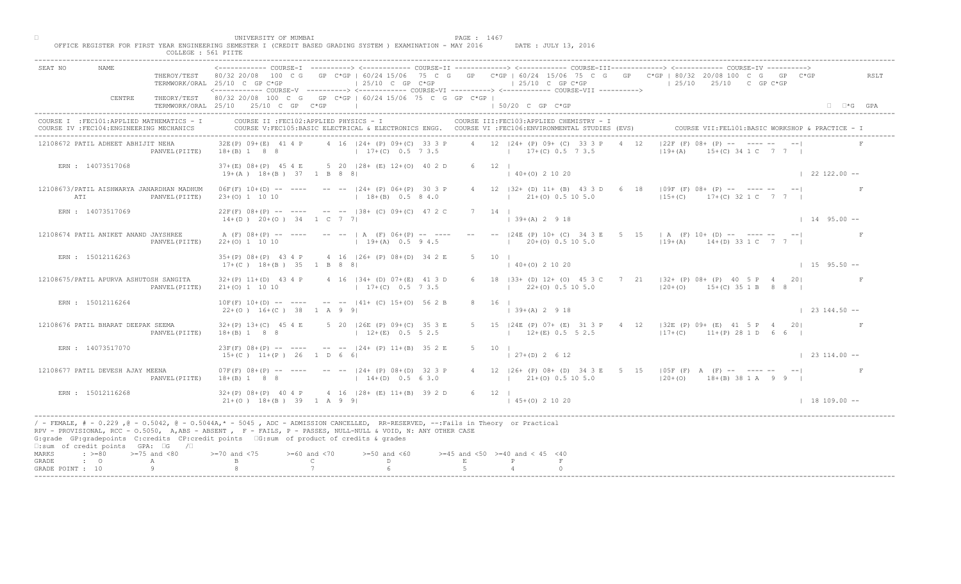|                                                 |                                                                                         |                     | UNIVERSITY OF MUMBAI                                                 | OFFICE REGISTER FOR FIRST YEAR ENGINEERING SEMESTER I (CREDIT BASED GRADING SYSTEM ) EXAMINATION - MAY 2016                                                                                                                                                                                                                                  |   | PAGE : 1467                                | DATE : JULY 13, 2016                      |                                                                                                                                                                                                                                                                            |                                                   |
|-------------------------------------------------|-----------------------------------------------------------------------------------------|---------------------|----------------------------------------------------------------------|----------------------------------------------------------------------------------------------------------------------------------------------------------------------------------------------------------------------------------------------------------------------------------------------------------------------------------------------|---|--------------------------------------------|-------------------------------------------|----------------------------------------------------------------------------------------------------------------------------------------------------------------------------------------------------------------------------------------------------------------------------|---------------------------------------------------|
| SEAT NO                                         | NAME                                                                                    | COLLEGE : 561 PIITE |                                                                      |                                                                                                                                                                                                                                                                                                                                              |   |                                            |                                           | ------------ COURSE-I ----------> <------------ COURSE-II -------------> <------------ COURSE-III-------------> <------------ COURSE-IV<br>THEROY/TEST 80/32 20/08 100 C G GP C*GP   60/24 15/06 75 C G GP C*GP   60/24 15/06 75 C G GP C*GP   80/32 20/08 100 C G GP C*GP | RSLT                                              |
|                                                 | CENTRE                                                                                  |                     | TERMWORK/ORAL 25/10 C GP C*GP<br>TERMWORK/ORAL 25/10 25/10 C GP C*GP | $ 25/10 \tC$ GP $C*GP$<br><------------ COURSE-V -----------> <------------ COURSE-VI -----------> <------------ COURSE-VII -----------><br>THEORY/TEST 80/32 20/08 100 C G GP C*GP   60/24 15/06 75 C G GP C*GP  <br>the control of the control of the control of                                                                           |   | $125/10$ C GP C*GP<br>$150/20$ C GP $C*GP$ |                                           | $125/10$ $25/10$ C GP C*GP                                                                                                                                                                                                                                                 | $\Box$ $\Box$ *G GPA                              |
|                                                 | COURSE I : FEC101: APPLIED MATHEMATICS - I<br>COURSE IV : FEC104: ENGINEERING MECHANICS |                     |                                                                      | COURSE II : FEC102: APPLIED PHYSICS - I<br>COURSE V:FEC105:BASIC ELECTRICAL & ELECTRONICS ENGG. COURSE VI :FEC106:ENVIRONMENTAL STUDIES (EVS)                                                                                                                                                                                                |   |                                            | COURSE III: FEC103: APPLIED CHEMISTRY - I |                                                                                                                                                                                                                                                                            | COURSE VII: FEL101: BASIC WORKSHOP & PRACTICE - : |
|                                                 | 12108672 PATIL ADHEET ABHIJIT NEHA                                                      | PANVEL (PIITE)      | 32E(P) 09+(E) 41 4 P<br>$18+(B) 1 8 8$                               | 4 16 124 + (P) 09 + (C) 33 3 P<br>$17+(C)$ 0.5 7 3.5 $17+(C)$ 0.5 7 3.5                                                                                                                                                                                                                                                                      |   | 4 12 124 + (P) 09 + (C) 33 3 P             | 4 12                                      | $15+(C)$ 34 1 C 7 7 1<br>$ 19+(A) $                                                                                                                                                                                                                                        |                                                   |
|                                                 | ERN : 14073517068                                                                       |                     | $19+(A)$ $18+(B)$ 37 1 B 8 8                                         | 37+(E) 08+(P) 45 4 E 5 20   28+ (E) 12+(0) 40 2 D                                                                                                                                                                                                                                                                                            |   | $6 \t 12 \t 1$<br>$(40+(0) 2 10 20)$       |                                           |                                                                                                                                                                                                                                                                            | $122122.00 -$                                     |
| ATI                                             | 12108673/PATIL AISHWARYA JANARDHAN MADHUM                                               | PANVEL (PIITE)      | $23+(0)$ 1 10 10                                                     | $06F(F)$ 10+(D) -- ---- -- --  24+ (P) 06+(P) 30 3 P<br>$18+(B)$ 0.5 8 4.0                                                                                                                                                                                                                                                                   |   | $(21 + (0) 0.5 10 5.0)$                    | 4 12   32 + (D) 11 + (B) 43 3 D 6         | 18   $\sqrt{9F(F)}$ 08+ (P) -- ---- -- --  <br>$15+(C)$ $17+(C)$ 32 1 C 7 7 1                                                                                                                                                                                              |                                                   |
|                                                 | ERN : 14073517069                                                                       |                     | $14+(D)$ $20+(O)$ $34$ 1 C 7 7                                       | $22F(F)$ 08+(P) -- ---- -- --  38+ (C) 09+(C) 47 2 C                                                                                                                                                                                                                                                                                         |   | 7 14 1<br>$139+(A) 2918$                   |                                           |                                                                                                                                                                                                                                                                            | $1495.00 -$                                       |
|                                                 | 12108674 PATIL ANIKET ANAND JAYSHREE                                                    | PANVEL (PIITE)      | $22+(0)$ 1 10 10                                                     | A (F) $08+(P)$ -- --- -- --   A (F) $06+(P)$ -- ---<br>$19+(A)$ 0.5 9 4.5                                                                                                                                                                                                                                                                    |   | $-- -24E$ (P) $10+$ (C) 34 3               | $1 \t20 \pm (0) \t0.5 \t10 \t5.0$         | E 5 15   A (F) 10+ (D) -- ---- -- -- <br>$119+(A)$ $14+(D)$ 33 1 C 7 7 1                                                                                                                                                                                                   |                                                   |
|                                                 | ERN : 15012116263                                                                       |                     | $17+(C)$ $18+(B)$ $35$ 1 B 8 8                                       | 35+(P) 08+(P) 43 4 P 4 16   26+ (P) 08+(D) 34 2 E                                                                                                                                                                                                                                                                                            |   | 5 10                                       | $40+(0)$ 2 10 20                          |                                                                                                                                                                                                                                                                            | $1595.50 -$                                       |
|                                                 | 12108675/PATIL APURVA ASHUTOSH SANGITA                                                  | PANVEL (PIITE)      | $21+(0)$ 1 10 10                                                     | $32+(P)$ 11+(D) 43 4 P 4 16   34+ (D) 07+(E) 41 3 D<br>$17+(C)$ 0.5 7 3.5                                                                                                                                                                                                                                                                    |   |                                            | $22+(0)$ 0.5 10 5.0                       | 33+ (D) 12+ (O) 45 3 C 7 21   32+ (P) 08+ (P) 40 5 P 4 20 <br>$120+(0)$ 15+(C) 35 1 B 8 8                                                                                                                                                                                  |                                                   |
|                                                 | ERN : 15012116264                                                                       |                     | $22+(0)$ 16+(C) 38 1 A 9 9                                           | $10F(F)$ $10+(D)$ -- ---- -- -- $ 41+(C)$ $15+(O)$ 56 2 E                                                                                                                                                                                                                                                                                    |   | $139+(A)2918$                              |                                           |                                                                                                                                                                                                                                                                            | $\vert$ 23 144.50 --                              |
|                                                 | 12108676 PATIL BHARAT DEEPAK SEEMA                                                      | PANVEL (PIITE)      | $32+(P)$ 13+(C) 45 4 E<br>$18+(B)$ 1 8 8                             | $5$ 20 $ 26E(P)$ 09+ $(C)$<br>$12 + (E)$                                                                                                                                                                                                                                                                                                     |   |                                            | $12+(E)$ 0.5 5 2.5                        | 5 15   24E (P) 07+ (E) 31 3 P 4 12   32E (P) 09+ (E) 41 5 P 4 20 <br>$ 17+(C) $ 11+(P) 28 1 D 6 6                                                                                                                                                                          |                                                   |
|                                                 | ERN: 14073517070                                                                        |                     | $23F(F)$ 08+(P) -- ----<br>$15+(C)$ $11+(P)$ 26 1 D 6                | $-- -24+$ (P) $11+(B)$ 35 2 E                                                                                                                                                                                                                                                                                                                |   | 5 10 1<br>$127+(D) 2612$                   |                                           |                                                                                                                                                                                                                                                                            | $\vert$ 23 114.00 --                              |
|                                                 | 12108677 PATIL DEVESH AJAY MEENA                                                        | PANVEL (PIITE)      | $07F(F)$ $08+(P)$ -- ---- ---<br>$18+(B)$ 1 8 8                      | $(24 + (P) 08 + (D) 32 3 P)$<br>$14+(D)$ 0.5 6 3.0                                                                                                                                                                                                                                                                                           |   | $1 \t21+(0) \t0.5 \t10 \t5.0$              |                                           | 4 12   26+ (P) 08+ (D) 34 3 E 5 15   05F (F) A (F) -- ---- -- -- <br>$(20+ (0) 18+ (B) 38 1 A 9 9)$                                                                                                                                                                        |                                                   |
|                                                 | ERN : 15012116268                                                                       |                     | $32+(P)$ 08+(P) 40 4 P                                               | $32+(P) 08+(P) 40 4$<br>21+(0) $18+(B) 39 1$<br>32 1<br>34 1<br>34 39 2                                                                                                                                                                                                                                                                      |   | $6 \t12 \t1$<br>$145+(0)21020$             |                                           |                                                                                                                                                                                                                                                                            | $1 18 109.00 --$                                  |
|                                                 | □:sum of credit points GPA: □G /□                                                       |                     |                                                                      | / - FEMALE, # - 0.229, @ - 0.5042, @ - 0.5044A,* - 0045, ADC - ADMISSION CANCELLED, RR-RESERVED, --:Fails in Theory or Practical<br>RPV - PROVISIONAL, RCC - 0.5050, A, ABS - ABSENT , P - FAILS, P - PASSES, NULL-NULL & VOID, N: ANY OTHER CASE<br>G:grade GP:gradepoints C:credits CP:credit points [6:sum of product of credits & grades |   |                                            |                                           |                                                                                                                                                                                                                                                                            |                                                   |
| MARKS<br>$\cdot$ 0<br>GRADE<br>GRADE POINT : 10 | $\Rightarrow$ $>=$ 80 $\Rightarrow$ $=$ 75 and <80                                      | A<br>Q              | $>= 70$ and $< 75$                                                   | $>= 60$ and $< 70$<br>$>=50$ and $<60$<br>$\mathbb{C}$ and $\mathbb{C}$<br>$\mathbb{D}$ and $\mathbb{D}$                                                                                                                                                                                                                                     | E | $>=45$ and $<50$ $>=40$ and $< 45$ $<40$   |                                           |                                                                                                                                                                                                                                                                            |                                                   |
|                                                 |                                                                                         |                     |                                                                      |                                                                                                                                                                                                                                                                                                                                              |   |                                            |                                           |                                                                                                                                                                                                                                                                            |                                                   |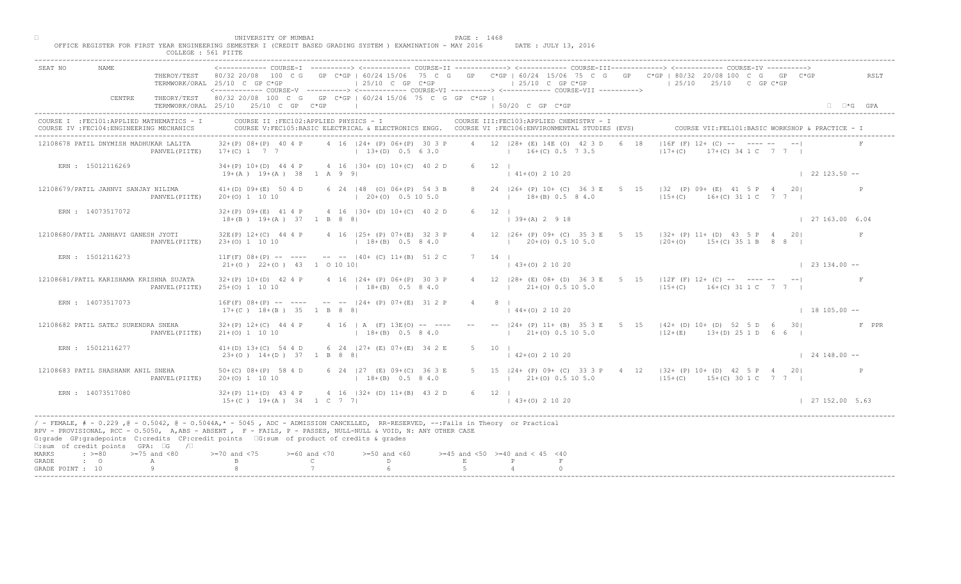|                  |                                                                                         | COLLEGE : 561 PIITE |                                                            |                                                                                                                                                                                                                                                                                                                                             |                                                          |                                                                                                                                                                                                                                                                                                          |                                                 |
|------------------|-----------------------------------------------------------------------------------------|---------------------|------------------------------------------------------------|---------------------------------------------------------------------------------------------------------------------------------------------------------------------------------------------------------------------------------------------------------------------------------------------------------------------------------------------|----------------------------------------------------------|----------------------------------------------------------------------------------------------------------------------------------------------------------------------------------------------------------------------------------------------------------------------------------------------------------|-------------------------------------------------|
| SEAT NO          |                                                                                         |                     | TERMWORK/ORAL 25/10 C GP C*GP                              | $\vert$ 25/10 C GP C*GP<br><------------ COURSE-V ----------> <------------ COURSE-VI ----------> <------------ COURSE-VII ---------->                                                                                                                                                                                                      | $125/10$ C GP C*GP                                       | <------------ COURSE-T ----------> <------------ COURSE-TT -------------> <------------ COURSE-TTT-------------> <----------- COURSE-TV<br>THEROY/TEST 80/32 20/08 100 C G GP C*GP   60/24 15/06 75 C G GP C*GP   60/24 15/06 75 C G GP C*GP   80/32 20/08 100 C G GP C*GP<br>$125/10$ $25/10$ C GP C*GP | RSLT                                            |
|                  | CENTRE                                                                                  |                     | TERMWORK/ORAL 25/10 25/10 C GP C*GP                        | THEORY/TEST 80/32 20/08 100 C G GP C*GP   60/24 15/06 75 C G GP C*GP                                                                                                                                                                                                                                                                        | $\vert$ 50/20 C GP C*GP                                  |                                                                                                                                                                                                                                                                                                          | $\Box$ $\Box$ *G GPA                            |
|                  | COURSE I : FEC101: APPLIED MATHEMATICS - I<br>COURSE IV : FEC104: ENGINEERING MECHANICS |                     |                                                            | COURSE II : FEC102: APPLIED PHYSICS - I<br>COURSE V:FEC105:BASIC ELECTRICAL & ELECTRONICS ENGG. COURSE VI :FEC106:ENVIRONMENTAL STUDIES (EVS)                                                                                                                                                                                               | COURSE III: FEC103: APPLIED CHEMISTRY - I                |                                                                                                                                                                                                                                                                                                          | COURSE VII: FEL101: BASIC WORKSHOP & PRACTICE - |
|                  | 12108678 PATIL DNYMISH MADHUKAR LALITA                                                  | PANVEL (PIITE)      | $32+(P)$ $08+(P)$ 40 4 P<br>$17+(C)$ 1 7 7                 | 4 16   24 + (P) 06 + (P) 30 3 P<br>$13+(D)$ 0.5 6 3.0                                                                                                                                                                                                                                                                                       | 4 12 128+ (E) 14E (O) 42 3 D<br>$16+(C) 0.5 7 3.5$       | $116F$ (F) $12+\sqrt{C}$ -- $\sqrt{C}$ --<br>18<br>$117+(C)$                                                                                                                                                                                                                                             | $+(C)$ 34 1 C 7 7 1                             |
|                  | ERN : 15012116269                                                                       |                     | $19+(A)$ $19+(A)$ 38 1 A 9 9                               | 34+(P) 10+(D) 44 4 P 4 16   30+ (D) 10+(C) 40 2 D                                                                                                                                                                                                                                                                                           | $6 \t12 \t1$<br>$141+(0)21020$                           |                                                                                                                                                                                                                                                                                                          | $1 \quad 22 \quad 123.50 --$                    |
|                  | 12108679/PATIL JAHNVI SANJAY NILIMA                                                     | PANVEL (PIITE)      | $41+(D)$ 09+(E) 50 4 D<br>$20+(0)$ 1 10 10                 | 6 24   48 (0) 06 + (P) 54 3 B<br>$(20+(0) 0.5 10 5.0)$                                                                                                                                                                                                                                                                                      | 8 24   26 + (P) 10 + (C) 36 3 E 5<br>$18+(B)$ 0.5 8 4.0  | 15 132 (P) 09+ (E) 41 5 P 4 20<br>$15+(C)$ $16+(C)$ 31 1 C 7 7                                                                                                                                                                                                                                           |                                                 |
|                  | ERN: 14073517072                                                                        |                     | $18+(B)$ $19+(A)$ 37 1 B 8 8                               | 32+(P) 09+(E) 41 4 P 4 16   30+ (D) 10+(C) 40 2 D                                                                                                                                                                                                                                                                                           | $6 \t12 \t1$<br>$\vert$ 39+(A) 2 9 18                    |                                                                                                                                                                                                                                                                                                          | 127163.006.04                                   |
|                  | 12108680/PATIL JANHAVI GANESH JYOTI                                                     | PANVEL (PIITE)      | $23+(0)$ 1 10 10                                           | 32E(P) 12+(C) 44 4 P 4 16   25+ (P) 07+(E) 32 3 P<br>$18+(B)$ 0.5 8 4.0                                                                                                                                                                                                                                                                     | $12$ $126+$ (P) $09+$ (C) $353E$                         | $5 \t 15 \t  32 + (P) 11 + (D) 43 5 P 4 20$<br>$20\pm(0)$ 0.5 10 5.0                                                                                                                                                                                                                                     | F<br>$ 20+(0)$ 15+(C) 35 1 B 8 8                |
|                  | ERN : 15012116273                                                                       |                     | $21+(0)$ $22+(0)$ $43$ 1 0 10 10                           | $11F(F)$ 08+(P) -- ---- -- -- $-$ -40+ (C) 11+(B) 51 2 C                                                                                                                                                                                                                                                                                    | 14<br>$(0)$ 2 10 20                                      |                                                                                                                                                                                                                                                                                                          | $\vert$ 23 134.00 --                            |
|                  | 12108681/PATIL KARISHAMA KRISHNA SUJATA                                                 | PANVEL (PIITE)      | $32+(P)$ 10+(D) 42 4 P<br>$25+(0)$ 1 10 10                 | 4 16   24 + (P) 06 + (P) 30 3 P<br>$18+(B)$ 0.5 8 4.0                                                                                                                                                                                                                                                                                       | $21+ (0)$ 0.5 10 5.0                                     | 28+ (E) 08+ (D) 36 3 E 5 15   12F (F) 12+ (C) -- ---- -- -- <br>$15+(C)$ 16+(C) 31 1 C 7 7                                                                                                                                                                                                               |                                                 |
|                  | ERN : 14073517073                                                                       |                     | $17+(C)$ $18+(B)$ 35 1 B 8 8                               | $16F(F)$ 08+(P) -- ---- -- -- $-$ -24+ (P) 07+(E) 31 2                                                                                                                                                                                                                                                                                      | $144+(0)21020$                                           |                                                                                                                                                                                                                                                                                                          | $18105.00 -$                                    |
|                  | 12108682 PATIL SATEJ SURENDRA SNEHA                                                     | PANVEL (PIITE)      | $32+(P)$ 12+(C) 44 4 P<br>$21+ (0) 1 10 10$                | 4 16   A (F) 13EMO<br>$18 + (B)$                                                                                                                                                                                                                                                                                                            | $1$ $21+(0)$ 0.5 10 5.0                                  | --  24+ (P) 11+ (B) 35 3 E 5 15  42+ (D) 10+ (D) 52 5 D 6 30                                                                                                                                                                                                                                             | F PPR<br>$12+(E)$ $13+(D)$ 25 1 D 6 6           |
|                  | ERN : 15012116277                                                                       |                     | $41+(D)$ $13+(C)$ 54 4 D<br>$23+(0)$ 14+(D) 37 1 B 8       | 6 24 $127 +$ (B) $07 + (E)$ 34 2 E                                                                                                                                                                                                                                                                                                          | 5 10 1<br>$142+(0)21020$                                 |                                                                                                                                                                                                                                                                                                          | $124148.00 - -$                                 |
|                  | 12108683 PATIL SHASHANK ANIL SNEHA                                                      | PANVEL (PIITE)      | $50+ (C) 08+ (P) 58 4 D$<br>$20+(0)$ 1 10 10               | $127$ (E) 09+ (C) 36 3 E<br>$18+(B)$ 0.5 8 4.0                                                                                                                                                                                                                                                                                              | $(21 + (0) 0.5 10 5.0)$                                  | 5 15   24 + (P) 09 + (C) 33 3 P + 4 12   32 + (P) 10 + (D) + 42 5 P + 4 20  <br>$15+(C)$ 15+(C) 30 1 C 7 7 1                                                                                                                                                                                             |                                                 |
|                  | ERN : 14073517080                                                                       |                     | $32+(P)$ 11+(D) 43 4 P<br>$15+(C)$ $19+(A)$ $34$ $1 C$ 7 7 | $4 \t16$ $ 32 + (D) 11 + (B) 43 2 D$                                                                                                                                                                                                                                                                                                        | $6 \t 12 \t 1$<br>$(43+(0) 2 10 20)$                     |                                                                                                                                                                                                                                                                                                          | 127152.005.63                                   |
|                  | $\square$ : sum of credit points GPA: $\square$ G / $\square$                           |                     |                                                            | / - FEMALE, # - 0.229 ,@ - 0.5042, @ - 0.5044A,* - 5045 , ADC - ADMISSION CANCELLED, RR-RESERVED, --:Fails in Theory or Practical<br>RPV - PROVISIONAL, RCC - 0.5050, A, ABS - ABSENT, P - FAILS, P - PASSES, NULL-NULL & VOID, N: ANY OTHER CASE<br>G:grade GP:gradepoints C:credits CP:credit points 6:sum of product of credits & grades |                                                          |                                                                                                                                                                                                                                                                                                          |                                                 |
| MARKS<br>GRADE   | $\div$ >=80 >=75 and <80<br>$\cdot$ $\cdot$ 0                                           | A                   |                                                            | $>= 60$ and $< 70$<br>$>=50$ and $<60$<br>D.<br>$\mathbb{C}$                                                                                                                                                                                                                                                                                | $>=45$ and $<50$ $>=40$ and $< 45$ $<40$<br>$\mathbf{E}$ |                                                                                                                                                                                                                                                                                                          |                                                 |
| GRADE POINT : 10 |                                                                                         | 9                   |                                                            |                                                                                                                                                                                                                                                                                                                                             |                                                          |                                                                                                                                                                                                                                                                                                          |                                                 |

□ PAGE : 1468<br>OFFICE REGISTER FOR FIRST YEAR ENGINEERING SEMESTER I (CREDIT BASED GRADING SYSTEM ) EXAMINATION - MAY 2016 DATE : JULY 13, 2016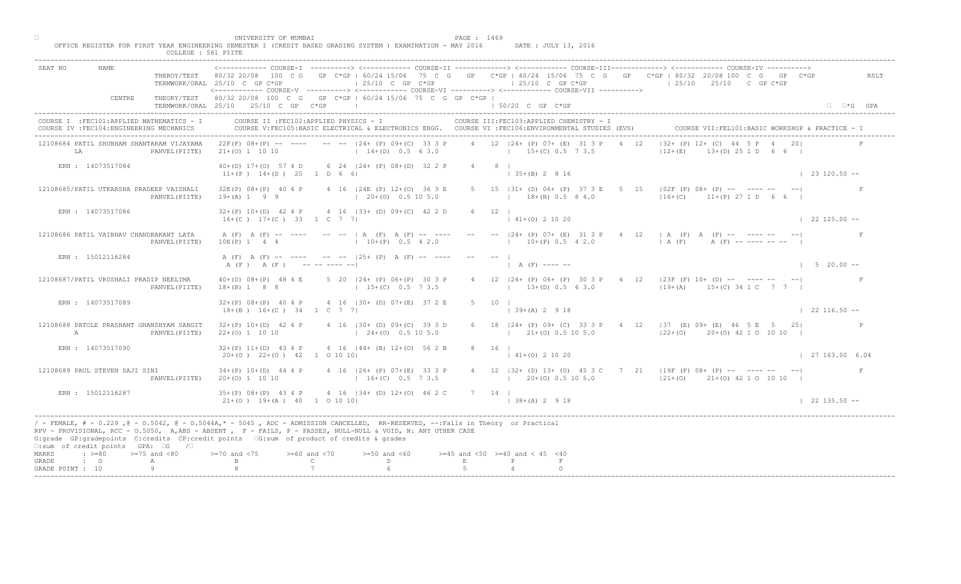| SEAT NO                                                                                                                                                                                                                                                                                                                                                                                                     |        | TERMWORK/ORAL 25/10 C GP C*GP       |                     |                          |                                                     | $125/10$ C GP $C*GP$                                                                                        |             |              |                                                          | $125/10$ C GP C*GP                                                                                                                              |      | ----------> <------------ COURSE-II ------------> <------------ COURSE-III-------------> <----------- COURSE-IV<br>THEROY/TEST 80/32 20/08 100 C G GP C*GP   60/24 15/06 75 C G GP C*GP   60/24 15/06 75 C G GP C*GP   80/32 20/08 100 C G GP C*GP<br>$125/10$ $25/10$ C GP C*GP |                     | RSLT                   |
|-------------------------------------------------------------------------------------------------------------------------------------------------------------------------------------------------------------------------------------------------------------------------------------------------------------------------------------------------------------------------------------------------------------|--------|-------------------------------------|---------------------|--------------------------|-----------------------------------------------------|-------------------------------------------------------------------------------------------------------------|-------------|--------------|----------------------------------------------------------|-------------------------------------------------------------------------------------------------------------------------------------------------|------|----------------------------------------------------------------------------------------------------------------------------------------------------------------------------------------------------------------------------------------------------------------------------------|---------------------|------------------------|
|                                                                                                                                                                                                                                                                                                                                                                                                             | CENTRE | TERMWORK/ORAL 25/10 25/10 C GP C*GP |                     |                          |                                                     | THEORY/TEST 80/32 20/08 100 C G GP C*GP   60/24 15/06 75 C G GP C*GP  <br>the control of the control of the |             |              | 1 50/20 C GP C*GP                                        | <------------ COURSE-V ----------> <------------ COURSE-VI -----------> <------------ COURSE-VII ----------->                                   |      |                                                                                                                                                                                                                                                                                  |                     | $\Box$ $\Box$ *G GPA   |
| COURSE I : FEC101: APPLIED MATHEMATICS - I<br>COURSE IV : FEC104: ENGINEERING MECHANICS                                                                                                                                                                                                                                                                                                                     |        |                                     |                     |                          | COURSE II : FEC102: APPLIED PHYSICS - I             |                                                                                                             |             |              |                                                          | COURSE III: FEC103: APPLIED CHEMISTRY - I<br>COURSE V:FEC105:BASIC ELECTRICAL & ELECTRONICS ENGG. COURSE VI :FEC106:ENVIRONMENTAL STUDIES (EVS) |      |                                                                                                                                                                                                                                                                                  |                     |                        |
| 12108684 PATIL SHUBHAM SHANTARAM VIJAYAMA<br>LA                                                                                                                                                                                                                                                                                                                                                             |        | PANVEL (PIITE)                      | $21+(0)$ 1 10 10    |                          |                                                     | $22F(F)$ 08+(P) -- ---- -- -- $-$ -124+ (P) 09+(C) 33 3 P<br>$14+(D)$ 0.5 6 3.0 $15+(C)$ 0.5 7 3.5          |             |              |                                                          | 4 12 124 + (P) 07 + (E) 31 3 P                                                                                                                  | 4 12 | $132+ (P) 12+ (C) 44$<br>$12+(E)$                                                                                                                                                                                                                                                | $+(D)$ 25 1 D 6 6 I |                        |
| ERN : 14073517084                                                                                                                                                                                                                                                                                                                                                                                           |        |                                     |                     |                          | $11+(P)$ $14+(D)$ $25$ 1 D 6 6                      | 40+(D) 17+(O) 57 4 D 6 24   24+ (P) 08+(D) 32 2 P                                                           |             | 4 8 1        | $(35+(B) 2 8 16)$                                        |                                                                                                                                                 |      |                                                                                                                                                                                                                                                                                  |                     | $123120.50 -$          |
| 12108685/PATIL UTKARSHA PRADEEP VAISHALI                                                                                                                                                                                                                                                                                                                                                                    |        | PANVEL (PIITE)                      | $19+(A) 1 9 9$      | 32E(P) 08+(P) 40 4 P     |                                                     | 4 16   24E (P) 12+(0) 36 3 E<br>$(20+(0) 0.5 10 5.0)$                                                       |             |              |                                                          | 5 15   31 + (D) 06 + (P) 37 3 E 5<br>$18+(B)$ 0.5 8 4.0                                                                                         |      | 15 $102F$ (F) 08+ (P) -- ---- --<br>$16+(C)$ $11+(P)$ 27 1 D                                                                                                                                                                                                                     |                     |                        |
| ERN : 14073517086                                                                                                                                                                                                                                                                                                                                                                                           |        |                                     |                     |                          | $16+(C)$ $17+(C)$ 33 1 C 7 7                        | 32+(P) 10+(D) 42 4 P 4 16   33+ (D) 09+(C) 42 2 D                                                           |             | $6 \t12 \t1$ | $141+(0)21020$                                           |                                                                                                                                                 |      |                                                                                                                                                                                                                                                                                  |                     | $122125.00 -$          |
| 12108686 PATIL VAIBHAV CHANDRAKANT LATA                                                                                                                                                                                                                                                                                                                                                                     |        | PANVEL (PIITE)                      | $10E(P)$ 1 4 4      |                          |                                                     | A (F) A (F) -- ---- -- --   A (F) A (F) -- ----<br>$10+(P)$ 0.5 4 2.0                                       |             |              |                                                          |                                                                                                                                                 |      | $  24 + (P) 07 + (E) 31 3 P 4 12   A (F) A (F)      -$<br>$(10+(P)^{10} 0.5 \t{4} 2.0$ $(A (F) -11) -11.5)$                                                                                                                                                                      |                     |                        |
| ERN : 15012116284                                                                                                                                                                                                                                                                                                                                                                                           |        |                                     |                     |                          | A (F) A (F) ---------                               | A (F) A (F) -- ---- -- -- 125+ (P) A (F) -- ----                                                            |             |              |                                                          |                                                                                                                                                 |      |                                                                                                                                                                                                                                                                                  |                     | $1 \t 5 \t 20.00 \t -$ |
| 12108687/PATIL VRUSHALI PRADIP NEELIMA                                                                                                                                                                                                                                                                                                                                                                      |        | PANVEL (PIITE)                      | $18+(B) 1 8 8$      | $40+(D)$ $08+(P)$ 48 4 E |                                                     | 5 20   24 + (P) 06 + (P) 30 3 P<br>$15+(C)$ 0.5 7 3.5                                                       |             |              |                                                          | $13+(D)$ 0.5 6 3.0                                                                                                                              |      | $\sqrt{24 + (P)}$ 06+ (P) 30 3 P 4 12   23 F (F) 10+ (D) -- ---- -- -- <br>$(19 + (A) 15 + (C) 34 1 C 7 7 1$                                                                                                                                                                     |                     |                        |
| ERN : 14073517089                                                                                                                                                                                                                                                                                                                                                                                           |        |                                     |                     | $32+(P)$ 08+(P) 40 4 P   | $18+(B)$ $16+(C)$ $34$ $1$ C 7 7                    | 4 16 (30+ (D) 07+(E) 37 2                                                                                   |             |              | $\vert$ 39+(A) 2 9 18                                    |                                                                                                                                                 |      |                                                                                                                                                                                                                                                                                  |                     | $122116.50 - -$        |
| 12108688 PATOLE PRASHANT GHANSHYAM SANGIT<br>$\mathbb{A}$                                                                                                                                                                                                                                                                                                                                                   |        | PANVEL (PIITE)                      | $22+(0)$ 1 10 10    | $32+(P)$ 10+(D) 42 4 P   |                                                     | $4$ 16 $ 30 + (D) 09 + (C)$<br>$124+(0)$                                                                    |             |              |                                                          | $121+(0)0.5105.0$                                                                                                                               |      | 6 18   24 + (P) 09 + (C) 33 3 P + 4 12   37 (E) 09 + (E) 46 5 E 5 25  <br>$ 22+(0)$ 20+(0) 42 1 0 10 10                                                                                                                                                                          |                     |                        |
| ERN: 14073517090                                                                                                                                                                                                                                                                                                                                                                                            |        |                                     |                     | $32+(P)$ 11+(D) 43 4 P   | $20+(0)$ $22+(0)$ $42$ 1 0 10 10                    | $4 \t16 \t144 + \t18 \t12+ (0) \t56 \t2 B$                                                                  |             | 8 16 1       | $141+(0)21020$                                           |                                                                                                                                                 |      |                                                                                                                                                                                                                                                                                  |                     | 127163.006.04          |
| 12108689 PAUL STEVEN SAJI SINI                                                                                                                                                                                                                                                                                                                                                                              |        | PANVEL (PIITE)                      | $20+(0)$ 1 10 10    | $34+(P)$ 10+(D) 44 4 P   |                                                     | $16+(C)$ 0.5 7 3.5                                                                                          |             |              |                                                          | $(20+(0) 0.5 10 5.0)$                                                                                                                           |      | 4 16 126+ (P) 07+ (E) 33 3 P 4 12   32+ (D) 13+ (O) 45 3 C 7 21   19F (F) 08+ (P) -- ---- -- -- --  <br>$ 21+(0)$ $21+(0)$ 42 1 0 10 10                                                                                                                                          |                     | F                      |
| ERN : 15012116287                                                                                                                                                                                                                                                                                                                                                                                           |        |                                     |                     | $35+(P)$ $08+(P)$ 43 4 P | $21+ (0)$ $19+ (A)$ $40$ $100101$                   | $\triangle$ 4 16   34 + (D) 12 + (O) 46 2 C                                                                 | 7 14 1      |              | $138+(A) 2918$                                           |                                                                                                                                                 |      |                                                                                                                                                                                                                                                                                  |                     | $122135.50 - -$        |
| / - FEMALE, # - 0.229, @ - 0.5042, @ - 0.5044A,* - 0045, ADC - ADMISSION CANCELLED, RR-RESERVED, --:Fails in Theory or Practical<br>RPV - PROVISIONAL, RCC - 0.5050, A, ABS - ABSENT, P - FAILS, P - PASSES, NULL-NULL & VOID, N: ANY OTHER CASE<br>G:grade GP:gradepoints C:credits CP:credit points G:sum of product of credits & grades<br>$\square$ : sum of credit points GPA: $\square$ G / $\square$ |        |                                     |                     |                          |                                                     |                                                                                                             |             |              |                                                          |                                                                                                                                                 |      |                                                                                                                                                                                                                                                                                  |                     |                        |
| $\Rightarrow$ $>=$ 80 $\Rightarrow$ $=$ 75 and <80<br>MARKS<br>$\cdot$ 0<br>GRADE                                                                                                                                                                                                                                                                                                                           |        | A<br>9                              | $> = 70$ and $< 75$ |                          | $>= 60$ and $< 70$<br>$\mathbb{C}$ and $\mathbb{C}$ | $>=50$ and $<60$<br>$D \sim 1$                                                                              | $\mathbf E$ |              | $>=45$ and $<50$ $>=40$ and $< 45$ $<40$<br>$\mathbb{P}$ |                                                                                                                                                 |      |                                                                                                                                                                                                                                                                                  |                     |                        |

□ PAGE : 1469<br>OFFICE REGISTER FOR FIRST YEAR ENGINEERING SEMESTER I (CREDIT BASED GRADING SYSTEM ) EXAMINATION - MAY 2016 DATE : JULY 13, 2016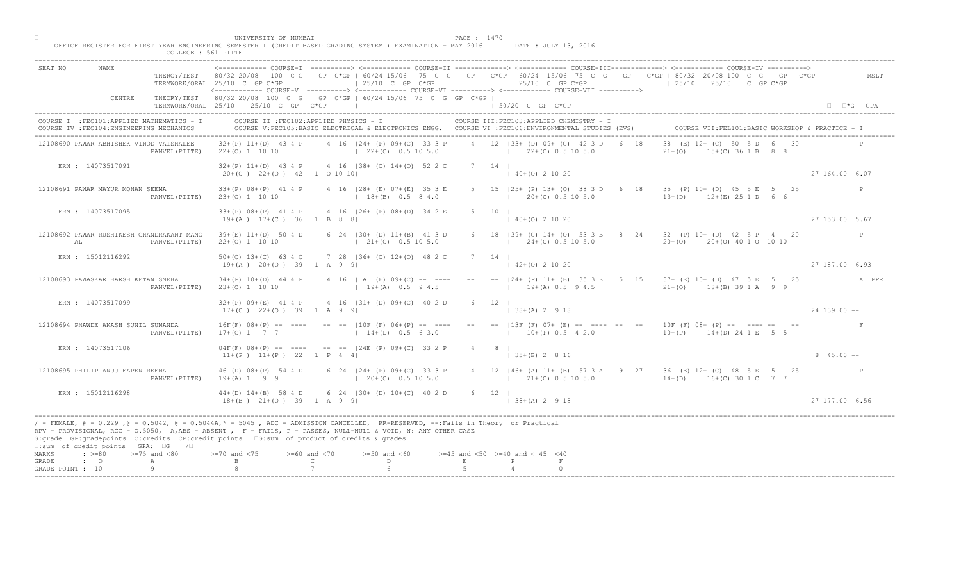| SEAT NO<br>NAME.                                                                                                                                                                                                                                                                                                                                                                                             |                | TERMWORK/ORAL 25/10 C GP C*GP<br><------------ COURSE-V ----------> <------------ COURSE-VI -----------> <------------- COURSE-VII ----------> |                                    | $125/10$ C GP C*GP                                                                                 |             |                     |                                          | $125/10$ C GP C*GP                                    |   | THEROY/TEST 80/32 20/08 100 C G GP C*GP   60/24 15/06 75 C G GP C*GP   60/24 15/06 75 C G GP C*GP   80/32 20/08 100 C G GP C*GP<br>$125/10$ $25/10$ C GP C*GP |                        | RSLT                 |
|--------------------------------------------------------------------------------------------------------------------------------------------------------------------------------------------------------------------------------------------------------------------------------------------------------------------------------------------------------------------------------------------------------------|----------------|------------------------------------------------------------------------------------------------------------------------------------------------|------------------------------------|----------------------------------------------------------------------------------------------------|-------------|---------------------|------------------------------------------|-------------------------------------------------------|---|---------------------------------------------------------------------------------------------------------------------------------------------------------------|------------------------|----------------------|
| CENTRE                                                                                                                                                                                                                                                                                                                                                                                                       |                | THEORY/TEST 80/32 20/08 100 C G GP C*GP   60/24 15/06 75 C G GP C*GP  <br>TERMWORK/ORAL 25/10 25/10 C GP C*GP<br>----------------------        |                                    |                                                                                                    |             |                     | $150/20$ C GP C*GP                       |                                                       |   |                                                                                                                                                               |                        | $\Box$ $\Box$ *G GPA |
| COURSE I : FEC101: APPLIED MATHEMATICS - I<br>COURSE IV : FEC104: ENGINEERING MECHANICS                                                                                                                                                                                                                                                                                                                      |                | COURSE II : FEC102: APPLIED PHYSICS - I                                                                                                        |                                    | COURSE V:FEC105:BASIC ELECTRICAL & ELECTRONICS ENGG. COURSE VI :FEC106:ENVIRONMENTAL STUDIES (EVS) |             |                     |                                          | COURSE III: FEC103: APPLIED CHEMISTRY - I             |   |                                                                                                                                                               |                        |                      |
| 12108690 PAWAR ABHISHEK VINOD VAISHALEE                                                                                                                                                                                                                                                                                                                                                                      |                | $32+(P)$ 11+(D) 43 4 P<br>PANVEL (PIITE) 22+(0) 1 10 10                                                                                        |                                    | 4 16 124 + (P) 09 + (C) 33 3 P<br>$122+(0)0.5105.0$                                                |             |                     |                                          | 4 12 133+ (D) 09+ (C) 42 3 D<br>$122+(0)0.5105.0$     |   | $138$ (E) $12 +$ (C)<br>TD 6 301<br>$ 21+(0) $<br>$(C)$ 36 1 B 8 8                                                                                            |                        |                      |
| ERN : 14073517091                                                                                                                                                                                                                                                                                                                                                                                            |                | $32+(P)$ 11+(D) 43 4 P 4 16   38+ (C) 14+(O) 52 2 C<br>$20+(0)$ $22+(0)$ $42$ 1 0 10 10                                                        |                                    |                                                                                                    |             | 7 14 1              | $(40+(0) 2 10 20)$                       |                                                       |   |                                                                                                                                                               | 127164.006.07          |                      |
| 12108691 PAWAR MAYUR MOHAN SEEMA                                                                                                                                                                                                                                                                                                                                                                             | PANVEL (PIITE) | $33+(P)$ $08+(P)$ 41 4 P<br>$23+(0)$ 1 10 10                                                                                                   |                                    | 4 16 (28+ (E) 07+(E) 35 3 E<br>$18+(B)$ 0.5 8 4.0                                                  |             |                     |                                          | 5 15 125+ (P) 13+ (O) 38 3 D<br>$1$ 20+(0) 0.5 10 5.0 | 6 | 18   35 (P) 10+ (D) 45 5 E 5<br>$12+(D)$ $12+(E)$ 25 1 D                                                                                                      | 251                    | P                    |
| ERN : 14073517095                                                                                                                                                                                                                                                                                                                                                                                            |                | $33+(P)$ $08+(P)$ 41 4 P<br>$19+(A)$ $17+(C)$ 36 1 B 8 8                                                                                       |                                    | 4 16   26 + (P) 08 + (D) 34 2 E                                                                    |             | $5 \t10 \t1$        | $140+(0)21020$                           |                                                       |   |                                                                                                                                                               | $\vert$ 27 153.00 5.67 |                      |
| 12108692 PAWAR RUSHIKESH CHANDRAKANT MANG<br>AL                                                                                                                                                                                                                                                                                                                                                              | PANVEL (PIITE) | $39+(E)$ 11+(D) 50 4 D<br>$22+(0)$ 1 10 10                                                                                                     |                                    | 6 24   30 + (D) 11 + (B) 41 3 D<br>$(21+(0) 0.5 10 5.0)$                                           |             |                     |                                          | $18$ $ 39+$ (C) $14+$ (O) 53 3<br>$24+(0)$ 0.5 10 5.0 |   | $8$ 24   32 (P) 10 + (D) 42 5 P 4 20  <br>$120+(0)$ 20+(0) 40 1 0 10 10                                                                                       |                        | P                    |
| ERN : 15012116292                                                                                                                                                                                                                                                                                                                                                                                            |                | $50+(C)$ 13+(C) 63 4 C<br>$19+(A)$ $20+(O)$ 39 1 A 9 91                                                                                        |                                    | 7 28   36+ (C) 12+(0) 48 2 C                                                                       |             | 14                  |                                          | $+(0)$ 2 10 20                                        |   |                                                                                                                                                               | 127187.006.93          |                      |
| 12108693 PAWASKAR HARSH KETAN SNEHA                                                                                                                                                                                                                                                                                                                                                                          | PANVEL (PIITE) | $34+(P)$ 10+(D) 44 4 P<br>$23+(0)$ 1 10 10                                                                                                     |                                    | 4 16   A $(F)$ 09+(C) -- ----<br>$19+(A)$ 0.5 9 4.5                                                |             |                     |                                          | $19+(A)$ 0.5 9 4.5                                    |   | $[24 + (P) 11 + (B) 35 3 E 5 15 137 + (E) 10 + (D) 47 5 E 5 25]$<br>$ 21+(0)$ 18+(B) 39 1 A 9 9                                                               |                        | A PPR                |
| ERN : 14073517099                                                                                                                                                                                                                                                                                                                                                                                            |                | $32+(P)$ 09+(E) 41 4 P<br>$17+(C)$ 22+(0) 39 1 A 9 9                                                                                           |                                    | 4 16 $(31 + (D) 09 + (C) 40 2$                                                                     |             |                     | $138+(A) 2918$                           |                                                       |   |                                                                                                                                                               | $124139.00 -$          |                      |
| 12108694 PHAWDE AKASH SUNIL SUNANDA                                                                                                                                                                                                                                                                                                                                                                          | PANVEL (PIITE) | $16F(F)$ $08+(P)$ -- ----<br>$17+(C)$ 1 7 7                                                                                                    |                                    | $-- --  10F$ (F) $06+(F)$<br>$14+(D)$                                                              |             |                     |                                          | $10+(P)$ 0.5 4 2.0                                    |   | -- $ 13F (F) 07+ (E)$ -- ---- -- -- $ 10F (F) 08+ (P)$ -- ---- -- --<br>$110+(P)$ $14+(D)$ 24 1 E 5 5 I                                                       |                        |                      |
| ERN : 14073517106                                                                                                                                                                                                                                                                                                                                                                                            |                | $04F(F)$ $08+(P)$ -- ---<br>$11+(P)$ $11+(P)$ 22 1 P 4                                                                                         |                                    | $124E$ (P) $09+(C)$<br>33 2 P                                                                      |             | $4 \qquad 8 \qquad$ | $\vert$ 35+(B) 2 8 16                    |                                                       |   |                                                                                                                                                               | $\vert$ 8 45.00 --     |                      |
| 12108695 PHILIP ANUJ EAPEN REENA                                                                                                                                                                                                                                                                                                                                                                             | PANVEL (PIITE) | 46 (D) 08+ (P) 54 4 D<br>$19+(A) 1 9 9$                                                                                                        |                                    | 6 $24$ $ 24+$ (P) 09+ (C) 33 3 P<br>$20+(0)$ 0.5 10 5.0                                            |             |                     |                                          | $(21 + (0) 0.5 10 5.0)$                               |   | 4 12   46+ (A) 11+ (B) 57 3 A 9 27   36 (E) 12+ (C) 48 5 E 5 25 <br>$14+(D)$ $16+(C)$ 30 1 C 7 7                                                              |                        |                      |
| ERN : 15012116298                                                                                                                                                                                                                                                                                                                                                                                            |                | $44+(D)$ $14+(B)$ 58 4 D<br>$18+(B)$ $21+(O)$ $39$ $1$ A 9 9                                                                                   |                                    | $6 \times 24$ (30+ (D) 10+(C) 40 2 D                                                               |             | 6 12 1              | $  38 + (A) 2 9 18$                      |                                                       |   |                                                                                                                                                               | 127177.006.56          |                      |
| / - FEMALE, # - 0.229, @ - 0.5042, @ - 0.5044A,* - 0045, ADC - ADMISSION CANCELLED, RR-RESERVED, --:Fails in Theory or Practical<br>RPV - PROVISIONAL, RCC - 0.5050, A, ABS - ABSENT, PP- FAILS, P - PASSES, NULL-NULL & VOID, N: ANY OTHER CASE<br>G:grade GP:gradepoints C:credits CP:credit points [G:sum of product of credits & grades<br>$\square$ : sum of credit points GPA: $\square$ G / $\square$ |                |                                                                                                                                                |                                    |                                                                                                    |             |                     |                                          |                                                       |   |                                                                                                                                                               |                        |                      |
| $\Rightarrow$ $>=$ 80 $\Rightarrow$ $=$ 75 and <80<br>MARKS<br>GRADE<br>$\cdot$ $\cdot$ 0<br>GRADE POINT : 10                                                                                                                                                                                                                                                                                                | Α<br>Q         | $>=70$ and $<75$                                                                                                                               | $>= 60$ and $< 70$<br>$\mathbb{C}$ | $>=50$ and $<60$<br>D.                                                                             | $\,$ E $\,$ |                     | $>=45$ and $<50$ $>=40$ and $< 45$ $<40$ |                                                       |   |                                                                                                                                                               |                        |                      |

□ PAGE : 1470<br>OFFICE REGISTER FOR FIRST YEAR ENGINEERING SEMESTER I (CREDIT BASED GRADING SYSTEM ) EXAMINATION - MAY 2016 DATE : JULY 13, 2016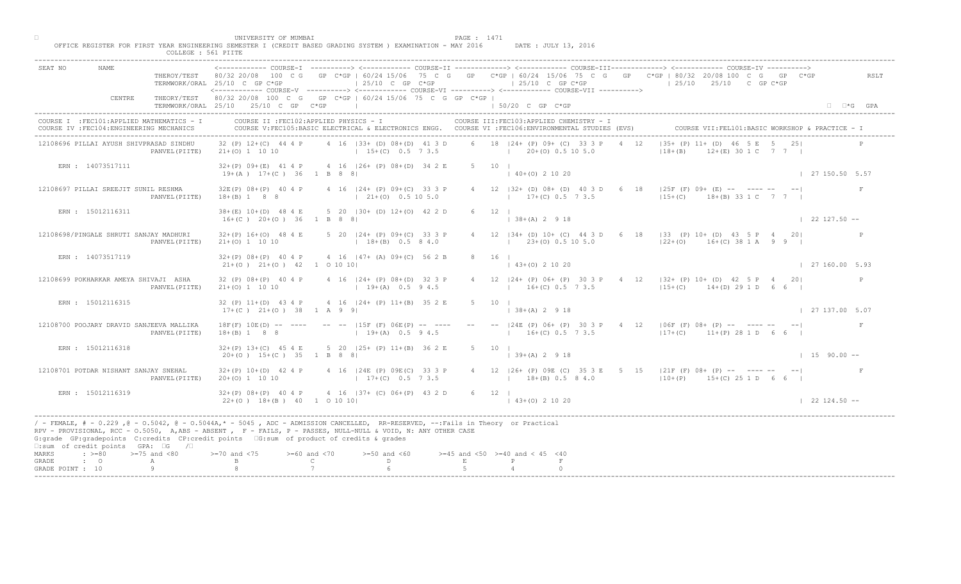|                                                 |                                                                                         | COLLEGE : 561 PIITE | UNIVERSITY OF MUMBAI                                   | OFFICE REGISTER FOR FIRST YEAR ENGINEERING SEMESTER I (CREDIT BASED GRADING SYSTEM ) EXAMINATION - MAY 2016                                                                                                                                                                                                                                   |   | PAGE : 1471                                   | DATE : JULY 13, 2016                      |                            |                                                                                                                                                                                                                                                                                                                                                             |                        |
|-------------------------------------------------|-----------------------------------------------------------------------------------------|---------------------|--------------------------------------------------------|-----------------------------------------------------------------------------------------------------------------------------------------------------------------------------------------------------------------------------------------------------------------------------------------------------------------------------------------------|---|-----------------------------------------------|-------------------------------------------|----------------------------|-------------------------------------------------------------------------------------------------------------------------------------------------------------------------------------------------------------------------------------------------------------------------------------------------------------------------------------------------------------|------------------------|
| SEAT NO                                         | <b>NAME</b>                                                                             |                     | TERMWORK/ORAL 25/10 C GP C*GP                          | ------------ COURSE-I ----------> <------------ COURSE-II -------------> <------------ COURSE-III------------> <------------> COURSE-IV ----------> <----------------> COURSE-IV ------------ COURSE-II<br>$125/10$ C GP $C*GP$<br><------------ COURSE-V ----------> <----------- COURSE-VI -----------> <----------- COURSE-VII ----------> |   | $125/10$ C GP C*GP                            |                                           | $125/10$ $25/10$ C GP C*GP | THEROY/TEST 80/32 20/08 100 C G GP C*GP   60/24 15/06 75 C G GP C*GP   60/24 15/06 75 C G GP C*GP   80/32 20/08 100 C G GP C*GP                                                                                                                                                                                                                             | RSLT                   |
|                                                 | CENTRE                                                                                  |                     | TERMWORK/ORAL 25/10 25/10 C GP C*GP                    | THEORY/TEST 80/32 20/08 100 C G GP C*GP   60/24 15/06 75 C G GP C*GP  <br>the control of the control of the control of                                                                                                                                                                                                                        |   | $150/20$ C GP $C*GP$                          |                                           |                            |                                                                                                                                                                                                                                                                                                                                                             | $\Box$ $\Box$ *G GPA   |
|                                                 | COURSE I : FEC101: APPLIED MATHEMATICS - I<br>COURSE IV : FEC104: ENGINEERING MECHANICS |                     |                                                        | COURSE II : FEC102: APPLIED PHYSICS - I<br>COURSE V:FEC105:BASIC ELECTRICAL & ELECTRONICS ENGG. COURSE VI :FEC106:ENVIRONMENTAL STUDIES (EVS)                                                                                                                                                                                                 |   |                                               | COURSE III: FEC103: APPLIED CHEMISTRY - I |                            | COURSE VII: FEL101: BASIC WORKSHOP & PRACTICE - 1                                                                                                                                                                                                                                                                                                           |                        |
|                                                 | 12108696 PILLAI AYUSH SHIVPRASAD SINDHU                                                 | PANVEL (PIITE)      | $21+ (0)$ 1 10 10                                      | 32 (P) 12+(C) 44 4 P 4 16   33+ (D) 08+ (D) 41 3 D<br>$15+(C)$ 0.5 7 3.5 $105.0$                                                                                                                                                                                                                                                              |   | 6 18   24 + (P) 09 + (C) 33 3 P               |                                           | 4 12<br>$ 18+(B) $         | $ 35 + (P) 11 +  P  46 5 E 5 25 $<br>$12+(E)$ 30 1 C 7 7 1                                                                                                                                                                                                                                                                                                  |                        |
|                                                 | ERN : 14073517111                                                                       |                     | $19+(A)$ $17+(C)$ 36 1 B 8 8                           | $32+(P)$ 09+(E) 41 4 P 4 16   26+ (P) 08+(D) 34 2 E                                                                                                                                                                                                                                                                                           |   | 5 10 1<br>$(40+(0) 2 10 20)$                  |                                           |                            |                                                                                                                                                                                                                                                                                                                                                             | 127150.505.57          |
|                                                 | 12108697 PILLAI SREEJIT SUNIL RESHMA                                                    | PANVEL (PIITE)      | $32E(P)$ $08+(P)$ 40 4 P<br>$18+(B) 1 8 8$             | 4 16   24 + (P) 09 + (C) 33 3 P<br>$(21+(0) 0.5 10 5.0)$                                                                                                                                                                                                                                                                                      |   | $17+(C)$ 0.5 7 3.5                            | 4 12   32 + (D) 08 + (D) 40 3 D 6         |                            | 18   $25F$ (F) 09+ (E) -- ---- -- --  <br>$15+(C)$ $18+(B)$ 33 1 C 7 7 1                                                                                                                                                                                                                                                                                    |                        |
|                                                 | ERN : 15012116311                                                                       |                     | $16+(C)$ $20+(O)$ 36 1 B 8 8                           | 38+(E) 10+(D) 48 4 E 5 20   30+ (D) 12+(O) 42 2 D                                                                                                                                                                                                                                                                                             |   | $6 \t 12 \t 1$<br>$  38 + (A) 2 9 18$         |                                           |                            |                                                                                                                                                                                                                                                                                                                                                             | $\vert$ 22 127.50 --   |
|                                                 | 12108698/PINGALE SHRUTI SANJAY MADHURI                                                  | PANVEL (PIITE)      | $21+(0)$ 1 10 10                                       | 32+(P) 16+(O) 48 4 E 5 20   24+ (P) 09+(C) 33 3 P<br>$18+(B)$ 0.5 8 4.0                                                                                                                                                                                                                                                                       |   | 4 12 $ 34 + (D) 10 + (C) 44 3$                | $(23\pm(0) 0.5 10 5.0)$                   |                            | $\overline{D}$ 6 18   33 (P) 10+ (D) 43 5 P 4 20 <br>$122+(0)$ 16+(C) 38 1 A 9 9 1                                                                                                                                                                                                                                                                          |                        |
|                                                 | ERN : 14073517119                                                                       |                     | $21+(0)$ $21+(0)$ $42$ 1 0 10 10                       | $32+(P)$ 08+(P) 40 4 P 4 16 47+ (A) 09+(C) 56 2 B                                                                                                                                                                                                                                                                                             |   | 8 16 1                                        | $43+(0)$ 2 10 20                          |                            |                                                                                                                                                                                                                                                                                                                                                             | $\vert$ 27 160.00 5.93 |
|                                                 | 12108699 POKHARKAR AMEYA SHIVAJI ASHA                                                   | PANVEL (PIITE)      | 32 (P) 08+ (P) 40 4 P<br>$21+ (0) 1 10 10$             | 4 16   24 + (P) 08 + (D) 32 3 P<br>$19+(A)$ 0.5 9 4.5                                                                                                                                                                                                                                                                                         |   |                                               |                                           |                            | $\begin{bmatrix} 24 + (P) & 06 + (P) & 30 & 3 & P & 4 & 12 \\ 4.6 - (P) & 0.6 + (P) & 30 & 3 & P & 4 & 12 \\ 0 & 0.6 - (P) & 0.6 + (P) & 0.6 & 0.7 & 0.8 & 0.08 \\ 0.6 & 0.6 - (P) & 0.6 + (P) & 0.6 + (P) & 0.8 & 0.08 & 0.08 \\ 0.6 & 0.6 - (P) & 0.6 + (P) & 0.6 + (P) & 0.08 & 0.08 & 0.08 & 0.08 \\ $<br>$16+(C)$ 0.5 7 3.5 $15+(C)$ 14 (D) 29 1 D 6 6 |                        |
|                                                 | ERN : 15012116315                                                                       |                     | $17+(C)$ $21+(O)$ 38 1 A 9 9                           | 32 (P) 11+(D) 43 4 P 4 16   24+ (P) 11+(B) 35 2                                                                                                                                                                                                                                                                                               |   | $(38+(A) 2 9 18)$                             |                                           |                            |                                                                                                                                                                                                                                                                                                                                                             | $\vert$ 27 137.00 5.07 |
|                                                 | 12108700 POOJARY DRAVID SANJEEVA MALLIKA                                                | PANVEL (PIITE)      | $18F(F)$ $10E(D)$ -- ----<br>$18+(B) 1 8 8$            | $-- -15F$ (F) $06F$ (P)<br>$19+(A)$                                                                                                                                                                                                                                                                                                           |   |                                               | $16+(C)$ 0.5 7 3.5                        |                            | -- -- $ 24E$ (P) 06+ (P) 30 3 P 4 12   06F (F) 08+ (P) -- ---- -- -- <br>$ 17+(C) $ 11+(P) 28 1 D 6 6                                                                                                                                                                                                                                                       | F                      |
|                                                 | ERN : 15012116318                                                                       |                     | $32+(P)$ 13+(C) 45 4 E<br>$20+(0)$ 15+(C) 35 1 B 8 8   | 5 20 $(25 + (P) 11 + (B) 36 2 E)$                                                                                                                                                                                                                                                                                                             |   | 5 10 1<br>$(39+(A) 2 9 18)$                   |                                           |                            |                                                                                                                                                                                                                                                                                                                                                             | $1, 15, 90, 00 --$     |
|                                                 | 12108701 POTDAR NISHANT SANJAY SNEHAL                                                   | PANVEL (PIITE)      | $32+(P)$ 10+(D) 42 4 P<br>$20+(0)$ 1 10 10             | $(24E^{\triangledown}(P) 09E(C) 333P$<br>$17+(C)$ 0.5 7 3.5                                                                                                                                                                                                                                                                                   |   | $18+(B)$ 0.5 8 4.0                            |                                           |                            | 4 12   26+ (P) 09E (C) 35 3 E 5 15   21F (F) 08+ (P) -- ---- -- -- <br>$110+(P)$ 15+(C) 25 1 D 6 6                                                                                                                                                                                                                                                          |                        |
|                                                 | ERN : 15012116319                                                                       |                     | $32+(P)$ 08+(P) 40 4 P<br>$22+(0)$ 18+(B) 40 1 0 10 10 | $4 \cdot 16$   37+ (C) 06+ (P) 43 2 D                                                                                                                                                                                                                                                                                                         |   | 6 12  <br>$(43+(0) 2 10 20)$                  |                                           |                            |                                                                                                                                                                                                                                                                                                                                                             | $122124.50 - -$        |
|                                                 | $\square$ :sum of credit points GPA: $\square$ G / $\square$                            |                     |                                                        | / - FEMALE, # - 0.229, @ - 0.5042, @ - 0.5044A,* - 5045, ADC - ADMISSION CANCELLED, RR-RESERVED, --:Fails in Theory or Practical<br>RPV - PROVISIONAL, RCC - 0.5050, A, ABS - ABSENT . P- FAILS, P - PASSES, NULL-NULL & VOID, N: ANY OTHER CASE<br>G:grade GP:gradepoints C:credits CP:credit points 6:sum of product of credits & grades    |   |                                               |                                           |                            |                                                                                                                                                                                                                                                                                                                                                             |                        |
| MARKS<br>$\cdot$ 0<br>GRADE<br>GRADE POINT : 10 | $\Rightarrow$ $>=80$ $>=75$ and $<80$                                                   | A<br>9              | $0$ and $\langle 75$                                   | $>= 60$ and $< 70$<br>$>=50$ and $<60$<br>$\mathbb C$<br>$\mathbb{D}$ and $\mathbb{D}$                                                                                                                                                                                                                                                        | E | $>=45$ and $<50$ $>=40$ and $< 45$ $<40$<br>P |                                           |                            |                                                                                                                                                                                                                                                                                                                                                             |                        |
|                                                 |                                                                                         |                     |                                                        |                                                                                                                                                                                                                                                                                                                                               |   |                                               |                                           |                            |                                                                                                                                                                                                                                                                                                                                                             |                        |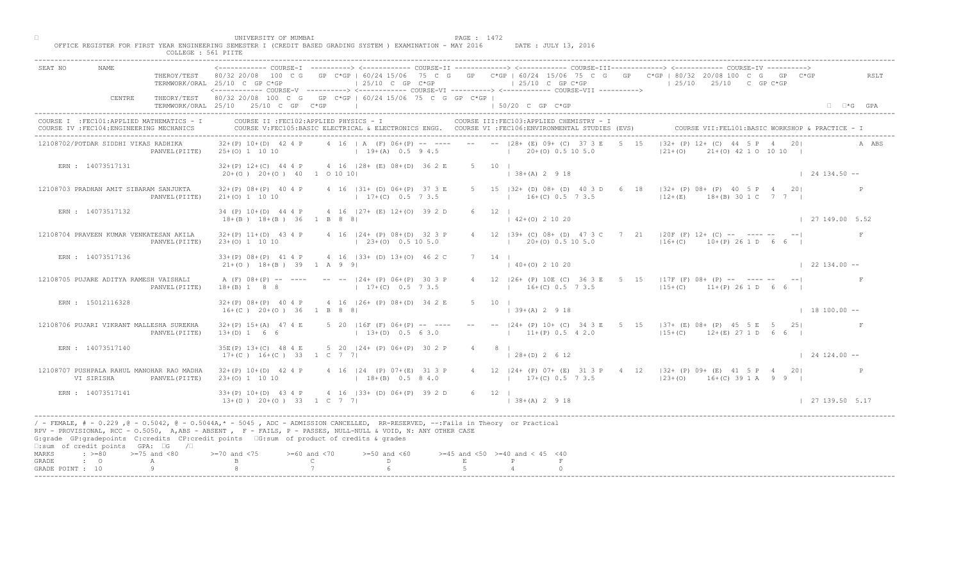|                                                                                                                                                                                                                                                                                                                                                                                                             | COLLEGE : 561 PIITE | UNIVERSITY OF MUMBAI                                           | OFFICE REGISTER FOR FIRST YEAR ENGINEERING SEMESTER I (CREDIT BASED GRADING SYSTEM ) EXAMINATION - MAY 2016                                  |   | PAGE : 1472                                              | DATE : JULY 13, 2016              |                                                                                                                                                               |                      |
|-------------------------------------------------------------------------------------------------------------------------------------------------------------------------------------------------------------------------------------------------------------------------------------------------------------------------------------------------------------------------------------------------------------|---------------------|----------------------------------------------------------------|----------------------------------------------------------------------------------------------------------------------------------------------|---|----------------------------------------------------------|-----------------------------------|---------------------------------------------------------------------------------------------------------------------------------------------------------------|----------------------|
| <b>NAME</b><br>SEAT NO                                                                                                                                                                                                                                                                                                                                                                                      |                     | TERMWORK/ORAL 25/10 C GP C*GP                                  | $125/10$ C GP $C*GP$<br><------------ COURSE-V ----------> <----------- COURSE-VI -----------> <----------- COURSE-VII ---------->           |   | $125/10$ C GP C*GP                                       |                                   | THEROY/TEST 80/32 20/08 100 C G GP C*GP   60/24 15/06 75 C G GP C*GP   60/24 15/06 75 C G GP C*GP   80/32 20/08 100 C G GP C*GP<br>$125/10$ $25/10$ C GP C*GP | RSLT                 |
| CENTRE                                                                                                                                                                                                                                                                                                                                                                                                      |                     | TERMWORK/ORAL 25/10 25/10 C GP C*GP                            | THEORY/TEST 80/32 20/08 100 C G GP C*GP   60/24 15/06 75 C G GP C*GP  <br>the control of the control of the control of                       |   | $150/20$ C GP $C*GP$                                     |                                   |                                                                                                                                                               | $\Box$ $\Box$ *G GPA |
| COURSE I : FEC101: APPLIED MATHEMATICS - I<br>COURSE IV : FEC104: ENGINEERING MECHANICS                                                                                                                                                                                                                                                                                                                     |                     | COURSE II : FEC102: APPLIED PHYSICS - I                        | COURSE V:FEC105:BASIC ELECTRICAL & ELECTRONICS ENGG. COURSE VI :FEC106:ENVIRONMENTAL STUDIES (EVS)                                           |   | COURSE III: FEC103: APPLIED CHEMISTRY - I                |                                   | COURSE VII: FEL101: BASIC WORKSHOP & PRACTICE - I                                                                                                             |                      |
| 12108702/POTDAR SIDDHI VIKAS RADHIKA                                                                                                                                                                                                                                                                                                                                                                        | PANVEL (PIITE)      |                                                                | $32+(P)$ 10+(D) 42 4 P 4 16   A (F) 06+(P) -- ---- -- -- 128+ (E) 09+ (C) 37 3 E 5 15<br>25+(0) 1 10 10 (19+(A) 0.5 9 4.5 (20+(0) 0.5 10 5.0 |   |                                                          |                                   | $ 32 + (P) 12 + (C) 44   5 P 4 20 $<br>$ 21+ (0)$<br>$21+(0)$ $42 10 10 10$                                                                                   | A ABS                |
| ERN : 14073517131                                                                                                                                                                                                                                                                                                                                                                                           |                     | $20+(0)$ $20+(0)$ $40$ 1 0 10 10                               | $32+(P)$ 12+(C) 44 4 P 4 16   28+ (E) 08+(D) 36 2 E                                                                                          |   | 5 10 1<br>$(38+(A) 2 9 18)$                              |                                   |                                                                                                                                                               | $124134.50 -$        |
| 12108703 PRADHAN AMIT SIBARAM SANJUKTA                                                                                                                                                                                                                                                                                                                                                                      | PANVEL (PIITE)      | $32+(P)$ $08+(P)$ 40 4 P<br>$21+(0)$ 1 10 10                   | 4 16   31 + (D) 06 + (P) 37 3 E<br>$17+(C)$ 0.5 7 3.5                                                                                        |   | $16+(C)$ 0.5 7 3.5                                       | 5 15   32 + (D) 08 + (D) 40 3 D 6 | 18   32+ (P) 08+ (P) 40 5 P 4 20<br>$12+(E)$ $18+(B)$ 30 1 C 7 7 1                                                                                            |                      |
| ERN : 14073517132                                                                                                                                                                                                                                                                                                                                                                                           |                     | $18+(B)$ $18+(B)$ 36 1 B 8 8                                   | 34 (P) 10+(D) 44 4 P 4 16   27+ (E) 12+(O) 39 2 D                                                                                            |   | $6 \t 12 \t 1$<br>$142+(0)21020$                         |                                   |                                                                                                                                                               | 127149.005.52        |
| 12108704 PRAVEEN KUMAR VENKATESAN AKILA                                                                                                                                                                                                                                                                                                                                                                     | PANVEL (PIITE)      | 23+(0) 1 10 10                                                 | $32+(P)$ 11+(D) 43 4 P 4 16   24+ (P) 08+(D) 32 3 P<br>$(23+(0) 0.5 10 5.0)$                                                                 |   | $4$ 12   39+ (C) 08+ (D) 47                              | $1\ 20\pm(0)\ 0.5\ 10\ 5.0$       | $7 \t21 \t 20F(F) 12+ (C) -- -- -- -- -- -- --$<br>$116+(C)$ 10+(P) 26 1 D 6 6                                                                                |                      |
| ERN : 14073517136                                                                                                                                                                                                                                                                                                                                                                                           |                     | $21+(0)$ $18+(B)$ 39 1 A 9 9                                   | $33+(P)$ 08+(P) 41 4 P 4 16   33+ (D) 13+(O) 46 2 C                                                                                          |   | $7 \t14$<br>$40+(0)$ 2 10 20                             |                                   |                                                                                                                                                               | $\vert$ 22 134.00 -- |
| 12108705 PUJARE ADITYA RAMESH VAISHALI                                                                                                                                                                                                                                                                                                                                                                      | PANVEL (PIITE)      | $18+(B)$ 1 8 8                                                 | A (F) 08+(P) -- ---- -- --  24+ (P) 06+(P) 30 3 P<br>$17+(C)$ 0.5 7 3.5                                                                      |   |                                                          |                                   | 26+ (P) 10E (C) 36 3 E 5 15   17F (F) 08+ (P) -- ---- -- -- --<br>$16+(C)$ 0.5 7 3.5 $11+(C)$ 11+(P) 26 1 D 6 6 I                                             |                      |
| ERN : 15012116328                                                                                                                                                                                                                                                                                                                                                                                           |                     | $16+(C)$ $20+(O)$ $36$ $1$ B 8 8                               | $32+(P)$ 08+(P) 40 4 P 4 16   26+ (P) 08+(D) 34 2                                                                                            |   | $139+(A)2918$                                            |                                   |                                                                                                                                                               | $\vert$ 18 100.00 -- |
| 12108706 PUJARI VIKRANT MALLESHA SUREKHA                                                                                                                                                                                                                                                                                                                                                                    | PANVEL (PIITE)      | $32+(P)$ 15+(A) 47 4 E<br>$13+(D) 1 6 6$                       | 5 20   16F (F) 06 + (P)<br>$13+(D)$                                                                                                          |   |                                                          | $11+(P)$ 0.5 4 2.0                | -- -- $ 24 + (P) 10 + (C) 34 3 E$ 5 15 $ 37 + (E) 08 + (P) 45 5 E$ 5 25<br>$115+(C)$ 12+(E) 27 1 D 6 6                                                        |                      |
| ERN : 14073517140                                                                                                                                                                                                                                                                                                                                                                                           |                     | 35E(P) 13+(C) 48 4 E<br>$17+(C)$ 16+(C) 33 1 C 7               | 5 20 $\left  24 + \left( P \right) 06 + \left( P \right) 30 2 P \right $                                                                     |   | $4 \qquad 8 \qquad$<br>$128+(D) 2612$                    |                                   |                                                                                                                                                               | $\vert$ 24 124,00 -- |
| 12108707 PUSHPALA RAHUL MANOHAR RAO MADHA<br>VI SIRISHA                                                                                                                                                                                                                                                                                                                                                     | PANVEL (PIITE)      | $32+(P)$ 10+(D) 42 4 P<br>$23+(0)$ 1 10 10                     | $P(P)$ 07+(E) 31 3 P<br>$18+(B)$ 0.5 8 4.0                                                                                                   |   |                                                          |                                   | 4 12   24 + (P) 07 + (E) 31 3 P + 4 12   32 + (P) 09 + (E) 41 5 P + 4 20  <br>$17 + (C) 0.5 7 3.5$ $123 + (O) 16 + (C) 39 1 A 9 9 1$                          |                      |
| ERN : 14073517141                                                                                                                                                                                                                                                                                                                                                                                           |                     | $33+(P)$ 10+(D) 43 4 P<br>$13+(D)$ $20+(O)$ $33$ $12C$ $7$ $7$ | $4 \cdot 16$   33+ (D) 06+ (P) 39 2 D                                                                                                        |   | 6 12  <br>$138+(A) 2 918$                                |                                   |                                                                                                                                                               | 127139.505.17        |
| / - FEMALE, # - 0.229, @ - 0.5042, @ - 0.5044A,* - 5045, ADC - ADMISSION CANCELLED, RR-RESERVED, --:Fails in Theory or Practical<br>RPV - PROVISIONAL, RCC - 0.5050, A, ABS - ABSENT A P - FAILS, P - PASSES, NULL-NULL & VOID, N: ANY OTHER CASE<br>G:grade GP:gradepoints C:credits CP:credit points 6:sum of product of credits & grades<br>$\square$ :sum of credit points GPA: $\square$ G / $\square$ |                     |                                                                |                                                                                                                                              |   |                                                          |                                   |                                                                                                                                                               |                      |
| MARKS<br>$\Rightarrow$ $>=$ 80 $\Rightarrow$ $=$ 75 and <80<br>$\cdot$ 0<br>GRADE<br>A<br>GRADE POINT : 10                                                                                                                                                                                                                                                                                                  | 9                   | $0$ and $\langle 75$<br>$>= 60$ and $< 70$                     | $>=50$ and $<60$<br>$\mathbb C$<br>$\mathbb{D}$ and $\mathbb{D}$                                                                             | E | $>=45$ and $<50$ $>=40$ and $< 45$ $<40$<br>$\mathbb{P}$ |                                   |                                                                                                                                                               |                      |
|                                                                                                                                                                                                                                                                                                                                                                                                             |                     |                                                                |                                                                                                                                              |   |                                                          |                                   |                                                                                                                                                               |                      |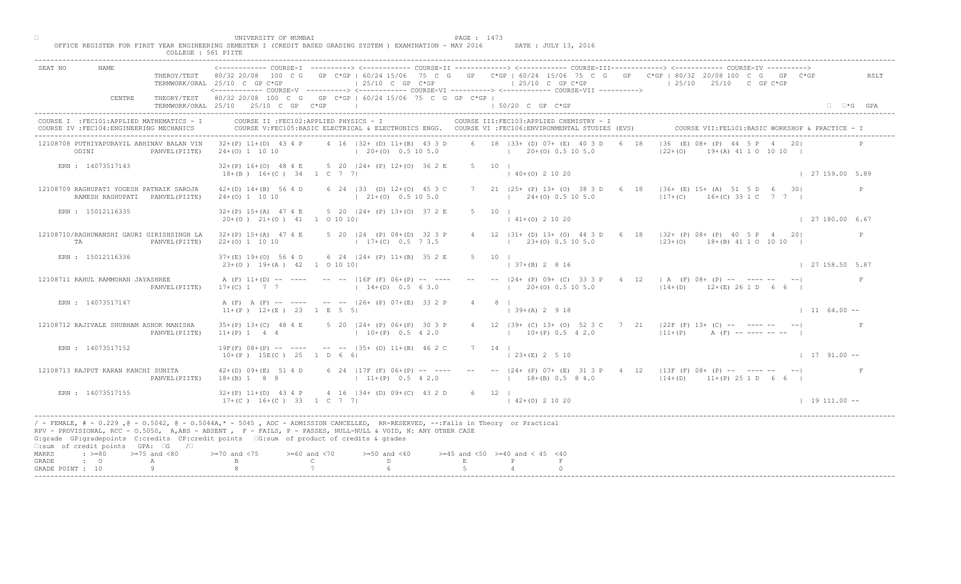|                                                |                                                                                                                     | COLLEGE : 561 PIITE | UNIVERSITY OF MUMBAI<br>OFFICE REGISTER FOR FIRST YEAR ENGINEERING SEMESTER I (CREDIT BASED GRADING SYSTEM ) EXAMINATION - MAY 2016 DATE: JULY 13, 2016                                                                                                                                                                                                                                                                              |                                                                                                                                                                                                                                                                                                                                 |                                                       | PAGE : 1473                   |                                          |                                           |                                                                                                                                                                                         |                                                   |            |
|------------------------------------------------|---------------------------------------------------------------------------------------------------------------------|---------------------|--------------------------------------------------------------------------------------------------------------------------------------------------------------------------------------------------------------------------------------------------------------------------------------------------------------------------------------------------------------------------------------------------------------------------------------|---------------------------------------------------------------------------------------------------------------------------------------------------------------------------------------------------------------------------------------------------------------------------------------------------------------------------------|-------------------------------------------------------|-------------------------------|------------------------------------------|-------------------------------------------|-----------------------------------------------------------------------------------------------------------------------------------------------------------------------------------------|---------------------------------------------------|------------|
| SEAT NO                                        |                                                                                                                     |                     | <------------ COURSE-I ----------> <------------ COURSE-II -------------> <------------ COURSE-III------------> <------------ COURSE-IV ----------><br>THEROY/TEST 80/32 20/08 100 C G GP C*GP   60/24 15/06 75 C G GP C*GP   60/24 15/06 75 C G GP C*GP   80/32 20/08 100 C G GP C*GP<br>TERMWORK/ORAL 25/10 C GP C*GP<br><----------- COURSE-V ----------> <----------- COURSE-VI -----------> <----------- COURSE-VII ----------> |                                                                                                                                                                                                                                                                                                                                 |                                                       |                               |                                          |                                           | 25/10 C GP C*GP                       25/10 C GP C*GP                       25/10     25/10     C GP C*GP                                                                               |                                                   | RSLT       |
|                                                | CENTRE                                                                                                              |                     | THEORY/TEST 80/32 20/08 100 C G GP C*GP   60/24 15/06 75 C G GP C*GP  <br>TERMWORK/ORAL 25/10 25/10 C GP C*GP                                                                                                                                                                                                                                                                                                                        |                                                                                                                                                                                                                                                                                                                                 | the control of the control of the control of          |                               | 1 50/20 C GP C*GP                        |                                           |                                                                                                                                                                                         |                                                   | □ □ *G GPA |
|                                                | COURSE I : FEC101: APPLIED MATHEMATICS - I<br>COURSE IV : FEC104: ENGINEERING MECHANICS                             |                     | COURSE II : FEC102: APPLIED PHYSICS - I<br>COURSE V:FEC105:BASIC ELECTRICAL & ELECTRONICS ENGG. COURSE VI :FEC106:ENVIRONMENTAL STUDIES (EVS)                                                                                                                                                                                                                                                                                        |                                                                                                                                                                                                                                                                                                                                 |                                                       |                               |                                          | COURSE III: FEC103: APPLIED CHEMISTRY - I |                                                                                                                                                                                         | COURSE VII: FEL101: BASIC WORKSHOP & PRACTICE - I |            |
| ODINI                                          | 12108708 PUTHIYAPURAYIL ABHINAV BALAN VIN                                                                           | PANVEL (PIITE)      | $32+(P)$ 11+(D) 43 4 P 4 16  32+ (D) 11+(B) 43 3 D<br>$24+(0)$ 1 10 10                                                                                                                                                                                                                                                                                                                                                               |                                                                                                                                                                                                                                                                                                                                 |                                                       |                               |                                          | 6 18   33 + (D) 07 + (E) 40 3 D 6 18      | $ 36 \t(E) 08 +  44 \t5 F   420 $<br>$122+(0)$                                                                                                                                          | $19 + (A)$ 41 1 0 10 10                           |            |
|                                                | ERN : 14073517143                                                                                                   |                     | 32+(P) 16+(O) 48 4 E 5 20   24+ (P) 12+(O) 36 2 E<br>$18+(B)$ $16+(C)$ $34$ $1$ C 7 7                                                                                                                                                                                                                                                                                                                                                |                                                                                                                                                                                                                                                                                                                                 |                                                       |                               | 5 10 1<br>$(40+(0) 2 10 20)$             |                                           |                                                                                                                                                                                         | 127159.005.89                                     |            |
|                                                | 12108709 RAGHUPATI YOGESH PATNAIK SAROJA<br>RAMESH RAGHUPATI PANVEL (PIITE)                                         |                     | $42+(D)$ $14+(B)$ 56 4 D<br>$24+(0)$ 1 10 10                                                                                                                                                                                                                                                                                                                                                                                         |                                                                                                                                                                                                                                                                                                                                 | 6 24   33 (D) 12+(0) 45 3 C<br>$(21 + (0) 0.5 10 5.0$ |                               | $(24+(0) 0.5 10 5.0$                     |                                           | 7 21   25+ (P) 13+ (O) 38 3 D 6 \ (8 \     36+ (E) 15+ (A) 51 5 D 6 30<br>$ 17+(C)$ 16+(C) 33 1 C 7 7                                                                                   |                                                   |            |
|                                                | ERN : 15012116335                                                                                                   |                     | $32+(P)$ 15+(A) 47 4 E 5 20   24+ (P) 13+(O) 37 2 E<br>$20+(0)$ $21+(0)$ $41$ 1 0 10 10                                                                                                                                                                                                                                                                                                                                              |                                                                                                                                                                                                                                                                                                                                 |                                                       |                               | 5 10 1<br>$141+(0)21020$                 |                                           |                                                                                                                                                                                         | $\vert$ 27 180.00 6.67                            |            |
| TA                                             | 12108710/RAGHUWANSHI GAURI GIRISHSINGH LA                                                                           | PANVEL (PIITE)      | 32+(P) 15+(A) 47 4 E 5 20   24 (P) 08+(D) 32 3 P<br>$22+(0)$ 1 10 10                                                                                                                                                                                                                                                                                                                                                                 |                                                                                                                                                                                                                                                                                                                                 | $17+(C)$ 0.5 7 3.5                                    |                               |                                          | $(23+(0) 0.5 10 5.0)$                     | 4 12   31 + (D) 13 + (O) 44 3 D 6 18   32 + (P) 08 + (P) 40 5 P 4 20<br>$123+(0)$ 18+(B) 41 1 0 10 10                                                                                   |                                                   |            |
|                                                | ERN : 15012116336                                                                                                   |                     | 37+(E) 19+(O) 56 4 D 6 24   24+ (P) 11+(B) 35 2 E<br>$23+(0)$ 19+(A) 42 1 0 10 10                                                                                                                                                                                                                                                                                                                                                    |                                                                                                                                                                                                                                                                                                                                 |                                                       |                               | $5 \t10 \t1$                             | $+(B)$ 2 8 16                             |                                                                                                                                                                                         | 27 158.50 5.87                                    |            |
|                                                | 12108711 RAHUL RAMMOHAN JAYASHREE                                                                                   | PANVEL (PIITE)      | A (F) 11+(D) -- ---- -- --  16F (F) 06+(P) -- ----<br>$17+(C)$ 1 7 7 1 $14+(D)$ 0.5 6 3.0                                                                                                                                                                                                                                                                                                                                            |                                                                                                                                                                                                                                                                                                                                 |                                                       |                               |                                          |                                           | $\lceil 24 + (P) 09 + (C) 33 3 P \rceil$ 4 12   A (F) 08 + (P) -- ---- -- -- <br>$20+(0)$ 0.5 10 5.0 $114+(D)$ 12+(E) 26 1 D 6 6                                                        |                                                   |            |
|                                                | ERN : 14073517147                                                                                                   |                     | A (F) A (F) -- ---- -- -- 126+ (P) 07+(E) 33 2 P<br>$11+(P)$ $12+(E)$ $23$ $1 E$ 5 5                                                                                                                                                                                                                                                                                                                                                 |                                                                                                                                                                                                                                                                                                                                 |                                                       |                               | $139+(A) 2918$                           |                                           |                                                                                                                                                                                         | $11 \t 64.00 --$                                  |            |
|                                                | 12108712 RAJIVALE SHUBHAM ASHOK MANISHA                                                                             | PANVEL (PIITE)      | $35+(P)$ 13+(C) 48 4 E<br>$11+(P)$ 1 4 4                                                                                                                                                                                                                                                                                                                                                                                             |                                                                                                                                                                                                                                                                                                                                 | 5 20 $ 24 + (P) 06 + (P) 30 - 3 P$<br>$10+(P)$ 0.5    |                               |                                          | $10+(P)$ 0.5 4 2.0                        | 4 12   39+ (C) 13+ (O) 52 3 C 7 21   22F (F) 13+ (C) -- ---- -- -- --<br>$ 11+(P)$ A $(F)$ --------- --                                                                                 |                                                   |            |
|                                                | ERN : 14073517152                                                                                                   |                     | $19F(F)$ $08+(P)$ -- --- -- -- $ 35+(D)$ $11+(B)$ 46 2 C<br>$10+(P)$ 15E(C) 25 1 D 6 6                                                                                                                                                                                                                                                                                                                                               |                                                                                                                                                                                                                                                                                                                                 |                                                       |                               | $7 \quad 14 \quad$<br>$(23+(E) 2 5 10)$  |                                           |                                                                                                                                                                                         | $1791.00 -$                                       |            |
|                                                | 12108713 RAJPUT KARAN KANCHI SUNITA                                                                                 | PANVEL (PIITE)      | $42+(D)$ $09+(E)$ 51 4 D<br>$18+(B)$ 1 8 8                                                                                                                                                                                                                                                                                                                                                                                           |                                                                                                                                                                                                                                                                                                                                 |                                                       |                               |                                          |                                           | 6 24 17F (F) 06+ (P) -- ---- -- --   24+ (P) 07+ (E) 31 3 P 4 12   13F (F) 08+ (P) -- ---- -- -- <br>11+(P) 0.5 4 2.0 $\vert$ 18+(B) 0.5 8 4.0 $\vert$ 14+(D) 11+(P) 25 1 D 6 6 $\vert$ |                                                   |            |
|                                                | ERN : 14073517155                                                                                                   |                     | $32+(P)$ 11+(D) 43 4 P<br>17+(C) 16+(C) 33 1 C 7 7                                                                                                                                                                                                                                                                                                                                                                                   |                                                                                                                                                                                                                                                                                                                                 | $4 \cdot 16$   34+ (D) 09+ (C) 43 2 D                 |                               | $6 \t12$  <br>$142+(0)21020$             |                                           |                                                                                                                                                                                         | $1 19 111.00 --$                                  |            |
| MARKS                                          | $\square$ : sum of credit points GPA: $\square$ G / $\square$<br>$\Rightarrow$ $>=$ 80 $\Rightarrow$ $=$ 75 and <80 |                     | / - FEMALE, # - 0.229 ,@ - 0.5042, @ - 0.5044A,* - 5045 , ADC - ADMISSION CANCELLED, RR-RESERVED, --:Fails in Theory or Practical<br>RPV - PROVISIONAL, RCC - 0.5050, A,ABS - ABSENT, P - FAILS, P - PASSES, NULL-NULL & VOID, N: ANY OTHER CASE<br>G:grade GP:gradepoints C:credits CP:credit points G:sum of product of credits & grades<br>$> = 70$ and $< 75$                                                                    | $>= 60$ and $< 70$                                                                                                                                                                                                                                                                                                              | $>=50$ and $<60$                                      |                               | $>=45$ and $<50$ $>=40$ and $< 45$ $<40$ |                                           |                                                                                                                                                                                         |                                                   |            |
| $\cdot$ $\cdot$ 0<br>GRADE<br>GRADE POINT : 10 |                                                                                                                     | $\mathbb{A}$        |                                                                                                                                                                                                                                                                                                                                                                                                                                      | $\mathbb C$ and $\mathbb C$ and $\mathbb C$ and $\mathbb C$ and $\mathbb C$ and $\mathbb C$ and $\mathbb C$ and $\mathbb C$ and $\mathbb C$ and $\mathbb C$ and $\mathbb C$ and $\mathbb C$ and $\mathbb C$ and $\mathbb C$ and $\mathbb C$ and $\mathbb C$ and $\mathbb C$ and $\mathbb C$ and $\mathbb C$ and $\mathbb C$ and |                                                       | $\mathbf{E}$ and $\mathbf{E}$ | $P$ and $P$                              | F                                         |                                                                                                                                                                                         |                                                   |            |
|                                                |                                                                                                                     |                     |                                                                                                                                                                                                                                                                                                                                                                                                                                      |                                                                                                                                                                                                                                                                                                                                 |                                                       |                               |                                          |                                           |                                                                                                                                                                                         |                                                   |            |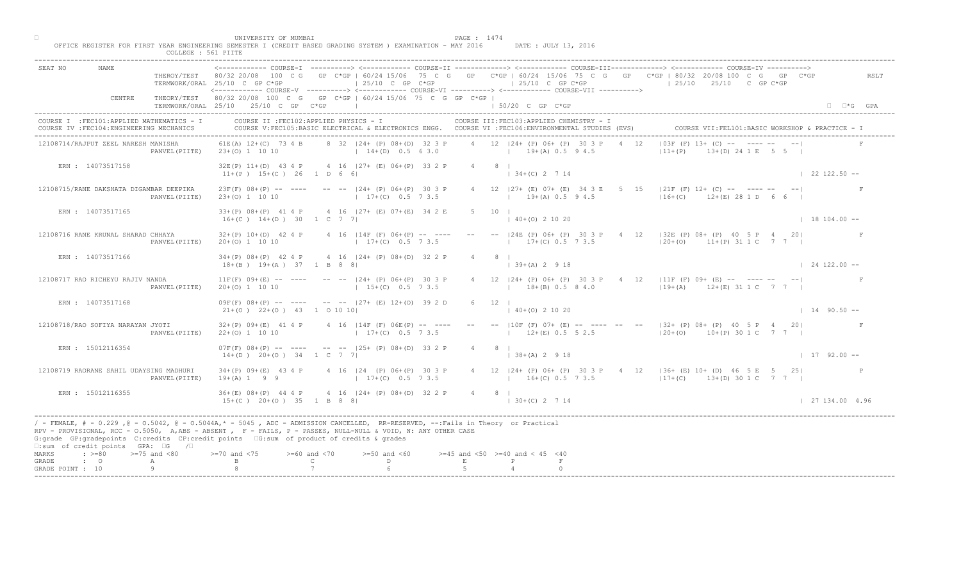|                                                                                         | UNIVERSITY OF MUMBAI<br>PAGE : 1474<br>OFFICE REGISTER FOR FIRST YEAR ENGINEERING SEMESTER I (CREDIT BASED GRADING SYSTEM ) EXAMINATION - MAY 2016<br>DATE : JULY 13, 2016<br>COLLEGE : 561 PIITE                                                                                                                                                            |                      |
|-----------------------------------------------------------------------------------------|--------------------------------------------------------------------------------------------------------------------------------------------------------------------------------------------------------------------------------------------------------------------------------------------------------------------------------------------------------------|----------------------|
| <b>NAME</b><br>SEAT NO                                                                  | THEROY/TEST 80/32 20/08 100 C G GP C*GP   60/24 15/06 75 C G GP C*GP   60/24 15/06 75 C G GP C*GP   80/32 20/08 100 C G GP C*GP<br>$125/10$ C GP C*GP<br>$125/10$ C GP $C*GP$<br>$125/10$ $25/10$ C GP C*GP<br>TERMWORK/ORAL 25/10 C GP C*GP<br><------------ COURSE-V ----------> <------------ COURSE-VI -----------> <------------ COURSE-VII ----------> | RSLT                 |
| CENTRE                                                                                  | THEORY/TEST 80/32 20/08 100 C G GP C*GP   60/24 15/06 75 C G GP C*GP  <br>TERMWORK/ORAL 25/10 25/10 C GP C*GP<br>the control of the control of the control of<br>1 50/20 C GP C*GP                                                                                                                                                                           | $\Box$ $\Box$ *G GPA |
| COURSE I : FEC101: APPLIED MATHEMATICS - I<br>COURSE IV : FEC104: ENGINEERING MECHANICS | COURSE II : FEC102: APPLIED PHYSICS - I<br>COURSE III: FEC103: APPLIED CHEMISTRY - I<br>COURSE VII: FEL101: BASIC WORKSHOP & PRACTICE - :<br>COURSE V:FEC105:BASIC ELECTRICAL & ELECTRONICS ENGG. COURSE VI :FEC106:ENVIRONMENTAL STUDIES (EVS)                                                                                                              |                      |
| 12108714/RAJPUT ZEEL NARESH MANISHA<br>PANVEL (PIITE)                                   | $ 03F(F) 13+NCA - 1$<br>4 12   24 + (P) 06 + (P) 30 3 P<br>8 32 124 + (P) 08 + (D) 32 3 P<br>4 12<br>61E(A) 12+(C) 73 4 B<br>13 (D) 24 1 E 5 5 1<br>$14+(D)$ 0.5 6 3.0 $19+(A)$ 0.5 9 4.5<br>$ 11+(P) $<br>23+(0) 1 10 10                                                                                                                                    |                      |
| ERN : 14073517158                                                                       | 32E(P) 11+(D) 43 4 P 4 16   27+ (E) 06+ (P) 33 2 P<br>$4 \qquad 8 \qquad$<br>$134+(C)2714$<br>$11+(P)$ 15+(C) 26 1 D 6 6                                                                                                                                                                                                                                     | $122122.50 -$        |
| 12108715/RANE DAKSHATA DIGAMBAR DEEPIKA<br>PANVEL (PIITE)                               | 4 12   27 + (E) 07 + (E) 34 3 E 5<br>15 $ 21F''(F) 12+ (C) --- --- ---$<br>$23F(F)$ $08+(P)$ -- --- -- -- $ 24+(P)$ $06+(P)$ 30 3 P<br>$16+(C)$ $12+(E)$ 28 1 D 6 6<br>$17+(C)$ 0.5 7 3.5<br>$19+(A) 0.5 9 4.5$<br>$23+(0)$ 1 10 10                                                                                                                          |                      |
| ERN : 14073517165                                                                       | 5 10 1<br>33+(P) 08+(P) 41 4 P 4 16   27+ (E) 07+(E) 34 2 E<br>$16+(C)$ $14+(D)$ 30 1 C 7 7<br>$(40+(0) 2 10 20)$                                                                                                                                                                                                                                            | $18104.00 -$         |
| 12108716 RANE KRUNAL SHARAD CHHAYA<br>PANVEL (PIITE)                                    | $32+(P)$ 10+(D) 42 4 P 4 16   14F (F) 06+(P) -- ---<br>$-- -24E$ (P) 06+ (P) 30 3<br>$P$ 4 12   32E (P) 08+ (P) 40 5 P 4 20 <br>$17\pm(C)$ 0.5 7 3.5<br>$17+(C)$ 0.5 7 3.5<br>20+(0) 1 10 10<br>$ 20+(0)$ 11+(P) 31 1 C 7 7                                                                                                                                  |                      |
| ERN : 14073517166                                                                       | $34+(P)$ 08+(P) 42 4 P 4 16  24+ (P) 08+(D) 32 2 P<br>$39+(A)$ 2 9 18<br>$18+(B)$ $19+(A)$ 37 1 B 8 8                                                                                                                                                                                                                                                        | $\vert$ 24 122.00 -- |
| 12108717 RAO RICHEYU RAJIV NANDA<br>PANVEL (PIITE)                                      | $11F(F)$ 09+(E) -- ---- -- --  24+ (P) 06+(P) 30 3 P<br> 24+ (P) 06+ (P) 30 3 P 4 12   11F (F) 09+ (E) -- ---- -- -- <br>$15+(C)$ 0.5 7 3.5<br>$18+(B)$ 0.5 8 4.0<br>$(19 + (A) 12 + (E) 31 1 C 7 7 1$<br>$20+(0)$ 1 10 10                                                                                                                                   |                      |
| ERN : 14073517168                                                                       | $09F(F)$ $08+(P)$ -- ---- -- -- $ 27+(E)$ $12+(O)$ 39 2<br>$21+ (0)$ $22+ (0)$ $43$ 1 0 10 10<br>$140+(0)21020$                                                                                                                                                                                                                                              | $1 14 90.50 --$      |
| 12108718/RAO SOFIYA NARAYAN JYOTI<br>PANVEL (PIITE)                                     | -- -- $ 10F (F) 07+ (E)$ -- ---- -- -- $ 32+ (P) 08+ (P) 40 5 P 4 20 $<br>$32+(P)$ 09+(E) 41 4 P<br>4 16   14F (F) 06EMP<br>$17+(C)$<br>$12+(E)$ 0.5 5 2.5 $120+(O)$ $10+(P)$ 30 1 C 7 7  <br>$22+(0)$ 1 10 10                                                                                                                                               |                      |
| ERN : 15012116354                                                                       | $07F(F)$ $08+(P)$ -- ----<br>$--- 125+$ (P) $08+(D)$ 33 2 P<br>$4 \qquad 8 \qquad$<br>$14+(D)$ 20+(0) 34 1 C<br>$(38 + (A) 2 9 18)$                                                                                                                                                                                                                          | $1 17 92.00 --$      |
| 12108719 RAORANE SAHIL UDAYSING MADHURI<br>PANVEL (PIITE)                               | $34+(P)$ 09+(E) 43 4 P<br>$P(P)$ 06+(P) 30 3 P<br>4 12   24 + (P) 06 + (P) 30 3 P + 4 12   36 + (E) 10 + (D) 46 5 E 5 25  <br>$17+(C)$ 0.5 7 3.5<br>$19+(A) 1 9 9$<br>$10+16+(C) 0.5 7 3.5$ $17+(C) 13+(D) 30 1 C 7 7$                                                                                                                                       |                      |
| ERN : 15012116355                                                                       | $36+(E)$ $08+(P)$ 44 4 P<br>$4 \cdot 16$ $ 24 + (P) 08 + (D) 32 2 P$<br>$4 \qquad 8 \qquad$<br>$15+(C)$ $20+(O)$ $35$ $1$ B 8 8<br>$130+(C) 2714$                                                                                                                                                                                                            | 127134.004.96        |
| $\square$ :sum of credit points GPA: $\square$ G / $\square$                            | / - FEMALE, # - 0.229, @ - 0.5042, @ - 0.5044A,* - 5045, ADC - ADMISSION CANCELLED, RR-RESERVED, --:Fails in Theory or Practical<br>RPV - PROVISIONAL, RCC - 0.5050, A, ABS - ABSENT A P - FAILS, P - PASSES, NULL-NULL & VOID, N: ANY OTHER CASE<br>G:grade GP:gradepoints C:credits CP:credit points [6:sum of product of credits & grades                 |                      |
| $\Rightarrow$ $>=$ 80 $\Rightarrow$ $=$ 75 and <80<br>MARKS<br>$\cdot$ 0<br>GRADE<br>A  | $0$ and $\langle 75$<br>$>= 60$ and $< 70$<br>$>=50$ and $<60$<br>$>=45$ and $<50$ $>=40$ and $< 45$ $<40$<br>$\mathbb C$<br>$\mathbb{D}$ and $\mathbb{D}$<br>E<br>$\mathbb{P}$                                                                                                                                                                              |                      |
| GRADE POINT : 10<br>9                                                                   |                                                                                                                                                                                                                                                                                                                                                              |                      |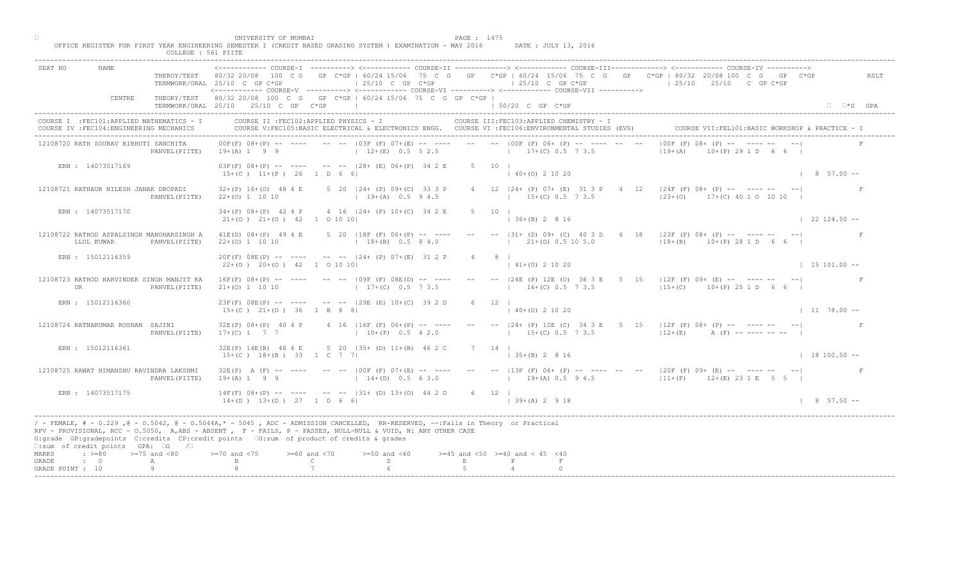| SEAT NO                                                                                                                                                 |                  | TERMWORK/ORAL 25/10 C GP C*GP                                | $125/10$ C GP C*GP<br><------------ COURSE-V ----------> <------------ COURSE-VI ----------> <------------ COURSE-VII ---------->                                                                                                                 |              | $125/10$ C GP C*GP                                                | COURSE-T ----------> <------------ COURSE-TT ------------> <------------ COURSE-TTT-------------> <------------ COURSE-TV ----------><br>THEROY/TEST 80/32 20/08 100 C G GP C*GP   60/24 15/06 75 C G GP C*GP   60/24 15/06 75 C G GP C*GP   80/32 20/08 100 C G GP C*GP<br>$125/10$ $25/10$ C GP C*GP | RSLT                        |
|---------------------------------------------------------------------------------------------------------------------------------------------------------|------------------|--------------------------------------------------------------|---------------------------------------------------------------------------------------------------------------------------------------------------------------------------------------------------------------------------------------------------|--------------|-------------------------------------------------------------------|--------------------------------------------------------------------------------------------------------------------------------------------------------------------------------------------------------------------------------------------------------------------------------------------------------|-----------------------------|
| CENTRE                                                                                                                                                  |                  | TERMWORK/ORAL 25/10 25/10 C GP C*GP                          | THEORY/TEST 80/32 20/08 100 C G GP C*GP   60/24 15/06 75 C G GP C*GP                                                                                                                                                                              |              | $\vert$ 50/20 C GP C*GP                                           |                                                                                                                                                                                                                                                                                                        | $\Box$ $\Box$ *G GPA        |
| COURSE I : FEC101: APPLIED MATHEMATICS - I<br>COURSE IV : FEC104: ENGINEERING MECHANICS                                                                 |                  |                                                              | COURSE II : FEC102: APPLIED PHYSICS - I<br>COURSE V:FEC105:BASIC ELECTRICAL & ELECTRONICS ENGG. COURSE VI :FEC106:ENVIRONMENTAL STUDIES (EVS)                                                                                                     |              | COURSE III: FEC103: APPLIED CHEMISTRY - I                         |                                                                                                                                                                                                                                                                                                        |                             |
| 12108720 RATH SOURAV BIBHUTI SANCHITA                                                                                                                   | PANVEL (PIITE)   | $19+(A) 1 9 9$                                               | $00F(F)$ $08+(P)$ -- --- -- -- $103F(F)$ $07+(E)$ -- --- -- -- 100F (F) $06+(P)$<br>$12+(E)$ 0.5 5 2.5                                                                                                                                            |              | $17+(C)$ 0.5 7 3.5                                                | $100F$ (F) $08+\sqrt{P}$<br>$119+(A)$<br>$(P)$ 29 1 D 6 6 I                                                                                                                                                                                                                                            |                             |
| ERN : 14073517169                                                                                                                                       |                  | $15+(C)$ $11+(P)$ 26 1 D 6 6                                 | $03F(F)$ $08+(P)$ -- --- -- -- $  128+(E)$ $06+(P)$ $34 2 E$                                                                                                                                                                                      | $5 \t10 \t1$ | $140+(0)21020$                                                    |                                                                                                                                                                                                                                                                                                        | $8\quad 57.00 - -$          |
| 12108721 RATHAUR NILESH JANAK DROPADI                                                                                                                   | PANVEL (PIITE)   | $32+(P)$ 16+(0) 48 4 E<br>$22+(0)$ 1 10 10                   | 5 20   24 + (P) 09 + (C) 33 3 P<br>$19+(A)$ 0.5 9 4.5                                                                                                                                                                                             |              | 4 12   24 + (P) 07 + (E) 31 3 P<br>$\sim$ 4<br>$15+(C)$ 0.5 7 3.5 | $ \mathbb{Z}4F^{\top}(F)$ 08+ (P) -- ---- --<br>$ 23+(0)$ 17+(C) 40 1 0 10 10                                                                                                                                                                                                                          |                             |
| ERN : 14073517170                                                                                                                                       |                  | $34+(P)$ $08+(P)$ 42 4 P<br>$21+(0)$ $21+(0)$ $42$ 1 0 10 10 | 4 16   24 + (P) 10 + (C) 34 2 E                                                                                                                                                                                                                   | $5 \t10 \t1$ | $  36 + (B) 2 8 16$                                               |                                                                                                                                                                                                                                                                                                        | $122124.00 -$               |
| 12108722 RATHOD ASPALSINGH MANOHARSINGH A<br>LLOL KUWAR                                                                                                 | PANVEL (PIITE)   | $41E(D)$ $08+(P)$ 49 4 E<br>$22+(0)$ 1 10 10                 | $5$ 20   18F (F) 06+ (P) -- ---<br>$18+(B)$ 0.5 8 4.0                                                                                                                                                                                             |              | $--$ (31+ (D) 09+ (C) 40 3<br>$21\pm(0)$ 0.5 10 5.0               | 6 18 $ 23F(F) 08 + (P)$ -- ------ --<br>$128 + (B)$<br>$10+(P)$ 28 1 D 6 6 I                                                                                                                                                                                                                           |                             |
| ERN : 15012116359                                                                                                                                       |                  | $22+(0)$ $20+(0)$ $42$ 1 0 10 10                             | $20F(F)$ $08E(P)$ -- ---- -- --  24+ (P) $07+(E)$ 31 2 P                                                                                                                                                                                          |              | $(0)$ 2 10 20                                                     |                                                                                                                                                                                                                                                                                                        | $1\quad 15\quad 101.00 - -$ |
| 12108723 RATHOD HARVINDER SINGH MANJIT KA<br>UR                                                                                                         | PANVEL (PIITE)   | $16F(F)$ $08+(P)$ -- ----<br>$21+(0)$ 1 10 10                | $--- 109F (F) 08E(D) --- ---$<br>$17+(C)$ 0.5 7 3.5                                                                                                                                                                                               |              | $16+(C)$ 0.5 7 3.5                                                | P4E (P) 12E (O) 36 3 E 5 15   12F (F) 09+ (E) -- ---- -- -- <br>$115+(C)$ 10+(P) 25 1 D 6 6                                                                                                                                                                                                            |                             |
| ERN : 15012116360                                                                                                                                       |                  | $15+(C)$ $21+(O)$ 36 1 B 8 8                                 | $23F(F)$ $08E(P)$ -- ---- -- -- $129E(E)$ $10+(C)$ 39 2                                                                                                                                                                                           |              | $140+(0)21020$                                                    |                                                                                                                                                                                                                                                                                                        | $1178.00 - -$               |
| 12108724 RATNAKUMAR ROSHAN SAJINI                                                                                                                       | PANVEL (PIITE)   | $32E(P)$ $08+(P)$ 40 4 P<br>$17+(C)$ 1 7 7                   | 4 16   16F (F) 06+ (P<br>$10+(P)$                                                                                                                                                                                                                 |              | $15+(C)$ 0.5 7 3.5                                                | $-$  24+ (P) 10E (C) 34 3 E 5 15  12F (F) 08+ (P) -- ---- -- -- <br>$12+(E)$<br>$A$ (F) -- ---- -- --                                                                                                                                                                                                  |                             |
| ERN : 15012116361                                                                                                                                       |                  | 32E(P) 14E(B) 46 4 E<br>$15+(C)$ $18+(B)$ 33 1 C 7           | 5 20 $(35 + 1)$ $1 + (B)$<br>46 2 C                                                                                                                                                                                                               | 7 14 1       | $  35 + (B) 2 8 16$                                               |                                                                                                                                                                                                                                                                                                        | $1 18 100.50 --$            |
| 12108725 RAWAT HIMANSHU RAVINDRA LAKSHMI                                                                                                                | PANVEL (PIITE)   | $32E(P)$ A $(F)$ -- ----<br>$19+(A) 1 9 9$                   | $100F$ (F) 07+(E) -- ----<br>$14+(D)$ 0.5 6 3.0                                                                                                                                                                                                   |              | $19+(A)$ 0.5 9 4.5                                                | -- --  13F (F) 06+ (P) -- ---- -- --  20F (F) 09+ (E) -- ---- -- -- <br>$111+(P)$ $12+(E)$ $231E$ 5 5 1                                                                                                                                                                                                |                             |
| ERN: 14073517175                                                                                                                                        |                  | $14F(F)$ 08+(P) -- -<br>$14+(D)$ $13+(D)$ $27$               | $-$ -- $ 31+ (D) 13+ (O) 44 2 D$<br>$1$ D 6 6 1                                                                                                                                                                                                   | 6 12 1       | $ 39+(A) 2 9 18$                                                  |                                                                                                                                                                                                                                                                                                        | $\vert$ 8 57.50 --          |
| G:grade GP:gradepoints C:credits CP:credit points G:sum of product of credits & grades<br>$\square$ : sum of credit points GPA: $\square$ G / $\square$ |                  |                                                              | / - FEMALE, # - 0.229 ,@ - 0.5042, @ - 0.5044A,* - 5045 , ADC - ADMISSION CANCELLED, RR-RESERVED, --:Fails in Theory or Practical<br>RPV - PROVISIONAL, RCC - 0.5050, A, ABS - ABSENT , P- FAILS, P - PASSES, NULL-NULL & VOID, N: ANY OTHER CASE |              |                                                                   |                                                                                                                                                                                                                                                                                                        |                             |
| $: >=80$<br>MARKS<br>GRADE<br>$\cdot$ 0                                                                                                                 | $>=75$ and $<80$ |                                                              | $>= 60$ and $< 70$<br>$>=50$ and $<60$<br>D.<br>$\mathbb{C}$                                                                                                                                                                                      | E            | $>=45$ and $<50$ $>=40$ and $< 45$ $<40$<br>P                     |                                                                                                                                                                                                                                                                                                        |                             |
| GRADE POINT : 10                                                                                                                                        | А<br>Q           |                                                              |                                                                                                                                                                                                                                                   |              |                                                                   |                                                                                                                                                                                                                                                                                                        |                             |

□ PAGE : 1475<br>OFFICE REGISTER FOR FIRST YEAR ENGINEERING SEMESTER I (CREDIT BASED GRADING SYSTEM ) EXAMINATION - MAY 2016 DATE : JULY 13, 2016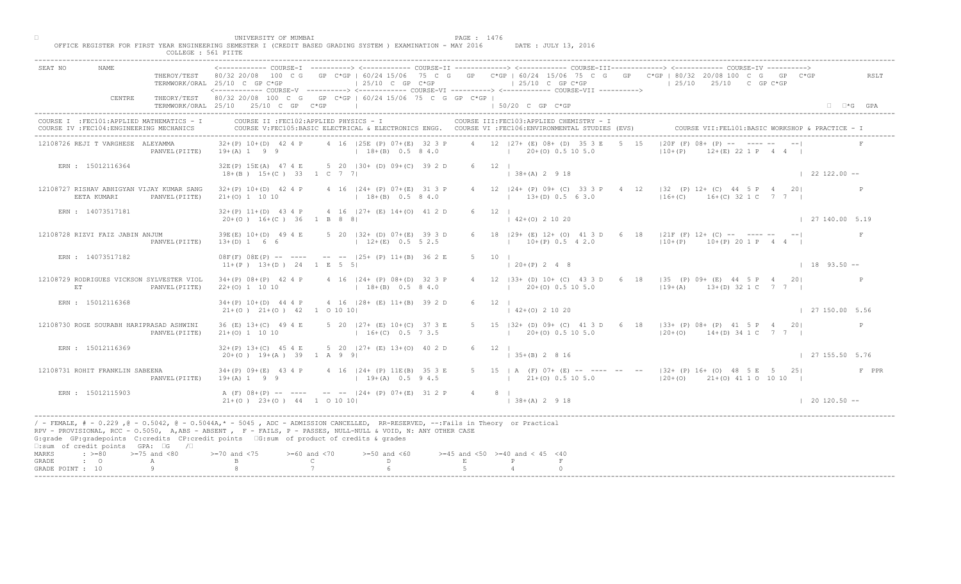| <------------ COURSE-T ----------> <------------ COURSE-II -------------> <------------ COURSE-III------------> <------------ COURSE-IV ----------><br>SEAT NO<br><b>NAME</b><br>THEROY/TEST 80/32 20/08 100 C G GP C*GP   60/24 15/06 75 C G GP C*GP   60/24 15/06 75 C G GP C*GP   80/32 20/08 100 C G GP C*GP<br>$\vert$ 25/10 C GP C*GP<br>$\vert$ 25/10 C GP C*GP<br>$125/10$ $25/10$ C GP C*GP<br>TERMWORK/ORAL 25/10 C GP C*GP<br><------------ COURSE-V ----------> <------------ COURSE-VI -----------> <------------ COURSE-VII ----------> | RSLT                   |
|-------------------------------------------------------------------------------------------------------------------------------------------------------------------------------------------------------------------------------------------------------------------------------------------------------------------------------------------------------------------------------------------------------------------------------------------------------------------------------------------------------------------------------------------------------|------------------------|
| CENTRE<br>THEORY/TEST 80/32 20/08 100 C G GP C*GP   60/24 15/06 75 C G GP C*GP  <br>$\vert$ 50/20 C GP C*GP<br>TERMWORK/ORAL 25/10 25/10 C GP C*GP                                                                                                                                                                                                                                                                                                                                                                                                    | $\Box$ $\Box$ *G GPA   |
| COURSE I : FEC101: APPLIED MATHEMATICS - I<br>COURSE II : FEC102: APPLIED PHYSICS - I<br>COURSE III: FEC103: APPLIED CHEMISTRY - I<br>COURSE V:FEC105:BASIC ELECTRICAL & ELECTRONICS ENGG. COURSE VI :FEC106:ENVIRONMENTAL STUDIES (EVS)<br>COURSE VII: FEL101: BASIC WORKSHOP & PRACTICE -<br>COURSE IV : FEC104: ENGINEERING MECHANICS                                                                                                                                                                                                              |                        |
| $ 20F (F) 08+MP = 1$<br>4 12 127 + (E) 08 + (D) 35 3 E<br>12108726 REJI T VARGHESE ALEYAMMA<br>$32+(P)$ 10+(D) 42 4 P<br>4 16   25E (P) 07+ (E) 32 3 P<br>1.5<br>$19+(A) 1 9 9$<br>$18+(B)$ 0.5 8 4.0<br>$20+(0)$ 0.5 10 5.0<br>$ 10+(P) $<br>$12+(E)$ 22 1 P 4 4 l<br>PANVEL (PIITE)<br>the control of the control of                                                                                                                                                                                                                                |                        |
| ERN : 15012116364<br>32E(P) 15E(A) 47 4 E 5 20   30 + (D) 09 + (C) 39 2 D<br>$6 \t12 \t1$<br>$18+(B)$ $15+(C)$ 33 1 C 7 7<br>$  38 + (A) 2 9 18$                                                                                                                                                                                                                                                                                                                                                                                                      | $122122.00 -$          |
| 12 $ 32 \t (P) 12+ (C) 44 5 P 4 20 $<br>12108727 RISHAV ABHIGYAN VIJAY KUMAR SANG<br>$32+(P)$ 10+(D) 42 4 P<br>4 16 124 + (P) 07 + (E) 31 3 P<br>4 12   24 + (P) 09 + (C) 33 3 P<br>$\overline{4}$<br>$16+(C)$ $16+(C)$ 32 1 C 7 7 1<br>EETA KUMARI<br>$18+(B)$ 0.5 8 4.0<br>$1 \t13+(D) 0.5 \t6 3.0$<br>PANVEL (PIITE)<br>$21+(0)$ 1 10 10                                                                                                                                                                                                           |                        |
| ERN : 14073517181<br>4 16 $ 27 + (E) 14 + (O) 41 2 D$<br>$32+(P)$ 11+(D) 43 4 P<br>$6 \t12 \t1$<br>$20+(0)$ 16+(C) 36 1 B 8 8<br>$\vert$ 42+(0) 2 10 20                                                                                                                                                                                                                                                                                                                                                                                               | $\vert$ 27 140.00 5.19 |
| 18 $ 29 + (E) 12 + (0) 41 3 D$<br>12108728 RIZVI FAIZ JABIN ANJUM<br>39E(E) 10+(D) 49 4 E<br>5 20   32 + (D) 07 + (E) 39 3 D<br>6 18 $ 21F(F) 12+ (C) --- --- --- ---$<br>$10+(P)$ 0.5 4 2.0<br>$12+(E)$ 0.5 5 2.5<br>PANVEL (PIITE)<br>$13+(D) 1 6 6$<br>$10+(P)$<br>$10+(P) 20 1 P 4 4$<br>$\mathbb{R}^n$                                                                                                                                                                                                                                           | F                      |
| ERN : 14073517182<br>$08F(F)$ $08E(P)$ -- ---- -- -- $125+(P)$ $11+(B)$ 36 2 E<br>5<br>10<br>$11+(P)$ $13+(D)$ $24$ $1$ E 5 5                                                                                                                                                                                                                                                                                                                                                                                                                         | $1 18 93.50 -$         |
| 12108729 RODRIGUES VICKSON SYLVESTER VIOL<br>B3+ (D) 10+ (C) 43 3 D 6 18   35 (P) 09+ (E) 44 5 P 4 20 <br>$34+(P)$ 08+(P) 42 4 P<br>4 16   24 + (P) 08 + (D) 32 3 P<br>$20+(0)$ 0.5 10 5.0<br>$18+(B)$ 0.5 8 4.0<br>$119+(A)$ $13+(D)$ 32 1 C 7 7 1<br>ET.<br>PANVEL (PIITE)<br>$22+(0)$ 1 10 10                                                                                                                                                                                                                                                      |                        |
| ERN : 15012116368<br>4 16 (28+ (E) 11+(B) 39 2<br>$34+(P)$ 10+(D) 44 4 P<br>$21+(0)$ $21+(0)$ $42$ 1 0 10 10<br>$142+(0)21020$                                                                                                                                                                                                                                                                                                                                                                                                                        | 127150.005.56          |
| 5 20 $ 27 + (E) 10 + (C $<br>5 15   32 + (D) 09 + (C) 41 3 D 6 18   33 + (P) 08 + (P) 41 5 P 4 20<br>12108730 ROGE SOURABH HARIPRASAD ASHWINI<br>36 (E) 13+ (C) 49 4 E<br>$21+(0)$ 1 10 10<br>$1$ 20+(0) 0.5 10 5.0<br>$120+(0)$ $14+(D)$ 34 1 C 7 7 1<br>PANVEL (PIITE)<br>$1 - 16 + (C)$                                                                                                                                                                                                                                                            | P                      |
| $(B)$ 13+(0) 40 2 D<br>$32+(P)$ 13+(C) 45 4 E<br>$6 \t12 \t1$<br>ERN : 15012116369<br>5 20<br>$20+(0)$ 19+(A) 39 1 A 9<br>$\vert$ 35+(B) 2 8 16                                                                                                                                                                                                                                                                                                                                                                                                       | 127155.505.76          |
| $124+$ (P) 11E(B) 35 3 E<br>$34+(P)$ 09+(E) 43 4 P<br>5 15   A (F) 07+ (E) -- ---- -- --   32+ (P) 16+ (O) 48 5 E 5 25  <br>12108731 ROHIT FRANKLIN SABEENA<br>$19+(A) 1 9 9$<br>$19+(A)$ 0.5 9 4.5<br>$\vert$ 21+(0) 0.5 10 5.0 $\vert$ 20+(0) 21+(0) 41 1 0 10 10 $\vert$<br>PANVEL (PIITE)                                                                                                                                                                                                                                                         | F PPR                  |
| $-$ -- $ 24 + (P) 07 + (E) 31 2 P$<br>ERN : 15012115903<br>$A$ (F) $08+(P)$ -- -<br>4 8 1<br>$21+(0)$ $23+(0)$ $44$<br>$1$ 0 10 10  <br>$\vert$ 38+(A) 2 9 18                                                                                                                                                                                                                                                                                                                                                                                         | $120120.50 -$          |
| / - FEMALE, # - 0.229, @ - 0.5042, @ - 0.5044A,* - 5045, ADC - ADMISSION CANCELLED, RR-RESERVED, --:Fails in Theory or Practical<br>RPV - PROVISIONAL, RCC - 0.5050, A, ABS - ABSENT , P- FAILS, P - PASSES, NULL-NULL & VOID, N: ANY OTHER CASE<br>G:grade GP:gradepoints C:credits CP:credit points 6:sum of product of credits & grades<br>$\square$ : sum of credit points GPA: $\square$ G / $\square$                                                                                                                                           |                        |
| $: z = 80$<br>$>=75$ and $<80$<br>$>= 60$ and $< 70$<br>$>=50$ and $<60$<br>$>=45$ and $<50$ $>=40$ and $< 45$ $<40$<br>0 and $\langle 75 \rangle$<br>MARKS<br>$\mathbb{C}$<br>D<br>$F_{\rm c}$<br>$\cdot$ $\cdot$ 0<br>GRADE<br>Α                                                                                                                                                                                                                                                                                                                    |                        |
| GRADE POINT : 10                                                                                                                                                                                                                                                                                                                                                                                                                                                                                                                                      |                        |

□ PAGE : 1476<br>OFFICE REGISTER FOR FIRST YEAR ENGINEERING SEMESTER I (CREDIT BASED GRADING SYSTEM ) EXAMINATION - MAY 2016 DATE : JULY 13, 2016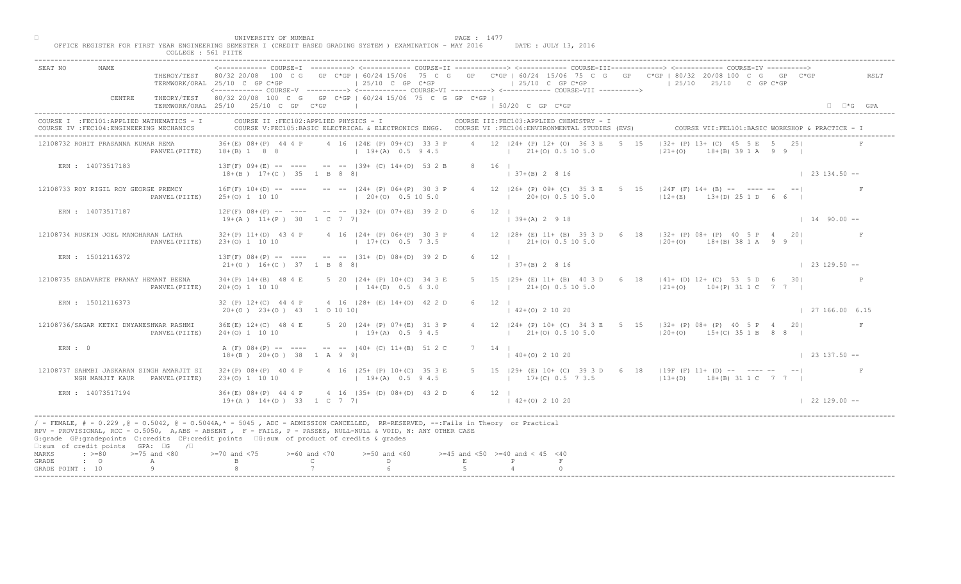| ------------ COURSE-I ----------> <------------ COURSE-II -------------> <------------ COURSE-III------------> <------------> COURSE-IV ----------> <----------------> COURSE-IV ------------ COURSE-II<br><b>NAME</b><br>SEAT NO<br>THEROY/TEST 80/32 20/08 100 C G GP C*GP   60/24 15/06 75 C G GP C*GP   60/24 15/06 75 C G GP C*GP   80/32 20/08 100 C G GP C*GP<br>$\vert$ 25/10 C GP C*GP<br>$125/10$ C GP C*GP<br>$125/10$ $25/10$ C GP C*GP<br>TERMWORK/ORAL 25/10 C GP C*GP<br><----------- COURSE-V ----------> <----------- COURSE-VI -----------> <------------ COURSE-VII ----------><br>THEORY/TEST 80/32 20/08 100 C G GP C*GP   60/24 15/06 75 C G GP C*GP  <br>CENTRE<br>TERMWORK/ORAL 25/10 25/10 C GP C*GP<br>the control of the control of the control of<br>1 50/20 C GP C*GP<br>COURSE II : FEC102: APPLIED PHYSICS - I<br>COURSE III: FEC103: APPLIED CHEMISTRY - I<br>COURSE I : FEC101: APPLIED MATHEMATICS - I<br>COURSE VII: FEL101: BASIC WORKSHOP & PRACTICE - 1<br>COURSE V:FEC105:BASIC ELECTRICAL & ELECTRONICS ENGG. COURSE VI :FEC106:ENVIRONMENTAL STUDIES (EVS)<br>COURSE IV : FEC104: ENGINEERING MECHANICS<br>$ 32 + (P) 13 + (C) 45 $<br>4 12   24 + (P) 12 + (O) 36 3 E<br>36+(E) 08+(P) 44 4 P 4 16   24E (P) 09+(C) 33 3 P<br>5 15<br>12108732 ROHIT PRASANNA KUMAR REMA<br>$18+(B)$ 1 8 8 $(19+(A)$ 0.5 9 4.5<br>$ 21+(0) $<br>$18 + (B)$ 39 1 A 9 9 1<br>PANVEL (PIITE)<br>$121+(0)0.5105.0$<br>$13F(F)$ 09+(E) -- ---- -- --  39+ (C) 14+(0) 53 2 B<br>8 16 1<br>ERN : 14073517183<br>$(37 + (B) 2 8 16)$<br>$18+(B)$ $17+(C)$ 35 1 B 8 8<br>$\vert$ 23 134.50 $\sim$<br>4 12   26 + (P) 09 + (C) 35 3 E 5<br>$15$  24F (F) 14+ (B) -- ---- --<br>12108733 ROY RIGIL ROY GEORGE PREMCY<br>$16F(F)$ $10+(D)$ -- --- -- -- $ 24+(P)$ $06+(P)$ 30 3 P<br>$12+(E)$ $13+(D)$ 25 1 D 6 6<br>$(20+ (0) 0.5 10 5.0$<br>$(20 + (0) 0.5 10 5.0)$<br>PANVEL (PIITE)<br>25+(0) 1 10 10<br>ERN : 14073517187<br>$12F(F)$ 08+(P) -- ---- -- -- $-$ -32+ (D) 07+(E) 39 2 D<br>$6 \t12 \t1$<br>$(39+(A) 2 9 18)$<br>$19+(A)$ $11+(P)$ 30 1 C 7 7<br>$1 14 90.00 -$<br>$32+(P)$ 11+(D) 43 4 P 4 16   24+ (P) 06+ (P) 30 3 P<br>4 12 $ 28 + (E) 11 + (B) 39 3$<br>$\overline{D}$ 6 18   32 + (P) 08 + (P) 40 5 P 4 20  <br>12108734 RUSKIN JOEL MANOHARAN LATHA<br>$1$ $21\pm(0)$ 0.5 10 5.0<br>$17+(C)$ 0.5 7 3.5<br>$120+(0)$ 18+(B) 38 1 A 9 9 1<br>23+(0) 1 10 10<br>PANVEL (PIITE)<br>ERN : 15012116372<br>$13F(F)$ $08+(P)$ -- ---- -- -- $-131+(D)$ $08+(D)$ 39 2 D<br>6 12<br>$21+(0)$ 16+(C) 37 1 B 8 8<br>$37+(B)$ 2 8 16<br>$\vert$ 23 129.50 $\sim$<br>$\sqrt{29}$ (E) 11+ (B) 40 3 D 6 18   41+ (D) 12+ (C) 53 5 D 6 30<br>12108735 SADAVARTE PRANAY HEMANT BEENA<br>$34+(P)$ 14+(B) 48 4 E<br>5 20   24 + (P) 10 + (C) 34 3 E<br>$14+(D)$ 0.5 6 3.0<br>$21+ (0)$ 0.5 10 5.0<br>$ 21+(0)$ $10+(P)$ 31 1 C 7 7  <br>$20+(0)$ 1 10 10<br>PANVEL (PIITE)<br>$4$ 16 $ 28 + (E)$ 14+(0) 42 2<br>ERN : 15012116373<br>32 (P) 12+(C) 44 4 P<br>$20+(0)$ $23+(0)$ $43$ 1 0 10 10<br>$142+(0)21020$<br>$\vert$ 27 166.00 6.15 | UNIVERSITY OF MUMBAI<br>PAGE : 1477<br>OFFICE REGISTER FOR FIRST YEAR ENGINEERING SEMESTER I (CREDIT BASED GRADING SYSTEM ) EXAMINATION - MAY 2016<br>DATE : JULY 13, 2016<br>COLLEGE : 561 PIITE |
|--------------------------------------------------------------------------------------------------------------------------------------------------------------------------------------------------------------------------------------------------------------------------------------------------------------------------------------------------------------------------------------------------------------------------------------------------------------------------------------------------------------------------------------------------------------------------------------------------------------------------------------------------------------------------------------------------------------------------------------------------------------------------------------------------------------------------------------------------------------------------------------------------------------------------------------------------------------------------------------------------------------------------------------------------------------------------------------------------------------------------------------------------------------------------------------------------------------------------------------------------------------------------------------------------------------------------------------------------------------------------------------------------------------------------------------------------------------------------------------------------------------------------------------------------------------------------------------------------------------------------------------------------------------------------------------------------------------------------------------------------------------------------------------------------------------------------------------------------------------------------------------------------------------------------------------------------------------------------------------------------------------------------------------------------------------------------------------------------------------------------------------------------------------------------------------------------------------------------------------------------------------------------------------------------------------------------------------------------------------------------------------------------------------------------------------------------------------------------------------------------------------------------------------------------------------------------------------------------------------------------------------------------------------------------------------------------------------------------------------------------------------------------------------------------------------------------------------------------------------------------------------------------------------------------------------------------------------------------------------------------------------------------------------------------------------|---------------------------------------------------------------------------------------------------------------------------------------------------------------------------------------------------|
|                                                                                                                                                                                                                                                                                                                                                                                                                                                                                                                                                                                                                                                                                                                                                                                                                                                                                                                                                                                                                                                                                                                                                                                                                                                                                                                                                                                                                                                                                                                                                                                                                                                                                                                                                                                                                                                                                                                                                                                                                                                                                                                                                                                                                                                                                                                                                                                                                                                                                                                                                                                                                                                                                                                                                                                                                                                                                                                                                                                                                                                              | RSLT                                                                                                                                                                                              |
|                                                                                                                                                                                                                                                                                                                                                                                                                                                                                                                                                                                                                                                                                                                                                                                                                                                                                                                                                                                                                                                                                                                                                                                                                                                                                                                                                                                                                                                                                                                                                                                                                                                                                                                                                                                                                                                                                                                                                                                                                                                                                                                                                                                                                                                                                                                                                                                                                                                                                                                                                                                                                                                                                                                                                                                                                                                                                                                                                                                                                                                              | $\Box$ $\Box$ *G GPA                                                                                                                                                                              |
|                                                                                                                                                                                                                                                                                                                                                                                                                                                                                                                                                                                                                                                                                                                                                                                                                                                                                                                                                                                                                                                                                                                                                                                                                                                                                                                                                                                                                                                                                                                                                                                                                                                                                                                                                                                                                                                                                                                                                                                                                                                                                                                                                                                                                                                                                                                                                                                                                                                                                                                                                                                                                                                                                                                                                                                                                                                                                                                                                                                                                                                              |                                                                                                                                                                                                   |
|                                                                                                                                                                                                                                                                                                                                                                                                                                                                                                                                                                                                                                                                                                                                                                                                                                                                                                                                                                                                                                                                                                                                                                                                                                                                                                                                                                                                                                                                                                                                                                                                                                                                                                                                                                                                                                                                                                                                                                                                                                                                                                                                                                                                                                                                                                                                                                                                                                                                                                                                                                                                                                                                                                                                                                                                                                                                                                                                                                                                                                                              |                                                                                                                                                                                                   |
|                                                                                                                                                                                                                                                                                                                                                                                                                                                                                                                                                                                                                                                                                                                                                                                                                                                                                                                                                                                                                                                                                                                                                                                                                                                                                                                                                                                                                                                                                                                                                                                                                                                                                                                                                                                                                                                                                                                                                                                                                                                                                                                                                                                                                                                                                                                                                                                                                                                                                                                                                                                                                                                                                                                                                                                                                                                                                                                                                                                                                                                              |                                                                                                                                                                                                   |
|                                                                                                                                                                                                                                                                                                                                                                                                                                                                                                                                                                                                                                                                                                                                                                                                                                                                                                                                                                                                                                                                                                                                                                                                                                                                                                                                                                                                                                                                                                                                                                                                                                                                                                                                                                                                                                                                                                                                                                                                                                                                                                                                                                                                                                                                                                                                                                                                                                                                                                                                                                                                                                                                                                                                                                                                                                                                                                                                                                                                                                                              |                                                                                                                                                                                                   |
|                                                                                                                                                                                                                                                                                                                                                                                                                                                                                                                                                                                                                                                                                                                                                                                                                                                                                                                                                                                                                                                                                                                                                                                                                                                                                                                                                                                                                                                                                                                                                                                                                                                                                                                                                                                                                                                                                                                                                                                                                                                                                                                                                                                                                                                                                                                                                                                                                                                                                                                                                                                                                                                                                                                                                                                                                                                                                                                                                                                                                                                              |                                                                                                                                                                                                   |
|                                                                                                                                                                                                                                                                                                                                                                                                                                                                                                                                                                                                                                                                                                                                                                                                                                                                                                                                                                                                                                                                                                                                                                                                                                                                                                                                                                                                                                                                                                                                                                                                                                                                                                                                                                                                                                                                                                                                                                                                                                                                                                                                                                                                                                                                                                                                                                                                                                                                                                                                                                                                                                                                                                                                                                                                                                                                                                                                                                                                                                                              |                                                                                                                                                                                                   |
|                                                                                                                                                                                                                                                                                                                                                                                                                                                                                                                                                                                                                                                                                                                                                                                                                                                                                                                                                                                                                                                                                                                                                                                                                                                                                                                                                                                                                                                                                                                                                                                                                                                                                                                                                                                                                                                                                                                                                                                                                                                                                                                                                                                                                                                                                                                                                                                                                                                                                                                                                                                                                                                                                                                                                                                                                                                                                                                                                                                                                                                              |                                                                                                                                                                                                   |
|                                                                                                                                                                                                                                                                                                                                                                                                                                                                                                                                                                                                                                                                                                                                                                                                                                                                                                                                                                                                                                                                                                                                                                                                                                                                                                                                                                                                                                                                                                                                                                                                                                                                                                                                                                                                                                                                                                                                                                                                                                                                                                                                                                                                                                                                                                                                                                                                                                                                                                                                                                                                                                                                                                                                                                                                                                                                                                                                                                                                                                                              |                                                                                                                                                                                                   |
|                                                                                                                                                                                                                                                                                                                                                                                                                                                                                                                                                                                                                                                                                                                                                                                                                                                                                                                                                                                                                                                                                                                                                                                                                                                                                                                                                                                                                                                                                                                                                                                                                                                                                                                                                                                                                                                                                                                                                                                                                                                                                                                                                                                                                                                                                                                                                                                                                                                                                                                                                                                                                                                                                                                                                                                                                                                                                                                                                                                                                                                              |                                                                                                                                                                                                   |
| 4 12   24 + (P) 10 + (C) 34 3 E 5 15   32 + (P) 08 + (P) 40 5 P 4 20  <br>12108736/SAGAR KETKI DNYANESHWAR RASHMI<br>36E(E) 12+(C) 48 4 E<br>5 20 $ 24 + (P) 07 + (E) $<br>F<br>$19+(A)$<br>$121+(0)0.5105.0$<br>$ 20+(0)$ 15+(C) 35 1 B 8 8  <br>PANVEL (PIITE)<br>$24+(0)$ 1 10 10                                                                                                                                                                                                                                                                                                                                                                                                                                                                                                                                                                                                                                                                                                                                                                                                                                                                                                                                                                                                                                                                                                                                                                                                                                                                                                                                                                                                                                                                                                                                                                                                                                                                                                                                                                                                                                                                                                                                                                                                                                                                                                                                                                                                                                                                                                                                                                                                                                                                                                                                                                                                                                                                                                                                                                         |                                                                                                                                                                                                   |
| ERN: 0<br>$A$ (F) $08+(P)$ -- ---<br>$-- - - 140 + (c) 11 + (B) 51 2 C$<br>$7 \quad 14 \quad$<br>$18+(B)$ $20+(O)$ 38 1 A 9<br>$140+(0)21020$<br>$123137.50 -$                                                                                                                                                                                                                                                                                                                                                                                                                                                                                                                                                                                                                                                                                                                                                                                                                                                                                                                                                                                                                                                                                                                                                                                                                                                                                                                                                                                                                                                                                                                                                                                                                                                                                                                                                                                                                                                                                                                                                                                                                                                                                                                                                                                                                                                                                                                                                                                                                                                                                                                                                                                                                                                                                                                                                                                                                                                                                               |                                                                                                                                                                                                   |
| 5 15   29+ (E) 10+ (C) 39 3 D 6 18   19F (F) 11+ (D) -- ---- -- -- --<br>12108737 SAHMBI JASKARAN SINGH AMARJIT SI<br>$32+(P)$ $08+(P)$ 40 4 P<br>$P(P)$ 10+(C) 35 3 E<br>$19+(A)$ 0.5 9 4.5<br>$23+(0)$ 1 10 10<br>$13+(C) 0.5 7 3.5$ $13+(D) 18+(B) 31 1 C 7 7$<br>NGH MANJIT KAUR<br>PANVEL (PIITE)                                                                                                                                                                                                                                                                                                                                                                                                                                                                                                                                                                                                                                                                                                                                                                                                                                                                                                                                                                                                                                                                                                                                                                                                                                                                                                                                                                                                                                                                                                                                                                                                                                                                                                                                                                                                                                                                                                                                                                                                                                                                                                                                                                                                                                                                                                                                                                                                                                                                                                                                                                                                                                                                                                                                                       |                                                                                                                                                                                                   |
| $36+(E)$ $08+(P)$ 44 4 P<br>$4 \cdot 16$ (35+ (D) 08+(D) 43 2 D<br>ERN : 14073517194<br>6 12  <br>$19+(A)$ $14+(D)$ 33 1 C 7 7<br>$142+(0)21020$<br>$122129.00 - -$                                                                                                                                                                                                                                                                                                                                                                                                                                                                                                                                                                                                                                                                                                                                                                                                                                                                                                                                                                                                                                                                                                                                                                                                                                                                                                                                                                                                                                                                                                                                                                                                                                                                                                                                                                                                                                                                                                                                                                                                                                                                                                                                                                                                                                                                                                                                                                                                                                                                                                                                                                                                                                                                                                                                                                                                                                                                                          |                                                                                                                                                                                                   |
| / - FEMALE, # - 0.229, @ - 0.5042, @ - 0.5044A,* - 0045, ADC - ADMISSION CANCELLED, RR-RESERVED, --:Fails in Theory or Practical<br>RPV - PROVISIONAL, RCC - 0.5050, A, ABS - ABSENT A P - FAILS, P - PASSES, NULL-NULL & VOID, N: ANY OTHER CASE<br>G:grade GP:gradepoints C:credits CP:credit points (G:sum of product of credits & grades<br>□:sum of credit points GPA: □G /□<br>MARKS<br>$\div$ >=80 >=75 and <80<br>$0$ and $\langle 75$<br>$>= 60$ and $< 70$<br>$>=50$ and $<60$<br>$>=45$ and $<50$ $>=40$ and $< 45$ $<40$                                                                                                                                                                                                                                                                                                                                                                                                                                                                                                                                                                                                                                                                                                                                                                                                                                                                                                                                                                                                                                                                                                                                                                                                                                                                                                                                                                                                                                                                                                                                                                                                                                                                                                                                                                                                                                                                                                                                                                                                                                                                                                                                                                                                                                                                                                                                                                                                                                                                                                                         |                                                                                                                                                                                                   |
| $\mathbb{C}$ and $\mathbb{C}$<br>D<br>$\cdot$ 0<br>$\mathbf{E}$<br>GRADE<br>A<br>GRADE POINT : 10                                                                                                                                                                                                                                                                                                                                                                                                                                                                                                                                                                                                                                                                                                                                                                                                                                                                                                                                                                                                                                                                                                                                                                                                                                                                                                                                                                                                                                                                                                                                                                                                                                                                                                                                                                                                                                                                                                                                                                                                                                                                                                                                                                                                                                                                                                                                                                                                                                                                                                                                                                                                                                                                                                                                                                                                                                                                                                                                                            |                                                                                                                                                                                                   |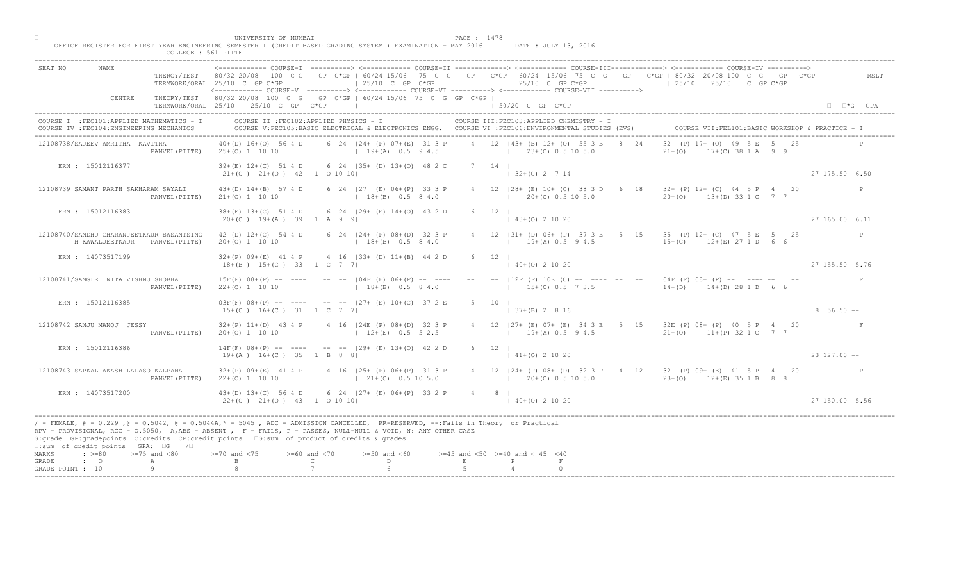|                                                 |                   | COLLEGE : 561 PIITE                                                                     |                                                            |                                                                                                                                                                                                                                                                                                                                              |                                          |                                                          |                                                                                                                                                   |                            |
|-------------------------------------------------|-------------------|-----------------------------------------------------------------------------------------|------------------------------------------------------------|----------------------------------------------------------------------------------------------------------------------------------------------------------------------------------------------------------------------------------------------------------------------------------------------------------------------------------------------|------------------------------------------|----------------------------------------------------------|---------------------------------------------------------------------------------------------------------------------------------------------------|----------------------------|
| SEAT NO                                         | NAME              | THEROY/TEST                                                                             | TERMWORK/ORAL 25/10 C GP C*GP                              | $\pm 25/10$ C GP C*GP<br><------------ COURSE-V ----------> <------------ COURSE-VI -----------> <------------ COURSE-VII ---------->                                                                                                                                                                                                        | $125/10$ C GP C*GP                       |                                                          | 80/32 20/08 100 C G GP C*GP I 60/24 15/06 75 C G GP C*GP I 60/24 15/06 75 C G GP C*GP I 80/32 20/08 100 C G GP C*GP<br>$125/10$ $25/10$ C GP C*GP | RSLT                       |
|                                                 | CENTRE            |                                                                                         | TERMWORK/ORAL 25/10 25/10 C GP C*GP                        | THEORY/TEST 80/32 20/08 100 C G GP C*GP   60/24 15/06 75 C G GP C*GP                                                                                                                                                                                                                                                                         | 50/20 C GP C*GP                          |                                                          |                                                                                                                                                   | $\square$ $\square$ *G GPA |
|                                                 |                   | COURSE I : FEC101: APPLIED MATHEMATICS - I<br>COURSE IV : FEC104: ENGINEERING MECHANICS |                                                            | COURSE II : FEC102: APPLIED PHYSICS - I<br>COURSE V:FEC105:BASIC ELECTRICAL & ELECTRONICS ENGG. COURSE VI :FEC106:ENVIRONMENTAL STUDIES (EVS)                                                                                                                                                                                                |                                          | COURSE III: FEC103: APPLIED CHEMISTRY - I                | COURSE VII:FEL101:BASIC WORKSHOP & PRACTICE - 1                                                                                                   |                            |
| 12108738/SAJEEV AMRITHA KAVITHA                 |                   | PANVEL (PIITE)                                                                          | $40+(D)$ 16+(0) 56 4 D<br>$25+(0)$ 1 10 10                 | 6 24   24 + (P) 07 + (E) 31 3 P<br>$19+(A)$ 0.5 9 4.5                                                                                                                                                                                                                                                                                        |                                          | 4 12 143+ (B) 12+ (O) 55 3 B<br>$23+(0)$ 0.5 10 5.0      | $ 32 (P) 17+ (O) 49$<br>2.4<br>$ 21+(0) $<br>$(0)$ 38 1 A 9 9 1                                                                                   |                            |
|                                                 | ERN : 15012116377 |                                                                                         | $39+(E)$ 12+(C) 51 4 D<br>$21+(0)$ $21+(0)$ $42$ 1 0 10 10 | 6 24 135+ (D) 13+(0) 48 2 C                                                                                                                                                                                                                                                                                                                  | 7 14 1                                   | $132+(C)$ 2 7 14                                         |                                                                                                                                                   | 127175.506.50              |
| 12108739 SAMANT PARTH SAKHARAM SAYALI           |                   | PANVEL (PIITE)                                                                          | $43+(D)$ $14+(B)$ 57 4 D<br>$21+ (0) 1 10 10$              | 6 24   27 (E) 06+ (P) 33 3 P<br>$18+(B)$ 0.5 8 4.0                                                                                                                                                                                                                                                                                           | $\mathbb{R}$                             | 4 12   28 + (E) 10 + (C) 38 3 D 6<br>$20+(0)$ 0.5 10 5.0 | $18$ $ 32+$ (P) 12+ (C) 44 5 P 4 20<br>$ 20+(0)$ 13+(D) 33 1 C 7 7 1                                                                              | P                          |
|                                                 | ERN : 15012116383 |                                                                                         | $38 + (E)$ 13+(C) 51 4 D<br>$20+(0)$ 19+(A) 39 1 A 9 9     | 6 24   29 + (E) 14 + (0) 43 2 D                                                                                                                                                                                                                                                                                                              | $6 \t12 \t1$                             | $(43+(0) 2 10 20)$                                       |                                                                                                                                                   | 127165.006.11              |
|                                                 | H KAWALJEETKAUR   | 12108740/SANDHU CHARANJEETKAUR BASANTSING<br>PANVEL (PIITE)                             | 42 (D) 12+(C) 54 4 D<br>$20+(0)$ 1 10 10                   | 6 24 124 + (P) 08 + (D) 32 3 P<br>$18+(B)$ 0.5 8 4.0                                                                                                                                                                                                                                                                                         |                                          | $12$ $ 31 + (D) 06 + (P) 37 3E$<br>$19+(A)$ 0.5 9 4.5    | 5 15 135 (P) 12+ (C) 47 5 E 5 251<br>$12+(C)$ $12+(E)$ 27 1 D 6 6                                                                                 | P                          |
|                                                 | ERN : 14073517199 |                                                                                         | $32+(P)$ 09+(E) 41 4 P<br>$18+(B)$ $15+(C)$ 33 1 C 7 7     | 4 16   33 + (D) 11 + (B) 44 2 D                                                                                                                                                                                                                                                                                                              | 6 12                                     | $3+(0)$ 2 10 20                                          |                                                                                                                                                   | 127155.505.76              |
| 12108741/SANGLE NITA VISHNU SHOBHA              |                   | PANVEL (PIITE)                                                                          | $15F(F)$ $08+(P)$ -- ---<br>$22+(0)$ 1 10 10               | -- -- IO4F (F) 06+(P) -- ----<br>$18+(B)$ 0.5 8 4.0                                                                                                                                                                                                                                                                                          |                                          | $12F$ (F) 10E (C) -- ---- -- --<br>$15+(C)$ 0.5 7 3.5    | $104F$ (F) $08+$ (P) -- ---- --<br>$114 + (D)$<br>$14+(D)$ 28 1 D 6 6                                                                             |                            |
|                                                 | ERN : 15012116385 |                                                                                         | $15+(C)$ $16+(C)$ $31$ $1$ C 7 7                           | $03F(F)$ $08+(P)$ -- ---- -- -- $127+(E)$ $10+(C)$ 37 2                                                                                                                                                                                                                                                                                      |                                          | $137+(B) 2816$                                           |                                                                                                                                                   | $1856.50 -$                |
| 12108742 SANJU MANOJ JESSY                      |                   | PANVEL (PIITE)                                                                          | $32+(P)$ 11+(D) 43 4 P<br>$20+(0)$ 1 10 10                 | 4 16 124E (P) 08+ (D)<br>$12+(E)$                                                                                                                                                                                                                                                                                                            |                                          | $19+(A) 0.5 9 4.5$                                       | 4 12   27 + (E) 07 + (E) 34 3 E 5 15   32 E (P) 08 + (P) 40 5 P 4 20<br>$ 21+(0)$ 11+(P) 32 1 C 7 7                                               |                            |
|                                                 | ERN : 15012116386 |                                                                                         | $14F(F)$ 08+(P) -- ----<br>$19+(A)$ $16+(C)$ 35 1 B 8      | $(29 + (B) 13 + (0) 42 2 D)$                                                                                                                                                                                                                                                                                                                 | 6 12 1                                   | $\vert$ 41+(0) 2 10 20                                   |                                                                                                                                                   | $\vert$ 23 127.00 --       |
| 12108743 SAPKAL AKASH LALASO KALPANA            |                   | PANVEL (PIITE)                                                                          | $32+(P)$ 09+(E) 41 4 P<br>$22+(0)$ 1 10 10                 | $16$ $(25+$ $(P)$ 06+ (P) 31 3 P<br>$21+(0)$ 0.5 10 5.0                                                                                                                                                                                                                                                                                      |                                          | $120+(0)0.5105.0$                                        | 4 12   24 + (P) 08 + (D) 32 3 P + 4 12   32 (P) 09 + (E) 41 5 P + 20<br>$(23+(0)$ $12+(E)$ 35 1 B 8 8                                             |                            |
|                                                 | ERN : 14073517200 |                                                                                         | $43+(D)$ 13+(C) 56 4<br>$22+(0)$ $21+(0)$ 43               | $6$ 24 $ 27+$ (E) 06+ (P) 33 2 P<br>$1$ 0 10 10                                                                                                                                                                                                                                                                                              | $4 \t 8 \t 1$                            | $(40+(0) 2 10 20)$                                       |                                                                                                                                                   | $\vert$ 27 150.00 5.56     |
| □:sum of credit points GPA: □G /□               |                   |                                                                                         |                                                            | / - FEMALE, # - 0.229 ,@ - 0.5042, @ - 0.5044A,* - 5045 , ADC - ADMISSION CANCELLED, RR-RESERVED, --:Fails in Theory or Practical<br>RPV - PROVISIONAL, RCC - 0.5050, A, ABS - ABSENT, R - FAILS, P - PASSES, NULL-NULL & VOID, N: ANY OTHER CASE<br>G:grade GP:gradepoints C:credits CP:credit points (G:sum of product of credits & grades |                                          |                                                          |                                                                                                                                                   |                            |
| $: >=80$<br>MARKS<br>GRADE<br>$\cdot$ $\cdot$ 0 |                   | $>=75$ and $<80$                                                                        | $> = 70$ and $< 75$                                        | $>=60$ and $<70$<br>$>=50$ and $<60$<br>$\mathbb{C}$<br>D                                                                                                                                                                                                                                                                                    | $>=45$ and $<50$ $>=40$ and $< 45$ $<40$ |                                                          |                                                                                                                                                   |                            |
| GRADE POINT : 10                                |                   | А                                                                                       |                                                            |                                                                                                                                                                                                                                                                                                                                              |                                          |                                                          |                                                                                                                                                   |                            |

□ PAGE : 1478<br>OFFICE REGISTER FOR FIRST YEAR ENGINEERING SEMESTER I (CREDIT BASED GRADING SYSTEM ) EXAMINATION - MAY 2016 DATE : JULY 13, 2016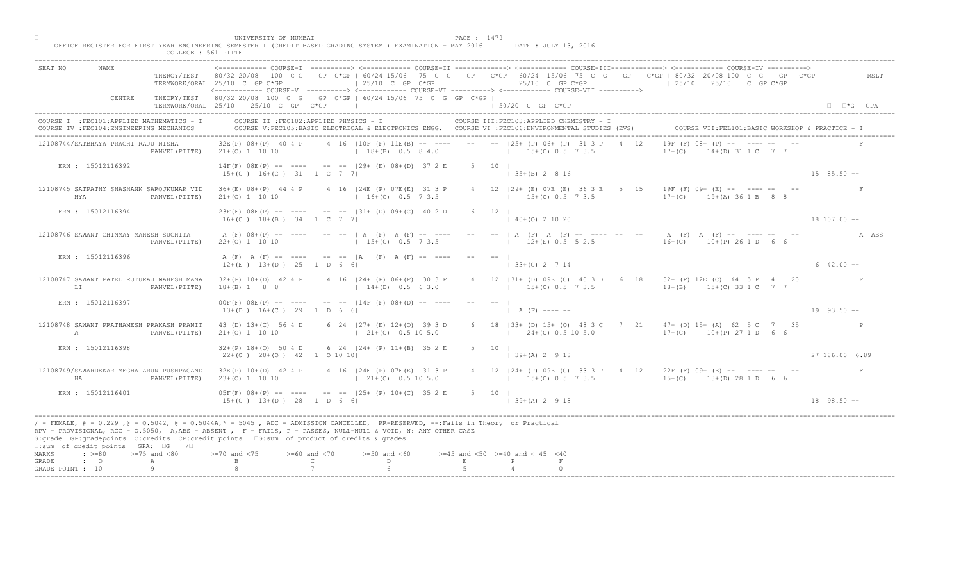| UNIVERSITY OF MUMBAI<br>PAGE : 1479<br>OFFICE REGISTER FOR FIRST YEAR ENGINEERING SEMESTER I (CREDIT BASED GRADING SYSTEM ) EXAMINATION - MAY 2016<br>DATE : JULY 13, 2016<br>COLLEGE : 561 PIITE                                                                                                                                                                                                                                                                                 |                                                   |
|-----------------------------------------------------------------------------------------------------------------------------------------------------------------------------------------------------------------------------------------------------------------------------------------------------------------------------------------------------------------------------------------------------------------------------------------------------------------------------------|---------------------------------------------------|
| ------------ COURSE-I ----------> <------------ COURSE-II -------------> <------------ COURSE-III------------> <------------> COURSE-IV ----------> <----------------> COURSE-IV ------------ COURSE-II<br><b>NAME</b><br>SEAT NO<br>THEROY/TEST 80/32 20/08 100 C G GP C*GP   60/24 15/06 75 C G GP C*GP   60/24 15/06 75 C G GP C*GP   80/32 20/08 100 C G GP C*GP<br>$125/10$ C GP C*GP<br>$125/10$ C GP $C*GP$<br>$125/10$ $25/10$ C GP C*GP<br>TERMWORK/ORAL 25/10 C GP C*GP | RSLT                                              |
| THEORY/TEST 80/32 20/08 100 C G GP C*GP   60/24 15/06 75 C G GP C*GP  <br>CENTRE<br>TERMWORK/ORAL 25/10 25/10 C GP C*GP  <br>$150/20$ C GP $C*GP$                                                                                                                                                                                                                                                                                                                                 | $\Box$ $\Box$ *G GPA                              |
| COURSE II : FEC102: APPLIED PHYSICS - I<br>COURSE III: FEC103: APPLIED CHEMISTRY - I<br>COURSE I : FEC101: APPLIED MATHEMATICS - I<br>COURSE IV : FEC104: ENGINEERING MECHANICS<br>COURSE V:FEC105:BASIC ELECTRICAL & ELECTRONICS ENGG. COURSE VI :FEC106:ENVIRONMENTAL STUDIES (EVS)                                                                                                                                                                                             | COURSE VII: FEL101: BASIC WORKSHOP & PRACTICE - : |
| $ 19F(F) 08+$ $(P)$ - $\blacksquare$ - - - -<br>$32E(P)$ 08+(P) 40 4 P 4 16   10F (F) 11E (B) -- ---- -- --   25+ (P) 06+ (P) 31 3 P 4 12<br>12108744/SATBHAYA PRACHI RAJU NISHA<br>21+(0) 1 10 10 (18+(B) 0.5 8 4.0 (19+(C) 0.5 7 3.5<br>$ 17+(C) $<br>PANVEL (PIITE)                                                                                                                                                                                                            | $14 \times (D) 31 1 C 7 7 1$                      |
| $14F(F)$ $08E(P)$ -- --- -- -- $  129+$ $(E)$ $08+(D)$ 37 2 E<br>$5 \t 10 \t 1$<br>ERN : 15012116392<br>$(35+(B) 2 8 16)$<br>$15+(C)$ $16+(C)$ $31$ $1$ C 7 7                                                                                                                                                                                                                                                                                                                     | $1 15 85.50 -$                                    |
| 4 12 (29+ (E) 07E (E) 36 3 E 5<br>$15$   $19F$ <sup>'</sup> (F) 09+ (E) -- ---- --<br>12108745 SATPATHY SHASHANK SAROJKUMAR VID<br>36+(E) 08+(P) 44 4 P 4 16   24E (P) 07E (E) 31 3 P<br>$117+(C)$ $19+(A) 36 1 B 8 8$<br>$16+(C)$ 0.5 7 3.5<br>$15+(C)$ 0.5 7 3.5<br>HYA<br>PANVEL (PIITE)<br>$21+ (0) 1 10 10$                                                                                                                                                                  |                                                   |
| ERN : 15012116394<br>$23F(F)$ $08E(P)$ -- ---- -- --  31+ (D) $09+(C)$ 40 2 D<br>$6 \t12 \t1$<br>$140+(0)21020$<br>$16+(C)$ $18+(B)$ $34$ $1$ C 7 7                                                                                                                                                                                                                                                                                                                               | $18107.00 -$                                      |
| $---$   A (F) $A$ (F)<br>- -- --   A (F) A (F) -- ---- -- --  A ABS<br>12108746 SAWANT CHINMAY MAHESH SUCHITA<br>A (F) 08+(P) -- ---- -- --   A (F) A (F) -- ----<br>$12+(E)$ 0.5 5 2.5<br>$15+(C)$ 0.5 7 3.5<br>$16+(C)$ 10+(P) 26 1 D 6 6  <br>$22+(0)$ 1 10 10<br>PANVEL (PIITE)                                                                                                                                                                                               |                                                   |
| ERN : 15012116396<br>A (F) A (F) -- ---- -- --  A (F) A (F) -- ----<br>$33+(C)$ 2 7 14<br>$12+(E)$ $13+(D)$ $25$ 1 D 6 6                                                                                                                                                                                                                                                                                                                                                          | $1 \t6 \t42.00 -$                                 |
| 12108747 SAWANT PATEL RUTURAJ MAHESH MANA<br>4 16   24 + (P) 06 + (P) 30 3 P<br>B1+ (D) 09E (C) 40 3 D 6 18   32+ (P) 12E (C) 44 5 P 4 20 <br>$32+(P)$ 10+(D) 42 4 P<br>15+(C) 0.5 7 3.5 (18+(B) 15+(C) 33 1 C 7 7  <br>$18+(B)$ 1 8 8<br>$14+(D)$ 0.5 6 3.0<br>LI<br>PANVEL (PIITE)                                                                                                                                                                                              |                                                   |
| $00F(F)$ $08E(P)$ -- ---- -- -- $14F(F)$ $08+(D)$ --<br>ERN : 15012116397<br>$13+(D)$ $16+(C)$ 29 1 D 6 6<br>$(A \cap A \cap F)$ ---- --                                                                                                                                                                                                                                                                                                                                          | $1\quad 19\quad 93.50 - -$                        |
| 6 18   33+ (D) 15+ (O) 48 3 C 7 21   47+ (D) 15+ (A) 62 5 C 7 35 <br>12108748 SAWANT PRATHAMESH PRAKASH PRANIT<br>43 (D) 13+(C) 56 4 D<br>6 24 $ 27+$ (E) 12+ (0)<br>$1 \t21+(0)$<br>$1\ 24+(0)\ 0.5\ 10\ 5.0$<br>$117+ (C)$ 10+(P) 27 1 D 6 6  <br>A<br>PANVEL (PIITE)<br>$21+ (0) 1 10 10$                                                                                                                                                                                      |                                                   |
| 6 24 $ 24 + (P) 11 + (B) 35 2 E$<br>ERN : 15012116398<br>$32+(P)$ 18+(0) 50 4 D<br>5 10 1<br>$22+(0)$ $20+(0)$ $42$ 1 0 10 10<br>$(39+(A) 2 9 18)$                                                                                                                                                                                                                                                                                                                                | 127186.006.89                                     |
| $16$ (24E (P) 07E (E) 31 3 P<br>$32E(P)$ $10+(D)$ 42 4 P<br>4 12   24 + (P) 09E (C) 33 3 P + 4 12   22F (F) 09 + (E) -- ---- -- -- --  <br>12108749/SAWARDEKAR MEGHA ARUN PUSHPAGAND<br>$21+(0)$ 0.5 10 5.0<br>$23+(0)$ 1 10 10<br>$15+(C)$ 0.5 7 3.5 $13+(C)$ 13+(b) 28 1 D 6 6  <br>HA<br>PANVEL (PIITE)                                                                                                                                                                        |                                                   |
| $05F(F)$ $08+(P)$ -- $-$<br>ERN : 15012116401<br>$-$ -- $ 25+ (P) 10+ (C) 35 2 E$<br>$5 \t 10 \t 1$<br>$15+(C)$ $13+(D)$ $28$ $1$ $D$ 6 6<br>$139+(A)2918$                                                                                                                                                                                                                                                                                                                        | $1 18 98.50 --$                                   |
| / - FEMALE, # - 0.229, @ - 0.5042, @ - 0.5044A,* - 5045, ADC - ADMISSION CANCELLED, RR-RESERVED, --:Fails in Theory or Practical<br>RPV - PROVISIONAL, RCC - 0.5050, A, ABS - ABSENT A P - FAILS, P - PASSES, NULL-NULL & VOID, N: ANY OTHER CASE<br>G:grade GP:gradepoints C:credits CP:credit points [6:sum of product of credits & grades<br>$\square$ :sum of credit points GPA: $\square$ G / $\square$                                                                      |                                                   |
| $\Rightarrow$ $>=$ 80 $\Rightarrow$ $=$ 75 and <80<br>$0$ and $\langle 75$<br>$>= 60$ and $< 70$<br>$>=50$ and $<60$<br>$>=45$ and $<50$ $>=40$ and $< 45$ $<40$<br>MARKS<br>$\mathbb C$<br>$\mathbb{D}$ and $\mathbb{D}$<br>$\cdot$ 0<br>E<br>P<br>GRADE<br>A                                                                                                                                                                                                                    |                                                   |
| Q<br>GRADE POINT : 10                                                                                                                                                                                                                                                                                                                                                                                                                                                             |                                                   |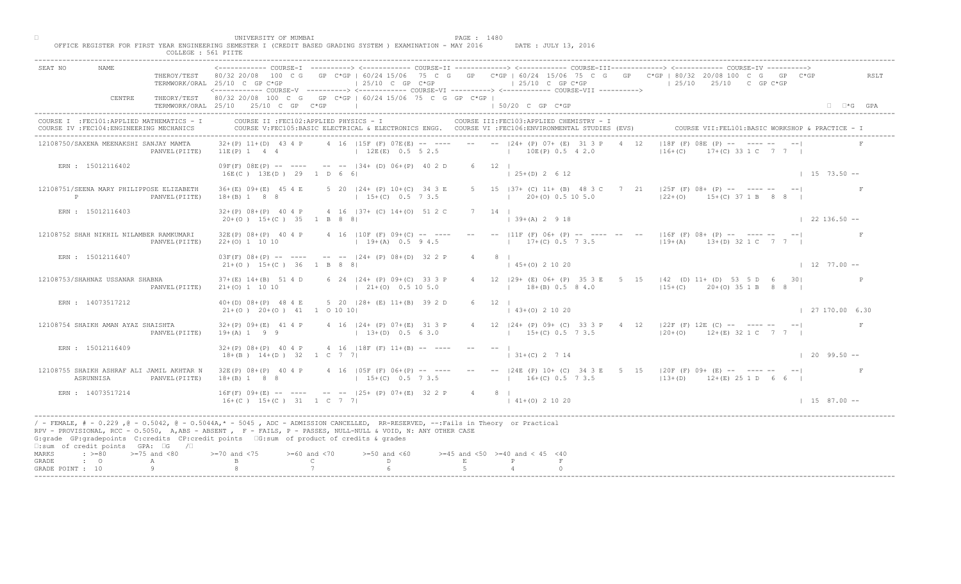|                                    |                                                                                         | COLLEGE : 561 PIITE | UNIVERSITY OF MUMBAI                                         | OFFICE REGISTER FOR FIRST YEAR ENGINEERING SEMESTER I (CREDIT BASED GRADING SYSTEM ) EXAMINATION - MAY 2016                                                                                                                                                                                                                                 | PAGE : 1480  | DATE : JULY 13, 2016                                                                                                                                  |                                                                                                                                                                                                                                                                                                                                                                          |                                                             |
|------------------------------------|-----------------------------------------------------------------------------------------|---------------------|--------------------------------------------------------------|---------------------------------------------------------------------------------------------------------------------------------------------------------------------------------------------------------------------------------------------------------------------------------------------------------------------------------------------|--------------|-------------------------------------------------------------------------------------------------------------------------------------------------------|--------------------------------------------------------------------------------------------------------------------------------------------------------------------------------------------------------------------------------------------------------------------------------------------------------------------------------------------------------------------------|-------------------------------------------------------------|
| SEAT NO                            | NAME                                                                                    |                     | TERMWORK/ORAL 25/10 C GP C*GP                                | $\vert$ 25/10 C GP C*GP                                                                                                                                                                                                                                                                                                                     |              | $125/10$ C GP C*GP<br><------------ COURSE-V ----------> <------------ COURSE-VI -----------> <------------ COURSE-VII ---------->                    | ------------ COURSE-I ----------> <------------ COURSE-II -------------> <------------ COURSE-III------------> <------------> COURSE-IV ----------> <----------------> COURSE-IV ------------ COURSE-II<br>THEROY/TEST 80/32 20/08 100 C G GP C*GP   60/24 15/06 75 C G GP C*GP   60/24 15/06 75 C G GP C*GP   80/32 20/08 100 C G GP C*GP<br>$125/10$ $25/10$ C GP C*GP | RSLT                                                        |
|                                    | CENTRE                                                                                  |                     | TERMWORK/ORAL 25/10 25/10 C GP C*GP                          | THEORY/TEST 80/32 20/08 100 C G GP C*GP   60/24 15/06 75 C G GP C*GP  <br>the control of the control of the control of                                                                                                                                                                                                                      |              | $150/20$ C GP $C*GP$                                                                                                                                  |                                                                                                                                                                                                                                                                                                                                                                          | $\Box$ $\Box$ *G GPA                                        |
|                                    | COURSE I : FEC101: APPLIED MATHEMATICS - I<br>COURSE IV : FEC104: ENGINEERING MECHANICS |                     |                                                              | COURSE II : FEC102: APPLIED PHYSICS - I                                                                                                                                                                                                                                                                                                     |              | COURSE III: FEC103: APPLIED CHEMISTRY - I<br>COURSE V:FEC105:BASIC ELECTRICAL & ELECTRONICS ENGG. COURSE VI :FEC106:ENVIRONMENTAL STUDIES (EVS)       |                                                                                                                                                                                                                                                                                                                                                                          | COURSE VII: FEL101: BASIC WORKSHOP & PRACTICE - 1           |
|                                    | 12108750/SAXENA MEENAKSHI SANJAY MAMTA                                                  | PANVEL (PIITE)      |                                                              |                                                                                                                                                                                                                                                                                                                                             |              | $32+(P)$ 11+(D) 43 4 P 4 16   15F (F) 07E (E) -- --- -- -- --   24+ (P) 07+ (E) 31 3 P 4 12<br>$11E(P)$ 1 4 4 $(12E(E)$ 0.5 5 2.5 $(12E(P)$ 0.5 4 2.0 | $ 16+(C) $                                                                                                                                                                                                                                                                                                                                                               | $ 18F(F) 08E$ $(P)$ - $\sum$ - - - -<br>$+(C)$ 33 1 C 7 7 1 |
|                                    | ERN : 15012116402                                                                       |                     | 16E(C) 13E(D) 29 1 D 6 6                                     | $09F(F)$ $08E(P)$ -- --- -- -- $134+$ (D) $06+(P)$ 40 2 D                                                                                                                                                                                                                                                                                   |              | $6 \t12 \t1$<br>$125+(D)2612$                                                                                                                         |                                                                                                                                                                                                                                                                                                                                                                          | $1 15 73.50 -$                                              |
| P                                  | 12108751/SEENA MARY PHILIPPOSE ELIZABETH                                                | PANVEL (PIITE)      | $36+(E)$ 09+(E) 45 4 E<br>$18+(B)$ 1 8 8                     | 5 20   24 + (P) 10 + (C) 34 3 E<br>$15+(C)$ 0.5 7 3.5                                                                                                                                                                                                                                                                                       |              | 5 15   37 + (C) 11 + (B) 48 3 C 7<br>$(20 + (0) 0.5 10 5.0)$                                                                                          | $ 25F(F) 08+ (P) --- --- ---$<br>$ 22+(0)$ $15+(C)$ 37 1 B 8 8                                                                                                                                                                                                                                                                                                           |                                                             |
|                                    | ERN : 15012116403                                                                       |                     | $20+(0)$ 15+(C) 35 1 B 8 8                                   | $32+(P)$ 08+(P) 40 4 P 4 16   37+ (C) 14+(0) 51 2 C                                                                                                                                                                                                                                                                                         |              | $7 \quad 14 \quad 1$<br>$139+(A) 2918$                                                                                                                |                                                                                                                                                                                                                                                                                                                                                                          | $122136.50 - -$                                             |
|                                    | 12108752 SHAH NIKHIL NILAMBER RAMKUMARI                                                 | PANVEL (PIITE)      | $22+(0)$ 1 10 10                                             | $32E(P)$ $08+(P)$ 40 4 P 4 16   10 F (F) $09+(C)$ -- ---<br>$19+(A)$ 0.5 9 4.5                                                                                                                                                                                                                                                              |              | $-- --  11F$ (F) $06+$ (P)<br>$17+(C)$ 0.5 $\sqrt{7}$ 3.5                                                                                             | $     16F(F) 08 + (P)      -$<br>$19+(A)$ 13+(D) 32 1 C 7 7                                                                                                                                                                                                                                                                                                              |                                                             |
|                                    | ERN : 15012116407                                                                       |                     | $21+(0)$ 15+(C) 36 1 B 8 8                                   | $03F(F)$ $08+(P)$ -- ---- -- -- $ 24+(P)$ $08+(D)$ 32 2 P                                                                                                                                                                                                                                                                                   |              | $45+(0)$ 2 10 20                                                                                                                                      |                                                                                                                                                                                                                                                                                                                                                                          | $1277.00 -$                                                 |
|                                    | 12108753/SHAHNAZ USSANAR SHABNA                                                         | PANVEL (PIITE)      | $37+(E)$ 14+(B) 51 4 D<br>$21+(0)$ 1 10 10                   | 6 24   24 + (P) 09 + (C) 33 3 P<br>$(21 + (0) 0.5 10 5.0)$                                                                                                                                                                                                                                                                                  |              | $18+(B)$ 0.5 8 4.0                                                                                                                                    | 29+ (E) 06+ (P) 35 3 E 5 15   42 (D) 11+ (D) 53 5 D 6 30 <br>$15+(C)$ 20+(0) 35 1 B 8 8                                                                                                                                                                                                                                                                                  |                                                             |
|                                    | ERN : 14073517212                                                                       |                     | $40+(D)$ $08+(P)$ 48 4 E<br>$21+(0)$ $20+(0)$ $41$ 1 0 10 10 | 5 20 $ 28 + (E) 11 + (B) 39 2$                                                                                                                                                                                                                                                                                                              |              | $(43+(0) 2 10 20)$                                                                                                                                    |                                                                                                                                                                                                                                                                                                                                                                          | $\vert$ 27 170.00 6.30                                      |
|                                    | 12108754 SHAIKH AMAN AYAZ SHAISHTA                                                      | PANVEL (PIITE)      | $32+(P)$ 09+(E) 41 4 P<br>$19 + (A) 1 9 9$                   | 4 16 $ 24 + (P) 07 + (E) 31 - 3 P$<br>$13+(D)$                                                                                                                                                                                                                                                                                              |              | $15+(C)$ 0.5 7 3.5                                                                                                                                    | 4 12   24 + (P) 09 + (C) 33 3 P + 4 12   22 F (F) 12 E (C) -- ---- -- -- --  <br>$120+(0)$ 12+(E) 32 1 C 7 7                                                                                                                                                                                                                                                             | F                                                           |
|                                    | ERN : 15012116409                                                                       |                     | $32+(P)$ 08+(P) 40 4 P<br>$18+(B)$ $14+(D)$ 32 1 C 7         | 4 16 $ 18F(F)  11+(B) -- -- --$                                                                                                                                                                                                                                                                                                             |              | $-   -$<br>$131+(C)$ 2 7 14                                                                                                                           |                                                                                                                                                                                                                                                                                                                                                                          | $1209.50 -$                                                 |
|                                    | 12108755 SHAIKH ASHRAF ALI JAMIL AKHTAR N<br>ASRUNNISA                                  | PANVEL (PIITE)      | $32E(P)$ $08+(P)$ 40 4 P<br>$18+(B)$ 1 8 8                   | $15+(C)$ 0.5 7 3.5                                                                                                                                                                                                                                                                                                                          |              | $16+(C)$ 0.5 7 3.5                                                                                                                                    | [05F (F) 06+ (P) -- ---- -- --  24E (P) 10+ (C) 34 3 E 5 15  20F (F) 09+ (E) -- ---- -- -- --  <br>$(13+(D) 12+(E) 25 1 D 6 6)$                                                                                                                                                                                                                                          |                                                             |
|                                    | ERN : 14073517214                                                                       |                     | $16F(F)$ 09+(E) -- -                                         | $-$ -- $ 25+ (P) 07+ (E) 32 2 P$<br>$16+(C)$ $15+(C)$ $31$ $1 C$ $7$ $7$                                                                                                                                                                                                                                                                    |              | $4 \t 8 \t 1$<br>$141+(0)21020$                                                                                                                       |                                                                                                                                                                                                                                                                                                                                                                          | $1\quad 15\quad 87.00\quad -$                               |
|                                    | □:sum of credit points GPA: □G /□                                                       |                     |                                                              | / - FEMALE, # - 0.229, @ - 0.5042, @ - 0.5044A,* - 0045, ADC - ADMISSION CANCELLED, RR-RESERVED, --:Fails in Theory or Practical<br>RPV - PROVISIONAL, RCC - 0.5050, A, ABS - ABSENT A P - FAILS, P - PASSES, NULL-NULL & VOID, N: ANY OTHER CASE<br>G:grade GP:gradepoints C:credits CP:credit points 6:sum of product of credits & grades |              |                                                                                                                                                       |                                                                                                                                                                                                                                                                                                                                                                          |                                                             |
| MARKS<br>GRADE<br>GRADE POINT : 10 | $\Rightarrow$ $>=80$ $>=75$ and $<80$<br>$\cdot$ 0                                      | A                   | 0 and $\langle 75 \rangle$                                   | $>= 60$ and $< 70$<br>$>=50$ and $<60$<br>$\mathbb{C}$ and $\mathbb{C}$<br>D                                                                                                                                                                                                                                                                | $\mathbf{E}$ | $>=45$ and $<50$ $>=40$ and $< 45$ $<40$<br>P                                                                                                         |                                                                                                                                                                                                                                                                                                                                                                          |                                                             |
|                                    |                                                                                         |                     |                                                              |                                                                                                                                                                                                                                                                                                                                             |              |                                                                                                                                                       |                                                                                                                                                                                                                                                                                                                                                                          |                                                             |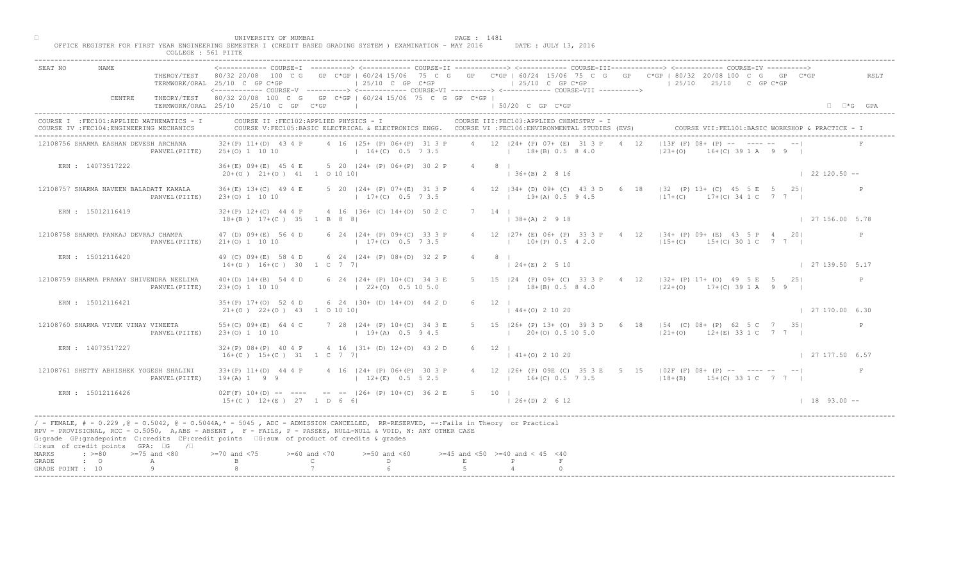| ------------ COURSE-I ----------> <------------ COURSE-II -------------> <------------ COURSE-III------------> <------------> COURSE-IV ----------> <----------------> COURSE-IV ------------ COURSE-II<br>NAME<br>SEAT NO<br>THEROY/TEST 80/32 20/08 100 C G GP C*GP   60/24 15/06 75 C G GP C*GP   60/24 15/06 75 C G GP C*GP   80/32 20/08 100 C G GP C*GP<br>$125/10$ C GP C*GP<br>$125/10$ C GP C*GP<br>$125/10$ $25/10$ C GP C*GP<br>TERMWORK/ORAL 25/10 C GP C*GP<br><------------ COURSE-V ----------> <------------ COURSE-VI -----------> <------------ COURSE-VII ----------><br>THEORY/TEST 80/32 20/08 100 C G GP C*GP   60/24 15/06 75 C G GP C*GP  <br>CENTRE<br>TERMWORK/ORAL 25/10 25/10 C GP C*GP<br>the control of the control of the control of<br>$150/20$ C GP C*GP<br>COURSE II : FEC102: APPLIED PHYSICS - I<br>COURSE III: FEC103: APPLIED CHEMISTRY - I<br>COURSE I : FEC101: APPLIED MATHEMATICS - I<br>COURSE VII: FEL101: BASIC WORKSHOP & PRACTICE - 1<br>COURSE IV : FEC104: ENGINEERING MECHANICS<br>COURSE V:FEC105:BASIC ELECTRICAL & ELECTRONICS ENGG. COURSE VI :FEC106:ENVIRONMENTAL STUDIES (EVS)<br>$ 13F(F) 08+$ $\mathbb{R}P$ - $\mathbb{R}$ - - - - -<br>4 16 (25+ (P) 06+ (P) 31 3 P 4 12 (24+ (P) 07+ (E) 31 3 P 4 12<br>12108756 SHARMA EASHAN DEVESH ARCHANA<br>$32+(P)$ 11+(D) 43 4 P<br>$16+(C)$ 0.5 7 3.5 $18+(B)$ 0.5 8 4.0<br>$ 23+(0) $<br>$16 + (C)$ 39 1 A 9 9 1<br>PANVEL (PIITE)<br>25+(0) 1 10 10<br>36+(E) 09+(E) 45 4 E 5 20   24+ (P) 06+(P) 30 2 P<br>$4 \qquad 8 \qquad$<br>ERN : 14073517222<br>$136+(B) 2816$<br>$122120.50 -$<br>$20+(0)$ $21+(0)$ $41$ 1 0 10 10<br>4 12   34 + (D) 09 + (C) 43 3 D 6<br>18   32 (P) 13+ (C) 45 5 E 5 25<br>12108757 SHARMA NAVEEN BALADATT KAMALA<br>$36+(E)$ 13+(C) 49 4 E<br>5 20   24 + (P) 07 + (E) 31 3 P<br>$17+(C)$ 17+ (C) 34 1 C 7 7 1<br>$17+(C)$ 0.5 7 3.5<br>$19+(A) 0.5 9 4.5$<br>PANVEL (PIITE)<br>$23+(0)$ 1 10 10<br>ERN : 15012116419<br>$32+(P)$ 12+(C) 44 4 P 4 16  36+ (C) 14+(0) 50 2 C<br>7 14 1<br>$  38 + (A) 2 9 18$<br>$18+(B)$ $17+(C)$ 35 1 B 8 8<br>$\vert$ 27 156.00 5.78<br>47 (D) 09+ (E) 56 4 D 6 24   24+ (P) 09+ (C) 33 3 P<br>4 12 $ 27 + (E) 06 + (P) 33 3$<br>$P$ 4 12 $ 34 + (P) 09 + (E) 43 5 P 4 20 $<br>12108758 SHARMA PANKAJ DEVRAJ CHAMPA<br>$10 \pm (P) 0.5 4 2.0$<br>$17+(C)$ 0.5 7 3.5<br>$115+(C)$ 15+(C) 30 1 C 7 7 1<br>$21+(0)$ 1 10 10<br>PANVEL (PIITE)<br>ERN : 15012116420<br>49 (C) 09+(E) 58 4 D 6 24   24+ (P) 08+ (D) 32 2 P<br>$4\degree$<br>8 <sup>1</sup><br>$24+(E)$ 2 5 10<br>$\vert$ 27 139.50 5.17<br>$14+(D)$ $16+(C)$ 30 1 C 7 7<br>6 24   24 + (P) 10 + (C) 34 3 E<br>24 (P) 09+ (C) 33 3 P 4 12   32+ (P) 17+ (O) 49 5 E 5 25 <br>12108759 SHARMA PRANAY SHIVENDRA NEELIMA<br>$40+(D)$ $14+(B)$ 54 4 D<br>$18+(B)$ 0.5 8 4.0 $12+(O)$ 17+(C) 39 1 A 9 9 1<br>$(22+(0) 0.5 10 5.0)$<br>$23+(0)$ 1 10 10<br>PANVEL (PIITE) | COLLEGE : 561 PIITE | UNIVERSITY OF MUMBAI<br>PAGE : 1481<br>OFFICE REGISTER FOR FIRST YEAR ENGINEERING SEMESTER I (CREDIT BASED GRADING SYSTEM ) EXAMINATION - MAY 2016<br>DATE : JULY 13, 2016 |
|----------------------------------------------------------------------------------------------------------------------------------------------------------------------------------------------------------------------------------------------------------------------------------------------------------------------------------------------------------------------------------------------------------------------------------------------------------------------------------------------------------------------------------------------------------------------------------------------------------------------------------------------------------------------------------------------------------------------------------------------------------------------------------------------------------------------------------------------------------------------------------------------------------------------------------------------------------------------------------------------------------------------------------------------------------------------------------------------------------------------------------------------------------------------------------------------------------------------------------------------------------------------------------------------------------------------------------------------------------------------------------------------------------------------------------------------------------------------------------------------------------------------------------------------------------------------------------------------------------------------------------------------------------------------------------------------------------------------------------------------------------------------------------------------------------------------------------------------------------------------------------------------------------------------------------------------------------------------------------------------------------------------------------------------------------------------------------------------------------------------------------------------------------------------------------------------------------------------------------------------------------------------------------------------------------------------------------------------------------------------------------------------------------------------------------------------------------------------------------------------------------------------------------------------------------------------------------------------------------------------------------------------------------------------------------------------------------------------------------------------------------------------------------------------------------------------------------------------------------------------------------------------------|---------------------|----------------------------------------------------------------------------------------------------------------------------------------------------------------------------|
|                                                                                                                                                                                                                                                                                                                                                                                                                                                                                                                                                                                                                                                                                                                                                                                                                                                                                                                                                                                                                                                                                                                                                                                                                                                                                                                                                                                                                                                                                                                                                                                                                                                                                                                                                                                                                                                                                                                                                                                                                                                                                                                                                                                                                                                                                                                                                                                                                                                                                                                                                                                                                                                                                                                                                                                                                                                                                                    |                     | RSLT                                                                                                                                                                       |
|                                                                                                                                                                                                                                                                                                                                                                                                                                                                                                                                                                                                                                                                                                                                                                                                                                                                                                                                                                                                                                                                                                                                                                                                                                                                                                                                                                                                                                                                                                                                                                                                                                                                                                                                                                                                                                                                                                                                                                                                                                                                                                                                                                                                                                                                                                                                                                                                                                                                                                                                                                                                                                                                                                                                                                                                                                                                                                    |                     | $\Box$ $\Box$ *G GPA                                                                                                                                                       |
|                                                                                                                                                                                                                                                                                                                                                                                                                                                                                                                                                                                                                                                                                                                                                                                                                                                                                                                                                                                                                                                                                                                                                                                                                                                                                                                                                                                                                                                                                                                                                                                                                                                                                                                                                                                                                                                                                                                                                                                                                                                                                                                                                                                                                                                                                                                                                                                                                                                                                                                                                                                                                                                                                                                                                                                                                                                                                                    |                     |                                                                                                                                                                            |
|                                                                                                                                                                                                                                                                                                                                                                                                                                                                                                                                                                                                                                                                                                                                                                                                                                                                                                                                                                                                                                                                                                                                                                                                                                                                                                                                                                                                                                                                                                                                                                                                                                                                                                                                                                                                                                                                                                                                                                                                                                                                                                                                                                                                                                                                                                                                                                                                                                                                                                                                                                                                                                                                                                                                                                                                                                                                                                    |                     |                                                                                                                                                                            |
|                                                                                                                                                                                                                                                                                                                                                                                                                                                                                                                                                                                                                                                                                                                                                                                                                                                                                                                                                                                                                                                                                                                                                                                                                                                                                                                                                                                                                                                                                                                                                                                                                                                                                                                                                                                                                                                                                                                                                                                                                                                                                                                                                                                                                                                                                                                                                                                                                                                                                                                                                                                                                                                                                                                                                                                                                                                                                                    |                     |                                                                                                                                                                            |
|                                                                                                                                                                                                                                                                                                                                                                                                                                                                                                                                                                                                                                                                                                                                                                                                                                                                                                                                                                                                                                                                                                                                                                                                                                                                                                                                                                                                                                                                                                                                                                                                                                                                                                                                                                                                                                                                                                                                                                                                                                                                                                                                                                                                                                                                                                                                                                                                                                                                                                                                                                                                                                                                                                                                                                                                                                                                                                    |                     |                                                                                                                                                                            |
|                                                                                                                                                                                                                                                                                                                                                                                                                                                                                                                                                                                                                                                                                                                                                                                                                                                                                                                                                                                                                                                                                                                                                                                                                                                                                                                                                                                                                                                                                                                                                                                                                                                                                                                                                                                                                                                                                                                                                                                                                                                                                                                                                                                                                                                                                                                                                                                                                                                                                                                                                                                                                                                                                                                                                                                                                                                                                                    |                     |                                                                                                                                                                            |
|                                                                                                                                                                                                                                                                                                                                                                                                                                                                                                                                                                                                                                                                                                                                                                                                                                                                                                                                                                                                                                                                                                                                                                                                                                                                                                                                                                                                                                                                                                                                                                                                                                                                                                                                                                                                                                                                                                                                                                                                                                                                                                                                                                                                                                                                                                                                                                                                                                                                                                                                                                                                                                                                                                                                                                                                                                                                                                    |                     |                                                                                                                                                                            |
|                                                                                                                                                                                                                                                                                                                                                                                                                                                                                                                                                                                                                                                                                                                                                                                                                                                                                                                                                                                                                                                                                                                                                                                                                                                                                                                                                                                                                                                                                                                                                                                                                                                                                                                                                                                                                                                                                                                                                                                                                                                                                                                                                                                                                                                                                                                                                                                                                                                                                                                                                                                                                                                                                                                                                                                                                                                                                                    |                     |                                                                                                                                                                            |
|                                                                                                                                                                                                                                                                                                                                                                                                                                                                                                                                                                                                                                                                                                                                                                                                                                                                                                                                                                                                                                                                                                                                                                                                                                                                                                                                                                                                                                                                                                                                                                                                                                                                                                                                                                                                                                                                                                                                                                                                                                                                                                                                                                                                                                                                                                                                                                                                                                                                                                                                                                                                                                                                                                                                                                                                                                                                                                    |                     |                                                                                                                                                                            |
| 6 24 $(30 + (D) 14+(O) 44 2)$<br>ERN : 15012116421<br>$35+(P)$ 17+(0) 52 4 D<br>$21+(0)$ $22+(0)$ $43$ 1 0 10 10<br>$144+(0)21020$<br>$\vert$ 27 170.00 6.30                                                                                                                                                                                                                                                                                                                                                                                                                                                                                                                                                                                                                                                                                                                                                                                                                                                                                                                                                                                                                                                                                                                                                                                                                                                                                                                                                                                                                                                                                                                                                                                                                                                                                                                                                                                                                                                                                                                                                                                                                                                                                                                                                                                                                                                                                                                                                                                                                                                                                                                                                                                                                                                                                                                                       |                     |                                                                                                                                                                            |
| 5 15   26+ (P) 13+ (O) 39 3 D 6 18   54 (C) 08+ (P) 62 5 C 7 35 <br>12108760 SHARMA VIVEK VINAY VINEETA<br>55+(C) $09+(E)$ 64 4 C<br>7 28 $ 24 + (P) 10 + (C)$<br>P<br>$19+(A)$<br>$120+(0)$ 0.5 10 5.0 $12+(0)$ 12+(E) 33 1 C 7 7 1<br>PANVEL (PIITE)<br>$23+(0)$ 1 10 10                                                                                                                                                                                                                                                                                                                                                                                                                                                                                                                                                                                                                                                                                                                                                                                                                                                                                                                                                                                                                                                                                                                                                                                                                                                                                                                                                                                                                                                                                                                                                                                                                                                                                                                                                                                                                                                                                                                                                                                                                                                                                                                                                                                                                                                                                                                                                                                                                                                                                                                                                                                                                         |                     |                                                                                                                                                                            |
| 4 16 $ 31 + (D) 12 + (O) 43 2 D$<br>ERN : 14073517227<br>$32+(P)$ 08+(P) 40 4 P<br>$6 \t12$<br>$16+(C)$ $15+(C)$ 31 1 C 7<br>$141+(0)21020$<br>$\frac{1}{27}$ 177.50 6.57                                                                                                                                                                                                                                                                                                                                                                                                                                                                                                                                                                                                                                                                                                                                                                                                                                                                                                                                                                                                                                                                                                                                                                                                                                                                                                                                                                                                                                                                                                                                                                                                                                                                                                                                                                                                                                                                                                                                                                                                                                                                                                                                                                                                                                                                                                                                                                                                                                                                                                                                                                                                                                                                                                                          |                     |                                                                                                                                                                            |
| 4 12   26+ (P) 09E (C) 35 3 E 5 15   02F (F) 08+ (P) -- ---- -- -- <br>12108761 SHETTY ABHISHEK YOGESH SHALINI<br>$33+(P)$ 11+(D) 44 4 P<br>$P(P)$ 06+(P) 30 3 P<br>$12+(E)$ 0.5 5 2.5<br>$19+(A) 1 9 9$<br>$16+(C) 0.5 7 3.5$ $18+(B) 15+(C) 33 1 C 7 7$<br>PANVEL (PIITE)                                                                                                                                                                                                                                                                                                                                                                                                                                                                                                                                                                                                                                                                                                                                                                                                                                                                                                                                                                                                                                                                                                                                                                                                                                                                                                                                                                                                                                                                                                                                                                                                                                                                                                                                                                                                                                                                                                                                                                                                                                                                                                                                                                                                                                                                                                                                                                                                                                                                                                                                                                                                                        |                     |                                                                                                                                                                            |
| $02F(F)$ 10+(D) -- -<br>$-$ -- $ 26+ (P) 10+ (C) 36 2 E$<br>ERN : 15012116426<br>$5 \t10$  <br>$15+(C)$ $12+(E)$ $27$ $1 D$ $661$<br>$126+(D) 2612$<br>$1\quad 18\quad 93.00 -$                                                                                                                                                                                                                                                                                                                                                                                                                                                                                                                                                                                                                                                                                                                                                                                                                                                                                                                                                                                                                                                                                                                                                                                                                                                                                                                                                                                                                                                                                                                                                                                                                                                                                                                                                                                                                                                                                                                                                                                                                                                                                                                                                                                                                                                                                                                                                                                                                                                                                                                                                                                                                                                                                                                    |                     |                                                                                                                                                                            |
| / - FEMALE, # - 0.229, @ - 0.5042, @ - 0.5044A,* - 0045, ADC - ADMISSION CANCELLED, RR-RESERVED, --:Fails in Theory or Practical<br>RPV - PROVISIONAL, RCC - 0.5050, A, ABS - ABSENT A P - FAILS, P - PASSES, NULL-NULL & VOID, N: ANY OTHER CASE<br>G:grade GP:gradepoints C:credits CP:credit points 6:sum of product of credits & grades<br>□:sum of credit points GPA: □G /□                                                                                                                                                                                                                                                                                                                                                                                                                                                                                                                                                                                                                                                                                                                                                                                                                                                                                                                                                                                                                                                                                                                                                                                                                                                                                                                                                                                                                                                                                                                                                                                                                                                                                                                                                                                                                                                                                                                                                                                                                                                                                                                                                                                                                                                                                                                                                                                                                                                                                                                   |                     |                                                                                                                                                                            |
| MARKS<br>$\Rightarrow$ $>=$ 80 $>=$ 75 and <80<br>$\lambda$ and $\langle 75 \rangle$<br>$>= 60$ and $< 70$<br>$>=50$ and $<60$<br>$>=45$ and $<50$ $>=40$ and $< 45$ $<40$<br>$\mathbb{C}$ and $\mathbb{C}$<br>D<br>$\mathbf{E}$<br>$\cdot$ 0<br>GRADE<br>A<br>GRADE POINT : 10                                                                                                                                                                                                                                                                                                                                                                                                                                                                                                                                                                                                                                                                                                                                                                                                                                                                                                                                                                                                                                                                                                                                                                                                                                                                                                                                                                                                                                                                                                                                                                                                                                                                                                                                                                                                                                                                                                                                                                                                                                                                                                                                                                                                                                                                                                                                                                                                                                                                                                                                                                                                                    |                     |                                                                                                                                                                            |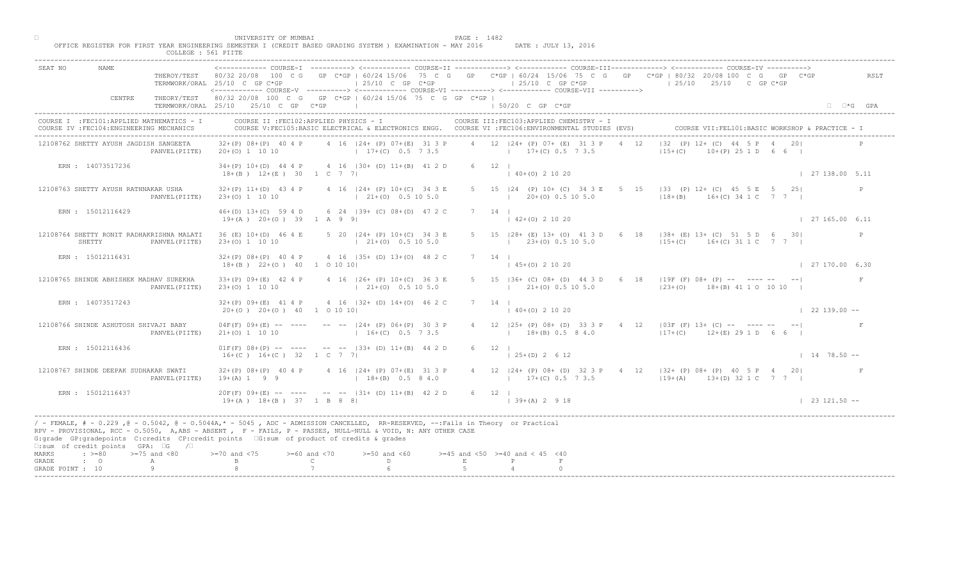| PAGE : 1482<br>OFFICE REGISTER FOR FIRST YEAR ENGINEERING SEMESTER I (CREDIT BASED GRADING SYSTEM ) EXAMINATION - MAY 2016<br>DATE : JULY 13, 2016<br>COLLEGE : 561 PIITE                                                                                                                                                                                                                                                                                                                                                                                                                       |                        |
|-------------------------------------------------------------------------------------------------------------------------------------------------------------------------------------------------------------------------------------------------------------------------------------------------------------------------------------------------------------------------------------------------------------------------------------------------------------------------------------------------------------------------------------------------------------------------------------------------|------------------------|
| ------------ COURSE-I ----------> <------------ COURSE-II -------------> <------------ COURSE-III------------> <------------> COURSE-IV ----------> <----------------> COURSE-IV ------------ COURSE-II<br><b>NAME</b><br>SEAT NO<br>THEROY/TEST 80/32 20/08 100 C G GP C*GP   60/24 15/06 75 C G GP C*GP   60/24 15/06 75 C G GP C*GP   80/32 20/08 100 C G GP C*GP<br>$125/10$ C GP C*GP<br>$125/10$ C GP $C*GP$<br>$125/10$ $25/10$ C GP C*GP<br>TERMWORK/ORAL 25/10 C GP C*GP<br><------------ COURSE-V ----------> <----------- COURSE-VI -----------> <----------- COURSE-VII ----------> | RSLT                   |
| THEORY/TEST 80/32 20/08 100 C G GP C*GP   60/24 15/06 75 C G GP C*GP  <br>CENTRE<br>TERMWORK/ORAL 25/10 25/10 C GP C*GP<br>the control of the control of the control of<br>$150/20$ C GP $C*GP$                                                                                                                                                                                                                                                                                                                                                                                                 | $\Box$ $\Box$ *G GPA   |
| COURSE II : FEC102: APPLIED PHYSICS - I<br>COURSE III: FEC103: APPLIED CHEMISTRY - I<br>COURSE I : FEC101: APPLIED MATHEMATICS - I<br>COURSE VII: FEL101: BASIC WORKSHOP & PRACTICE - 1<br>COURSE V:FEC105:BASIC ELECTRICAL & ELECTRONICS ENGG. COURSE VI :FEC106:ENVIRONMENTAL STUDIES (EVS)<br>COURSE IV : FEC104: ENGINEERING MECHANICS                                                                                                                                                                                                                                                      |                        |
| $ 32 (P) 12 + (C) 44$<br>4 12   24 + (P) 07 + (E) 31 3 P<br>$32+(P)$ 08+(P) 40 4 P 4 16   24+ (P) 07+(E) 31 3 P<br>4 12<br>12108762 SHETTY AYUSH JAGDISH SANGEETA<br>$17+(C)$ 0.5 7 3.5 $17+(C)$ 0.5 7 3.5<br>$15+(C)$<br>$10+(P)$ 25 1 D 6 6 I<br>20+(0) 1 10 10<br>PANVEL (PIITE)                                                                                                                                                                                                                                                                                                             |                        |
| $34+(P)$ 10+(D) 44 4 P 4 16  30+ (D) 11+(B) 41 2 D<br>$6 \t12 \t1$<br>ERN : 14073517236<br>$(40+(0) 2 10 20)$<br>$18+(B)$ $12+(E)$ 30 1 C 7 7                                                                                                                                                                                                                                                                                                                                                                                                                                                   | $\vert$ 27 138.00 5.11 |
| 5 15   24 (P) 10 + (C) 34 3 E 5<br>15 133 (P) 12+ (C) 45 5 E 5 25<br>12108763 SHETTY AYUSH RATHNAKAR USHA<br>4 16   24 + (P) 10 + (C) 34 3 E<br>$32+(P)$ 11+(D) 43 4 P<br>$18+(B)$ $16+(C)$ 34 1 C 7 7 1<br>$(21+(0) 0.5 10 5.0)$<br>$120+(0)0.5105.0$<br>PANVEL (PIITE)<br>$23+(0)$ 1 10 10                                                                                                                                                                                                                                                                                                    | P                      |
| $7 \quad 14 \quad$<br>ERN : 15012116429<br>46+(D) 13+(C) 59 4 D 6 24   39+ (C) 08+(D) 47 2 C<br>$142+(0)21020$<br>$19+(A)$ $20+(O)$ 39 1 A 9 9                                                                                                                                                                                                                                                                                                                                                                                                                                                  | $\vert$ 27 165.00 6.11 |
| 12108764 SHETTY RONIT RADHAKRISHNA MALATI<br>36 (E) 10+ (D) 46 4 E 5 20   24 + (P) 10 + (C) 34 3 E<br>5 15 $ 28 + (E) 13 + (O) 41 3$<br>$\overline{D}$ 6 18   38+ (E) 13+ (C) 51 5 D 6 30 <br>$(23\pm(0) 0.5 10 5.0)$<br>$(21+(0) 0.5 10 5.0)$<br>$115+(C)$ 16+(C) 31 1 C 7 7 1<br>SHETTY<br>23+(0) 1 10 10<br>PANVEL (PIITE)                                                                                                                                                                                                                                                                   |                        |
| ERN : 15012116431<br>32+(P) 08+(P) 40 4 P 4 16   35+ (D) 13+(O) 48 2 C<br>$7 \t14$<br>$45+(0)$ 2 10 20<br>$18+(B)$ $22+(O)$ 40 1 0 10 10                                                                                                                                                                                                                                                                                                                                                                                                                                                        | $\vert$ 27 170.00 6.30 |
| (C) 08+ (D) 44 3 D 6 18   19F (F) 08+ (P) -- ---- -- -- <br>12108765 SHINDE ABHISHEK MADHAV SUREKHA<br>$33+(P)$ 09+(E) 42 4 P<br>4 16   26 + (P) 10 + (C) 36 3 E<br>$\vert$ 21+(0) 0.5 10 5.0<br>$21+ (0)$ 0.5 10 5.0<br>$(23 + (0)$ 18 + (B) 41 1 0 10 10<br>PANVEL (PIITE)<br>$23+(0)$ 1 10 10                                                                                                                                                                                                                                                                                                |                        |
| $4$ 16 $ 32 + (D) 14 + (O) 46$<br>ERN : 14073517243<br>$32+(P)$ 09+(E) 41 4 P<br>$20+ (0)$ $20+ (0)$ $40$ 1 0 10 10<br>$140+(0)21020$                                                                                                                                                                                                                                                                                                                                                                                                                                                           | $\vert$ 22 139.00 --   |
| 4 12   25+ (P) 08+ (D) 33 3 P 4 12   03F (F) 13+ (C) -- ---- -- -- <br>12108766 SHINDE ASHUTOSH SHIVAJI BABY<br>$04F(F)$ $09+(E)$ -- ----<br>$--- 124+ (P) 06+(P)$<br>$21+ (0) 1 10 10$<br>$16 + (C)$<br>$18+(B)$ 0.5 8 4.0<br>$117+ (C)$ 12+(E) 29 1 D 6 6  <br>PANVEL (PIITE)                                                                                                                                                                                                                                                                                                                 |                        |
| $-- -233+$ (D) $11+(B)$ 44 2 D<br>ERN : 15012116436<br>$01F(F) 08+(P) --- ---$<br>$6 \t 12 \t 1$<br>$16+(C)$ $16+(C)$ 32 1 C<br>$\vert$ 25+(D) 2 6 12                                                                                                                                                                                                                                                                                                                                                                                                                                           | $1478.50 -$            |
| $32+(P)$ $08+(P)$ 40 4 P<br>$P(P)$ 07+(E) 31 3 P<br>12108767 SHINDE DEEPAK SUDHAKAR SWATI<br>$18+(B)$ 0.5 8 4.0<br>$19+(A) 1 9 9$<br>$13+(C) 0.5 7 3.5$ $19+(A) 13+(D) 32 1 C 7 7$<br>PANVEL (PIITE)                                                                                                                                                                                                                                                                                                                                                                                            |                        |
| ERN : 15012116437<br>$20F(F)$ 09+(E) -- -<br>$-$ -- $ 31+ (D) 11+ (B) 42 2 D$<br>6 12  <br>$19+(A)$ $18+(B)$ $37$ $1$ B 8 8<br>$139+(A) 2918$                                                                                                                                                                                                                                                                                                                                                                                                                                                   | $123121.50 - -$        |
| / - FEMALE, # - 0.229, @ - 0.5042, @ - 0.5044A,* - 5045, ADC - ADMISSION CANCELLED, RR-RESERVED, --:Fails in Theory or Practical<br>RPV - PROVISIONAL, RCC - 0.5050, A, ABS - ABSENT . P- FAILS, P - PASSES, NULL-NULL & VOID, N: ANY OTHER CASE<br>G:grade GP:gradepoints C:credits CP:credit points 6:sum of product of credits & grades<br>$\square$ :sum of credit points GPA: $\square$ G / $\square$                                                                                                                                                                                      |                        |
| MARKS<br>$\Rightarrow$ $>=$ 80 $\Rightarrow$ $=$ 75 and <80<br>$0$ and $\langle 75$<br>$>= 60$ and $< 70$<br>$>=50$ and $<60$<br>$>=45$ and $<50$ $>=40$ and $< 45$ $<40$<br>$\mathbb C$ and $\mathbb C$ and $\mathbb C$ and $\mathbb C$ and $\mathbb C$ and $\mathbb C$ and $\mathbb C$ and $\mathbb C$ and $\mathbb C$ and $\mathbb C$ and $\mathbb C$ and $\mathbb C$ and $\mathbb C$ and $\mathbb C$ and $\mathbb C$ and $\mathbb C$ and $\mathbb C$ and $\mathbb C$ and $\mathbb C$ and $\mathbb C$ and<br>$\mathbb{D}$ and $\mathbb{D}$<br>$\cdot$ 0<br>E<br>P<br>GRADE<br>A              |                        |
| 9<br>GRADE POINT : 10                                                                                                                                                                                                                                                                                                                                                                                                                                                                                                                                                                           |                        |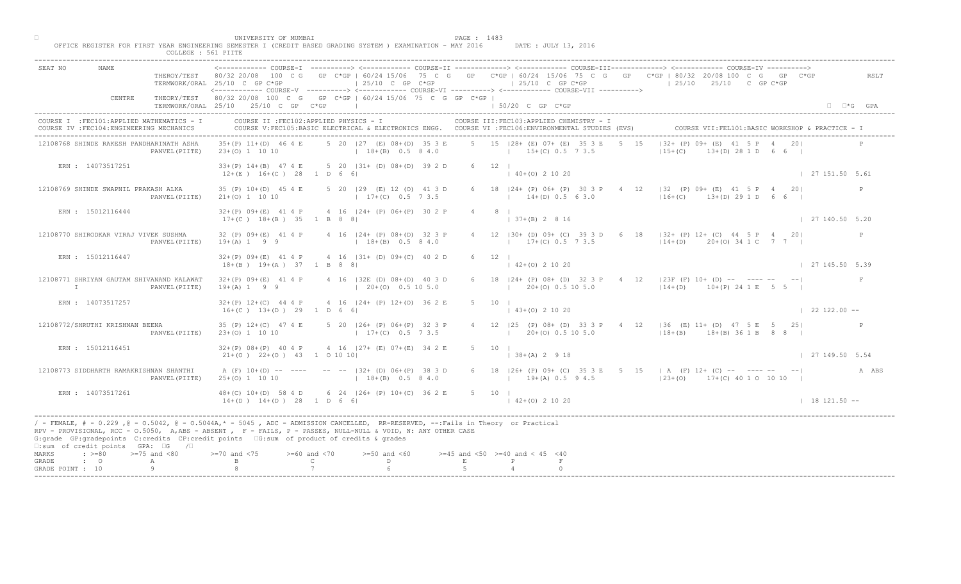|                                    |                                                                         |                                            | UNIVERSITY OF MUMBAI<br>OFFICE REGISTER FOR FIRST YEAR ENGINEERING SEMESTER I (CREDIT BASED GRADING SYSTEM ) EXAMINATION - MAY 2016                                                                                                                                                                                                         |                                                     |                                                                                                                                               | PAGE : 1483    |                                          | DATE : JULY 13, 2016                      |                                                                                                                                                                                          |                            |
|------------------------------------|-------------------------------------------------------------------------|--------------------------------------------|---------------------------------------------------------------------------------------------------------------------------------------------------------------------------------------------------------------------------------------------------------------------------------------------------------------------------------------------|-----------------------------------------------------|-----------------------------------------------------------------------------------------------------------------------------------------------|----------------|------------------------------------------|-------------------------------------------|------------------------------------------------------------------------------------------------------------------------------------------------------------------------------------------|----------------------------|
|                                    |                                                                         | COLLEGE : 561 PIITE                        |                                                                                                                                                                                                                                                                                                                                             |                                                     |                                                                                                                                               |                |                                          |                                           |                                                                                                                                                                                          |                            |
| SEAT NO                            | NAME                                                                    |                                            | TERMWORK/ORAL 25/10 C GP C*GP<br><------------ COURSE-V ----------> <------------ COURSE-VI ----------> <------------ COURSE-VII ---------->                                                                                                                                                                                                |                                                     | $125/10$ C GP $C*GP$                                                                                                                          |                |                                          |                                           | THEROY/TEST 80/32 20/08 100 C G GP C*GP   60/24 15/06 75 C G GP C*GP   60/24 15/06 75 C G GP C*GP   80/32 20/08 100 C G GP C*GP<br>$\vert$ 25/10 C GP C*GP $\vert$ 25/10 25/10 C GP C*GP | RSLT                       |
|                                    | CENTRE                                                                  |                                            | THEORY/TEST 80/32 20/08 100 C G GP C*GP   60/24 15/06 75 C G GP C*GP  <br>TERMWORK/ORAL 25/10 25/10 C GP C*GP                                                                                                                                                                                                                               |                                                     |                                                                                                                                               |                | $150/20$ C GP C*GP                       |                                           |                                                                                                                                                                                          | $\square$ $\square$ *G GPA |
|                                    | COURSE IV : FEC104: ENGINEERING MECHANICS                               | COURSE I : FEC101: APPLIED MATHEMATICS - I |                                                                                                                                                                                                                                                                                                                                             |                                                     | COURSE II : FEC102: APPLIED PHYSICS - I<br>COURSE V:FEC105:BASIC ELECTRICAL & ELECTRONICS ENGG. COURSE VI :FEC106:ENVIRONMENTAL STUDIES (EVS) |                |                                          | COURSE III: FEC103: APPLIED CHEMISTRY - I | COURSE VII: FEL101: BASIC WORKSHOP & PRACTICE -                                                                                                                                          |                            |
|                                    | 12108768 SHINDE RAKESH PANDHARINATH ASHA                                | PANVEL (PIITE)                             | 35+(P) 11+(D) 46 4 E 5 20   27 (E) 08+(D) 35 3 E 5 15   28+ (E) 07+ (E) 35 3 E 5 15<br>23+(0) 1 10 10 (18+(B) 0.5 8 4.0 (19+(C) 0.5 7 3.5                                                                                                                                                                                                   |                                                     |                                                                                                                                               |                |                                          |                                           | $ 32 + (P) 09 + (E) 41   5 P 4 20 $<br>$13+(D)$ 28 1 D 6 6  <br>$15+(C)$                                                                                                                 |                            |
|                                    | ERN : 14073517251                                                       |                                            | 33+(P) 14+(B) 47 4 E 5 20   31+ (D) 08+(D) 39 2 D<br>$12+(E)$ $16+(C)$ 28 1 D 6 6                                                                                                                                                                                                                                                           |                                                     |                                                                                                                                               |                | 6 12 1<br>$(40+(0) 2 10 20)$             |                                           |                                                                                                                                                                                          | 127151.505.61              |
|                                    | 12108769 SHINDE SWAPNIL PRAKASH ALKA                                    | PANVEL (PIITE)                             | 35 (P) 10 + (D) 45 4 E<br>$21+ (0) 1 10 10$                                                                                                                                                                                                                                                                                                 |                                                     | 5 20   29 (E) 12 (O) 41 3 D<br>$17+(C)$ 0.5 7 3.5                                                                                             |                | $14+(D)$ 0.5 6 3.0                       | 6 18   24 + (P) 06 + (P) 30 3 P 4         | 12 $ 32 \t (P) 09 + (E) 41 5 P 4 20 $<br>$16 + (C)$ $13 + (D)$ 29 1 D 6 6 1                                                                                                              |                            |
|                                    | ERN : 15012116444                                                       |                                            | $32+(P)$ 09+(E) 41 4 P 4 16   24+ (P) 06+(P) 30 2 P<br>$17+ (C)$ $18+ (B)$ 35 1 B 8 8                                                                                                                                                                                                                                                       |                                                     |                                                                                                                                               |                | $4 \qquad 8 \qquad$<br>$137+(B) 2816$    |                                           |                                                                                                                                                                                          | $\vert$ 27 140.50 5.20     |
|                                    | 12108770 SHIRODKAR VIRAJ VIVEK SUSHMA                                   | PANVEL (PIITE)                             | 32 (P) 09+(E) 41 4 P 4 16   24+ (P) 08+ (D) 32 3 P<br>$19+(A) 1 9 9$                                                                                                                                                                                                                                                                        |                                                     | $18+(B)$ 0.5 8 4.0                                                                                                                            |                | $4$ 12   30 + (D) 09 + (C) 39 3          | $17\pm (C)$ 0.5 7 3.5                     | $\overline{D}$ 6 18   32 + (P) 12 + (C) 44 5 P 4 20  <br>$114+(D)$ 20+(0) 34 1 C 7 7                                                                                                     | $\mathbb{P}$               |
|                                    | ERN : 15012116447                                                       |                                            | 32+(P) 09+(E) 41 4 P 4 16   31+ (D) 09+(C) 40 2 D<br>$18+(B)$ $19+(A)$ 37 1 B 8 8                                                                                                                                                                                                                                                           |                                                     |                                                                                                                                               |                | $6 \t12 \t1$<br>$42+(0)$ 2 10 20         |                                           |                                                                                                                                                                                          | 127145.505.39              |
| $\mathbb{I}$                       | 12108771 SHRIYAN GAUTAM SHIVANAND KALAWAT                               | PANVEL (PIITE)                             | $32+(P)$ 09+(E) 41 4 P<br>$19+(A)$ 1 9 9                                                                                                                                                                                                                                                                                                    |                                                     | 4 16   32E (D) 08+ (D) 40 3 D<br>$(20+(0) 0.5 10 5.0$                                                                                         |                |                                          |                                           | $[24 + (P) 08 + (D) 32 3 P 4 12$ $[23F (F) 10 + (D) - - - - - - - - -]$<br>20+(0) 0.5 10 5.0 (14+(D) 10+(P) 24 1 E 5 5                                                                   | $-F$                       |
|                                    | ERN : 14073517257                                                       |                                            | $32+(P)$ 12+(C) 44 4 P 4 16  24+ (P) 12+(O) 36 2 E<br>$16+(C)$ $13+(D)$ 29 1 D 6 6                                                                                                                                                                                                                                                          |                                                     |                                                                                                                                               |                | $143+(0)21020$                           |                                           |                                                                                                                                                                                          | $\vert$ 22 122,00 --       |
|                                    | 12108772/SHRUTHI KRISHNAN BEENA                                         | PANVEL (PIITE)                             | 35 (P) 12+(C) 47 4 E<br>$23+(0)$ 1 10 10                                                                                                                                                                                                                                                                                                    | $17 + (C)$                                          | $5$ 20 $ 26 + (P)$ 06+ $(P)$                                                                                                                  |                |                                          |                                           | 4 12   25 (P) 08+ (D) 33 3 P 4 12   36 (E) 11+ (D) 47 5 E 5 25  <br>$18 + (B)$ 36 1 B 8 8 H                                                                                              |                            |
|                                    | ERN : 15012116451                                                       |                                            | $32+(P)$ 08+(P) 40 4 P<br>$21+(0)$ $22+(0)$ $43$ 1 0 10 10                                                                                                                                                                                                                                                                                  |                                                     | 4 16 $ 27 + (E) 07 + (E) 34 2 E$                                                                                                              |                | 5 10  <br>$138+(A) 2918$                 |                                           |                                                                                                                                                                                          | 127149.505.54              |
|                                    | 12108773 SIDDHARTH RAMAKRISHNAN SHANTHI                                 | PANVEL (PIITE)                             | $25+(0)$ 1 10 10                                                                                                                                                                                                                                                                                                                            |                                                     | $(D) 06+(P) 38 3 D$<br>$18+(B)$ 0.5 8 4.0                                                                                                     |                |                                          |                                           | 6 18   26+ (P) 09+ (C) 35 3 E 5 15   A (F) 12+ (C) -- ---- -- -- --<br>$19+(A) 0.5 9 4.5$ $123+(O) 17+(C) 40 1 0 10 10$                                                                  | A ABS                      |
|                                    | ERN : 14073517261                                                       |                                            | $48+(C)$ 10+(D) 58 4<br>$48 + (C) 10 + (D) 58 4$<br>14+(D) 14+(D) 28<br>10 6 6                                                                                                                                                                                                                                                              |                                                     |                                                                                                                                               | $5 \t 10 \t 1$ | $(42+(0) 2 10 20)$                       |                                           |                                                                                                                                                                                          | $18121.50 -$               |
|                                    | □:sum of credit points GPA: □G /□                                       |                                            | / - FEMALE, # - 0.229, @ - 0.5042, @ - 0.5044A,* - 5045, ADC - ADMISSION CANCELLED, RR-RESERVED, --:Fails in Theory or Practical<br>RPV - PROVISIONAL, RCC - 0.5050, A, ABS - ABSENT A P - FAILS, P - PASSES, NULL-NULL & VOID, N: ANY OTHER CASE<br>G:grade GP:gradepoints C:credits CP:credit points G:sum of product of credits & grades |                                                     |                                                                                                                                               |                |                                          |                                           |                                                                                                                                                                                          |                            |
| MARKS<br>GRADE<br>GRADE POINT : 10 | $\Rightarrow$ $>=$ 80 $\Rightarrow$ $=$ 75 and <80<br>$\cdot$ $\cdot$ 0 | $\mathbb{A}$<br>9                          | $> = 70$ and $< 75$                                                                                                                                                                                                                                                                                                                         | $>= 60$ and $< 70$<br>$\mathbb{C}$ and $\mathbb{C}$ | $>=50$ and $<60$<br>$D \sim 1$                                                                                                                | $\mathbf{E}$   | $>=45$ and $<50$ $>=40$ and $< 45$ $<40$ |                                           |                                                                                                                                                                                          |                            |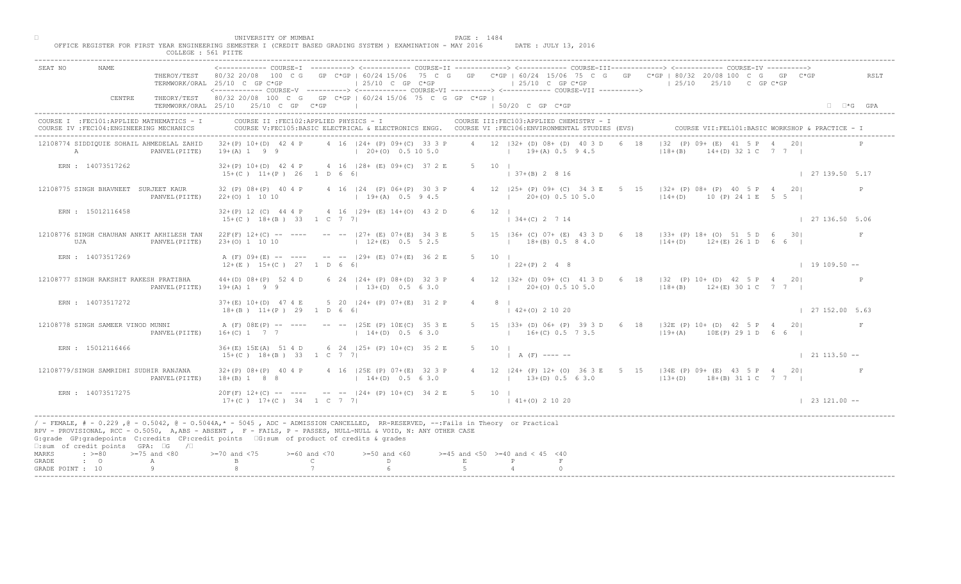|                                                                                                                                                                                                                                                                                                                                                                                                    | COLLEGE : 561 PIITE     |                                                                                                                                                           |                                    |                                                                                                    |              |                                                      |             |                                                                                                                                                                                                                                                      |     |                            |
|----------------------------------------------------------------------------------------------------------------------------------------------------------------------------------------------------------------------------------------------------------------------------------------------------------------------------------------------------------------------------------------------------|-------------------------|-----------------------------------------------------------------------------------------------------------------------------------------------------------|------------------------------------|----------------------------------------------------------------------------------------------------|--------------|------------------------------------------------------|-------------|------------------------------------------------------------------------------------------------------------------------------------------------------------------------------------------------------------------------------------------------------|-----|----------------------------|
| SEAT NO<br>NAME                                                                                                                                                                                                                                                                                                                                                                                    | THEROY/TEST 80/32 20/08 | 100 C G<br>TERMWORK/ORAL 25/10 C GP C*GP<br><------------ COURSE-V ----------> <------------ COURSE-VT -----------> <------------ COURSE-VTT -----------> |                                    | $125/10$ C GP C*GP                                                                                 |              | $125/10$ C GP C*GP                                   |             | COURSE-I ----------> <------------ COURSE-II -------------> <------------ COURSE-III------------> <----------- COURSE-IV<br>GP C*GP   60/24 15/06 75 C G GP C*GP   60/24 15/06 75 C G GP C*GP   80/32 20/08 100 C G GP<br>$125/10$ $25/10$ C GP C*GP |     | RSLT                       |
| CENTRE                                                                                                                                                                                                                                                                                                                                                                                             |                         | THEORY/TEST 80/32 20/08 100 C G GP C*GP   60/24 15/06 75 C G GP C*GP  <br>TERMWORK/ORAL 25/10 25/10 C GP C*GP                                             |                                    |                                                                                                    |              | 1 50/20 C GP C*GP                                    |             |                                                                                                                                                                                                                                                      |     | $\Box$ $\Box$ *G GPA       |
| COURSE I : FEC101: APPLIED MATHEMATICS - I<br>COURSE IV : FEC104: ENGINEERING MECHANICS                                                                                                                                                                                                                                                                                                            |                         | COURSE II : FEC102: APPLIED PHYSICS - I                                                                                                                   |                                    | COURSE V:FEC105:BASIC ELECTRICAL & ELECTRONICS ENGG. COURSE VI :FEC106:ENVIRONMENTAL STUDIES (EVS) |              | COURSE III: FEC103: APPLIED CHEMISTRY - I            |             |                                                                                                                                                                                                                                                      |     |                            |
| 12108774 SIDDIOUIE SOHAIL AHMEDELAL ZAHID<br>A                                                                                                                                                                                                                                                                                                                                                     | PANVEL (PIITE)          | $32+(P)$ 10+(D) 42 4 P<br>$19+(A) 1 9 9$                                                                                                                  |                                    | 4 16   24 + (P) 09 + (C) 33 3 P<br>$(20+(0) 0.5 10 5.0)$                                           |              | 4 12 132 + (D) 08 + (D) 40 3 D<br>$19+(A) 0.5 9 4.5$ | 18          | $132$ (P) $09 + \sqrt{E}$ 41 5 P 4<br>$(D)$ 32 1 C 7 7 1<br>$18 + (B)$                                                                                                                                                                               |     |                            |
| ERN : 14073517262                                                                                                                                                                                                                                                                                                                                                                                  |                         | $15+(C)$ $11+(P)$ 26 1 D 6 6                                                                                                                              |                                    | $32+(P)$ 10+(D) 42 4 P 4 16  28+ (E) 09+(C) 37 2 E                                                 |              | $5 \t10 \t1$<br>$137+(B) 2816$                       |             |                                                                                                                                                                                                                                                      |     | 127139.505.17              |
| 12108775 SINGH BHAVNEET SURJEET KAUR                                                                                                                                                                                                                                                                                                                                                               | PANVEL (PIITE)          | 32 (P) 08+ (P) 40 4 P<br>$22+(0)$ 1 10 10                                                                                                                 |                                    | 4 16   24 (P) 06+ (P) 30 3 P<br>$19+(A)$ 0.5 9 4.5                                                 |              | 4 12   25+ (P) 09+ (C) 34 3 E<br>$20+(0)$ 0.5 10 5.0 | $5^{\circ}$ | $15$ $ 32 + (P) 08 + (P) 40 5 P$<br>$14+(D)$ 10 (P) 24 1 E                                                                                                                                                                                           | 201 | P                          |
| ERN : 15012116458                                                                                                                                                                                                                                                                                                                                                                                  |                         | $32+(P)$ 12 (C) 44 4 P<br>$15+(C)$ $18+(B)$ 33 1 C 7 7                                                                                                    |                                    | 4 16 129 + (E) 14 + (O) 43 2 D                                                                     |              | $12 \quad \square$<br>$\vert$ 34+(C) 2 7 14          |             |                                                                                                                                                                                                                                                      |     | $\frac{1}{27}$ 136.50 5.06 |
| 12108776 SINGH CHAUHAN ANKIT AKHILESH TAN<br>UJA                                                                                                                                                                                                                                                                                                                                                   | PANVEL (PIITE)          | $23+(0)$ 1 10 10                                                                                                                                          |                                    | $22F(F)$ 12+(C) -- ---- -- -- $-$ -27+ (E) 07+(E) 34 3 E<br>$12+(E)$ 0.5 5 2.5                     |              | $15$ $ 36+$ (C) $07+$ (E) 43<br>$18+(B)$ 0.5 8 4.0   |             | 6 18   33+ (P) 18+ (O) 51 5 D 6 30  <br>$114+(D)$ $12+(E)$ 26 1 D 6 6                                                                                                                                                                                |     | $\mathbf{F}$               |
| ERN : 14073517269                                                                                                                                                                                                                                                                                                                                                                                  |                         | $12+(E)$ 15+(C) 27 1 D 6 6                                                                                                                                |                                    | A (F) 09+(E) -- ---- -- -- 129+ (E) 07+(E) 36 2 E                                                  | $5 -$        | 10                                                   |             |                                                                                                                                                                                                                                                      |     | $1 19 109.50 --$           |
| 12108777 SINGH RAKSHIT RAKESH PRATIBHA                                                                                                                                                                                                                                                                                                                                                             | PANVEL (PIITE)          | $44+(D)$ $08+(P)$ 52 4 D<br>$19+(A) 1 9 9$                                                                                                                |                                    | 6 24   24 + (P) 08 + (D) 32 3 P<br>$13+(D)$ 0.5 6 3.0                                              |              | $20+ (0)$ 0.5 10 5.0                                 |             | 32 + (D) 09 + (C) 41 3 D 6 18   32 (P) 10 + (D) 42 5 P 4 20<br>$12+(B)$ $12+(E)$ 30 1 C 7 7                                                                                                                                                          |     |                            |
| ERN : 14073517272                                                                                                                                                                                                                                                                                                                                                                                  |                         | $37+(E)$ 10+(D) 47 4 E<br>$18+(B)$ $11+(P)$ 29 1 D 6 6                                                                                                    |                                    | 5 20   24 + (P) 07 + (E) 31 2                                                                      |              | $\vert$ 42+(0) 2 10 20                               |             |                                                                                                                                                                                                                                                      |     | 127152.005.63              |
| 12108778 SINGH SAMEER VINOD MUNNI                                                                                                                                                                                                                                                                                                                                                                  | PANVEL (PIITE)          | A (F) 08E(P) -- ----<br>$16 + (C)$ 1 7 7                                                                                                                  |                                    | $-  25E$ (P) $10E$ (C)<br>$14+(D)$                                                                 |              | $16+(C)$ 0.5 7 3.5                                   |             | 5 15   33+ (D) 06+ (P) 39 3 D 6 18   32E (P) 10+ (D) 42 5 P 4 20 <br>$19+ (A)$<br>10E(P) 29 1 D 6 6                                                                                                                                                  |     |                            |
| ERN : 15012116466                                                                                                                                                                                                                                                                                                                                                                                  |                         | 36+(E) 15E(A) 51 4 D<br>$15+(C)$ $18+(B)$ 33 1 C 7                                                                                                        |                                    | 6 24 $(25 + (P) 10 + (C) 35 2 E)$                                                                  |              | $5 \t 10 \t 1$<br>$A(F)$ ---- --                     |             |                                                                                                                                                                                                                                                      |     | $\vert$ 21 113.50 --       |
| 12108779/SINGH SAMRIDHI SUDHIR RANJANA                                                                                                                                                                                                                                                                                                                                                             | PANVEL (PIITE)          | $32+(P)$ $08+(P)$ 40 4 P<br>$18+(B) 1 8 8$                                                                                                                |                                    | $125E$ (P) 07+(E) 32 3 P<br>$14+(D)$ 0.5 63.0                                                      |              | $13+(D) 0.5 6 3.0$                                   |             | 4 12   24 + (P) 12 + (O) 36 3 E 5 15   34 E (P) 09 + (E) 43 5 P 4 20  <br>$(13+(D) 18+(B) 31 1 C 7 7 1)$                                                                                                                                             |     |                            |
| ERN : 14073517275                                                                                                                                                                                                                                                                                                                                                                                  |                         | $20F(F)$ 12+(C) -- -<br>$17+(C)$ $17+(C)$ $34$ $1 C$ 7 7                                                                                                  |                                    | $--$ -- $ 24 + (P) 10 + (C) 34 2 E$                                                                |              | 5 10 1<br>$141+(0)21020$                             |             |                                                                                                                                                                                                                                                      |     | $123121.00 - -$            |
| / - FEMALE, # - 0.229 ,@ - 0.5042, @ - 0.5044A,* - 5045 , ADC - ADMISSION CANCELLED, RR-RESERVED, --:Fails in Theory or Practical<br>RPV - PROVISIONAL, RCC - 0.5050, A, ABS - ABSENT, Y F - FAILS, P - PASSES, NULL-NULL & VOID, N: ANY OTHER CASE<br>G:grade GP:gradepoints C:credits CP:credit points G:sum of product of credits & grades<br>$\square$ : sum of credit points GPA: $\square$ G | $\sqrt{2}$              |                                                                                                                                                           |                                    |                                                                                                    |              |                                                      |             |                                                                                                                                                                                                                                                      |     |                            |
| $\div$ >=80 >=75 and <80<br>MARKS<br>$\cdot$ 0<br>GRADE<br>GRADE POINT : 10                                                                                                                                                                                                                                                                                                                        | А<br>Q                  | $>-70$ and $< 75$                                                                                                                                         | $>= 60$ and $< 70$<br>$\mathsf{C}$ | $>=50$ and $<60$<br>D                                                                              | $\mathbf{E}$ | $>=45$ and $<50$ $>=40$ and $< 45$ $<40$             |             |                                                                                                                                                                                                                                                      |     |                            |
|                                                                                                                                                                                                                                                                                                                                                                                                    |                         |                                                                                                                                                           |                                    |                                                                                                    |              |                                                      |             |                                                                                                                                                                                                                                                      |     |                            |

□ PAGE : 1484<br>OFFICE REGISTER FOR FIRST YEAR ENGINEERING SEMESTER I (CREDIT BASED GRADING SYSTEM ) EXAMINATION - MAY 2016 DATE : JULY 13, 2016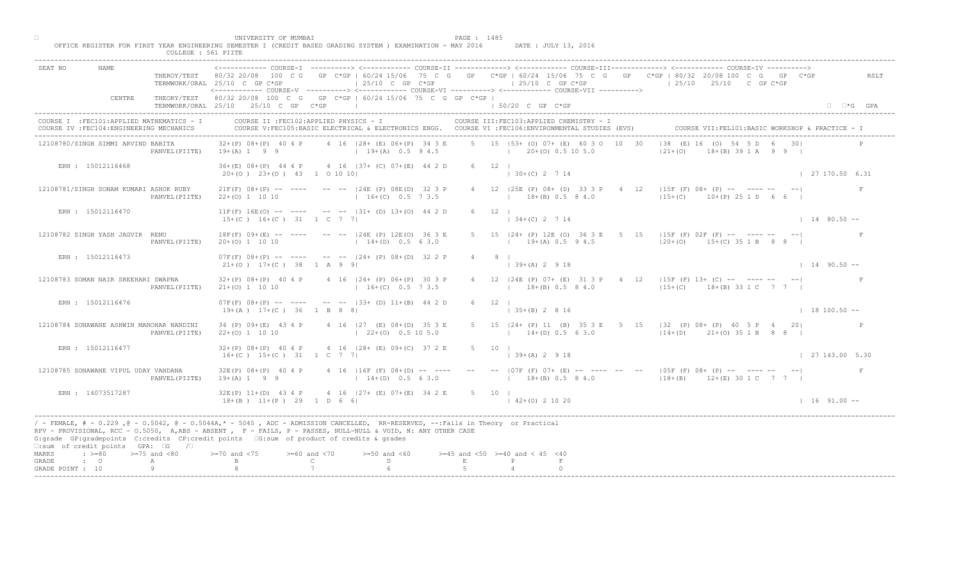| ------------ COURSE-I ----------> <------------ COURSE-II -------------> <------------ COURSE-III------------> <------------> COURSE-IV ----------> <----------------> COURSE-IV ------------ COURSE-II<br>NAME<br>SEAT NO<br>THEROY/TEST 80/32 20/08 100 C G GP C*GP   60/24 15/06 75 C G GP C*GP   60/24 15/06 75 C G GP C*GP   80/32 20/08 100 C G GP C*GP<br>$125/10$ C GP C*GP<br>$125/10$ C GP C*GP<br>$125/10$ $25/10$ C GP C*GP<br>TERMWORK/ORAL 25/10 C GP C*GP<br><----------- COURSE-V ----------> <----------- COURSE-VI -----------> <------------ COURSE-VII ----------><br>THEORY/TEST 80/32 20/08 100 C G GP C*GP   60/24 15/06 75 C G GP C*GP  <br>CENTRE<br>TERMWORK/ORAL 25/10 25/10 C GP C*GP<br>the control of the control of the control of<br>1 50/20 C GP C*GP<br>$\Box$ $\Box$ *G GPA<br>COURSE II : FEC102: APPLIED PHYSICS - I<br>COURSE III: FEC103: APPLIED CHEMISTRY - I<br>COURSE I : FEC101: APPLIED MATHEMATICS - I<br>COURSE VII: FEL101: BASIC WORKSHOP & PRACTICE - 1<br>COURSE IV : FEC104: ENGINEERING MECHANICS<br>COURSE V:FEC105:BASIC ELECTRICAL & ELECTRONICS ENGG. COURSE VI :FEC106:ENVIRONMENTAL STUDIES (EVS)<br>$ 38 \t(E) 16 \t \t\t (0) 54   5$<br>5 15 153+ (0) 07+ (E) 60 3 0 10 30<br>$32+(P)$ 08+(P) 40 4 P 4 16   28+ (E) 06+(P) 34 3 E<br>12108780/SINGH SIMMI ARVIND BABITA<br>$19+(A)$ 1 9 9 $19+(A)$ 0.5 9 4.5<br>$(20+(0) 0.5 10 5.0$<br>$ 21+(0) $<br>$18 + (B)$ 39 1 A 9 9 1<br>PANVEL (PIITE)<br>$6 \t 12 \t 1$<br>ERN : 15012116468<br>36+(E) 08+(P) 44 4 P 4 16   37+ (C) 07+(E) 44 2 D<br>$130+(C) 2714$<br>$\vert$ 27 170.50 6.31<br>$20+ (0)$ $23+ (0)$ $43$ 1 0 10 10<br>4 12   25E (P) 08+ (D) 33 3 P 4<br>12   15F (F) 08+ (P) -- ---- --<br>12108781/SINGH SONAM KUMARI ASHOK RUBY<br>$21F(F)$ 08+(P) -- ---- -- --  24E (P) 08E(D) 32 3 P<br>$115+(C)$ $10+(P)$ 25 1 D 6 6<br>$16+(C)$ 0.5 7 3.5<br>$18+(B)$ 0.5 8 4.0<br>PANVEL (PIITE)<br>$22+(0)$ 1 10 10<br>ERN : 15012116470<br>$11F(F) 16E(O)$ -- ---- -- -- $-131+ (D) 13+(O) 44 2 D$<br>$6 \t12 \t1$<br>$134+(C)$ 2 7 14<br>$15+(C)$ $16+(C)$ $31$ $1$ C 7 7<br>$1480.50 -$<br>5 15 $ 24 + (P) 12E (0) 36 3$<br>$E = 5$ 15 (15 F (F) 02 F (F) -- ------ --<br>12108782 SINGH YASH JAGVIR RENU<br>$18F(F)$ 09+(E) -- ---- -- --  24E (P) 12E(O) 36 3 E<br>$19\pm(A)$ 0.5 9 4.5<br>$14+(D)$ 0.5 6 3.0<br>$120+(0)$ 15+(C) 35 1 B 8 8  <br>$20+(0)$ 1 10 10<br>PANVEL (PIITE)<br>$07F(F)$ $08+(P)$ -- --- -- -- $  124+(P)$ $08+(D)$ 32 2 P<br>ERN : 15012116473<br>$8 \mid$<br>$4\degree$<br>$39+(A)$ 2 9 18<br>$21+(0)$ 17+(C) 38 1 A 9 9<br>$1490.50 -$<br>4 16   24 + (P) 06 + (P) 30 3 P<br>$24E(P)$ 07+ (E) 31 3 P 4 12   15F (F) 13+ (C) -- ---- -- -- <br>12108783 SOMAN NAIR SREEHARI SWAPNA<br>$32+(P)$ $08+(P)$ 40 4 P<br>$18+(B)$ 0.5 8 4.0<br>$16+(C)$ 0.5 7 3.5<br>$15+(C)$ 18+(B) 33 1 C 7 7  <br>$21+(0)$ 1 10 10<br>PANVEL (PIITE)<br>$07F(F)$ $08+(P)$ -- ---- -- -- $133+(D)$ $11+(B)$ 44 2<br>ERN : 15012116476<br>$19+(A)$ $17+(C)$ 36 1 B 8 8<br>$\vert$ 35+(B) 2 8 16<br>$18100.50 -$<br>5 15   24 + (P) 11 (B) 35 3 E 5 15   32 (P) 08 + (P) 40 5 P 4 20<br>12108784 SONAWANE ASHWIN MANOHAR NANDINI<br>34 (P) 09+(E) 43 4 P<br>4 16 $ 27 (E) 08+(D)$<br>$14+(D)$ 0.5 6 3.0<br>$114+(D)$ $21+(O)$ 35 1 B 8 8  <br>PANVEL (PIITE)<br>$22+(0)$ 1 10 10<br>$1 \t22+(0)$<br>ERN : 15012116477<br>$32+(P)$ 08+(P) 40 4 P<br>4 16 $ 28 + (E) 09 + (C) 37 2 E$<br>$5 \qquad 10 \qquad$<br>$16+(C)$ $15+(C)$ 31 1 C 7<br>$139+(A)2918$<br>$\vert$ 27 143.00 5.30<br>$32E(P)$ $08+(P)$ 40 4 P<br>16F<br>$(F)$ 08+(D) -- ----<br>-- --   07F (F) 07+ (E) -- ---- -- --   05F (F) 08+ (P) -- ---- -- -- <br>12108785 SONAWANE VIPUL UDAY VANDANA<br>F<br>$14+(D)$ 0.5 6 3.0<br>$19+(A) 1 9 9$<br>$12+(E)$ 0.5 8 4.0 $12+(E)$ 30 1 C 7 7  <br>PANVEL (PIITE) | UNIVERSITY OF MUMBAI<br>COLLEGE : 561 PIITE | OFFICE REGISTER FOR FIRST YEAR ENGINEERING SEMESTER I (CREDIT BASED GRADING SYSTEM ) EXAMINATION - MAY 2016 | PAGE : 1485<br>DATE : JULY 13, 2016 |      |
|--------------------------------------------------------------------------------------------------------------------------------------------------------------------------------------------------------------------------------------------------------------------------------------------------------------------------------------------------------------------------------------------------------------------------------------------------------------------------------------------------------------------------------------------------------------------------------------------------------------------------------------------------------------------------------------------------------------------------------------------------------------------------------------------------------------------------------------------------------------------------------------------------------------------------------------------------------------------------------------------------------------------------------------------------------------------------------------------------------------------------------------------------------------------------------------------------------------------------------------------------------------------------------------------------------------------------------------------------------------------------------------------------------------------------------------------------------------------------------------------------------------------------------------------------------------------------------------------------------------------------------------------------------------------------------------------------------------------------------------------------------------------------------------------------------------------------------------------------------------------------------------------------------------------------------------------------------------------------------------------------------------------------------------------------------------------------------------------------------------------------------------------------------------------------------------------------------------------------------------------------------------------------------------------------------------------------------------------------------------------------------------------------------------------------------------------------------------------------------------------------------------------------------------------------------------------------------------------------------------------------------------------------------------------------------------------------------------------------------------------------------------------------------------------------------------------------------------------------------------------------------------------------------------------------------------------------------------------------------------------------------------------------------------------------------------------------------------------------------------------------------------------------------------------------------------------------------------------------------------------------------------------------------------------------------------------------------------------------------------------------------------------------------------------------------------------------------------------------------------------------------------------------------------------------------------------------------------------------------------------------------------------------------------------------------------------------------------------------------------------------------------------------------------------------------|---------------------------------------------|-------------------------------------------------------------------------------------------------------------|-------------------------------------|------|
|                                                                                                                                                                                                                                                                                                                                                                                                                                                                                                                                                                                                                                                                                                                                                                                                                                                                                                                                                                                                                                                                                                                                                                                                                                                                                                                                                                                                                                                                                                                                                                                                                                                                                                                                                                                                                                                                                                                                                                                                                                                                                                                                                                                                                                                                                                                                                                                                                                                                                                                                                                                                                                                                                                                                                                                                                                                                                                                                                                                                                                                                                                                                                                                                                                                                                                                                                                                                                                                                                                                                                                                                                                                                                                                                                                                                        |                                             |                                                                                                             |                                     | RSLT |
|                                                                                                                                                                                                                                                                                                                                                                                                                                                                                                                                                                                                                                                                                                                                                                                                                                                                                                                                                                                                                                                                                                                                                                                                                                                                                                                                                                                                                                                                                                                                                                                                                                                                                                                                                                                                                                                                                                                                                                                                                                                                                                                                                                                                                                                                                                                                                                                                                                                                                                                                                                                                                                                                                                                                                                                                                                                                                                                                                                                                                                                                                                                                                                                                                                                                                                                                                                                                                                                                                                                                                                                                                                                                                                                                                                                                        |                                             |                                                                                                             |                                     |      |
|                                                                                                                                                                                                                                                                                                                                                                                                                                                                                                                                                                                                                                                                                                                                                                                                                                                                                                                                                                                                                                                                                                                                                                                                                                                                                                                                                                                                                                                                                                                                                                                                                                                                                                                                                                                                                                                                                                                                                                                                                                                                                                                                                                                                                                                                                                                                                                                                                                                                                                                                                                                                                                                                                                                                                                                                                                                                                                                                                                                                                                                                                                                                                                                                                                                                                                                                                                                                                                                                                                                                                                                                                                                                                                                                                                                                        |                                             |                                                                                                             |                                     |      |
|                                                                                                                                                                                                                                                                                                                                                                                                                                                                                                                                                                                                                                                                                                                                                                                                                                                                                                                                                                                                                                                                                                                                                                                                                                                                                                                                                                                                                                                                                                                                                                                                                                                                                                                                                                                                                                                                                                                                                                                                                                                                                                                                                                                                                                                                                                                                                                                                                                                                                                                                                                                                                                                                                                                                                                                                                                                                                                                                                                                                                                                                                                                                                                                                                                                                                                                                                                                                                                                                                                                                                                                                                                                                                                                                                                                                        |                                             |                                                                                                             |                                     |      |
|                                                                                                                                                                                                                                                                                                                                                                                                                                                                                                                                                                                                                                                                                                                                                                                                                                                                                                                                                                                                                                                                                                                                                                                                                                                                                                                                                                                                                                                                                                                                                                                                                                                                                                                                                                                                                                                                                                                                                                                                                                                                                                                                                                                                                                                                                                                                                                                                                                                                                                                                                                                                                                                                                                                                                                                                                                                                                                                                                                                                                                                                                                                                                                                                                                                                                                                                                                                                                                                                                                                                                                                                                                                                                                                                                                                                        |                                             |                                                                                                             |                                     |      |
|                                                                                                                                                                                                                                                                                                                                                                                                                                                                                                                                                                                                                                                                                                                                                                                                                                                                                                                                                                                                                                                                                                                                                                                                                                                                                                                                                                                                                                                                                                                                                                                                                                                                                                                                                                                                                                                                                                                                                                                                                                                                                                                                                                                                                                                                                                                                                                                                                                                                                                                                                                                                                                                                                                                                                                                                                                                                                                                                                                                                                                                                                                                                                                                                                                                                                                                                                                                                                                                                                                                                                                                                                                                                                                                                                                                                        |                                             |                                                                                                             |                                     |      |
|                                                                                                                                                                                                                                                                                                                                                                                                                                                                                                                                                                                                                                                                                                                                                                                                                                                                                                                                                                                                                                                                                                                                                                                                                                                                                                                                                                                                                                                                                                                                                                                                                                                                                                                                                                                                                                                                                                                                                                                                                                                                                                                                                                                                                                                                                                                                                                                                                                                                                                                                                                                                                                                                                                                                                                                                                                                                                                                                                                                                                                                                                                                                                                                                                                                                                                                                                                                                                                                                                                                                                                                                                                                                                                                                                                                                        |                                             |                                                                                                             |                                     |      |
|                                                                                                                                                                                                                                                                                                                                                                                                                                                                                                                                                                                                                                                                                                                                                                                                                                                                                                                                                                                                                                                                                                                                                                                                                                                                                                                                                                                                                                                                                                                                                                                                                                                                                                                                                                                                                                                                                                                                                                                                                                                                                                                                                                                                                                                                                                                                                                                                                                                                                                                                                                                                                                                                                                                                                                                                                                                                                                                                                                                                                                                                                                                                                                                                                                                                                                                                                                                                                                                                                                                                                                                                                                                                                                                                                                                                        |                                             |                                                                                                             |                                     |      |
|                                                                                                                                                                                                                                                                                                                                                                                                                                                                                                                                                                                                                                                                                                                                                                                                                                                                                                                                                                                                                                                                                                                                                                                                                                                                                                                                                                                                                                                                                                                                                                                                                                                                                                                                                                                                                                                                                                                                                                                                                                                                                                                                                                                                                                                                                                                                                                                                                                                                                                                                                                                                                                                                                                                                                                                                                                                                                                                                                                                                                                                                                                                                                                                                                                                                                                                                                                                                                                                                                                                                                                                                                                                                                                                                                                                                        |                                             |                                                                                                             |                                     |      |
|                                                                                                                                                                                                                                                                                                                                                                                                                                                                                                                                                                                                                                                                                                                                                                                                                                                                                                                                                                                                                                                                                                                                                                                                                                                                                                                                                                                                                                                                                                                                                                                                                                                                                                                                                                                                                                                                                                                                                                                                                                                                                                                                                                                                                                                                                                                                                                                                                                                                                                                                                                                                                                                                                                                                                                                                                                                                                                                                                                                                                                                                                                                                                                                                                                                                                                                                                                                                                                                                                                                                                                                                                                                                                                                                                                                                        |                                             |                                                                                                             |                                     |      |
|                                                                                                                                                                                                                                                                                                                                                                                                                                                                                                                                                                                                                                                                                                                                                                                                                                                                                                                                                                                                                                                                                                                                                                                                                                                                                                                                                                                                                                                                                                                                                                                                                                                                                                                                                                                                                                                                                                                                                                                                                                                                                                                                                                                                                                                                                                                                                                                                                                                                                                                                                                                                                                                                                                                                                                                                                                                                                                                                                                                                                                                                                                                                                                                                                                                                                                                                                                                                                                                                                                                                                                                                                                                                                                                                                                                                        |                                             |                                                                                                             |                                     |      |
|                                                                                                                                                                                                                                                                                                                                                                                                                                                                                                                                                                                                                                                                                                                                                                                                                                                                                                                                                                                                                                                                                                                                                                                                                                                                                                                                                                                                                                                                                                                                                                                                                                                                                                                                                                                                                                                                                                                                                                                                                                                                                                                                                                                                                                                                                                                                                                                                                                                                                                                                                                                                                                                                                                                                                                                                                                                                                                                                                                                                                                                                                                                                                                                                                                                                                                                                                                                                                                                                                                                                                                                                                                                                                                                                                                                                        |                                             |                                                                                                             |                                     |      |
|                                                                                                                                                                                                                                                                                                                                                                                                                                                                                                                                                                                                                                                                                                                                                                                                                                                                                                                                                                                                                                                                                                                                                                                                                                                                                                                                                                                                                                                                                                                                                                                                                                                                                                                                                                                                                                                                                                                                                                                                                                                                                                                                                                                                                                                                                                                                                                                                                                                                                                                                                                                                                                                                                                                                                                                                                                                                                                                                                                                                                                                                                                                                                                                                                                                                                                                                                                                                                                                                                                                                                                                                                                                                                                                                                                                                        |                                             |                                                                                                             |                                     |      |
|                                                                                                                                                                                                                                                                                                                                                                                                                                                                                                                                                                                                                                                                                                                                                                                                                                                                                                                                                                                                                                                                                                                                                                                                                                                                                                                                                                                                                                                                                                                                                                                                                                                                                                                                                                                                                                                                                                                                                                                                                                                                                                                                                                                                                                                                                                                                                                                                                                                                                                                                                                                                                                                                                                                                                                                                                                                                                                                                                                                                                                                                                                                                                                                                                                                                                                                                                                                                                                                                                                                                                                                                                                                                                                                                                                                                        |                                             |                                                                                                             |                                     |      |
| $32E(P)$ 11+(D) 43 4 P<br>$4 \cdot 16$ $ 27 + (E) 07 + (E) 34 2 E$<br>ERN : 14073517287<br>$5 \t 10 \t 1$<br>$18+(B)$ $11+(P)$ $29$ $D = 6$ 6<br>$142+(0)21020$<br>$1 16 91.00 -$                                                                                                                                                                                                                                                                                                                                                                                                                                                                                                                                                                                                                                                                                                                                                                                                                                                                                                                                                                                                                                                                                                                                                                                                                                                                                                                                                                                                                                                                                                                                                                                                                                                                                                                                                                                                                                                                                                                                                                                                                                                                                                                                                                                                                                                                                                                                                                                                                                                                                                                                                                                                                                                                                                                                                                                                                                                                                                                                                                                                                                                                                                                                                                                                                                                                                                                                                                                                                                                                                                                                                                                                                      |                                             |                                                                                                             |                                     |      |
| / - FEMALE, # - 0.229, @ - 0.5042, @ - 0.5044A,* - 0045, ADC - ADMISSION CANCELLED, RR-RESERVED, --:Fails in Theory or Practical<br>RPV - PROVISIONAL, RCC - 0.5050, A, ABS - ABSENT A P - FAILS, P - PASSES, NULL-NULL & VOID, N: ANY OTHER CASE<br>G:grade GP:gradepoints C:credits CP:credit points (G:sum of product of credits & grades<br>□:sum of credit points GPA: □G /□                                                                                                                                                                                                                                                                                                                                                                                                                                                                                                                                                                                                                                                                                                                                                                                                                                                                                                                                                                                                                                                                                                                                                                                                                                                                                                                                                                                                                                                                                                                                                                                                                                                                                                                                                                                                                                                                                                                                                                                                                                                                                                                                                                                                                                                                                                                                                                                                                                                                                                                                                                                                                                                                                                                                                                                                                                                                                                                                                                                                                                                                                                                                                                                                                                                                                                                                                                                                                      |                                             |                                                                                                             |                                     |      |
| MARKS<br>$\Rightarrow$ $>=$ 80 $>=$ 75 and <80<br>$\lambda$ and $\langle 75 \rangle$<br>$>= 60$ and $< 70$<br>$>=50$ and $<60$<br>$>=45$ and $<50$ $>=40$ and $< 45$ $<40$<br>$\mathbb{C}$ and $\mathbb{C}$<br>$D \sim 1$<br>$\cdot$ 0<br>E<br>$\mathbb{P}$<br>GRADE<br>A<br>GRADE POINT : 10                                                                                                                                                                                                                                                                                                                                                                                                                                                                                                                                                                                                                                                                                                                                                                                                                                                                                                                                                                                                                                                                                                                                                                                                                                                                                                                                                                                                                                                                                                                                                                                                                                                                                                                                                                                                                                                                                                                                                                                                                                                                                                                                                                                                                                                                                                                                                                                                                                                                                                                                                                                                                                                                                                                                                                                                                                                                                                                                                                                                                                                                                                                                                                                                                                                                                                                                                                                                                                                                                                          |                                             |                                                                                                             |                                     |      |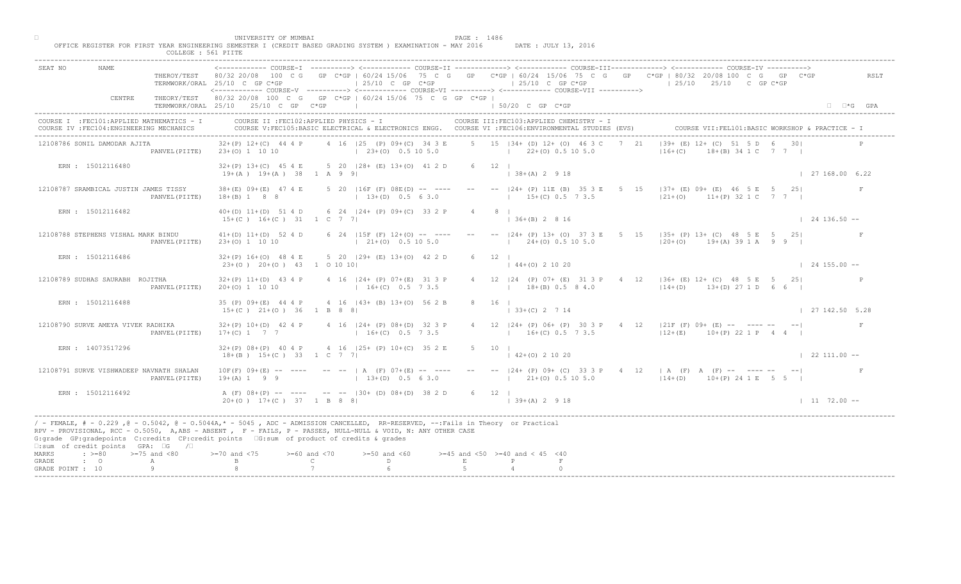|                           |                                                                                         | COLLEGE : 561 PIITE | UNIVERSITY OF MUMBAI                                 | OFFICE REGISTER FOR FIRST YEAR ENGINEERING SEMESTER I (CREDIT BASED GRADING SYSTEM ) EXAMINATION - MAY 2016                                                                                                                                                                                                                                                                           | PAGE : 1486 | DATE : JULY 13, 2016                                                                                                                            |                                                                                                                                                                                                                                                                                                                                                                          |                             |
|---------------------------|-----------------------------------------------------------------------------------------|---------------------|------------------------------------------------------|---------------------------------------------------------------------------------------------------------------------------------------------------------------------------------------------------------------------------------------------------------------------------------------------------------------------------------------------------------------------------------------|-------------|-------------------------------------------------------------------------------------------------------------------------------------------------|--------------------------------------------------------------------------------------------------------------------------------------------------------------------------------------------------------------------------------------------------------------------------------------------------------------------------------------------------------------------------|-----------------------------|
| SEAT NO                   | NAME                                                                                    |                     | TERMWORK/ORAL 25/10 C GP C*GP                        | $125/10$ C GP $C*GP$                                                                                                                                                                                                                                                                                                                                                                  |             | $125/10$ C GP C*GP<br><------------ COURSE-V ----------> <------------ COURSE-VI -----------> <------------ COURSE-VII ---------->              | ------------ COURSE-I ----------> <------------ COURSE-II -------------> <------------ COURSE-III------------> <------------> COURSE-IV ----------> <----------------> COURSE-IV ------------ COURSE-II<br>THEROY/TEST 80/32 20/08 100 C G GP C*GP   60/24 15/06 75 C G GP C*GP   60/24 15/06 75 C G GP C*GP   80/32 20/08 100 C G GP C*GP<br>$125/10$ $25/10$ C GP C*GP | RSLT                        |
|                           | CENTRE                                                                                  |                     | TERMWORK/ORAL 25/10 25/10 C GP C*GP                  | THEORY/TEST 80/32 20/08 100 C G GP C*GP   60/24 15/06 75 C G GP C*GP  <br>the control of the control of the control of                                                                                                                                                                                                                                                                |             | $150/20$ C GP C*GP                                                                                                                              |                                                                                                                                                                                                                                                                                                                                                                          | $\Box$ $\Box$ *G GPA        |
|                           | COURSE I : FEC101: APPLIED MATHEMATICS - I<br>COURSE IV : FEC104: ENGINEERING MECHANICS |                     |                                                      | COURSE II : FEC102: APPLIED PHYSICS - I                                                                                                                                                                                                                                                                                                                                               |             | COURSE III: FEC103: APPLIED CHEMISTRY - I<br>COURSE V:FEC105:BASIC ELECTRICAL & ELECTRONICS ENGG. COURSE VI :FEC106:ENVIRONMENTAL STUDIES (EVS) | COURSE VII: FEL101: BASIC WORKSHOP & PRACTICE - 1                                                                                                                                                                                                                                                                                                                        |                             |
|                           | 12108786 SONIL DAMODAR AJITA                                                            | PANVEL (PIITE)      | $32+(P)$ 12+(C) 44 4 P<br>$23+(0)$ 1 10 10           | $(23+(0) 0.5 10 5.0$ $(22+(0) 0.5 10 5.0$                                                                                                                                                                                                                                                                                                                                             |             | 4 16   25 (P) 09+ (C) 34 3 E 5 15   34 + (D) 12 + (O) 46 3 C<br>7 21                                                                            | $ 39 + (E) 12 + (C) 51   5 D 6 30 $<br>18 B 34 1 C 7 7 1<br>$16+(C)$                                                                                                                                                                                                                                                                                                     |                             |
|                           | ERN : 15012116480                                                                       |                     | $19+(A)$ $19+(A)$ 38 1 A 9 9                         | $32+(P)$ $13+(C)$ $45 4 E$ 5 20 $ 28+(E)$ $13+(O)$ $41 2 D$ 6 12                                                                                                                                                                                                                                                                                                                      |             | $(38 + (A) 2 9 18)$                                                                                                                             |                                                                                                                                                                                                                                                                                                                                                                          | $\vert$ 27 168.00 6.22      |
|                           | 12108787 SRAMBICAL JUSTIN JAMES TISSY                                                   | PANVEL (PIITE)      | $38 + (E)$ 09+(E) 47 4 E<br>$18+(B) 1 8 8$           | $(13+(D) 0.5 6 3.0)$                                                                                                                                                                                                                                                                                                                                                                  |             | 5 20   16F (F) 08E (D) -- ---- -- --   24+ (P) 11E (B) 35 3 E 5<br>$15+(C)$ 0.5 7 3.5                                                           | $15$ $ 37 + (E) 09 + (E) 46 5 E 5 25 $<br>$ 21+(0)$ $11+(P) 32 1 C 7 7  $                                                                                                                                                                                                                                                                                                |                             |
|                           | ERN : 15012116482                                                                       |                     | $15+(C)$ $16+(C)$ $31$ $1$ C 7 7                     | 40+(D) 11+(D) 51 4 D 6 24   24+ (P) 09+(C) 33 2 P                                                                                                                                                                                                                                                                                                                                     |             | $4 \t 8 \t 1$<br>$136+(B) 2816$                                                                                                                 |                                                                                                                                                                                                                                                                                                                                                                          | $124136.50 - -$             |
|                           | 12108788 STEPHENS VISHAL MARK BINDU                                                     | PANVEL (PIITE)      | 23+(0) 1 10 10                                       | $41+(D)$ $11+(D)$ 52 4 D 6 24   15F (F) 12+(O) -- ---- -- --   24+ (P) 13+ (O) 37<br>$(21 + (0) 0.5 10 5.0)$                                                                                                                                                                                                                                                                          |             | $\begin{array}{ c c c c c c c c } \hline \multicolumn{1}{ c }{24 \pm (0)} & 0.5 & 10 & 5.0 \\ \hline \end{array}$                               | 3 E 5 15   35+ (P) 13+ (C) 48 5 E 5 25 <br>$120+(0)$ 19+(A) 39 1 A 9 9 1                                                                                                                                                                                                                                                                                                 |                             |
|                           | ERN : 15012116486                                                                       |                     | 23+(0) 20+(0) 43 1 0 10 10                           | 32+(P) 16+(O) 48 4 E 5 20   29+ (E) 13+(O) 42 2 D                                                                                                                                                                                                                                                                                                                                     |             | $6 \t12 \t1$<br>$44+(0)$ 2 10 20                                                                                                                |                                                                                                                                                                                                                                                                                                                                                                          | $\vert$ 24 155.00 $\vert$ - |
|                           | 12108789 SUDHAS SAURABH ROJITHA                                                         | PANVEL (PIITE)      | $32+(P)$ 11+(D) 43 4 P<br>$20+(0)$ 1 10 10           | 4 16   24 + (P) 07 + (E) 31 3 P<br>$16+(C)$ 0.5 7 3.5                                                                                                                                                                                                                                                                                                                                 |             |                                                                                                                                                 | 24 (P) 07+ (E) 31 3 P 4 12   36+ (E) 12+ (C) 48 5 E 5 25 <br>$18+(B)$ 0.5 8 4.0 $14+(D)$ 13+(D) 27 1 D 6 6                                                                                                                                                                                                                                                               |                             |
|                           | ERN : 15012116488                                                                       |                     | 35 (P) 09+(E) 44 4 P<br>$15+(C)$ $21+(O)$ 36 1 B 8 8 | 4 16 $(43 + (B) 13 + (O) 56 2 B)$                                                                                                                                                                                                                                                                                                                                                     |             | $\vert$ 33+(C) 2 7 14                                                                                                                           |                                                                                                                                                                                                                                                                                                                                                                          | 127142.505.28               |
|                           | 12108790 SURVE AMEYA VIVEK RADHIKA                                                      | PANVEL (PIITE)      | $32+(P)$ 10+(D) 42 4 P<br>$17+(C)$ 1 7 7             | $4$ 16 $ 24 + (P) 08 + (D)$<br>$16+(C)$                                                                                                                                                                                                                                                                                                                                               |             | $16+(C)$ 0.5 7 3.5                                                                                                                              | 4 12   24 + (P) 06 + (P) 30 3 P + 4 12   21 F (F) 09 + (E) -- ---- -- -- --<br>$12+(E)$ 10+(P) 22 1 P 4 4                                                                                                                                                                                                                                                                | F                           |
|                           | ERN : 14073517296                                                                       |                     | $32+(P)$ 08+(P) 40 4 P<br>$18+(B)$ $15+(C)$ 33 1 C 7 | 4 16 $ 25 + (P) 10 + (C) 35 2 E$                                                                                                                                                                                                                                                                                                                                                      |             | $5 \t10 \t$<br>$142+(0)21020$                                                                                                                   |                                                                                                                                                                                                                                                                                                                                                                          | $\vert$ 22 111.00 --        |
|                           | 12108791 SURVE VISHWADEEP NAVNATH SHALAN                                                | PANVEL (PIITE)      | $10F(F)$ 09+(E) -- ----<br>$19+(A) 1 9 9$            | $(F)$ 07+(E) -- ----<br>$13+(D)$ 0.5 6 3.0                                                                                                                                                                                                                                                                                                                                            |             |                                                                                                                                                 | -- -- $ 24 + (P) 09 + (C) 33 3 P - 4 12   A (F) A (F) - - - - - - - - -   -  $<br>$(14+(D) 0.5 10 5.0)$ $(14+(D) 10+(P) 24 1 E 5 5)$                                                                                                                                                                                                                                     |                             |
|                           | ERN : 15012116492                                                                       |                     | A (F) $08+(P)$ -- $-$                                | $-$ - $  30+$ (D) 08+ (D) 38 2 D<br>$20+(0)$ 17+(C) 37 1 B 8 8                                                                                                                                                                                                                                                                                                                        |             | 6 12 1<br>$139+(A) 2918$                                                                                                                        |                                                                                                                                                                                                                                                                                                                                                                          | $1172.00 -$                 |
| MARKS                     | □:sum of credit points GPA: □G /□<br>$\Rightarrow$ $>=$ 80 $>=$ 75 and <80              |                     | 0 and $\langle 75 \rangle$                           | / - FEMALE, # - 0.229, @ - 0.5042, @ - 0.5044A,* - 5045, ADC - ADMISSION CANCELLED, RR-RESERVED, --:Fails in Theory or Practical<br>RPV - PROVISIONAL, RCC - 0.5050, A, ABS - ABSENT A P - FAILS, P - PASSES, NULL-NULL & VOID, N: ANY OTHER CASE<br>G:grade GP:gradepoints C:credits CP:credit points 6:sum of product of credits & grades<br>$>= 60$ and $< 70$<br>$>=50$ and $<60$ |             | $>=45$ and $<50$ $>=40$ and $< 45$ $<40$                                                                                                        |                                                                                                                                                                                                                                                                                                                                                                          |                             |
| GRADE<br>GRADE POINT : 10 | $\cdot$ 0                                                                               | A                   |                                                      | $\mathbb C$ and $\mathbb C$ and $\mathbb C$ and $\mathbb C$ and $\mathbb C$ and $\mathbb C$ and $\mathbb C$ and $\mathbb C$ and $\mathbb C$ and $\mathbb C$ and $\mathbb C$ and $\mathbb C$ and $\mathbb C$ and $\mathbb C$ and $\mathbb C$ and $\mathbb C$ and $\mathbb C$ and $\mathbb C$ and $\mathbb C$ and $\mathbb C$ and<br>D                                                  | $\mathbf E$ | P                                                                                                                                               |                                                                                                                                                                                                                                                                                                                                                                          |                             |
|                           |                                                                                         |                     |                                                      |                                                                                                                                                                                                                                                                                                                                                                                       |             |                                                                                                                                                 |                                                                                                                                                                                                                                                                                                                                                                          |                             |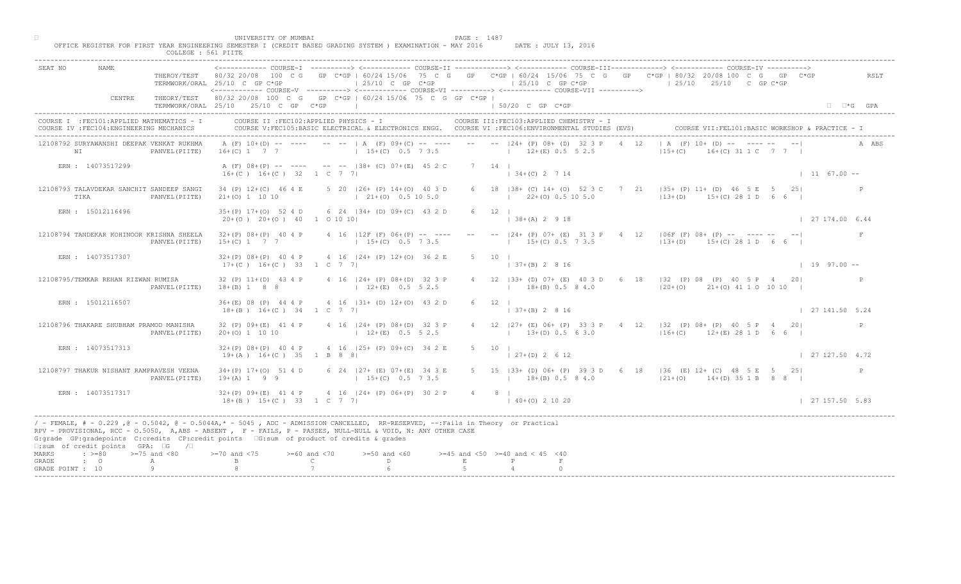|                                                                                                                                                                                                                                                                                                                                                                                                 | COLLEGE : 561 PIITE |                                                                                                                                                                                                                                                |                                  |                                                                                                        |                    |                                                            |      |                                                                                                                                                                                                                          |                                                   |  |
|-------------------------------------------------------------------------------------------------------------------------------------------------------------------------------------------------------------------------------------------------------------------------------------------------------------------------------------------------------------------------------------------------|---------------------|------------------------------------------------------------------------------------------------------------------------------------------------------------------------------------------------------------------------------------------------|----------------------------------|--------------------------------------------------------------------------------------------------------|--------------------|------------------------------------------------------------|------|--------------------------------------------------------------------------------------------------------------------------------------------------------------------------------------------------------------------------|---------------------------------------------------|--|
| SEAT NO<br>NAME.<br>CENTRE                                                                                                                                                                                                                                                                                                                                                                      | THEROY/TEST         | 80/32 20/08<br>100 C G<br>TERMWORK/ORAL 25/10 C GP C*GP<br><------------ COURSE-V ----------> <------------ COURSE-VI ----------> <------------ COURSE-VII ----------><br>THEORY/TEST 80/32 20/08 100 C G GP C*GP   60/24 15/06 75 C G GP C*GP |                                  | $125/10$ C GP C*GP                                                                                     |                    | $125/10$ C GP C*GP                                         |      | COURSE-II -------------> <------------ COURSE-III-------------> <------------ COURSE-IV<br>GP C*GP   60/24 15/06 75 C G GP C*GP   60/24 15/06 75 C G GP C*GP   80/32 20/08 100 C G GP C*GP<br>$125/10$ $25/10$ C GP C*GP | RSLT                                              |  |
|                                                                                                                                                                                                                                                                                                                                                                                                 |                     | TERMWORK/ORAL 25/10 25/10 C GP C*GP                                                                                                                                                                                                            |                                  |                                                                                                        |                    | 150/20 C GP C*GP                                           |      |                                                                                                                                                                                                                          | $\Box$ $\Box$ *G GPA                              |  |
| COURSE I : FEC101: APPLIED MATHEMATICS - I<br>COURSE IV : FEC104: ENGINEERING MECHANICS                                                                                                                                                                                                                                                                                                         |                     | COURSE II : FEC102: APPLIED PHYSICS - I                                                                                                                                                                                                        |                                  | COURSE V:FEC105:BASIC ELECTRICAL & ELECTRONICS ENGG. COURSE VI :FEC106:ENVIRONMENTAL STUDIES (EVS)     |                    | COURSE III: FEC103: APPLIED CHEMISTRY - I                  |      |                                                                                                                                                                                                                          | COURSE VII: FEL101: BASIC WORKSHOP & PRACTICE - I |  |
| 12108792 SURYAWANSHI DEEPAK VENKAT RUKHMA<br>N <sub>L</sub>                                                                                                                                                                                                                                                                                                                                     | PANVEL (PIITE)      | $16+(C)$ 1 7 7                                                                                                                                                                                                                                 |                                  | A (F) 10+(D) -- ---- -- --   A (F) 09+(C) -- ---- -- --   24+ (P) 08+ (D) 32 3 P<br>$15+(C)$ 0.5 7 3.5 |                    | $12+(E)$ 0.5 5 2.5                                         | 4 12 | $  A (F) 10+ (D) -- ]$<br>$115+(C)$<br>$(0)$ 31 1 C 7 7 1                                                                                                                                                                |                                                   |  |
| ERN : 14073517299                                                                                                                                                                                                                                                                                                                                                                               |                     | $16+(C)$ $16+(C)$ 32 1 C 7 7                                                                                                                                                                                                                   |                                  | A (F) 08+(P) -- ---- -- -- 138+ (C) 07+(E) 45 2 C                                                      | $7 \quad 14 \quad$ | $134+(C)2714$                                              |      |                                                                                                                                                                                                                          | $1167.00 -$                                       |  |
| 12108793 TALAVDEKAR SANCHIT SANDEEP SANGI<br>TIKA                                                                                                                                                                                                                                                                                                                                               | PANVEL (PIITE)      | 34 (P) 12+(C) 46 4 E<br>$21+ (0) 1 10 10$                                                                                                                                                                                                      |                                  | 5 20   26 + (P) 14 + (O) 40 3 D<br>$(21 + (0) 0.5 10 5.0)$                                             |                    | 6 18   38 + (C) 14 + (0) 52 3 C 7<br>$1$ 22+(0) 0.5 10 5.0 |      | 21 $ 35+ (P) 11+ (D) 46 5 E 5 25 $<br>$13+(D)$ $15+(C)$ 28 1 D                                                                                                                                                           |                                                   |  |
| ERN : 15012116496                                                                                                                                                                                                                                                                                                                                                                               |                     | $35+(P)$ 17+(0) 52 4 D<br>$20+(0)$ $20+(0)$ $40$ 1 0 10 10                                                                                                                                                                                     |                                  | 6 24   34 + (D) 09 + (C) 43 2 D                                                                        |                    | $12 \quad \square$<br>$\vert$ 38+(A) 2 9 18                |      |                                                                                                                                                                                                                          | 127174.006.44                                     |  |
| 12108794 TANDEKAR KOHINOOR KRISHNA SHEELA                                                                                                                                                                                                                                                                                                                                                       | PANVEL (PIITE)      | $32+(P)$ $08+(P)$ 40 4 P<br>$15+(C)$ 1 7 7                                                                                                                                                                                                     |                                  | 4 16 $ 12F(F) 06+(P) --- ---$<br>$15+(C)$ 0.5 7 3.5                                                    |                    | $--- 124+ (P) 07+ (E) 3$<br>$15+(C)$ 0.5 7 3.5             |      | $4 \t12 \t106F (F) 08+ (P) -- -- -- -- -- --$<br>$ 13+(D)$ 15+(C) 28 1 D 6 6                                                                                                                                             | F                                                 |  |
| ERN : 14073517307                                                                                                                                                                                                                                                                                                                                                                               |                     | $32+(P)$ $08+(P)$ 40 4 P<br>$17+(C)$ 16+(C) 33 1 C 7 7                                                                                                                                                                                         |                                  | 4 16   24 + (P) 12 + (0) 36 2 E                                                                        | $5 \t 10$          | $+(B)$ 2 8 16                                              |      |                                                                                                                                                                                                                          | $1 \t19 \t97.00 -$                                |  |
| 12108795/TEMKAR REHAN RIZWAN RUMISA                                                                                                                                                                                                                                                                                                                                                             | PANVEL (PIITE)      | 32 (P) 11+(D) 43 4 P<br>$18+(B)$ 1 8 8                                                                                                                                                                                                         |                                  | 4 16   24 + (P) 08 + (D) 32 3 P<br>$12+(E)$ 0.5 5 2.5                                                  |                    | $18+(B)$ 0.5 8 4.0                                         |      | B3+ (D) 07+ (E) 40 3 D 6 18   32 (P) 08 (P) 40 5 P 4 20 <br>$ 20+(0)$ $21+(0)$ 41 1 0 10 10                                                                                                                              |                                                   |  |
| ERN : 15012116507                                                                                                                                                                                                                                                                                                                                                                               |                     | $36+(E)$ 08 (P) 44 4 P<br>$18+(B)$ $16+(C)$ $34$ $1$ C 7 7                                                                                                                                                                                     |                                  | 4 16 $ 31 + (D) 12 + (O) 43 2E$                                                                        |                    | $ 37+(B) 2 8 16$                                           |      |                                                                                                                                                                                                                          | 127141.505.24                                     |  |
| 12108796 THAKARE SHUBHAM PRAMOD MANISHA                                                                                                                                                                                                                                                                                                                                                         | PANVEL (PIITE)      | 32 (P) 09+ (E) 41 4 P<br>$20+(0)$ 1 10 10                                                                                                                                                                                                      |                                  | 4 16 $ 24 + (P) 08 + (D)$<br>$12+(E)$                                                                  |                    | $13+(D)$ 0.5 6 3.0                                         |      | 4 12   27 + (E) 06 + (P) 33 3 P + 4 12   32 (P) 08 + (P) 40 5 P + 20<br>$116+(C)$ $12+(E)$ 28 1 D 6 6 I                                                                                                                  |                                                   |  |
| ERN : 14073517313                                                                                                                                                                                                                                                                                                                                                                               |                     | $32+(P)$ $08+(P)$ 40 4 P<br>$19+(A)$ $16+(C)$ 35 1 B 8                                                                                                                                                                                         |                                  | 4 16 $(25 + (P) 09 + (C) 34 2 E)$                                                                      | $5 \t10 \t1$       | $\vert$ 27+(D) 2 6 12                                      |      |                                                                                                                                                                                                                          | 127127.504.72                                     |  |
| 12108797 THAKUR NISHANT RAMPRAVESH VEENA                                                                                                                                                                                                                                                                                                                                                        | PANVEL (PIITE)      | $34+(P)$ 17+(0) 51 4 D<br>$19+(A) 1 9 9$                                                                                                                                                                                                       |                                  | 6 24 $\sqrt{27+ (E)}$ 07+(E) 34 3 E<br>$15+(C)$ 0.5 7 3.5                                              |                    | $18+(B)$ 0.5 8 4.0                                         |      | 5 15   33 + (D) 06 + (P) 39 3 D 6 18   36 (E) 12 + (C) 48 5 E 5 25  <br>$121+ (0)$ $14+ (D)$ 35 1 B 8 8                                                                                                                  | P                                                 |  |
| ERN : 14073517317                                                                                                                                                                                                                                                                                                                                                                               |                     | $32+(P)$ 09+(E) 41 4 P<br>$18 + (B)$ $15 + (C)$ 33                                                                                                                                                                                             | $1 \quad C \quad 7 \quad 71$     | $4 \cdot 16$ $ 24 + (P) 06 + (P) 30 2 P$                                                               | 4 8 1              | $140+(0)21020$                                             |      |                                                                                                                                                                                                                          | 127157.505.83                                     |  |
| / - FEMALE, # - 0.229, @ - 0.5042, @ - 0.5044A,* - 5045, ADC - ADMISSION CANCELLED, RR-RESERVED, --:Fails in Theory or Practical<br>RPV - PROVISIONAL, RCC - 0.5050, A, ABS - ABSENT, P - FAILS, P - PASSES, NULL-NULL & VOID, N: ANY OTHER CASE<br>G:grade GP:gradepoints C:credits CP:credit points 6:sum of product of credits & grades<br>$\square$ : sum of credit points GPA: $\square$ G | $\sqrt{2}$          |                                                                                                                                                                                                                                                |                                  |                                                                                                        |                    |                                                            |      |                                                                                                                                                                                                                          |                                                   |  |
| $\div$ >=80 >=75 and <80<br>MARKS<br>GRADE<br>$\cdot$ 0                                                                                                                                                                                                                                                                                                                                         | А                   | $> = 70$ and $< 75$                                                                                                                                                                                                                            | $>=60$ and $<70$<br>$\mathsf{C}$ | $>=50$ and $<60$<br>D                                                                                  | $\,$ E             | $>=45$ and $<50$ $>=40$ and $< 45$ $<40$                   |      |                                                                                                                                                                                                                          |                                                   |  |
| GRADE POINT : 10                                                                                                                                                                                                                                                                                                                                                                                | $\alpha$            |                                                                                                                                                                                                                                                |                                  |                                                                                                        |                    |                                                            |      |                                                                                                                                                                                                                          |                                                   |  |
|                                                                                                                                                                                                                                                                                                                                                                                                 |                     |                                                                                                                                                                                                                                                |                                  |                                                                                                        |                    |                                                            |      |                                                                                                                                                                                                                          |                                                   |  |

□ PAGE : 1487<br>OFFICE REGISTER FOR FIRST YEAR ENGINEERING SEMESTER I (CREDIT BASED GRADING SYSTEM ) EXAMINATION - MAY 2016 DATE : JULY 13, 2016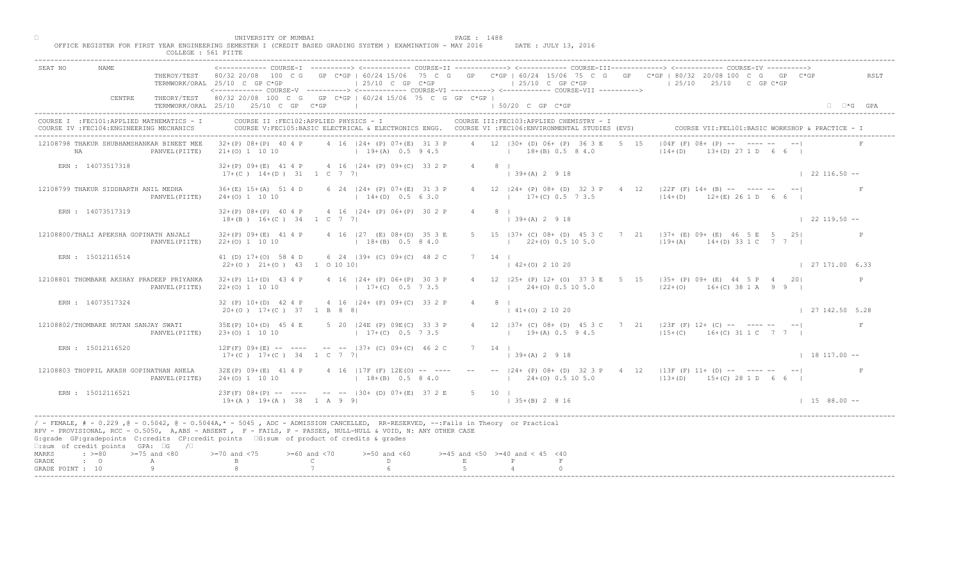|                                                                                                                                                                                                                                                                                                                                                                                                   | COLLEGE : 561 PIITE |                                                                                                                                             |                                                     |                                                                                    |              |                     |                                                                                                                                                 |                                                                                                                                                                                                                                                                                 |                        |
|---------------------------------------------------------------------------------------------------------------------------------------------------------------------------------------------------------------------------------------------------------------------------------------------------------------------------------------------------------------------------------------------------|---------------------|---------------------------------------------------------------------------------------------------------------------------------------------|-----------------------------------------------------|------------------------------------------------------------------------------------|--------------|---------------------|-------------------------------------------------------------------------------------------------------------------------------------------------|---------------------------------------------------------------------------------------------------------------------------------------------------------------------------------------------------------------------------------------------------------------------------------|------------------------|
| NAME.<br>SEAT NO                                                                                                                                                                                                                                                                                                                                                                                  |                     | TERMWORK/ORAL 25/10 C GP C*GP<br><------------ COURSE-V ----------> <----------- COURSE-VI -----------> <----------- COURSE-VII ----------> |                                                     | $125/10$ C GP C*GP                                                                 |              |                     | $125/10$ C GP C*GP                                                                                                                              | ----------> <------------ COURSE-II ------------> <------------ COURSE-III------------> <----------- COURSE-IV<br>THEROY/TEST 80/32 20/08 100 C G GP C*GP   60/24 15/06 75 C G GP C*GP   60/24 15/06 75 C G GP C*GP   80/32 20/08 100 C G GP C*GP<br>$125/10$ $25/10$ C GP C*GP | RSLT                   |
| CENTRE                                                                                                                                                                                                                                                                                                                                                                                            |                     | THEORY/TEST 80/32 20/08 100 C G GP C*GP   60/24 15/06 75 C G GP C*GP  <br>$TERMWORK/ORAL$ 25/10 25/10 C GP $C*GP$                           |                                                     | the contract of the contract of the contract of                                    |              |                     | 1 50/20 C GP C*GP                                                                                                                               |                                                                                                                                                                                                                                                                                 | $\Box$ $\Box$ *G GPA   |
| COURSE I : FEC101: APPLIED MATHEMATICS - I<br>COURSE IV : FEC104: ENGINEERING MECHANICS<br>------------------------------------                                                                                                                                                                                                                                                                   |                     | COURSE II : FEC102: APPLIED PHYSICS - I                                                                                                     |                                                     |                                                                                    |              |                     | COURSE III: FEC103: APPLIED CHEMISTRY - I<br>COURSE V:FEC105:BASIC ELECTRICAL & ELECTRONICS ENGG. COURSE VI :FEC106:ENVIRONMENTAL STUDIES (EVS) | COURSE VII: FEL101: BASIC WORKSHOP & PRACTICE - I                                                                                                                                                                                                                               |                        |
| 12108798 THAKUR SHUBHAMSHANKAR BINEET MEE<br><b>NA</b>                                                                                                                                                                                                                                                                                                                                            | PANVEL (PIITE)      | $32+(P)$ $08+(P)$ 40 4 P<br>$21+(0)$ 1 10 10                                                                                                |                                                     | 4 16 (24+ (P) 07+(E) 31 3 P<br>$19+(A)$ 0.5 9 4.5                                  |              |                     | 4 12   30 + (D) 06 + (P) 36 3 E<br>$18+(B)$ 0.5 8 4.0                                                                                           | $104F$ (F) $08 + NP$ -- $\sqrt{P}$<br>$+(D)$ 27 1 D 6 6 I<br>$114+(D)$                                                                                                                                                                                                          |                        |
| ERN : 14073517318                                                                                                                                                                                                                                                                                                                                                                                 |                     | 32+(P) 09+(E) 41 4 P 4 16   24+ (P) 09+(C) 33 2 P<br>$17+(C)$ $14+(D)$ $31$ $1$ $C$ $7$ $7$                                                 |                                                     |                                                                                    |              | $4 \qquad 8 \qquad$ | $(39+(A) 2 9 18)$                                                                                                                               |                                                                                                                                                                                                                                                                                 | $122116.50 - -$        |
| 12108799 THAKUR SIDDHARTH ANIL MEDHA                                                                                                                                                                                                                                                                                                                                                              | PANVEL (PIITE)      | $36+(E)$ 15+(A) 51 4 D<br>$24+(0)$ 1 10 10                                                                                                  |                                                     | 6 24   24 + (P) 07 + (E) 31 3 P<br>$14+(D)$ 0.5 6 3.0                              |              |                     | 4 12   24 + (P) 08 + (D) 32 3 P 4<br>$17+(C)$ 0.5 7 3.5                                                                                         | 12 $\vert 22F'(F) \vert 14+ (B) \vert -- \vert -- \vert -- \vert -- \vert$<br>$12 + (D)$ $12 + (E)$ 26 1 D                                                                                                                                                                      |                        |
| ERN : 14073517319                                                                                                                                                                                                                                                                                                                                                                                 |                     | $32+(P)$ $08+(P)$ 40 4 P<br>$18+(B)$ $16+(C)$ 34 1 C 7 7                                                                                    |                                                     | 4 16   24 + (P) 06 + (P) 30 2 P                                                    |              |                     | $ 39+(A) 2 9 18$                                                                                                                                |                                                                                                                                                                                                                                                                                 | $122119.50 -$          |
| 12108800/THALI APEKSHA GOPINATH ANJALI                                                                                                                                                                                                                                                                                                                                                            | PANVEL (PIITE)      | $32+(P)$ 09+(E) 41 4 P<br>$22+(0)$ 1 10 10                                                                                                  |                                                     | 4 16   27 (E) 08 + (D) 35 3 E<br>$18+(B)$ 0.5 8 4.0                                |              |                     | $15$   37+ (C) 08+ (D) 45 3<br>$22+(0)$ 0.5 10 5.0                                                                                              | $7$ 21 $ 37 + (E)$ 09 + (E) 46 5 E 5 25<br>$19+(A)$ $14+(D)$ 33 1 C 7 7                                                                                                                                                                                                         |                        |
| ERN : 15012116514                                                                                                                                                                                                                                                                                                                                                                                 |                     | 41 (D) 17+(O) 58 4 D<br>$22+(0)$ $21+(0)$ $43$ 1 0 10 10                                                                                    |                                                     | 6 24 139 + (C) 09 + (C) 48 2 C                                                     |              | 14                  | $2+(0)$ 2 10 20                                                                                                                                 |                                                                                                                                                                                                                                                                                 | $\vert$ 27 171.00 6.33 |
| 12108801 THOMBARE AKSHAY PRADEEP PRIYANKA                                                                                                                                                                                                                                                                                                                                                         | PANVEL (PIITE)      | $32+(P)$ 11+(D) 43 4 P<br>$22+(0)$ 1 10 10                                                                                                  |                                                     | 4 16   24 + (P) 06 + (P) 30 3 P<br>$17+(C)$ 0.5 7 3.5                              |              |                     | $24+(0)$ 0.5 10 5.0                                                                                                                             | (25+ (P) 12+ (O) 37 3 E 5 15   35+ (P) 09+ (E) 44 5 P 4 20<br>$ 22+(0)$ 16+(C) 38 1 A 9 9                                                                                                                                                                                       | $\mathbb{P}$           |
| ERN : 14073517324                                                                                                                                                                                                                                                                                                                                                                                 |                     | $32 (P) 10+(D) 42 4 P$<br>$20+(0)$ 17+(C) 37 1 B 8 8                                                                                        |                                                     | 4 16   24 + (P) 09 + (C) 33 2                                                      |              |                     | $141+(0)21020$                                                                                                                                  |                                                                                                                                                                                                                                                                                 | 127142.505.28          |
| 12108802/THOMBARE NUTAN SANJAY SWATI                                                                                                                                                                                                                                                                                                                                                              | PANVEL (PIITE)      | 35E(P) 10+(D) 45 4 E<br>$23+(0)$ 1 10 10                                                                                                    |                                                     | 5 20   24E (P) 09E (C)<br>$17+(C)$                                                 |              |                     | $19+(A) 0.5 9 4.5$                                                                                                                              | 4 12   37+ (C) 08+ (D) 45 3 C 7 21   23F (F) 12+ (C) -- ---- -- --  <br>$15+(C)$ 16+(C) 31 1 C 7 7                                                                                                                                                                              |                        |
| ERN : 15012116520                                                                                                                                                                                                                                                                                                                                                                                 |                     | $12F(F)$ 09+(E) -- ----<br>$17+(C)$ $17+(C)$ 34 1 C 7                                                                                       |                                                     | $-- -   37 +$ (C) $09 + (C)^{2}$ 46 2 C                                            |              | 7 14 1              | $(39+(A) 2 9 18)$                                                                                                                               |                                                                                                                                                                                                                                                                                 | $18117.00 -$           |
| 12108803 THOPPIL AKASH GOPINATHAN ANELA                                                                                                                                                                                                                                                                                                                                                           | PANVEL (PIITE)      | 32E(P) 09+(E) 41 4 P<br>$24+(0)$ 1 10 10                                                                                                    |                                                     | $18+(B)$ 0.5 8 4.0                                                                 |              |                     | $1 \t24+(0) \t0.5 \t10 \t5.0$                                                                                                                   | 4 16 117F (F) 12E (O) -- ---- -- -- -- 124+ (P) 08+ (D) 32 3 P 4 12 113F (F) 11+ (D) -- ---- -- -- -- --<br>$13+(D)$ $15+(C)$ 28 1 D 6 6 I                                                                                                                                      |                        |
| ERN : 15012116521                                                                                                                                                                                                                                                                                                                                                                                 |                     | $23F(F)$ 08+(P) -- -<br>$19+(A)$ $19+(A)$ $38$ $1$ A 9 9                                                                                    |                                                     | $\left(- - \right)$ -- $\left 30 + \left(D\right) 07 + \left(E\right) 37 2 E$ 5 10 |              |                     | $\vert$ 35+(B) 2 8 16                                                                                                                           |                                                                                                                                                                                                                                                                                 | $1 15 88.00 --$        |
| / - FEMALE, # - 0.229, @ - 0.5042, @ - 0.5044A,* - 0045, ADC - ADMISSION CANCELLED, RR-RESERVED, --:Fails in Theory or Practical<br>RPV - PROVISIONAL, RCC - 0.5050, A, ABS - ABSENT, Y F - FAILS, P - PASSES, NULL-NULL & VOID, N: ANY OTHER CASE<br>G:grade GP:gradepoints C:credits CP:credit points G:sum of product of credits & grades<br>$\square$ : sum of credit points GPA: $\square$ G | $\sqrt{2}$          |                                                                                                                                             |                                                     |                                                                                    |              |                     |                                                                                                                                                 |                                                                                                                                                                                                                                                                                 |                        |
| $\div$ >=80 >=75 and <80<br>MARKS<br>GRADE<br>$\cdot$ 0                                                                                                                                                                                                                                                                                                                                           | A                   | $>-70$ and $< 75$                                                                                                                           | $>= 60$ and $< 70$<br>$\mathbb{C}$ and $\mathbb{C}$ | $>=50$ and $<60$<br>$D \sim 1$                                                     | $\mathbf{E}$ |                     | $>=45$ and $<50$ $>=40$ and $< 45$ $<40$                                                                                                        |                                                                                                                                                                                                                                                                                 |                        |
| GRADE POINT : 10                                                                                                                                                                                                                                                                                                                                                                                  | 9                   |                                                                                                                                             |                                                     |                                                                                    |              |                     |                                                                                                                                                 |                                                                                                                                                                                                                                                                                 |                        |
|                                                                                                                                                                                                                                                                                                                                                                                                   |                     |                                                                                                                                             |                                                     |                                                                                    |              |                     |                                                                                                                                                 |                                                                                                                                                                                                                                                                                 |                        |

□ PAGE : 1488<br>OFFICE REGISTER FOR FIRST YEAR ENGINEERING SEMESTER I (CREDIT BASED GRADING SYSTEM ) EXAMINATION - MAY 2016 DATE : JULY 13, 2016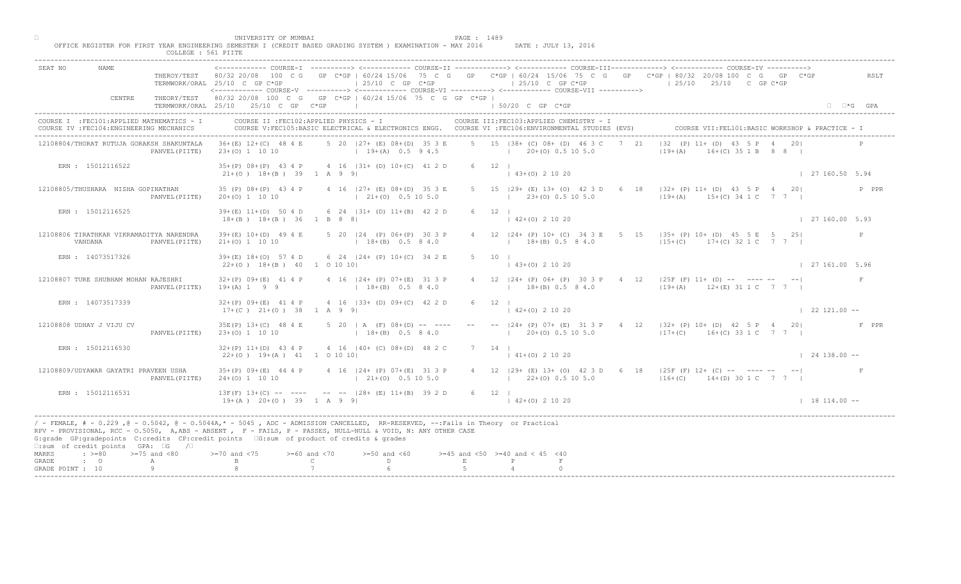| COLLEGE : 561 PIITE                                                                     |                                                                                                                                                                                                                                                                                                                                             |                                                                                                                                                                                     |                        |
|-----------------------------------------------------------------------------------------|---------------------------------------------------------------------------------------------------------------------------------------------------------------------------------------------------------------------------------------------------------------------------------------------------------------------------------------------|-------------------------------------------------------------------------------------------------------------------------------------------------------------------------------------|------------------------|
| SEAT NO<br>NAME                                                                         | $\vert$ 25/10 C GP C*GP<br>TERMWORK/ORAL 25/10 C GP C*GP<br><------------ COURSE-V ----------> <------------ COURSE-VI -----------> <------------ COURSE-VII ----------->                                                                                                                                                                   | THEROY/TEST 80/32 20/08 100 C G GP C*GP   60/24 15/06 75 C G GP C*GP   60/24 15/06 75 C G GP C*GP   80/32 20/08 100 C G GP C*GP<br>$125/10$ C GP C*GP<br>$125/10$ $25/10$ C GP C*GP | RSLT                   |
| CENTRE                                                                                  | THEORY/TEST 80/32 20/08 100 C G GP C*GP   60/24 15/06 75 C G GP C*GP  <br>TERMWORK/ORAL 25/10 25/10 C GP C*GP                                                                                                                                                                                                                               | $\vert$ 50/20 C GP C*GP                                                                                                                                                             | $\Box$ $\Box$ *G GPA   |
| COURSE I : FEC101: APPLIED MATHEMATICS - I<br>COURSE IV : FEC104: ENGINEERING MECHANICS | COURSE II : FEC102: APPLIED PHYSICS - I<br>COURSE V:FEC105:BASIC ELECTRICAL & ELECTRONICS ENGG. COURSE VI :FEC106:ENVIRONMENTAL STUDIES (EVS)                                                                                                                                                                                               | COURSE III: FEC103: APPLIED CHEMISTRY - I<br>COURSE VII: FEL101: BASI                                                                                                               |                        |
| 12108804/THORAT RUTUJA GORAKSH SHAKUNTALA<br>PANVEL (PIITE)                             | $36+(E)$ 12+(C) 48 4 E<br>5 20 127+ (E) 08+(D) 35 3 E<br>$19+(A)$ 0.5 9 4.5<br>$23+(0)$ 1 10 10                                                                                                                                                                                                                                             | 5 15 138 + (C) 08 + (D) 46 3 C<br>$132 (P) 11 + (D)$<br>2.1<br>$119+(A)$<br>$20+(0)$ 0.5 10 5.0<br>$A(C)$ 35 1 B 8 8 I<br>the control of the con-                                   |                        |
| ERN : 15012116522                                                                       | $35+(P)$ $08+(P)$ 43 4 P<br>4 16   31 + (D) 10 + (C) 41 2 D<br>$21+(0)$ $18+(B)$ 39 1 A 9 9                                                                                                                                                                                                                                                 | 6 12  <br>$\vert$ 43+(0) 2 10 20                                                                                                                                                    | 127160.505.94          |
| 12108805/THUSHARA NISHA GOPINATHAN<br>PANVEL (PIITE)                                    | 35 (P) 08+ (P) 43 4 P<br>4 16 (27+ (E) 08+ (D) 35 3 E<br>$20+(0)$ 1 10 10<br>$121+(0)0.5105.0$                                                                                                                                                                                                                                              | 5 15 (29+ (E) 13+ (O) 42 3 D 6<br>$18$ $ 32 + (P) 11 + (D) 43 5 P 4 20 $<br>$129+(A)$ $15+(C)$ 34 1 C 7 7<br>$1$ 23+(0) 0.5 10 5.0                                                  | P PPR                  |
| ERN : 15012116525                                                                       | $39+(E)$ 11+(D) 50 4 D<br>6 24 $ 31 + (D) 11 + (B) 42 2 D$<br>$18+(B)$ $18+(B)$ 36 1 B 8 8                                                                                                                                                                                                                                                  | $6 \t12 \t1$<br>$142+(0)21020$                                                                                                                                                      | $\vert$ 27 160.00 5.93 |
| 12108806 TIRATHKAR VIKRAMADITYA NARENDRA<br>VANDANA<br>PANVEL (PIITE)                   | $39+(E)$ 10+(D) 49 4 E<br>5 20   24 (P) 06+ (P) 30 3 P<br>$18+(B)$ 0.5 8 4.0<br>$21+(0)$ 1 10 10                                                                                                                                                                                                                                            | 12 $ 24 + (P) 10 + (C) 34 3 E$<br>$\begin{bmatrix} 5 & 15 &  35 + (P) 10 + (D) 45 & 5 \ E & 5 & 25 \end{bmatrix}$<br>$18+(B)$ 0.5 8 4.0<br>$ 15+(C)$ 17+(C) 32 1 C 7 7              | P                      |
| ERN : 14073517326                                                                       | $39 + (E)$ 18+(0) 57 4 D<br>6 24   24 + (P) 10 + (C) 34 2 E<br>$22+(0)$ 18+(B) 40 1 0 10 10                                                                                                                                                                                                                                                 | 5<br>10<br>$(0)$ 2 10 20                                                                                                                                                            | 127161.005.96          |
| 12108807 TURE SHUBHAM MOHAN RAJESHRI<br>PANVEL (PIITE)                                  | 4 16   24 + (P) 07 + (E) 31 3 P<br>$32+(P)$ 09+(E) 41 4 P<br>$18+(B)$ 0.5 8 4.0<br>$19+(A)$ 1 9 9                                                                                                                                                                                                                                           | $24+ (P)$ 06+ (P) 30 3 P 4 12   25F (F) 11+ (D) -- ---- -- -- <br>$18+(B)$ 0.5 8 4.0<br>$119+(A)$ $12+(E)$ 31 1 C 7 7 1                                                             |                        |
| ERN : 14073517339                                                                       | 4 16 (33+ (D) 09+(C) 42 2<br>$32+(P)$ 09+(E) 41 4 P<br>$17+(C)$ $21+(O)$ 38 1 A 9 91                                                                                                                                                                                                                                                        | $142+(0)21020$                                                                                                                                                                      | $1221.00 -$            |
| 12108808 UDHAY J VIJU CV<br>PANVEL (PIITE)                                              | 5 20   A $(F)$ 08 $+(D)$<br>35E(P) 13+(C) 48 4 E<br>$23+(0)$ 1 10 10<br>$1 + 18 + (B)$                                                                                                                                                                                                                                                      | -- $ 24+(P) 07+(E) 31 3 P$ 4 12 $ 32+(P) 10+(D) 42 5 P$ 4 20<br>$1$ 20+(0) 0.5 10 5.0<br>$117+(C)$ 16+(C) 33 1 C 7 7 1                                                              | F PPR                  |
| ERN : 15012116530                                                                       | $4 \t16 \t140 + \t(0) \t08 + \t(10) \t48 \t2 C$<br>$32+(P)$ 11+(D) 43 4 P<br>$22+(0)$ 19+(A) 41 1 0 10 10                                                                                                                                                                                                                                   | 7 14 1<br>$\vert$ 41+(0) 2 10 20                                                                                                                                                    | $124138.00 - -$        |
| 12108809/UDYAWAR GAYATRI PRAVEEN USHA<br>PANVEL (PIITE)                                 | $16 \t 124$ (P) 07+(E) 31 3 P<br>$35+(P)$ 09+(E) 44 4 P<br>$24+(0)$ 1 10 10<br>$21+(0)$ 0.5 10 5.0                                                                                                                                                                                                                                          | 4 12   29 + (E) 13 + (O) 42 3 D 6 18   25 F (F) 12 + (C) -- ---- -- -- --<br>$(22+(0) 0.5 10 5.0)$<br>$116+(C)$ $14+(D)$ 30 1 C 7 7 1                                               |                        |
| ERN : 15012116531                                                                       | $--$ -- $128+$ (E) 11+(B) 39 2 D<br>$13F(F)$ $13+(C)$ -- -<br>$19+(A)$ $20+(O)$ 39<br>$1$ A 9 9 1                                                                                                                                                                                                                                           | 6 12 1<br>$142+(0)21020$                                                                                                                                                            | $18114.00 -$           |
| $\square$ : sum of credit points GPA: $\square$ G / $\square$                           | / - FEMALE, # - 0.229 ,@ - 0.5042, @ - 0.5044A,* - 5045 , ADC - ADMISSION CANCELLED, RR-RESERVED, --:Fails in Theory or Practical<br>RPV - PROVISIONAL, RCC - 0.5050, A, ABS - ABSENT , P- FAILS, P - PASSES, NULL-NULL & VOID, N: ANY OTHER CASE<br>G:grade GP:gradepoints C:credits CP:credit points 6:sum of product of credits & grades |                                                                                                                                                                                     |                        |
| $: >=80$<br>$>=75$ and $<80$<br>MARKS<br>GRADE<br>$\cdot$ 0<br>А                        | $>= 60$ and $< 70$<br>$>=50$ and $<60$<br>$0$ and $\langle 75$<br>$\mathsf{C}$<br>D.                                                                                                                                                                                                                                                        | $>=45$ and $<50$ $>=40$ and $< 45$ $<40$<br>$\mathbf{E}$                                                                                                                            |                        |
| 9<br>GRADE POINT : 10                                                                   |                                                                                                                                                                                                                                                                                                                                             |                                                                                                                                                                                     |                        |

□ PAGE : 1489<br>OFFICE REGISTER FOR FIRST YEAR ENGINEERING SEMESTER I (CREDIT BASED GRADING SYSTEM ) EXAMINATION - MAY 2016 DATE : JULY 13, 2016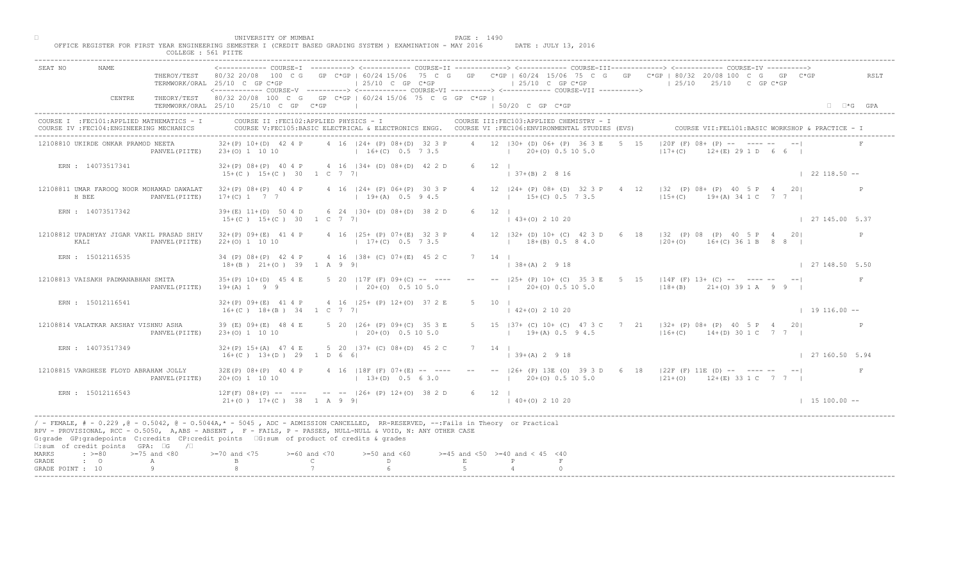|                                    |                                                                                         | COLLEGE : 561 PIITE   |                                                                                                                                                                                                                                                                                                                                            |                                    |                                                          |        |              |                                                                                                                                                 |      |                                                                                                                                                               |                      |      |
|------------------------------------|-----------------------------------------------------------------------------------------|-----------------------|--------------------------------------------------------------------------------------------------------------------------------------------------------------------------------------------------------------------------------------------------------------------------------------------------------------------------------------------|------------------------------------|----------------------------------------------------------|--------|--------------|-------------------------------------------------------------------------------------------------------------------------------------------------|------|---------------------------------------------------------------------------------------------------------------------------------------------------------------|----------------------|------|
| SEAT NO                            | NAME.                                                                                   |                       | TERMWORK/ORAL 25/10 C GP C*GP                                                                                                                                                                                                                                                                                                              |                                    | $\vert$ 25/10 C GP C*GP                                  |        |              | $125/10$ C GP $C*GP$<br><----------- COURSE-V ----------> <----------- COURSE-VI -----------> <----------- COURSE-VII ---------->               |      | THEROY/TEST 80/32 20/08 100 C G GP C*GP   60/24 15/06 75 C G GP C*GP   60/24 15/06 75 C G GP C*GP   80/32 20/08 100 C G GP C*GP<br>$125/10$ $25/10$ C GP C*GP |                      | RSLT |
|                                    | CENTRE                                                                                  |                       | THEORY/TEST 80/32 20/08 100 C G GP C*GP   60/24 15/06 75 C G GP C*GP  <br>TERMWORK/ORAL 25/10 25/10 C GP C*GP                                                                                                                                                                                                                              |                                    |                                                          |        |              | $150/20$ C GP $C*GP$                                                                                                                            |      |                                                                                                                                                               | $\Box$ $\Box$ *G GPA |      |
|                                    | COURSE I : FEC101: APPLIED MATHEMATICS - I<br>COURSE IV : FEC104: ENGINEERING MECHANICS |                       | COURSE II : FEC102: APPLIED PHYSICS - I                                                                                                                                                                                                                                                                                                    |                                    |                                                          |        |              | COURSE III: FEC103: APPLIED CHEMISTRY - I<br>COURSE V:FEC105:BASIC ELECTRICAL & ELECTRONICS ENGG. COURSE VI :FEC106:ENVIRONMENTAL STUDIES (EVS) |      |                                                                                                                                                               |                      |      |
|                                    | 12108810 UKIRDE ONKAR PRAMOD NEETA                                                      |                       | $32+(P)$ 10+(D) 42 4 P<br>PANVEL (PIITE) 23+(0) 1 10 10                                                                                                                                                                                                                                                                                    |                                    | 4 16   24 + (P) 08 + (D) 32 3 P<br>$16+(C)$ 0.5 7 3.5    |        |              | 4 12   30 + (D) 06 + (P) 36 3 E<br>$1 \t20+(0) \t0.5 \t10 \t5.0$                                                                                | 5 15 | $ 20F (F) 08+$ $(P)$ -- $\sqrt{P}$ ----<br>$117 + (C)$<br>$+(E)$ 29 1 D 6 6                                                                                   |                      |      |
|                                    | ERN: 14073517341                                                                        |                       | $32+(P)$ $08+(P)$ 40 4 P<br>$15+(C)$ $15+(C)$ 30 1 C 7 7                                                                                                                                                                                                                                                                                   |                                    | 4 16 134 + (D) 08 + (D) 42 2 D                           |        | $6 \t12 \t1$ | $\vert$ 37+(B) 2 8 16                                                                                                                           |      |                                                                                                                                                               | $\vert$ 22 118.50 -- |      |
|                                    | 12108811 UMAR FAROOQ NOOR MOHAMAD DAWALAT<br>H BEE                                      | PANVEL (PIITE)        | $32+(P)$ $08+(P)$ 40 4 P<br>$17+(C)$ 1 7 7                                                                                                                                                                                                                                                                                                 |                                    | 4 16   24 + (P) 06 + (P) 30 3 P<br>$19+(A)$ 0.5 9 4.5    |        |              | 4 12   24 + (P) 08 + (D) 32 3 P 4<br>$15+(C)$ 0.5 7 3.5                                                                                         |      | 12 132 (P) 08+ (P) 40 5 P 4<br>$15+(C)$ $19+(A)$ 34 1 C                                                                                                       | 201<br>7 7 1         |      |
|                                    | ERN : 14073517342                                                                       |                       | $39+(E)$ 11+(D) 50 4 D<br>$15+(C)$ $15+(C)$ 30 1 C 7 7                                                                                                                                                                                                                                                                                     |                                    | 6 24   30 + (D) 08 + (D) 38 2 D                          |        | $6 \t12 \t1$ | $(43+(0) 2 10 20)$                                                                                                                              |      |                                                                                                                                                               | 127145.005.37        |      |
|                                    | 12108812 UPADHYAY JIGAR VAKIL PRASAD SHIV<br>KALI                                       | PANVEL (PIITE)        | $32+(P)$ 09+(E) 41 4 P<br>$22+(0)$ 1 10 10                                                                                                                                                                                                                                                                                                 |                                    | 4 16   25 + (P) 07 + (E) 32 3 P<br>$17+(C)$ 0.5 7 3.5    |        |              | $12$ $ 32 + (D) 10 + (C) 42 3$<br>$18+(B)$ 0.5 8 4.0                                                                                            |      | D 6 18   32 (P) 08 (P) 40 5 P 4 20 <br>$120+(0)$ 16+(C) 36 1 B 8 8 1                                                                                          |                      | P    |
|                                    | ERN : 15012116535                                                                       |                       | 34 (P) 08+(P) 42 4 P<br>$18+(B)$ $21+(O)$ 39 1 A 9 9                                                                                                                                                                                                                                                                                       |                                    | 4 16 (38+ (C) 07+ (E) 45 2 C                             |        | 14           | $3+(A)$ 2 9 18                                                                                                                                  |      |                                                                                                                                                               | 127148.505.50        |      |
|                                    | 12108813 VAISAKH PADMANABHAN SMITA                                                      | PANVEL (PIITE)        | $35+(P)$ 10+(D) 45 4 E<br>$19+(A) 1 9 9$                                                                                                                                                                                                                                                                                                   |                                    | 5 20 $ 17F(F) 09+(C) -- --$<br>$\vert$ 20+(0) 0.5 10 5.0 |        |              | $20+(0)$ 0.5 10 5.0                                                                                                                             |      | $118+(B)$ $21+(O)$ 39 1 A 9 9 1                                                                                                                               |                      |      |
|                                    | ERN : 15012116541                                                                       |                       | $32+(P)$ 09+(E) 41 4 P<br>$16+(C)$ $18+(B)$ $34$ $1$ C 7 7                                                                                                                                                                                                                                                                                 |                                    | 4 16 125+ (P) 12+(0) 37 2 E                              |        |              | $\vert$ 42+(0) 2 10 20                                                                                                                          |      |                                                                                                                                                               | $19116.00 -$         |      |
|                                    | 12108814 VALATKAR AKSHAY VISHNU ASHA                                                    | PANVEL (PIITE)        | 39 (E) 09+ (E) 48 4 E<br>$23+(0)$ 1 10 10                                                                                                                                                                                                                                                                                                  |                                    | $5$ 20 $126+$ (P) $09+$ (C)<br>$120+(0)$                 |        |              | $19+(A) 0.5 94.5$                                                                                                                               |      | 5 15   37 + (C) 10 + (C) 47 3 C 7 21   32 + (P) 08 + (P) 40 5 P 4 20<br>$ 16+(C)$ 14+(D) 30 1 C 7 7                                                           |                      |      |
|                                    | ERN : 14073517349                                                                       |                       | $32+(P)$ 15+(A) 47 4 E<br>$16+(C)$ $13+(D)$ 29 1 D 6                                                                                                                                                                                                                                                                                       |                                    | 5 20 $137 + (c) 08 + (D) 45 2 C$                         |        | 7 14 1       | $ 39+(A) 2 9 18$                                                                                                                                |      |                                                                                                                                                               | 127160.505.94        |      |
|                                    | 12108815 VARGHESE FLOYD ABRAHAM JOLLY                                                   | PANVEL (PIITE)        | $32E(P)$ $08+(P)$ 40 4 P<br>$20+(0)$ 1 10 10                                                                                                                                                                                                                                                                                               |                                    | $13+(D)$ 0.5 6 3.0                                       |        |              | $(20+(0) 0.5 10 5.0)$                                                                                                                           |      | 4 16 118F (F) 07+(E) -- ---- -- -- -- 126+ (P) 13E (O) 39 3 D 6 18 122F (F) 11E (D) -- ---- -- -- -- --<br>$121+ (0)$ $12+ (E)$ 33 1 C 7 7                    |                      | F    |
|                                    | ERN : 15012116543                                                                       |                       | $12F(F) 08+(P) --$<br>$21+(0)$ $17+(C)$ 38 1 A 9 9                                                                                                                                                                                                                                                                                         |                                    | $\angle$ -- $\angle$ -- $ 26 + (P) 12 + (O) 38 2 D$      |        | 6 12         | $140+(0)21020$                                                                                                                                  |      |                                                                                                                                                               | $1 15 100.00 -$      |      |
|                                    | $\square$ : sum of credit points GPA: $\square$ G                                       | $\sqrt{2}$            | / - FEMALE, # - 0.229, @ - 0.5042, @ - 0.5044A,* - 0045, ADC - ADMISSION CANCELLED, RR-RESERVED, --:Fails in Theory or Practical<br>RPV - PROVISIONAL, RCC - 0.5050, A, ABS - ABSENT, P - FAILS, P - PASSES, NULL-NULL & VOID, N: ANY OTHER CASE<br>G:grade GP:gradepoints C:credits CP:credit points 6:sum of product of credits & grades |                                    |                                                          |        |              |                                                                                                                                                 |      |                                                                                                                                                               |                      |      |
| MARKS<br>GRADE<br>GRADE POINT : 10 | $: z = 80$<br>$\cdot$ $\cdot$ 0                                                         | $>=75$ and $<80$<br>A | $> = 70$ and $< 75$                                                                                                                                                                                                                                                                                                                        | $>= 60$ and $< 70$<br>$\mathsf{C}$ | $>=50$ and $<60$<br>D.                                   | $\,$ E |              | $>=45$ and $<50$ $>=40$ and $< 45$ $<40$                                                                                                        |      |                                                                                                                                                               |                      |      |
|                                    |                                                                                         |                       |                                                                                                                                                                                                                                                                                                                                            |                                    |                                                          |        |              |                                                                                                                                                 |      |                                                                                                                                                               |                      |      |

□ PAGE : 1490<br>OFFICE REGISTER FOR FIRST YEAR ENGINEERING SEMESTER I (CREDIT BASED GRADING SYSTEM ) EXAMINATION - MAY 2016 DATE : JULY 13, 2016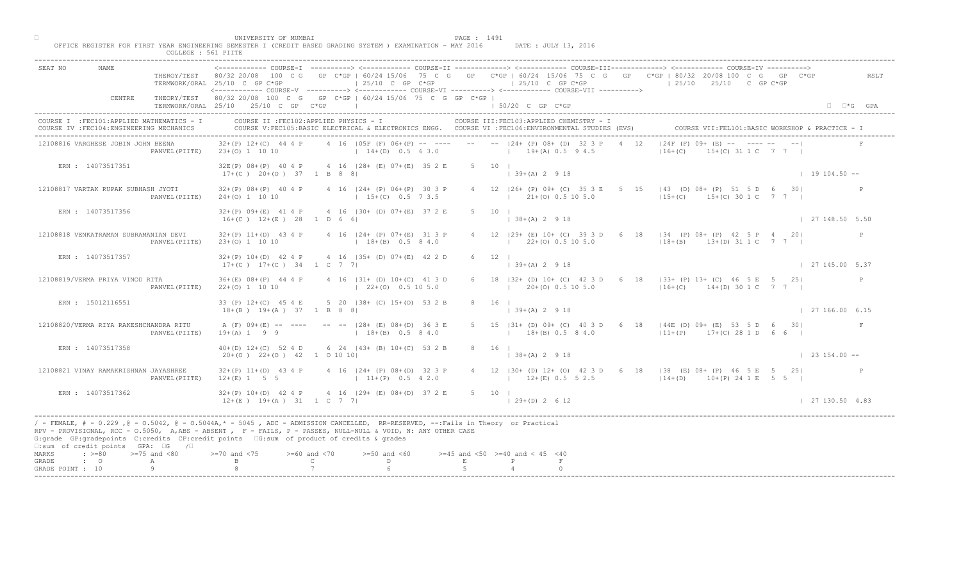| SEAT NO                                                                                                                                                                                                                                                                                                                                                                                                      |                | TERMWORK/ORAL 25/10 C GP C*GP<br><------------ COURSE-V ----------> <------------ COURSE-VI ----------> <------------ COURSE-VII ---------->  |                                    | $125/10$ C GP C*GP                                           |        |        | $125/10$ C GP C*GP                            |                                                               |       | THEROY/TEST 80/32 20/08 100 C G GP C*GP   60/24 15/06 75 C G GP C*GP   60/24 15/06 75 C G GP C*GP   80/32 20/08 100 C G GP C*GP<br>$125/10$ $25/10$ C GP C*GP | RSLT                          |
|--------------------------------------------------------------------------------------------------------------------------------------------------------------------------------------------------------------------------------------------------------------------------------------------------------------------------------------------------------------------------------------------------------------|----------------|-----------------------------------------------------------------------------------------------------------------------------------------------|------------------------------------|--------------------------------------------------------------|--------|--------|-----------------------------------------------|---------------------------------------------------------------|-------|---------------------------------------------------------------------------------------------------------------------------------------------------------------|-------------------------------|
| CENTRE                                                                                                                                                                                                                                                                                                                                                                                                       |                | THEORY/TEST 80/32 20/08 100 C G GP C*GP   60/24 15/06 75 C G GP C*GP  <br>TERMWORK/ORAL 25/10 25/10 C GP C*GP                                 |                                    |                                                              |        |        | 1 50/20 C GP C*GP                             |                                                               |       |                                                                                                                                                               | $\Box$ $\Box$ *G GPA          |
| COURSE I : FEC101: APPLIED MATHEMATICS - I<br>COURSE IV : FEC104: ENGINEERING MECHANICS                                                                                                                                                                                                                                                                                                                      |                | COURSE II : FEC102: APPLIED PHYSICS - I<br>COURSE V:FEC105:BASIC ELECTRICAL & ELECTRONICS ENGG. COURSE VI :FEC106:ENVIRONMENTAL STUDIES (EVS) |                                    |                                                              |        |        |                                               | COURSE III: FEC103: APPLIED CHEMISTRY - I                     |       |                                                                                                                                                               |                               |
| 12108816 VARGHESE JOBIN JOHN BEENA                                                                                                                                                                                                                                                                                                                                                                           |                | $32+(P)$ 12+(C) 44 4 P<br>PANVEL (PIITE) 23+(0) 1 10 10                                                                                       |                                    | $14+(D)$ 0.5 6 3.0                                           |        |        | $19+(A) 0.5 9 4.5$                            | 4 16   05F (F) 06+ (P) -- ---- -- --   24+ (P) 08+ (D) 32 3 P |       | $124F$ (F) $09 + \sqrt{E}$ -- $\sqrt{2}$ --- -- --<br>$116 + (C)$<br>$(0)$ 31 1 C 7 7 1                                                                       |                               |
| ERN : 14073517351                                                                                                                                                                                                                                                                                                                                                                                            |                | 32E(P) 08+(P) 40 4 P 4 16   28+ (E) 07+(E) 35 2 E<br>$17+(C)$ 20+(0) 37 1 B 8 8                                                               |                                    |                                                              |        |        | $5 \t10 \t$<br>$\vert$ 39+(A) 2 9 18          |                                                               |       |                                                                                                                                                               | $1 \quad 19 \quad 104.50 - -$ |
| 12108817 VARTAK RUPAK SUBHASH JYOTI                                                                                                                                                                                                                                                                                                                                                                          | PANVEL (PIITE) | $32+(P)$ $08+(P)$ 40 4 P<br>$24+(0)$ 1 10 10                                                                                                  |                                    | 4 16 124 + (P) 06 + (P) 30 3 P<br>$15+(C)$ 0.5 7 3.5         |        |        |                                               | 4 12 126+ (P) 09+ (C) 35 3 E<br>$1$ 21+(0) 0.5 10 5.0         | $5 -$ | $ 43 \t\t\t (D) 08 + (P) 51 5 D 6 30 $<br>$ 15+(C)$ 15+(C) 30 1 C 7 7                                                                                         |                               |
| ERN : 14073517356                                                                                                                                                                                                                                                                                                                                                                                            |                | $32+(P)$ 09+(E) 41 4 P<br>$16+(C)$ $12+(E)$ 28 1 D 6 6                                                                                        |                                    | 4 16 (30 + (D) 07 + (E) 37 2 E                               |        |        | $5 \t10 \t1$<br>$138+(A) 2 918$               |                                                               |       |                                                                                                                                                               | 127148.505.50                 |
| 12108818 VENKATRAMAN SUBRAMANIAN DEVI                                                                                                                                                                                                                                                                                                                                                                        | PANVEL (PIITE) | $32+(P)$ 11+(D) 43 4 P<br>$23+(0)$ 1 10 10                                                                                                    |                                    | 4 16 124 + (P) 07 + (E) 31 3 P<br>$18+(B)$ 0.5 8 4.0         |        |        | $12$ $ 29+ (E) 10+ (C) 39 3$                  | $22+(0)$ 0.5 10 5.0                                           |       | 6 18   34 (P) 08+ (P) 42 5 P 4 20 <br>$ 18+(B)$ 13+(D) 31 1 C 7 7                                                                                             | P                             |
| ERN : 14073517357                                                                                                                                                                                                                                                                                                                                                                                            |                | $32+(P)$ 10+(D) 42 4 P<br>$17+(C)$ $17+(C)$ 34 1 C 7 7                                                                                        |                                    | 4 16 (35+ (D) 07+(E) 42 2 D                                  |        |        | 12                                            | $(A)$ 2 9 18                                                  |       |                                                                                                                                                               | 127145.00537                  |
| 12108819/VERMA PRIYA VINOD RITA                                                                                                                                                                                                                                                                                                                                                                              | PANVEL (PIITE) | $36+(E)$ $08+(P)$ 44 4 P<br>$22+(0)$ 1 10 10                                                                                                  |                                    | 4 16   31 + (D) 10 + (C) 41 3 D<br>$\vert$ 22+(0) 0.5 10 5.0 |        |        |                                               | $20+(0)$ 0.5 10 5.0                                           |       | B2+ (D) 10+ (C) 42 3 D 6 18   33+ (P) 13+ (C) 46 5 E 5 25 <br>$116+(C)$ $14+(D)$ 30 1 C 7 7                                                                   | $\mathbb{P}$                  |
| ERN : 15012116551                                                                                                                                                                                                                                                                                                                                                                                            |                | 33 (P) 12+(C) 45 4 E<br>$18+(B)$ $19+(A)$ 37 1 B 8 8                                                                                          |                                    | 5 20 138+ (C) 15+(0) 53 2 B                                  |        |        | $139+(A) 2918$                                |                                                               |       |                                                                                                                                                               | 127166.006.15                 |
| 12108820/VERMA RIYA RAKESHCHANDRA RITU                                                                                                                                                                                                                                                                                                                                                                       | PANVEL (PIITE) | A (F) 09+(E) -- ----<br>$19+(A) 1 9 9$                                                                                                        |                                    | $-- -28+$ (E) $08+(D)$<br>$1 + 18 + (B)$                     |        |        |                                               | $18+(B)$ 0.5 8 4.0                                            |       | 5 15   31 + (D) 09 + (C) 40 3 D 6 18   44E (D) 09 + (E) 53 5 D 6 30  <br>$11+(P)$ 17+(C) 28 1 D 6 6                                                           | F                             |
| ERN : 14073517358                                                                                                                                                                                                                                                                                                                                                                                            |                | $40+(D)$ 12+(C) 52 4 D<br>$20+(0)$ $22+(0)$ $42$ 1 0 10 10                                                                                    |                                    | $6\quad 24\quad 143 + (B)\quad 10 + (C)$                     | 53 2 B |        | 8 16 1<br>$  38 + (A) 2 9 18$                 |                                                               |       |                                                                                                                                                               | $\vert$ 23 154.00 --          |
| 12108821 VINAY RAMAKRISHNAN JAYASHREE                                                                                                                                                                                                                                                                                                                                                                        | PANVEL (PIITE) | $32+(P)$ 11+(D) 43 4 P<br>$12+(E)$ 1 5 5                                                                                                      |                                    | $124+$ (P) 08+(D) 32 3 P<br>$11+(P)$ 0.5 4 2.0               |        |        |                                               | $12+(E)$ 0.5 5 2.5                                            |       | 4 12   30 + (D) 12 + (O) 42 3 D 6 18   38 (E) 08 + (P) 46 5 E 5 25  <br>$114+(D)$ 10+(P) 24 1 E 5 5                                                           |                               |
| ERN: 14073517362                                                                                                                                                                                                                                                                                                                                                                                             |                | $32+(P)$ 10+(D) 42 4 P<br>$12+(E)$ $19+(A)$ $31$ $1 C$ 7 7                                                                                    |                                    | $4 \cdot 16$ $129 + (E)$ $08 + (D)$ 37 2 E                   |        | 5 10 1 | $(29+(D) 2 6 12)$                             |                                                               |       |                                                                                                                                                               | 127130.504.83                 |
| / - FEMALE, # - 0.229 ,@ - 0.5042, @ - 0.5044A,* - 5045 , ADC - ADMISSION CANCELLED, RR-RESERVED, --:Fails in Theory or Practical<br>RPV - PROVISIONAL, RCC - 0.5050, A, ABS - ABSENT . P- FAILS, P - PASSES, NULL-NULL & VOID, N: ANY OTHER CASE<br>G:grade GP:gradepoints C:credits CP:credit points G:sum of product of credits & grades<br>$\square$ : sum of credit points GPA: $\square$ G / $\square$ |                |                                                                                                                                               |                                    |                                                              |        |        |                                               |                                                               |       |                                                                                                                                                               |                               |
| $\div$ >=80 >=75 and <80<br>MARKS<br>GRADE<br>$\cdot$ $\cdot$ 0<br>A                                                                                                                                                                                                                                                                                                                                         |                | $>= 70$ and $< 75$                                                                                                                            | $>= 60$ and $< 70$<br>$\mathbb{C}$ | $>=50$ and $<60$<br>D.                                       |        | E      | $>=45$ and $<50$ $>=40$ and $< 45$ $<40$<br>P |                                                               |       |                                                                                                                                                               |                               |
| Q<br>GRADE POINT : 10                                                                                                                                                                                                                                                                                                                                                                                        |                |                                                                                                                                               |                                    |                                                              |        |        |                                               |                                                               |       |                                                                                                                                                               |                               |

□ PAGE : 1491<br>OFFICE REGISTER FOR FIRST YEAR ENGINEERING SEMESTER I (CREDIT BASED GRADING SYSTEM ) EXAMINATION - MAY 2016 DATE : JULY 13, 2016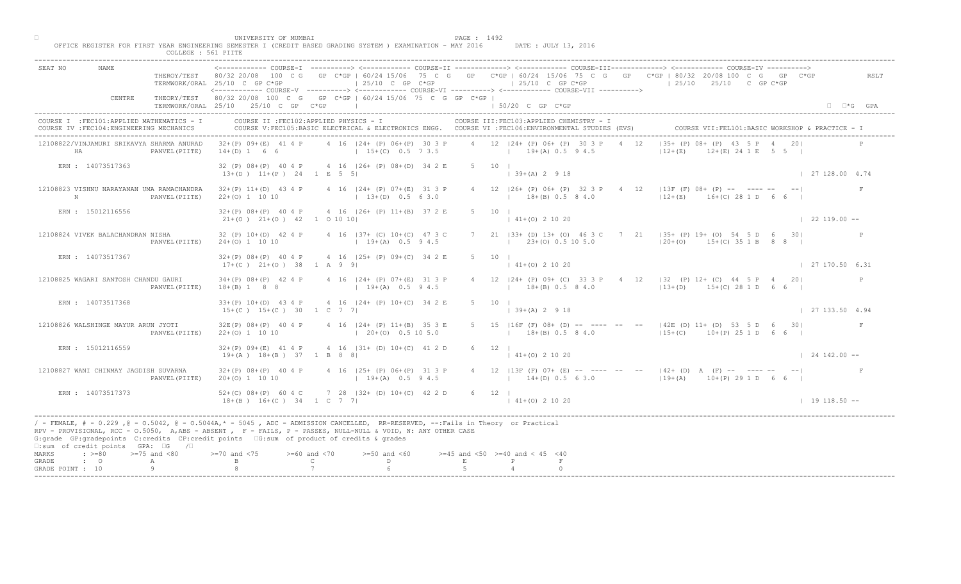|                                                                                              | COLLEGE : 561 PIITE                                                                                                                                                                                                                                                                                                                                                                                                                                                                             |                      |
|----------------------------------------------------------------------------------------------|-------------------------------------------------------------------------------------------------------------------------------------------------------------------------------------------------------------------------------------------------------------------------------------------------------------------------------------------------------------------------------------------------------------------------------------------------------------------------------------------------|----------------------|
| SEAT NO<br>NAME.<br>THEROY/TEST<br>CENTRE                                                    | COURSE-IT -------------> <------------- COURSE-ITT-------------><br>GP C*GP   60/24 15/06 75 C G GP C*GP   60/24 15/06 75 C G GP C*GP   80/32 20/08 100 C G GP C*GP<br>80/32 20/08<br>100 C G<br>TERMWORK/ORAL 25/10 C GP C*GP<br>$125/10$ C GP C*GP<br>$125/10$ C GP C*GP<br>$125/10$ $25/10$ C GP C*GP<br><------------ COURSE-V ----------> <------------ COURSE-VI ----------> <------------ COURSE-VII ----------><br>THEORY/TEST 80/32 20/08 100 C G GP C*GP   60/24 15/06 75 C G GP C*GP | RSLT                 |
|                                                                                              | TERMWORK/ORAL 25/10 25/10 C GP C*GP<br>150/20 C GP C*GP                                                                                                                                                                                                                                                                                                                                                                                                                                         | $\Box$ $\Box$ *G GPA |
| COURSE I : FEC101: APPLIED MATHEMATICS - I<br>COURSE IV : FEC104: ENGINEERING MECHANICS      | COURSE II : FEC102: APPLIED PHYSICS - I<br>COURSE III: FEC103: APPLIED CHEMISTRY - I<br>COURSE V:FEC105:BASIC ELECTRICAL & ELECTRONICS ENGG. COURSE VI :FEC106:ENVIRONMENTAL STUDIES (EVS)<br>COURSE VII: FEL101: BASIC WORKSHOP & PRACTICE - I                                                                                                                                                                                                                                                 |                      |
| 12108822/VINJAMURI SRIKAVYA SHARMA ANURAD<br>HA<br>PANVEL (PIITE)                            | $135+$ (P) $08+\sqrt{P}$ 43<br>4 12   24 + (P) 06 + (P) 30 3 P<br>$32+(P)$ 09+(E) 41 4 P<br>4 16 124 + (P) 06 + (P) 30 3 P<br>4 12<br>$(E)$ 24 1 E 5 5 I<br>$14+(D) 1 6 6$<br>$15+(C)$ 0.5 7 3.5<br>$19+(A) 0.5 9 4.5$<br>$12+(E)$                                                                                                                                                                                                                                                              |                      |
| ERN : 14073517363                                                                            | 4 16 126+ (P) 08+ (D) 34 2 E<br>32 (P) 08+(P) 40 4 P<br>5 10 1<br>$13+(D)$ $11+(P)$ 24 1 E 5 5<br>$\vert$ 39+(A) 2 9 18                                                                                                                                                                                                                                                                                                                                                                         | 127128.004.74        |
| 12108823 VISHNU NARAYANAN UMA RAMACHANDRA<br>N<br>PANVEL (PIITE)                             | 12   13F (F) 08+ (P) -- ---- --<br>$32+(P)$ 11+(D) 43 4 P<br>4 16   24 + (P) 07 + (E) 31 3 P<br>4 12   26+ (P) 06+ (P) 32 3 P 4<br>$12+(E)$ $16+(C)$ 28 1 D<br>$(13+(D) 0.5 6 3.0)$<br>$18+(B)$ 0.5 8 4.0<br>$22+(0)$ 1 10 10                                                                                                                                                                                                                                                                   | $\mathbf{F}$         |
| ERN : 15012116556                                                                            | $32+(P)$ $08+(P)$ 40 4 P<br>4 16   26 + (P) 11 + (B) 37 2 E<br>10 <sub>1</sub><br>$ 41+(0) 2 10 20 $<br>$21+(0)$ $21+(0)$ $42$ 1 0 10 10                                                                                                                                                                                                                                                                                                                                                        | $\vert$ 22 119.00 -- |
| 12108824 VIVEK BALACHANDRAN NISHA<br>PANVEL (PIITE)                                          | 21 $ 33+$ (D) 13+ (O) 46 3<br>7 21 (35+ (P) 19+ (0) 54 5 D 6 30<br>$32 (P) 10+(D) 42 4 P$<br>4 16 137+ (C) 10+ (C) 47 3 C<br>$23+(0)$ 0.5 10 5.0<br>$24+(0)$ 1 10 10<br>$19+(A)$ 0.5 9 4.5<br>$ 20+(0)$ 15+(C) 35 1 B 8 8                                                                                                                                                                                                                                                                       |                      |
| ERN : 14073517367                                                                            | $5 -$<br>10<br>$32+(P)$ $08+(P)$ 40 4 P<br>4 16 (25+ (P) 09+ (C) 34 2 E<br>$1+(0)$ 2 10 20<br>$17+(C)$ $21+(O)$ 38 1 A 9 9                                                                                                                                                                                                                                                                                                                                                                      | 127170.506.31        |
| 12108825 WAGARI SANTOSH CHANDU GAURI<br>PANVEL (PIITE)                                       | 4 16   24 + (P) 07 + (E) 31 3 P<br>$\begin{bmatrix} 24 + (P) & 09 + (C) & 33 & 3 & P & 4 & 12 & 32 & (P) & 12 + (C) & 44 & 5 & P & 4 & 20 \end{bmatrix}$<br>$34+(P)$ $08+(P)$ 42 4 P<br>$19+(A)$ 0.5 9 4.5<br>$18+(B)$ 0.5 8 4.0<br>$(13+(D) 15+(C) 28 1 D 6 6)$<br>$18+(B)$ 1 8 8                                                                                                                                                                                                              | $\mathbb{P}$         |
| ERN : 14073517368                                                                            | 4 16   24 + (P) 10 + (C) 34 2 E<br>$33+(P)$ 10+(D) 43 4 P<br>$15+(C)$ $15+(C)$ 30 1 C 7 7<br>$ 39+(A) 2 9 18$                                                                                                                                                                                                                                                                                                                                                                                   | 127133.504.94        |
| 12108826 WALSHINGE MAYUR ARUN JYOTI<br>PANVEL (PIITE)                                        | $4$ 16 $ 24 + (P)$ 11+(B)<br>5 15   16F (F) 08+ (D) -- --- -- -- --   42E (D) 11+ (D) 53 5 D 6 30 <br>$32E(P)$ $08+(P)$ 40 4 P<br>$1 \t 18 + (B) \t 0.5 \t 8 \t 4.0$<br>$115+(C)$ $10+(P)$ 25 1 D 6 6 I<br>$22+(0)$ 1 10 10<br>$120+10$                                                                                                                                                                                                                                                         |                      |
| ERN : 15012116559                                                                            | 4 16 $ 31 + (D) 10 + (C) 41 2 D$<br>$6 \t12 \t1$<br>$32+(P)$ $09+(E)$ 41 4 P<br>$19+(A)$ $18+(B)$ 37 1 B 8<br>$141+(0)21020$                                                                                                                                                                                                                                                                                                                                                                    | $124142.00 - -$      |
| 12108827 WANI CHINMAY JAGDISH SUVARNA<br>PANVEL (PIITE)                                      | $4 \t16 \t125+ \t(P) 06+(P) 31 3 P$<br>4 12   13F (F) 07+ (E) -- ---- -- --   42+ (D) A (F) -- ---- -- -- <br>$32+(P)$ $08+(P)$ 40 4 P<br>$19+(A)$ 0.5 9 4.5<br>$20+(0)$ 1 10 10<br>$14+(D)$ 0.5 6 3.0<br>$119+(A)$ $10+(P)$ 29 1 D 6 6                                                                                                                                                                                                                                                         |                      |
| ERN : 14073517373                                                                            | $728$   32+ (D) 10+(C) 42 2 D<br>$52+(C)$ $08+(P)$ 60 4 C<br>6 12  <br>$18+(B)$ $16+(C)$ $34$ $1 C$ 7 7<br>$141+(0)21020$                                                                                                                                                                                                                                                                                                                                                                       | $1 19 118.50 --$     |
| $\square$ : sum of credit points GPA: $\square$ G<br>$\sqrt{2}$                              | / - FEMALE, # - 0.229, @ - 0.5042, @ - 0.5044A,* - 5045, ADC - ADMISSION CANCELLED, RR-RESERVED, --:Fails in Theory or Practical<br>RPV - PROVISIONAL, RCC - 0.5050, A, ABS - ABSENT, P - FAILS, P - PASSES, NULL-NULL & VOID, N: ANY OTHER CASE<br>G:grade GP:gradepoints C:credits CP:credit points 6:sum of product of credits & grades                                                                                                                                                      |                      |
| $\div$ >=80 >=75 and <80<br>MARKS<br>GRADE<br>$\cdot$ 0<br>А<br>$\alpha$<br>GRADE POINT : 10 | $> = 70$ and $< 75$<br>$>=60$ and $<70$<br>$>=50$ and $<60$<br>$>=45$ and $<50$ $>=40$ and $< 45$ $<40$<br>$\mathsf{C}$<br>D<br>$\,$ E<br>P                                                                                                                                                                                                                                                                                                                                                     |                      |
|                                                                                              |                                                                                                                                                                                                                                                                                                                                                                                                                                                                                                 |                      |

□ PAGE : 1492<br>OFFICE REGISTER FOR FIRST YEAR ENGINEERING SEMESTER I (CREDIT BASED GRADING SYSTEM ) EXAMINATION - MAY 2016 DATE : JULY 13, 2016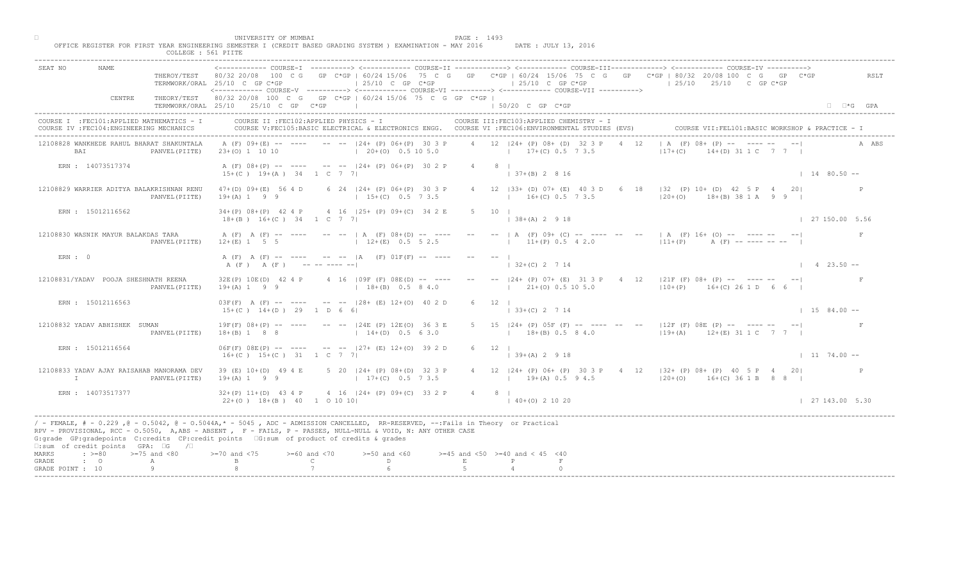|                                                                                                            | COLLEGE : 561 PIITE                                                                                                                                                                                                                                                                                                                                                                                                                                         |                              |
|------------------------------------------------------------------------------------------------------------|-------------------------------------------------------------------------------------------------------------------------------------------------------------------------------------------------------------------------------------------------------------------------------------------------------------------------------------------------------------------------------------------------------------------------------------------------------------|------------------------------|
| REAT NO                                                                                                    | COURSE-II -------------> <------------ COURSE-III-------------> <------------ COURSE-IV<br>THEROY/TEST 80/32 20/08 100 C G GP C*GP   60/24 15/06 75 C G GP C*GP   60/24 15/06 75 C G GP C*GP   80/32 20/08 100 C G GP C*GP<br>$\vert$ 25/10 C GP C*GP<br>$125/10$ C GP C*GP<br>$125/10$ $25/10$ C GP C*GP<br>TERMWORK/ORAL 25/10 C GP C*GP<br><------------ COURSE-V ----------> <------------ COURSE-VI -----------> <------------ COURSE-VII -----------> | RSLT                         |
| CENTRE                                                                                                     | THEORY/TEST 80/32 20/08 100 C G GP C*GP   60/24 15/06 75 C G GP C*GP  <br>TERMWORK/ORAL 25/10 25/10 C GP C*GP<br>$150/20$ C GP $C*GP$                                                                                                                                                                                                                                                                                                                       | $\Box$ $\Box$ *G GPA         |
| COURSE I : FEC101: APPLIED MATHEMATICS - I<br>COURSE IV : FEC104: ENGINEERING MECHANICS                    | COURSE II : FEC102: APPLIED PHYSICS - I<br>COURSE III: FEC103: APPLIED CHEMISTRY - I<br>COURSE VII: FEL101: BASIC WORKSHOP & PRACTICE - 1<br>COURSE V:FEC105:BASIC ELECTRICAL & ELECTRONICS ENGG. COURSE VI :FEC106:ENVIRONMENTAL STUDIES (EVS)                                                                                                                                                                                                             |                              |
| 12108828 WANKHEDE RAHUL BHARAT SHAKUNTALA<br><b>BAT</b><br>PANVEL (PIITE)                                  | $(F) 08+ \sqrt{P} = \sqrt{2}$<br>4 12 124 + (P) 08 + (D) 32 3 P<br>A (F) 09+(E) -- ---- -- -- 124+ (P) 06+(P) 30 3 P<br>12<br>$(20 + (0) 0.5 10 5.0)$<br>$17+(C)$ 0.5 7 3.5<br>$117+ (C)$<br>(1) 31 10 7 7 1<br>$23+(0)$ 1 10 10                                                                                                                                                                                                                            | A ABS                        |
| ERN : 14073517374                                                                                          | A (F) 08+(P) -- ---- -- --  24+ (P) 06+(P) 30 2 P<br>$4 \qquad 8 \qquad$<br>$15+(C)$ $19+(A)$ $34$ 1 C 7 7<br>$1 \cdot 37 + (B)$ 2 8 16                                                                                                                                                                                                                                                                                                                     | $1 \quad 14 \quad 80.50 - -$ |
| 12108829 WARRIER ADITYA BALAKRISHNAN RENU<br>PANVEL (PIITE)                                                | 18   32 (P) 10+ (D) 42 5 P 4<br>6 24   24 + (P) 06 + (P) 30 3 P<br>4 12   33 + (D) 07 + (E) 40 3 D 6<br>47+(D) 09+(E) 56 4 D<br>201<br>$ 20+(0)$ 18+(B) 38 1 A 9 9 1<br>$19+(A) 1 9 9$<br>$16+(C) 0.5 7 3.5$<br>$15+(C)$ 0.5 7 3.5                                                                                                                                                                                                                          |                              |
| ERN : 15012116562                                                                                          | 4 16   25 + (P) 09 + (C) 34 2 E<br>$34+(P)$ $08+(P)$ 42 4 P<br>$5 \t10 \t1$<br>$18+(B)$ $16+(C)$ $34$ $1$ C 7 7<br>$\vert$ 38+(A) 2 9 18                                                                                                                                                                                                                                                                                                                    | 127150.005.56                |
| 12108830 WASNIK MAYUR BALAKDAS TARA<br>PANVEL (PIITE)                                                      | $--$   A (F) 09+ (C) $-$<br>$      $ A (F) 16+ (0) $    -$<br>A (F) A (F) -- ---- -- --   A (F) 08+(D) -- ----<br>$11+(P)$ 0.5 4 2.0<br>$12+(E)$ 0.5 5 2.5<br>$11 + (P)$<br>$12+(E)$ 1 5 5<br>$A$ (F) -- ---- -- --                                                                                                                                                                                                                                         | F                            |
| ERN: 0                                                                                                     | A (F) A (F) -- ---- -- -- IA (F) 01F(F) -- ----<br>$2 \t 7 \t 14$<br>A (F) A (F) ---------                                                                                                                                                                                                                                                                                                                                                                  | $1 \t 4 \t 23.50 --$         |
| 12108831/YADAV POOJA SHESHNATH REENA<br>PANVEL (PIITE)                                                     | $[24 + (P) 07 + (E) 31 3 P 4 12  21F (F) 08 + (P) --- --- --- --- ]$<br>4 16 $109F$ (F) $08E(D)$ -- ---<br>32E(P) 10E(D) 42 4 P<br>$21+ (0)$ 0.5 10 5.0<br>$19+(A) 1 9 9$<br>$18+(B)$ 0.5 8 4.0<br>$10+(P)$ 16+(C) 26 1 D 6 6                                                                                                                                                                                                                               |                              |
| ERN : 15012116563                                                                                          | $03F(F)$ A $(F)$ -- ---- -- -- $128 + (E) 12+(0) 40 2$<br>$15+(C)$ $14+(D)$ 29 1 D 6 6<br>$\vert$ 33+(C) 2 7 14                                                                                                                                                                                                                                                                                                                                             | $1584.00 -$                  |
| 12108832 YADAV ABHISHEK SUMAN<br>PANVEL (PIITE)                                                            | 5 15  24+ (P) 05F (F) -- ---- -- --  12F (F) 08E (P) -- ---- -- -- <br>$-  24E$ (P) $12E$ (O)<br>$19F(F)$ $08+(P)$ -- ----<br>$18+(B)$ 0.5 8 4.0 $119+(A)$ 12+(E) 31 1 C 7 7  <br>$18+(B) 1 8 8$<br>$14 + (D)$                                                                                                                                                                                                                                              |                              |
| ERN : 15012116564                                                                                          | $06F(F)$ $08E(P)$ -- --- -- -- $ 27 + (\mathbb{B}) 12 + (0) 39 2 D$<br>$6 \t 12 \t 1$<br>$16+(C)$ $15+(C)$ 31 1 C 7<br>$ 39+(A) 2 9 18$                                                                                                                                                                                                                                                                                                                     | $1174.00 -$                  |
| 12108833 YADAV AJAY RAISAHAB MANORAMA DEV<br>T<br>PANVEL (PIITE)                                           | 5 $20 \times 124 + (P) 08 + (D) 32 3 P$<br>39 (E) 10+(D) 49 4 E<br>4 12   24 + (P) 06 + (P) 30 3 P + 4 12   32 + (P) 08 + (P) 40 5 P + 20<br>$17+(C)$ 0.5 7 3.5<br>$19+(A) 1 9 9$<br>$19+(A) 0.5 9 4.5$<br>$120+ (0)$ $16+ (C)$ 36 1 B 8 8 I                                                                                                                                                                                                                |                              |
| ERN : 14073517377                                                                                          | $\triangle$ 4 $\triangle$ 16 $ 24 + (P)$ 09+(C) 33 2 P<br>$32+(P)$ 11+(D) 43 4 P<br>4 8 1<br>$22+(0)$ 18+(B) 40 1 0 10 10<br>$140+(0)21020$                                                                                                                                                                                                                                                                                                                 | 127143.005.30                |
| $\square$ : sum of credit points GPA: $\square$ G<br>$\sqrt{2}$                                            | / - FEMALE, # - 0.229 ,@ - 0.5042, @ - 0.5044A,* - 5045 , ADC - ADMISSION CANCELLED, RR-RESERVED, --:Fails in Theory or Practical<br>RPV - PROVISIONAL, RCC - 0.5050, A, ABS - ABSENT , P- FAILS, P - PASSES, NULL-NULL & VOID, N: ANY OTHER CASE<br>G:grade GP:gradepoints C:credits CP:credit points G:sum of product of credits & grades                                                                                                                 |                              |
| $\Rightarrow$ $>=80$ $>=75$ and $<80$<br>MARKS<br>$\cdot$ $\cdot$ 0<br>GRADE<br>A<br>Q<br>GRADE POINT : 10 | $> = 70$ and $< 75$<br>$>= 60$ and $< 70$<br>$>=50$ and $<60$<br>$>=45$ and $<50$ $>=40$ and $< 45$ $<40$<br>$\mathcal{C}$<br>D.<br>$\,$ E                                                                                                                                                                                                                                                                                                                  |                              |
|                                                                                                            |                                                                                                                                                                                                                                                                                                                                                                                                                                                             |                              |

□ PAGE : 1493<br>OFFICE REGISTER FOR FIRST YEAR ENGINEERING SEMESTER I (CREDIT BASED GRADING SYSTEM ) EXAMINATION - MAY 2016 DATE : JULY 13, 2016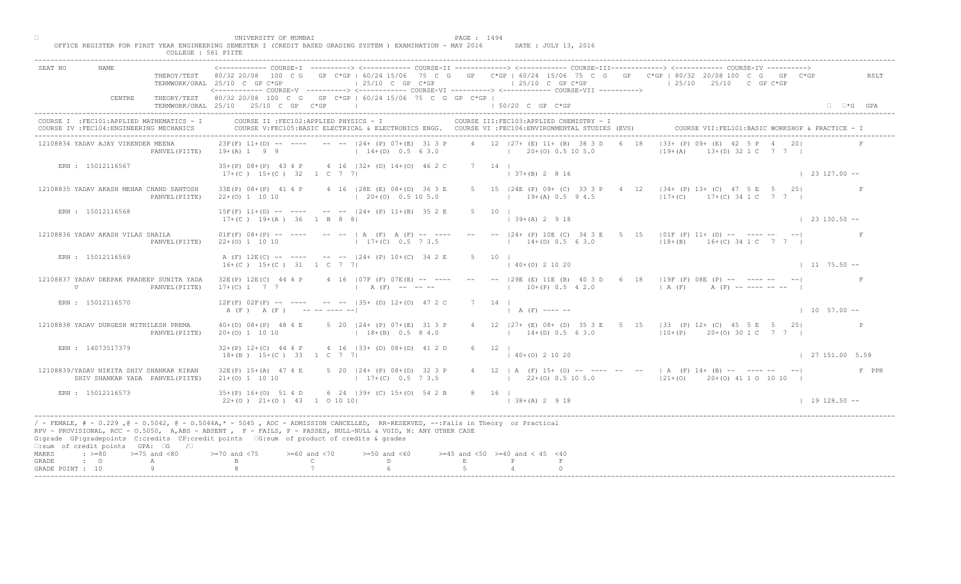|                                                                                                                                                                                                                                                                                                                                                                                                              | COLLEGE : 561 PIITE |                                                                                                                                                 |                                    |                                                                                                    |             |                                                                 |                |                                                                                                                                                                                                                                                                                           |                        |
|--------------------------------------------------------------------------------------------------------------------------------------------------------------------------------------------------------------------------------------------------------------------------------------------------------------------------------------------------------------------------------------------------------------|---------------------|-------------------------------------------------------------------------------------------------------------------------------------------------|------------------------------------|----------------------------------------------------------------------------------------------------|-------------|-----------------------------------------------------------------|----------------|-------------------------------------------------------------------------------------------------------------------------------------------------------------------------------------------------------------------------------------------------------------------------------------------|------------------------|
| SEAT NO                                                                                                                                                                                                                                                                                                                                                                                                      |                     | TERMWORK/ORAL 25/10 C GP C*GP<br><------------- COURSE-V ----------> <------------ COURSE-VI -----------> <------------ COURSE-VII -----------> |                                    | $\vert$ 25/10 C GP C*GP                                                                            |             | $125/10$ C GP C*GP                                              |                | COURSE-T ----------> <------------ COURSE-TT ------------> <------------ COURSE-TTT------------> <------------ COURSE-TV<br>THEROY/TEST 80/32 20/08 100 C G GP C*GP   60/24 15/06 75 C G GP C*GP   60/24 15/06 75 C G GP C*GP   80/32 20/08 100 C G GP C*GP<br>$125/10$ $25/10$ C GP C*GP | RSLT                   |
| CENTRE                                                                                                                                                                                                                                                                                                                                                                                                       |                     | THEORY/TEST 80/32 20/08 100 C G GP C*GP   60/24 15/06 75 C G GP C*GP  <br>TERMWORK/ORAL 25/10 25/10 C GP C*GP                                   | the contract of the con-           |                                                                                                    |             | $\pm$ 50/20 C GP C*GP                                           |                |                                                                                                                                                                                                                                                                                           | $\Box$ $\Box$ *G GPA   |
| COURSE I : FEC101: APPLIED MATHEMATICS - I<br>COURSE IV : FEC104: ENGINEERING MECHANICS                                                                                                                                                                                                                                                                                                                      |                     | COURSE II : FEC102: APPLIED PHYSICS - I                                                                                                         |                                    | COURSE V:FEC105:BASIC ELECTRICAL & ELECTRONICS ENGG. COURSE VI :FEC106:ENVIRONMENTAL STUDIES (EVS) |             | COURSE III: FEC103: APPLIED CHEMISTRY - I                       |                |                                                                                                                                                                                                                                                                                           |                        |
| 12108834 YADAV AJAY VIRENDER MEENA                                                                                                                                                                                                                                                                                                                                                                           | PANVEL (PIITE)      | $23F(F)$ 11+(D) -- ---- -- -- $ 24 + (P) 07 + (E) 31 3 P$<br>$19+(A) 1 9 9$                                                                     |                                    | $14+(D)$ 0.5 6 3.0                                                                                 |             | 4 12 127 + (E) 11 + (B) 38 3 D<br>$1 \t20+(0) \t0.5 \t10 \t5.0$ | 1.8            | $133+$ (P) $09+\sqrt{E}$ 42 5 P 4<br>$19 + (A)$<br>(2) 32 1 C 7 7 1                                                                                                                                                                                                                       |                        |
| ERN : 15012116567                                                                                                                                                                                                                                                                                                                                                                                            |                     | 35+(P) 08+(P) 43 4 P 4 16   32+ (D) 14+(0) 46 2 C<br>$17+(C)$ $15+(C)$ 32 1 C 7 7                                                               |                                    |                                                                                                    |             | 7 14 1<br>$137+(B) 2816$                                        |                |                                                                                                                                                                                                                                                                                           | $\vert$ 23 127.00 --   |
| 12108835 YADAV AKASH MEHAR CHAND SANTOSH                                                                                                                                                                                                                                                                                                                                                                     | PANVEL (PIITE)      | 33E(P) 08+(P) 41 4 P<br>$22+(0)$ 1 10 10                                                                                                        |                                    | 4 16   28 E (E) 08 + (D) 36 3 E<br>$\vert$ 20+(0) 0.5 10 5.0                                       |             | 5 15   24E (P) 09+ (C) 33 3 P<br>$19+(A) 0.5 9 4.5$             | $\overline{4}$ | 12 $134+(P)$ 13+ (C) 47 5 E 5<br>251<br>$17+(C)$ 17+(C) 34 1 C                                                                                                                                                                                                                            |                        |
| ERN : 15012116568                                                                                                                                                                                                                                                                                                                                                                                            |                     | $15F(F)$ 11+(D) -- ---- -- -- $-$ -24+ (P) 11+(B) 35 2 E<br>$17+(C)$ 19+(A) 36 1 B 8 8                                                          |                                    |                                                                                                    |             | $5 \t10 \t1$<br>$139+(A) 2918$                                  |                |                                                                                                                                                                                                                                                                                           | $\vert$ 23 130.50 --   |
| 12108836 YADAV AKASH VILAS SHAILA                                                                                                                                                                                                                                                                                                                                                                            | PANVEL (PIITE)      | $01F(F) 08+(P)$ -- --- -- --   A (F) A (F) -- ---<br>$22+(0)$ 1 10 10                                                                           |                                    | $17+(C)$ 0.5 7 3.5                                                                                 |             | $--$ 124+ (P) 10E (C) 3<br>$14+(D) 0.5 6 3.0$                   |                | $\begin{bmatrix} 5 & 15 & 101F(F) & 11+ (D) & -5 & -5+5+5+5 \end{bmatrix}$<br>$18+(B)$ $16+(C)$ 34 1 C 7 7                                                                                                                                                                                |                        |
| ERN : 15012116569                                                                                                                                                                                                                                                                                                                                                                                            |                     | A (F) 12E(C) -- ---- -- -- 124+ (P) 10+(C) 34 2 E<br>$16+(C)$ $15+(C)$ 31 1 C 7 7                                                               |                                    |                                                                                                    | $5 \t 10$   | $(0)$ 2 10 20                                                   |                |                                                                                                                                                                                                                                                                                           | $1175.50 -$            |
| 12108837 YADAV DEEPAK PRADEEP SUNITA YADA<br>$\mathbf{V}$                                                                                                                                                                                                                                                                                                                                                    | PANVEL (PIITE)      | 32E(P) 12E(C) 44 4 P<br>$17+(C)$ 1 7 7                                                                                                          |                                    | 4 16   07F (F) 07E (E) -- ----<br>$A(F)$ -- -- --                                                  |             | $10+(P)$ 0.5 4 2.0                                              |                | 29E (E) 11E (B) 40 3 D 6 18   19F (F) 08E (P) -- ---- -- -- <br>$(A (F)$ $A (F)$ $-- -- -- ---$                                                                                                                                                                                           |                        |
| ERN : 15012116570                                                                                                                                                                                                                                                                                                                                                                                            |                     | $12F(F)$ $02F(F)$ -- ---- -- --  35+ (D) $12+(0)$ 47 2<br>A (F) A (F) ---------                                                                 |                                    |                                                                                                    |             | $A(F)$ ---- --                                                  |                |                                                                                                                                                                                                                                                                                           | $1 \t10 \t57.00 -$     |
| 12108838 YADAV DURGESH MITHILESH PREMA                                                                                                                                                                                                                                                                                                                                                                       | PANVEL (PIITE)      | $40+(D)$ $08+(P)$ 48 4 E<br>$20+(0)$ 1 10 10                                                                                                    |                                    | 5 20 $124 + (P) 07+(E)$<br>$18+(B)$                                                                |             | $14+(D)$ 0.5 6 3.0                                              |                | 4 12   27 + (E) 08 + (D) 35 3 E 5 15   33 (P) 12 + (C) 45 5 E 5 25  <br>$ 10+(P)$ 20+(0) 30 1 C 7 7                                                                                                                                                                                       |                        |
| ERN: 14073517379                                                                                                                                                                                                                                                                                                                                                                                             |                     | $32+(P)$ $12+(C)$ 44 4 P<br>$18+(B)$ $15+(C)$ 33 1 C 7                                                                                          |                                    | $4 \t16 \t133 + \t(b) \t08 + \t(D) \t41 \t2 D$                                                     |             | $6 \t 12 \t 1$<br>$140+(0)21020$                                |                |                                                                                                                                                                                                                                                                                           | $\vert$ 27 151.00 5.59 |
| 12108839/YADAV NIKITA SHIV SHANKAR KIRAN<br>SHIV SHANKAR YADA PANVEL (PIITE)                                                                                                                                                                                                                                                                                                                                 |                     | $32E(P)$ 15+(A) 47 4 E<br>$21+(0)$ 1 10 10                                                                                                      |                                    | 5 20 $124+$ (P) 08+ (D) 32 3 P<br>$17+(C)$ 0.5 7 3.5                                               |             |                                                                 |                | 4 12   A (F) 15+ (O) -- ---- -- --   A (F) 14+ (B) -- ---- -- -- <br>$(22+(0) 0.5 10 5.0)$ $(21+(0) 20+(0) 41 1 0 10 10)$                                                                                                                                                                 | F PPR                  |
| ERN : 15012116573                                                                                                                                                                                                                                                                                                                                                                                            |                     | $35+(P)$ 16+(0) 51 4<br>$22+(0)$ $21+(0)$ $43$                                                                                                  | 1 0 10 10                          | $6 \times 24$ (39+ (C) 15+(0) 54 2 B                                                               |             | 8 16 1<br>$  38 + (A) 2 9 18$                                   |                |                                                                                                                                                                                                                                                                                           | $1 19 128.50 --$       |
| / - FEMALE, # - 0.229, @ - 0.5042, @ - 0.5044A,* - 0045, ADC - ADMISSION CANCELLED, RR-RESERVED, --:Fails in Theory or Practical<br>RPV - PROVISIONAL, RCC - 0.5050, A, ABS - ABSENT, PF - FAILS, P - PASSES, NULL-NULL & VOID, N: ANY OTHER CASE<br>G:grade GP:gradepoints C:credits CP:credit points G:sum of product of credits & grades<br>$\square$ : sum of credit points GPA: $\square$ G / $\square$ |                     |                                                                                                                                                 |                                    |                                                                                                    |             |                                                                 |                |                                                                                                                                                                                                                                                                                           |                        |
| $: >=80$<br>$>=75$ and $<80$<br>MARKS<br>$\cdot$ $\cdot$ 0<br>GRADE<br>A                                                                                                                                                                                                                                                                                                                                     |                     | $>=70$ and $<75$                                                                                                                                | $>= 60$ and $< 70$<br>$\mathbb{C}$ | $>=50$ and $<60$<br>D                                                                              | $F_{\rm c}$ | $>=45$ and $<50$ $>=40$ and $< 45$ $<40$                        |                |                                                                                                                                                                                                                                                                                           |                        |
| GRADE POINT : 10                                                                                                                                                                                                                                                                                                                                                                                             |                     |                                                                                                                                                 |                                    |                                                                                                    |             |                                                                 |                |                                                                                                                                                                                                                                                                                           |                        |

□ PAGE : 1494<br>OFFICE REGISTER FOR FIRST YEAR ENGINEERING SEMESTER I (CREDIT BASED GRADING SYSTEM ) EXAMINATION - MAY 2016 DATE : JULY 13, 2016